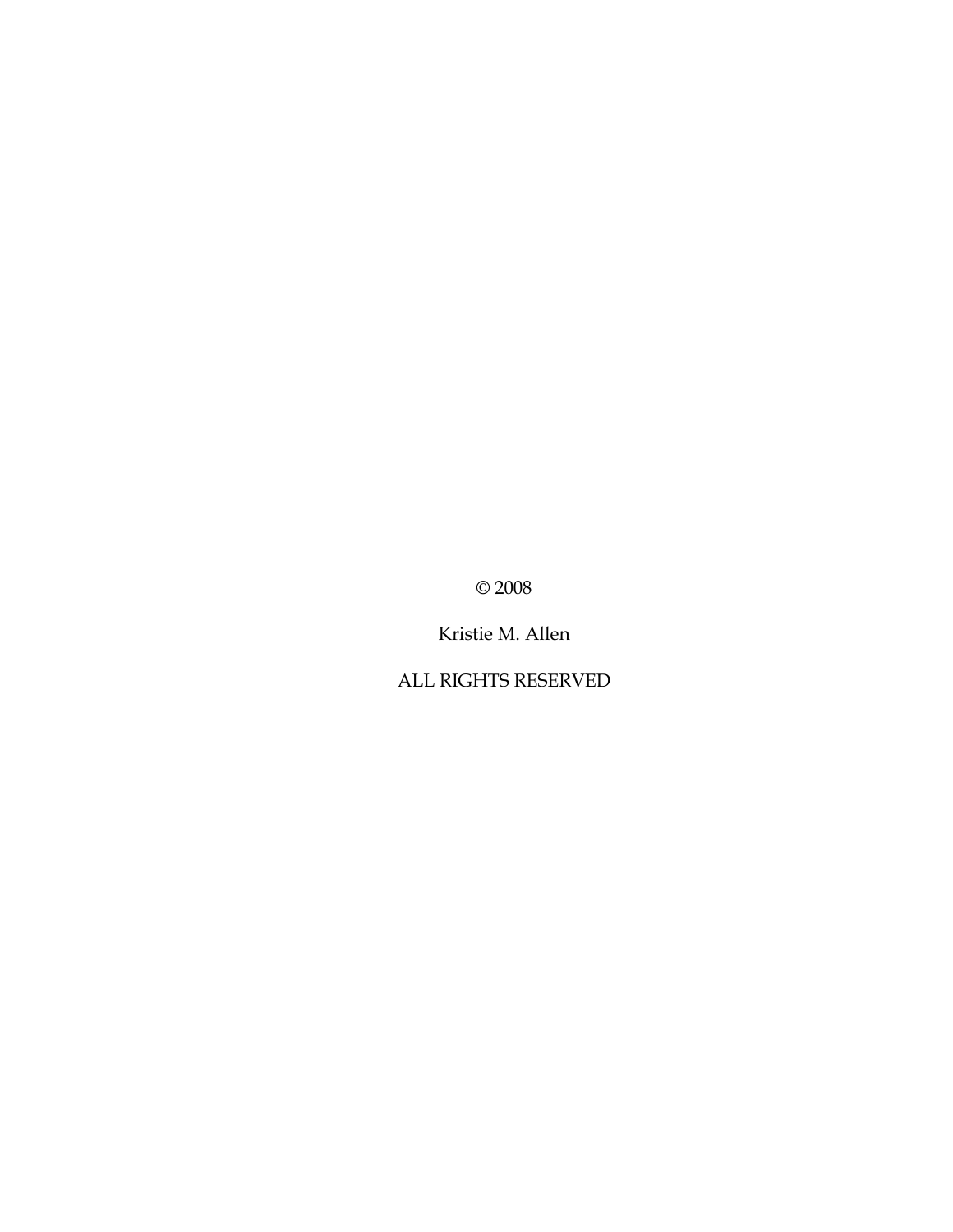© 2008

Kristie M. Allen

ALL RIGHTS RESERVED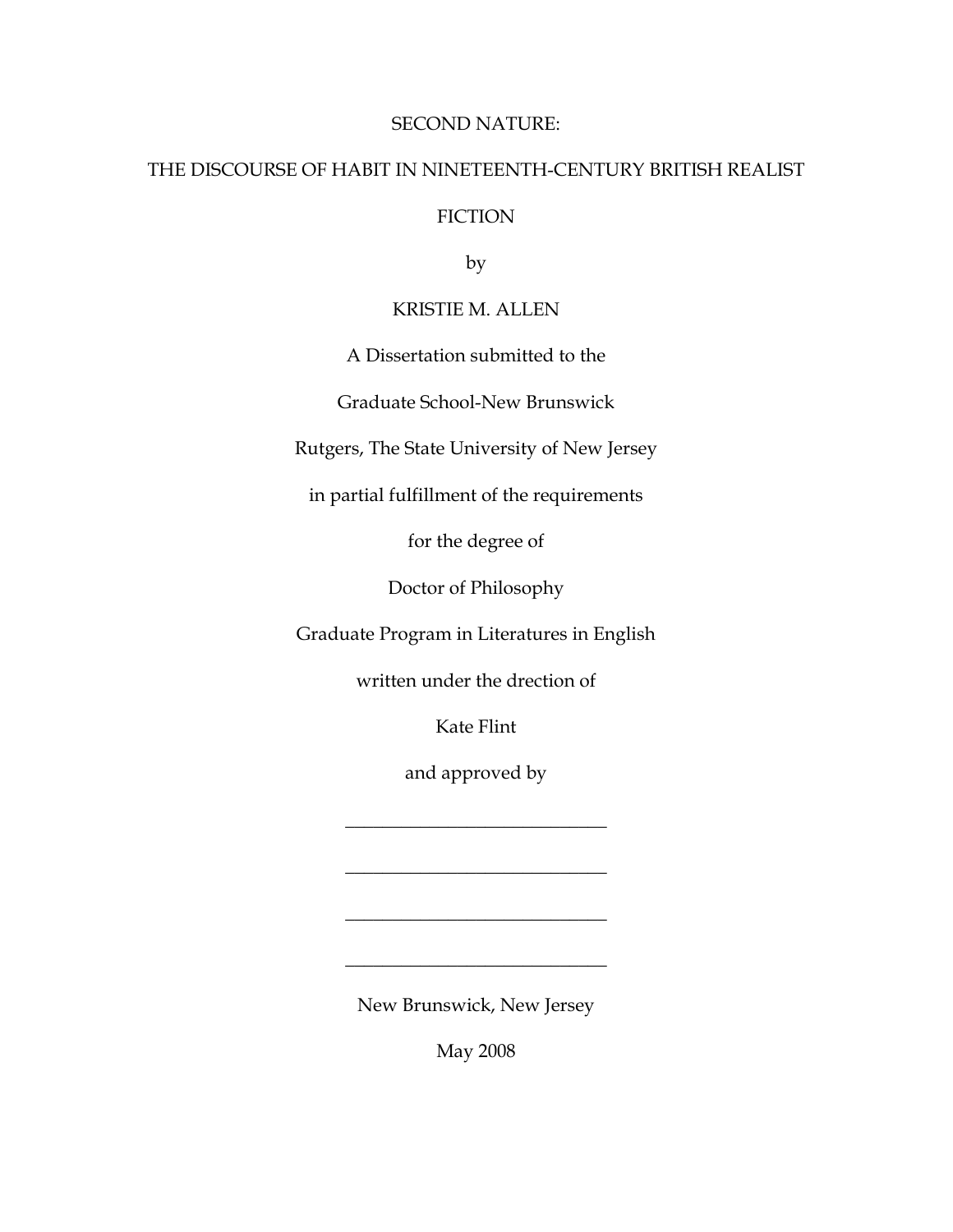### SECOND NATURE:

### THE DISCOURSE OF HABIT IN NINETEENTH-CENTURY BRITISH REALIST

## **FICTION**

by

# KRISTIE M. ALLEN

A Dissertation submitted to the

Graduate School-New Brunswick

Rutgers, The State University of New Jersey

in partial fulfillment of the requirements

for the degree of

Doctor of Philosophy

Graduate Program in Literatures in English

written under the drection of

Kate Flint

and approved by

\_\_\_\_\_\_\_\_\_\_\_\_\_\_\_\_\_\_\_\_\_\_\_\_\_\_\_\_

\_\_\_\_\_\_\_\_\_\_\_\_\_\_\_\_\_\_\_\_\_\_\_\_\_\_\_\_

\_\_\_\_\_\_\_\_\_\_\_\_\_\_\_\_\_\_\_\_\_\_\_\_\_\_\_\_

\_\_\_\_\_\_\_\_\_\_\_\_\_\_\_\_\_\_\_\_\_\_\_\_\_\_\_\_

New Brunswick, New Jersey

May 2008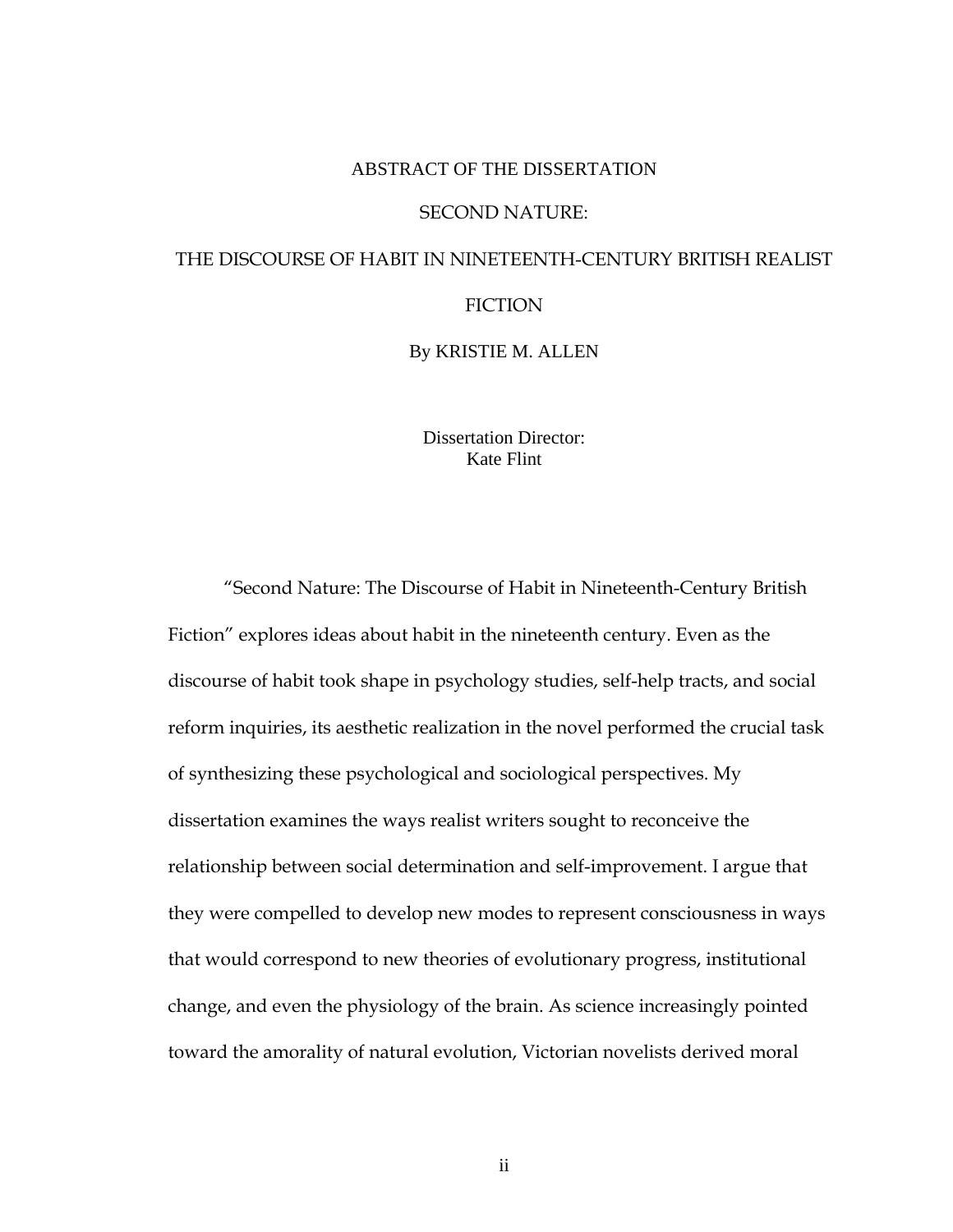#### ABSTRACT OF THE DISSERTATION

#### SECOND NATURE:

# THE DISCOURSE OF HABIT IN NINETEENTH-CENTURY BRITISH REALIST **FICTION**

By KRISTIE M. ALLEN

Dissertation Director: Kate Flint

"Second Nature: The Discourse of Habit in Nineteenth-Century British Fiction" explores ideas about habit in the nineteenth century. Even as the discourse of habit took shape in psychology studies, self-help tracts, and social reform inquiries, its aesthetic realization in the novel performed the crucial task of synthesizing these psychological and sociological perspectives. My dissertation examines the ways realist writers sought to reconceive the relationship between social determination and self-improvement. I argue that they were compelled to develop new modes to represent consciousness in ways that would correspond to new theories of evolutionary progress, institutional change, and even the physiology of the brain. As science increasingly pointed toward the amorality of natural evolution, Victorian novelists derived moral

ii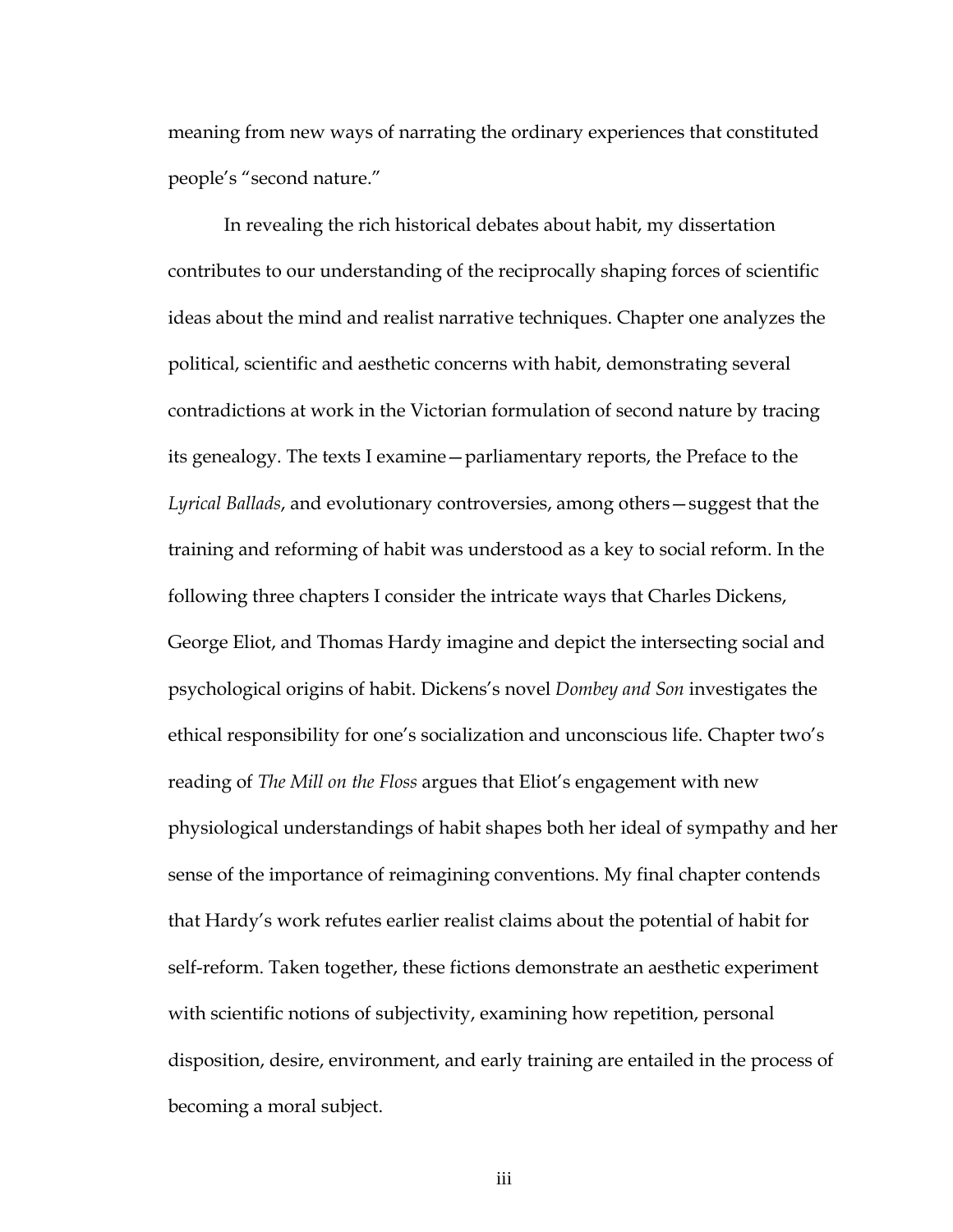meaning from new ways of narrating the ordinary experiences that constituted people's "second nature."

In revealing the rich historical debates about habit, my dissertation contributes to our understanding of the reciprocally shaping forces of scientific ideas about the mind and realist narrative techniques. Chapter one analyzes the political, scientific and aesthetic concerns with habit, demonstrating several contradictions at work in the Victorian formulation of second nature by tracing its genealogy. The texts I examine—parliamentary reports, the Preface to the *Lyrical Ballads*, and evolutionary controversies, among others—suggest that the training and reforming of habit was understood as a key to social reform. In the following three chapters I consider the intricate ways that Charles Dickens, George Eliot, and Thomas Hardy imagine and depict the intersecting social and psychological origins of habit. Dickens's novel *Dombey and Son* investigates the ethical responsibility for one's socialization and unconscious life. Chapter two's reading of *The Mill on the Floss* argues that Eliot's engagement with new physiological understandings of habit shapes both her ideal of sympathy and her sense of the importance of reimagining conventions. My final chapter contends that Hardy's work refutes earlier realist claims about the potential of habit for self-reform. Taken together, these fictions demonstrate an aesthetic experiment with scientific notions of subjectivity, examining how repetition, personal disposition, desire, environment, and early training are entailed in the process of becoming a moral subject.

iii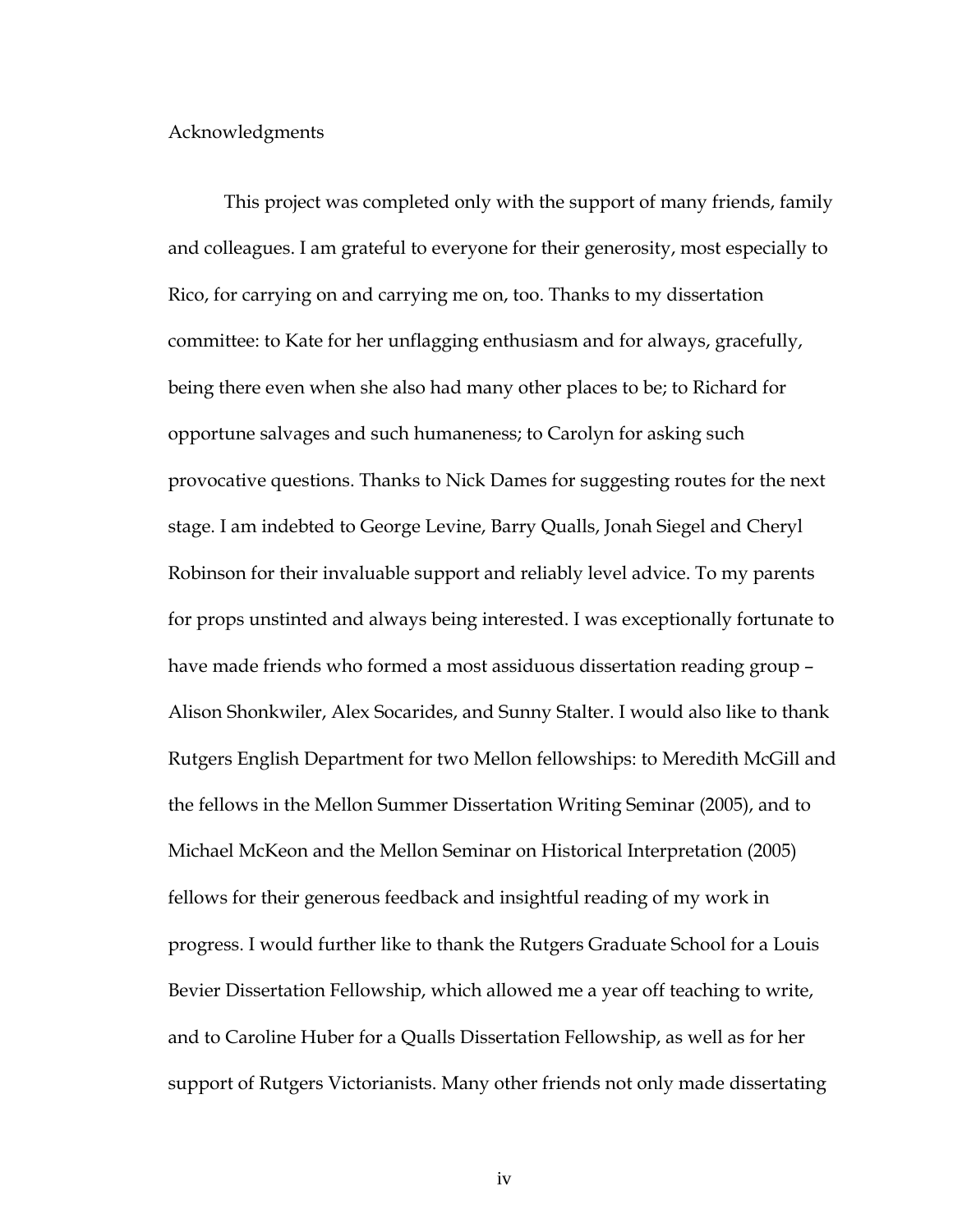#### Acknowledgments

This project was completed only with the support of many friends, family and colleagues. I am grateful to everyone for their generosity, most especially to Rico, for carrying on and carrying me on, too. Thanks to my dissertation committee: to Kate for her unflagging enthusiasm and for always, gracefully, being there even when she also had many other places to be; to Richard for opportune salvages and such humaneness; to Carolyn for asking such provocative questions. Thanks to Nick Dames for suggesting routes for the next stage. I am indebted to George Levine, Barry Qualls, Jonah Siegel and Cheryl Robinson for their invaluable support and reliably level advice. To my parents for props unstinted and always being interested. I was exceptionally fortunate to have made friends who formed a most assiduous dissertation reading group – Alison Shonkwiler, Alex Socarides, and Sunny Stalter. I would also like to thank Rutgers English Department for two Mellon fellowships: to Meredith McGill and the fellows in the Mellon Summer Dissertation Writing Seminar (2005), and to Michael McKeon and the Mellon Seminar on Historical Interpretation (2005) fellows for their generous feedback and insightful reading of my work in progress. I would further like to thank the Rutgers Graduate School for a Louis Bevier Dissertation Fellowship, which allowed me a year off teaching to write, and to Caroline Huber for a Qualls Dissertation Fellowship, as well as for her support of Rutgers Victorianists. Many other friends not only made dissertating

iv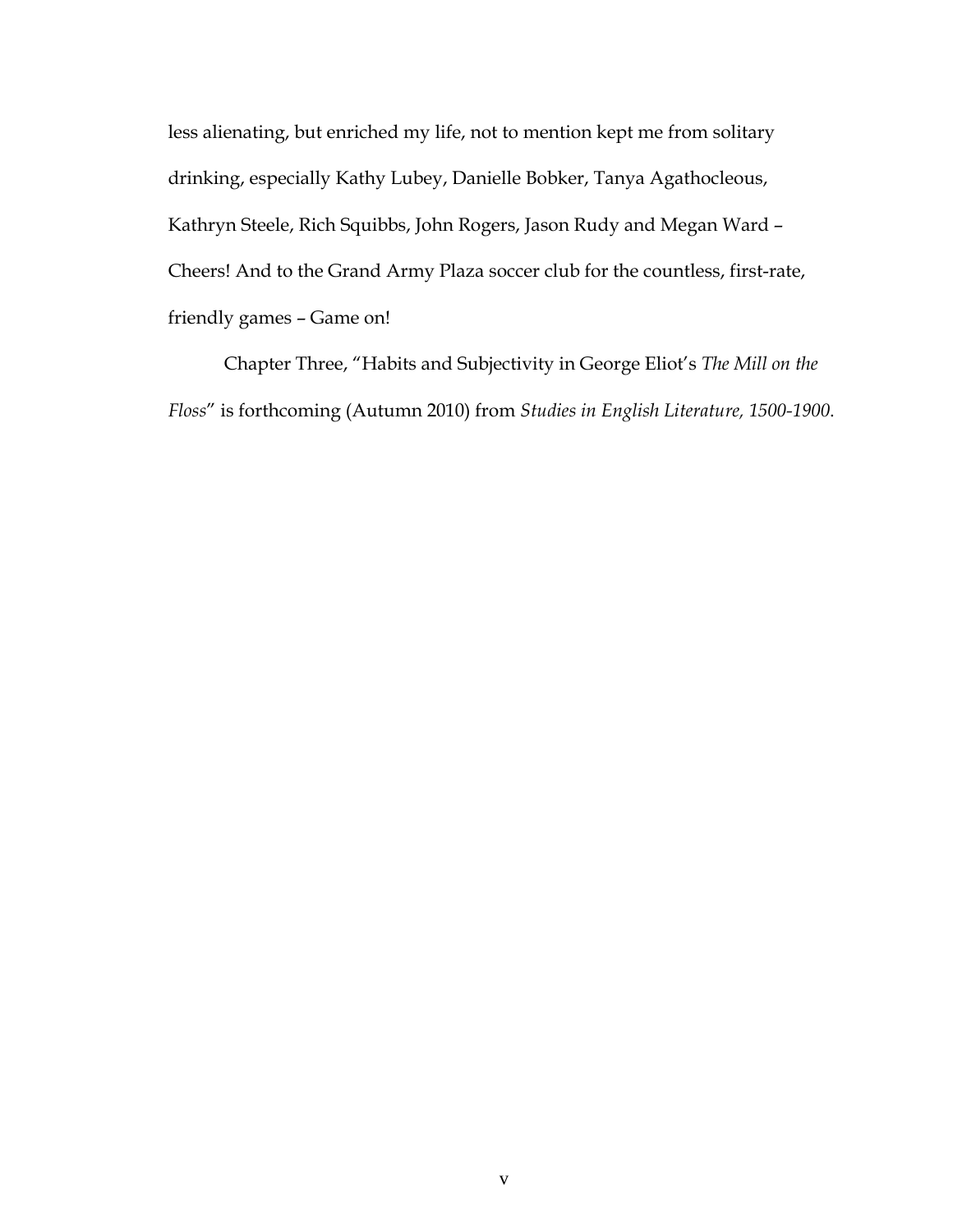less alienating, but enriched my life, not to mention kept me from solitary drinking, especially Kathy Lubey, Danielle Bobker, Tanya Agathocleous, Kathryn Steele, Rich Squibbs, John Rogers, Jason Rudy and Megan Ward – Cheers! And to the Grand Army Plaza soccer club for the countless, first-rate, friendly games – Game on!

Chapter Three, "Habits and Subjectivity in George Eliot's *The Mill on the Floss*" is forthcoming (Autumn 2010) from *Studies in English Literature, 1500-1900*.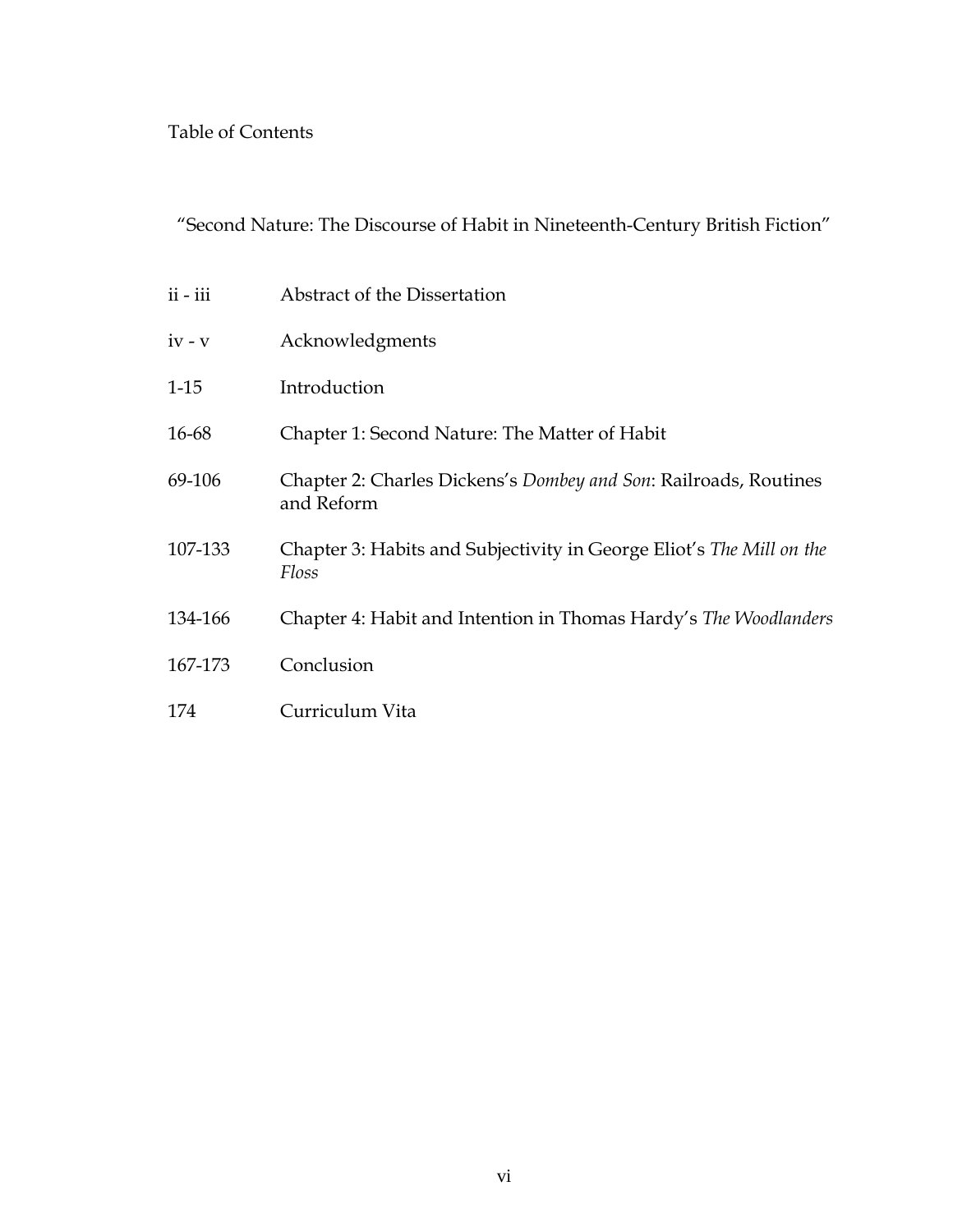# Table of Contents

# "Second Nature: The Discourse of Habit in Nineteenth-Century British Fiction"

| $ii - iii$ | Abstract of the Dissertation                                                   |
|------------|--------------------------------------------------------------------------------|
| $iv - v$   | Acknowledgments                                                                |
| $1-15$     | Introduction                                                                   |
| 16-68      | Chapter 1: Second Nature: The Matter of Habit                                  |
| 69-106     | Chapter 2: Charles Dickens's Dombey and Son: Railroads, Routines<br>and Reform |
| 107-133    | Chapter 3: Habits and Subjectivity in George Eliot's The Mill on the<br>Floss  |
| 134-166    | Chapter 4: Habit and Intention in Thomas Hardy's The Woodlanders               |
| 167-173    | Conclusion                                                                     |
| 174        | Curriculum Vita                                                                |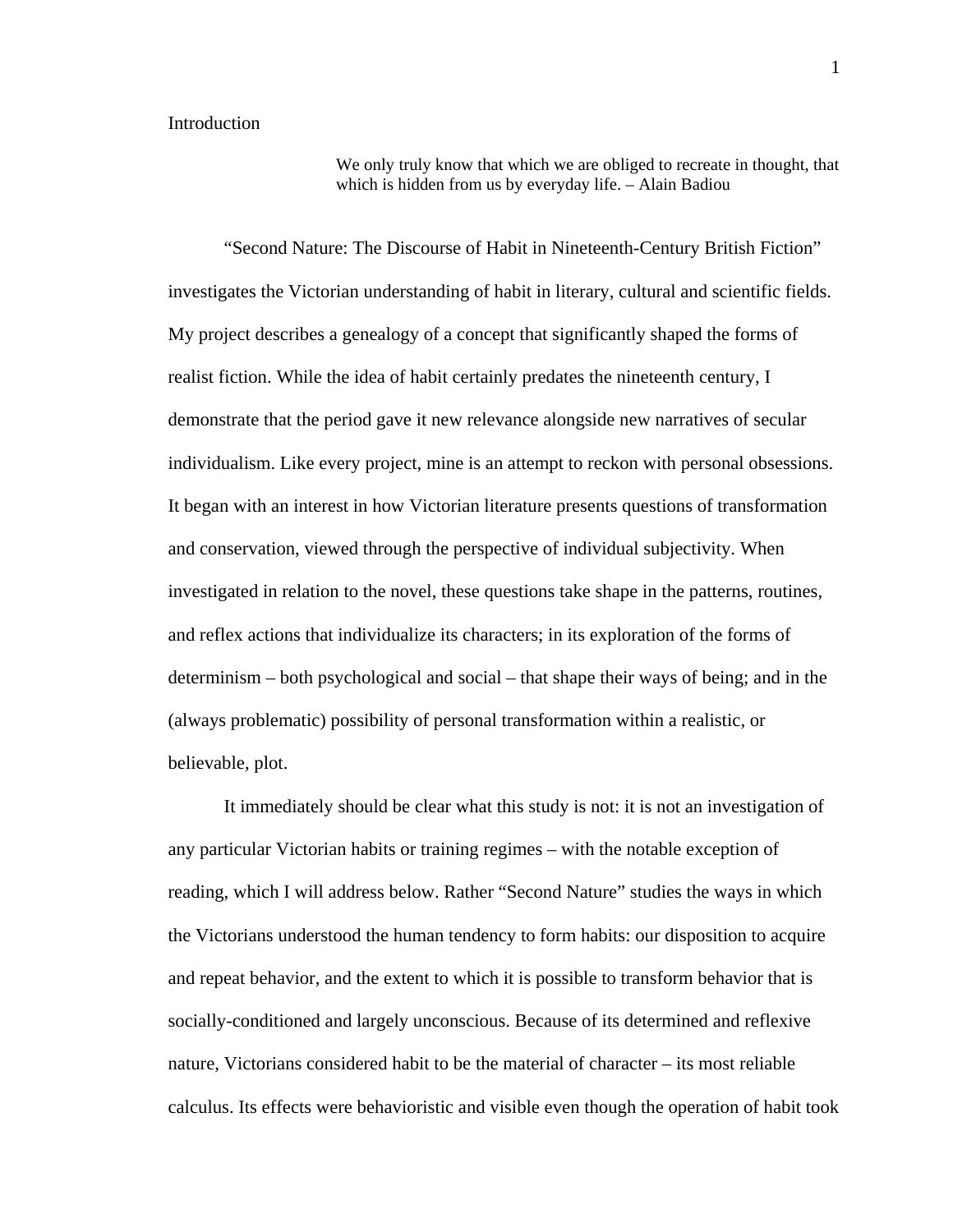#### Introduction

We only truly know that which we are obliged to recreate in thought, that which is hidden from us by everyday life. – Alain Badiou

"Second Nature: The Discourse of Habit in Nineteenth-Century British Fiction" investigates the Victorian understanding of habit in literary, cultural and scientific fields. My project describes a genealogy of a concept that significantly shaped the forms of realist fiction. While the idea of habit certainly predates the nineteenth century, I demonstrate that the period gave it new relevance alongside new narratives of secular individualism. Like every project, mine is an attempt to reckon with personal obsessions. It began with an interest in how Victorian literature presents questions of transformation and conservation, viewed through the perspective of individual subjectivity. When investigated in relation to the novel, these questions take shape in the patterns, routines, and reflex actions that individualize its characters; in its exploration of the forms of determinism – both psychological and social – that shape their ways of being; and in the (always problematic) possibility of personal transformation within a realistic, or believable, plot.

It immediately should be clear what this study is not: it is not an investigation of any particular Victorian habits or training regimes – with the notable exception of reading, which I will address below. Rather "Second Nature" studies the ways in which the Victorians understood the human tendency to form habits: our disposition to acquire and repeat behavior, and the extent to which it is possible to transform behavior that is socially-conditioned and largely unconscious. Because of its determined and reflexive nature, Victorians considered habit to be the material of character – its most reliable calculus. Its effects were behavioristic and visible even though the operation of habit took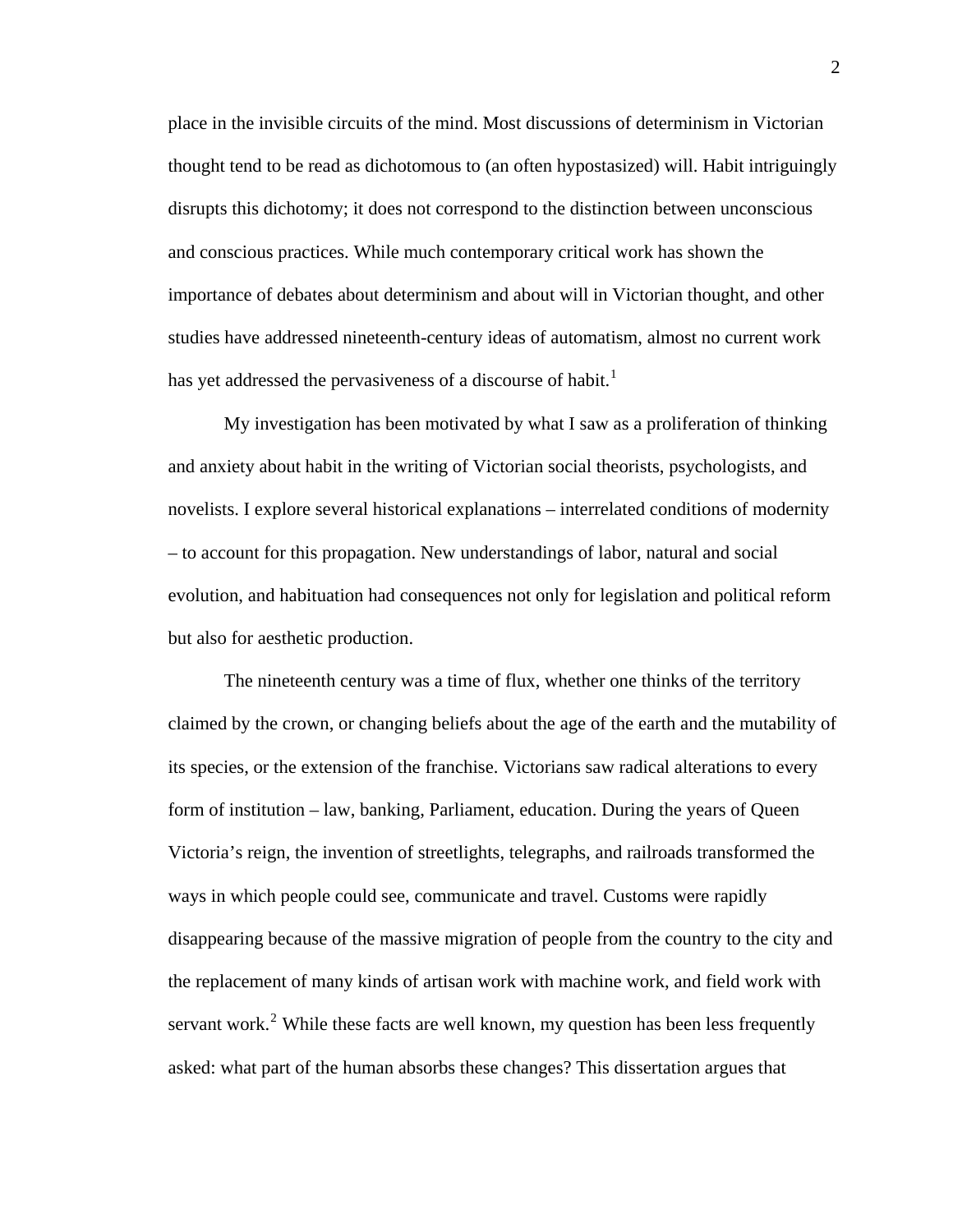place in the invisible circuits of the mind. Most discussions of determinism in Victorian thought tend to be read as dichotomous to (an often hypostasized) will. Habit intriguingly disrupts this dichotomy; it does not correspond to the distinction between unconscious and conscious practices. While much contemporary critical work has shown the importance of debates about determinism and about will in Victorian thought, and other studies have addressed nineteenth-century ideas of automatism, almost no current work has yet addressed the pervasiveness of a discourse of habit.<sup>[1](#page-21-0)</sup>

My investigation has been motivated by what I saw as a proliferation of thinking and anxiety about habit in the writing of Victorian social theorists, psychologists, and novelists. I explore several historical explanations – interrelated conditions of modernity – to account for this propagation. New understandings of labor, natural and social evolution, and habituation had consequences not only for legislation and political reform but also for aesthetic production.

The nineteenth century was a time of flux, whether one thinks of the territory claimed by the crown, or changing beliefs about the age of the earth and the mutability of its species, or the extension of the franchise. Victorians saw radical alterations to every form of institution – law, banking, Parliament, education. During the years of Queen Victoria's reign, the invention of streetlights, telegraphs, and railroads transformed the ways in which people could see, communicate and travel. Customs were rapidly disappearing because of the massive migration of people from the country to the city and the replacement of many kinds of artisan work with machine work, and field work with servant work.<sup>[2](#page-21-1)</sup> While these facts are well known, my question has been less frequently asked: what part of the human absorbs these changes? This dissertation argues that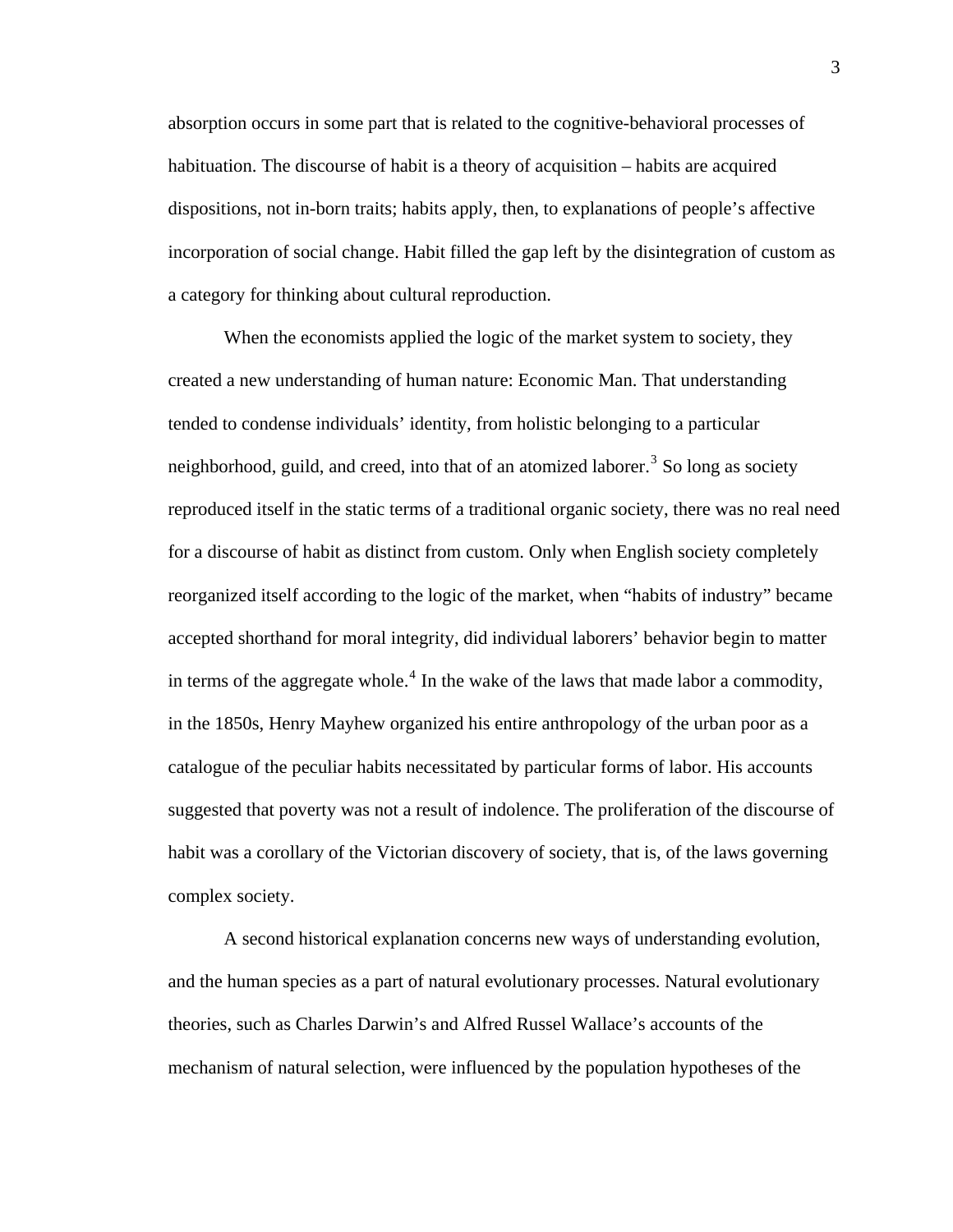absorption occurs in some part that is related to the cognitive-behavioral processes of habituation. The discourse of habit is a theory of acquisition – habits are acquired dispositions, not in-born traits; habits apply, then, to explanations of people's affective incorporation of social change. Habit filled the gap left by the disintegration of custom as a category for thinking about cultural reproduction.

When the economists applied the logic of the market system to society, they created a new understanding of human nature: Economic Man. That understanding tended to condense individuals' identity, from holistic belonging to a particular neighborhood, guild, and creed, into that of an atomized laborer.<sup>[3](#page-21-1)</sup> So long as society reproduced itself in the static terms of a traditional organic society, there was no real need for a discourse of habit as distinct from custom. Only when English society completely reorganized itself according to the logic of the market, when "habits of industry" became accepted shorthand for moral integrity, did individual laborers' behavior begin to matter in terms of the aggregate whole.<sup>[4](#page-21-1)</sup> In the wake of the laws that made labor a commodity, in the 1850s, Henry Mayhew organized his entire anthropology of the urban poor as a catalogue of the peculiar habits necessitated by particular forms of labor. His accounts suggested that poverty was not a result of indolence. The proliferation of the discourse of habit was a corollary of the Victorian discovery of society, that is, of the laws governing complex society.

 A second historical explanation concerns new ways of understanding evolution, and the human species as a part of natural evolutionary processes. Natural evolutionary theories, such as Charles Darwin's and Alfred Russel Wallace's accounts of the mechanism of natural selection, were influenced by the population hypotheses of the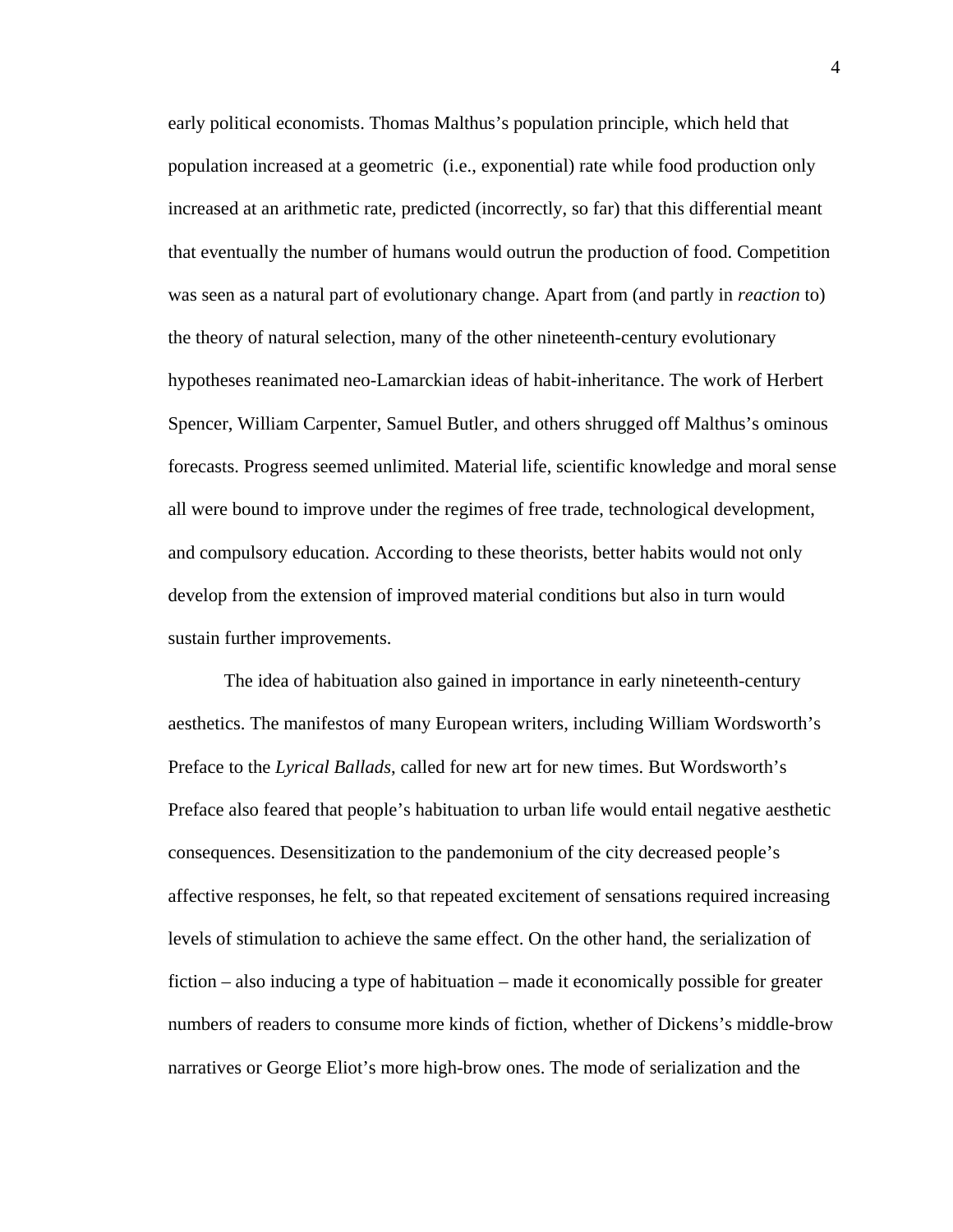early political economists. Thomas Malthus's population principle, which held that population increased at a geometric (i.e., exponential) rate while food production only increased at an arithmetic rate, predicted (incorrectly, so far) that this differential meant that eventually the number of humans would outrun the production of food. Competition was seen as a natural part of evolutionary change. Apart from (and partly in *reaction* to) the theory of natural selection, many of the other nineteenth-century evolutionary hypotheses reanimated neo-Lamarckian ideas of habit-inheritance. The work of Herbert Spencer, William Carpenter, Samuel Butler, and others shrugged off Malthus's ominous forecasts. Progress seemed unlimited. Material life, scientific knowledge and moral sense all were bound to improve under the regimes of free trade, technological development, and compulsory education. According to these theorists, better habits would not only develop from the extension of improved material conditions but also in turn would sustain further improvements.

The idea of habituation also gained in importance in early nineteenth-century aesthetics. The manifestos of many European writers, including William Wordsworth's Preface to the *Lyrical Ballads*, called for new art for new times. But Wordsworth's Preface also feared that people's habituation to urban life would entail negative aesthetic consequences. Desensitization to the pandemonium of the city decreased people's affective responses, he felt, so that repeated excitement of sensations required increasing levels of stimulation to achieve the same effect. On the other hand, the serialization of fiction – also inducing a type of habituation – made it economically possible for greater numbers of readers to consume more kinds of fiction, whether of Dickens's middle-brow narratives or George Eliot's more high-brow ones. The mode of serialization and the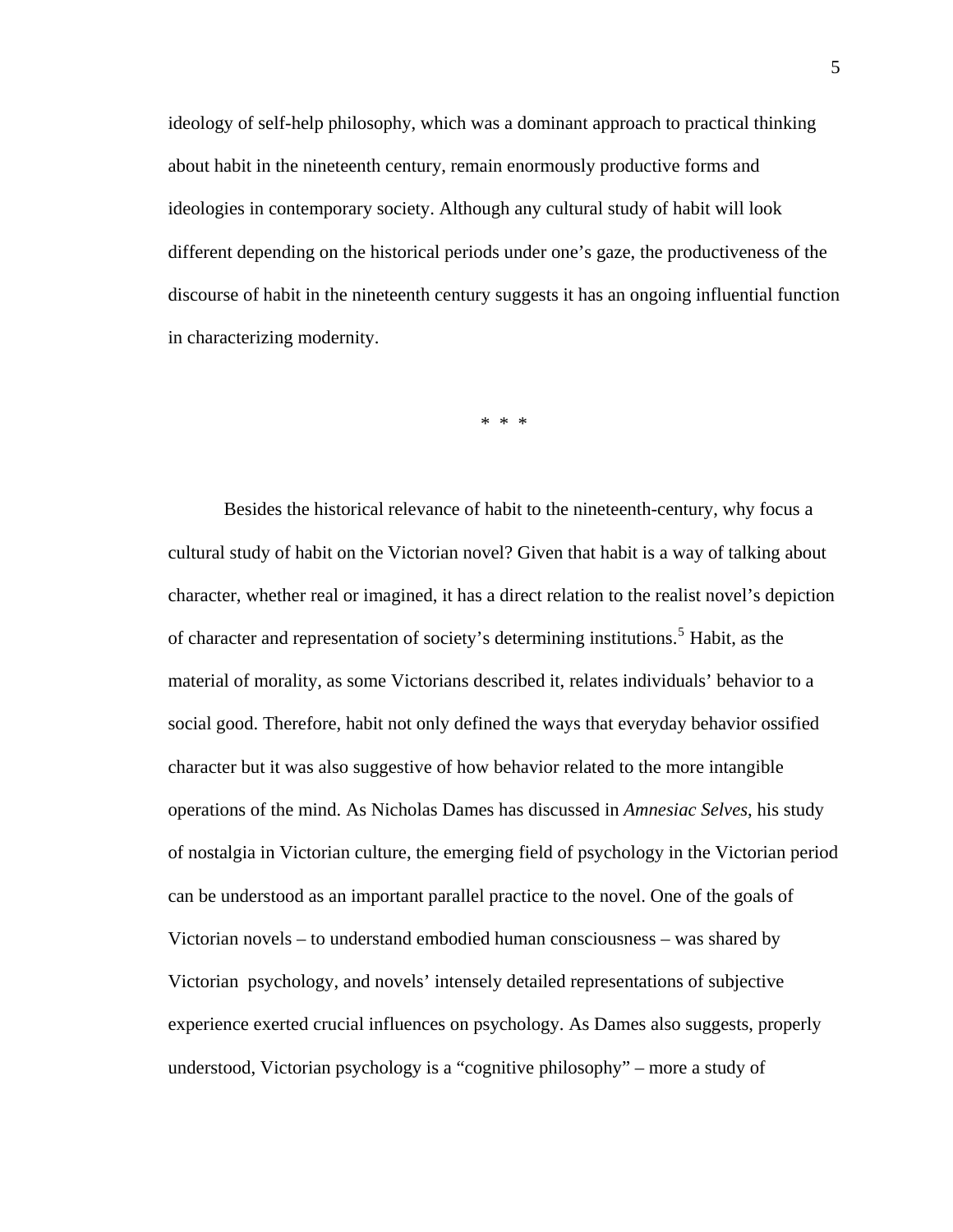ideology of self-help philosophy, which was a dominant approach to practical thinking about habit in the nineteenth century, remain enormously productive forms and ideologies in contemporary society. Although any cultural study of habit will look different depending on the historical periods under one's gaze, the productiveness of the discourse of habit in the nineteenth century suggests it has an ongoing influential function in characterizing modernity.

\* \* \*

Besides the historical relevance of habit to the nineteenth-century, why focus a cultural study of habit on the Victorian novel? Given that habit is a way of talking about character, whether real or imagined, it has a direct relation to the realist novel's depiction of character and representation of society's determining institutions.<sup>[5](#page-21-1)</sup> Habit, as the material of morality, as some Victorians described it, relates individuals' behavior to a social good. Therefore, habit not only defined the ways that everyday behavior ossified character but it was also suggestive of how behavior related to the more intangible operations of the mind. As Nicholas Dames has discussed in *Amnesiac Selves*, his study of nostalgia in Victorian culture, the emerging field of psychology in the Victorian period can be understood as an important parallel practice to the novel. One of the goals of Victorian novels – to understand embodied human consciousness – was shared by Victorian psychology, and novels' intensely detailed representations of subjective experience exerted crucial influences on psychology. As Dames also suggests, properly understood, Victorian psychology is a "cognitive philosophy" – more a study of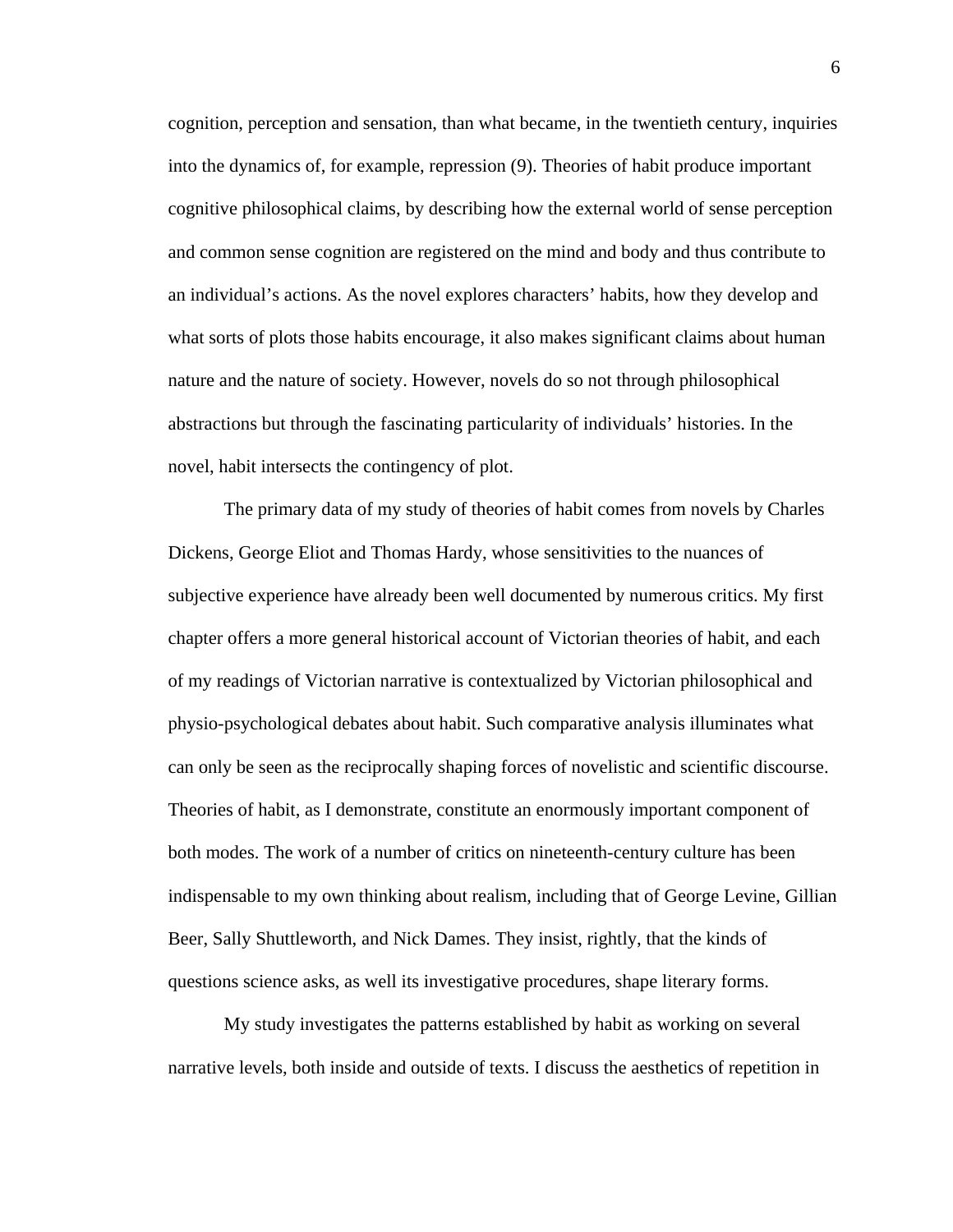cognition, perception and sensation, than what became, in the twentieth century, inquiries into the dynamics of, for example, repression (9). Theories of habit produce important cognitive philosophical claims, by describing how the external world of sense perception and common sense cognition are registered on the mind and body and thus contribute to an individual's actions. As the novel explores characters' habits, how they develop and what sorts of plots those habits encourage, it also makes significant claims about human nature and the nature of society. However, novels do so not through philosophical abstractions but through the fascinating particularity of individuals' histories. In the novel, habit intersects the contingency of plot.

The primary data of my study of theories of habit comes from novels by Charles Dickens, George Eliot and Thomas Hardy, whose sensitivities to the nuances of subjective experience have already been well documented by numerous critics. My first chapter offers a more general historical account of Victorian theories of habit, and each of my readings of Victorian narrative is contextualized by Victorian philosophical and physio-psychological debates about habit. Such comparative analysis illuminates what can only be seen as the reciprocally shaping forces of novelistic and scientific discourse. Theories of habit, as I demonstrate, constitute an enormously important component of both modes. The work of a number of critics on nineteenth-century culture has been indispensable to my own thinking about realism, including that of George Levine, Gillian Beer, Sally Shuttleworth, and Nick Dames. They insist, rightly, that the kinds of questions science asks, as well its investigative procedures, shape literary forms.

My study investigates the patterns established by habit as working on several narrative levels, both inside and outside of texts. I discuss the aesthetics of repetition in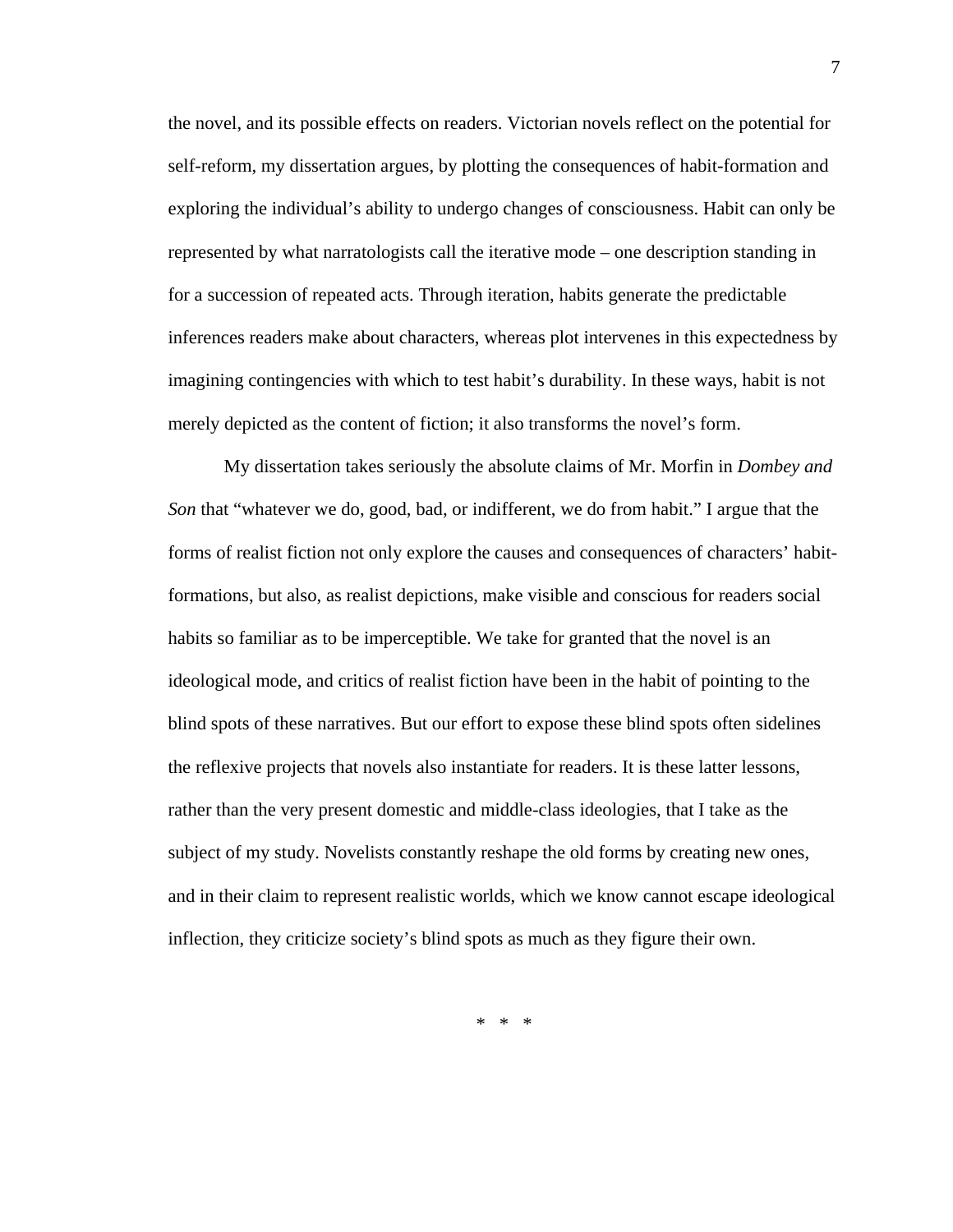the novel, and its possible effects on readers. Victorian novels reflect on the potential for self-reform, my dissertation argues, by plotting the consequences of habit-formation and exploring the individual's ability to undergo changes of consciousness. Habit can only be represented by what narratologists call the iterative mode – one description standing in for a succession of repeated acts. Through iteration, habits generate the predictable inferences readers make about characters, whereas plot intervenes in this expectedness by imagining contingencies with which to test habit's durability. In these ways, habit is not merely depicted as the content of fiction; it also transforms the novel's form.

My dissertation takes seriously the absolute claims of Mr. Morfin in *Dombey and Son* that "whatever we do, good, bad, or indifferent, we do from habit." I argue that the forms of realist fiction not only explore the causes and consequences of characters' habitformations, but also, as realist depictions, make visible and conscious for readers social habits so familiar as to be imperceptible. We take for granted that the novel is an ideological mode, and critics of realist fiction have been in the habit of pointing to the blind spots of these narratives. But our effort to expose these blind spots often sidelines the reflexive projects that novels also instantiate for readers. It is these latter lessons, rather than the very present domestic and middle-class ideologies, that I take as the subject of my study. Novelists constantly reshape the old forms by creating new ones, and in their claim to represent realistic worlds, which we know cannot escape ideological inflection, they criticize society's blind spots as much as they figure their own.

\* \* \*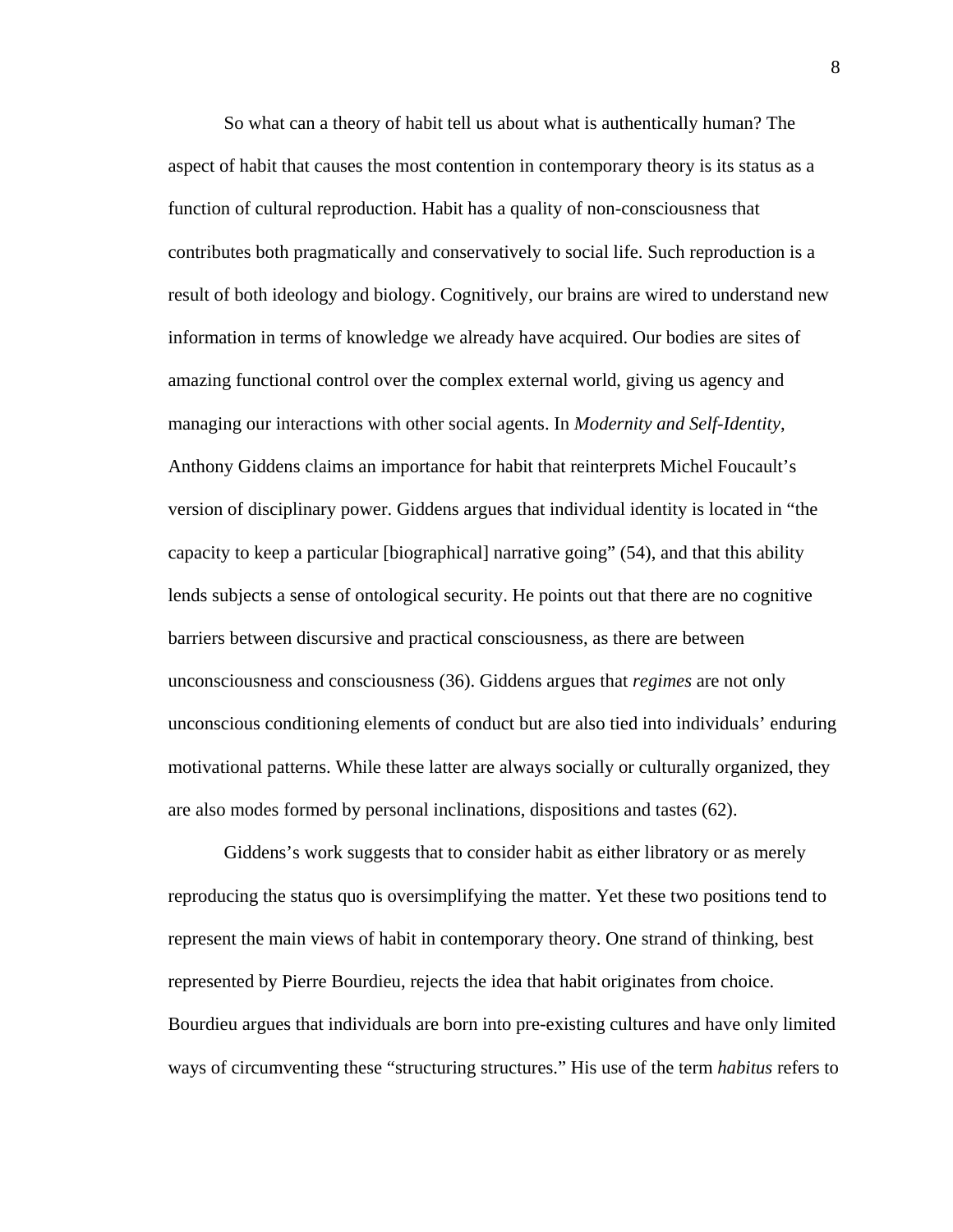So what can a theory of habit tell us about what is authentically human? The aspect of habit that causes the most contention in contemporary theory is its status as a function of cultural reproduction. Habit has a quality of non-consciousness that contributes both pragmatically and conservatively to social life. Such reproduction is a result of both ideology and biology. Cognitively, our brains are wired to understand new information in terms of knowledge we already have acquired. Our bodies are sites of amazing functional control over the complex external world, giving us agency and managing our interactions with other social agents. In *Modernity and Self-Identity*, Anthony Giddens claims an importance for habit that reinterprets Michel Foucault's version of disciplinary power. Giddens argues that individual identity is located in "the capacity to keep a particular [biographical] narrative going" (54), and that this ability lends subjects a sense of ontological security. He points out that there are no cognitive barriers between discursive and practical consciousness, as there are between unconsciousness and consciousness (36). Giddens argues that *regimes* are not only unconscious conditioning elements of conduct but are also tied into individuals' enduring motivational patterns. While these latter are always socially or culturally organized, they are also modes formed by personal inclinations, dispositions and tastes (62).

Giddens's work suggests that to consider habit as either libratory or as merely reproducing the status quo is oversimplifying the matter. Yet these two positions tend to represent the main views of habit in contemporary theory. One strand of thinking, best represented by Pierre Bourdieu, rejects the idea that habit originates from choice. Bourdieu argues that individuals are born into pre-existing cultures and have only limited ways of circumventing these "structuring structures." His use of the term *habitus* refers to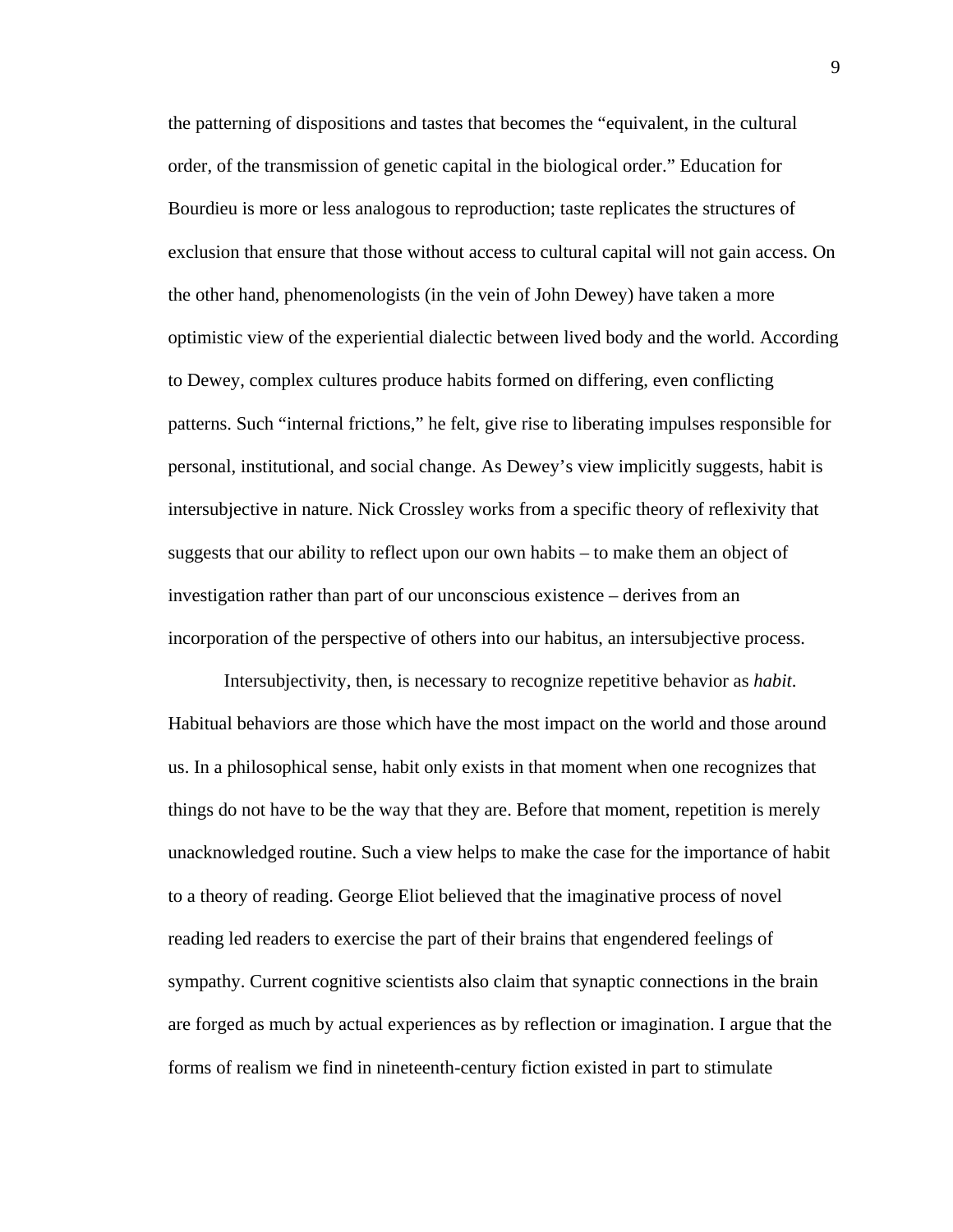the patterning of dispositions and tastes that becomes the "equivalent, in the cultural order, of the transmission of genetic capital in the biological order." Education for Bourdieu is more or less analogous to reproduction; taste replicates the structures of exclusion that ensure that those without access to cultural capital will not gain access. On the other hand, phenomenologists (in the vein of John Dewey) have taken a more optimistic view of the experiential dialectic between lived body and the world. According to Dewey, complex cultures produce habits formed on differing, even conflicting patterns. Such "internal frictions," he felt, give rise to liberating impulses responsible for personal, institutional, and social change. As Dewey's view implicitly suggests, habit is intersubjective in nature. Nick Crossley works from a specific theory of reflexivity that suggests that our ability to reflect upon our own habits – to make them an object of investigation rather than part of our unconscious existence – derives from an incorporation of the perspective of others into our habitus, an intersubjective process.

 Intersubjectivity, then, is necessary to recognize repetitive behavior as *habit*. Habitual behaviors are those which have the most impact on the world and those around us. In a philosophical sense, habit only exists in that moment when one recognizes that things do not have to be the way that they are. Before that moment, repetition is merely unacknowledged routine. Such a view helps to make the case for the importance of habit to a theory of reading. George Eliot believed that the imaginative process of novel reading led readers to exercise the part of their brains that engendered feelings of sympathy. Current cognitive scientists also claim that synaptic connections in the brain are forged as much by actual experiences as by reflection or imagination. I argue that the forms of realism we find in nineteenth-century fiction existed in part to stimulate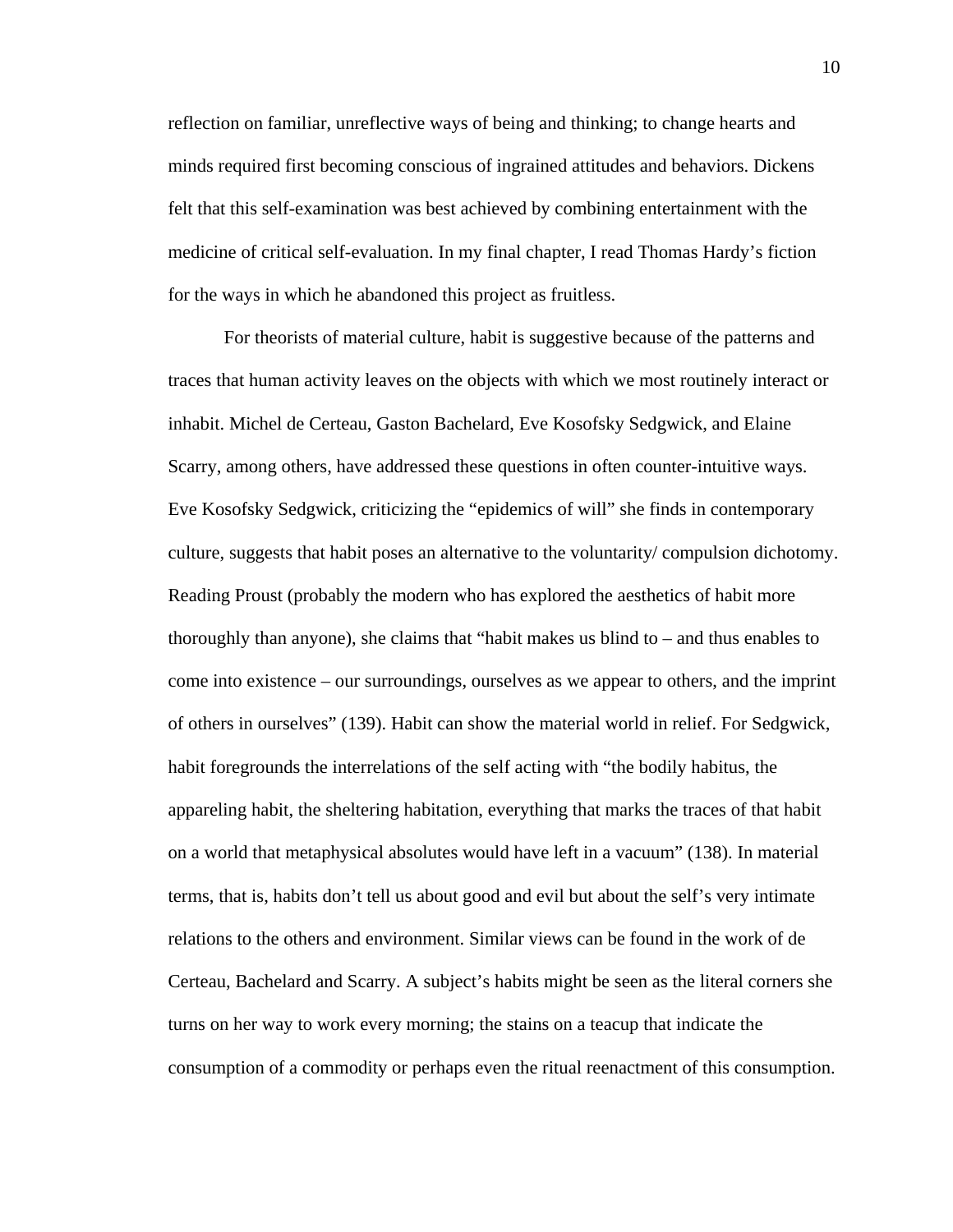reflection on familiar, unreflective ways of being and thinking; to change hearts and minds required first becoming conscious of ingrained attitudes and behaviors. Dickens felt that this self-examination was best achieved by combining entertainment with the medicine of critical self-evaluation. In my final chapter, I read Thomas Hardy's fiction for the ways in which he abandoned this project as fruitless.

For theorists of material culture, habit is suggestive because of the patterns and traces that human activity leaves on the objects with which we most routinely interact or inhabit. Michel de Certeau, Gaston Bachelard, Eve Kosofsky Sedgwick, and Elaine Scarry, among others, have addressed these questions in often counter-intuitive ways. Eve Kosofsky Sedgwick, criticizing the "epidemics of will" she finds in contemporary culture, suggests that habit poses an alternative to the voluntarity/ compulsion dichotomy. Reading Proust (probably the modern who has explored the aesthetics of habit more thoroughly than anyone), she claims that "habit makes us blind to – and thus enables to come into existence – our surroundings, ourselves as we appear to others, and the imprint of others in ourselves" (139). Habit can show the material world in relief. For Sedgwick, habit foregrounds the interrelations of the self acting with "the bodily habitus, the appareling habit, the sheltering habitation, everything that marks the traces of that habit on a world that metaphysical absolutes would have left in a vacuum" (138). In material terms, that is, habits don't tell us about good and evil but about the self's very intimate relations to the others and environment. Similar views can be found in the work of de Certeau, Bachelard and Scarry. A subject's habits might be seen as the literal corners she turns on her way to work every morning; the stains on a teacup that indicate the consumption of a commodity or perhaps even the ritual reenactment of this consumption.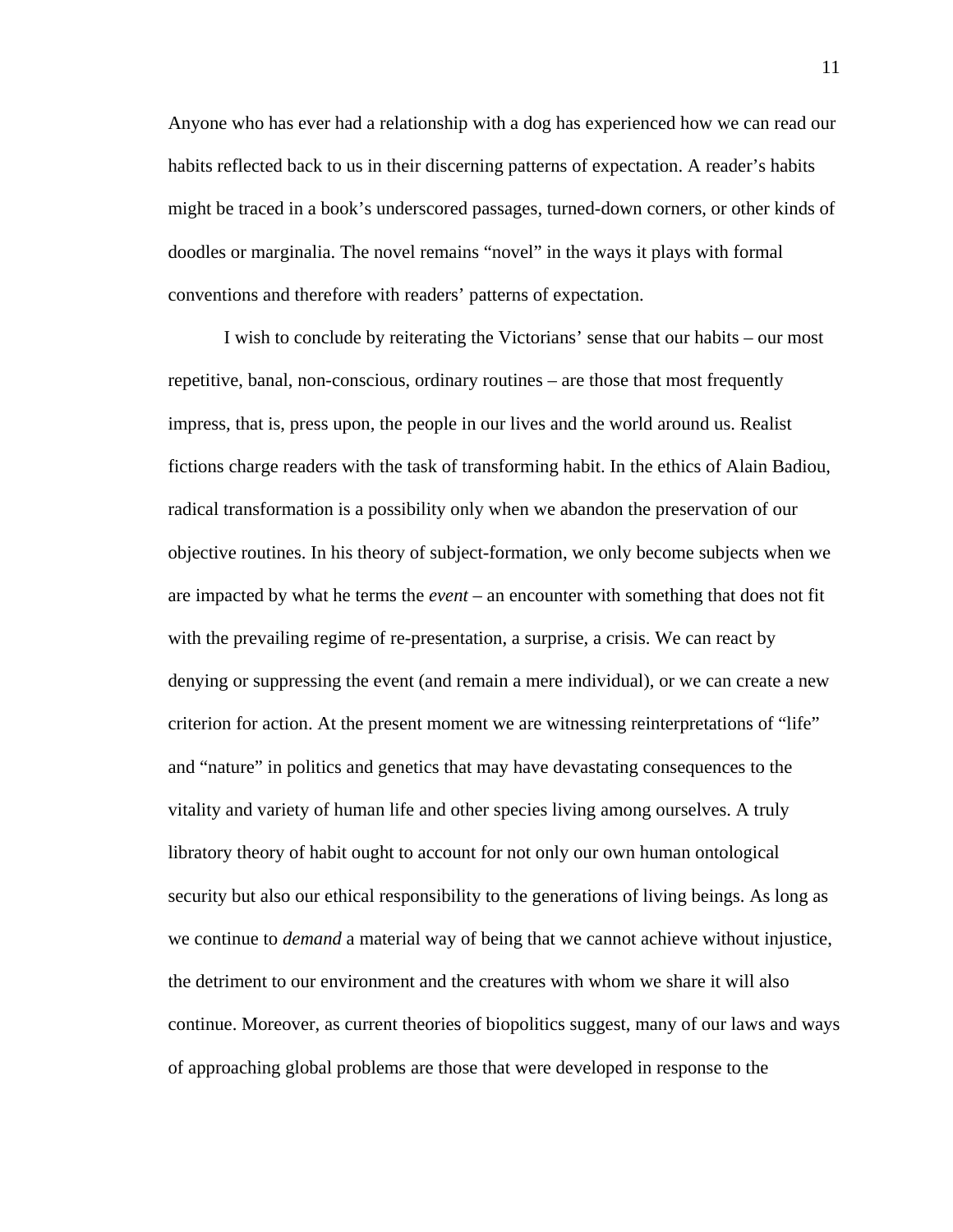Anyone who has ever had a relationship with a dog has experienced how we can read our habits reflected back to us in their discerning patterns of expectation. A reader's habits might be traced in a book's underscored passages, turned-down corners, or other kinds of doodles or marginalia. The novel remains "novel" in the ways it plays with formal conventions and therefore with readers' patterns of expectation.

I wish to conclude by reiterating the Victorians' sense that our habits – our most repetitive, banal, non-conscious, ordinary routines – are those that most frequently impress, that is, press upon, the people in our lives and the world around us. Realist fictions charge readers with the task of transforming habit. In the ethics of Alain Badiou, radical transformation is a possibility only when we abandon the preservation of our objective routines. In his theory of subject-formation, we only become subjects when we are impacted by what he terms the *event* – an encounter with something that does not fit with the prevailing regime of re-presentation, a surprise, a crisis. We can react by denying or suppressing the event (and remain a mere individual), or we can create a new criterion for action. At the present moment we are witnessing reinterpretations of "life" and "nature" in politics and genetics that may have devastating consequences to the vitality and variety of human life and other species living among ourselves. A truly libratory theory of habit ought to account for not only our own human ontological security but also our ethical responsibility to the generations of living beings. As long as we continue to *demand* a material way of being that we cannot achieve without injustice, the detriment to our environment and the creatures with whom we share it will also continue. Moreover, as current theories of biopolitics suggest, many of our laws and ways of approaching global problems are those that were developed in response to the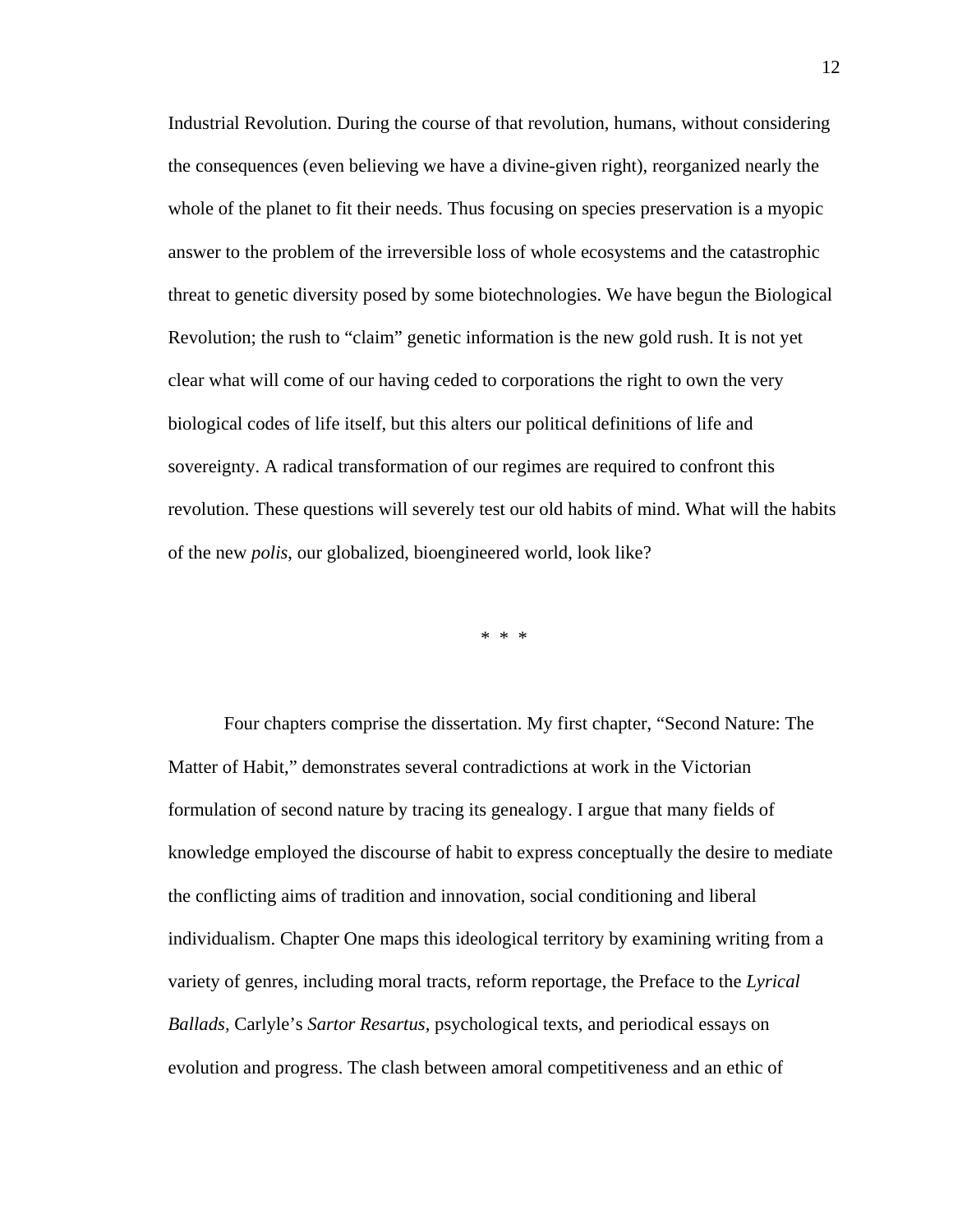Industrial Revolution. During the course of that revolution, humans, without considering the consequences (even believing we have a divine-given right), reorganized nearly the whole of the planet to fit their needs. Thus focusing on species preservation is a myopic answer to the problem of the irreversible loss of whole ecosystems and the catastrophic threat to genetic diversity posed by some biotechnologies. We have begun the Biological Revolution; the rush to "claim" genetic information is the new gold rush. It is not yet clear what will come of our having ceded to corporations the right to own the very biological codes of life itself, but this alters our political definitions of life and sovereignty. A radical transformation of our regimes are required to confront this revolution. These questions will severely test our old habits of mind. What will the habits of the new *polis*, our globalized, bioengineered world, look like?

\* \* \*

Four chapters comprise the dissertation. My first chapter, "Second Nature: The Matter of Habit," demonstrates several contradictions at work in the Victorian formulation of second nature by tracing its genealogy. I argue that many fields of knowledge employed the discourse of habit to express conceptually the desire to mediate the conflicting aims of tradition and innovation, social conditioning and liberal individualism. Chapter One maps this ideological territory by examining writing from a variety of genres, including moral tracts, reform reportage, the Preface to the *Lyrical Ballads*, Carlyle's *Sartor Resartus*, psychological texts, and periodical essays on evolution and progress. The clash between amoral competitiveness and an ethic of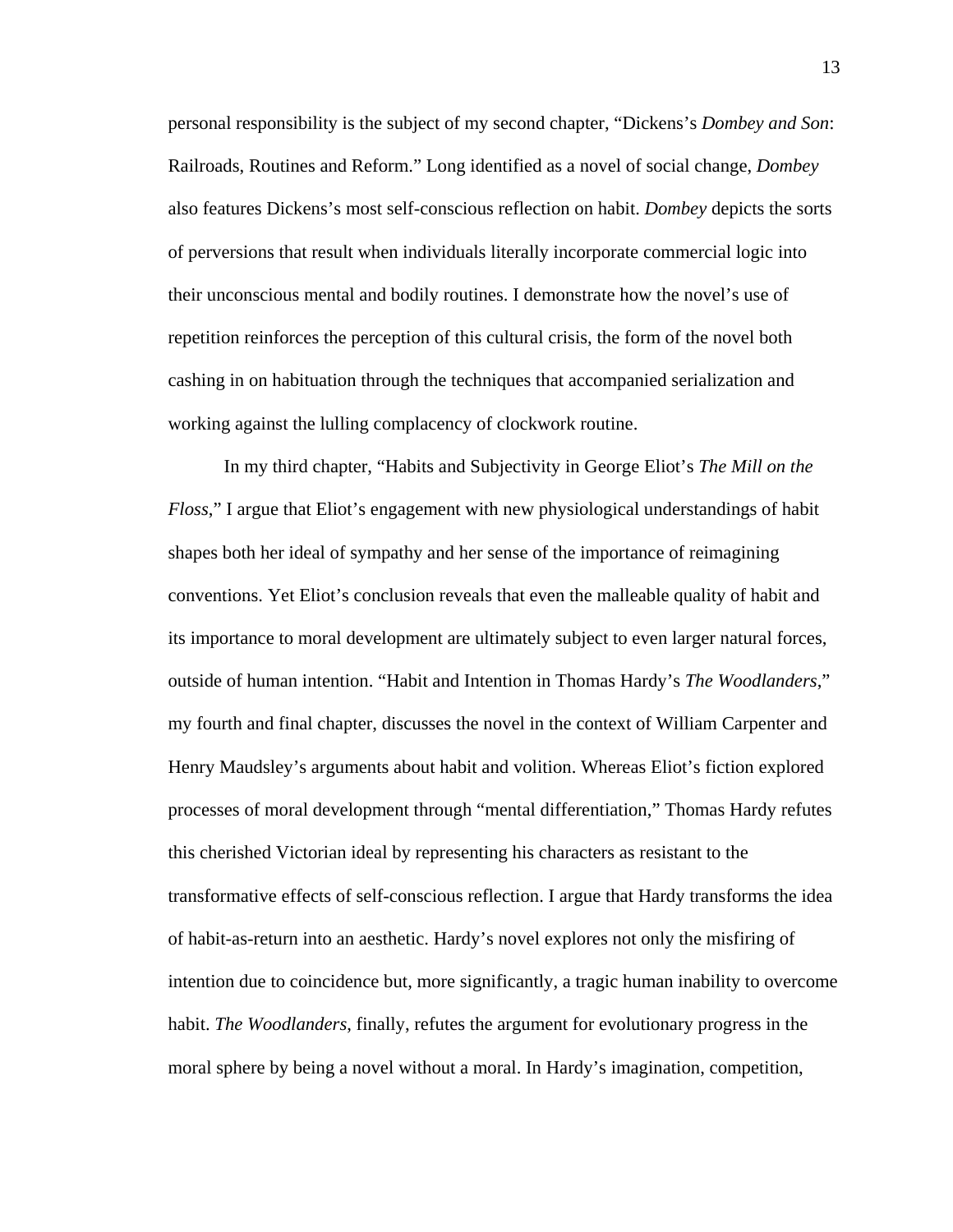personal responsibility is the subject of my second chapter, "Dickens's *Dombey and Son*: Railroads, Routines and Reform." Long identified as a novel of social change, *Dombey* also features Dickens's most self-conscious reflection on habit. *Dombey* depicts the sorts of perversions that result when individuals literally incorporate commercial logic into their unconscious mental and bodily routines. I demonstrate how the novel's use of repetition reinforces the perception of this cultural crisis, the form of the novel both cashing in on habituation through the techniques that accompanied serialization and working against the lulling complacency of clockwork routine.

In my third chapter, "Habits and Subjectivity in George Eliot's *The Mill on the Floss*," I argue that Eliot's engagement with new physiological understandings of habit shapes both her ideal of sympathy and her sense of the importance of reimagining conventions. Yet Eliot's conclusion reveals that even the malleable quality of habit and its importance to moral development are ultimately subject to even larger natural forces, outside of human intention. "Habit and Intention in Thomas Hardy's *The Woodlanders*," my fourth and final chapter, discusses the novel in the context of William Carpenter and Henry Maudsley's arguments about habit and volition. Whereas Eliot's fiction explored processes of moral development through "mental differentiation," Thomas Hardy refutes this cherished Victorian ideal by representing his characters as resistant to the transformative effects of self-conscious reflection. I argue that Hardy transforms the idea of habit-as-return into an aesthetic. Hardy's novel explores not only the misfiring of intention due to coincidence but, more significantly, a tragic human inability to overcome habit. *The Woodlanders*, finally, refutes the argument for evolutionary progress in the moral sphere by being a novel without a moral. In Hardy's imagination, competition,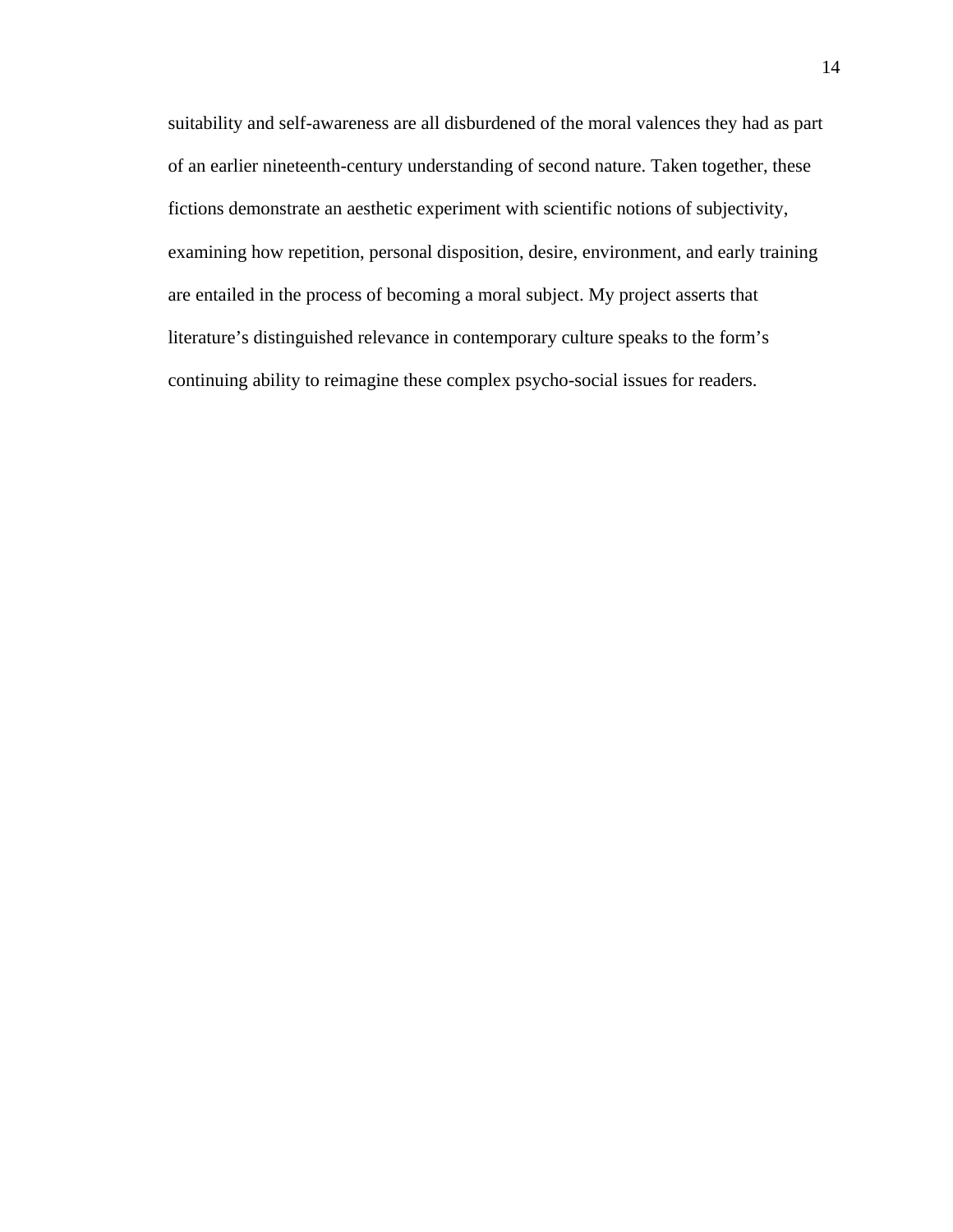suitability and self-awareness are all disburdened of the moral valences they had as part of an earlier nineteenth-century understanding of second nature. Taken together, these fictions demonstrate an aesthetic experiment with scientific notions of subjectivity, examining how repetition, personal disposition, desire, environment, and early training are entailed in the process of becoming a moral subject. My project asserts that literature's distinguished relevance in contemporary culture speaks to the form's continuing ability to reimagine these complex psycho-social issues for readers.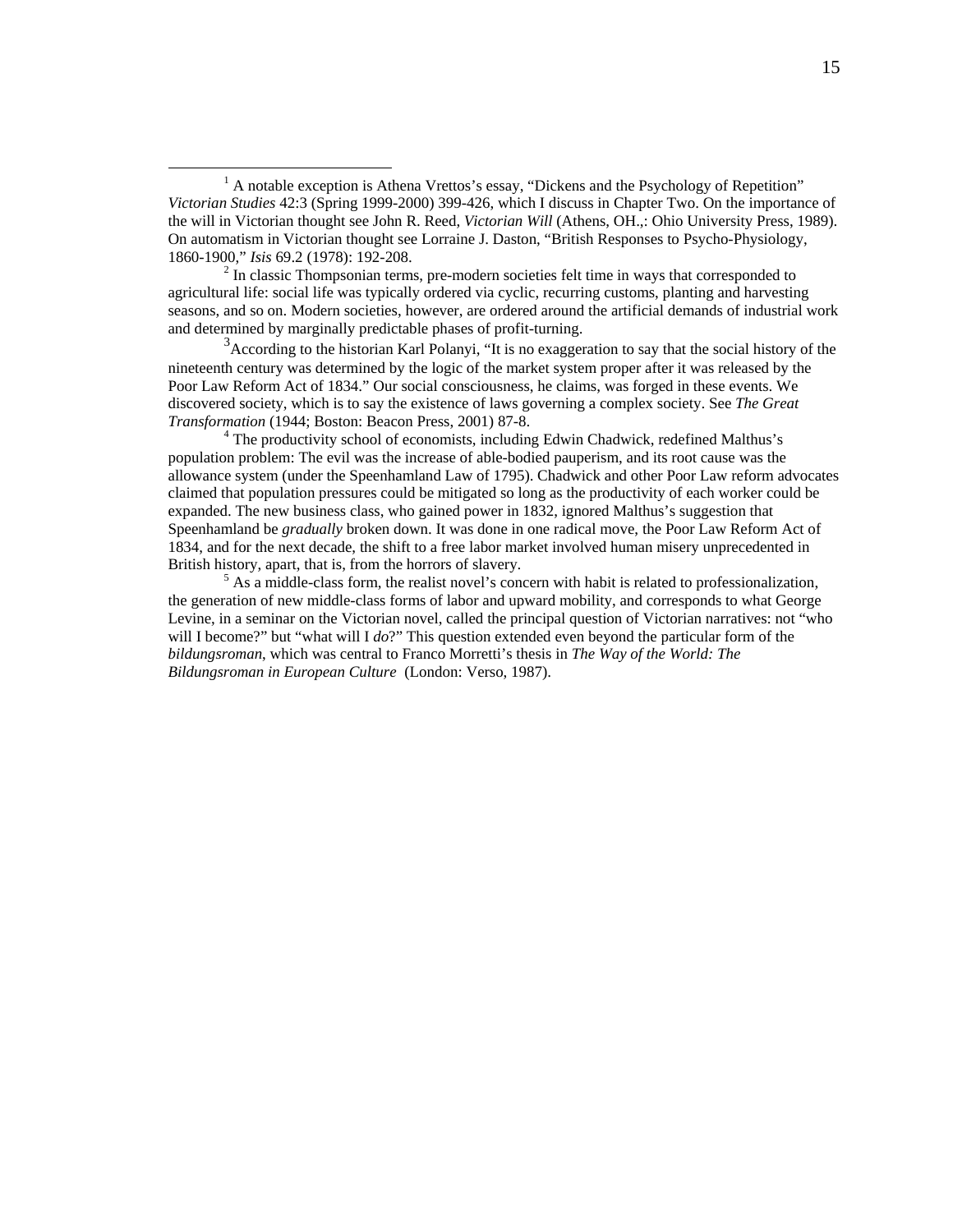$2<sup>2</sup>$  In classic Thompsonian terms, pre-modern societies felt time in ways that corresponded to agricultural life: social life was typically ordered via cyclic, recurring customs, planting and harvesting seasons, and so on. Modern societies, however, are ordered around the artificial demands of industrial work and determined by marginally predictable phases of profit-turning.

<sup>3</sup> According to the historian Karl Polanyi, "It is no exaggeration to say that the social history of the nineteenth century was determined by the logic of the market system proper after it was released by the Poor Law Reform Act of 1834." Our social consciousness, he claims, was forged in these events. We discovered society, which is to say the existence of laws governing a complex society. See *The Great Transformation* (1944; Boston: Beacon Press, 2001) 87-8. 4

<sup>4</sup> The productivity school of economists, including Edwin Chadwick, redefined Malthus's population problem: The evil was the increase of able-bodied pauperism, and its root cause was the allowance system (under the Speenhamland Law of 1795). Chadwick and other Poor Law reform advocates claimed that population pressures could be mitigated so long as the productivity of each worker could be expanded. The new business class, who gained power in 1832, ignored Malthus's suggestion that Speenhamland be *gradually* broken down. It was done in one radical move, the Poor Law Reform Act of 1834, and for the next decade, the shift to a free labor market involved human misery unprecedented in British history, apart, that is, from the horrors of slavery.

 $5$  As a middle-class form, the realist novel's concern with habit is related to professionalization, the generation of new middle-class forms of labor and upward mobility, and corresponds to what George Levine, in a seminar on the Victorian novel, called the principal question of Victorian narratives: not "who will I become?" but "what will I *do*?" This question extended even beyond the particular form of the *bildungsroman*, which was central to Franco Morretti's thesis in *The Way of the World: The Bildungsroman in European Culture* (London: Verso, 1987).

<span id="page-21-1"></span><span id="page-21-0"></span> $\frac{1}{1}$ <sup>1</sup> A notable exception is Athena Vrettos's essay, "Dickens and the Psychology of Repetition" *Victorian Studies* 42:3 (Spring 1999-2000) 399-426, which I discuss in Chapter Two. On the importance of the will in Victorian thought see John R. Reed, *Victorian Will* (Athens, OH.,: Ohio University Press, 1989). On automatism in Victorian thought see Lorraine J. Daston, "British Responses to Psycho-Physiology, 1860-1900," *Isis* 69.2 (1978): 192-208. 2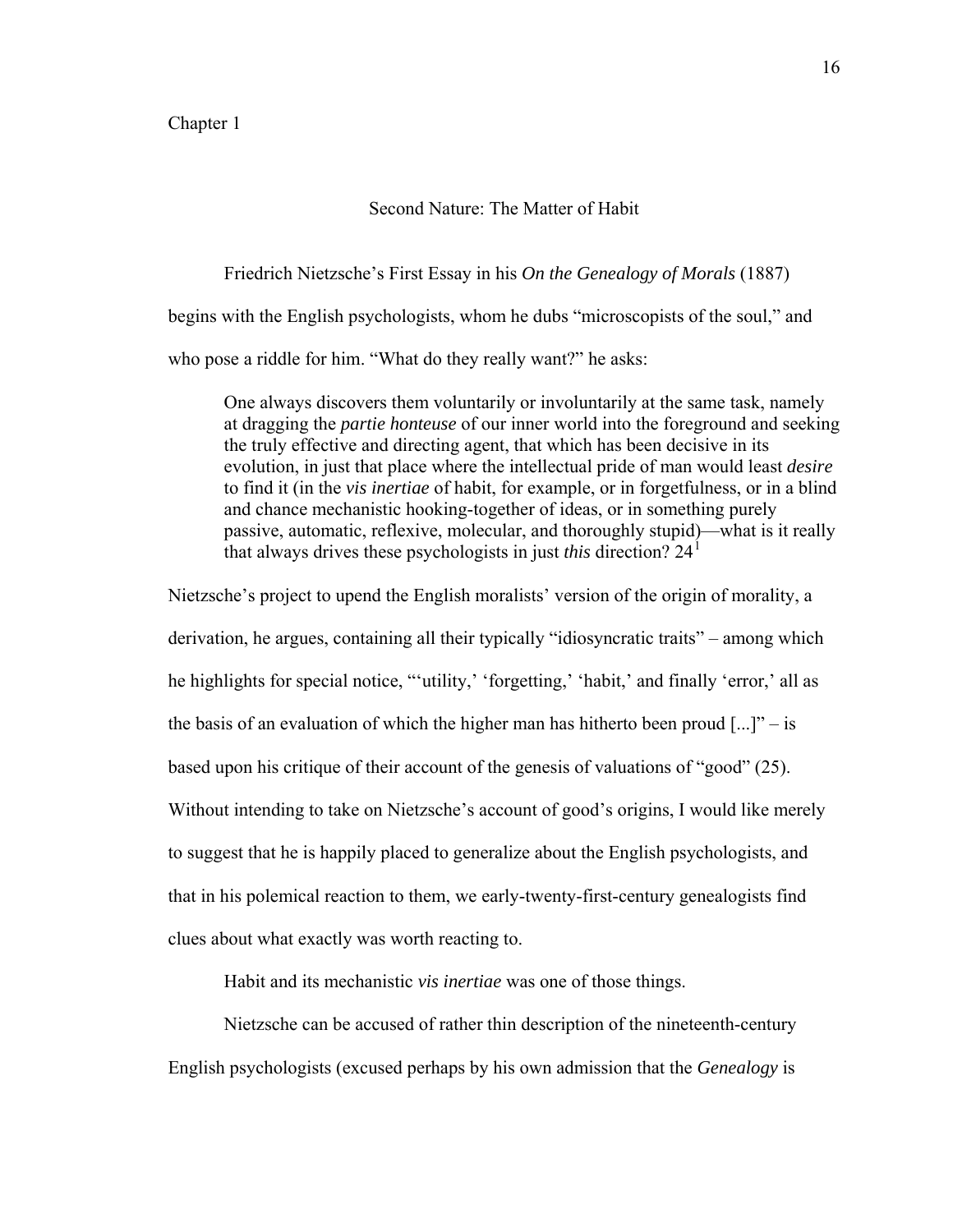Chapter 1

#### Second Nature: The Matter of Habit

Friedrich Nietzsche's First Essay in his *On the Genealogy of Morals* (1887) begins with the English psychologists, whom he dubs "microscopists of the soul," and

who pose a riddle for him. "What do they really want?" he asks:

One always discovers them voluntarily or involuntarily at the same task, namely at dragging the *partie honteuse* of our inner world into the foreground and seeking the truly effective and directing agent, that which has been decisive in its evolution, in just that place where the intellectual pride of man would least *desire* to find it (in the *vis inertiae* of habit, for example, or in forgetfulness, or in a blind and chance mechanistic hooking-together of ideas, or in something purely passive, automatic, reflexive, molecular, and thoroughly stupid)—what is it really that always drives these psychologists in just *this* direction? 24[1](#page-70-0)

Nietzsche's project to upend the English moralists' version of the origin of morality, a derivation, he argues, containing all their typically "idiosyncratic traits" – among which he highlights for special notice, ""utility,' 'forgetting,' 'habit,' and finally 'error,' all as the basis of an evaluation of which the higher man has hitherto been proud  $[\dots]$ " – is based upon his critique of their account of the genesis of valuations of "good" (25). Without intending to take on Nietzsche's account of good's origins, I would like merely to suggest that he is happily placed to generalize about the English psychologists, and that in his polemical reaction to them, we early-twenty-first-century genealogists find clues about what exactly was worth reacting to.

Habit and its mechanistic *vis inertiae* was one of those things.

 Nietzsche can be accused of rather thin description of the nineteenth-century English psychologists (excused perhaps by his own admission that the *Genealogy* is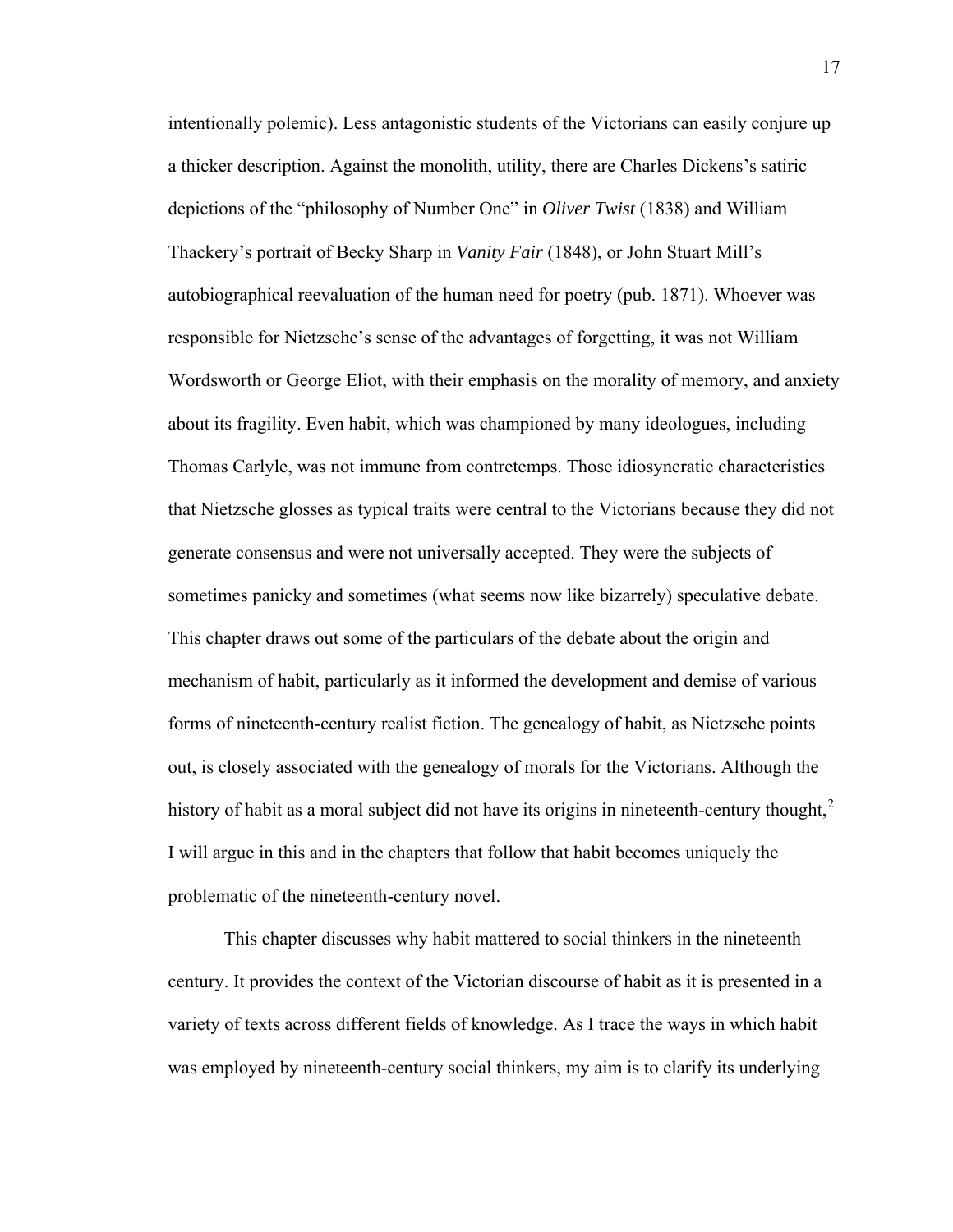intentionally polemic). Less antagonistic students of the Victorians can easily conjure up a thicker description. Against the monolith, utility, there are Charles Dickens's satiric depictions of the "philosophy of Number One" in *Oliver Twist* (1838) and William Thackery's portrait of Becky Sharp in *Vanity Fair* (1848), or John Stuart Mill's autobiographical reevaluation of the human need for poetry (pub. 1871). Whoever was responsible for Nietzsche's sense of the advantages of forgetting, it was not William Wordsworth or George Eliot, with their emphasis on the morality of memory, and anxiety about its fragility. Even habit, which was championed by many ideologues, including Thomas Carlyle, was not immune from contretemps. Those idiosyncratic characteristics that Nietzsche glosses as typical traits were central to the Victorians because they did not generate consensus and were not universally accepted. They were the subjects of sometimes panicky and sometimes (what seems now like bizarrely) speculative debate. This chapter draws out some of the particulars of the debate about the origin and mechanism of habit, particularly as it informed the development and demise of various forms of nineteenth-century realist fiction. The genealogy of habit, as Nietzsche points out, is closely associated with the genealogy of morals for the Victorians. Although the history of habit as a moral subject did not have its origins in nineteenth-century thought,<sup>[2](#page-70-1)</sup> I will argue in this and in the chapters that follow that habit becomes uniquely the problematic of the nineteenth-century novel.

 This chapter discusses why habit mattered to social thinkers in the nineteenth century. It provides the context of the Victorian discourse of habit as it is presented in a variety of texts across different fields of knowledge. As I trace the ways in which habit was employed by nineteenth-century social thinkers, my aim is to clarify its underlying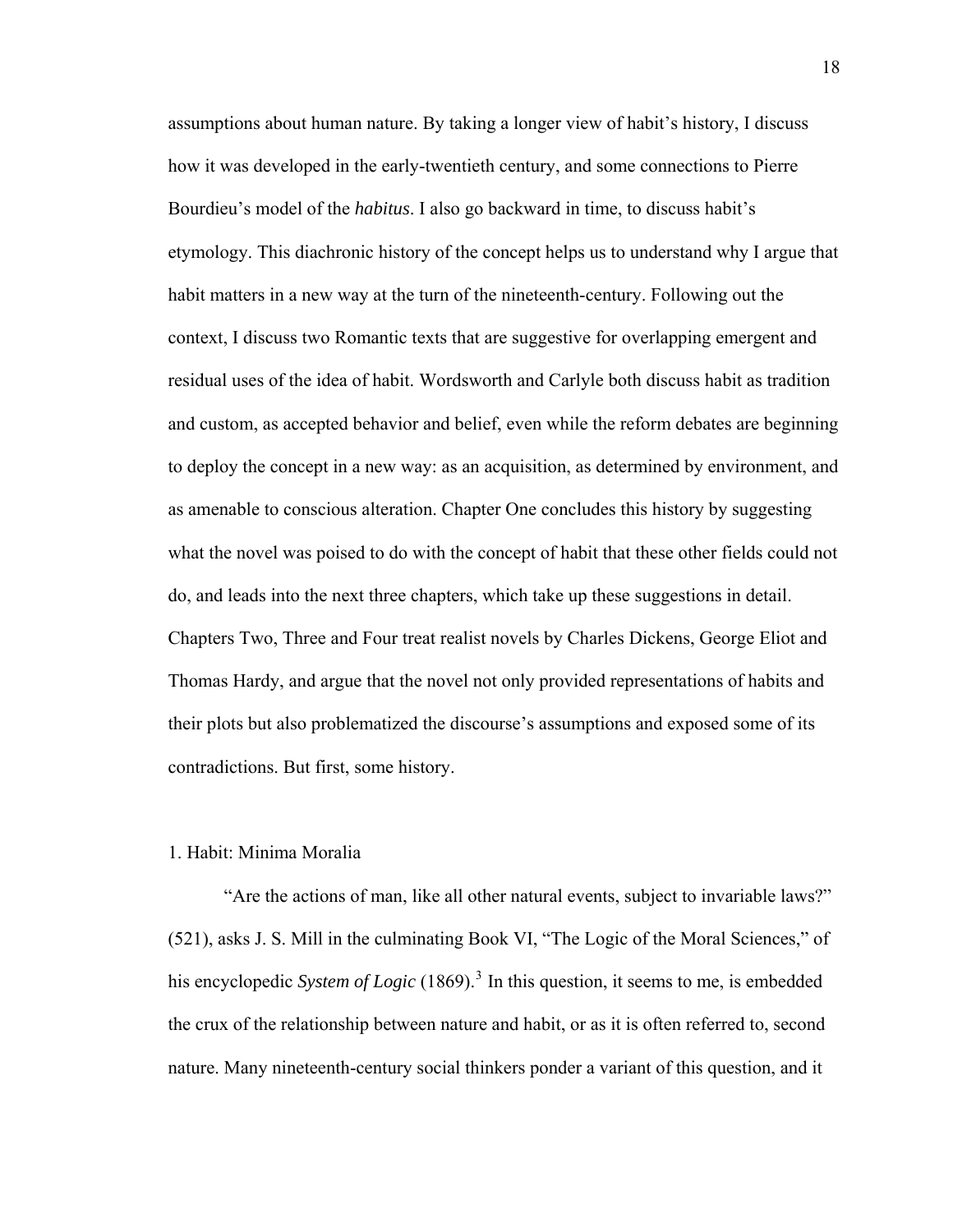assumptions about human nature. By taking a longer view of habit's history, I discuss how it was developed in the early-twentieth century, and some connections to Pierre Bourdieu's model of the *habitus*. I also go backward in time, to discuss habit's etymology. This diachronic history of the concept helps us to understand why I argue that habit matters in a new way at the turn of the nineteenth-century. Following out the context, I discuss two Romantic texts that are suggestive for overlapping emergent and residual uses of the idea of habit. Wordsworth and Carlyle both discuss habit as tradition and custom, as accepted behavior and belief, even while the reform debates are beginning to deploy the concept in a new way: as an acquisition, as determined by environment, and as amenable to conscious alteration. Chapter One concludes this history by suggesting what the novel was poised to do with the concept of habit that these other fields could not do, and leads into the next three chapters, which take up these suggestions in detail. Chapters Two, Three and Four treat realist novels by Charles Dickens, George Eliot and Thomas Hardy, and argue that the novel not only provided representations of habits and their plots but also problematized the discourse's assumptions and exposed some of its contradictions. But first, some history.

#### 1. Habit: Minima Moralia

"Are the actions of man, like all other natural events, subject to invariable laws?" (521), asks J. S. Mill in the culminating Book VI, "The Logic of the Moral Sciences," of his encyclopedic *System of Logic* (1869).<sup>[3](#page-70-1)</sup> In this question, it seems to me, is embedded the crux of the relationship between nature and habit, or as it is often referred to, second nature. Many nineteenth-century social thinkers ponder a variant of this question, and it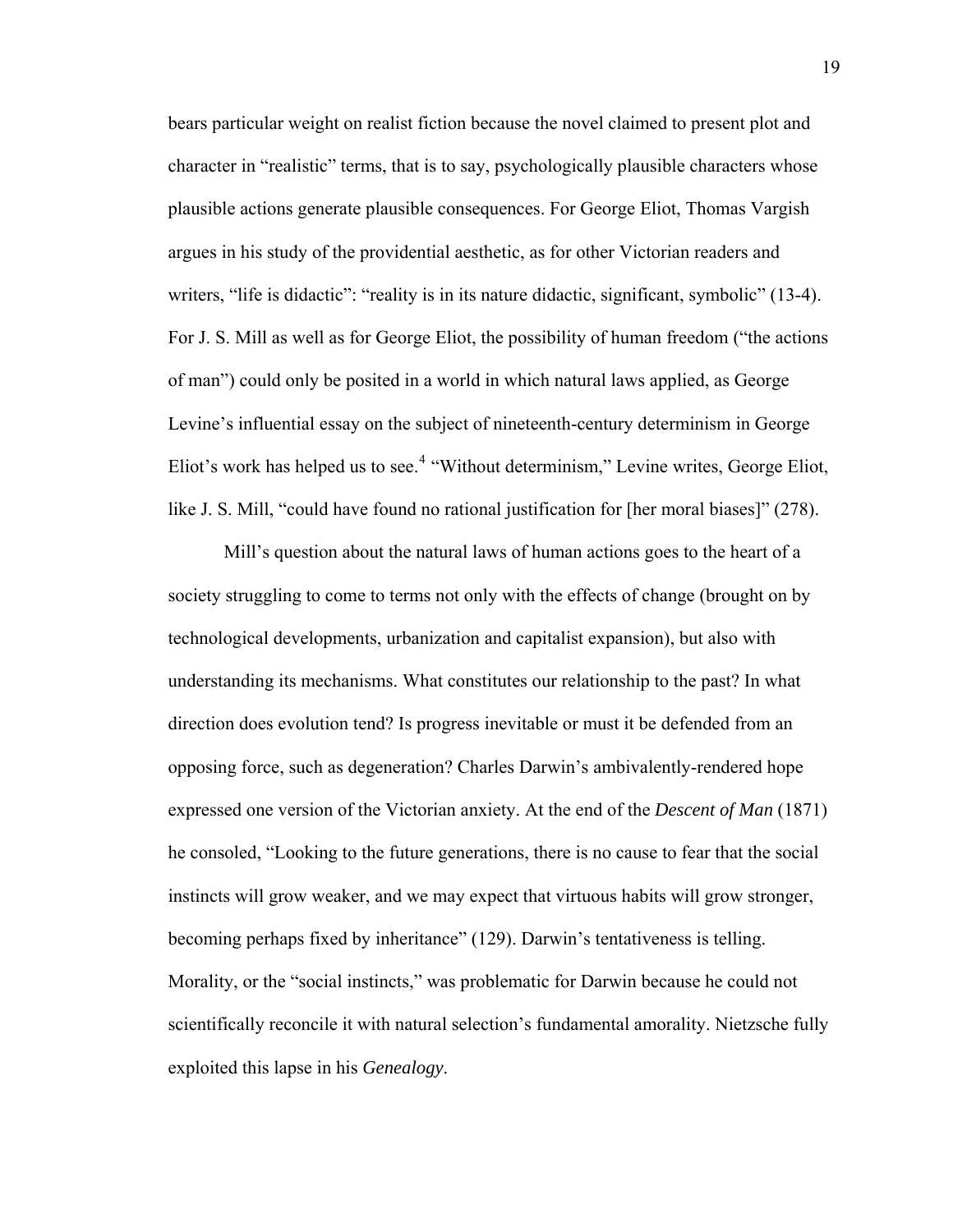bears particular weight on realist fiction because the novel claimed to present plot and character in "realistic" terms, that is to say, psychologically plausible characters whose plausible actions generate plausible consequences. For George Eliot, Thomas Vargish argues in his study of the providential aesthetic, as for other Victorian readers and writers, "life is didactic": "reality is in its nature didactic, significant, symbolic" (13-4). For J. S. Mill as well as for George Eliot, the possibility of human freedom ("the actions of man") could only be posited in a world in which natural laws applied, as George Levine's influential essay on the subject of nineteenth-century determinism in George Eliot's work has helped us to see.<sup>[4](#page-70-1)</sup> "Without determinism," Levine writes, George Eliot, like J. S. Mill, "could have found no rational justification for [her moral biases]" (278).

Mill's question about the natural laws of human actions goes to the heart of a society struggling to come to terms not only with the effects of change (brought on by technological developments, urbanization and capitalist expansion), but also with understanding its mechanisms. What constitutes our relationship to the past? In what direction does evolution tend? Is progress inevitable or must it be defended from an opposing force, such as degeneration? Charles Darwin's ambivalently-rendered hope expressed one version of the Victorian anxiety. At the end of the *Descent of Man* (1871) he consoled, "Looking to the future generations, there is no cause to fear that the social instincts will grow weaker, and we may expect that virtuous habits will grow stronger, becoming perhaps fixed by inheritance" (129). Darwin's tentativeness is telling. Morality, or the "social instincts," was problematic for Darwin because he could not scientifically reconcile it with natural selection's fundamental amorality. Nietzsche fully exploited this lapse in his *Genealogy*.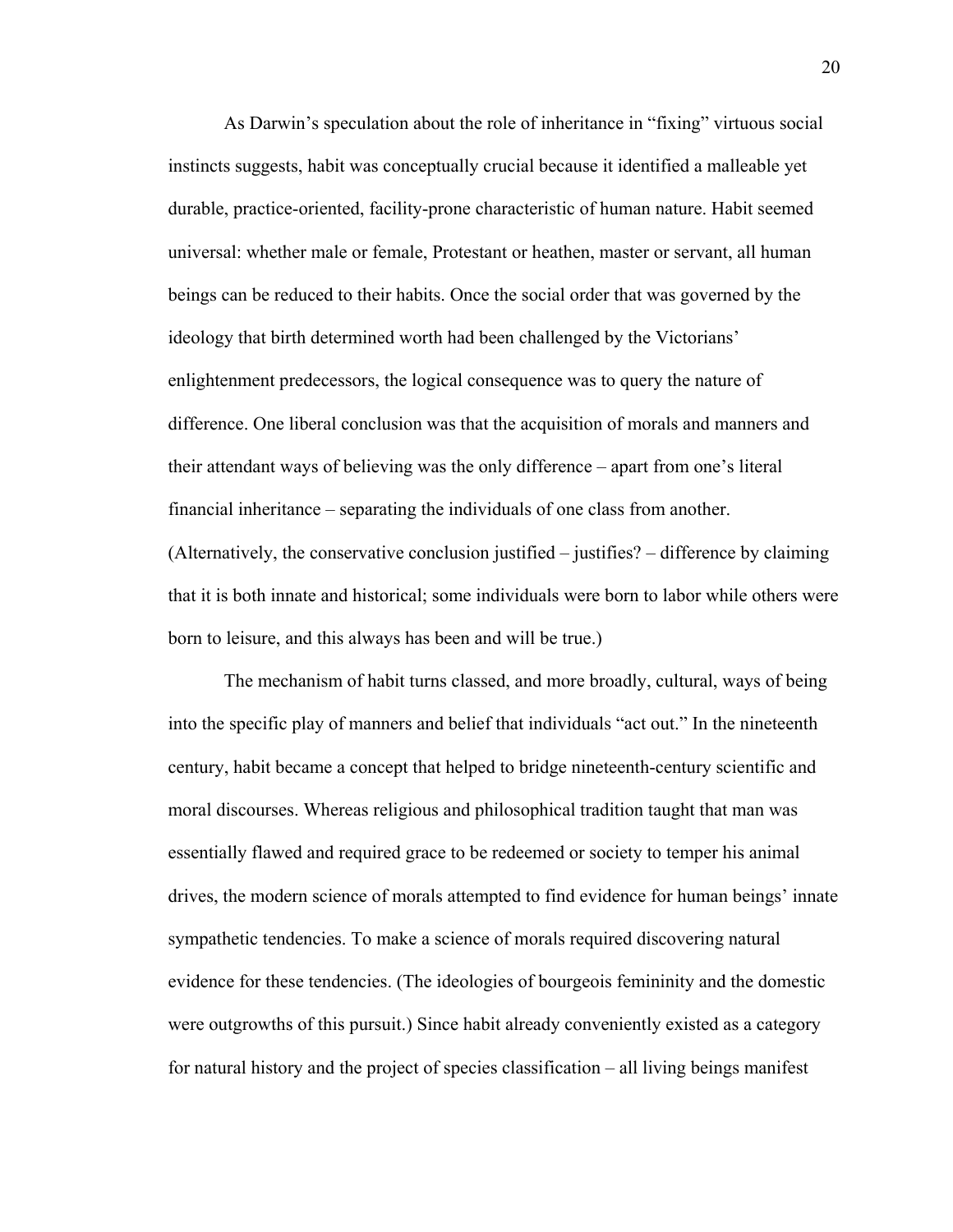As Darwin's speculation about the role of inheritance in "fixing" virtuous social instincts suggests, habit was conceptually crucial because it identified a malleable yet durable, practice-oriented, facility-prone characteristic of human nature. Habit seemed universal: whether male or female, Protestant or heathen, master or servant, all human beings can be reduced to their habits. Once the social order that was governed by the ideology that birth determined worth had been challenged by the Victorians' enlightenment predecessors, the logical consequence was to query the nature of difference. One liberal conclusion was that the acquisition of morals and manners and their attendant ways of believing was the only difference – apart from one's literal financial inheritance – separating the individuals of one class from another. (Alternatively, the conservative conclusion justified – justifies? – difference by claiming that it is both innate and historical; some individuals were born to labor while others were born to leisure, and this always has been and will be true.)

The mechanism of habit turns classed, and more broadly, cultural, ways of being into the specific play of manners and belief that individuals "act out." In the nineteenth century, habit became a concept that helped to bridge nineteenth-century scientific and moral discourses. Whereas religious and philosophical tradition taught that man was essentially flawed and required grace to be redeemed or society to temper his animal drives, the modern science of morals attempted to find evidence for human beings' innate sympathetic tendencies. To make a science of morals required discovering natural evidence for these tendencies. (The ideologies of bourgeois femininity and the domestic were outgrowths of this pursuit.) Since habit already conveniently existed as a category for natural history and the project of species classification – all living beings manifest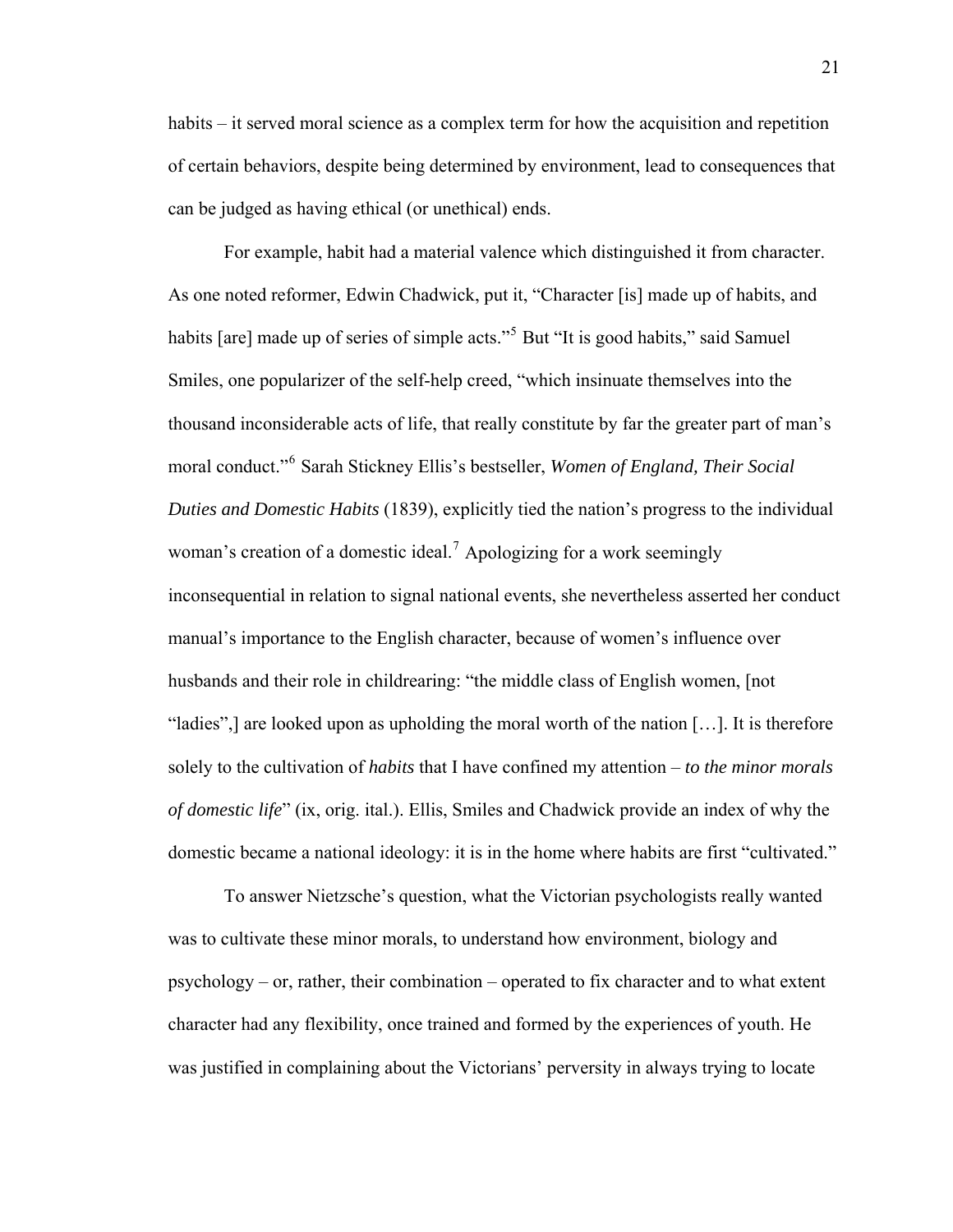habits – it served moral science as a complex term for how the acquisition and repetition of certain behaviors, despite being determined by environment, lead to consequences that can be judged as having ethical (or unethical) ends.

For example, habit had a material valence which distinguished it from character. As one noted reformer, Edwin Chadwick, put it, "Character [is] made up of habits, and habits [are] made up of series of simple acts."<sup>[5](#page-70-1)</sup> But "It is good habits," said Samuel Smiles, one popularizer of the self-help creed, "which insinuate themselves into the thousand inconsiderable acts of life, that really constitute by far the greater part of man's moral conduct."[6](#page-70-1) Sarah Stickney Ellis's bestseller, *Women of England, Their Social Duties and Domestic Habits* (1839), explicitly tied the nation's progress to the individual woman's creation of a domestic ideal.<sup>[7](#page-70-1)</sup> Apologizing for a work seemingly inconsequential in relation to signal national events, she nevertheless asserted her conduct manual's importance to the English character, because of women's influence over husbands and their role in childrearing: "the middle class of English women, [not "ladies",] are looked upon as upholding the moral worth of the nation […]. It is therefore solely to the cultivation of *habits* that I have confined my attention – *to the minor morals of domestic life*" (ix, orig. ital.). Ellis, Smiles and Chadwick provide an index of why the domestic became a national ideology: it is in the home where habits are first "cultivated."

To answer Nietzsche's question, what the Victorian psychologists really wanted was to cultivate these minor morals, to understand how environment, biology and psychology – or, rather, their combination – operated to fix character and to what extent character had any flexibility, once trained and formed by the experiences of youth. He was justified in complaining about the Victorians' perversity in always trying to locate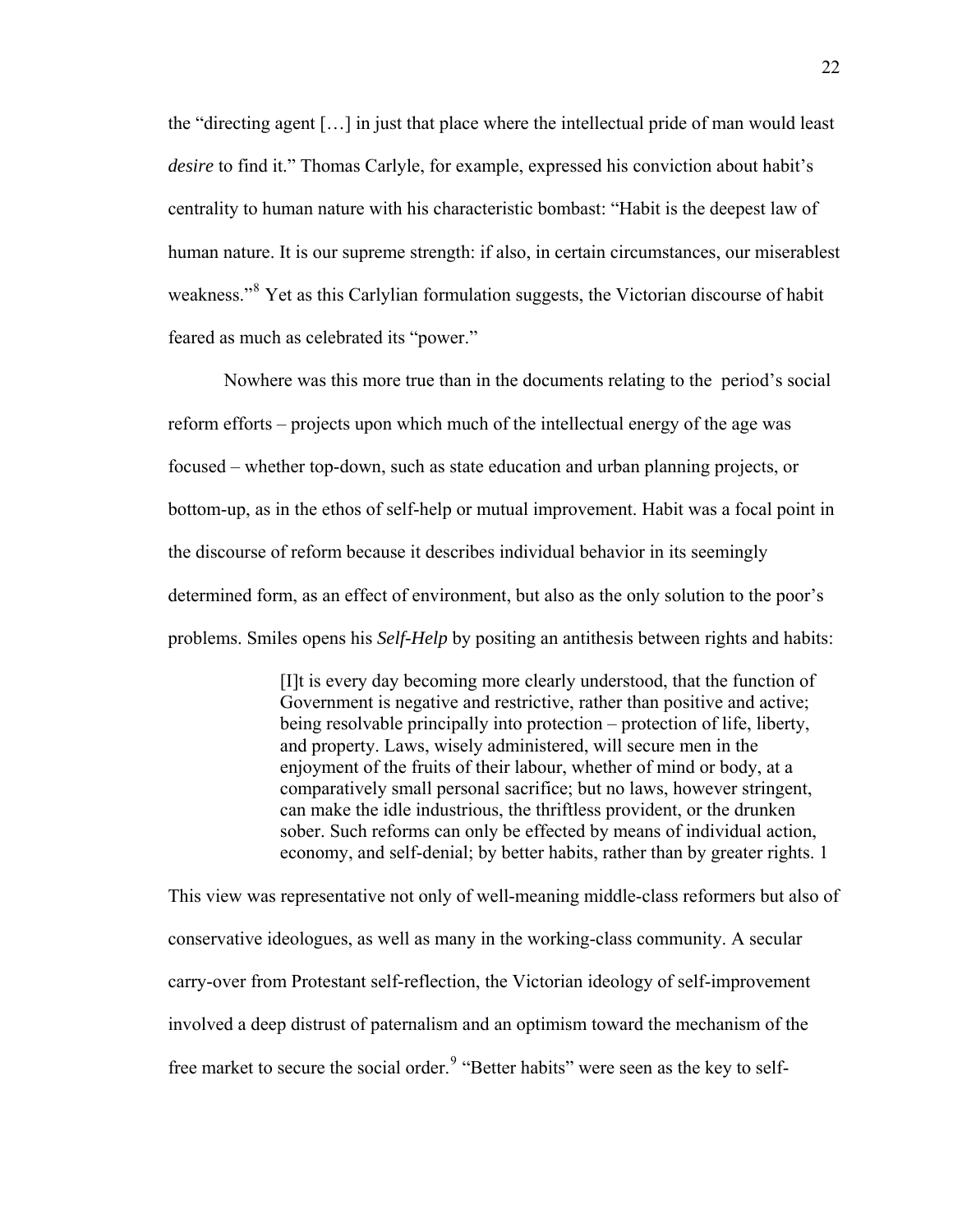the "directing agent […] in just that place where the intellectual pride of man would least *desire* to find it." Thomas Carlyle, for example, expressed his conviction about habit's centrality to human nature with his characteristic bombast: "Habit is the deepest law of human nature. It is our supreme strength: if also, in certain circumstances, our miserablest weakness."<sup>[8](#page-70-1)</sup> Yet as this Carlylian formulation suggests, the Victorian discourse of habit feared as much as celebrated its "power."

Nowhere was this more true than in the documents relating to the period's social reform efforts – projects upon which much of the intellectual energy of the age was focused – whether top-down, such as state education and urban planning projects, or bottom-up, as in the ethos of self-help or mutual improvement. Habit was a focal point in the discourse of reform because it describes individual behavior in its seemingly determined form, as an effect of environment, but also as the only solution to the poor's problems. Smiles opens his *Self-Help* by positing an antithesis between rights and habits:

> [I]t is every day becoming more clearly understood, that the function of Government is negative and restrictive, rather than positive and active; being resolvable principally into protection – protection of life, liberty, and property. Laws, wisely administered, will secure men in the enjoyment of the fruits of their labour, whether of mind or body, at a comparatively small personal sacrifice; but no laws, however stringent, can make the idle industrious, the thriftless provident, or the drunken sober. Such reforms can only be effected by means of individual action, economy, and self-denial; by better habits, rather than by greater rights. 1

This view was representative not only of well-meaning middle-class reformers but also of conservative ideologues, as well as many in the working-class community. A secular carry-over from Protestant self-reflection, the Victorian ideology of self-improvement involved a deep distrust of paternalism and an optimism toward the mechanism of the free market to secure the social order.<sup>[9](#page-70-1)</sup> "Better habits" were seen as the key to self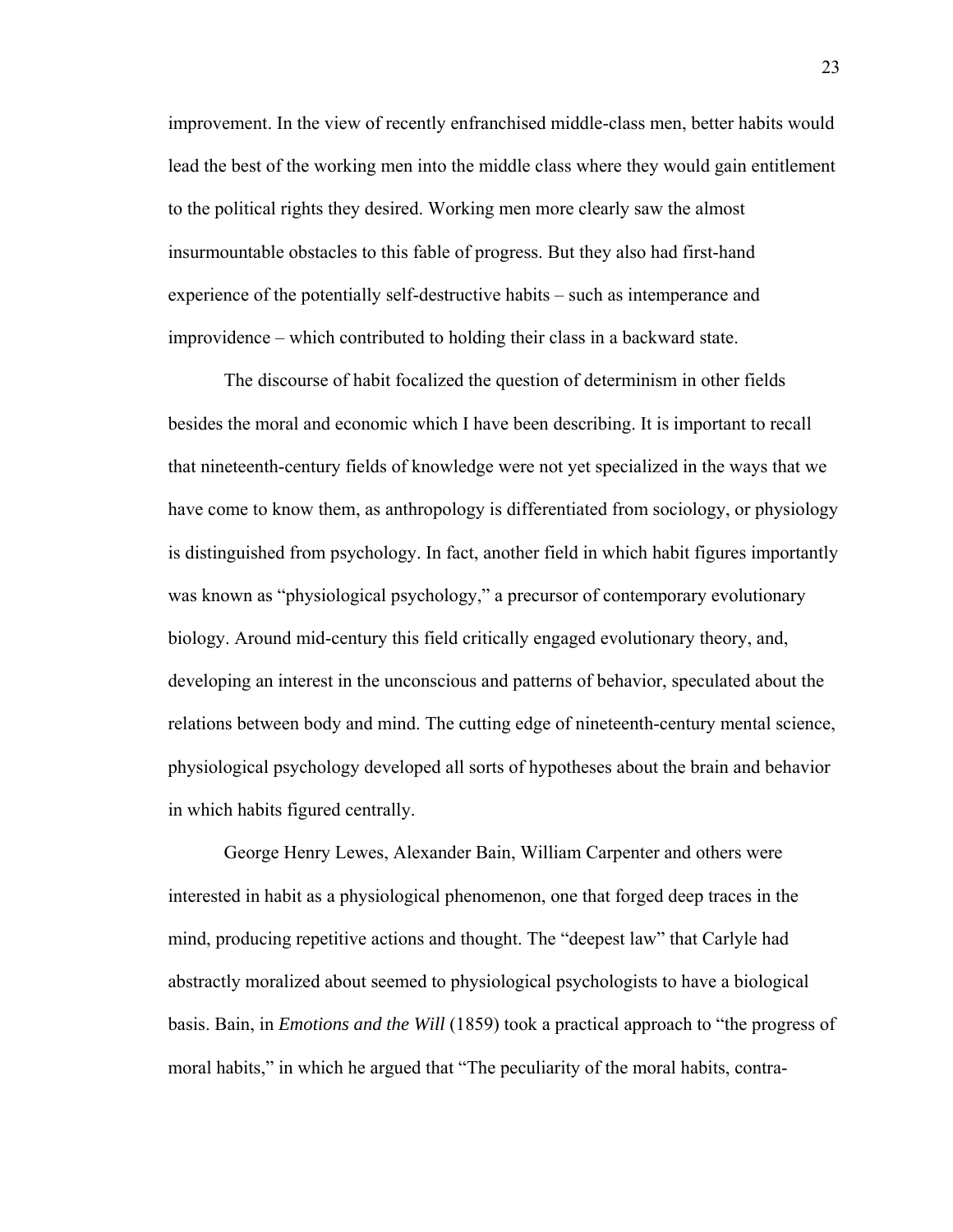improvement. In the view of recently enfranchised middle-class men, better habits would lead the best of the working men into the middle class where they would gain entitlement to the political rights they desired. Working men more clearly saw the almost insurmountable obstacles to this fable of progress. But they also had first-hand experience of the potentially self-destructive habits – such as intemperance and improvidence – which contributed to holding their class in a backward state.

The discourse of habit focalized the question of determinism in other fields besides the moral and economic which I have been describing. It is important to recall that nineteenth-century fields of knowledge were not yet specialized in the ways that we have come to know them, as anthropology is differentiated from sociology, or physiology is distinguished from psychology. In fact, another field in which habit figures importantly was known as "physiological psychology," a precursor of contemporary evolutionary biology. Around mid-century this field critically engaged evolutionary theory, and, developing an interest in the unconscious and patterns of behavior, speculated about the relations between body and mind. The cutting edge of nineteenth-century mental science, physiological psychology developed all sorts of hypotheses about the brain and behavior in which habits figured centrally.

George Henry Lewes, Alexander Bain, William Carpenter and others were interested in habit as a physiological phenomenon, one that forged deep traces in the mind, producing repetitive actions and thought. The "deepest law" that Carlyle had abstractly moralized about seemed to physiological psychologists to have a biological basis. Bain, in *Emotions and the Will* (1859) took a practical approach to "the progress of moral habits," in which he argued that "The peculiarity of the moral habits, contra-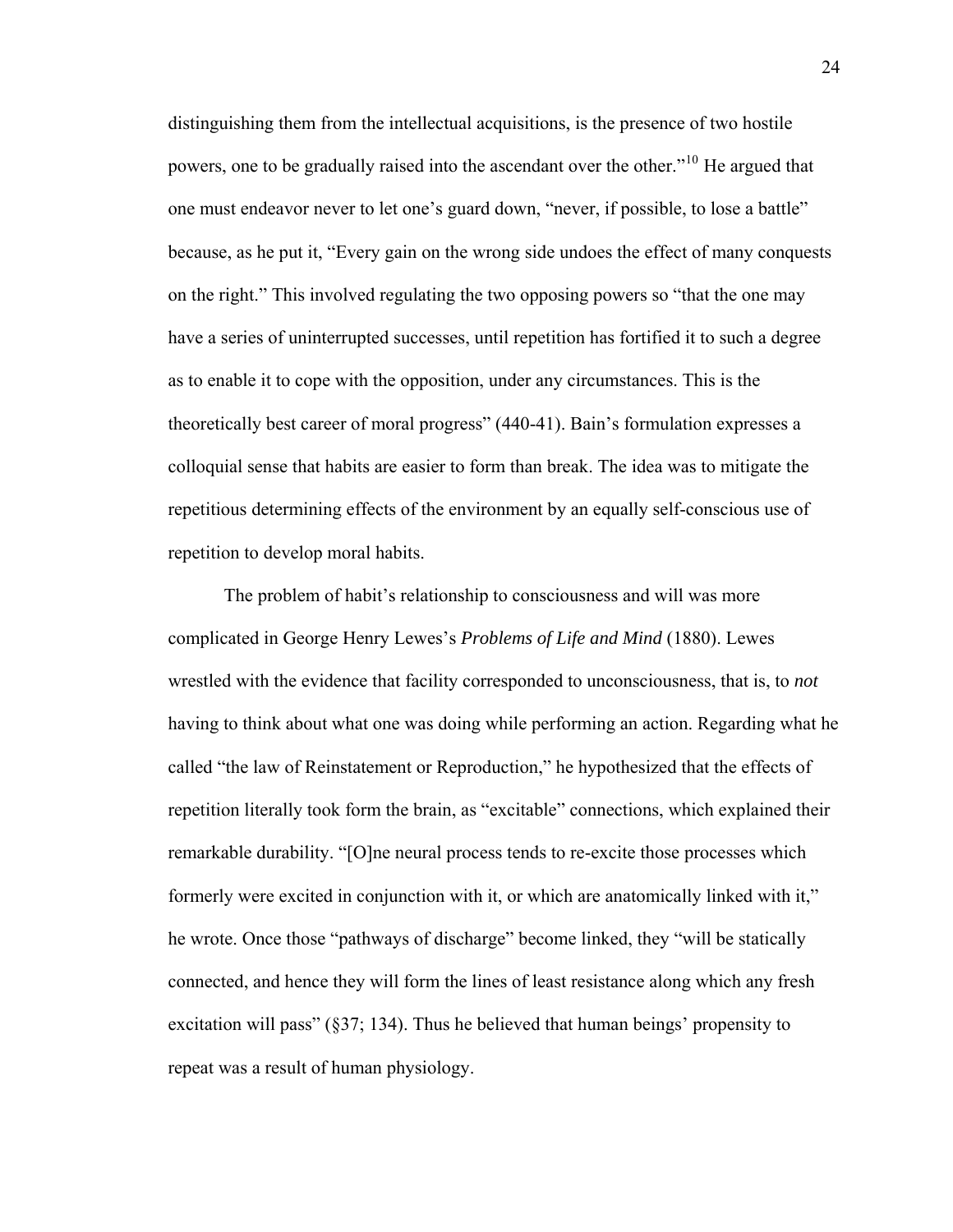distinguishing them from the intellectual acquisitions, is the presence of two hostile powers, one to be gradually raised into the ascendant over the other."[10](#page-70-1) He argued that one must endeavor never to let one's guard down, "never, if possible, to lose a battle" because, as he put it, "Every gain on the wrong side undoes the effect of many conquests on the right." This involved regulating the two opposing powers so "that the one may have a series of uninterrupted successes, until repetition has fortified it to such a degree as to enable it to cope with the opposition, under any circumstances. This is the theoretically best career of moral progress" (440-41). Bain's formulation expresses a colloquial sense that habits are easier to form than break. The idea was to mitigate the repetitious determining effects of the environment by an equally self-conscious use of repetition to develop moral habits.

The problem of habit's relationship to consciousness and will was more complicated in George Henry Lewes's *Problems of Life and Mind* (1880). Lewes wrestled with the evidence that facility corresponded to unconsciousness, that is, to *not*  having to think about what one was doing while performing an action. Regarding what he called "the law of Reinstatement or Reproduction," he hypothesized that the effects of repetition literally took form the brain, as "excitable" connections, which explained their remarkable durability. "[O]ne neural process tends to re-excite those processes which formerly were excited in conjunction with it, or which are anatomically linked with it," he wrote. Once those "pathways of discharge" become linked, they "will be statically connected, and hence they will form the lines of least resistance along which any fresh excitation will pass" (§37; 134). Thus he believed that human beings' propensity to repeat was a result of human physiology.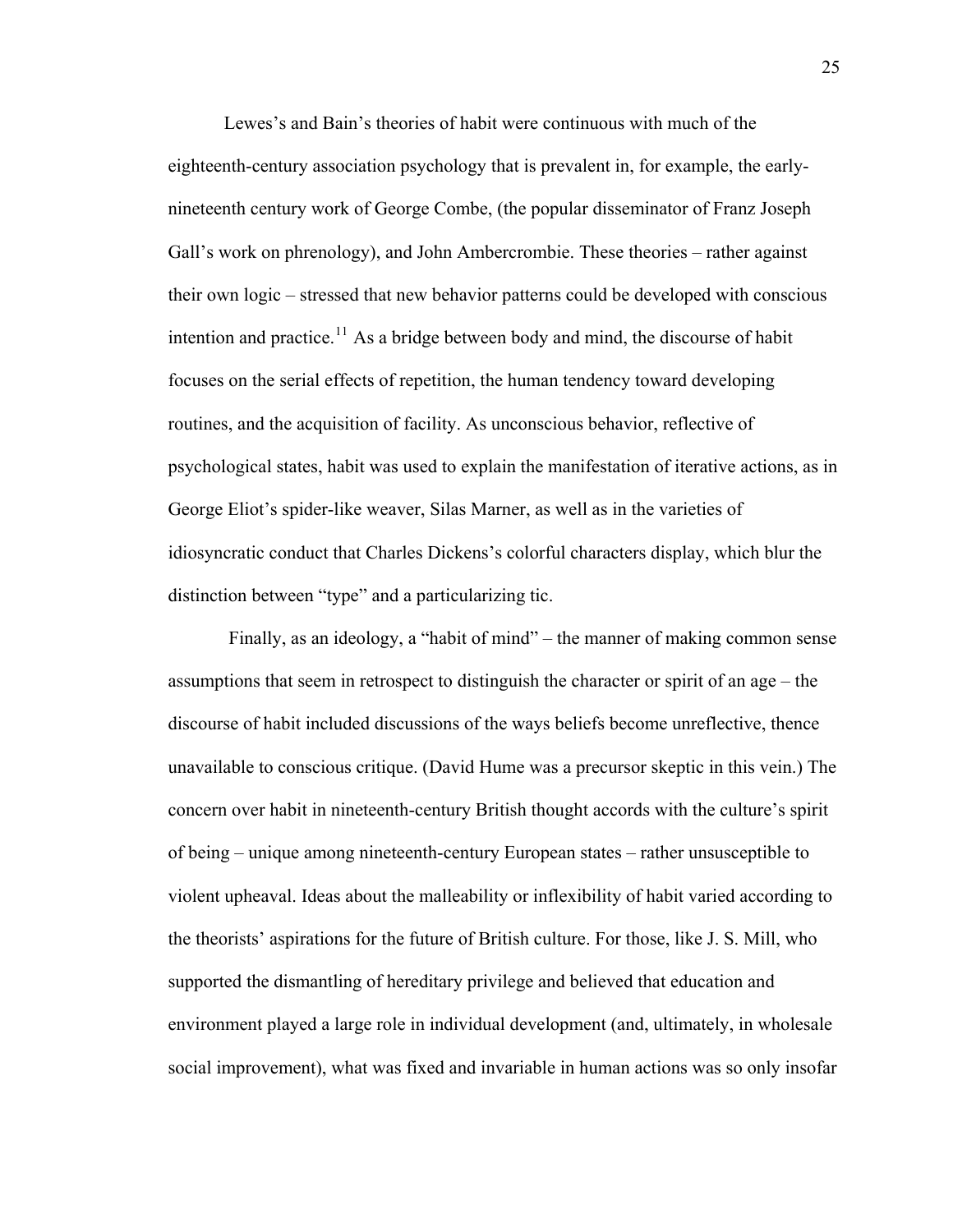Lewes's and Bain's theories of habit were continuous with much of the eighteenth-century association psychology that is prevalent in, for example, the earlynineteenth century work of George Combe, (the popular disseminator of Franz Joseph Gall's work on phrenology), and John Ambercrombie. These theories – rather against their own logic – stressed that new behavior patterns could be developed with conscious intention and practice.<sup>[11](#page-70-1)</sup> As a bridge between body and mind, the discourse of habit focuses on the serial effects of repetition, the human tendency toward developing routines, and the acquisition of facility. As unconscious behavior, reflective of psychological states, habit was used to explain the manifestation of iterative actions, as in George Eliot's spider-like weaver, Silas Marner, as well as in the varieties of idiosyncratic conduct that Charles Dickens's colorful characters display, which blur the distinction between "type" and a particularizing tic.

 Finally, as an ideology, a "habit of mind" – the manner of making common sense assumptions that seem in retrospect to distinguish the character or spirit of an age – the discourse of habit included discussions of the ways beliefs become unreflective, thence unavailable to conscious critique. (David Hume was a precursor skeptic in this vein.) The concern over habit in nineteenth-century British thought accords with the culture's spirit of being – unique among nineteenth-century European states – rather unsusceptible to violent upheaval. Ideas about the malleability or inflexibility of habit varied according to the theorists' aspirations for the future of British culture. For those, like J. S. Mill, who supported the dismantling of hereditary privilege and believed that education and environment played a large role in individual development (and, ultimately, in wholesale social improvement), what was fixed and invariable in human actions was so only insofar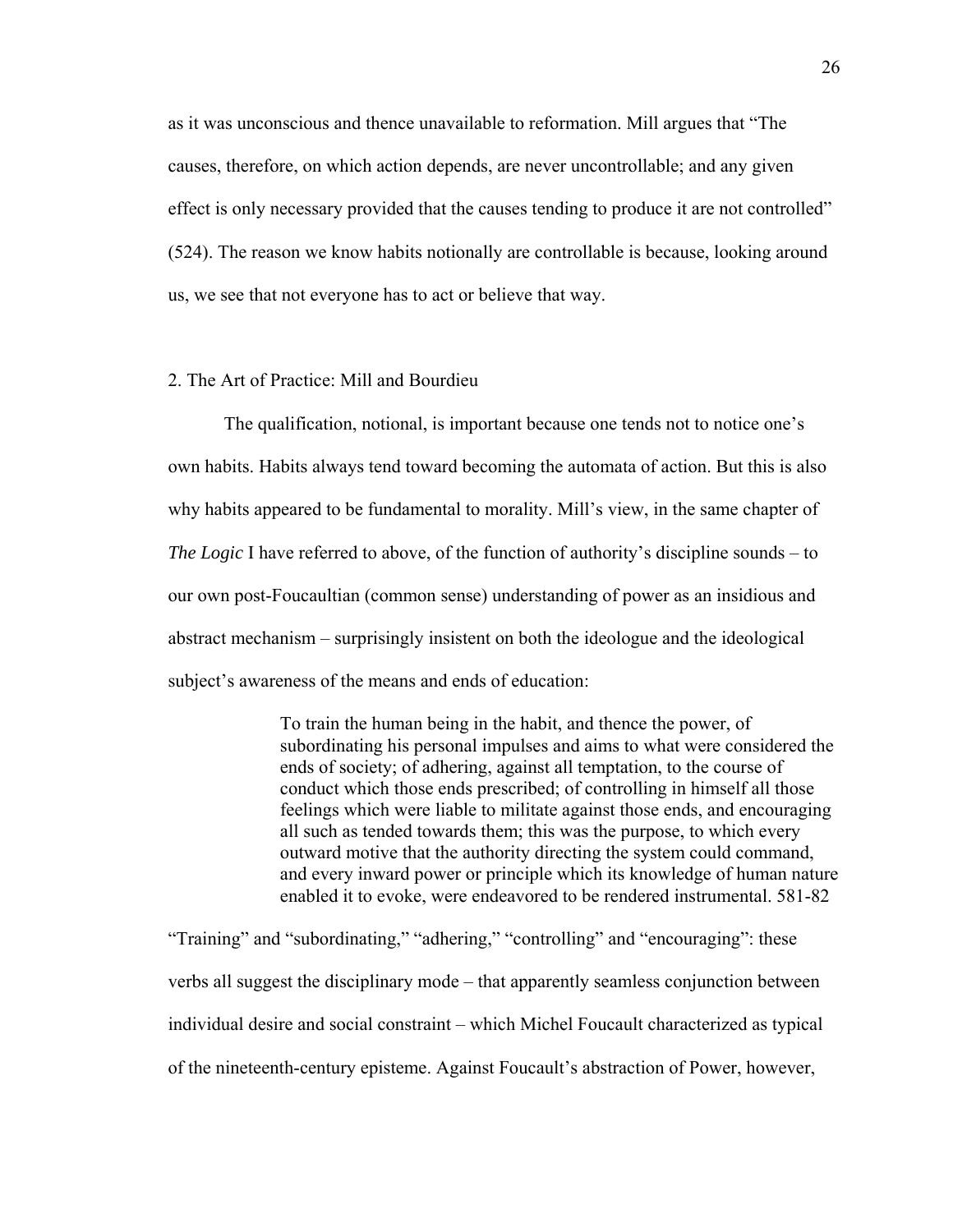as it was unconscious and thence unavailable to reformation. Mill argues that "The causes, therefore, on which action depends, are never uncontrollable; and any given effect is only necessary provided that the causes tending to produce it are not controlled" (524). The reason we know habits notionally are controllable is because, looking around us, we see that not everyone has to act or believe that way.

#### 2. The Art of Practice: Mill and Bourdieu

The qualification, notional, is important because one tends not to notice one's own habits. Habits always tend toward becoming the automata of action. But this is also why habits appeared to be fundamental to morality. Mill's view, in the same chapter of *The Logic* I have referred to above, of the function of authority's discipline sounds – to our own post-Foucaultian (common sense) understanding of power as an insidious and abstract mechanism – surprisingly insistent on both the ideologue and the ideological subject's awareness of the means and ends of education:

> To train the human being in the habit, and thence the power, of subordinating his personal impulses and aims to what were considered the ends of society; of adhering, against all temptation, to the course of conduct which those ends prescribed; of controlling in himself all those feelings which were liable to militate against those ends, and encouraging all such as tended towards them; this was the purpose, to which every outward motive that the authority directing the system could command, and every inward power or principle which its knowledge of human nature enabled it to evoke, were endeavored to be rendered instrumental. 581-82

"Training" and "subordinating," "adhering," "controlling" and "encouraging": these verbs all suggest the disciplinary mode – that apparently seamless conjunction between individual desire and social constraint – which Michel Foucault characterized as typical of the nineteenth-century episteme. Against Foucault's abstraction of Power, however,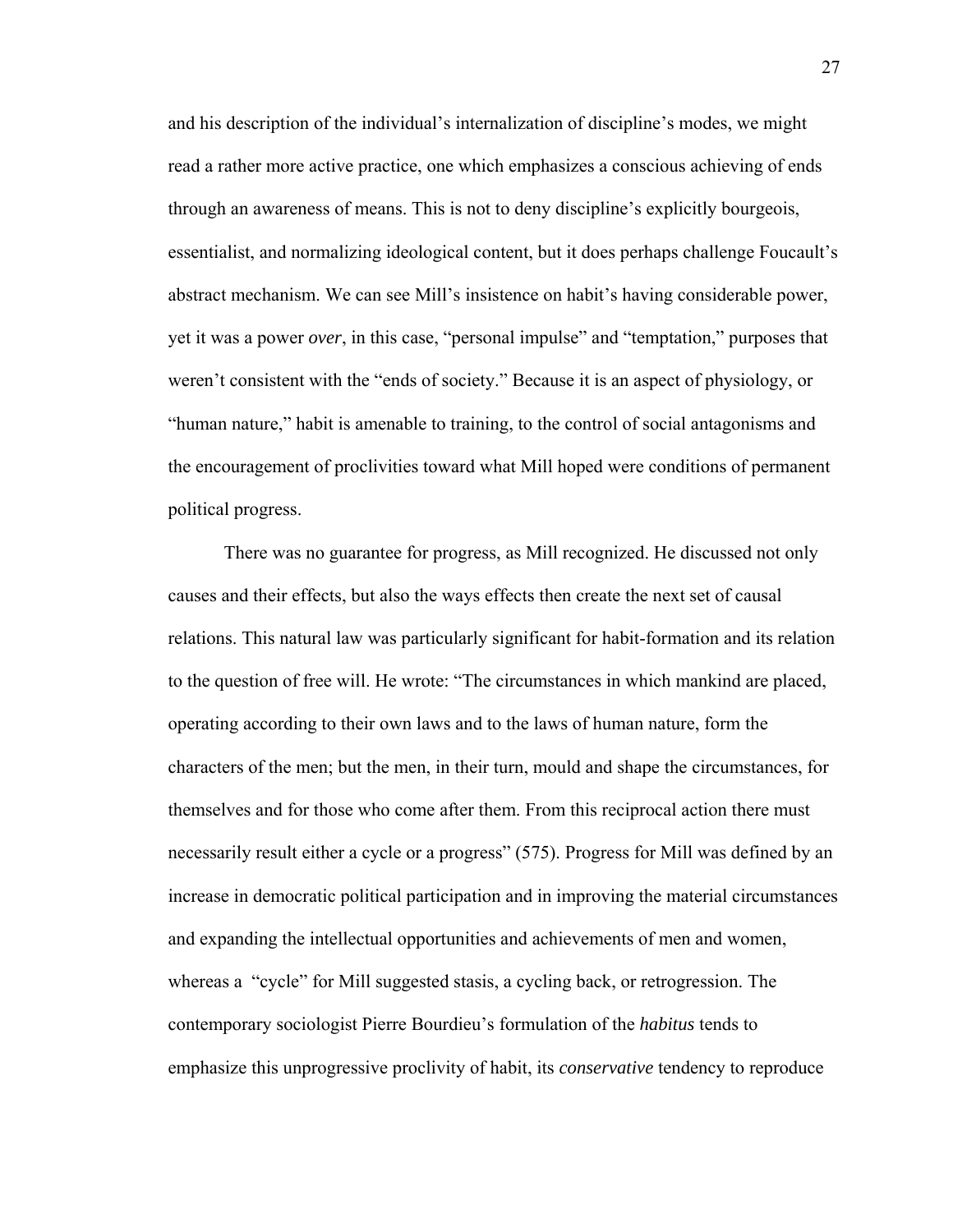and his description of the individual's internalization of discipline's modes, we might read a rather more active practice, one which emphasizes a conscious achieving of ends through an awareness of means. This is not to deny discipline's explicitly bourgeois, essentialist, and normalizing ideological content, but it does perhaps challenge Foucault's abstract mechanism. We can see Mill's insistence on habit's having considerable power, yet it was a power *over*, in this case, "personal impulse" and "temptation," purposes that weren't consistent with the "ends of society." Because it is an aspect of physiology, or "human nature," habit is amenable to training, to the control of social antagonisms and the encouragement of proclivities toward what Mill hoped were conditions of permanent political progress.

There was no guarantee for progress, as Mill recognized. He discussed not only causes and their effects, but also the ways effects then create the next set of causal relations. This natural law was particularly significant for habit-formation and its relation to the question of free will. He wrote: "The circumstances in which mankind are placed, operating according to their own laws and to the laws of human nature, form the characters of the men; but the men, in their turn, mould and shape the circumstances, for themselves and for those who come after them. From this reciprocal action there must necessarily result either a cycle or a progress" (575). Progress for Mill was defined by an increase in democratic political participation and in improving the material circumstances and expanding the intellectual opportunities and achievements of men and women, whereas a "cycle" for Mill suggested stasis, a cycling back, or retrogression. The contemporary sociologist Pierre Bourdieu's formulation of the *habitus* tends to emphasize this unprogressive proclivity of habit, its *conservative* tendency to reproduce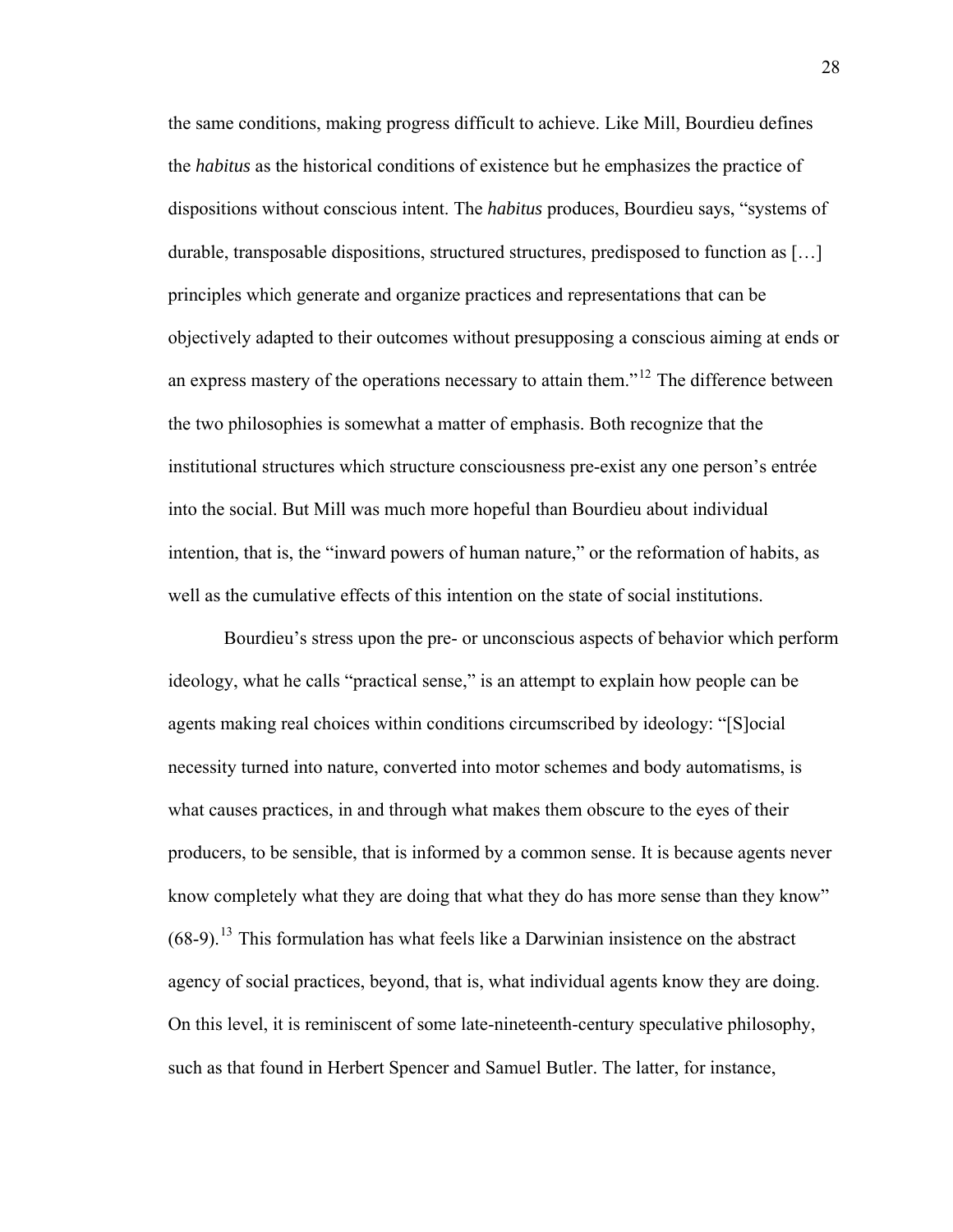the same conditions, making progress difficult to achieve. Like Mill, Bourdieu defines the *habitus* as the historical conditions of existence but he emphasizes the practice of dispositions without conscious intent. The *habitus* produces, Bourdieu says, "systems of durable, transposable dispositions, structured structures, predisposed to function as […] principles which generate and organize practices and representations that can be objectively adapted to their outcomes without presupposing a conscious aiming at ends or an express mastery of the operations necessary to attain them.<sup> $12$ </sup> The difference between the two philosophies is somewhat a matter of emphasis. Both recognize that the institutional structures which structure consciousness pre-exist any one person's entrée into the social. But Mill was much more hopeful than Bourdieu about individual intention, that is, the "inward powers of human nature," or the reformation of habits, as well as the cumulative effects of this intention on the state of social institutions.

Bourdieu's stress upon the pre- or unconscious aspects of behavior which perform ideology, what he calls "practical sense," is an attempt to explain how people can be agents making real choices within conditions circumscribed by ideology: "[S]ocial necessity turned into nature, converted into motor schemes and body automatisms, is what causes practices, in and through what makes them obscure to the eyes of their producers, to be sensible, that is informed by a common sense. It is because agents never know completely what they are doing that what they do has more sense than they know"  $(68-9)$ .<sup>[13](#page-71-0)</sup> This formulation has what feels like a Darwinian insistence on the abstract agency of social practices, beyond, that is, what individual agents know they are doing. On this level, it is reminiscent of some late-nineteenth-century speculative philosophy, such as that found in Herbert Spencer and Samuel Butler. The latter, for instance,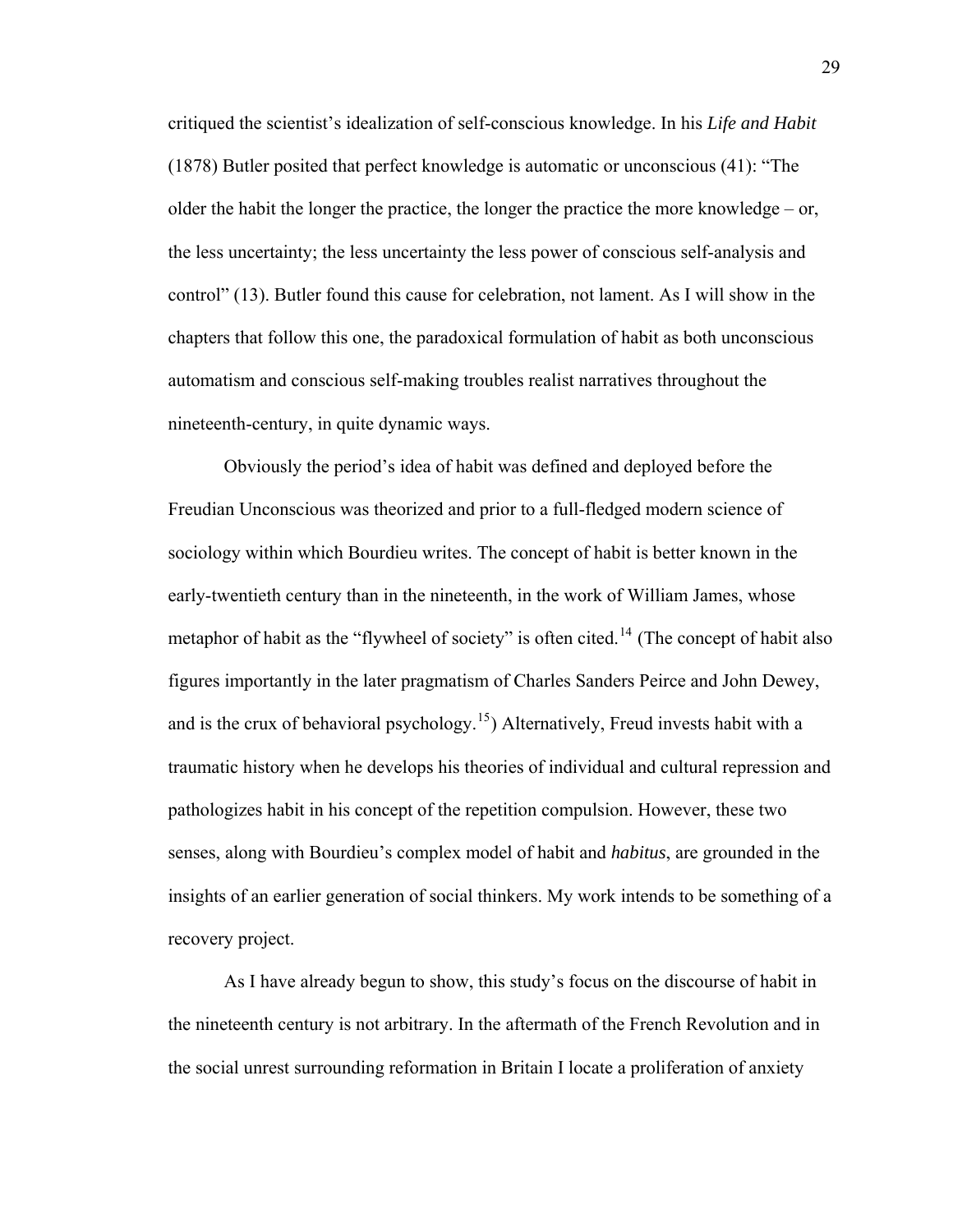critiqued the scientist's idealization of self-conscious knowledge. In his *Life and Habit* (1878) Butler posited that perfect knowledge is automatic or unconscious (41): "The older the habit the longer the practice, the longer the practice the more knowledge – or, the less uncertainty; the less uncertainty the less power of conscious self-analysis and control" (13). Butler found this cause for celebration, not lament. As I will show in the chapters that follow this one, the paradoxical formulation of habit as both unconscious automatism and conscious self-making troubles realist narratives throughout the nineteenth-century, in quite dynamic ways.

 Obviously the period's idea of habit was defined and deployed before the Freudian Unconscious was theorized and prior to a full-fledged modern science of sociology within which Bourdieu writes. The concept of habit is better known in the early-twentieth century than in the nineteenth, in the work of William James, whose metaphor of habit as the "flywheel of society" is often cited.<sup>[14](#page-71-0)</sup> (The concept of habit also figures importantly in the later pragmatism of Charles Sanders Peirce and John Dewey, and is the crux of behavioral psychology.<sup>[15](#page-71-0)</sup>) Alternatively, Freud invests habit with a traumatic history when he develops his theories of individual and cultural repression and pathologizes habit in his concept of the repetition compulsion. However, these two senses, along with Bourdieu's complex model of habit and *habitus*, are grounded in the insights of an earlier generation of social thinkers. My work intends to be something of a recovery project.

As I have already begun to show, this study's focus on the discourse of habit in the nineteenth century is not arbitrary. In the aftermath of the French Revolution and in the social unrest surrounding reformation in Britain I locate a proliferation of anxiety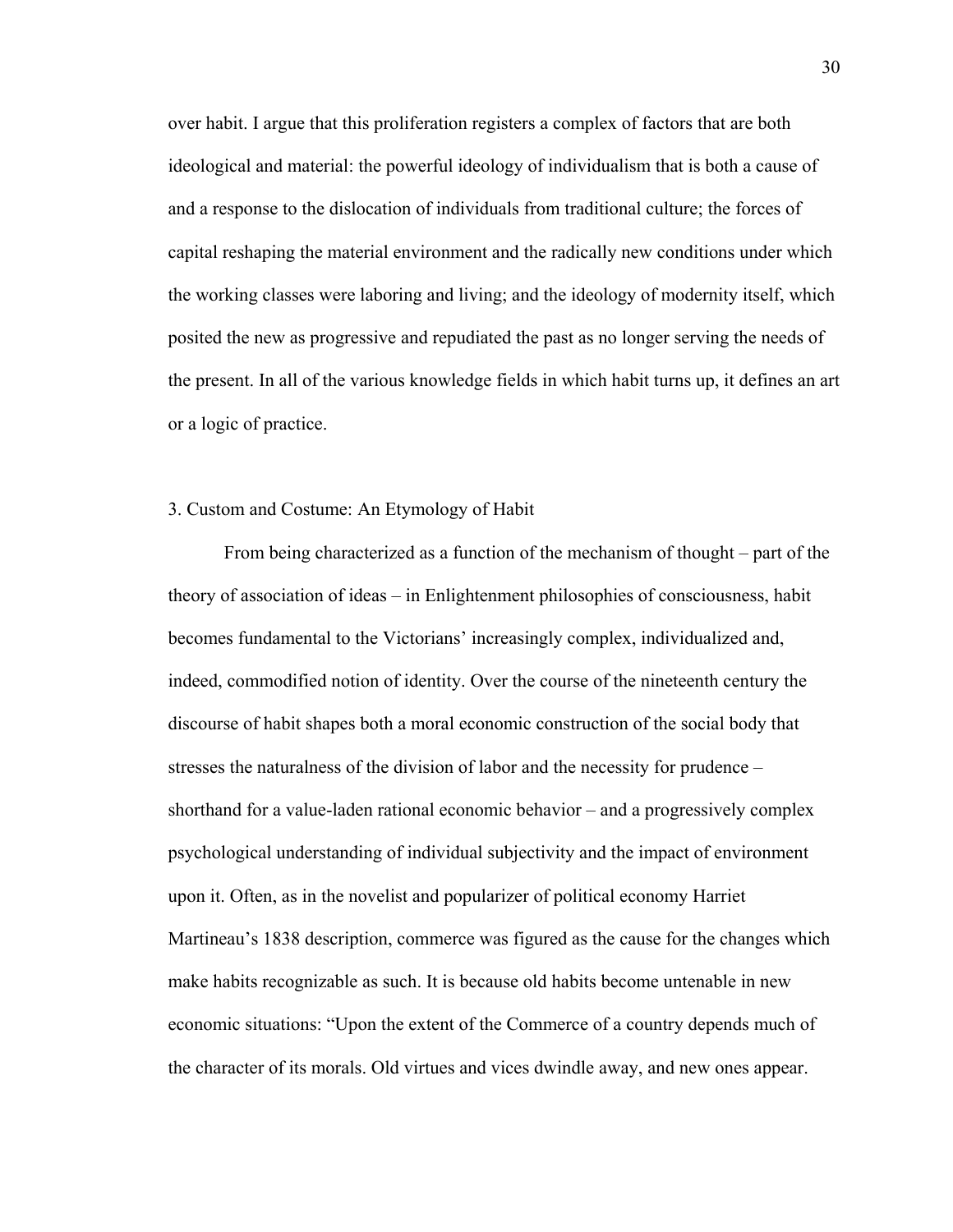over habit. I argue that this proliferation registers a complex of factors that are both ideological and material: the powerful ideology of individualism that is both a cause of and a response to the dislocation of individuals from traditional culture; the forces of capital reshaping the material environment and the radically new conditions under which the working classes were laboring and living; and the ideology of modernity itself, which posited the new as progressive and repudiated the past as no longer serving the needs of the present. In all of the various knowledge fields in which habit turns up, it defines an art or a logic of practice.

#### 3. Custom and Costume: An Etymology of Habit

From being characterized as a function of the mechanism of thought – part of the theory of association of ideas – in Enlightenment philosophies of consciousness, habit becomes fundamental to the Victorians' increasingly complex, individualized and, indeed, commodified notion of identity. Over the course of the nineteenth century the discourse of habit shapes both a moral economic construction of the social body that stresses the naturalness of the division of labor and the necessity for prudence – shorthand for a value-laden rational economic behavior – and a progressively complex psychological understanding of individual subjectivity and the impact of environment upon it. Often, as in the novelist and popularizer of political economy Harriet Martineau's 1838 description, commerce was figured as the cause for the changes which make habits recognizable as such. It is because old habits become untenable in new economic situations: "Upon the extent of the Commerce of a country depends much of the character of its morals. Old virtues and vices dwindle away, and new ones appear.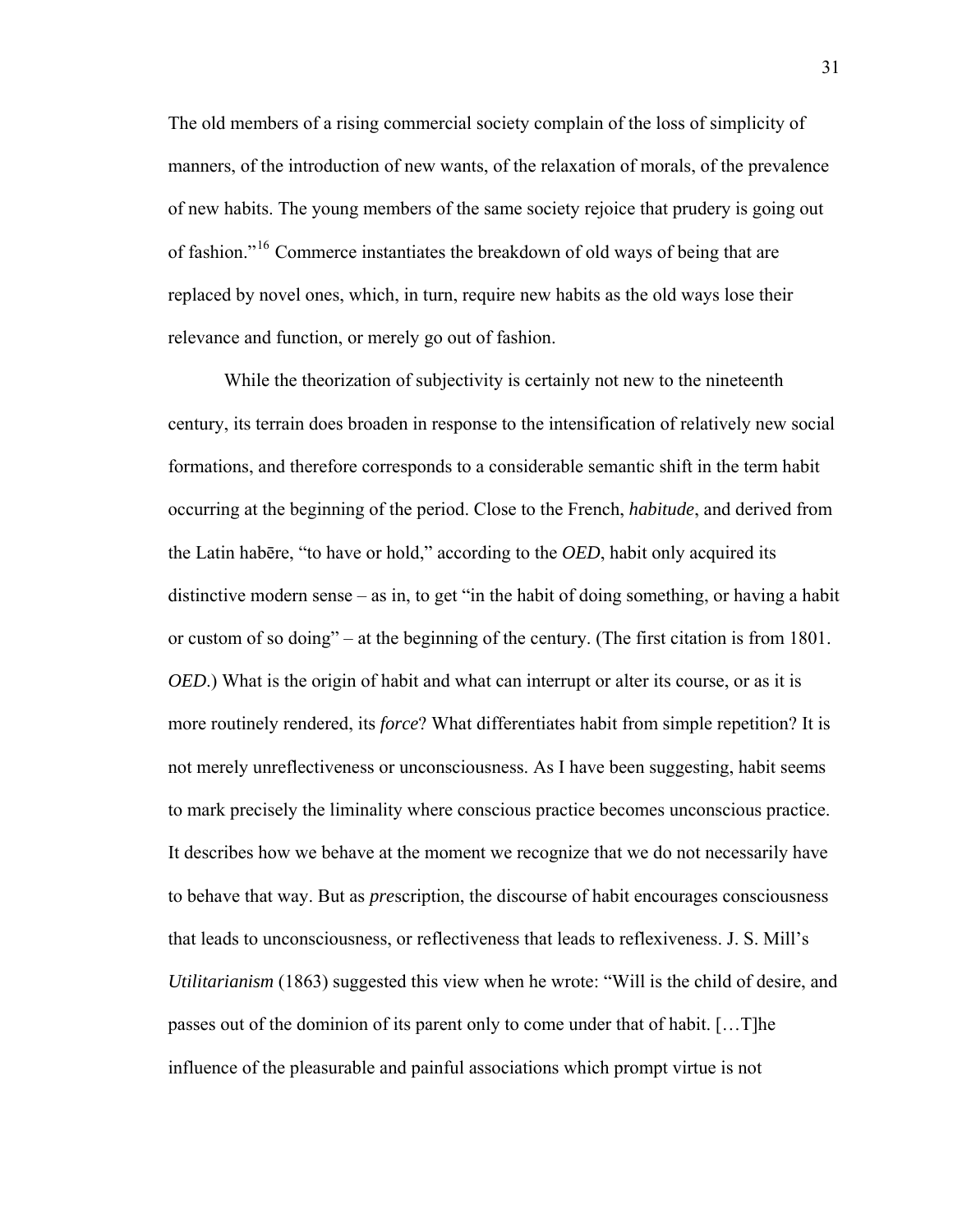The old members of a rising commercial society complain of the loss of simplicity of manners, of the introduction of new wants, of the relaxation of morals, of the prevalence of new habits. The young members of the same society rejoice that prudery is going out of fashion."[16](#page-71-0) Commerce instantiates the breakdown of old ways of being that are replaced by novel ones, which, in turn, require new habits as the old ways lose their relevance and function, or merely go out of fashion.

While the theorization of subjectivity is certainly not new to the nineteenth century, its terrain does broaden in response to the intensification of relatively new social formations, and therefore corresponds to a considerable semantic shift in the term habit occurring at the beginning of the period. Close to the French, *habitude*, and derived from the Latin habēre, "to have or hold," according to the *OED*, habit only acquired its distinctive modern sense – as in, to get "in the habit of doing something, or having a habit or custom of so doing" – at the beginning of the century. (The first citation is from 1801. *OED*.) What is the origin of habit and what can interrupt or alter its course, or as it is more routinely rendered, its *force*? What differentiates habit from simple repetition? It is not merely unreflectiveness or unconsciousness. As I have been suggesting, habit seems to mark precisely the liminality where conscious practice becomes unconscious practice. It describes how we behave at the moment we recognize that we do not necessarily have to behave that way. But as *pre*scription, the discourse of habit encourages consciousness that leads to unconsciousness, or reflectiveness that leads to reflexiveness. J. S. Mill's *Utilitarianism* (1863) suggested this view when he wrote: "Will is the child of desire, and passes out of the dominion of its parent only to come under that of habit. […T]he influence of the pleasurable and painful associations which prompt virtue is not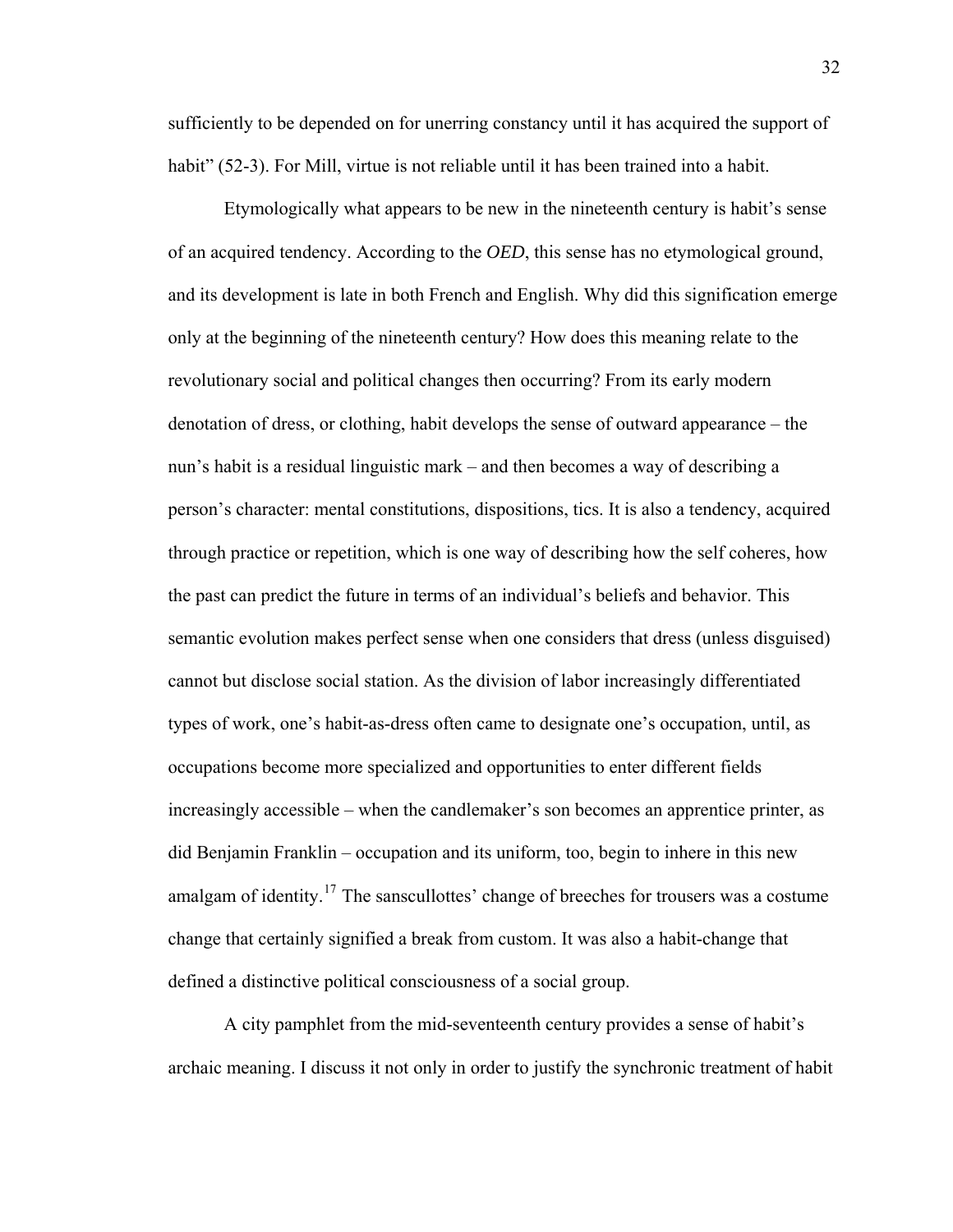sufficiently to be depended on for unerring constancy until it has acquired the support of habit" (52-3). For Mill, virtue is not reliable until it has been trained into a habit.

Etymologically what appears to be new in the nineteenth century is habit's sense of an acquired tendency. According to the *OED*, this sense has no etymological ground, and its development is late in both French and English. Why did this signification emerge only at the beginning of the nineteenth century? How does this meaning relate to the revolutionary social and political changes then occurring? From its early modern denotation of dress, or clothing, habit develops the sense of outward appearance – the nun's habit is a residual linguistic mark – and then becomes a way of describing a person's character: mental constitutions, dispositions, tics. It is also a tendency, acquired through practice or repetition, which is one way of describing how the self coheres, how the past can predict the future in terms of an individual's beliefs and behavior. This semantic evolution makes perfect sense when one considers that dress (unless disguised) cannot but disclose social station. As the division of labor increasingly differentiated types of work, one's habit-as-dress often came to designate one's occupation, until, as occupations become more specialized and opportunities to enter different fields increasingly accessible – when the candlemaker's son becomes an apprentice printer, as did Benjamin Franklin – occupation and its uniform, too, begin to inhere in this new amalgam of identity.<sup>[17](#page-71-0)</sup> The sanscullottes' change of breeches for trousers was a costume change that certainly signified a break from custom. It was also a habit-change that defined a distinctive political consciousness of a social group.

A city pamphlet from the mid-seventeenth century provides a sense of habit's archaic meaning. I discuss it not only in order to justify the synchronic treatment of habit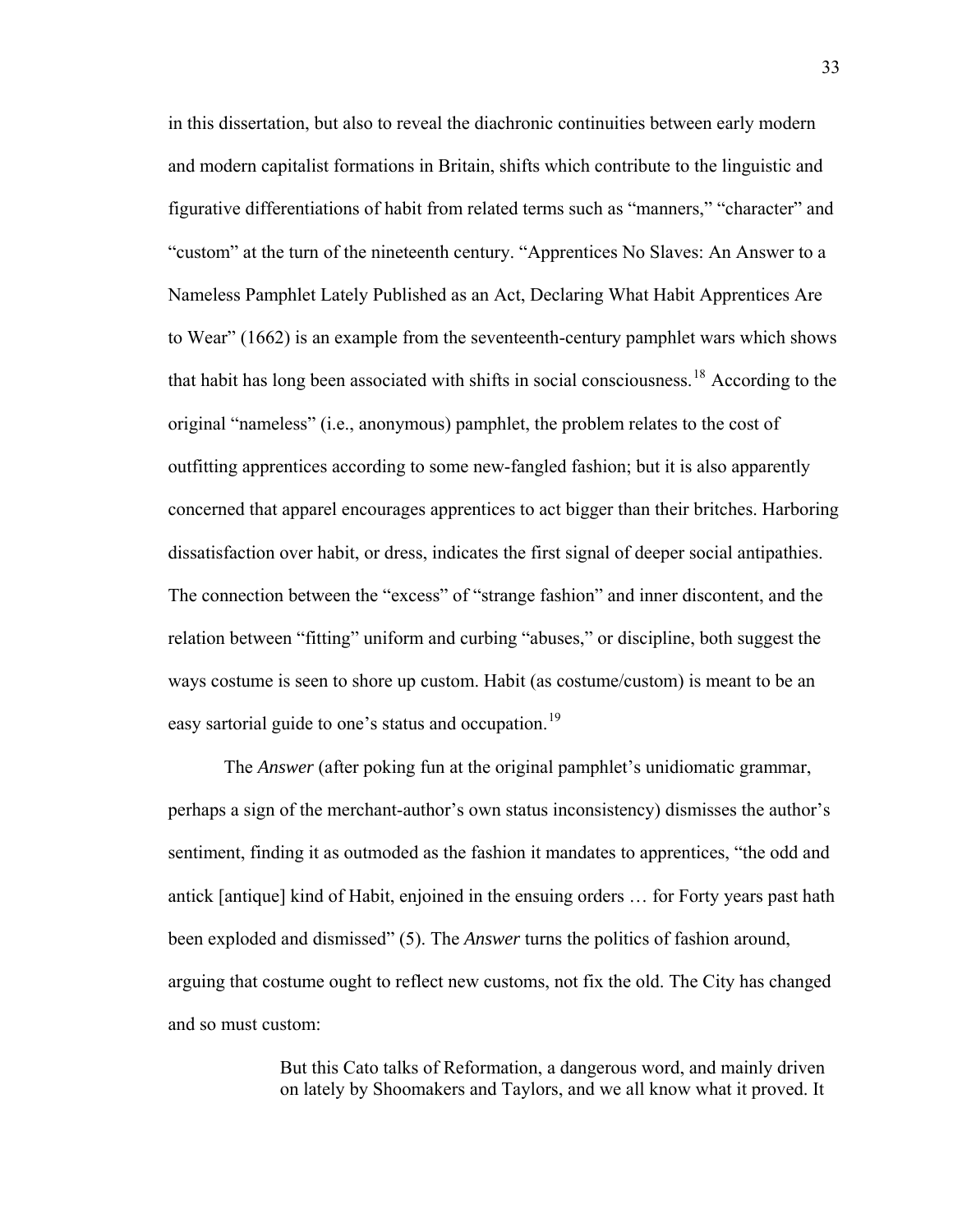in this dissertation, but also to reveal the diachronic continuities between early modern and modern capitalist formations in Britain, shifts which contribute to the linguistic and figurative differentiations of habit from related terms such as "manners," "character" and "custom" at the turn of the nineteenth century. "Apprentices No Slaves: An Answer to a Nameless Pamphlet Lately Published as an Act, Declaring What Habit Apprentices Are to Wear" (1662) is an example from the seventeenth-century pamphlet wars which shows that habit has long been associated with shifts in social consciousness.<sup>[18](#page-71-0)</sup> According to the original "nameless" (i.e., anonymous) pamphlet, the problem relates to the cost of outfitting apprentices according to some new-fangled fashion; but it is also apparently concerned that apparel encourages apprentices to act bigger than their britches. Harboring dissatisfaction over habit, or dress, indicates the first signal of deeper social antipathies. The connection between the "excess" of "strange fashion" and inner discontent, and the relation between "fitting" uniform and curbing "abuses," or discipline, both suggest the ways costume is seen to shore up custom. Habit (as costume/custom) is meant to be an easy sartorial guide to one's status and occupation.<sup>[19](#page-71-0)</sup>

The *Answer* (after poking fun at the original pamphlet's unidiomatic grammar, perhaps a sign of the merchant-author's own status inconsistency) dismisses the author's sentiment, finding it as outmoded as the fashion it mandates to apprentices, "the odd and antick [antique] kind of Habit, enjoined in the ensuing orders … for Forty years past hath been exploded and dismissed" (5). The *Answer* turns the politics of fashion around, arguing that costume ought to reflect new customs, not fix the old. The City has changed and so must custom:

> But this Cato talks of Reformation, a dangerous word, and mainly driven on lately by Shoomakers and Taylors, and we all know what it proved. It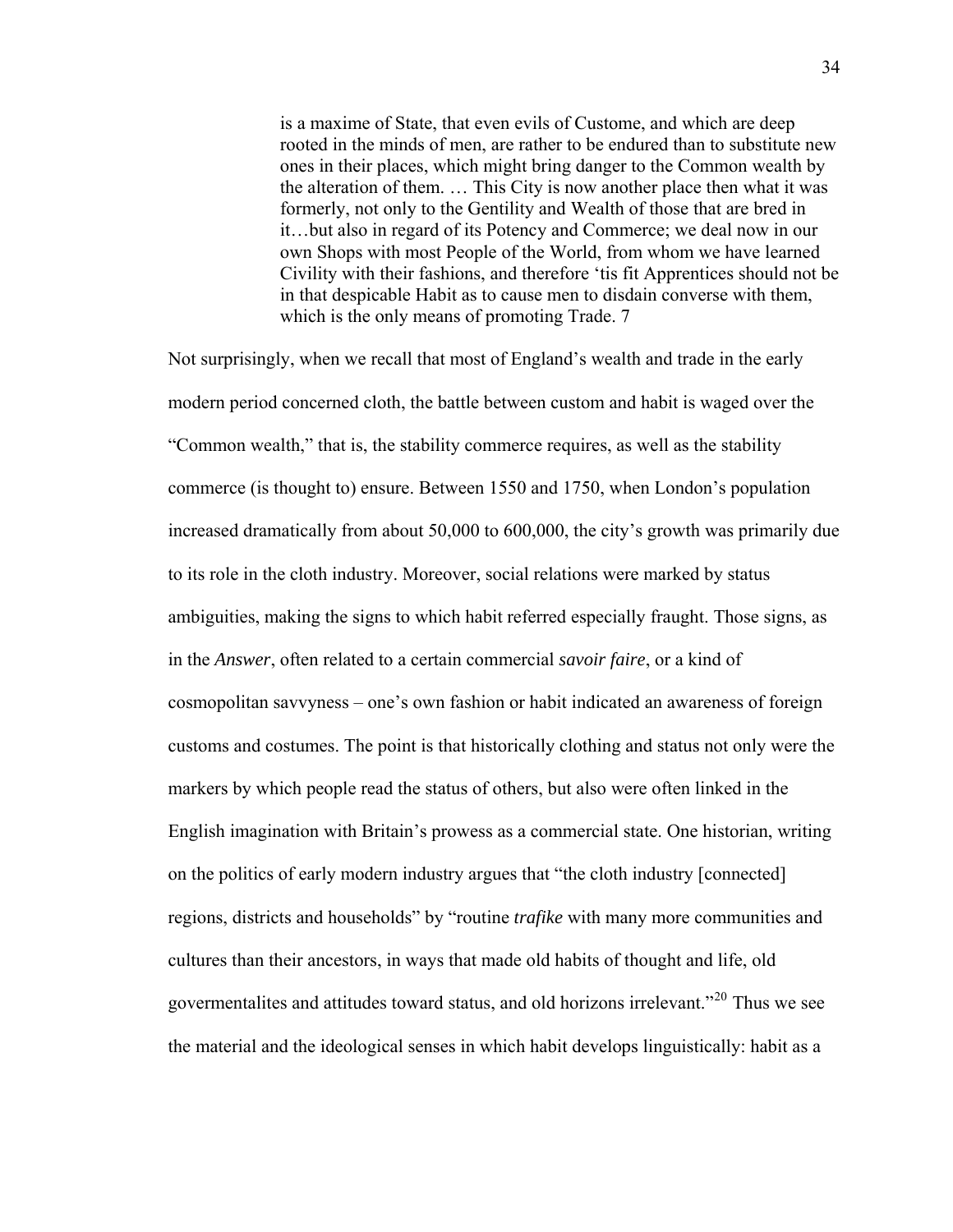is a maxime of State, that even evils of Custome, and which are deep rooted in the minds of men, are rather to be endured than to substitute new ones in their places, which might bring danger to the Common wealth by the alteration of them. … This City is now another place then what it was formerly, not only to the Gentility and Wealth of those that are bred in it…but also in regard of its Potency and Commerce; we deal now in our own Shops with most People of the World, from whom we have learned Civility with their fashions, and therefore 'tis fit Apprentices should not be in that despicable Habit as to cause men to disdain converse with them, which is the only means of promoting Trade. 7

Not surprisingly, when we recall that most of England's wealth and trade in the early modern period concerned cloth, the battle between custom and habit is waged over the "Common wealth," that is, the stability commerce requires, as well as the stability commerce (is thought to) ensure. Between 1550 and 1750, when London's population increased dramatically from about 50,000 to 600,000, the city's growth was primarily due to its role in the cloth industry. Moreover, social relations were marked by status ambiguities, making the signs to which habit referred especially fraught. Those signs, as in the *Answer*, often related to a certain commercial *savoir faire*, or a kind of cosmopolitan savvyness – one's own fashion or habit indicated an awareness of foreign customs and costumes. The point is that historically clothing and status not only were the markers by which people read the status of others, but also were often linked in the English imagination with Britain's prowess as a commercial state. One historian, writing on the politics of early modern industry argues that "the cloth industry [connected] regions, districts and households" by "routine *trafike* with many more communities and cultures than their ancestors, in ways that made old habits of thought and life, old govermentalites and attitudes toward status, and old horizons irrelevant."<sup>[20](#page-71-0)</sup> Thus we see the material and the ideological senses in which habit develops linguistically: habit as a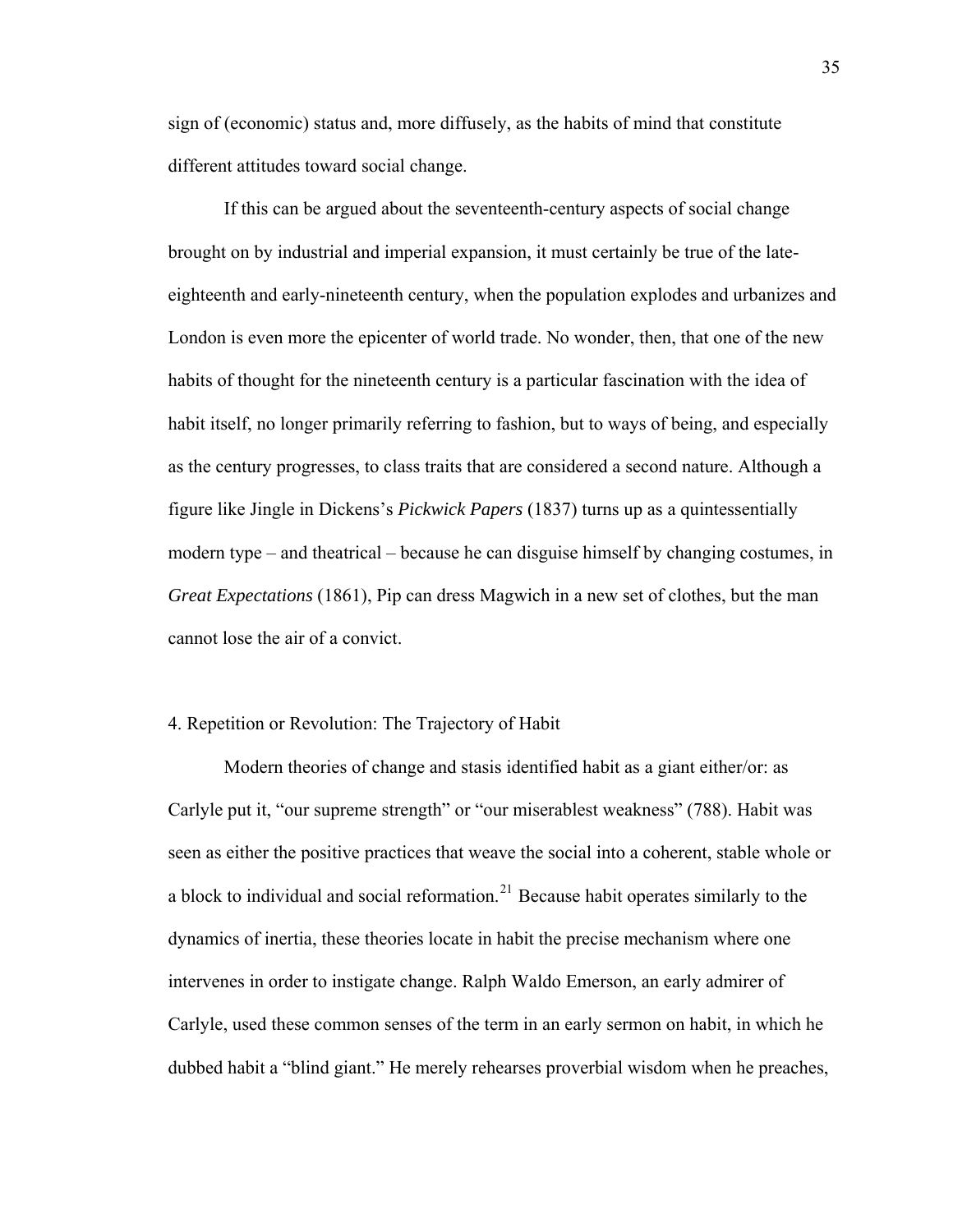sign of (economic) status and, more diffusely, as the habits of mind that constitute different attitudes toward social change.

If this can be argued about the seventeenth-century aspects of social change brought on by industrial and imperial expansion, it must certainly be true of the lateeighteenth and early-nineteenth century, when the population explodes and urbanizes and London is even more the epicenter of world trade. No wonder, then, that one of the new habits of thought for the nineteenth century is a particular fascination with the idea of habit itself, no longer primarily referring to fashion, but to ways of being, and especially as the century progresses, to class traits that are considered a second nature. Although a figure like Jingle in Dickens's *Pickwick Papers* (1837) turns up as a quintessentially modern type – and theatrical – because he can disguise himself by changing costumes, in *Great Expectations* (1861), Pip can dress Magwich in a new set of clothes, but the man cannot lose the air of a convict.

## 4. Repetition or Revolution: The Trajectory of Habit

Modern theories of change and stasis identified habit as a giant either/or: as Carlyle put it, "our supreme strength" or "our miserablest weakness" (788). Habit was seen as either the positive practices that weave the social into a coherent, stable whole or a block to individual and social reformation.<sup>[21](#page-71-0)</sup> Because habit operates similarly to the dynamics of inertia, these theories locate in habit the precise mechanism where one intervenes in order to instigate change. Ralph Waldo Emerson, an early admirer of Carlyle, used these common senses of the term in an early sermon on habit, in which he dubbed habit a "blind giant." He merely rehearses proverbial wisdom when he preaches,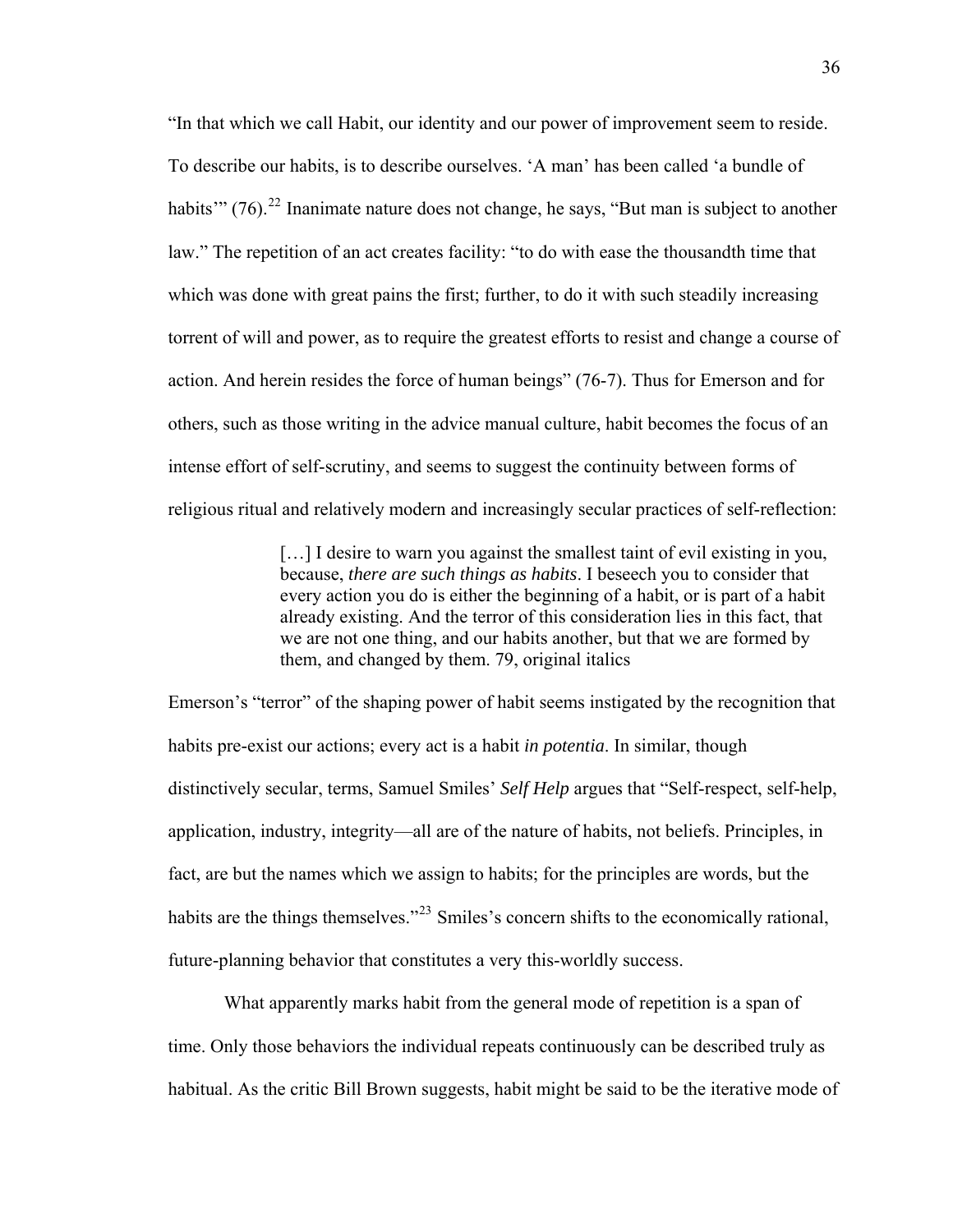"In that which we call Habit, our identity and our power of improvement seem to reside. To describe our habits, is to describe ourselves. 'A man' has been called 'a bundle of habits" (76).<sup>[22](#page-71-0)</sup> Inanimate nature does not change, he says, "But man is subject to another law." The repetition of an act creates facility: "to do with ease the thousandth time that which was done with great pains the first; further, to do it with such steadily increasing torrent of will and power, as to require the greatest efforts to resist and change a course of action. And herein resides the force of human beings" (76-7). Thus for Emerson and for others, such as those writing in the advice manual culture, habit becomes the focus of an intense effort of self-scrutiny, and seems to suggest the continuity between forms of religious ritual and relatively modern and increasingly secular practices of self-reflection:

> [...] I desire to warn you against the smallest taint of evil existing in you, because, *there are such things as habits*. I beseech you to consider that every action you do is either the beginning of a habit, or is part of a habit already existing. And the terror of this consideration lies in this fact, that we are not one thing, and our habits another, but that we are formed by them, and changed by them. 79, original italics

Emerson's "terror" of the shaping power of habit seems instigated by the recognition that habits pre-exist our actions; every act is a habit *in potentia*. In similar, though distinctively secular, terms, Samuel Smiles' *Self Help* argues that "Self-respect, self-help, application, industry, integrity—all are of the nature of habits, not beliefs. Principles, in fact, are but the names which we assign to habits; for the principles are words, but the habits are the things themselves."<sup>[23](#page-72-0)</sup> Smiles's concern shifts to the economically rational, future-planning behavior that constitutes a very this-worldly success.

What apparently marks habit from the general mode of repetition is a span of time. Only those behaviors the individual repeats continuously can be described truly as habitual. As the critic Bill Brown suggests, habit might be said to be the iterative mode of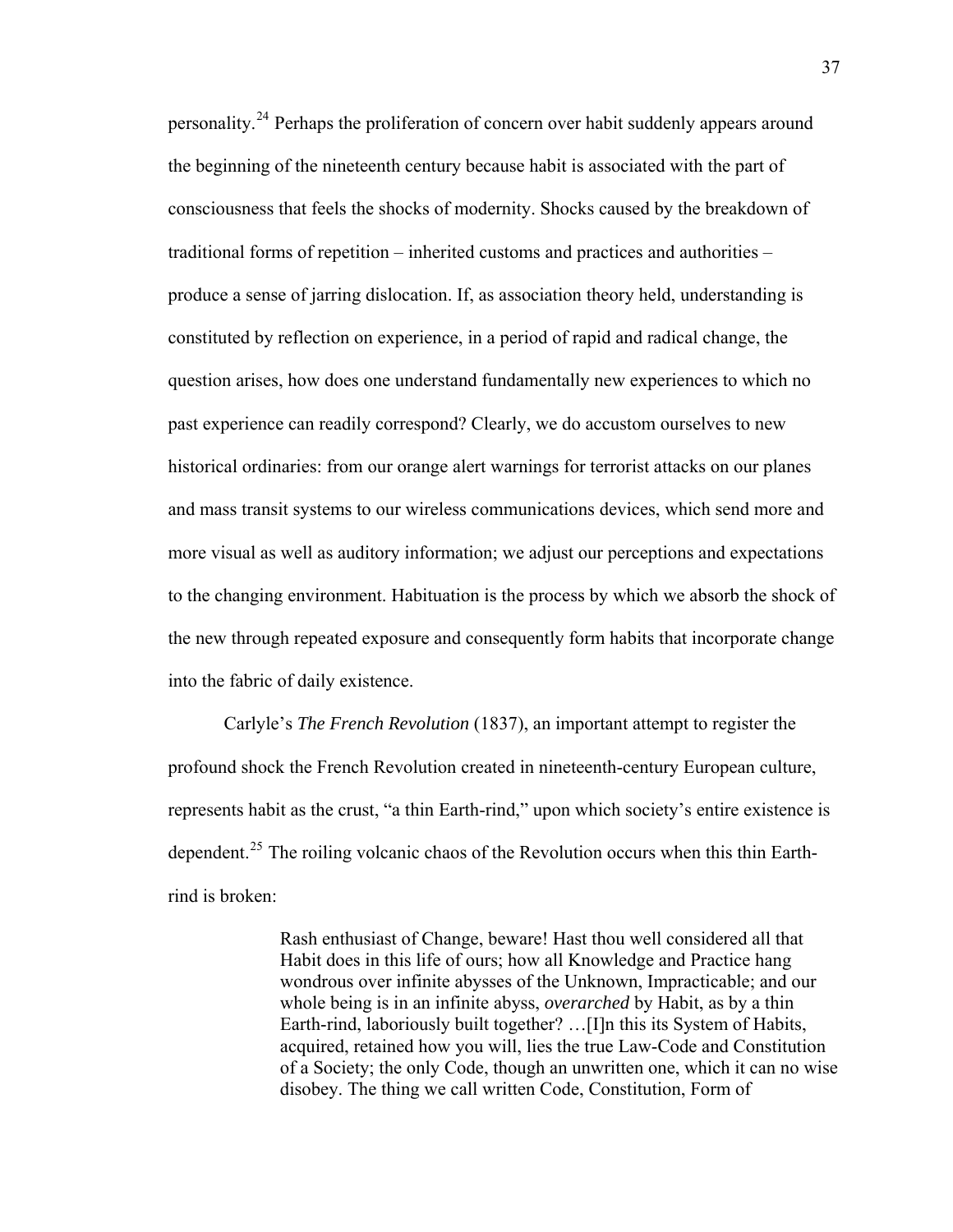personality.[24](#page-72-0) Perhaps the proliferation of concern over habit suddenly appears around the beginning of the nineteenth century because habit is associated with the part of consciousness that feels the shocks of modernity. Shocks caused by the breakdown of traditional forms of repetition – inherited customs and practices and authorities – produce a sense of jarring dislocation. If, as association theory held, understanding is constituted by reflection on experience, in a period of rapid and radical change, the question arises, how does one understand fundamentally new experiences to which no past experience can readily correspond? Clearly, we do accustom ourselves to new historical ordinaries: from our orange alert warnings for terrorist attacks on our planes and mass transit systems to our wireless communications devices, which send more and more visual as well as auditory information; we adjust our perceptions and expectations to the changing environment. Habituation is the process by which we absorb the shock of the new through repeated exposure and consequently form habits that incorporate change into the fabric of daily existence.

Carlyle's *The French Revolution* (1837), an important attempt to register the profound shock the French Revolution created in nineteenth-century European culture, represents habit as the crust, "a thin Earth-rind," upon which society's entire existence is dependent.<sup>[25](#page-72-0)</sup> The roiling volcanic chaos of the Revolution occurs when this thin Earthrind is broken:

> Rash enthusiast of Change, beware! Hast thou well considered all that Habit does in this life of ours; how all Knowledge and Practice hang wondrous over infinite abysses of the Unknown, Impracticable; and our whole being is in an infinite abyss, *overarched* by Habit, as by a thin Earth-rind, laboriously built together? …[I]n this its System of Habits, acquired, retained how you will, lies the true Law-Code and Constitution of a Society; the only Code, though an unwritten one, which it can no wise disobey. The thing we call written Code, Constitution, Form of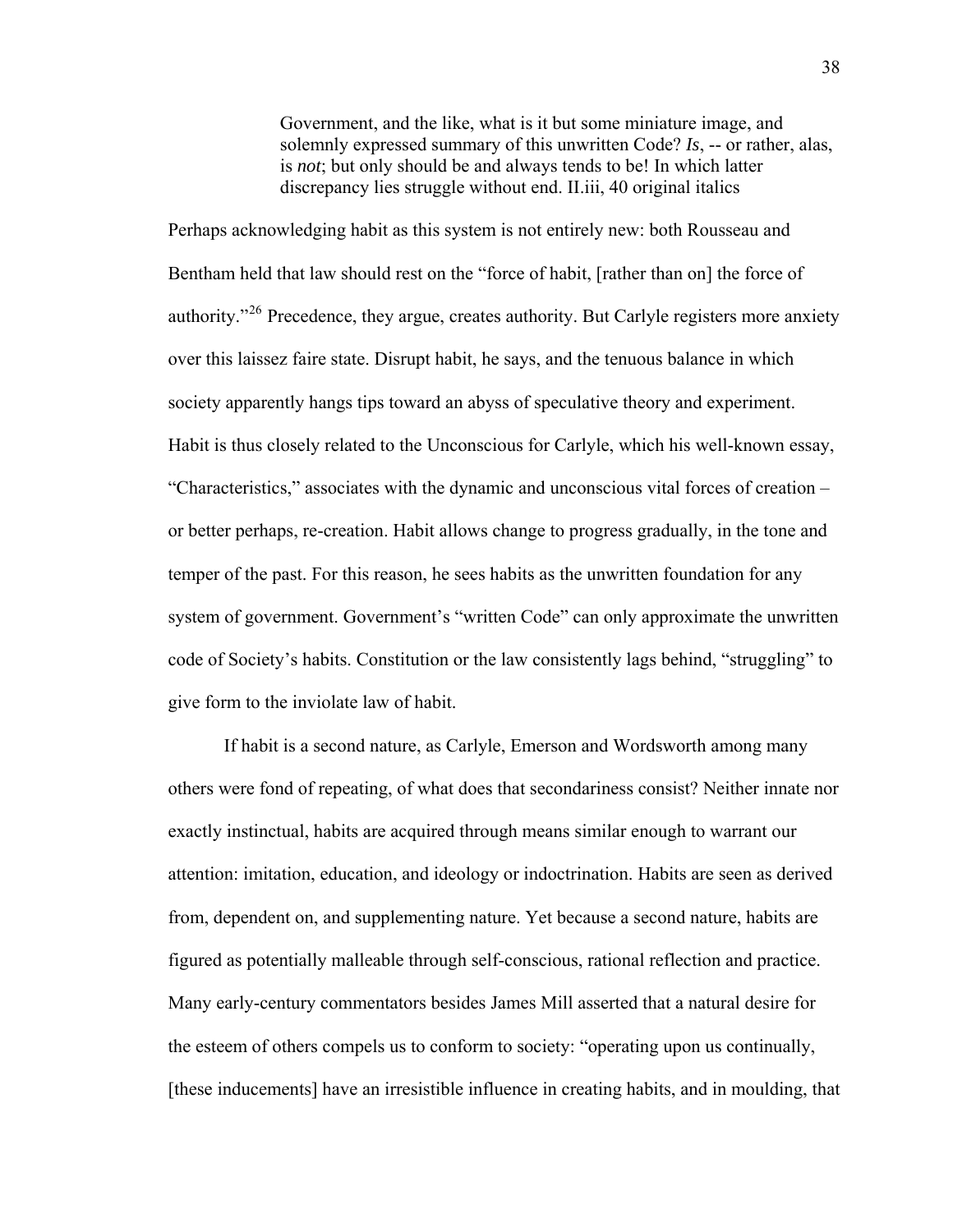Government, and the like, what is it but some miniature image, and solemnly expressed summary of this unwritten Code? *Is*, -- or rather, alas, is *not*; but only should be and always tends to be! In which latter discrepancy lies struggle without end. II.iii, 40 original italics

Perhaps acknowledging habit as this system is not entirely new: both Rousseau and Bentham held that law should rest on the "force of habit, [rather than on] the force of authority."<sup>[26](#page-72-0)</sup> Precedence, they argue, creates authority. But Carlyle registers more anxiety over this laissez faire state. Disrupt habit, he says, and the tenuous balance in which society apparently hangs tips toward an abyss of speculative theory and experiment. Habit is thus closely related to the Unconscious for Carlyle, which his well-known essay, "Characteristics," associates with the dynamic and unconscious vital forces of creation – or better perhaps, re-creation. Habit allows change to progress gradually, in the tone and temper of the past. For this reason, he sees habits as the unwritten foundation for any system of government. Government's "written Code" can only approximate the unwritten code of Society's habits. Constitution or the law consistently lags behind, "struggling" to give form to the inviolate law of habit.

If habit is a second nature, as Carlyle, Emerson and Wordsworth among many others were fond of repeating, of what does that secondariness consist? Neither innate nor exactly instinctual, habits are acquired through means similar enough to warrant our attention: imitation, education, and ideology or indoctrination. Habits are seen as derived from, dependent on, and supplementing nature. Yet because a second nature, habits are figured as potentially malleable through self-conscious, rational reflection and practice. Many early-century commentators besides James Mill asserted that a natural desire for the esteem of others compels us to conform to society: "operating upon us continually, [these inducements] have an irresistible influence in creating habits, and in moulding, that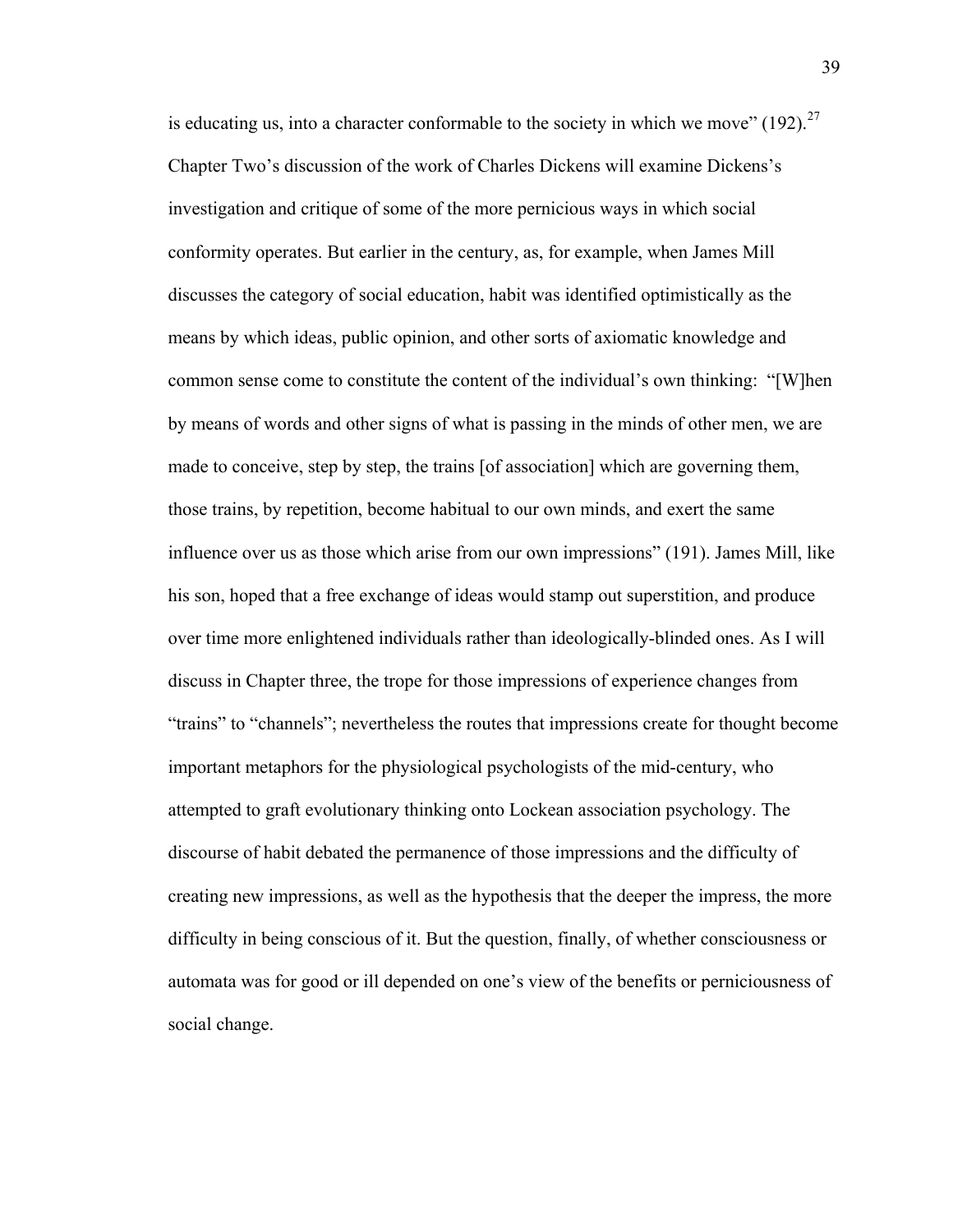is educating us, into a character conformable to the society in which we move"  $(192)$ <sup>[27](#page-72-0)</sup> Chapter Two's discussion of the work of Charles Dickens will examine Dickens's investigation and critique of some of the more pernicious ways in which social conformity operates. But earlier in the century, as, for example, when James Mill discusses the category of social education, habit was identified optimistically as the means by which ideas, public opinion, and other sorts of axiomatic knowledge and common sense come to constitute the content of the individual's own thinking: "[W]hen by means of words and other signs of what is passing in the minds of other men, we are made to conceive, step by step, the trains [of association] which are governing them, those trains, by repetition, become habitual to our own minds, and exert the same influence over us as those which arise from our own impressions" (191). James Mill, like his son, hoped that a free exchange of ideas would stamp out superstition, and produce over time more enlightened individuals rather than ideologically-blinded ones. As I will discuss in Chapter three, the trope for those impressions of experience changes from "trains" to "channels"; nevertheless the routes that impressions create for thought become important metaphors for the physiological psychologists of the mid-century, who attempted to graft evolutionary thinking onto Lockean association psychology. The discourse of habit debated the permanence of those impressions and the difficulty of creating new impressions, as well as the hypothesis that the deeper the impress, the more difficulty in being conscious of it. But the question, finally, of whether consciousness or automata was for good or ill depended on one's view of the benefits or perniciousness of social change.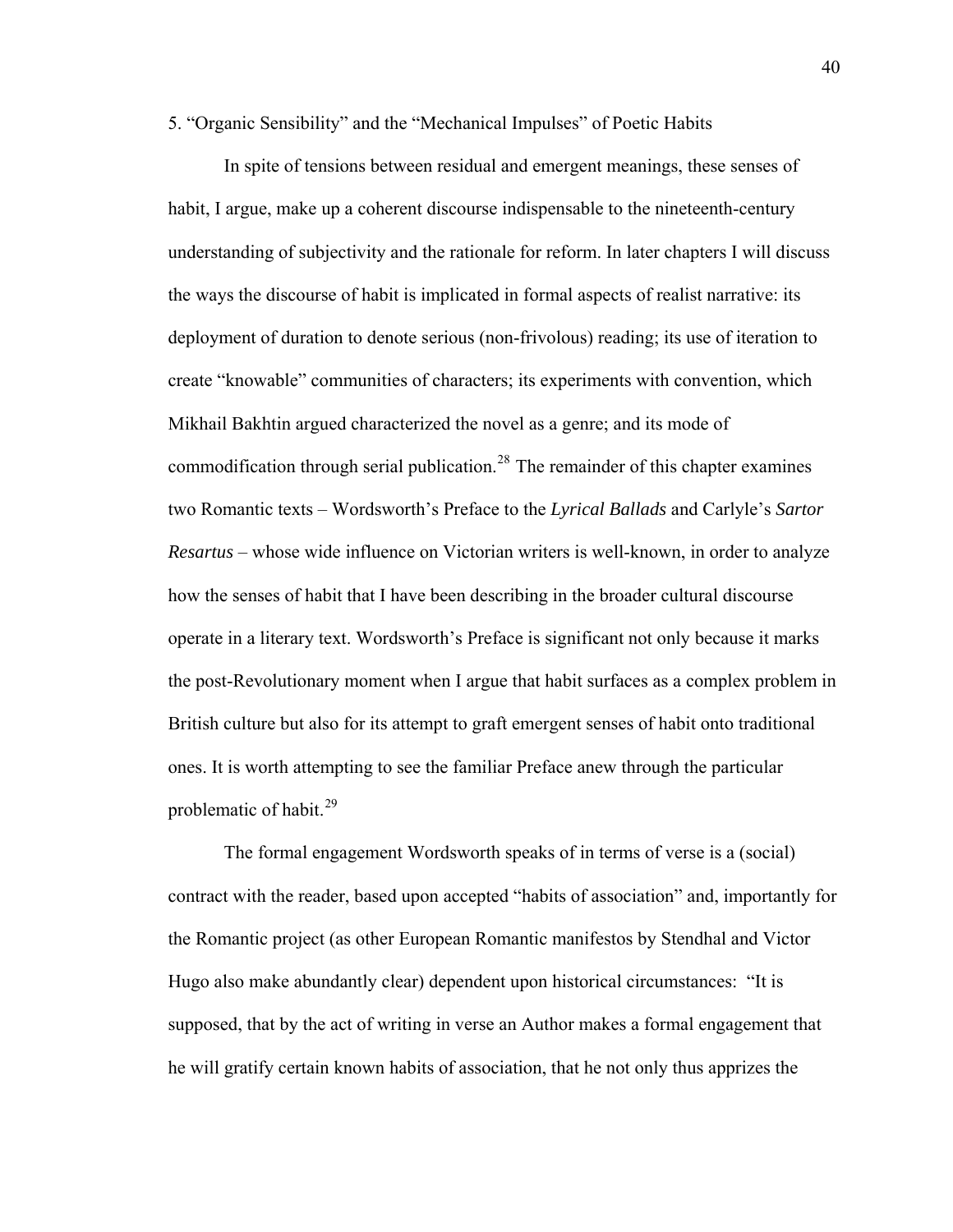5. "Organic Sensibility" and the "Mechanical Impulses" of Poetic Habits

In spite of tensions between residual and emergent meanings, these senses of habit, I argue, make up a coherent discourse indispensable to the nineteenth-century understanding of subjectivity and the rationale for reform. In later chapters I will discuss the ways the discourse of habit is implicated in formal aspects of realist narrative: its deployment of duration to denote serious (non-frivolous) reading; its use of iteration to create "knowable" communities of characters; its experiments with convention, which Mikhail Bakhtin argued characterized the novel as a genre; and its mode of commodification through serial publication.<sup>[28](#page-72-0)</sup> The remainder of this chapter examines two Romantic texts – Wordsworth's Preface to the *Lyrical Ballads* and Carlyle's *Sartor Resartus* – whose wide influence on Victorian writers is well-known, in order to analyze how the senses of habit that I have been describing in the broader cultural discourse operate in a literary text. Wordsworth's Preface is significant not only because it marks the post-Revolutionary moment when I argue that habit surfaces as a complex problem in British culture but also for its attempt to graft emergent senses of habit onto traditional ones. It is worth attempting to see the familiar Preface anew through the particular problematic of habit. $^{29}$  $^{29}$  $^{29}$ 

The formal engagement Wordsworth speaks of in terms of verse is a (social) contract with the reader, based upon accepted "habits of association" and, importantly for the Romantic project (as other European Romantic manifestos by Stendhal and Victor Hugo also make abundantly clear) dependent upon historical circumstances: "It is supposed, that by the act of writing in verse an Author makes a formal engagement that he will gratify certain known habits of association, that he not only thus apprizes the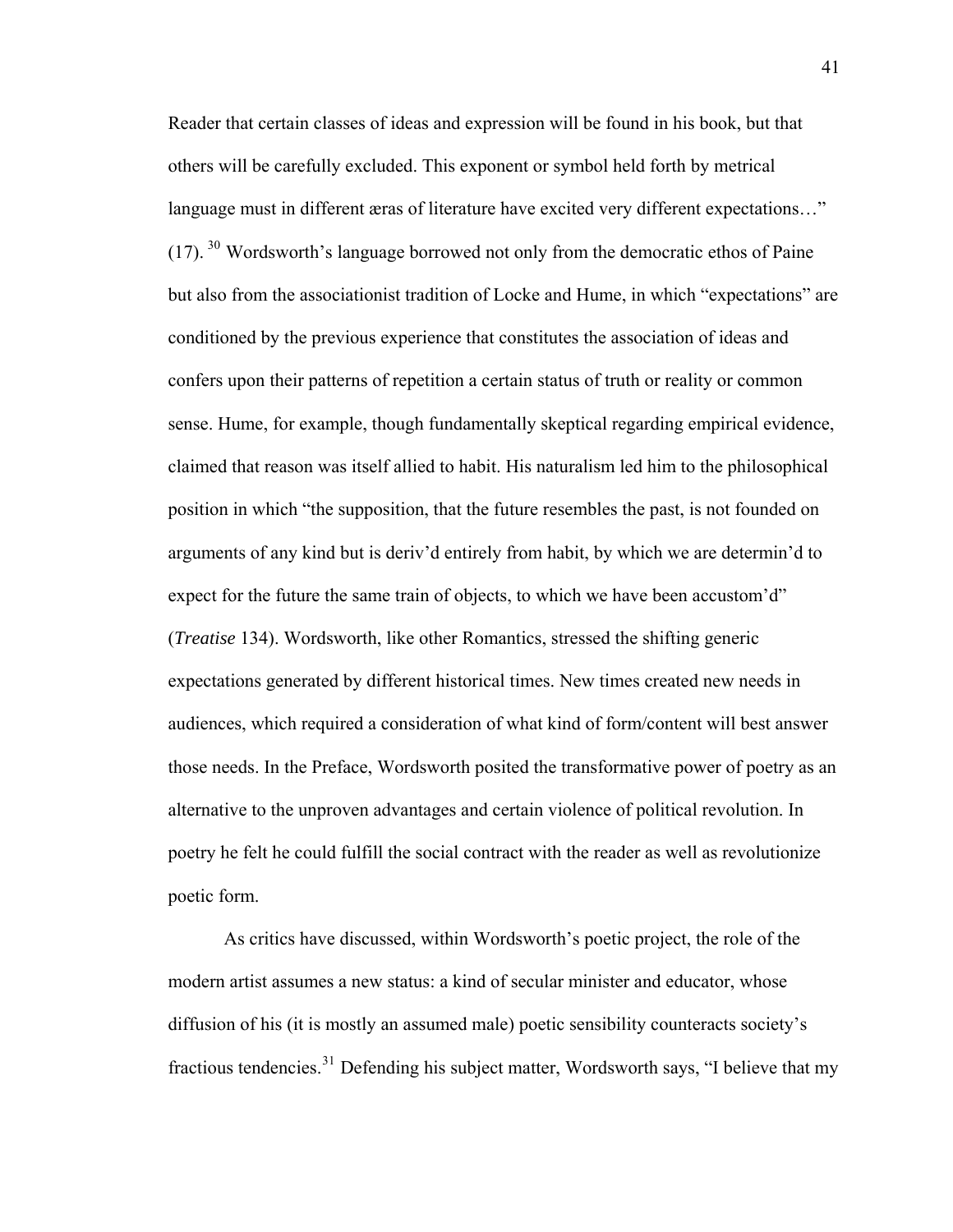Reader that certain classes of ideas and expression will be found in his book, but that others will be carefully excluded. This exponent or symbol held forth by metrical language must in different æras of literature have excited very different expectations..."  $(17)$ . <sup>[30](#page-72-0)</sup> Wordsworth's language borrowed not only from the democratic ethos of Paine but also from the associationist tradition of Locke and Hume, in which "expectations" are conditioned by the previous experience that constitutes the association of ideas and confers upon their patterns of repetition a certain status of truth or reality or common sense. Hume, for example, though fundamentally skeptical regarding empirical evidence, claimed that reason was itself allied to habit. His naturalism led him to the philosophical position in which "the supposition, that the future resembles the past, is not founded on arguments of any kind but is deriv'd entirely from habit, by which we are determin'd to expect for the future the same train of objects, to which we have been accustom'd" (*Treatise* 134). Wordsworth, like other Romantics, stressed the shifting generic expectations generated by different historical times. New times created new needs in audiences, which required a consideration of what kind of form/content will best answer those needs. In the Preface, Wordsworth posited the transformative power of poetry as an alternative to the unproven advantages and certain violence of political revolution. In poetry he felt he could fulfill the social contract with the reader as well as revolutionize poetic form.

As critics have discussed, within Wordsworth's poetic project, the role of the modern artist assumes a new status: a kind of secular minister and educator, whose diffusion of his (it is mostly an assumed male) poetic sensibility counteracts society's fractious tendencies.<sup>[31](#page-72-0)</sup> Defending his subject matter, Wordsworth says, "I believe that my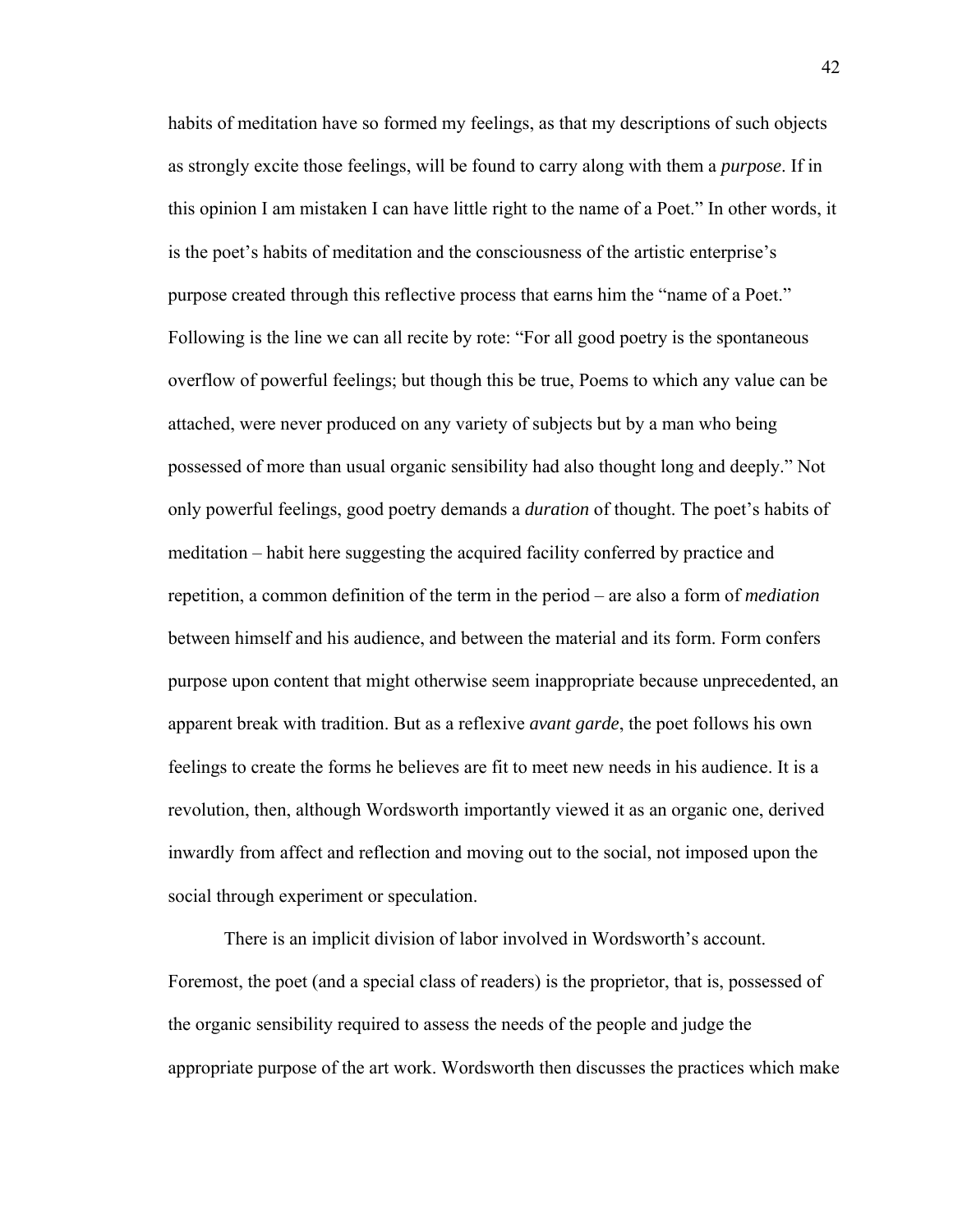habits of meditation have so formed my feelings, as that my descriptions of such objects as strongly excite those feelings, will be found to carry along with them a *purpose*. If in this opinion I am mistaken I can have little right to the name of a Poet." In other words, it is the poet's habits of meditation and the consciousness of the artistic enterprise's purpose created through this reflective process that earns him the "name of a Poet." Following is the line we can all recite by rote: "For all good poetry is the spontaneous overflow of powerful feelings; but though this be true, Poems to which any value can be attached, were never produced on any variety of subjects but by a man who being possessed of more than usual organic sensibility had also thought long and deeply." Not only powerful feelings, good poetry demands a *duration* of thought. The poet's habits of meditation – habit here suggesting the acquired facility conferred by practice and repetition, a common definition of the term in the period – are also a form of *mediation* between himself and his audience, and between the material and its form. Form confers purpose upon content that might otherwise seem inappropriate because unprecedented, an apparent break with tradition. But as a reflexive *avant garde*, the poet follows his own feelings to create the forms he believes are fit to meet new needs in his audience. It is a revolution, then, although Wordsworth importantly viewed it as an organic one, derived inwardly from affect and reflection and moving out to the social, not imposed upon the social through experiment or speculation.

There is an implicit division of labor involved in Wordsworth's account. Foremost, the poet (and a special class of readers) is the proprietor, that is, possessed of the organic sensibility required to assess the needs of the people and judge the appropriate purpose of the art work. Wordsworth then discusses the practices which make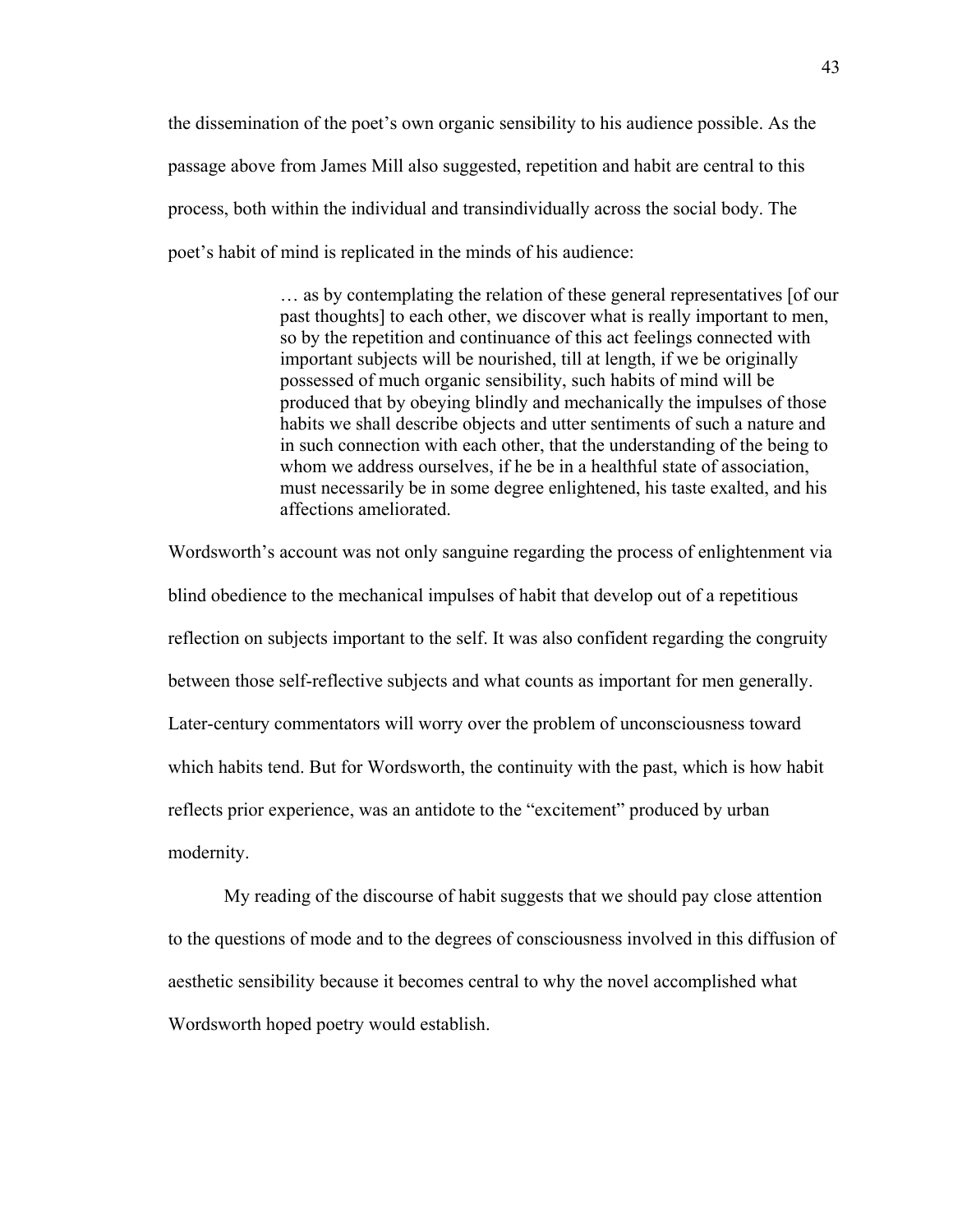the dissemination of the poet's own organic sensibility to his audience possible. As the passage above from James Mill also suggested, repetition and habit are central to this process, both within the individual and transindividually across the social body. The poet's habit of mind is replicated in the minds of his audience:

> … as by contemplating the relation of these general representatives [of our past thoughts] to each other, we discover what is really important to men, so by the repetition and continuance of this act feelings connected with important subjects will be nourished, till at length, if we be originally possessed of much organic sensibility, such habits of mind will be produced that by obeying blindly and mechanically the impulses of those habits we shall describe objects and utter sentiments of such a nature and in such connection with each other, that the understanding of the being to whom we address ourselves, if he be in a healthful state of association, must necessarily be in some degree enlightened, his taste exalted, and his affections ameliorated.

Wordsworth's account was not only sanguine regarding the process of enlightenment via blind obedience to the mechanical impulses of habit that develop out of a repetitious reflection on subjects important to the self. It was also confident regarding the congruity between those self-reflective subjects and what counts as important for men generally. Later-century commentators will worry over the problem of unconsciousness toward which habits tend. But for Wordsworth, the continuity with the past, which is how habit reflects prior experience, was an antidote to the "excitement" produced by urban modernity.

My reading of the discourse of habit suggests that we should pay close attention to the questions of mode and to the degrees of consciousness involved in this diffusion of aesthetic sensibility because it becomes central to why the novel accomplished what Wordsworth hoped poetry would establish.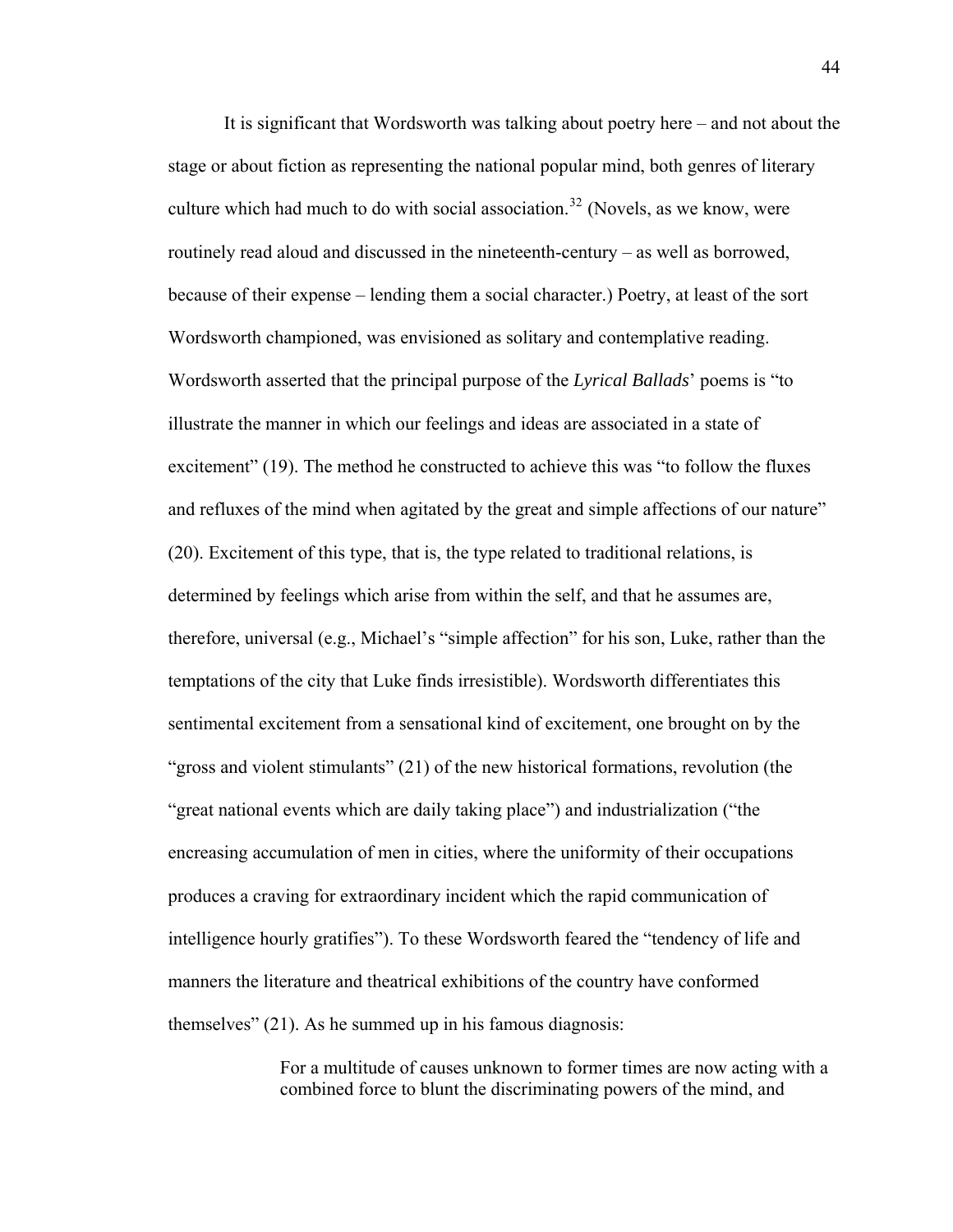It is significant that Wordsworth was talking about poetry here – and not about the stage or about fiction as representing the national popular mind, both genres of literary culture which had much to do with social association.<sup>[32](#page-72-0)</sup> (Novels, as we know, were routinely read aloud and discussed in the nineteenth-century – as well as borrowed, because of their expense – lending them a social character.) Poetry, at least of the sort Wordsworth championed, was envisioned as solitary and contemplative reading. Wordsworth asserted that the principal purpose of the *Lyrical Ballads*' poems is "to illustrate the manner in which our feelings and ideas are associated in a state of excitement" (19). The method he constructed to achieve this was "to follow the fluxes and refluxes of the mind when agitated by the great and simple affections of our nature" (20). Excitement of this type, that is, the type related to traditional relations, is determined by feelings which arise from within the self, and that he assumes are, therefore, universal (e.g., Michael's "simple affection" for his son, Luke, rather than the temptations of the city that Luke finds irresistible). Wordsworth differentiates this sentimental excitement from a sensational kind of excitement, one brought on by the "gross and violent stimulants" (21) of the new historical formations, revolution (the "great national events which are daily taking place") and industrialization ("the encreasing accumulation of men in cities, where the uniformity of their occupations produces a craving for extraordinary incident which the rapid communication of intelligence hourly gratifies"). To these Wordsworth feared the "tendency of life and manners the literature and theatrical exhibitions of the country have conformed themselves" (21). As he summed up in his famous diagnosis:

> For a multitude of causes unknown to former times are now acting with a combined force to blunt the discriminating powers of the mind, and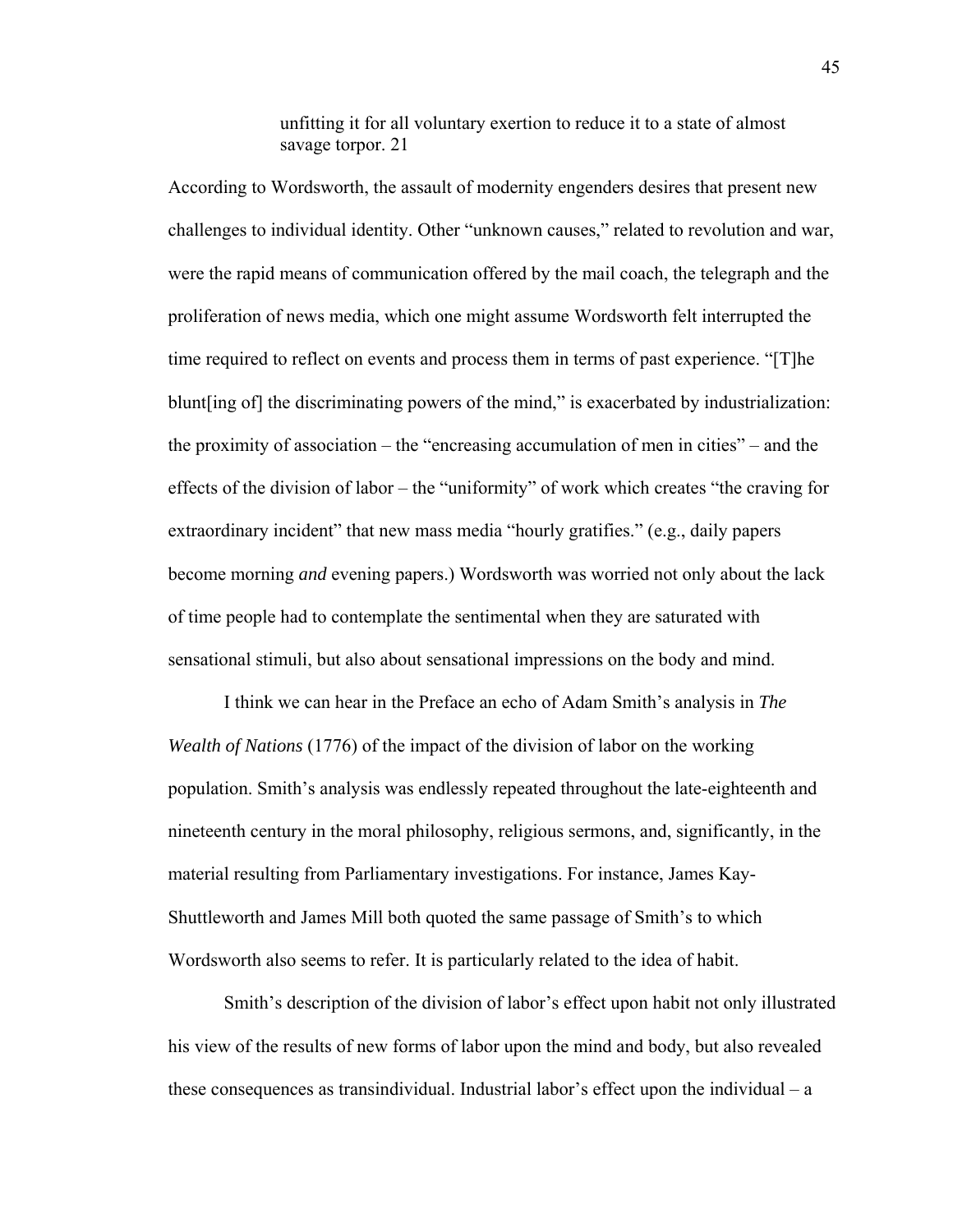unfitting it for all voluntary exertion to reduce it to a state of almost savage torpor. 21

According to Wordsworth, the assault of modernity engenders desires that present new challenges to individual identity. Other "unknown causes," related to revolution and war, were the rapid means of communication offered by the mail coach, the telegraph and the proliferation of news media, which one might assume Wordsworth felt interrupted the time required to reflect on events and process them in terms of past experience. "[T]he blunt[ing of] the discriminating powers of the mind," is exacerbated by industrialization: the proximity of association – the "encreasing accumulation of men in cities" – and the effects of the division of labor – the "uniformity" of work which creates "the craving for extraordinary incident" that new mass media "hourly gratifies." (e.g., daily papers become morning *and* evening papers.) Wordsworth was worried not only about the lack of time people had to contemplate the sentimental when they are saturated with sensational stimuli, but also about sensational impressions on the body and mind.

 I think we can hear in the Preface an echo of Adam Smith's analysis in *The Wealth of Nations* (1776) of the impact of the division of labor on the working population. Smith's analysis was endlessly repeated throughout the late-eighteenth and nineteenth century in the moral philosophy, religious sermons, and, significantly, in the material resulting from Parliamentary investigations. For instance, James Kay-Shuttleworth and James Mill both quoted the same passage of Smith's to which Wordsworth also seems to refer. It is particularly related to the idea of habit.

Smith's description of the division of labor's effect upon habit not only illustrated his view of the results of new forms of labor upon the mind and body, but also revealed these consequences as transindividual. Industrial labor's effect upon the individual – a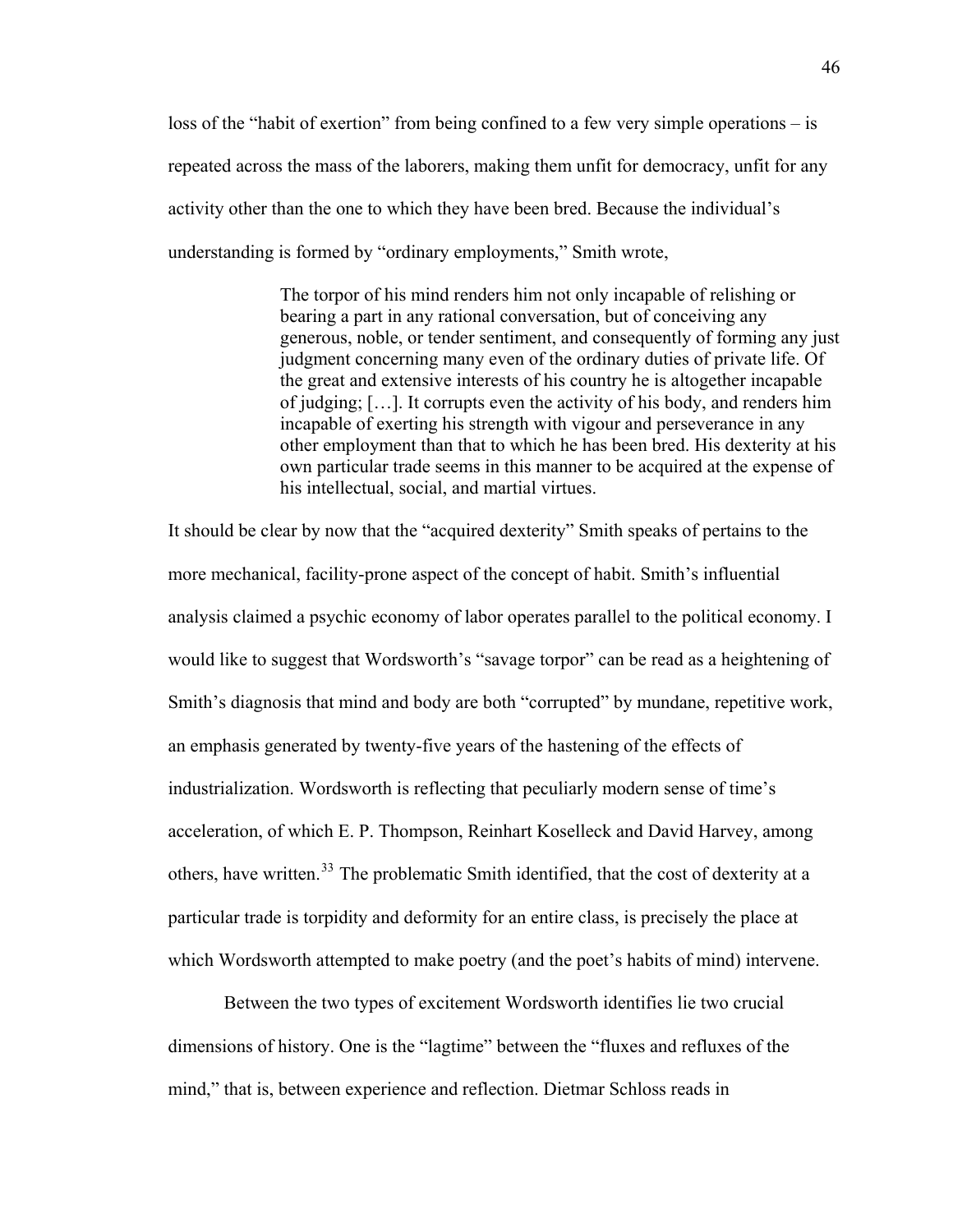loss of the "habit of exertion" from being confined to a few very simple operations – is repeated across the mass of the laborers, making them unfit for democracy, unfit for any activity other than the one to which they have been bred. Because the individual's understanding is formed by "ordinary employments," Smith wrote,

> The torpor of his mind renders him not only incapable of relishing or bearing a part in any rational conversation, but of conceiving any generous, noble, or tender sentiment, and consequently of forming any just judgment concerning many even of the ordinary duties of private life. Of the great and extensive interests of his country he is altogether incapable of judging; […]. It corrupts even the activity of his body, and renders him incapable of exerting his strength with vigour and perseverance in any other employment than that to which he has been bred. His dexterity at his own particular trade seems in this manner to be acquired at the expense of his intellectual, social, and martial virtues.

It should be clear by now that the "acquired dexterity" Smith speaks of pertains to the more mechanical, facility-prone aspect of the concept of habit. Smith's influential analysis claimed a psychic economy of labor operates parallel to the political economy. I would like to suggest that Wordsworth's "savage torpor" can be read as a heightening of Smith's diagnosis that mind and body are both "corrupted" by mundane, repetitive work, an emphasis generated by twenty-five years of the hastening of the effects of industrialization. Wordsworth is reflecting that peculiarly modern sense of time's acceleration, of which E. P. Thompson, Reinhart Koselleck and David Harvey, among others, have written.[33](#page-73-0) The problematic Smith identified, that the cost of dexterity at a particular trade is torpidity and deformity for an entire class, is precisely the place at which Wordsworth attempted to make poetry (and the poet's habits of mind) intervene.

Between the two types of excitement Wordsworth identifies lie two crucial dimensions of history. One is the "lagtime" between the "fluxes and refluxes of the mind," that is, between experience and reflection. Dietmar Schloss reads in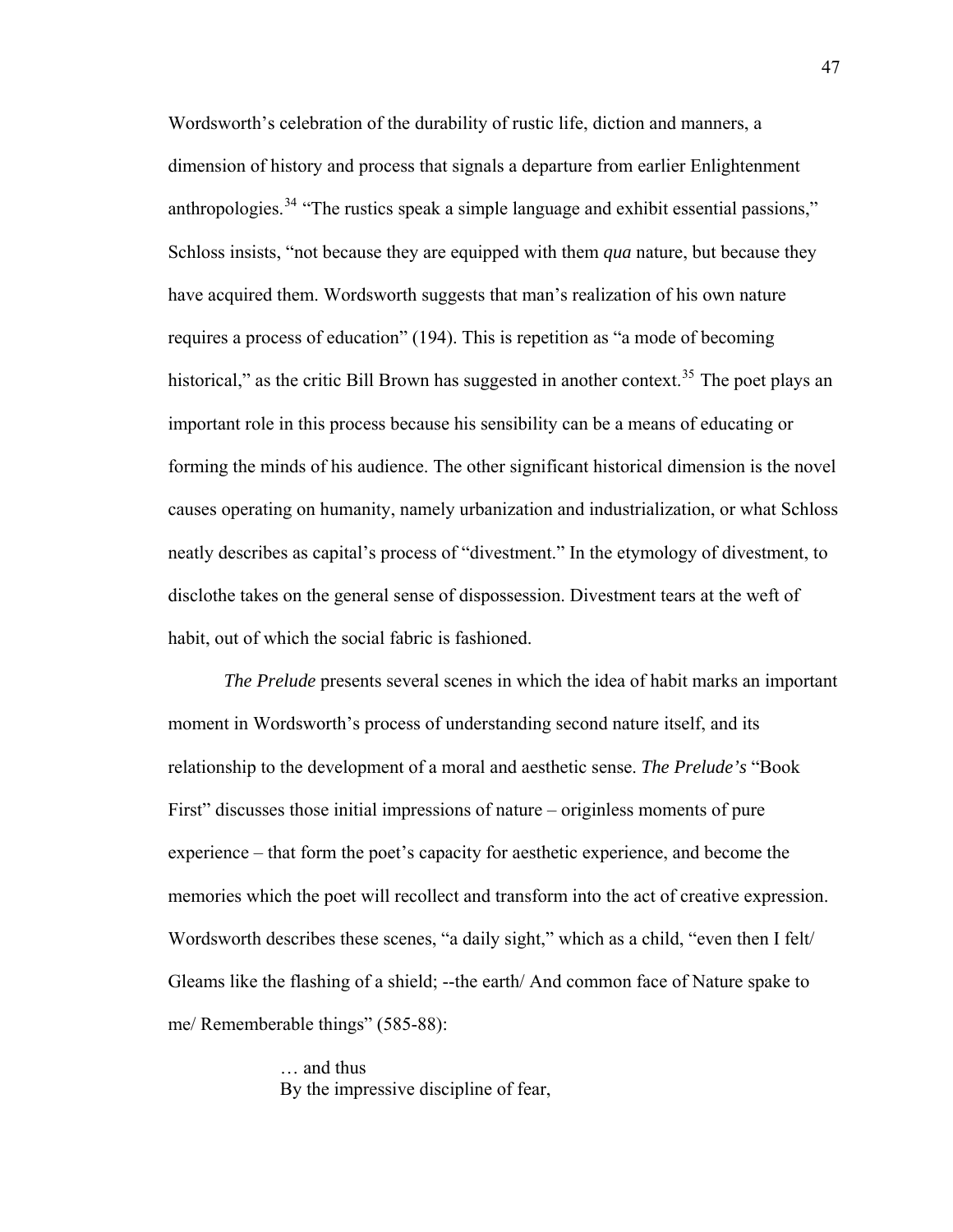Wordsworth's celebration of the durability of rustic life, diction and manners, a dimension of history and process that signals a departure from earlier Enlightenment anthropologies.<sup>[34](#page-73-0)</sup> "The rustics speak a simple language and exhibit essential passions," Schloss insists, "not because they are equipped with them *qua* nature, but because they have acquired them. Wordsworth suggests that man's realization of his own nature requires a process of education" (194). This is repetition as "a mode of becoming historical," as the critic Bill Brown has suggested in another context.<sup>[35](#page-73-0)</sup> The poet plays an important role in this process because his sensibility can be a means of educating or forming the minds of his audience. The other significant historical dimension is the novel causes operating on humanity, namely urbanization and industrialization, or what Schloss neatly describes as capital's process of "divestment." In the etymology of divestment, to disclothe takes on the general sense of dispossession. Divestment tears at the weft of habit, out of which the social fabric is fashioned.

*The Prelude* presents several scenes in which the idea of habit marks an important moment in Wordsworth's process of understanding second nature itself, and its relationship to the development of a moral and aesthetic sense. *The Prelude's* "Book First" discusses those initial impressions of nature – originless moments of pure experience – that form the poet's capacity for aesthetic experience, and become the memories which the poet will recollect and transform into the act of creative expression. Wordsworth describes these scenes, "a daily sight," which as a child, "even then I felt/ Gleams like the flashing of a shield; --the earth/ And common face of Nature spake to me/ Rememberable things" (585-88):

> … and thus By the impressive discipline of fear,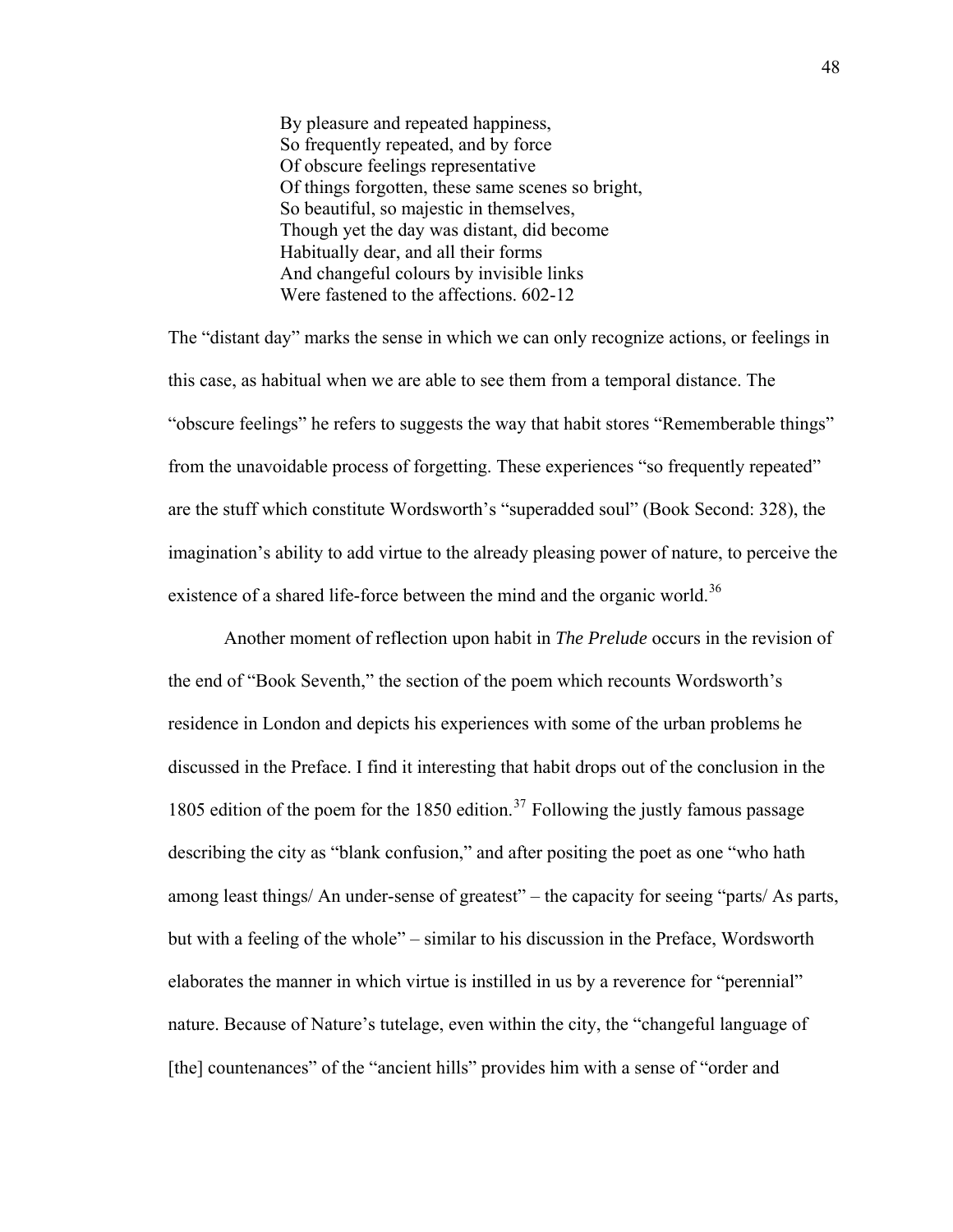By pleasure and repeated happiness, So frequently repeated, and by force Of obscure feelings representative Of things forgotten, these same scenes so bright, So beautiful, so majestic in themselves, Though yet the day was distant, did become Habitually dear, and all their forms And changeful colours by invisible links Were fastened to the affections. 602-12

The "distant day" marks the sense in which we can only recognize actions, or feelings in this case, as habitual when we are able to see them from a temporal distance. The "obscure feelings" he refers to suggests the way that habit stores "Rememberable things" from the unavoidable process of forgetting. These experiences "so frequently repeated" are the stuff which constitute Wordsworth's "superadded soul" (Book Second: 328), the imagination's ability to add virtue to the already pleasing power of nature, to perceive the existence of a shared life-force between the mind and the organic world.<sup>[36](#page-73-0)</sup>

Another moment of reflection upon habit in *The Prelude* occurs in the revision of the end of "Book Seventh," the section of the poem which recounts Wordsworth's residence in London and depicts his experiences with some of the urban problems he discussed in the Preface. I find it interesting that habit drops out of the conclusion in the 1805 edition of the poem for the 1850 edition.<sup>[37](#page-73-0)</sup> Following the justly famous passage describing the city as "blank confusion," and after positing the poet as one "who hath among least things/ An under-sense of greatest" – the capacity for seeing "parts/ As parts, but with a feeling of the whole" – similar to his discussion in the Preface, Wordsworth elaborates the manner in which virtue is instilled in us by a reverence for "perennial" nature. Because of Nature's tutelage, even within the city, the "changeful language of [the] countenances" of the "ancient hills" provides him with a sense of "order and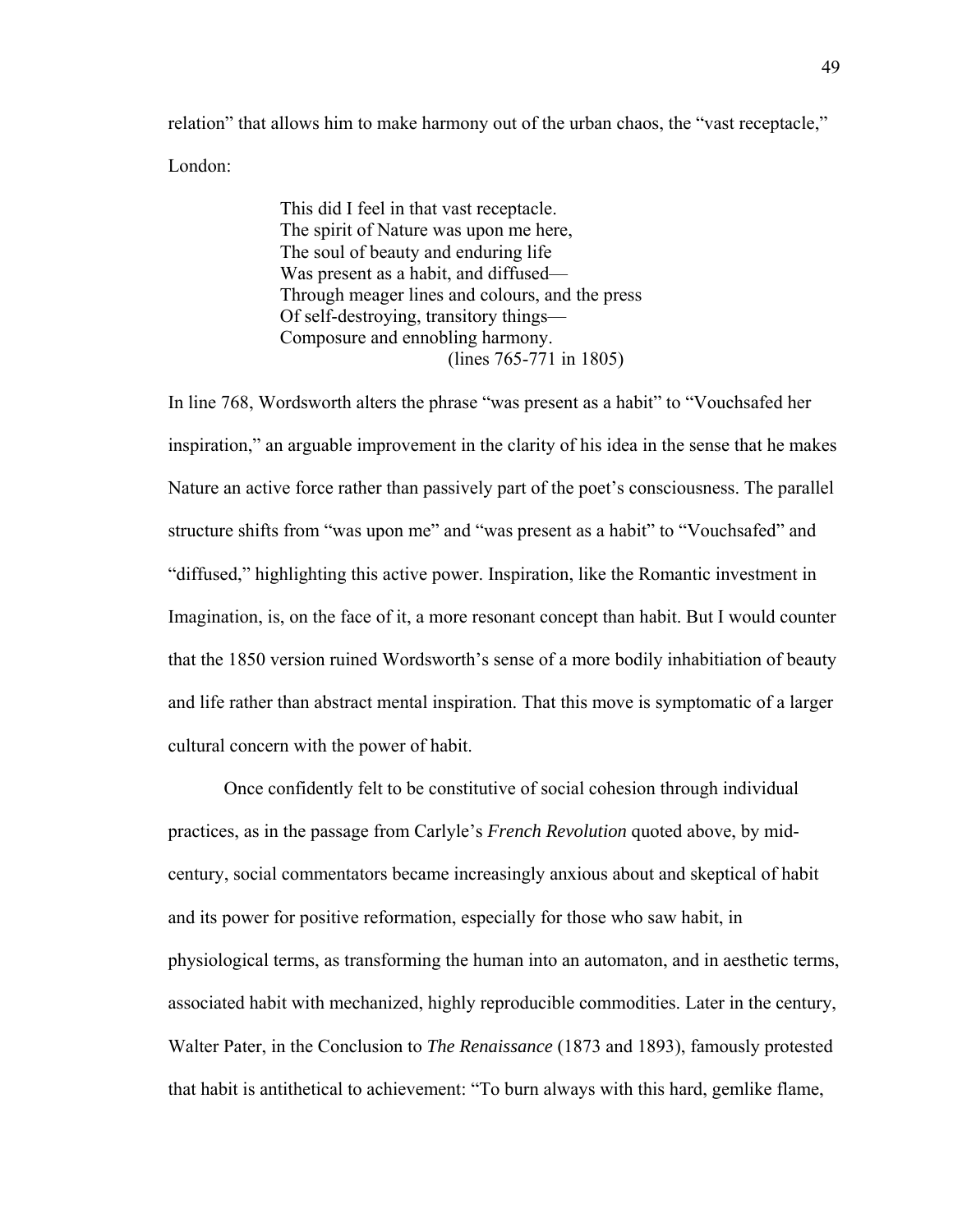relation" that allows him to make harmony out of the urban chaos, the "vast receptacle," London:

> This did I feel in that vast receptacle. The spirit of Nature was upon me here, The soul of beauty and enduring life Was present as a habit, and diffused— Through meager lines and colours, and the press Of self-destroying, transitory things— Composure and ennobling harmony. (lines 765-771 in 1805)

In line 768, Wordsworth alters the phrase "was present as a habit" to "Vouchsafed her inspiration," an arguable improvement in the clarity of his idea in the sense that he makes Nature an active force rather than passively part of the poet's consciousness. The parallel structure shifts from "was upon me" and "was present as a habit" to "Vouchsafed" and "diffused," highlighting this active power. Inspiration, like the Romantic investment in Imagination, is, on the face of it, a more resonant concept than habit. But I would counter that the 1850 version ruined Wordsworth's sense of a more bodily inhabitiation of beauty and life rather than abstract mental inspiration. That this move is symptomatic of a larger cultural concern with the power of habit.

Once confidently felt to be constitutive of social cohesion through individual practices, as in the passage from Carlyle's *French Revolution* quoted above, by midcentury, social commentators became increasingly anxious about and skeptical of habit and its power for positive reformation, especially for those who saw habit, in physiological terms, as transforming the human into an automaton, and in aesthetic terms, associated habit with mechanized, highly reproducible commodities. Later in the century, Walter Pater, in the Conclusion to *The Renaissance* (1873 and 1893), famously protested that habit is antithetical to achievement: "To burn always with this hard, gemlike flame,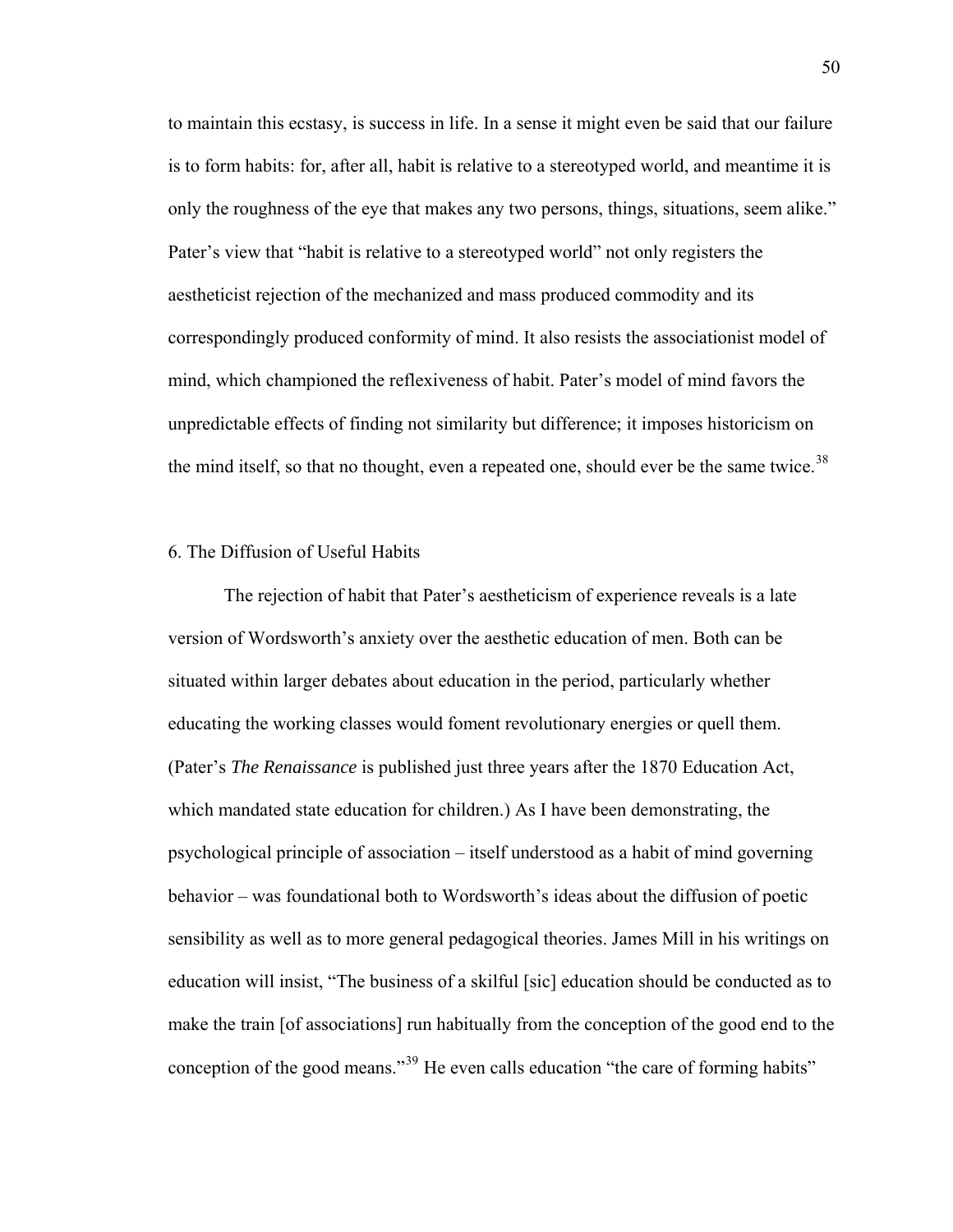to maintain this ecstasy, is success in life. In a sense it might even be said that our failure is to form habits: for, after all, habit is relative to a stereotyped world, and meantime it is only the roughness of the eye that makes any two persons, things, situations, seem alike." Pater's view that "habit is relative to a stereotyped world" not only registers the aestheticist rejection of the mechanized and mass produced commodity and its correspondingly produced conformity of mind. It also resists the associationist model of mind, which championed the reflexiveness of habit. Pater's model of mind favors the unpredictable effects of finding not similarity but difference; it imposes historicism on the mind itself, so that no thought, even a repeated one, should ever be the same twice.<sup>[38](#page-73-0)</sup>

### 6. The Diffusion of Useful Habits

The rejection of habit that Pater's aestheticism of experience reveals is a late version of Wordsworth's anxiety over the aesthetic education of men. Both can be situated within larger debates about education in the period, particularly whether educating the working classes would foment revolutionary energies or quell them. (Pater's *The Renaissance* is published just three years after the 1870 Education Act, which mandated state education for children.) As I have been demonstrating, the psychological principle of association – itself understood as a habit of mind governing behavior – was foundational both to Wordsworth's ideas about the diffusion of poetic sensibility as well as to more general pedagogical theories. James Mill in his writings on education will insist, "The business of a skilful [sic] education should be conducted as to make the train [of associations] run habitually from the conception of the good end to the conception of the good means."[39](#page-73-0) He even calls education "the care of forming habits"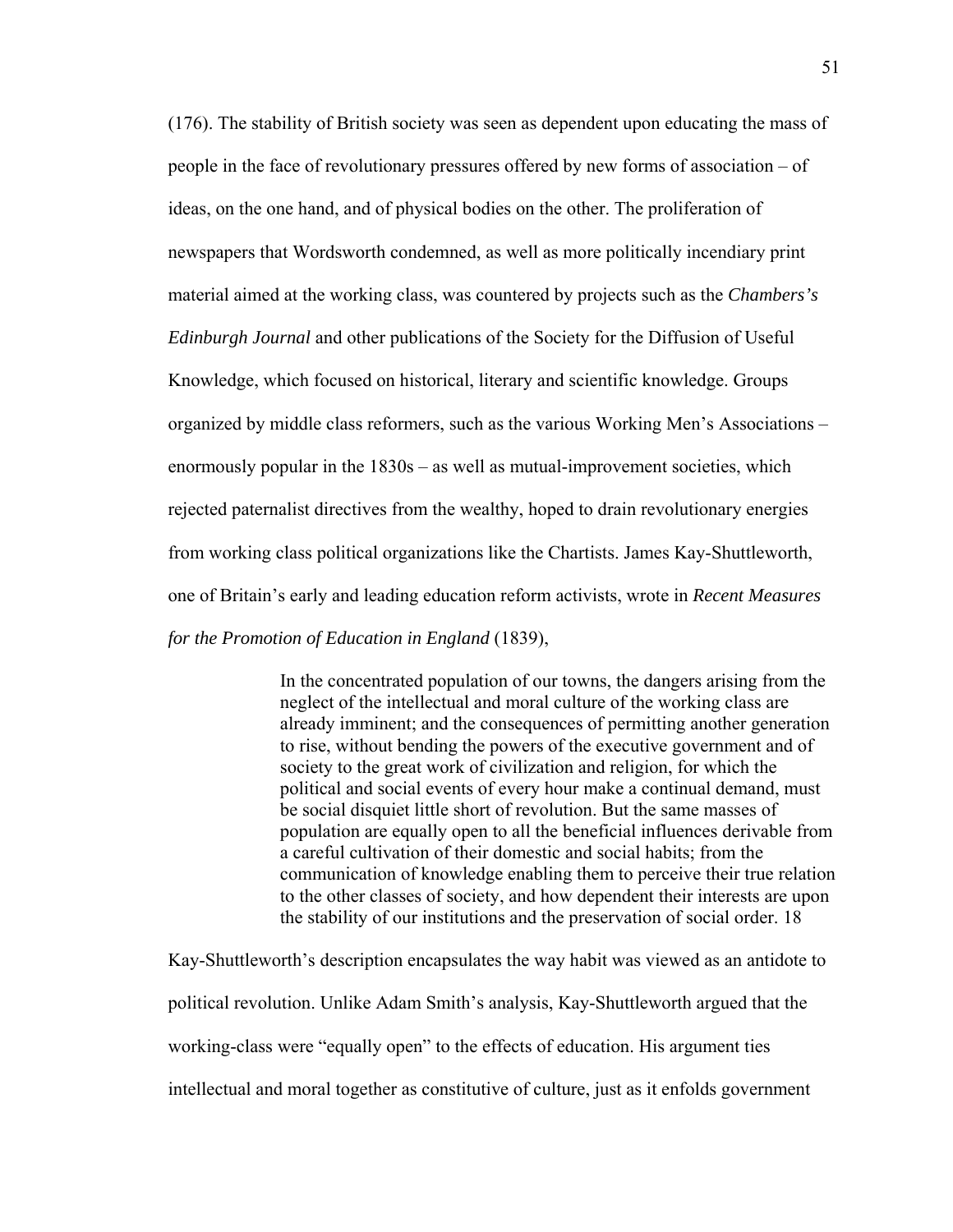(176). The stability of British society was seen as dependent upon educating the mass of people in the face of revolutionary pressures offered by new forms of association – of ideas, on the one hand, and of physical bodies on the other. The proliferation of newspapers that Wordsworth condemned, as well as more politically incendiary print material aimed at the working class, was countered by projects such as the *Chambers's Edinburgh Journal* and other publications of the Society for the Diffusion of Useful Knowledge, which focused on historical, literary and scientific knowledge. Groups organized by middle class reformers, such as the various Working Men's Associations – enormously popular in the 1830s – as well as mutual-improvement societies, which rejected paternalist directives from the wealthy, hoped to drain revolutionary energies from working class political organizations like the Chartists. James Kay-Shuttleworth, one of Britain's early and leading education reform activists, wrote in *Recent Measures for the Promotion of Education in England* (1839),

> In the concentrated population of our towns, the dangers arising from the neglect of the intellectual and moral culture of the working class are already imminent; and the consequences of permitting another generation to rise, without bending the powers of the executive government and of society to the great work of civilization and religion, for which the political and social events of every hour make a continual demand, must be social disquiet little short of revolution. But the same masses of population are equally open to all the beneficial influences derivable from a careful cultivation of their domestic and social habits; from the communication of knowledge enabling them to perceive their true relation to the other classes of society, and how dependent their interests are upon the stability of our institutions and the preservation of social order. 18

Kay-Shuttleworth's description encapsulates the way habit was viewed as an antidote to political revolution. Unlike Adam Smith's analysis, Kay-Shuttleworth argued that the working-class were "equally open" to the effects of education. His argument ties intellectual and moral together as constitutive of culture, just as it enfolds government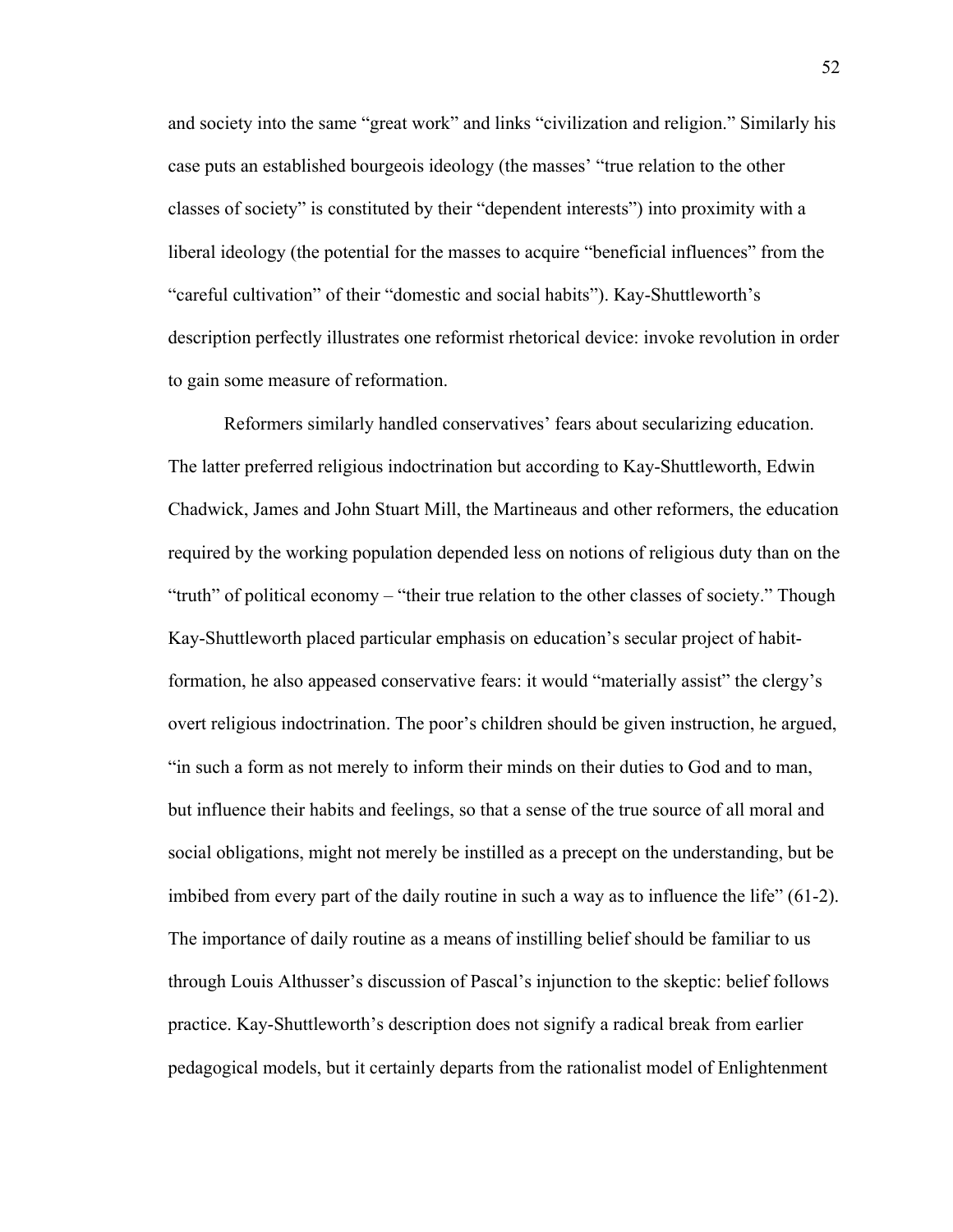and society into the same "great work" and links "civilization and religion." Similarly his case puts an established bourgeois ideology (the masses' "true relation to the other classes of society" is constituted by their "dependent interests") into proximity with a liberal ideology (the potential for the masses to acquire "beneficial influences" from the "careful cultivation" of their "domestic and social habits"). Kay-Shuttleworth's description perfectly illustrates one reformist rhetorical device: invoke revolution in order to gain some measure of reformation.

Reformers similarly handled conservatives' fears about secularizing education. The latter preferred religious indoctrination but according to Kay-Shuttleworth, Edwin Chadwick, James and John Stuart Mill, the Martineaus and other reformers, the education required by the working population depended less on notions of religious duty than on the "truth" of political economy – "their true relation to the other classes of society." Though Kay-Shuttleworth placed particular emphasis on education's secular project of habitformation, he also appeased conservative fears: it would "materially assist" the clergy's overt religious indoctrination. The poor's children should be given instruction, he argued, "in such a form as not merely to inform their minds on their duties to God and to man, but influence their habits and feelings, so that a sense of the true source of all moral and social obligations, might not merely be instilled as a precept on the understanding, but be imbibed from every part of the daily routine in such a way as to influence the life" (61-2). The importance of daily routine as a means of instilling belief should be familiar to us through Louis Althusser's discussion of Pascal's injunction to the skeptic: belief follows practice. Kay-Shuttleworth's description does not signify a radical break from earlier pedagogical models, but it certainly departs from the rationalist model of Enlightenment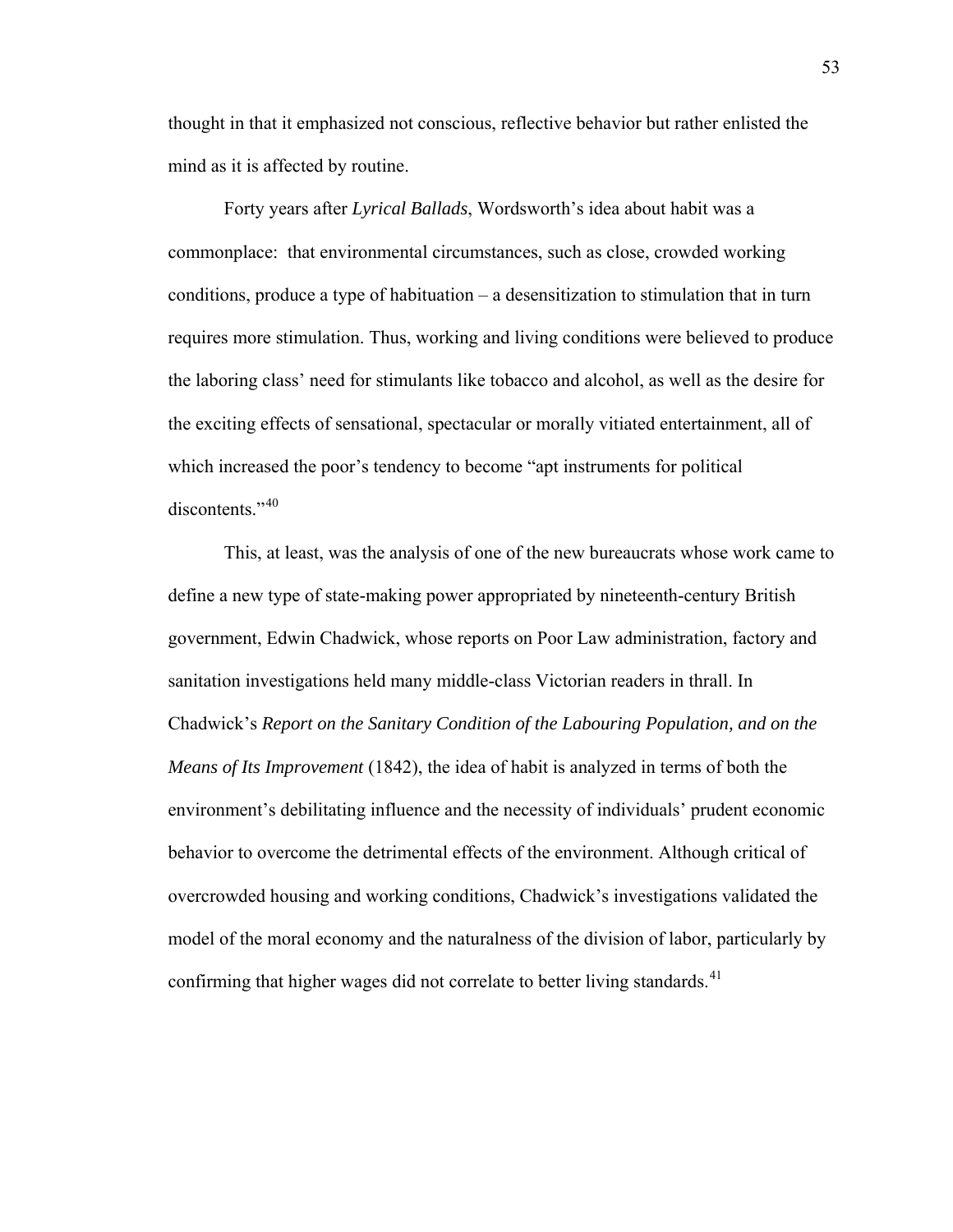thought in that it emphasized not conscious, reflective behavior but rather enlisted the mind as it is affected by routine.

Forty years after *Lyrical Ballads*, Wordsworth's idea about habit was a commonplace: that environmental circumstances, such as close, crowded working conditions, produce a type of habituation – a desensitization to stimulation that in turn requires more stimulation. Thus, working and living conditions were believed to produce the laboring class' need for stimulants like tobacco and alcohol, as well as the desire for the exciting effects of sensational, spectacular or morally vitiated entertainment, all of which increased the poor's tendency to become "apt instruments for political discontents<sup>"[40](#page-73-0)</sup>

This, at least, was the analysis of one of the new bureaucrats whose work came to define a new type of state-making power appropriated by nineteenth-century British government, Edwin Chadwick, whose reports on Poor Law administration, factory and sanitation investigations held many middle-class Victorian readers in thrall. In Chadwick's *Report on the Sanitary Condition of the Labouring Population, and on the Means of Its Improvement* (1842), the idea of habit is analyzed in terms of both the environment's debilitating influence and the necessity of individuals' prudent economic behavior to overcome the detrimental effects of the environment. Although critical of overcrowded housing and working conditions, Chadwick's investigations validated the model of the moral economy and the naturalness of the division of labor, particularly by confirming that higher wages did not correlate to better living standards.<sup>[41](#page-73-0)</sup>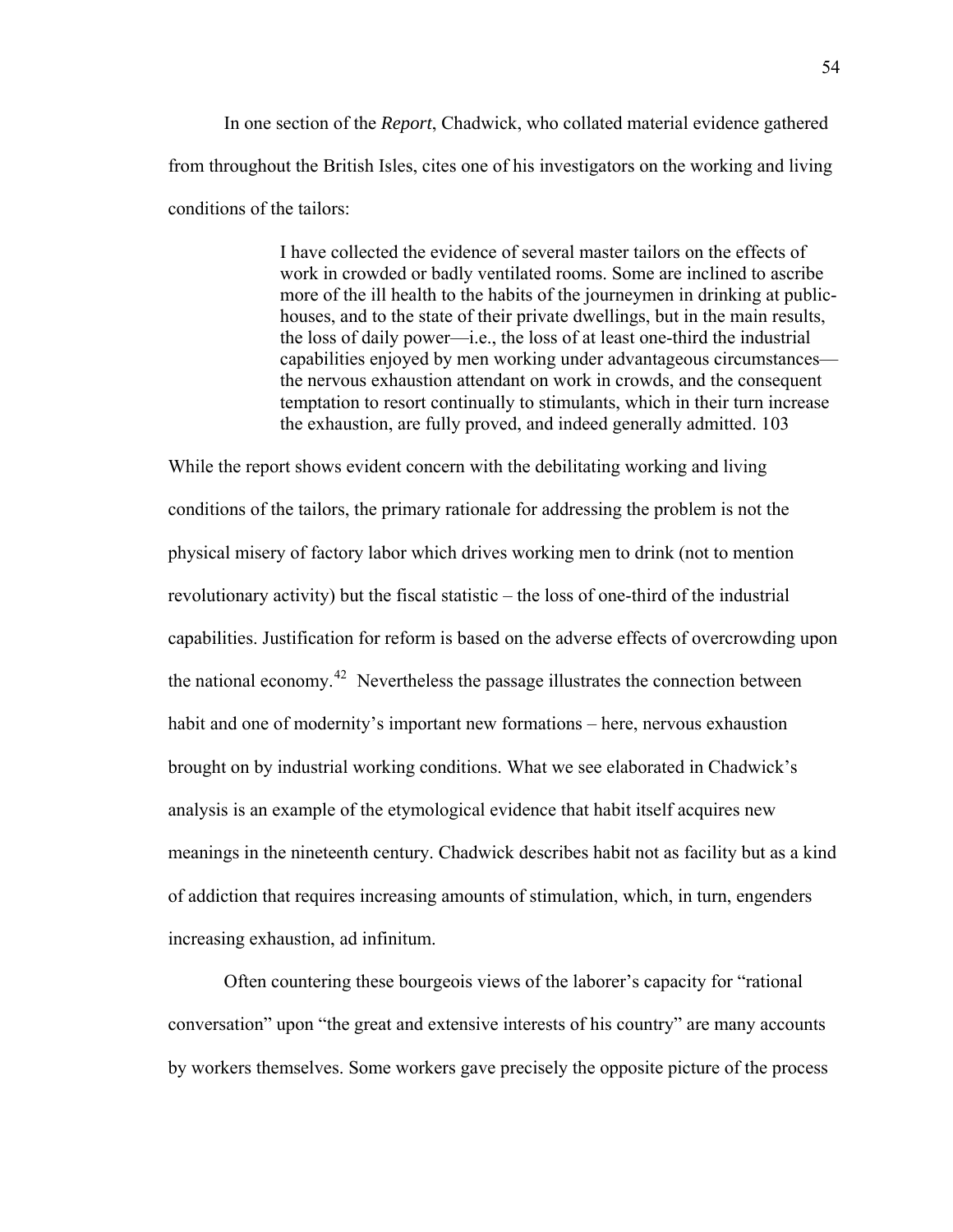In one section of the *Report*, Chadwick, who collated material evidence gathered from throughout the British Isles, cites one of his investigators on the working and living conditions of the tailors:

> I have collected the evidence of several master tailors on the effects of work in crowded or badly ventilated rooms. Some are inclined to ascribe more of the ill health to the habits of the journeymen in drinking at publichouses, and to the state of their private dwellings, but in the main results, the loss of daily power—i.e., the loss of at least one-third the industrial capabilities enjoyed by men working under advantageous circumstances the nervous exhaustion attendant on work in crowds, and the consequent temptation to resort continually to stimulants, which in their turn increase the exhaustion, are fully proved, and indeed generally admitted. 103

While the report shows evident concern with the debilitating working and living conditions of the tailors, the primary rationale for addressing the problem is not the physical misery of factory labor which drives working men to drink (not to mention revolutionary activity) but the fiscal statistic – the loss of one-third of the industrial capabilities. Justification for reform is based on the adverse effects of overcrowding upon the national economy.<sup>[42](#page-74-0)</sup> Nevertheless the passage illustrates the connection between habit and one of modernity's important new formations – here, nervous exhaustion brought on by industrial working conditions. What we see elaborated in Chadwick's analysis is an example of the etymological evidence that habit itself acquires new meanings in the nineteenth century. Chadwick describes habit not as facility but as a kind of addiction that requires increasing amounts of stimulation, which, in turn, engenders increasing exhaustion, ad infinitum.

Often countering these bourgeois views of the laborer's capacity for "rational conversation" upon "the great and extensive interests of his country" are many accounts by workers themselves. Some workers gave precisely the opposite picture of the process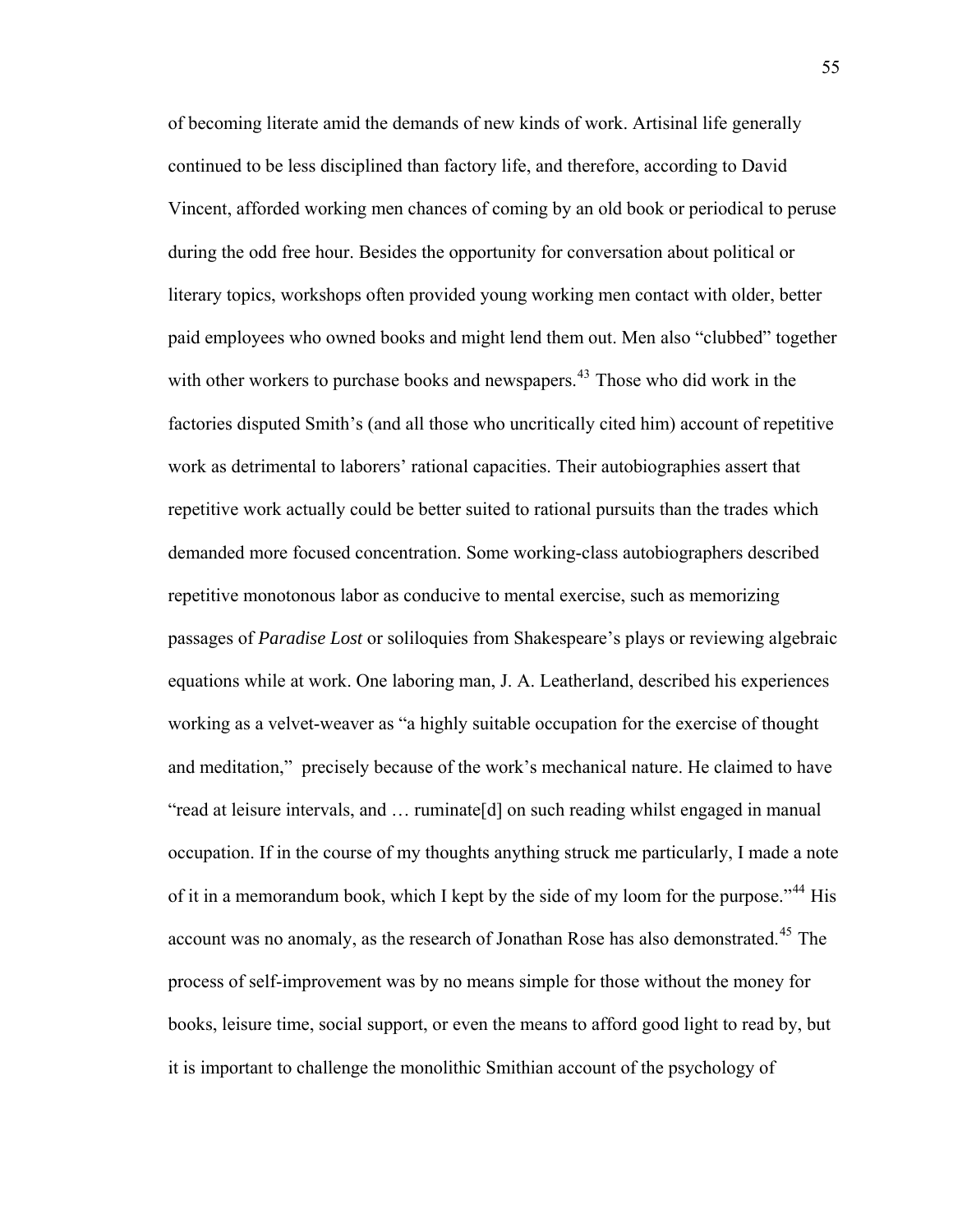of becoming literate amid the demands of new kinds of work. Artisinal life generally continued to be less disciplined than factory life, and therefore, according to David Vincent, afforded working men chances of coming by an old book or periodical to peruse during the odd free hour. Besides the opportunity for conversation about political or literary topics, workshops often provided young working men contact with older, better paid employees who owned books and might lend them out. Men also "clubbed" together with other workers to purchase books and newspapers.<sup>[43](#page-74-0)</sup> Those who did work in the factories disputed Smith's (and all those who uncritically cited him) account of repetitive work as detrimental to laborers' rational capacities. Their autobiographies assert that repetitive work actually could be better suited to rational pursuits than the trades which demanded more focused concentration. Some working-class autobiographers described repetitive monotonous labor as conducive to mental exercise, such as memorizing passages of *Paradise Lost* or soliloquies from Shakespeare's plays or reviewing algebraic equations while at work. One laboring man, J. A. Leatherland, described his experiences working as a velvet-weaver as "a highly suitable occupation for the exercise of thought and meditation," precisely because of the work's mechanical nature. He claimed to have "read at leisure intervals, and … ruminate[d] on such reading whilst engaged in manual occupation. If in the course of my thoughts anything struck me particularly, I made a note of it in a memorandum book, which I kept by the side of my loom for the purpose."<sup>[44](#page-74-0)</sup> His account was no anomaly, as the research of Jonathan Rose has also demonstrated.<sup>[45](#page-74-0)</sup> The process of self-improvement was by no means simple for those without the money for books, leisure time, social support, or even the means to afford good light to read by, but it is important to challenge the monolithic Smithian account of the psychology of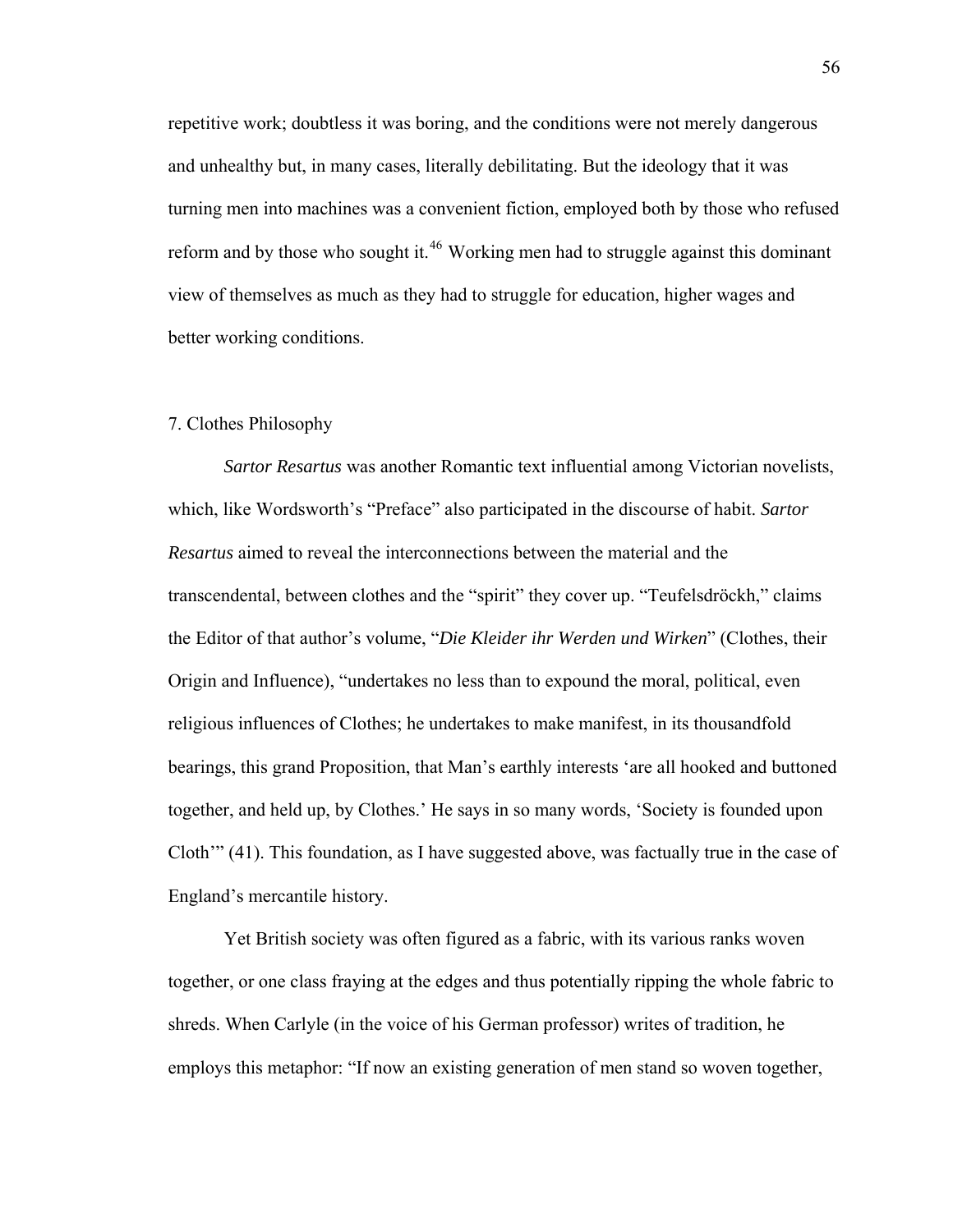repetitive work; doubtless it was boring, and the conditions were not merely dangerous and unhealthy but, in many cases, literally debilitating. But the ideology that it was turning men into machines was a convenient fiction, employed both by those who refused reform and by those who sought it.<sup>[46](#page-74-0)</sup> Working men had to struggle against this dominant view of themselves as much as they had to struggle for education, higher wages and better working conditions.

### 7. Clothes Philosophy

*Sartor Resartus* was another Romantic text influential among Victorian novelists, which, like Wordsworth's "Preface" also participated in the discourse of habit. *Sartor Resartus* aimed to reveal the interconnections between the material and the transcendental, between clothes and the "spirit" they cover up. "Teufelsdröckh," claims the Editor of that author's volume, "*Die Kleider ihr Werden und Wirken*" (Clothes, their Origin and Influence), "undertakes no less than to expound the moral, political, even religious influences of Clothes; he undertakes to make manifest, in its thousandfold bearings, this grand Proposition, that Man's earthly interests 'are all hooked and buttoned together, and held up, by Clothes.' He says in so many words, 'Society is founded upon Cloth'" (41). This foundation, as I have suggested above, was factually true in the case of England's mercantile history.

Yet British society was often figured as a fabric, with its various ranks woven together, or one class fraying at the edges and thus potentially ripping the whole fabric to shreds. When Carlyle (in the voice of his German professor) writes of tradition, he employs this metaphor: "If now an existing generation of men stand so woven together,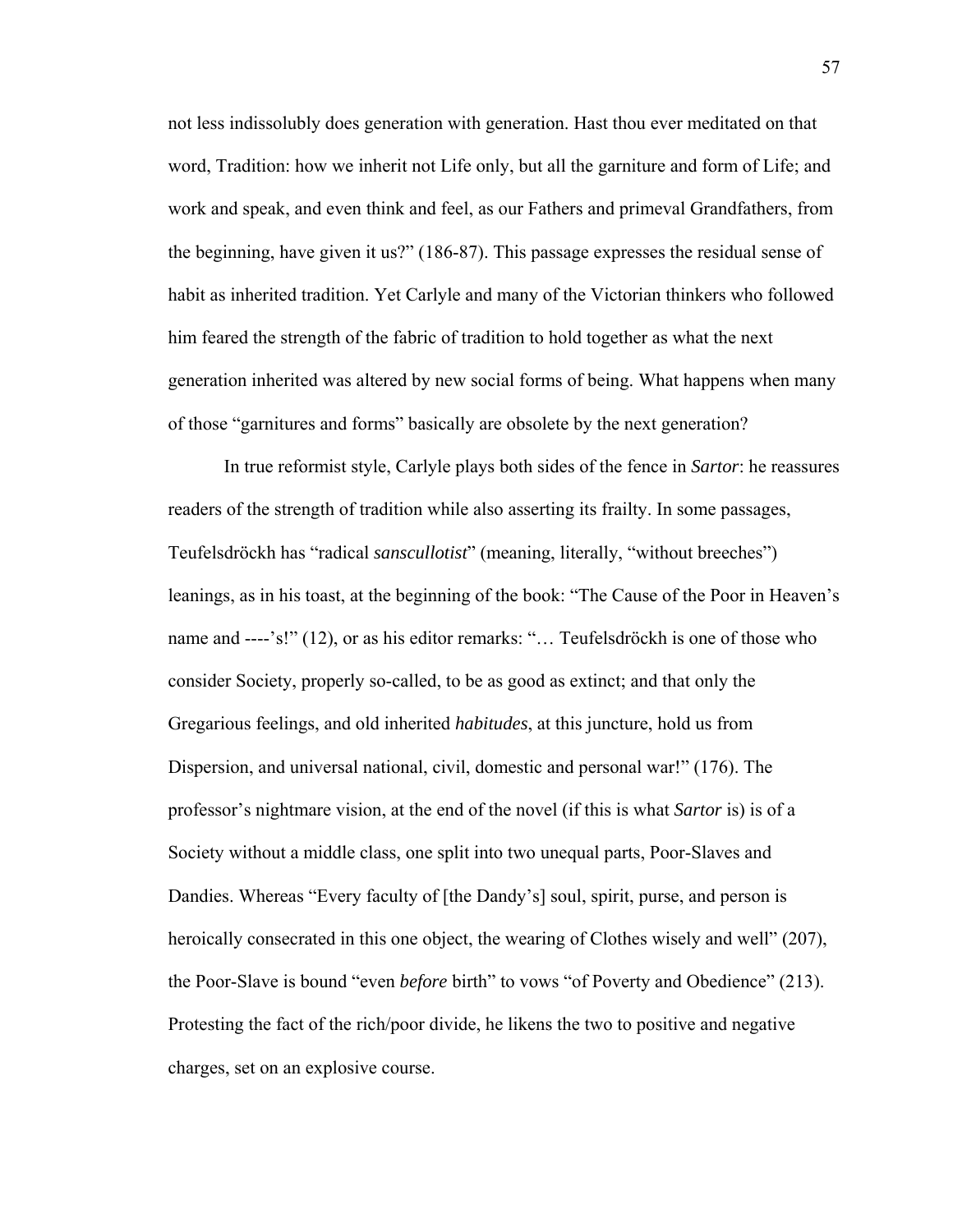not less indissolubly does generation with generation. Hast thou ever meditated on that word, Tradition: how we inherit not Life only, but all the garniture and form of Life; and work and speak, and even think and feel, as our Fathers and primeval Grandfathers, from the beginning, have given it us?" (186-87). This passage expresses the residual sense of habit as inherited tradition. Yet Carlyle and many of the Victorian thinkers who followed him feared the strength of the fabric of tradition to hold together as what the next generation inherited was altered by new social forms of being. What happens when many of those "garnitures and forms" basically are obsolete by the next generation?

In true reformist style, Carlyle plays both sides of the fence in *Sartor*: he reassures readers of the strength of tradition while also asserting its frailty. In some passages, Teufelsdröckh has "radical *sanscullotist*" (meaning, literally, "without breeches") leanings, as in his toast, at the beginning of the book: "The Cause of the Poor in Heaven's name and ----'s!" (12), or as his editor remarks: "... Teufelsdröckh is one of those who consider Society, properly so-called, to be as good as extinct; and that only the Gregarious feelings, and old inherited *habitudes*, at this juncture, hold us from Dispersion, and universal national, civil, domestic and personal war!" (176). The professor's nightmare vision, at the end of the novel (if this is what *Sartor* is) is of a Society without a middle class, one split into two unequal parts, Poor-Slaves and Dandies. Whereas "Every faculty of [the Dandy's] soul, spirit, purse, and person is heroically consecrated in this one object, the wearing of Clothes wisely and well" (207), the Poor-Slave is bound "even *before* birth" to vows "of Poverty and Obedience" (213). Protesting the fact of the rich/poor divide, he likens the two to positive and negative charges, set on an explosive course.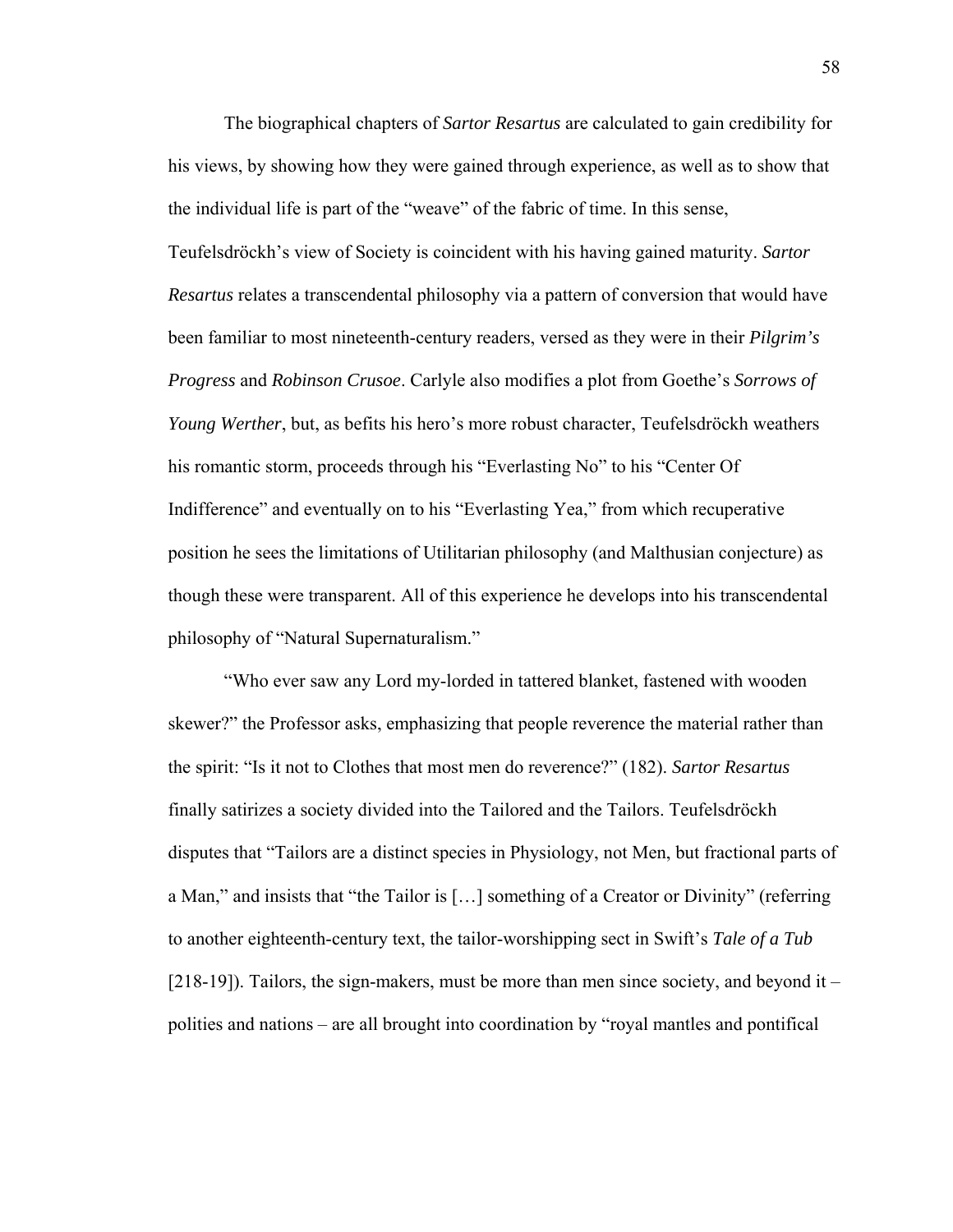The biographical chapters of *Sartor Resartus* are calculated to gain credibility for his views, by showing how they were gained through experience, as well as to show that the individual life is part of the "weave" of the fabric of time. In this sense, Teufelsdröckh's view of Society is coincident with his having gained maturity. *Sartor Resartus* relates a transcendental philosophy via a pattern of conversion that would have been familiar to most nineteenth-century readers, versed as they were in their *Pilgrim's Progress* and *Robinson Crusoe*. Carlyle also modifies a plot from Goethe's *Sorrows of Young Werther*, but, as befits his hero's more robust character, Teufelsdröckh weathers his romantic storm, proceeds through his "Everlasting No" to his "Center Of Indifference" and eventually on to his "Everlasting Yea," from which recuperative position he sees the limitations of Utilitarian philosophy (and Malthusian conjecture) as though these were transparent. All of this experience he develops into his transcendental philosophy of "Natural Supernaturalism."

"Who ever saw any Lord my-lorded in tattered blanket, fastened with wooden skewer?" the Professor asks, emphasizing that people reverence the material rather than the spirit: "Is it not to Clothes that most men do reverence?" (182). *Sartor Resartus* finally satirizes a society divided into the Tailored and the Tailors. Teufelsdröckh disputes that "Tailors are a distinct species in Physiology, not Men, but fractional parts of a Man," and insists that "the Tailor is […] something of a Creator or Divinity" (referring to another eighteenth-century text, the tailor-worshipping sect in Swift's *Tale of a Tub*   $[218-19]$ ). Tailors, the sign-makers, must be more than men since society, and beyond it – polities and nations – are all brought into coordination by "royal mantles and pontifical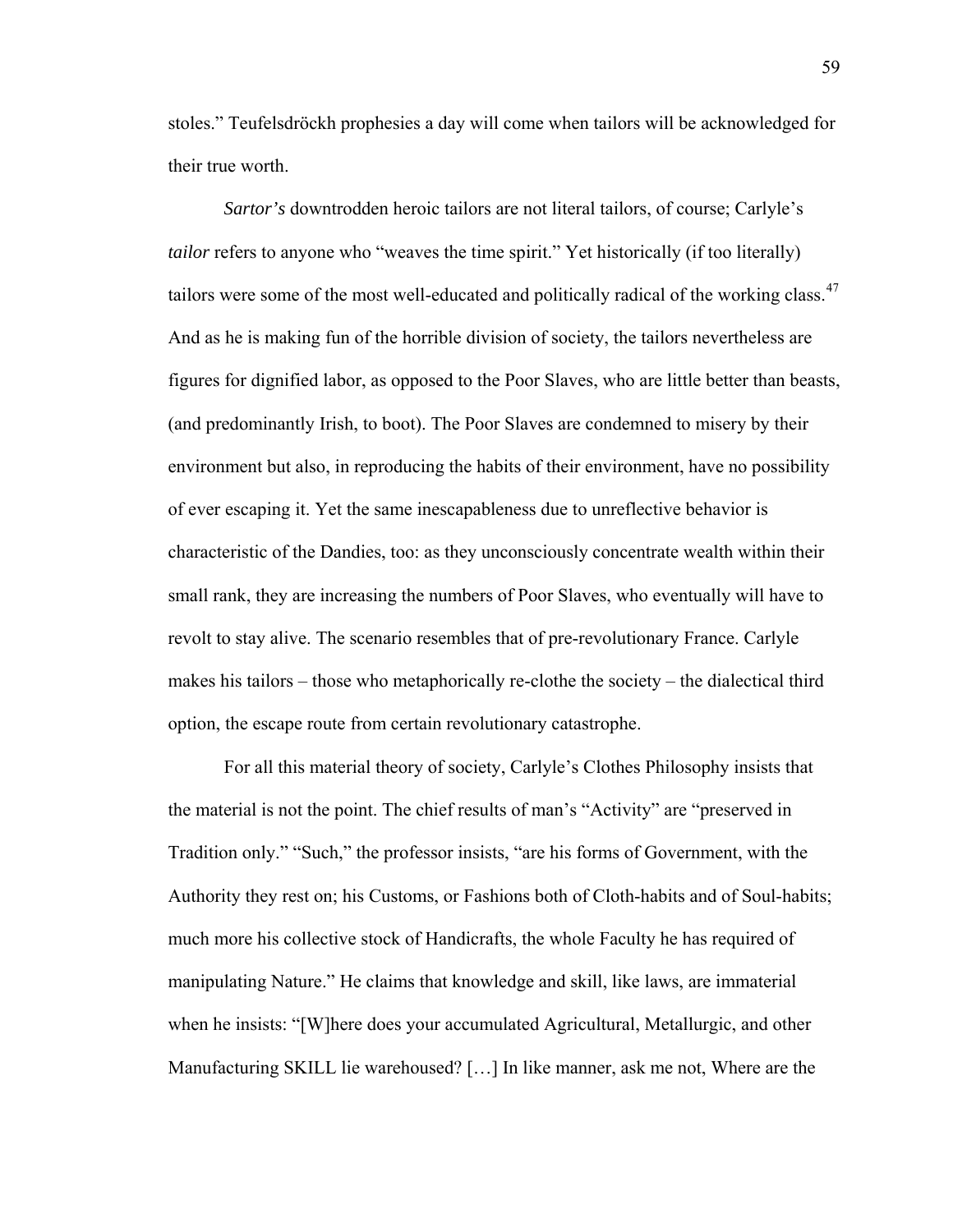stoles." Teufelsdröckh prophesies a day will come when tailors will be acknowledged for their true worth.

*Sartor's* downtrodden heroic tailors are not literal tailors, of course; Carlyle's *tailor* refers to anyone who "weaves the time spirit." Yet historically (if too literally) tailors were some of the most well-educated and politically radical of the working class.<sup>[47](#page-74-0)</sup> And as he is making fun of the horrible division of society, the tailors nevertheless are figures for dignified labor, as opposed to the Poor Slaves, who are little better than beasts, (and predominantly Irish, to boot). The Poor Slaves are condemned to misery by their environment but also, in reproducing the habits of their environment, have no possibility of ever escaping it. Yet the same inescapableness due to unreflective behavior is characteristic of the Dandies, too: as they unconsciously concentrate wealth within their small rank, they are increasing the numbers of Poor Slaves, who eventually will have to revolt to stay alive. The scenario resembles that of pre-revolutionary France. Carlyle makes his tailors – those who metaphorically re-clothe the society – the dialectical third option, the escape route from certain revolutionary catastrophe.

 For all this material theory of society, Carlyle's Clothes Philosophy insists that the material is not the point. The chief results of man's "Activity" are "preserved in Tradition only." "Such," the professor insists, "are his forms of Government, with the Authority they rest on; his Customs, or Fashions both of Cloth-habits and of Soul-habits; much more his collective stock of Handicrafts, the whole Faculty he has required of manipulating Nature." He claims that knowledge and skill, like laws, are immaterial when he insists: "[W]here does your accumulated Agricultural, Metallurgic, and other Manufacturing SKILL lie warehoused? […] In like manner, ask me not, Where are the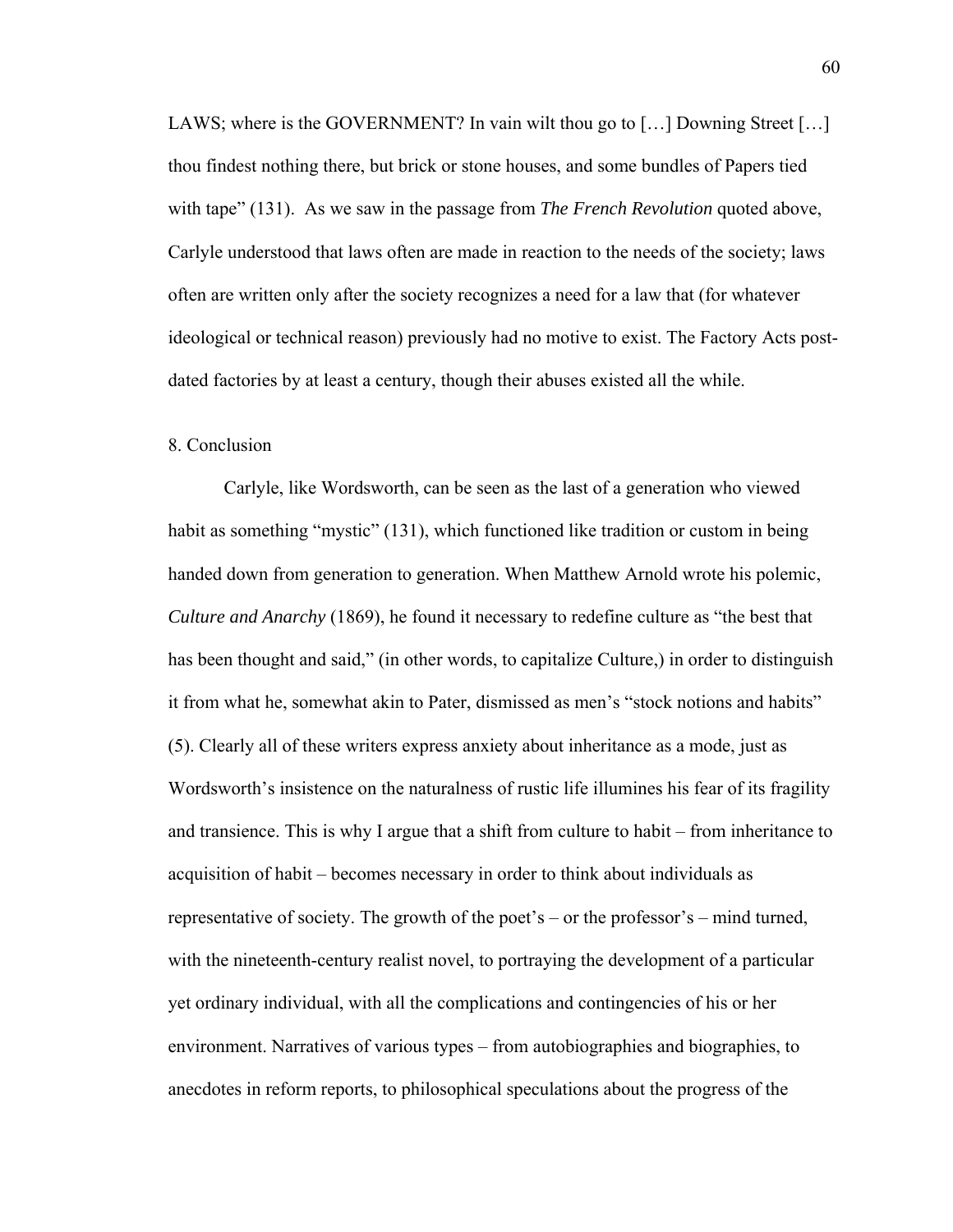LAWS; where is the GOVERNMENT? In vain wilt thou go to [...] Downing Street [...] thou findest nothing there, but brick or stone houses, and some bundles of Papers tied with tape" (131). As we saw in the passage from *The French Revolution* quoted above, Carlyle understood that laws often are made in reaction to the needs of the society; laws often are written only after the society recognizes a need for a law that (for whatever ideological or technical reason) previously had no motive to exist. The Factory Acts postdated factories by at least a century, though their abuses existed all the while.

# 8. Conclusion

Carlyle, like Wordsworth, can be seen as the last of a generation who viewed habit as something "mystic" (131), which functioned like tradition or custom in being handed down from generation to generation. When Matthew Arnold wrote his polemic, *Culture and Anarchy* (1869), he found it necessary to redefine culture as "the best that has been thought and said," (in other words, to capitalize Culture,) in order to distinguish it from what he, somewhat akin to Pater, dismissed as men's "stock notions and habits" (5). Clearly all of these writers express anxiety about inheritance as a mode, just as Wordsworth's insistence on the naturalness of rustic life illumines his fear of its fragility and transience. This is why I argue that a shift from culture to habit – from inheritance to acquisition of habit – becomes necessary in order to think about individuals as representative of society. The growth of the poet's – or the professor's – mind turned, with the nineteenth-century realist novel, to portraying the development of a particular yet ordinary individual, with all the complications and contingencies of his or her environment. Narratives of various types – from autobiographies and biographies, to anecdotes in reform reports, to philosophical speculations about the progress of the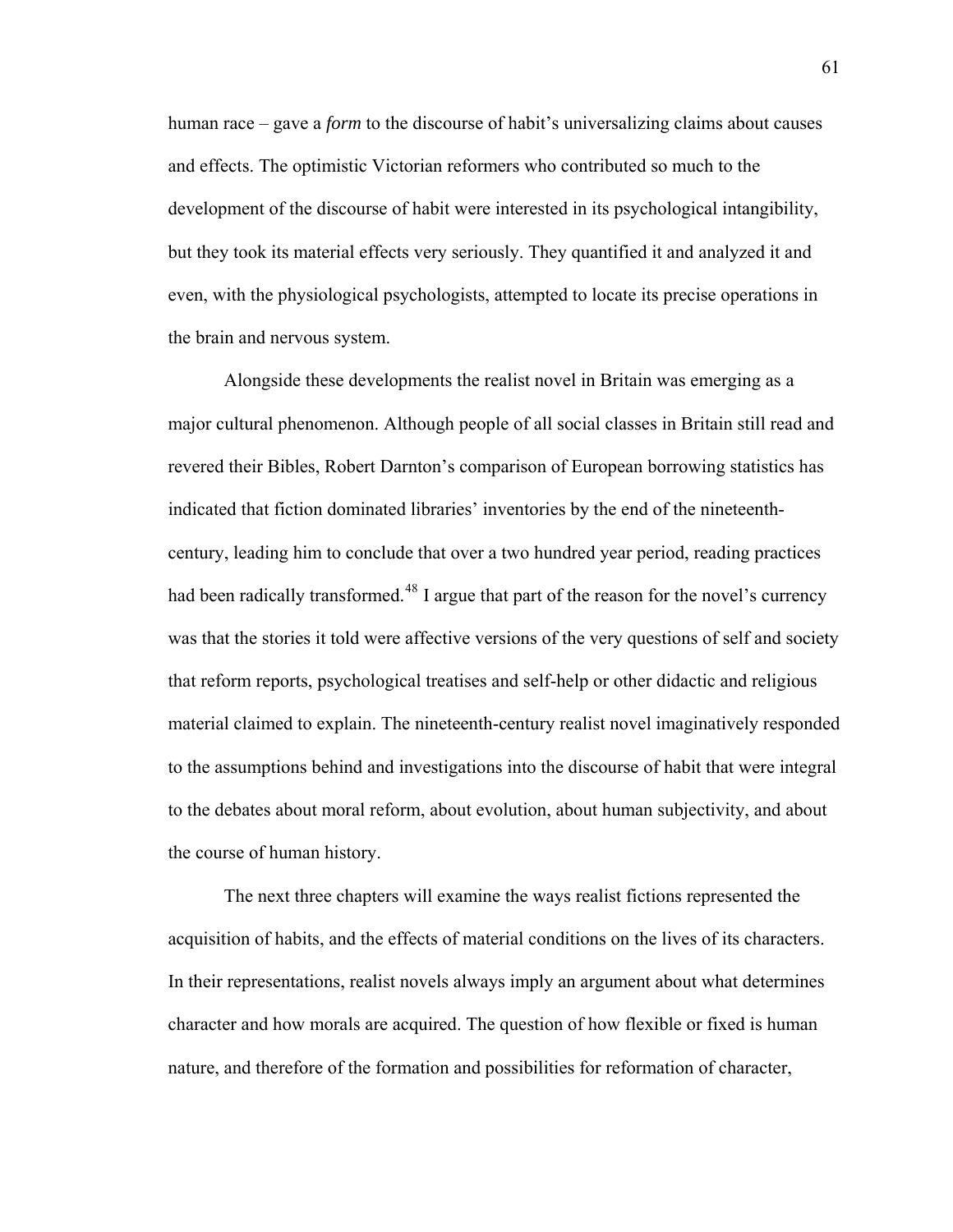human race – gave a *form* to the discourse of habit's universalizing claims about causes and effects. The optimistic Victorian reformers who contributed so much to the development of the discourse of habit were interested in its psychological intangibility, but they took its material effects very seriously. They quantified it and analyzed it and even, with the physiological psychologists, attempted to locate its precise operations in the brain and nervous system.

Alongside these developments the realist novel in Britain was emerging as a major cultural phenomenon. Although people of all social classes in Britain still read and revered their Bibles, Robert Darnton's comparison of European borrowing statistics has indicated that fiction dominated libraries' inventories by the end of the nineteenthcentury, leading him to conclude that over a two hundred year period, reading practices had been radically transformed.<sup>[48](#page-74-0)</sup> I argue that part of the reason for the novel's currency was that the stories it told were affective versions of the very questions of self and society that reform reports, psychological treatises and self-help or other didactic and religious material claimed to explain. The nineteenth-century realist novel imaginatively responded to the assumptions behind and investigations into the discourse of habit that were integral to the debates about moral reform, about evolution, about human subjectivity, and about the course of human history.

The next three chapters will examine the ways realist fictions represented the acquisition of habits, and the effects of material conditions on the lives of its characters. In their representations, realist novels always imply an argument about what determines character and how morals are acquired. The question of how flexible or fixed is human nature, and therefore of the formation and possibilities for reformation of character,

61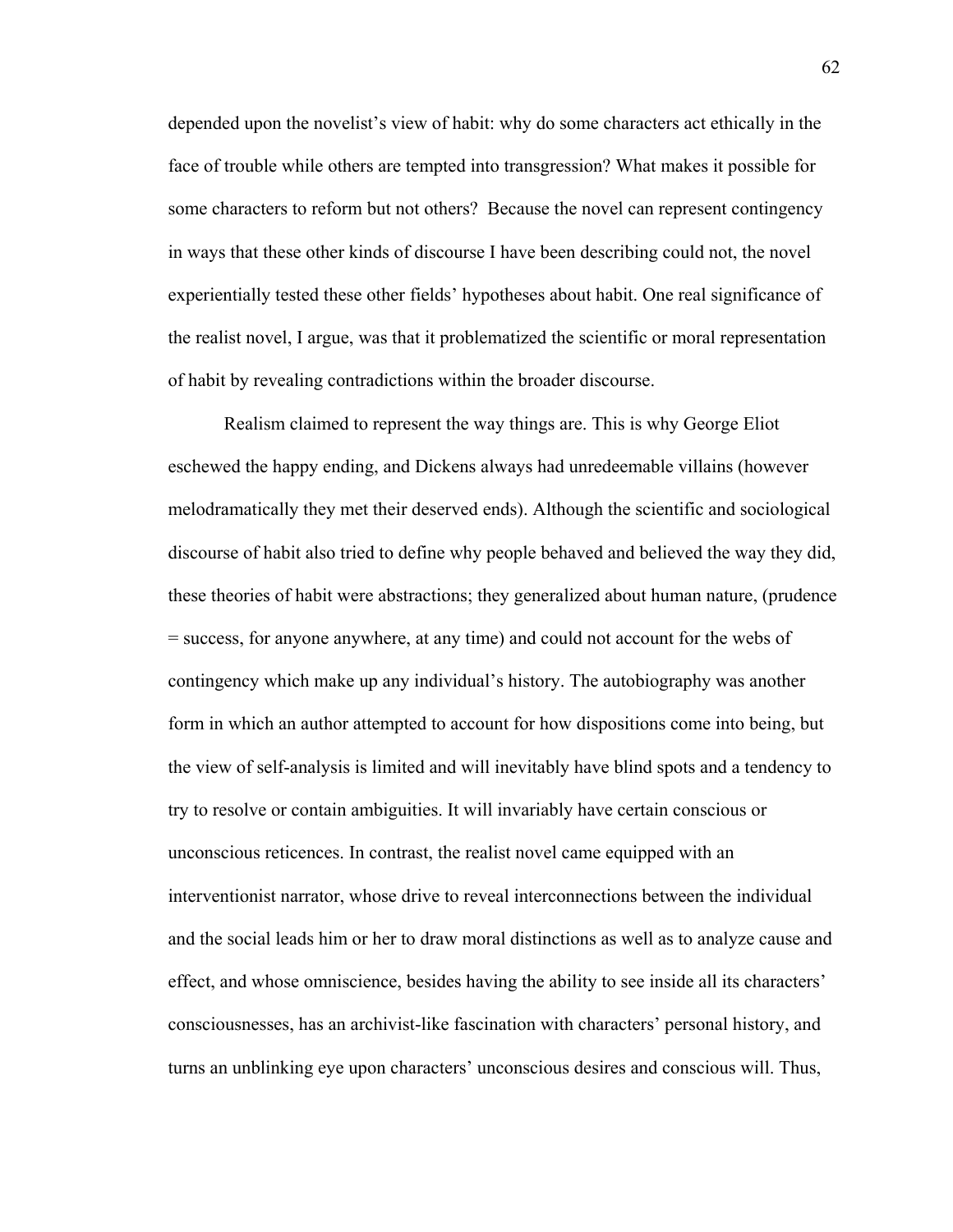depended upon the novelist's view of habit: why do some characters act ethically in the face of trouble while others are tempted into transgression? What makes it possible for some characters to reform but not others? Because the novel can represent contingency in ways that these other kinds of discourse I have been describing could not, the novel experientially tested these other fields' hypotheses about habit. One real significance of the realist novel, I argue, was that it problematized the scientific or moral representation of habit by revealing contradictions within the broader discourse.

Realism claimed to represent the way things are. This is why George Eliot eschewed the happy ending, and Dickens always had unredeemable villains (however melodramatically they met their deserved ends). Although the scientific and sociological discourse of habit also tried to define why people behaved and believed the way they did, these theories of habit were abstractions; they generalized about human nature, (prudence = success, for anyone anywhere, at any time) and could not account for the webs of contingency which make up any individual's history. The autobiography was another form in which an author attempted to account for how dispositions come into being, but the view of self-analysis is limited and will inevitably have blind spots and a tendency to try to resolve or contain ambiguities. It will invariably have certain conscious or unconscious reticences. In contrast, the realist novel came equipped with an interventionist narrator, whose drive to reveal interconnections between the individual and the social leads him or her to draw moral distinctions as well as to analyze cause and effect, and whose omniscience, besides having the ability to see inside all its characters' consciousnesses, has an archivist-like fascination with characters' personal history, and turns an unblinking eye upon characters' unconscious desires and conscious will. Thus,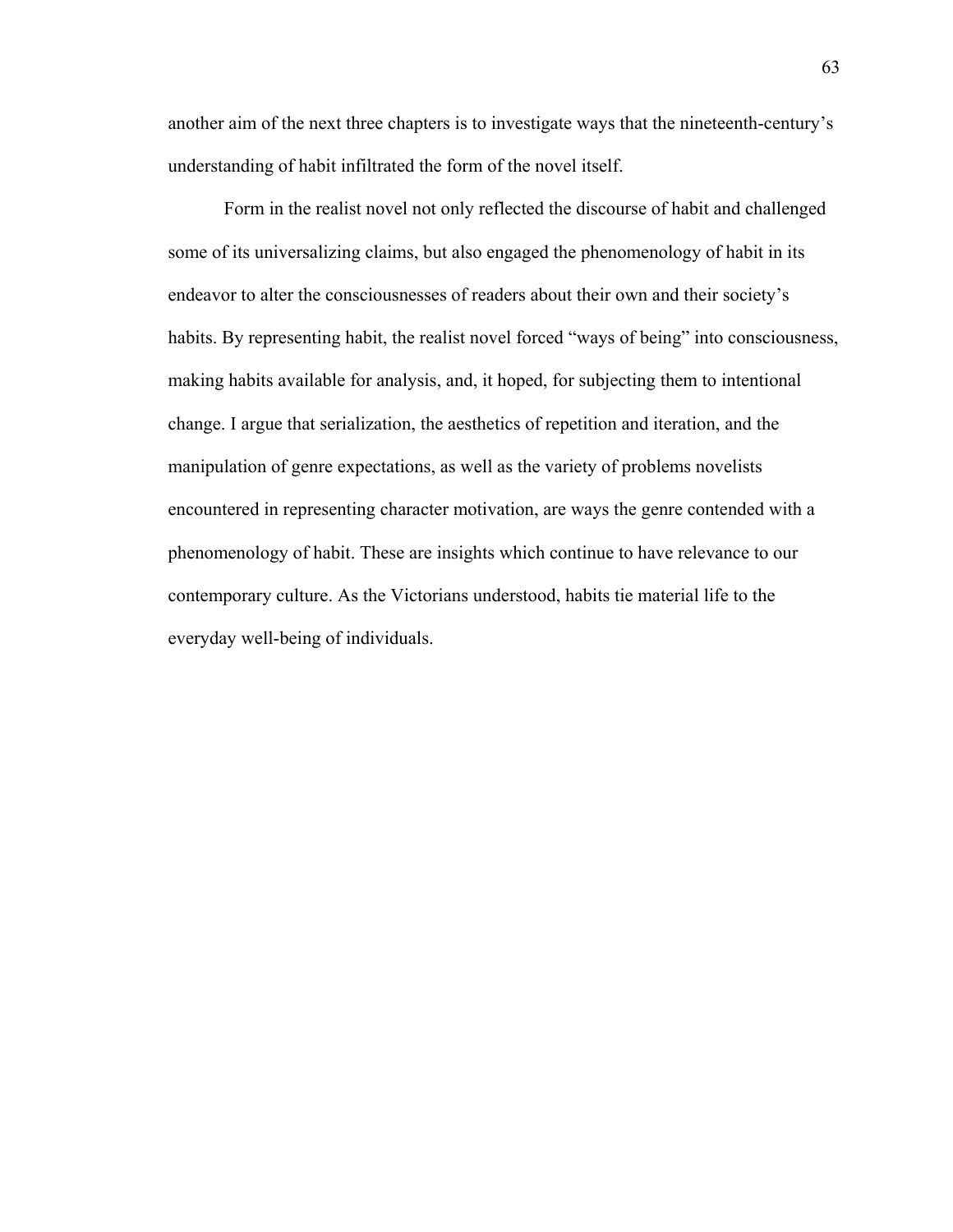another aim of the next three chapters is to investigate ways that the nineteenth-century's understanding of habit infiltrated the form of the novel itself.

Form in the realist novel not only reflected the discourse of habit and challenged some of its universalizing claims, but also engaged the phenomenology of habit in its endeavor to alter the consciousnesses of readers about their own and their society's habits. By representing habit, the realist novel forced "ways of being" into consciousness, making habits available for analysis, and, it hoped, for subjecting them to intentional change. I argue that serialization, the aesthetics of repetition and iteration, and the manipulation of genre expectations, as well as the variety of problems novelists encountered in representing character motivation, are ways the genre contended with a phenomenology of habit. These are insights which continue to have relevance to our contemporary culture. As the Victorians understood, habits tie material life to the everyday well-being of individuals.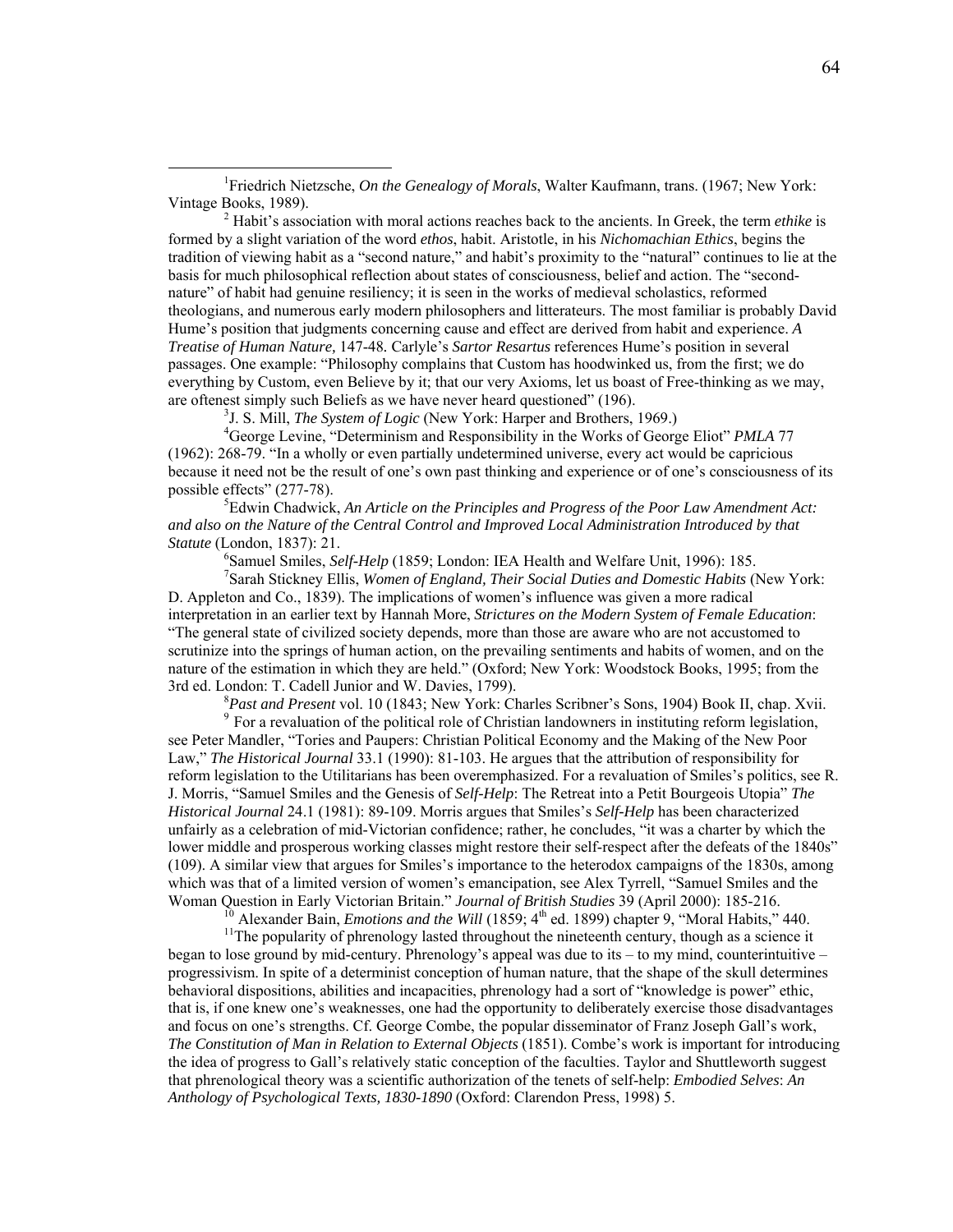$\frac{1}{1}$ Friedrich Nietzsche, *On the Genealogy of Morals*, Walter Kaufmann, trans. (1967; New York: Vintage Books, 1989).

<sup>2</sup> Habit's association with moral actions reaches back to the ancients. In Greek, the term *ethike* is formed by a slight variation of the word *ethos*, habit. Aristotle, in his *Nichomachian Ethics*, begins the tradition of viewing habit as a "second nature," and habit's proximity to the "natural" continues to lie at the basis for much philosophical reflection about states of consciousness, belief and action. The "secondnature" of habit had genuine resiliency; it is seen in the works of medieval scholastics, reformed theologians, and numerous early modern philosophers and litterateurs. The most familiar is probably David Hume's position that judgments concerning cause and effect are derived from habit and experience. *A Treatise of Human Nature,* 147-48*.* Carlyle's *Sartor Resartus* references Hume's position in several passages. One example: "Philosophy complains that Custom has hoodwinked us, from the first; we do everything by Custom, even Believe by it; that our very Axioms, let us boast of Free-thinking as we may, are oftenest simply such Beliefs as we have never heard questioned" (196).

<sup>3</sup>J. S. Mill, *The System of Logic* (New York: Harper and Brothers, 1969.)

George Levine, "Determinism and Responsibility in the Works of George Eliot" *PMLA* 77 (1962): 268-79. "In a wholly or even partially undetermined universe, every act would be capricious because it need not be the result of one's own past thinking and experience or of one's consciousness of its possible effects" (277-78).

Edwin Chadwick, *An Article on the Principles and Progress of the Poor Law Amendment Act: and also on the Nature of the Central Control and Improved Local Administration Introduced by that Statute* (London, 1837): 21.

Samuel Smiles, *Self-Help* (1859; London: IEA Health and Welfare Unit, 1996): 185. 7

Sarah Stickney Ellis, *Women of England, Their Social Duties and Domestic Habits* (New York: D. Appleton and Co., 1839). The implications of women's influence was given a more radical interpretation in an earlier text by Hannah More, *Strictures on the Modern System of Female Education*: "The general state of civilized society depends, more than those are aware who are not accustomed to scrutinize into the springs of human action, on the prevailing sentiments and habits of women, and on the nature of the estimation in which they are held." (Oxford; New York: Woodstock Books, 1995; from the 3rd ed. London: T. Cadell Junior and W. Davies, 1799).<br><sup>8</sup>Past and Present vol. 10 (1843; New York: Charles Scribner's Sons, 1904) Book II, chap. Xvii.

<sup>9</sup> For a revaluation of the political role of Christian landowners in instituting reform legislation, see Peter Mandler, "Tories and Paupers: Christian Political Economy and the Making of the New Poor Law," *The Historical Journal* 33.1 (1990): 81-103. He argues that the attribution of responsibility for reform legislation to the Utilitarians has been overemphasized. For a revaluation of Smiles's politics, see R. J. Morris, "Samuel Smiles and the Genesis of *Self-Help*: The Retreat into a Petit Bourgeois Utopia" *The Historical Journal* 24.1 (1981): 89-109. Morris argues that Smiles's *Self-Help* has been characterized unfairly as a celebration of mid-Victorian confidence; rather, he concludes, "it was a charter by which the lower middle and prosperous working classes might restore their self-respect after the defeats of the 1840s" (109). A similar view that argues for Smiles's importance to the heterodox campaigns of the 1830s, among which was that of a limited version of women's emancipation, see Alex Tyrrell, "Samuel Smiles and the Woman Question in Early Victorian Britain." Journal of British Studies 39 (April 2000): 185-216.

<sup>10</sup> Alexander Bain, *Emotions and the Will* (1859;  $4^{\text{th}}$  ed. 1899) chapter 9, "Moral Habits," 440.<br><sup>11</sup>The popularity of phrenology lasted throughout the nineteenth century, though as a science it

began to lose ground by mid-century. Phrenology's appeal was due to its – to my mind, counterintuitive – progressivism. In spite of a determinist conception of human nature, that the shape of the skull determines behavioral dispositions, abilities and incapacities, phrenology had a sort of "knowledge is power" ethic, that is, if one knew one's weaknesses, one had the opportunity to deliberately exercise those disadvantages and focus on one's strengths. Cf. George Combe, the popular disseminator of Franz Joseph Gall's work, *The Constitution of Man in Relation to External Objects* (1851). Combe's work is important for introducing the idea of progress to Gall's relatively static conception of the faculties. Taylor and Shuttleworth suggest that phrenological theory was a scientific authorization of the tenets of self-help: *Embodied Selves*: *An Anthology of Psychological Texts, 1830-1890* (Oxford: Clarendon Press, 1998) 5.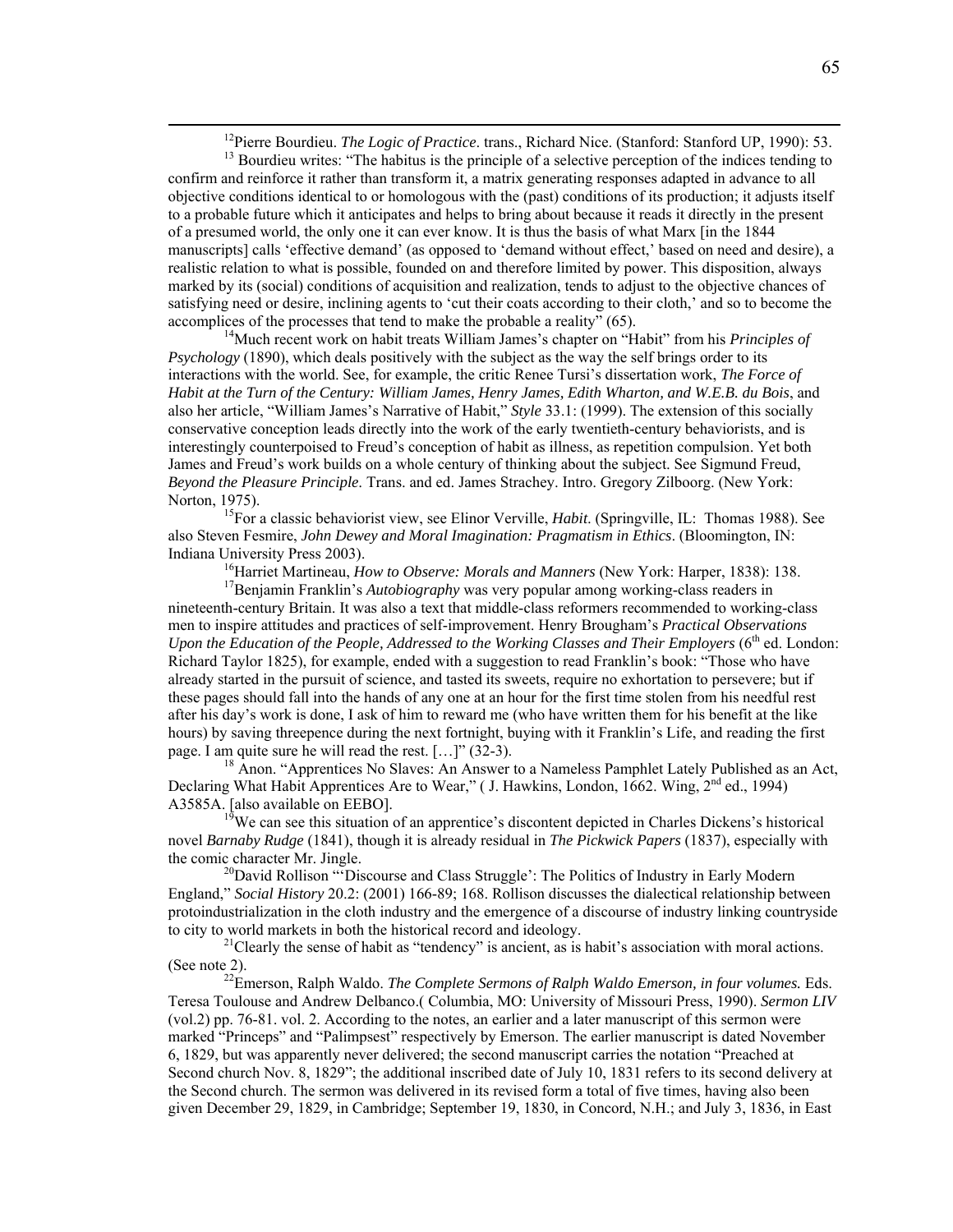<sup>12</sup>Pierre Bourdieu. *The Logic of Practice*. trans., Richard Nice. (Stanford: Stanford UP, 1990): 53.<br><sup>13</sup> Bourdieu writes: "The habitus is the principle of a selective perception of the indices tending to

<span id="page-71-0"></span>confirm and reinforce it rather than transform it, a matrix generating responses adapted in advance to all objective conditions identical to or homologous with the (past) conditions of its production; it adjusts itself to a probable future which it anticipates and helps to bring about because it reads it directly in the present of a presumed world, the only one it can ever know. It is thus the basis of what Marx [in the 1844 manuscripts] calls 'effective demand' (as opposed to 'demand without effect,' based on need and desire), a realistic relation to what is possible, founded on and therefore limited by power. This disposition, always marked by its (social) conditions of acquisition and realization, tends to adjust to the objective chances of satisfying need or desire, inclining agents to 'cut their coats according to their cloth,' and so to become the accomplices of the processes that tend to make the probable a reality" (65).

<sup>14</sup>Much recent work on habit treats William James's chapter on "Habit" from his *Principles of Psychology* (1890), which deals positively with the subject as the way the self brings order to its interactions with the world. See, for example, the critic Renee Tursi's dissertation work, *The Force of Habit at the Turn of the Century: William James, Henry James, Edith Wharton, and W.E.B. du Bois*, and also her article, "William James's Narrative of Habit," *Style* 33.1: (1999). The extension of this socially conservative conception leads directly into the work of the early twentieth-century behaviorists, and is interestingly counterpoised to Freud's conception of habit as illness, as repetition compulsion. Yet both James and Freud's work builds on a whole century of thinking about the subject. See Sigmund Freud, *Beyond the Pleasure Principle*. Trans. and ed. James Strachey. Intro. Gregory Zilboorg. (New York: Norton, 1975).<br><sup>15</sup>For a classic behaviorist view, see Elinor Verville, *Habit*. (Springville, IL: Thomas 1988). See

also Steven Fesmire, *John Dewey and Moral Imagination: Pragmatism in Ethics*. (Bloomington, IN:

Indiana University Press 2003).<br><sup>16</sup>Harriet Martineau, *How to Observe: Morals and Manners* (New York: Harper, 1838): 138.<br><sup>17</sup>Benjamin Franklin's *Autobiography* was very popular among working-class readers in nineteenth-century Britain. It was also a text that middle-class reformers recommended to working-class men to inspire attitudes and practices of self-improvement. Henry Brougham's *Practical Observations Upon the Education of the People, Addressed to the Working Classes and Their Employers* (6<sup>th</sup> ed. London: Richard Taylor 1825), for example, ended with a suggestion to read Franklin's book: "Those who have already started in the pursuit of science, and tasted its sweets, require no exhortation to persevere; but if these pages should fall into the hands of any one at an hour for the first time stolen from his needful rest after his day's work is done, I ask of him to reward me (who have written them for his benefit at the like hours) by saving threepence during the next fortnight, buying with it Franklin's Life, and reading the first page. I am quite sure he will read the rest. […]" (32-3).<br><sup>18</sup> Anon. "Apprentices No Slaves: An Answer to a Nameless Pamphlet Lately Published as an Act,

Declaring What Habit Apprentices Are to Wear," (J. Hawkins, London, 1662. Wing, 2<sup>nd</sup> ed., 1994) A3585A. [also available on EEBO].<br><sup>19</sup>We can see this situation of an apprentice's discontent depicted in Charles Dickens's historical

novel *Barnaby Rudge* (1841), though it is already residual in *The Pickwick Papers* (1837), especially with the comic character Mr. Jingle.<br><sup>20</sup>David Rollison "'Discourse and Class Struggle': The Politics of Industry in Early Modern

England," *Social History* 20.2: (2001) 166-89; 168. Rollison discusses the dialectical relationship between protoindustrialization in the cloth industry and the emergence of a discourse of industry linking countryside to city to world markets in both the historical record and ideology.<br><sup>21</sup>Clearly the sense of habit as "tendency" is ancient, as is habit's association with moral actions.

(See note 2). 22Emerson, Ralph Waldo. *The Complete Sermons of Ralph Waldo Emerson, in four volumes.* Eds.

Teresa Toulouse and Andrew Delbanco.( Columbia, MO: University of Missouri Press, 1990). *Sermon LIV* (vol.2) pp. 76-81. vol. 2. According to the notes, an earlier and a later manuscript of this sermon were marked "Princeps" and "Palimpsest" respectively by Emerson. The earlier manuscript is dated November 6, 1829, but was apparently never delivered; the second manuscript carries the notation "Preached at Second church Nov. 8, 1829"; the additional inscribed date of July 10, 1831 refers to its second delivery at the Second church. The sermon was delivered in its revised form a total of five times, having also been given December 29, 1829, in Cambridge; September 19, 1830, in Concord, N.H.; and July 3, 1836, in East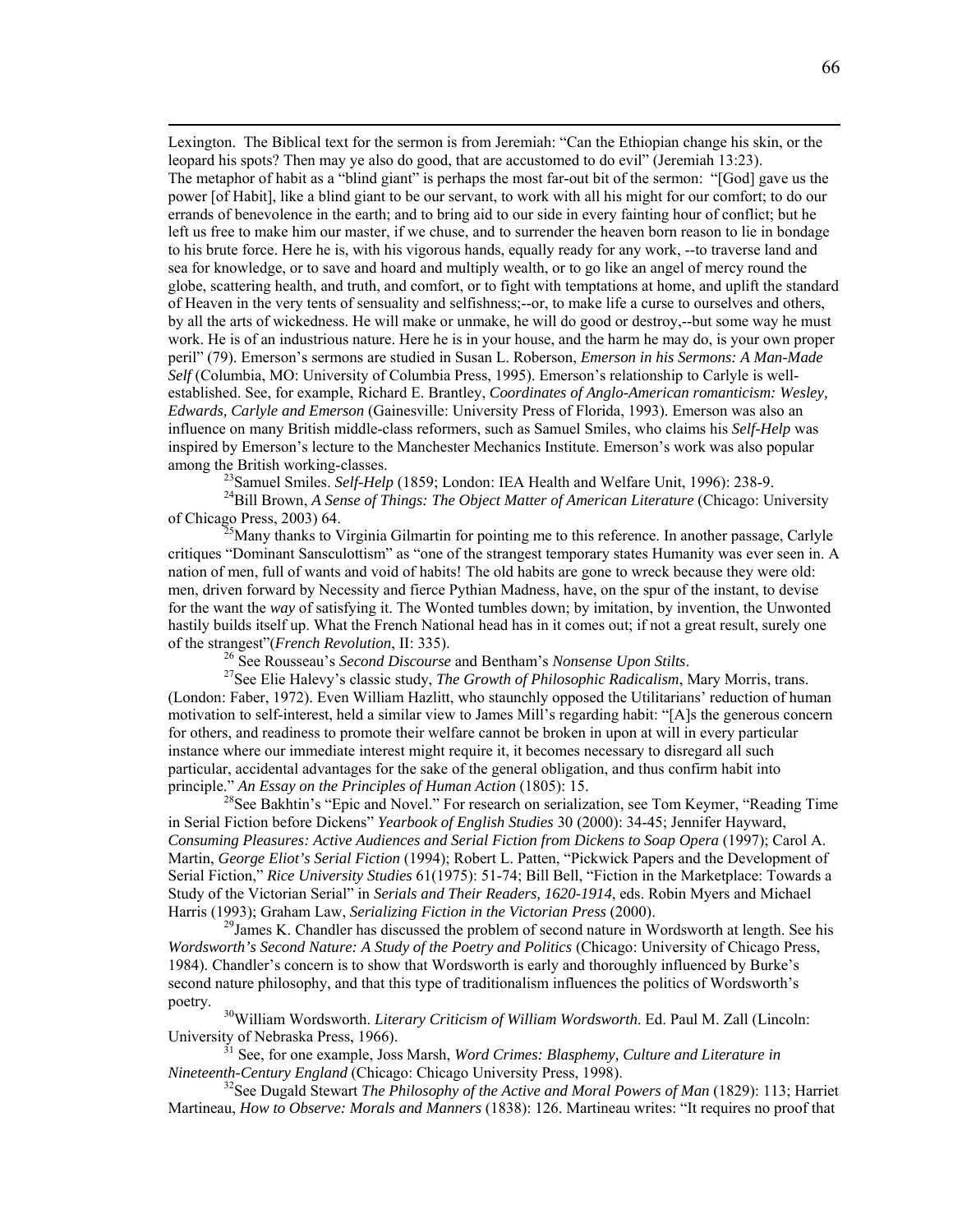Lexington. The Biblical text for the sermon is from Jeremiah: "Can the Ethiopian change his skin, or the leopard his spots? Then may ye also do good, that are accustomed to do evil" (Jeremiah 13:23). The metaphor of habit as a "blind giant" is perhaps the most far-out bit of the sermon: "[God] gave us the power [of Habit], like a blind giant to be our servant, to work with all his might for our comfort; to do our errands of benevolence in the earth; and to bring aid to our side in every fainting hour of conflict; but he left us free to make him our master, if we chuse, and to surrender the heaven born reason to lie in bondage to his brute force. Here he is, with his vigorous hands, equally ready for any work, --to traverse land and sea for knowledge, or to save and hoard and multiply wealth, or to go like an angel of mercy round the globe, scattering health, and truth, and comfort, or to fight with temptations at home, and uplift the standard of Heaven in the very tents of sensuality and selfishness;--or, to make life a curse to ourselves and others, by all the arts of wickedness. He will make or unmake, he will do good or destroy,--but some way he must work. He is of an industrious nature. Here he is in your house, and the harm he may do, is your own proper peril" (79). Emerson's sermons are studied in Susan L. Roberson, *Emerson in his Sermons: A Man-Made Self* (Columbia, MO: University of Columbia Press, 1995). Emerson's relationship to Carlyle is wellestablished. See, for example, Richard E. Brantley, *Coordinates of Anglo-American romanticism: Wesley, Edwards, Carlyle and Emerson* (Gainesville: University Press of Florida, 1993). Emerson was also an influence on many British middle-class reformers, such as Samuel Smiles, who claims his *Self-Help* was inspired by Emerson's lecture to the Manchester Mechanics Institute. Emerson's work was also popular among the British working-classes.<br><sup>23</sup>Samuel Smiles. Self-Help (1859; London: IEA Health and Welfare Unit, 1996): 238-9.<br><sup>24</sup>Bill Brown, *A Sense of Things: The Object Matter of American Literature* (Chicago: University

of Chicago Press, 2003) 64. 25Many thanks to Virginia Gilmartin for pointing me to this reference. In another passage, Carlyle

critiques "Dominant Sansculottism" as "one of the strangest temporary states Humanity was ever seen in. A nation of men, full of wants and void of habits! The old habits are gone to wreck because they were old: men, driven forward by Necessity and fierce Pythian Madness, have, on the spur of the instant, to devise for the want the *way* of satisfying it. The Wonted tumbles down; by imitation, by invention, the Unwonted hastily builds itself up. What the French National head has in it comes out; if not a great result, surely one of the strangest"(*French Revolution*, II: 335).<br><sup>26</sup> See Rousseau's *Second Discourse* and Bentham's *Nonsense Upon Stilts*.<br><sup>27</sup> See Elie Halevy's classic study, *The Growth of Philosophic Radicalism*, Mary Morris, trans

(London: Faber, 1972). Even William Hazlitt, who staunchly opposed the Utilitarians' reduction of human motivation to self-interest, held a similar view to James Mill's regarding habit: "[A]s the generous concern for others, and readiness to promote their welfare cannot be broken in upon at will in every particular instance where our immediate interest might require it, it becomes necessary to disregard all such particular, accidental advantages for the sake of the general obligation, and thus confirm habit into principle." *An Essay on the Principles of Human Action* (1805): 15.<br><sup>28</sup>See Bakhtin's "Epic and Novel." For research on serialization, see Tom Keymer, "Reading Time

in Serial Fiction before Dickens" *Yearbook of English Studies* 30 (2000): 34-45; Jennifer Hayward, *Consuming Pleasures: Active Audiences and Serial Fiction from Dickens to Soap Opera* (1997); Carol A. Martin, *George Eliot's Serial Fiction* (1994); Robert L. Patten, "Pickwick Papers and the Development of Serial Fiction," *Rice University Studies* 61(1975): 51-74; Bill Bell, "Fiction in the Marketplace: Towards a Study of the Victorian Serial" in *Serials and Their Readers, 1620-1914*, eds. Robin Myers and Michael

Harris (1993); Graham Law, *Serializing Fiction in the Victorian Press* (2000).<br><sup>29</sup>James K. Chandler has discussed the problem of second nature in Wordsworth at length. See his *Wordsworth's Second Nature: A Study of the Poetry and Politics* (Chicago: University of Chicago Press, 1984). Chandler's concern is to show that Wordsworth is early and thoroughly influenced by Burke's second nature philosophy, and that this type of traditionalism influences the politics of Wordsworth's poetry. 30William Wordsworth. *Literary Criticism of William Wordsworth*. Ed. Paul M. Zall (Lincoln:

University of Nebraska Press, 1966).<br><sup>31</sup> See, for one example, Joss Marsh, *Word Crimes: Blasphemy, Culture and Literature in* 

*Nineteenth-Century England* (Chicago: Chicago University Press, 1998). 32See Dugald Stewart *The Philosophy of the Active and Moral Powers of Man* (1829): 113; Harriet

Martineau, *How to Observe: Morals and Manners* (1838): 126. Martineau writes: "It requires no proof that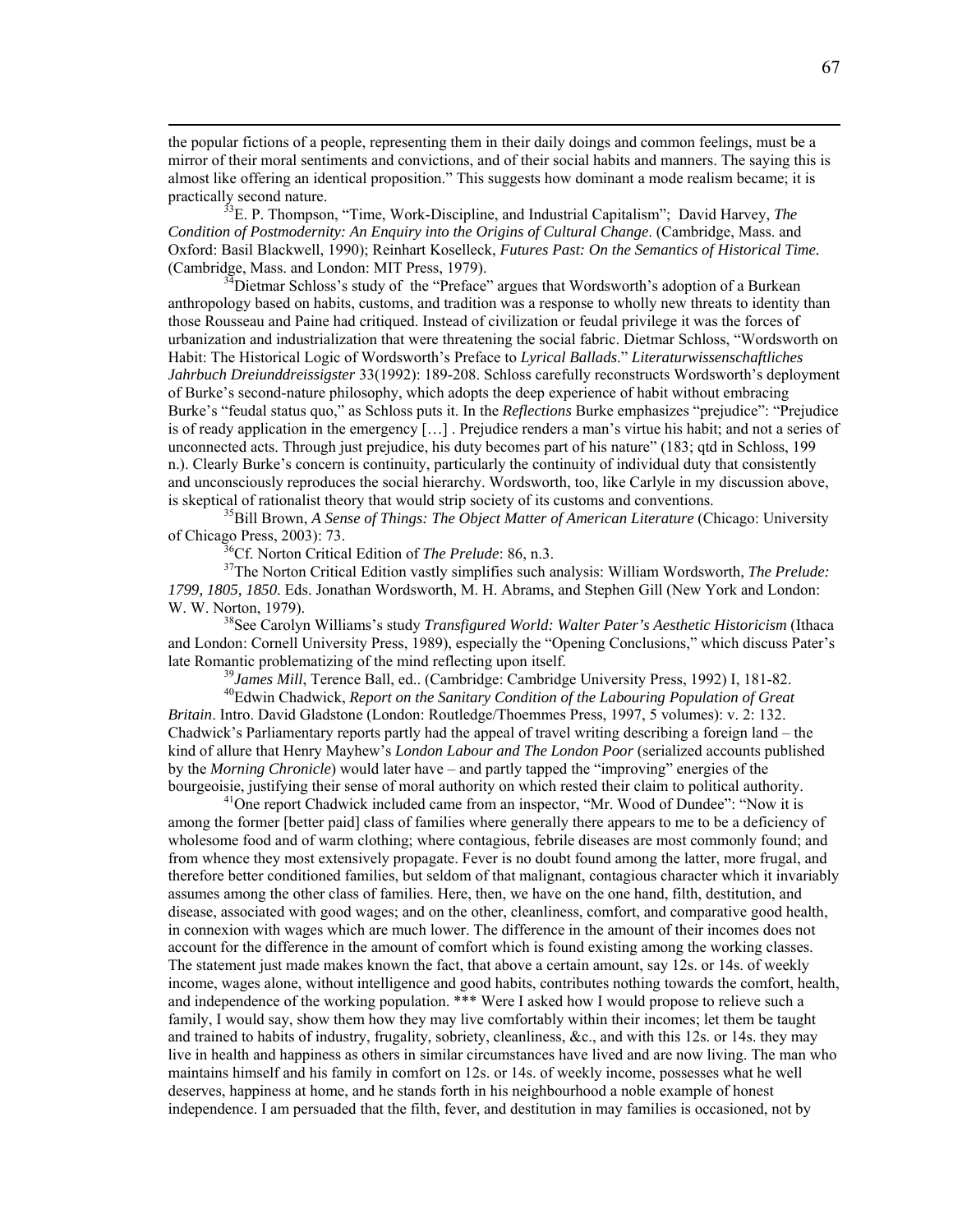the popular fictions of a people, representing them in their daily doings and common feelings, must be a mirror of their moral sentiments and convictions, and of their social habits and manners. The saying this is almost like offering an identical proposition." This suggests how dominant a mode realism became; it is practically second nature.<br><sup>33</sup>E. P. Thompson, "Time, Work-Discipline, and Industrial Capitalism"; David Harvey, *The* 

*Condition of Postmodernity: An Enquiry into the Origins of Cultural Change*. (Cambridge, Mass. and Oxford: Basil Blackwell, 1990); Reinhart Koselleck, *Futures Past: On the Semantics of Historical Time.* (Cambridge, Mass. and London: MIT Press, 1979).<br><sup>34</sup>Dietmar Schloss's study of the "Preface" argues that Wordsworth's adoption of a Burkean

anthropology based on habits, customs, and tradition was a response to wholly new threats to identity than those Rousseau and Paine had critiqued. Instead of civilization or feudal privilege it was the forces of urbanization and industrialization that were threatening the social fabric. Dietmar Schloss, "Wordsworth on Habit: The Historical Logic of Wordsworth's Preface to *Lyrical Ballads*." *Literaturwissenschaftliches Jahrbuch Dreiunddreissigster* 33(1992): 189-208. Schloss carefully reconstructs Wordsworth's deployment of Burke's second-nature philosophy, which adopts the deep experience of habit without embracing Burke's "feudal status quo," as Schloss puts it. In the *Reflections* Burke emphasizes "prejudice": "Prejudice is of ready application in the emergency […] . Prejudice renders a man's virtue his habit; and not a series of unconnected acts. Through just prejudice, his duty becomes part of his nature" (183; qtd in Schloss, 199 n.). Clearly Burke's concern is continuity, particularly the continuity of individual duty that consistently and unconsciously reproduces the social hierarchy. Wordsworth, too, like Carlyle in my discussion above,

is skeptical of rationalist theory that would strip society of its customs and conventions.<br><sup>35</sup>Bill Brown, *A Sense of Things: The Object Matter of American Literature* (Chicago: University of Chicago Press, 2003): 73.

<sup>36</sup>Cf. Norton Critical Edition of *The Prelude*: 86, n.3.<br><sup>37</sup>The Norton Critical Edition vastly simplifies such analysis: William Wordsworth, *The Prelude: 1799, 1805, 1850*. Eds. Jonathan Wordsworth, M. H. Abrams, and Stephen Gill (New York and London: W. W. Norton, 1979).<br><sup>38</sup>See Carolyn Williams's study *Transfigured World: Walter Pater's Aesthetic Historicism* (Ithaca

and London: Cornell University Press, 1989), especially the "Opening Conclusions," which discuss Pater's late Romantic problematizing of the mind reflecting upon itself.<br><sup>39</sup>James Mill, Terence Ball, ed.. (Cambridge: Cambridge University Press, 1992) I, 181-82.<br><sup>40</sup>Edwin Chadwick, *Report on the Sanitary Condition of the Labo* 

*Britain*. Intro. David Gladstone (London: Routledge/Thoemmes Press, 1997, 5 volumes): v. 2: 132. Chadwick's Parliamentary reports partly had the appeal of travel writing describing a foreign land – the kind of allure that Henry Mayhew's *London Labour and The London Poor* (serialized accounts published by the *Morning Chronicle*) would later have – and partly tapped the "improving" energies of the bourgeoisie, justifying their sense of moral authority on which rested their claim to political authority.<br><sup>41</sup>One report Chadwick included came from an inspector, "Mr. Wood of Dundee": "Now it is

among the former [better paid] class of families where generally there appears to me to be a deficiency of wholesome food and of warm clothing; where contagious, febrile diseases are most commonly found; and from whence they most extensively propagate. Fever is no doubt found among the latter, more frugal, and therefore better conditioned families, but seldom of that malignant, contagious character which it invariably assumes among the other class of families. Here, then, we have on the one hand, filth, destitution, and disease, associated with good wages; and on the other, cleanliness, comfort, and comparative good health, in connexion with wages which are much lower. The difference in the amount of their incomes does not account for the difference in the amount of comfort which is found existing among the working classes. The statement just made makes known the fact, that above a certain amount, say 12s. or 14s. of weekly income, wages alone, without intelligence and good habits, contributes nothing towards the comfort, health, and independence of the working population. \*\*\* Were I asked how I would propose to relieve such a family, I would say, show them how they may live comfortably within their incomes; let them be taught and trained to habits of industry, frugality, sobriety, cleanliness, &c., and with this 12s. or 14s. they may live in health and happiness as others in similar circumstances have lived and are now living. The man who maintains himself and his family in comfort on 12s. or 14s. of weekly income, possesses what he well deserves, happiness at home, and he stands forth in his neighbourhood a noble example of honest independence. I am persuaded that the filth, fever, and destitution in may families is occasioned, not by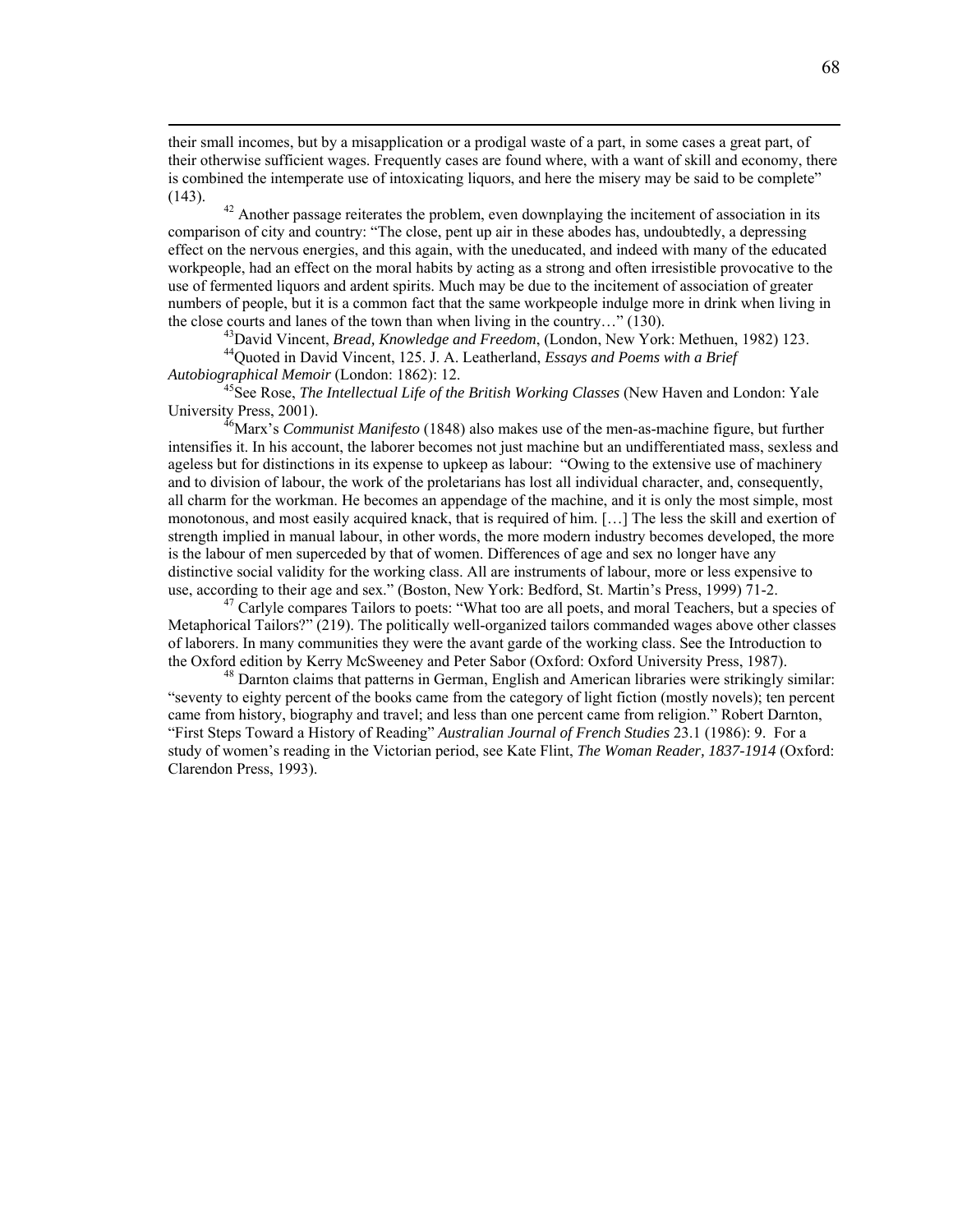their small incomes, but by a misapplication or a prodigal waste of a part, in some cases a great part, of their otherwise sufficient wages. Frequently cases are found where, with a want of skill and economy, there is combined the intemperate use of intoxicating liquors, and here the misery may be said to be complete"  $(143)$ .  $42$  Another passage reiterates the problem, even downplaying the incitement of association in its

comparison of city and country: "The close, pent up air in these abodes has, undoubtedly, a depressing effect on the nervous energies, and this again, with the uneducated, and indeed with many of the educated workpeople, had an effect on the moral habits by acting as a strong and often irresistible provocative to the use of fermented liquors and ardent spirits. Much may be due to the incitement of association of greater numbers of people, but it is a common fact that the same workpeople indulge more in drink when living in the close courts and lanes of the town than when living in the country..." (130).

<sup>43</sup>David Vincent, *Bread, Knowledge and Freedom*, (London, New York: Methuen, 1982) 123.<br><sup>44</sup>Quoted in David Vincent, 125. J. A. Leatherland, *Essays and Poems with a Brief Autobiographical Memoir* (London: 1862): 12.

<sup>45</sup>See Rose, *The Intellectual Life of the British Working Classes* (New Haven and London: Yale University Press, 2001).<br><sup>46</sup>Marx's *Communist Manifesto* (1848) also makes use of the men-as-machine figure, but further

intensifies it. In his account, the laborer becomes not just machine but an undifferentiated mass, sexless and ageless but for distinctions in its expense to upkeep as labour: "Owing to the extensive use of machinery and to division of labour, the work of the proletarians has lost all individual character, and, consequently, all charm for the workman. He becomes an appendage of the machine, and it is only the most simple, most monotonous, and most easily acquired knack, that is required of him. […] The less the skill and exertion of strength implied in manual labour, in other words, the more modern industry becomes developed, the more is the labour of men superceded by that of women. Differences of age and sex no longer have any distinctive social validity for the working class. All are instruments of labour, more or less expensive to use, according to their age and sex." (Boston, New York: Bedford, St. Martin's Press, 1999) 71-2.

<sup>47</sup> Carlyle compares Tailors to poets: "What too are all poets, and moral Teachers, but a species of Metaphorical Tailors?" (219). The politically well-organized tailors commanded wages above other classes of laborers. In many communities they were the avant garde of the working class. See the Introduction to the Oxford edition by Kerry McSweeney and Peter Sabor (Oxford: Oxford University Press, 1987).<br><sup>48</sup> Darnton claims that patterns in German, English and American libraries were strikingly similar:

"seventy to eighty percent of the books came from the category of light fiction (mostly novels); ten percent came from history, biography and travel; and less than one percent came from religion." Robert Darnton, "First Steps Toward a History of Reading" *Australian Journal of French Studies* 23.1 (1986): 9. For a study of women's reading in the Victorian period, see Kate Flint, *The Woman Reader, 1837-1914* (Oxford: Clarendon Press, 1993).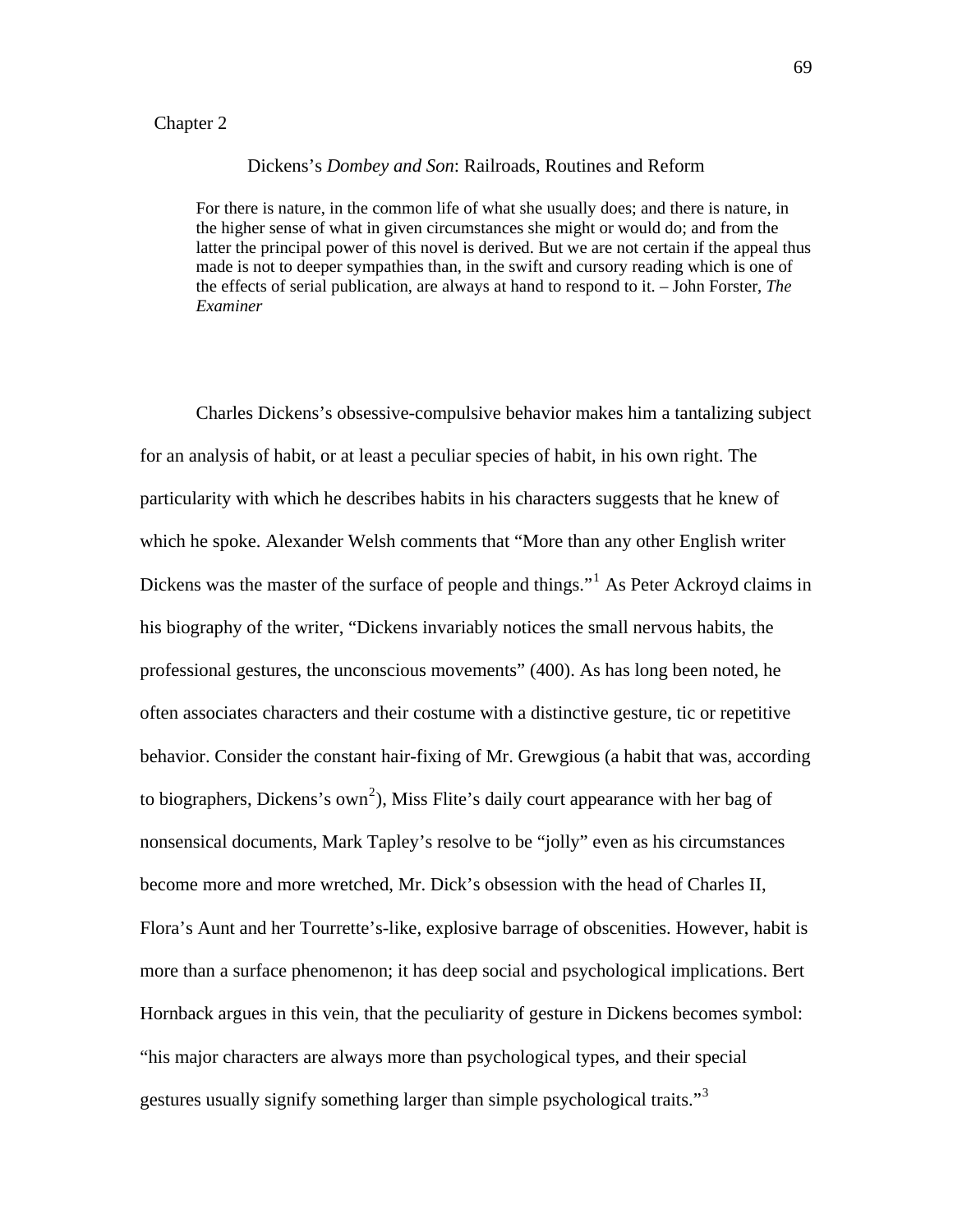## Chapter 2

## Dickens's *Dombey and Son*: Railroads, Routines and Reform

For there is nature, in the common life of what she usually does; and there is nature, in the higher sense of what in given circumstances she might or would do; and from the latter the principal power of this novel is derived. But we are not certain if the appeal thus made is not to deeper sympathies than, in the swift and cursory reading which is one of the effects of serial publication, are always at hand to respond to it. – John Forster, *The Examiner* 

Charles Dickens's obsessive-compulsive behavior makes him a tantalizing subject for an analysis of habit, or at least a peculiar species of habit, in his own right. The particularity with which he describes habits in his characters suggests that he knew of which he spoke. Alexander Welsh comments that "More than any other English writer Dickens was the master of the surface of people and things."<sup>[1](#page-109-0)</sup> As Peter Ackroyd claims in his biography of the writer, "Dickens invariably notices the small nervous habits, the professional gestures, the unconscious movements" (400). As has long been noted, he often associates characters and their costume with a distinctive gesture, tic or repetitive behavior. Consider the constant hair-fixing of Mr. Grewgious (a habit that was, according to biographers, Dickens's own<sup>[2](#page-109-1)</sup>), Miss Flite's daily court appearance with her bag of nonsensical documents, Mark Tapley's resolve to be "jolly" even as his circumstances become more and more wretched, Mr. Dick's obsession with the head of Charles II, Flora's Aunt and her Tourrette's-like, explosive barrage of obscenities. However, habit is more than a surface phenomenon; it has deep social and psychological implications. Bert Hornback argues in this vein, that the peculiarity of gesture in Dickens becomes symbol: "his major characters are always more than psychological types, and their special gestures usually signify something larger than simple psychological traits."<sup>[3](#page-109-1)</sup>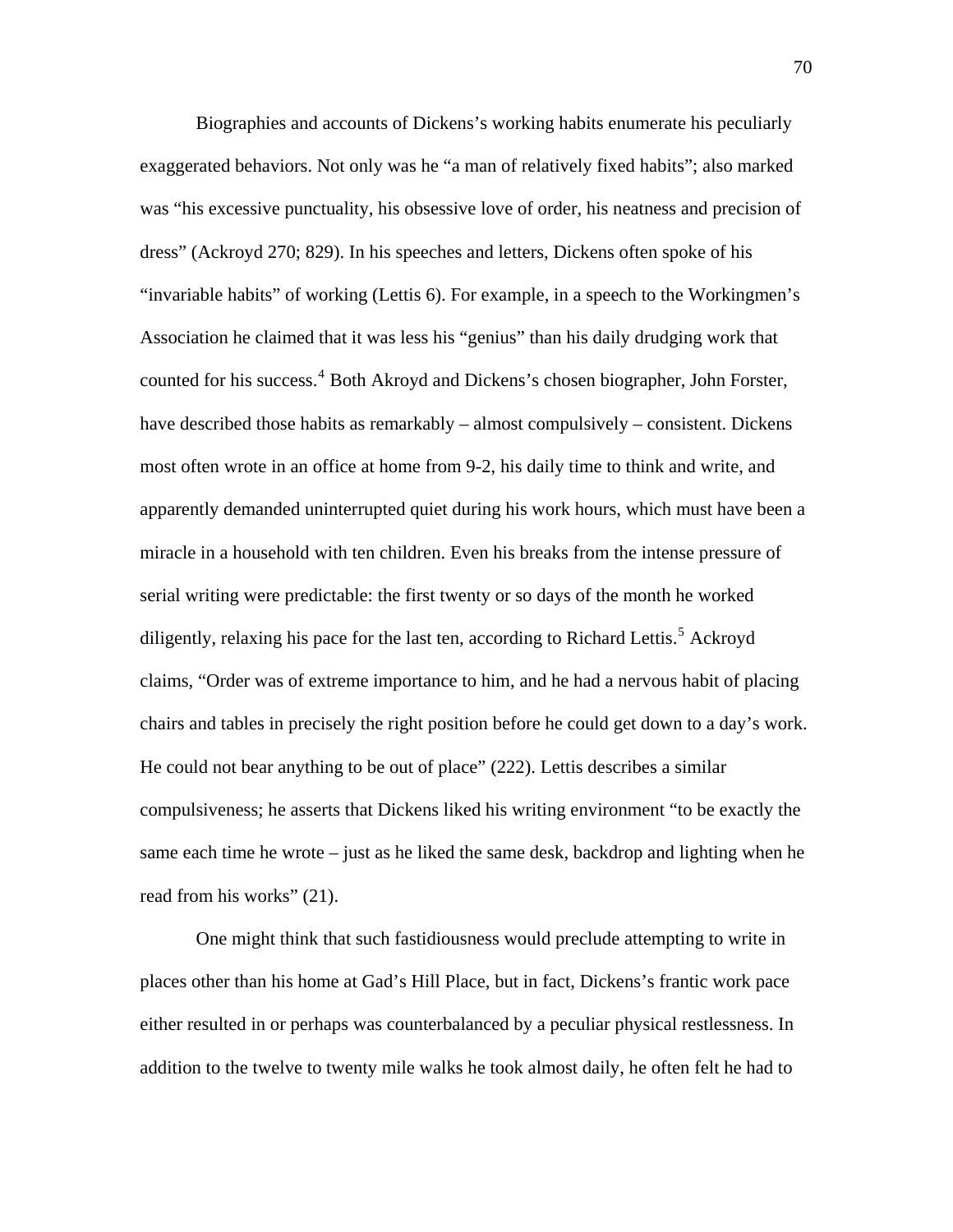Biographies and accounts of Dickens's working habits enumerate his peculiarly exaggerated behaviors. Not only was he "a man of relatively fixed habits"; also marked was "his excessive punctuality, his obsessive love of order, his neatness and precision of dress" (Ackroyd 270; 829). In his speeches and letters, Dickens often spoke of his "invariable habits" of working (Lettis 6). For example, in a speech to the Workingmen's Association he claimed that it was less his "genius" than his daily drudging work that counted for his success.<sup>[4](#page-109-1)</sup> Both Akroyd and Dickens's chosen biographer, John Forster, have described those habits as remarkably – almost compulsively – consistent. Dickens most often wrote in an office at home from 9-2, his daily time to think and write, and apparently demanded uninterrupted quiet during his work hours, which must have been a miracle in a household with ten children. Even his breaks from the intense pressure of serial writing were predictable: the first twenty or so days of the month he worked diligently, relaxing his pace for the last ten, according to Richard Lettis.<sup>[5](#page-109-1)</sup> Ackroyd claims, "Order was of extreme importance to him, and he had a nervous habit of placing chairs and tables in precisely the right position before he could get down to a day's wor k. He could not bear anything to be out of place" (222). Lettis describes a simi lar compulsiveness; he asserts that Dickens liked his writing environment "to be exactly the same each time he wrote – just as he liked the same desk, backdrop and lighting when he read from his works" (21).

One might think that such fastidiousness would preclude attempting to write in places other than his home at Gad's Hill Place, but in fact, Dickens's frantic work pace either resulted in or perhaps was counterbalanced by a peculiar physical restlessness. In addition to the twelve to twenty mile walks he took almost daily, he often felt he had to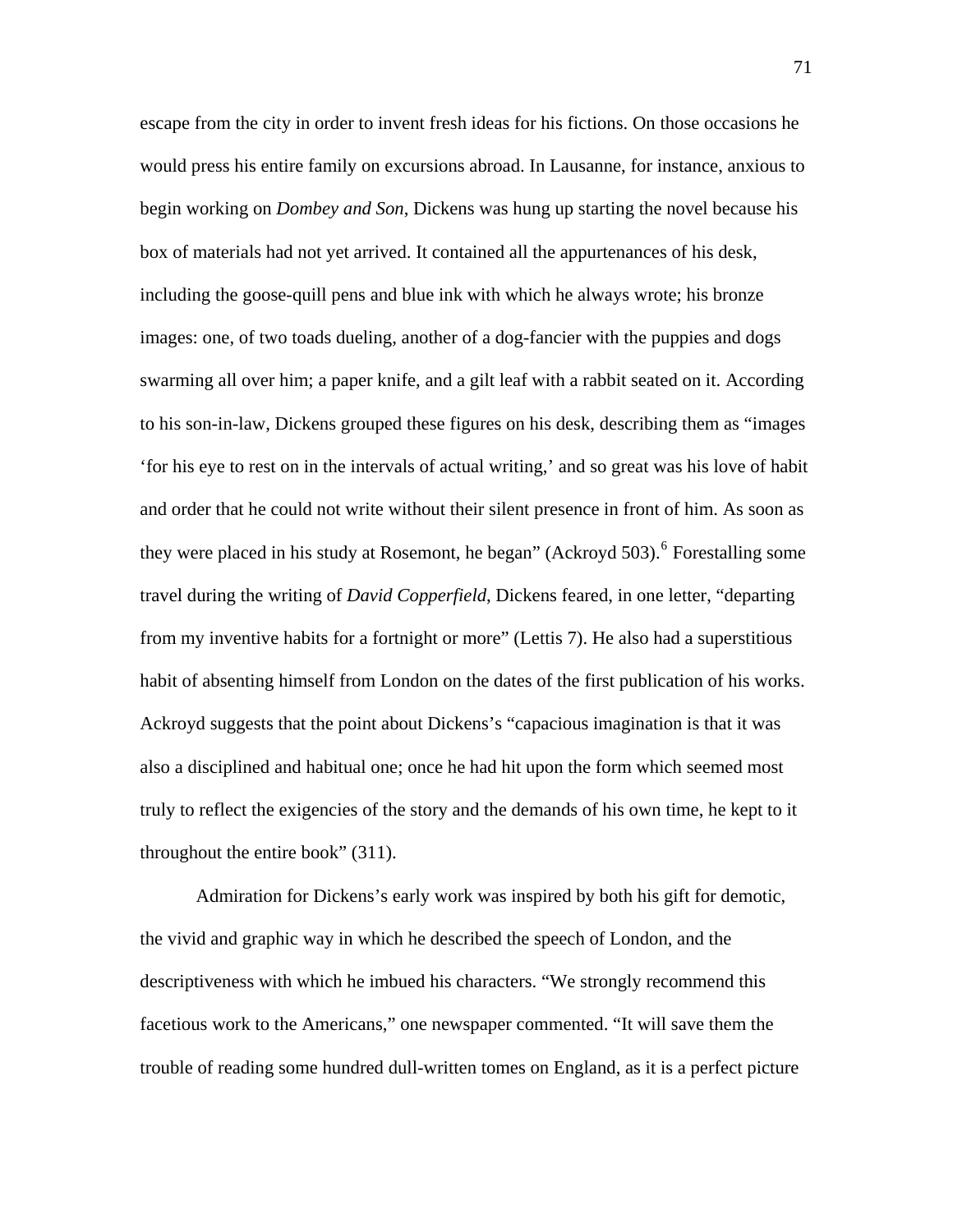escape from the city in order to invent fresh ideas for his fictions. On those occasions he would press his entire family on excursions abroad. In Lausanne, for instance, anxious to begin working on *Dombey and Son*, Dickens was hung up starting the novel because his box of materials had not yet arrived. It contained all the appurtenances of his desk, including the goose-quill pens and blue ink with which he always wrote; his bronze images: one, of two toads dueling, another of a dog-fancier with the puppies and dogs swarming all over him; a paper knife, and a gilt leaf with a rabbit seated on it. According to his son-in-law, Dickens grouped these figures on his desk, describing them as "images 'for his eye to rest on in the intervals of actual writing,' and so great was his love of habit and order that he could not write without their silent presence in front of him. As soon as they were placed in his study at Rosemont, he began" (Ackroyd 503).<sup>[6](#page-109-1)</sup> Forestalling some travel during the writing of *David Copperfield*, Dickens feared, in one letter, "departing from my inventive habits for a fortnight or more" (Lettis 7). He also had a superstitious habit of absenting himself from London on the dates of the first publication of his works. Ackroyd suggests that the point about Dickens's "capacious imagination is that it was also a disciplined and habitual one; once he had hit upon the form which seemed most truly to reflect the exigencies of the story and the demands of his own time, he kept to it throughout the entire book" (311).

Admiration for Dickens's early work was inspired by both his gift for demotic, the vivid and graphic way in which he described the speech of London, and the descriptiveness with which he imbued his characters. "We strongly recommend this facetious work to the Americans," one newspaper commented. "It will save them the trouble of reading some hundred dull-written tomes on England, as it is a perfect picture

71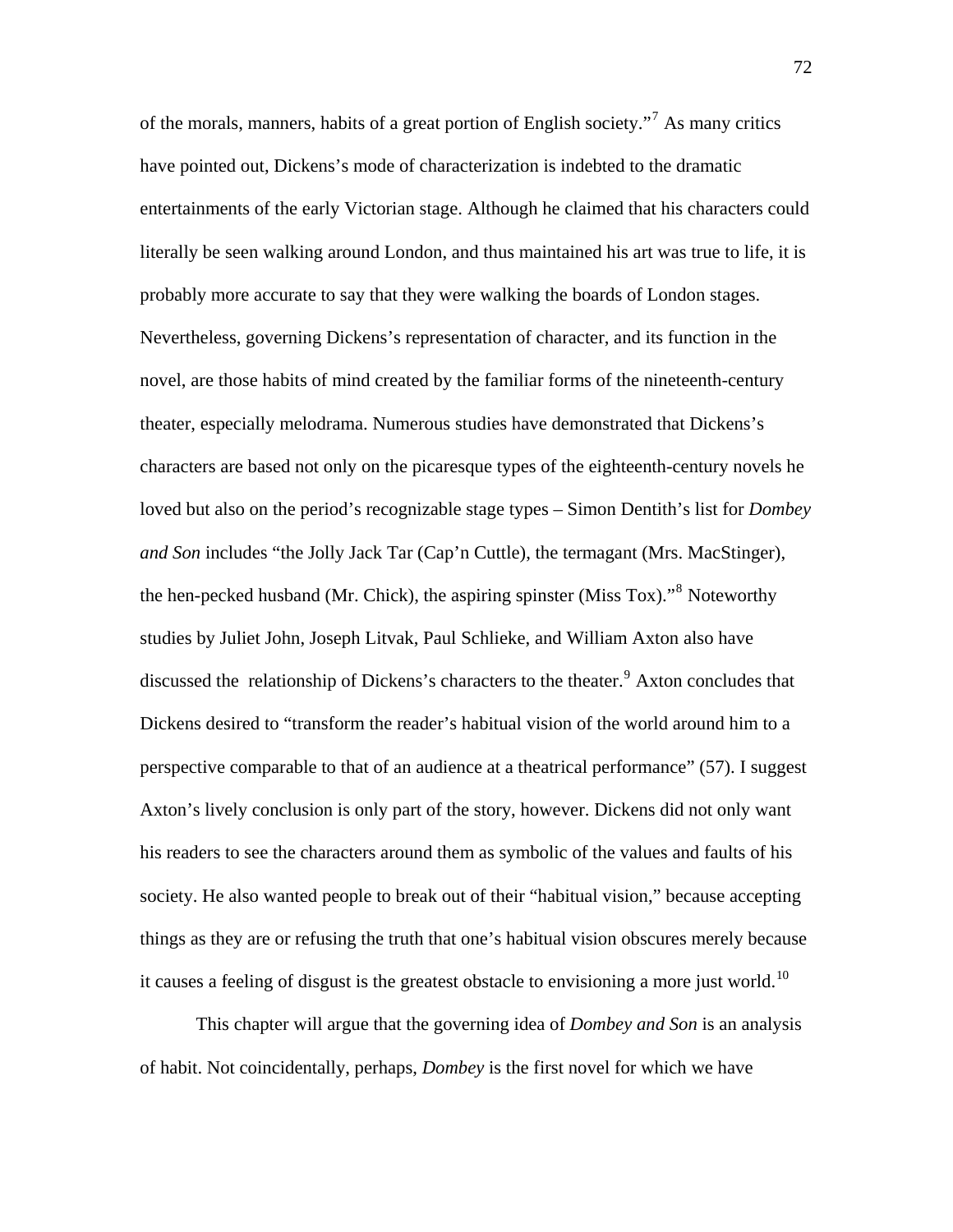of the morals, manners, habits of a great portion of English society."<sup>[7](#page-109-1)</sup> As many critics have pointed out, Dickens's mode of characterization is indebted to the dramatic entertainments of the early Victorian stage. Although he claimed that his characters could literally be seen walking around London, and thus maintained his art was true to life, it is probably more accurate to say that they were walking the boards of London stages. Nevertheless, governing Dickens's representation of character, and its function in the novel, are those habits of mind created by the familiar forms of the nineteenth-century theater, especially melodrama. Numerous studies have demonstrated that Dickens's characters are based not only on the picaresque types of the eighteenth-century novels he loved but also on the period's recognizable stage types – Simon Dentith's list for *Dombey and Son* includes "the Jolly Jack Tar (Cap'n Cuttle), the termagant (Mrs. MacStinger), the hen-pecked husband (Mr. Chick), the aspiring spinster (Miss Tox)."<sup>[8](#page-109-1)</sup> Noteworthy studies by Juliet John, Joseph Litvak, Paul Schlieke, and William Axton also have discussed the relationship of Dickens's characters to the theater.<sup>[9](#page-109-1)</sup> Axton concludes that Dickens desired to "transform the reader's habitual vision of the world around him to a perspective comparable to that of an audience at a theatrical performance" (57). I suggest Axton's lively conclusion is only part of the story, however. Dickens did not only want his readers to see the characters around them as symbolic of the values and faults of his society. He also wanted people to break out of their "habitual vision," because accepting things as they are or refusing the truth that one's habitual vision obscures merely because it causes a feeling of disgust is the greatest obstacle to envisioning a more just world.<sup>[10](#page-109-1)</sup>

This chapter will argue that the governing idea of *Dombey and Son* is an analysis of habit. Not coincidentally, perhaps, *Dombey* is the first novel for which we have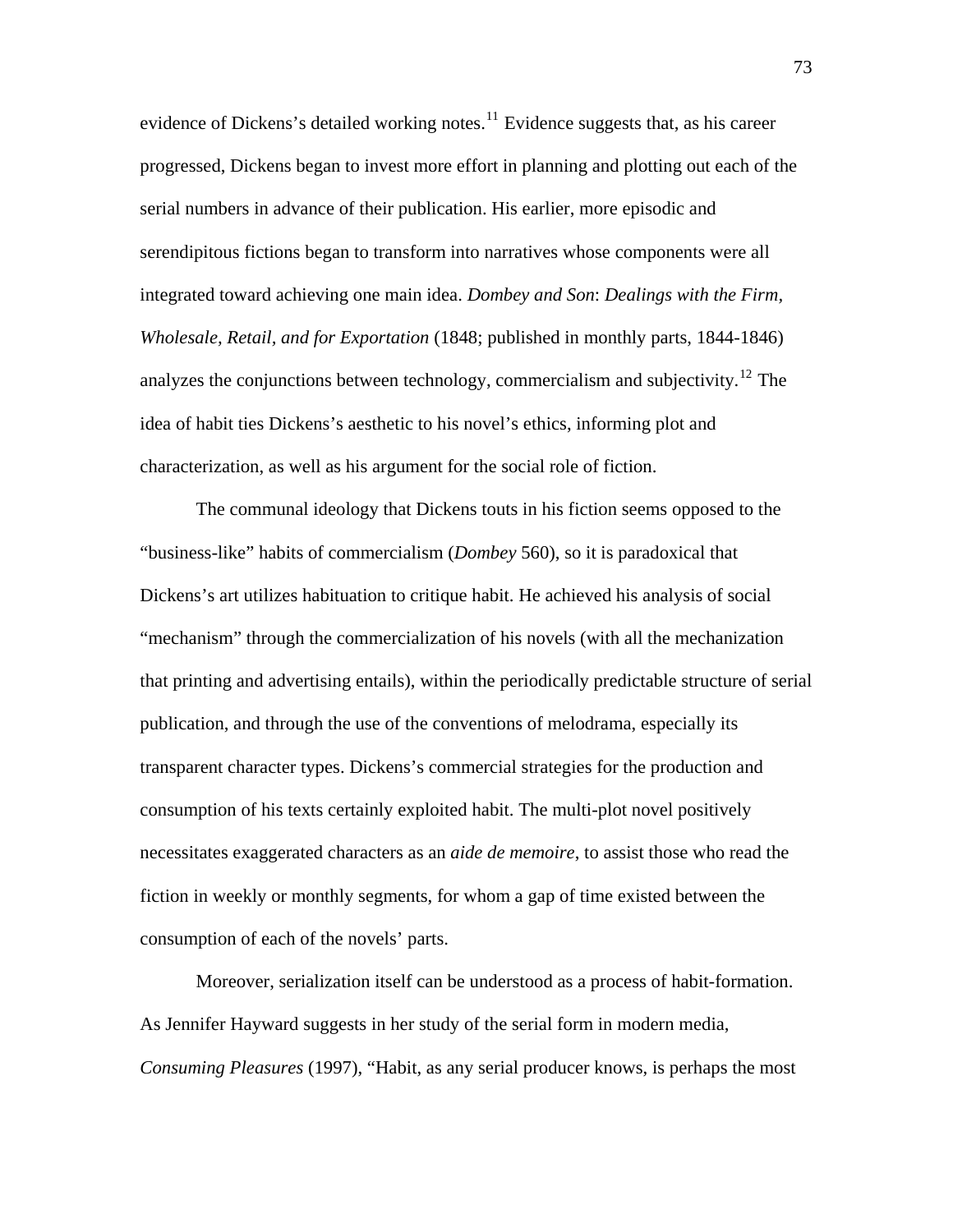evidence of Dickens's detailed working notes. $11$  Evidence suggests that, as his career progressed, Dickens began to invest more effort in planning and plotting out each of the serial numbers in advance of their publication. His earlier, more episodic and serendipitous fictions began to transform into narratives whose components were all integrated toward achieving one main idea. *Dombey and Son*: *Dealings with the Firm, Wholesale, Retail, and for Exportation* (1848; published in monthly parts, 1844-1846) analyzes the conjunctions between technology, commercialism and subjectivity.<sup>[12](#page-109-1)</sup> The idea of habit ties Dickens's aesthetic to his novel's ethics, informing plot and characterization, as well as his argument for the social role of fiction.

The communal ideology that Dickens touts in his fiction seems opposed to the "business-like" habits of commercialism (*Dombey* 560), so it is paradoxical that Dickens's art utilizes habituation to critique habit. He achieved his analysis of social "mechanism" through the commercialization of his novels (with all the mechanization that printing and advertising entails), within the periodically predictable structure of serial publication, and through the use of the conventions of melodrama, especially its transparent character types. Dickens's commercial strategies for the production and consumption of his texts certainly exploited habit. The multi-plot novel positively necessitates exaggerated characters as an *aide de memoire*, to assist those who read the fiction in weekly or monthly segments, for whom a gap of time existed between the consumption of each of the novels' parts.

Moreover, serialization itself can be understood as a process of habit-formation. As Jennifer Hayward suggests in her study of the serial form in modern media, *Consuming Pleasures* (1997), "Habit, as any serial producer knows, is perhaps the most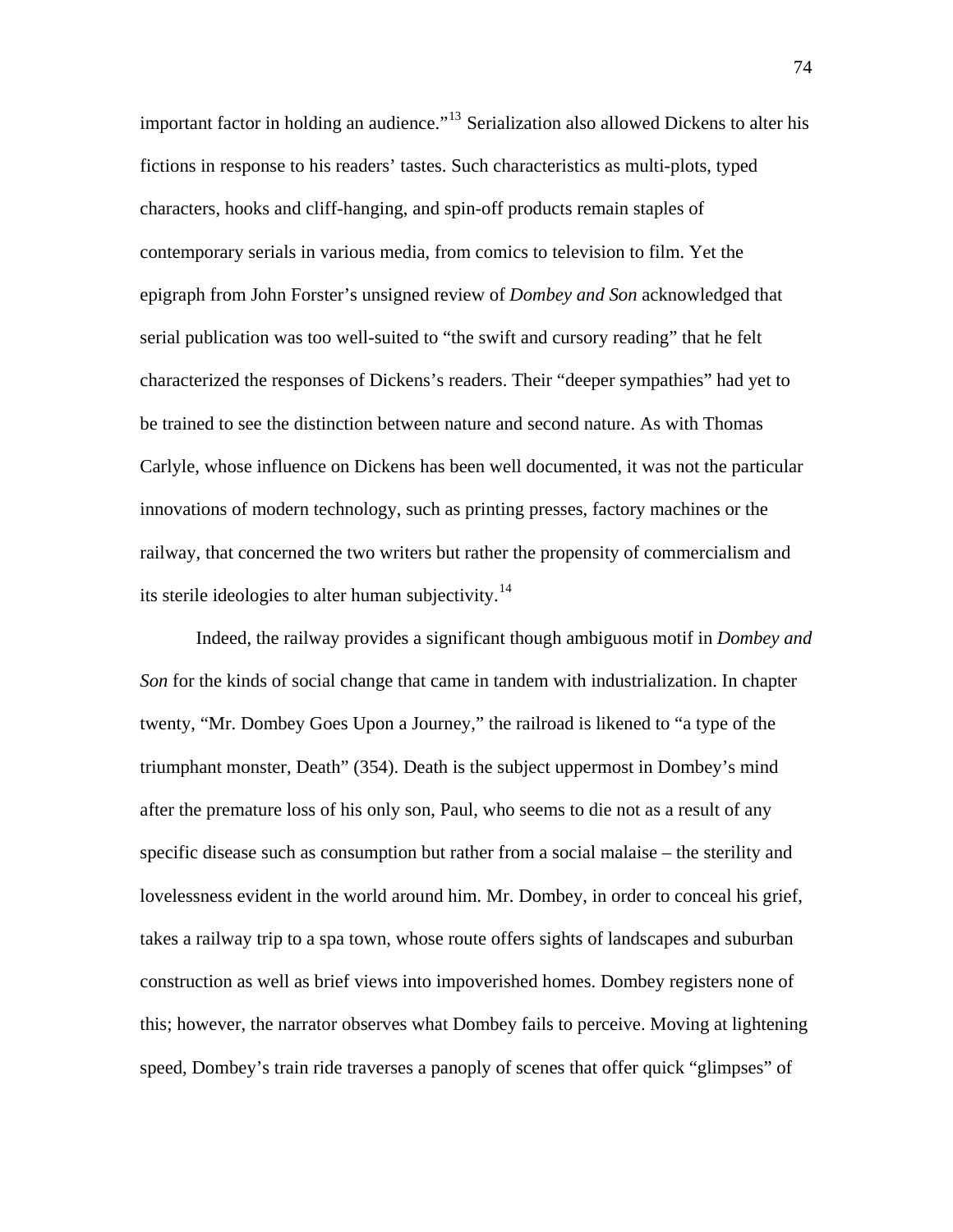important factor in holding an audience."<sup>[13](#page-109-1)</sup> Serialization also allowed Dickens to alter his fictions in response to his readers' tastes. Such characteristics as multi-plots, typed characters, hooks and cliff-hanging, and spin-off products remain staples of contemporary serials in various media, from comics to television to film. Yet the epigraph from John Forster's unsigned review of *Dombey and Son* acknowledged that serial publication was too well-suited to "the swift and cursory reading" that he felt characterized the responses of Dickens's readers. Their "deeper sympathies" had yet to be trained to see the distinction between nature and second nature. As with Thomas Carlyle, whose influence on Dickens has been well documented, it was not the particular innovations of modern technology, such as printing presses, factory machines or the railway, that concerned the two writers but rather the propensity of commercialism and its sterile ideologies to alter human subjectivity.<sup>[14](#page-110-0)</sup>

Indeed, the railway provides a significant though ambiguous motif in *Dombey and Son* for the kinds of social change that came in tandem with industrialization. In chapter twenty, "Mr. Dombey Goes Upon a Journey," the railroad is likened to "a type of the triumphant monster, Death" (354). Death is the subject uppermost in Dombey's mind after the premature loss of his only son, Paul, who seems to die not as a result of any specific disease such as consumption but rather from a social malaise – the sterility and lovelessness evident in the world around him. Mr. Dombey, in order to conceal his grief, takes a railway trip to a spa town, whose route offers sights of landscapes and suburban construction as well as brief views into impoverished homes. Dombey registers none of this; however, the narrator observes what Dombey fails to perceive. Moving at lightening speed, Dombey's train ride traverses a panoply of scenes that offer quick "glimpses" of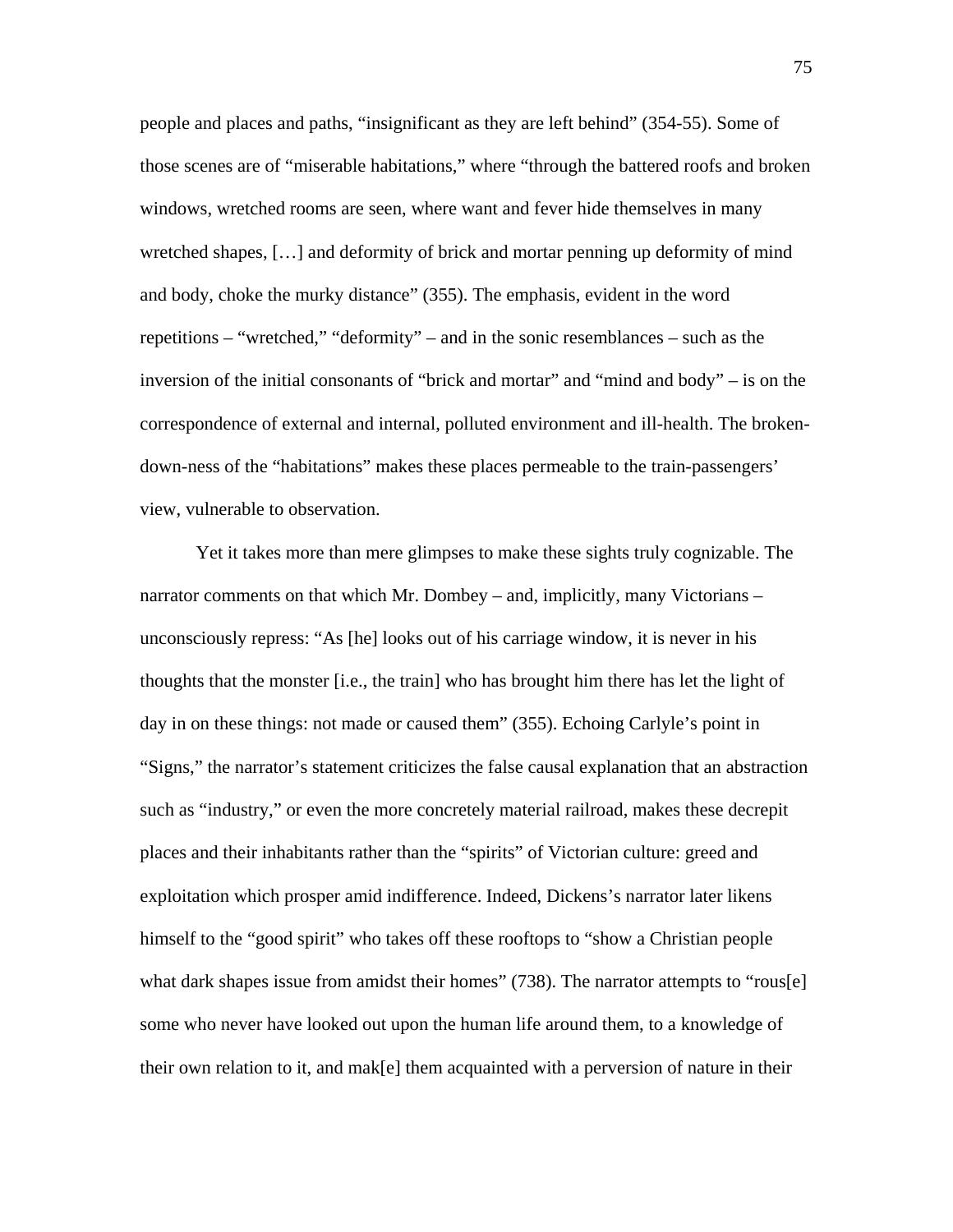people and places and paths, "insignificant as they are left behind" (354-55). Some of those scenes are of "miserable habitations," where "through the battered roofs and broken windows, wretched rooms are seen, where want and fever hide themselves in many wretched shapes, […] and deformity of brick and mortar penning up deformity of mind and body, choke the murky distance" (355). The emphasis, evident in the word repetitions – "wretched," "deformity" – and in the sonic resemblances – such as the inversion of the initial consonants of "brick and mortar" and "mind and body" – is on the correspondence of external and internal, polluted environment and ill-health. The brokendown-ness of the "habitations" makes these places permeable to the train-passengers' view, vulnerable to observation.

Yet it takes more than mere glimpses to make these sights truly cognizable. The narrator comments on that which Mr. Dombey – and, implicitly, many Victorians – unconsciously repress: "As [he] looks out of his carriage window, it is never in his thoughts that the monster [i.e., the train] who has brought him there has let the light of day in on these things: not made or caused them" (355). Echoing Carlyle's point in "Signs," the narrator's statement criticizes the false causal explanation that an abstraction such as "industry," or even the more concretely material railroad, makes these decrepit places and their inhabitants rather than the "spirits" of Victorian culture: greed and exploitation which prosper amid indifference. Indeed, Dickens's narrator later likens himself to the "good spirit" who takes off these rooftops to "show a Christian people what dark shapes issue from amidst their homes" (738). The narrator attempts to "rous[e] some who never have looked out upon the human life around them, to a knowledge of their own relation to it, and mak[e] them acquainted with a perversion of nature in their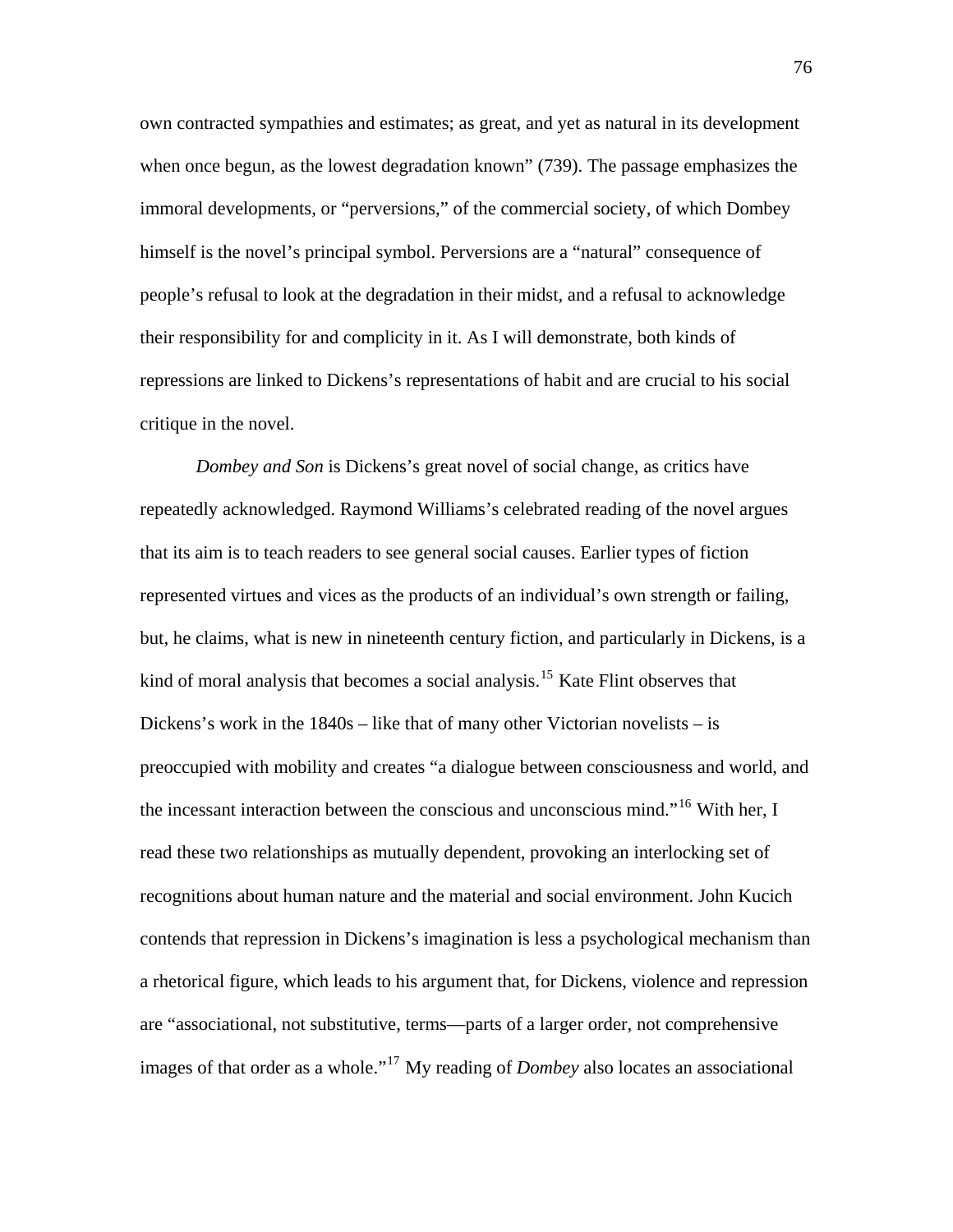own contracted sympathies and estimates; as great, and yet as natural in its development when once begun, as the lowest degradation known" (739). The passage emphasizes the immoral developments, or "perversions," of the commercial society, of which Dombey himself is the novel's principal symbol. Perversions are a "natural" consequence of people's refusal to look at the degradation in their midst, and a refusal to acknowledge their responsibility for and complicity in it. As I will demonstrate, both kinds of repressions are linked to Dickens's representations of habit and are crucial to his social critique in the novel.

*Dombey and Son* is Dickens's great novel of social change, as critics have repeatedly acknowledged. Raymond Williams's celebrated reading of the novel argues that its aim is to teach readers to see general social causes. Earlier types of fiction represented virtues and vices as the products of an individual's own strength or failing, but, he claims, what is new in nineteenth century fiction, and particularly in Dickens, is a kind of moral analysis that becomes a social analysis.<sup>[15](#page-110-0)</sup> Kate Flint observes that Dickens's work in the  $1840s$  – like that of many other Victorian novelists – is preoccupied with mobility and creates "a dialogue between consciousness and world, and the incessant interaction between the conscious and unconscious mind."[16](#page-110-0) With her, I read these two relationships as mutually dependent, provoking an interlocking set of recognitions about human nature and the material and social environment. John Kucich contends that repression in Dickens's imagination is less a psychological mechanism than a rhetorical figure, which leads to his argument that, for Dickens, violence and repression are "associational, not substitutive, terms—parts of a larger order, not comprehensive images of that order as a whole."[17](#page-110-0) My reading of *Dombey* also locates an associational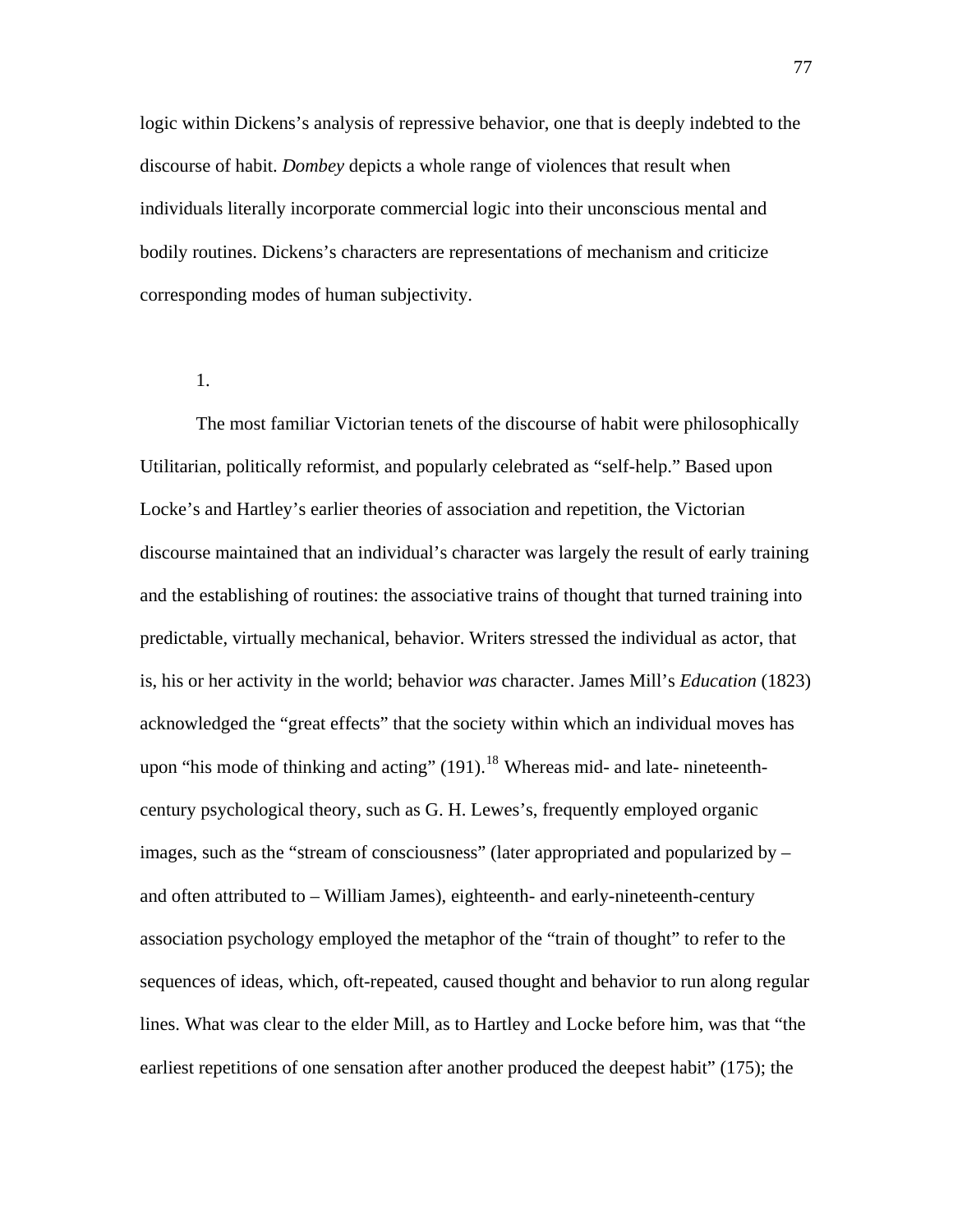logic within Dickens's analysis of repressive behavior, one that is deeply indebted to the discourse of habit. *Dombey* depicts a whole range of violences that result when individuals literally incorporate commercial logic into their unconscious mental and bodily routines. Dickens's characters are representations of mechanism and criticize corresponding modes of human subjectivity.

1.

The most familiar Victorian tenets of the discourse of habit were philosophically Utilitarian, politically reformist, and popularly celebrated as "self-help." Based upon Locke's and Hartley's earlier theories of association and repetition, the Victorian discourse maintained that an individual's character was largely the result of early training and the establishing of routines: the associative trains of thought that turned training into predictable, virtually mechanical, behavior. Writers stressed the individual as actor, that is, his or her activity in the world; behavior *was* character. James Mill's *Education* (1823) acknowledged the "great effects" that the society within which an individual moves has upon "his mode of thinking and acting"  $(191)$ .<sup>[18](#page-110-0)</sup> Whereas mid- and late- nineteenthcentury psychological theory, such as G. H. Lewes's, frequently employed organic images, such as the "stream of consciousness" (later appropriated and popularized by – and often attributed to – William James), eighteenth- and early-nineteenth-century association psychology employed the metaphor of the "train of thought" to refer to the sequences of ideas, which, oft-repeated, caused thought and behavior to run along regular lines. What was clear to the elder Mill, as to Hartley and Locke before him, was that "the earliest repetitions of one sensation after another produced the deepest habit" (175); the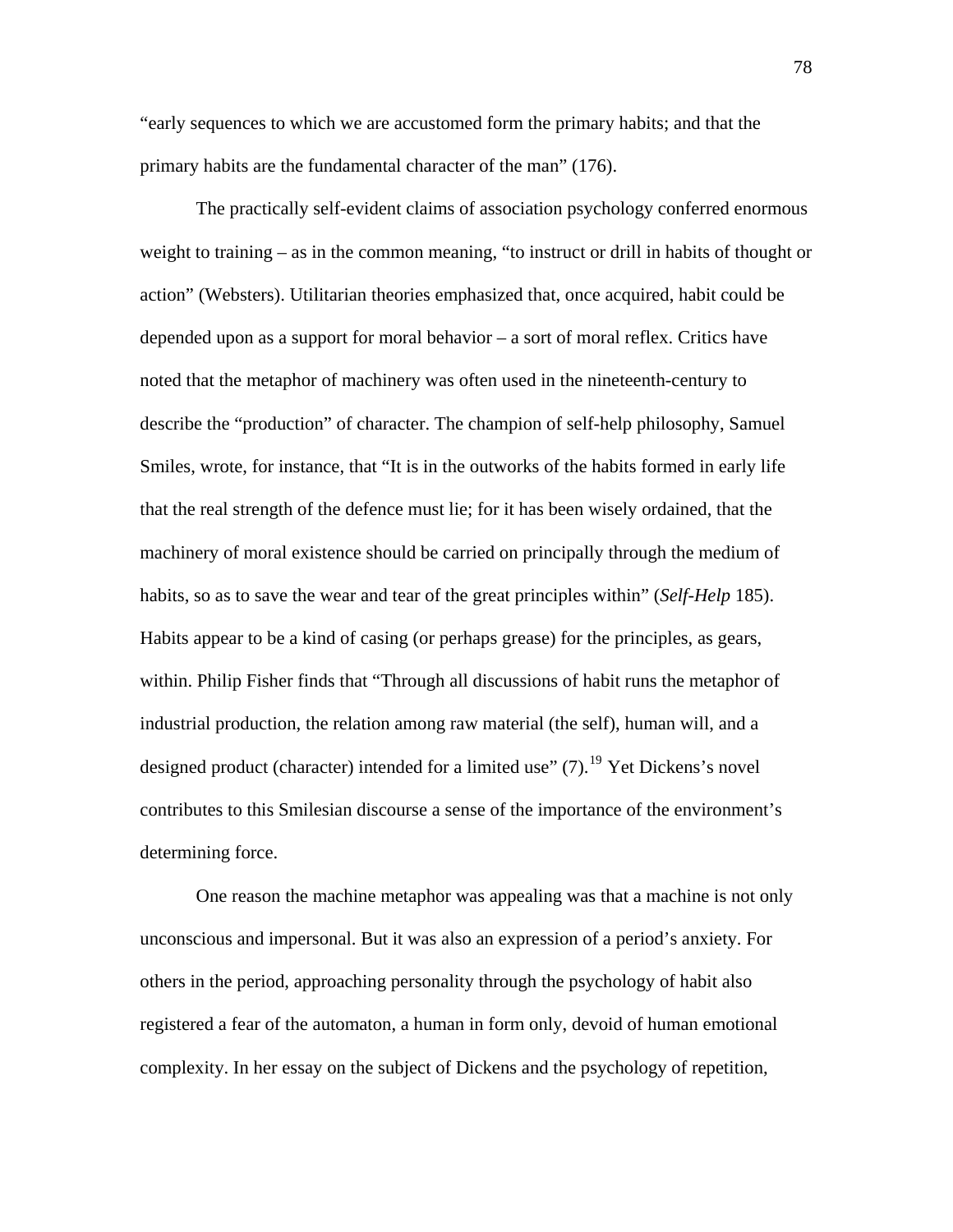"early sequences to which we are accustomed form the primary habits; and that the primary habits are the fundamental character of the man" (176).

The practically self-evident claims of association psychology conferred enormous weight to training – as in the common meaning, "to instruct or drill in habits of thought or action" (Websters). Utilitarian theories emphasized that, once acquired, habit could be depended upon as a support for moral behavior – a sort of moral reflex. Critics have noted that the metaphor of machinery was often used in the nineteenth-century to describe the "production" of character. The champion of self-help philosophy, Samuel Smiles, wrote, for instance, that "It is in the outworks of the habits formed in early life that the real strength of the defence must lie; for it has been wisely ordained, that the machinery of moral existence should be carried on principally through the medium of habits, so as to save the wear and tear of the great principles within" (*Self-Help* 185). Habits appear to be a kind of casing (or perhaps grease) for the principles, as gears, within. Philip Fisher finds that "Through all discussions of habit runs the metaphor of industrial production, the relation among raw material (the self), human will, and a designed product (character) intended for a limited use"  $(7)$ .<sup>[19](#page-110-0)</sup> Yet Dickens's novel contributes to this Smilesian discourse a sense of the importance of the environment's determining force.

One reason the machine metaphor was appealing was that a machine is not only unconscious and impersonal. But it was also an expression of a period's anxiety. For others in the period, approaching personality through the psychology of habit also registered a fear of the automaton, a human in form only, devoid of human emotional complexity. In her essay on the subject of Dickens and the psychology of repetition,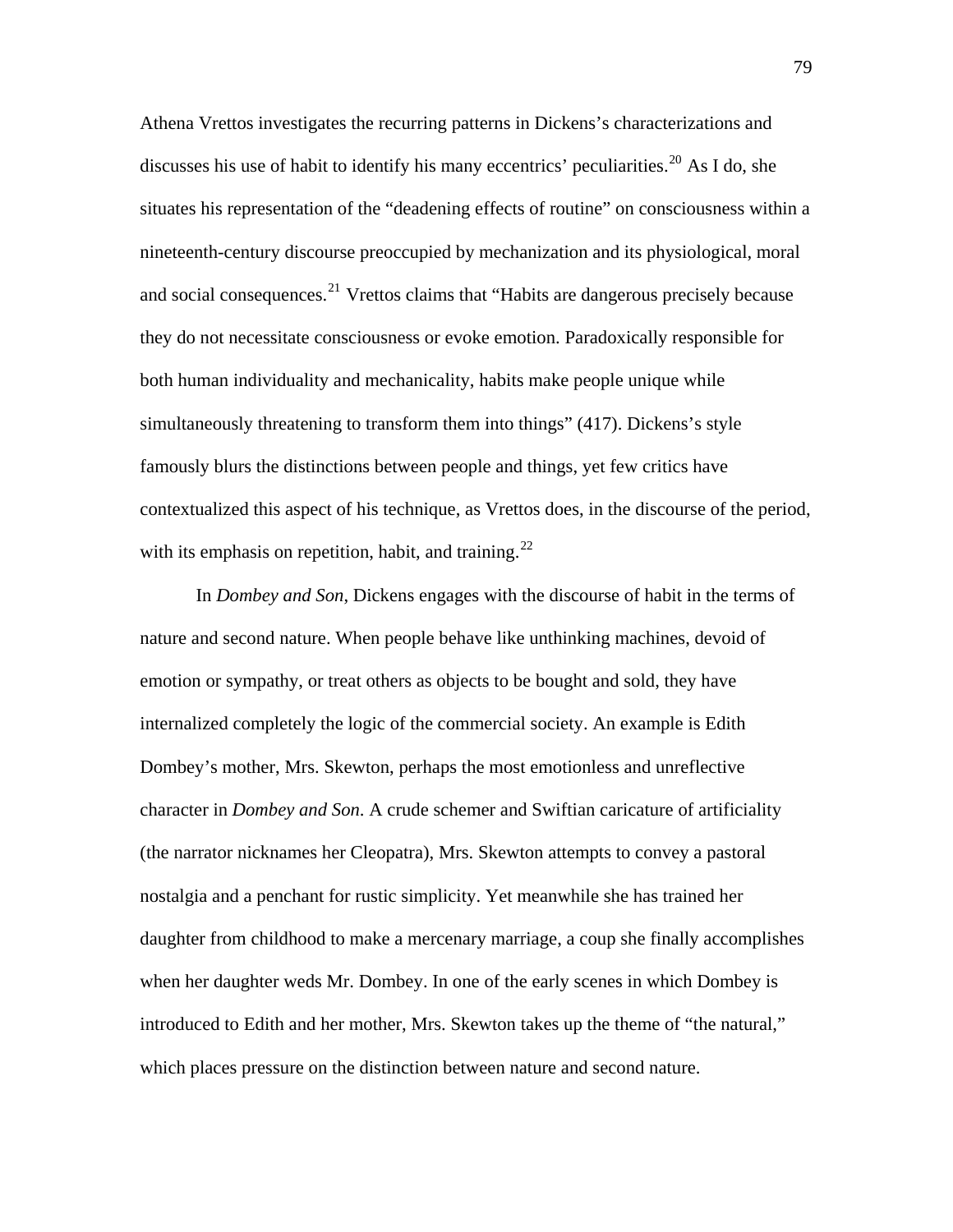Athena Vrettos investigates the recurring patterns in Dickens's characterizations and discusses his use of habit to identify his many eccentrics' peculiarities.<sup>[20](#page-110-0)</sup> As I do, she situates his representation of the "deadening effects of routine" on consciousness within a nineteenth-century discourse preoccupied by mechanization and its physiological, moral and social consequences.<sup>[21](#page-110-0)</sup> Vrettos claims that "Habits are dangerous precisely because they do not necessitate consciousness or evoke emotion. Paradoxically responsible for both human individuality and mechanicality, habits make people unique while simultaneously threatening to transform them into things" (417). Dickens's style famously blurs the distinctions between people and things, yet few critics have contextualized this aspect of his technique, as Vrettos does, in the discourse of the period, with its emphasis on repetition, habit, and training.<sup>[22](#page-110-0)</sup>

In *Dombey and Son*, Dickens engages with the discourse of habit in the terms of nature and second nature. When people behave like unthinking machines, devoid of emotion or sympathy, or treat others as objects to be bought and sold, they have internalized completely the logic of the commercial society. An example is Edith Dombey's mother, Mrs. Skewton, perhaps the most emotionless and unreflective character in *Dombey and Son*. A crude schemer and Swiftian caricature of artificiality (the narrator nicknames her Cleopatra), Mrs. Skewton attempts to convey a pastoral nostalgia and a penchant for rustic simplicity. Yet meanwhile she has trained her daughter from childhood to make a mercenary marriage, a coup she finally accomplishes when her daughter weds Mr. Dombey. In one of the early scenes in which Dombey is introduced to Edith and her mother, Mrs. Skewton takes up the theme of "the natural," which places pressure on the distinction between nature and second nature.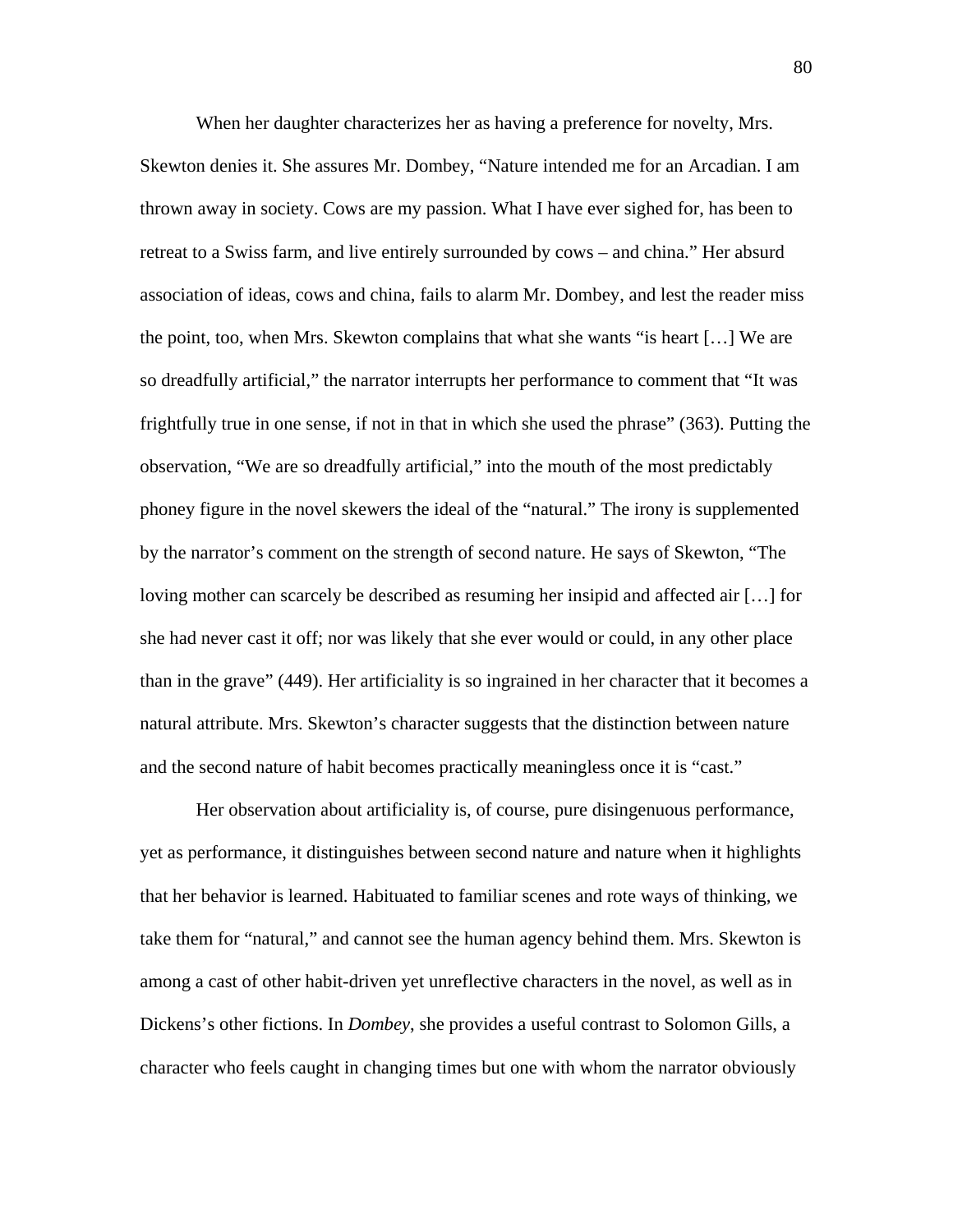When her daughter characterizes her as having a preference for novelty, Mrs. Skewton denies it. She assures Mr. Dombey, "Nature intended me for an Arcadian. I am thrown away in society. Cows are my passion. What I have ever sighed for, has been to retreat to a Swiss farm, and live entirely surrounded by cows – and china." Her absurd association of ideas, cows and china, fails to alarm Mr. Dombey, and lest the reader miss the point, too, when Mrs. Skewton complains that what she wants "is heart […] We are so dreadfully artificial," the narrator interrupts her performance to comment that "It was frightfully true in one sense, if not in that in which she used the phrase" (363). Putting the observation, "We are so dreadfully artificial," into the mouth of the most predictably phoney figure in the novel skewers the ideal of the "natural." The irony is supplemented by the narrator's comment on the strength of second nature. He says of Skewton, "The loving mother can scarcely be described as resuming her insipid and affected air […] for she had never cast it off; nor was likely that she ever would or could, in any other place than in the grave" (449). Her artificiality is so ingrained in her character that it becomes a natural attribute. Mrs. Skewton's character suggests that the distinction between nature and the second nature of habit becomes practically meaningless once it is "cast."

Her observation about artificiality is, of course, pure disingenuous performance, yet as performance, it distinguishes between second nature and nature when it highlights that her behavior is learned. Habituated to familiar scenes and rote ways of thinking, we take them for "natural," and cannot see the human agency behind them. Mrs. Skewton is among a cast of other habit-driven yet unreflective characters in the novel, as well as in Dickens's other fictions. In *Dombey*, she provides a useful contrast to Solomon Gills, a character who feels caught in changing times but one with whom the narrator obviously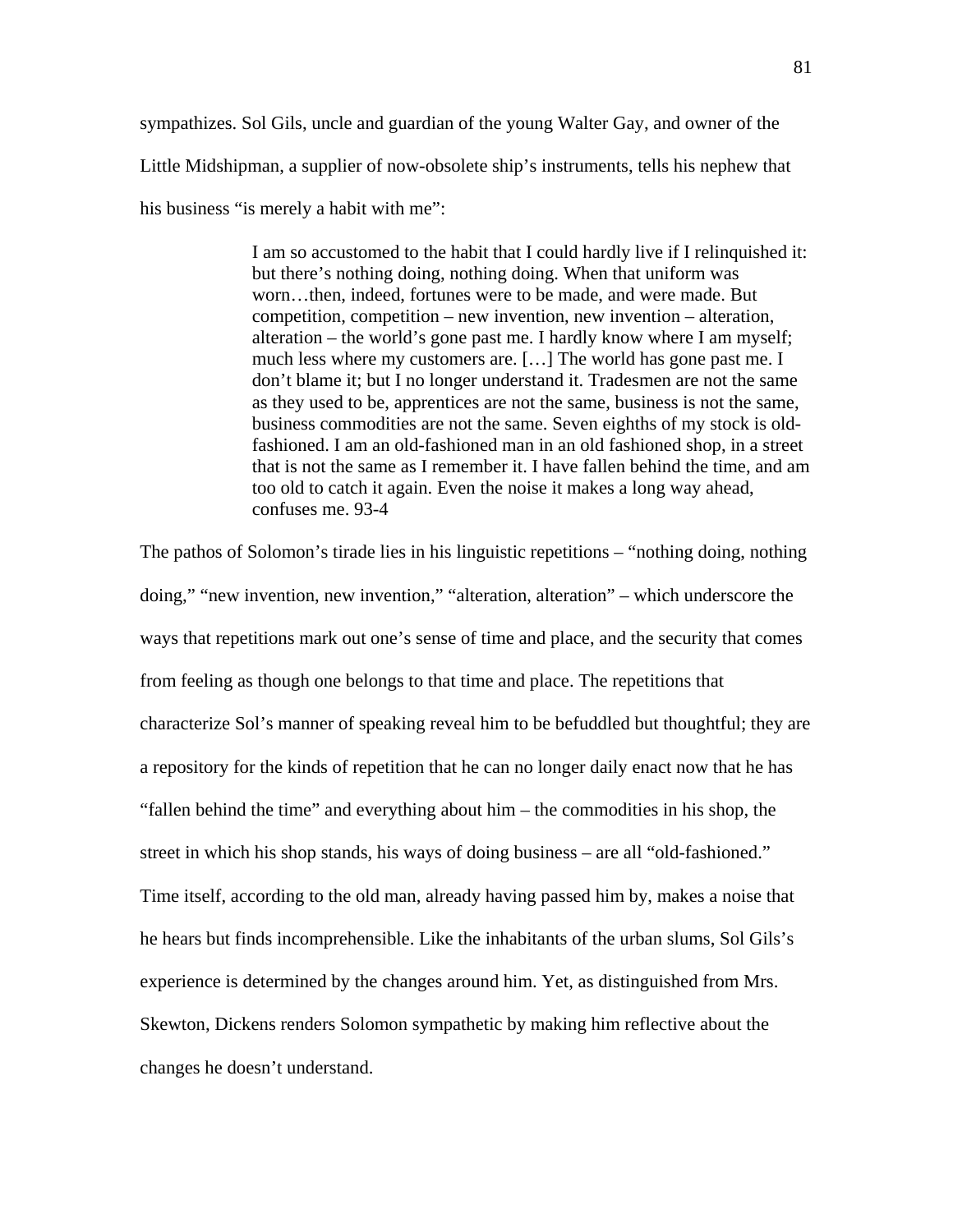sympathizes. Sol Gils, uncle and guardian of the young Walter Gay, and owner of the Little Midshipman, a supplier of now-obsolete ship's instruments, tells his nephew that his business "is merely a habit with me":

> I am so accustomed to the habit that I could hardly live if I relinquished it: but there's nothing doing, nothing doing. When that uniform was worn…then, indeed, fortunes were to be made, and were made. But competition, competition – new invention, new invention – alteration, alteration – the world's gone past me. I hardly know where I am myself; much less where my customers are. […] The world has gone past me. I don't blame it; but I no longer understand it. Tradesmen are not the same as they used to be, apprentices are not the same, business is not the same, business commodities are not the same. Seven eighths of my stock is oldfashioned. I am an old-fashioned man in an old fashioned shop, in a street that is not the same as I remember it. I have fallen behind the time, and am too old to catch it again. Even the noise it makes a long way ahead, confuses me. 93-4

The pathos of Solomon's tirade lies in his linguistic repetitions – "nothing doing, nothing doing," "new invention, new invention," "alteration, alteration" – which underscore the ways that repetitions mark out one's sense of time and place, and the security that comes from feeling as though one belongs to that time and place. The repetitions that characterize Sol's manner of speaking reveal him to be befuddled but thoughtful; they are a repository for the kinds of repetition that he can no longer daily enact now that he has "fallen behind the time" and everything about him – the commodities in his shop, the street in which his shop stands, his ways of doing business – are all "old-fashioned." Time itself, according to the old man, already having passed him by, makes a noise that he hears but finds incomprehensible. Like the inhabitants of the urban slums, Sol Gils's experience is determined by the changes around him. Yet, as distinguished from Mrs. Skewton, Dickens renders Solomon sympathetic by making him reflective about the changes he doesn't understand.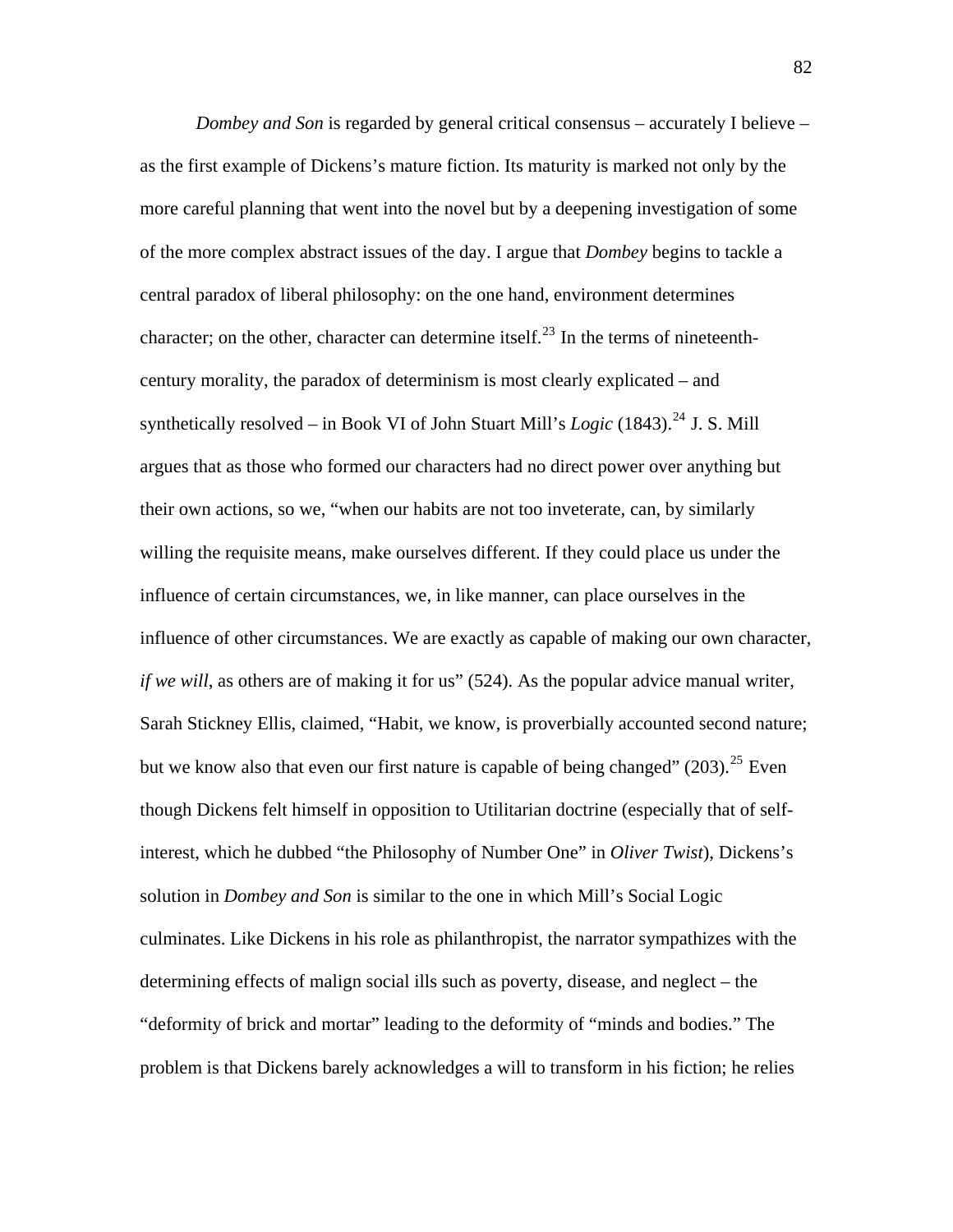*Dombey and Son* is regarded by general critical consensus – accurately I believe – as the first example of Dickens's mature fiction. Its maturity is marked not only by the more careful planning that went into the novel but by a deepening investigation of some of the more complex abstract issues of the day. I argue that *Dombey* begins to tackle a central paradox of liberal philosophy: on the one hand, environment determines character; on the other, character can determine itself.<sup>[23](#page-111-0)</sup> In the terms of nineteenthcentury morality, the paradox of determinism is most clearly explicated – and synthetically resolved – in Book VI of John Stuart Mill's  $Logic (1843).^{24}$  $Logic (1843).^{24}$  $Logic (1843).^{24}$  J. S. Mill argues that as those who formed our characters had no direct power over anything but their own actions, so we, "when our habits are not too inveterate, can, by similarly willing the requisite means, make ourselves different. If they could place us under the influence of certain circumstances, we, in like manner, can place ourselves in the influence of other circumstances. We are exactly as capable of making our own character, *if we will*, as others are of making it for us" (524). As the popular advice manual writer, Sarah Stickney Ellis, claimed, "Habit, we know, is proverbially accounted second nature; but we know also that even our first nature is capable of being changed"  $(203)$ .<sup>[25](#page-111-0)</sup> Even though Dickens felt himself in opposition to Utilitarian doctrine (especially that of selfinterest, which he dubbed "the Philosophy of Number One" in *Oliver Twist*), Dickens's solution in *Dombey and Son* is similar to the one in which Mill's Social Logic culminates. Like Dickens in his role as philanthropist, the narrator sympathizes with the determining effects of malign social ills such as poverty, disease, and neglect – the "deformity of brick and mortar" leading to the deformity of "minds and bodies." The problem is that Dickens barely acknowledges a will to transform in his fiction; he relies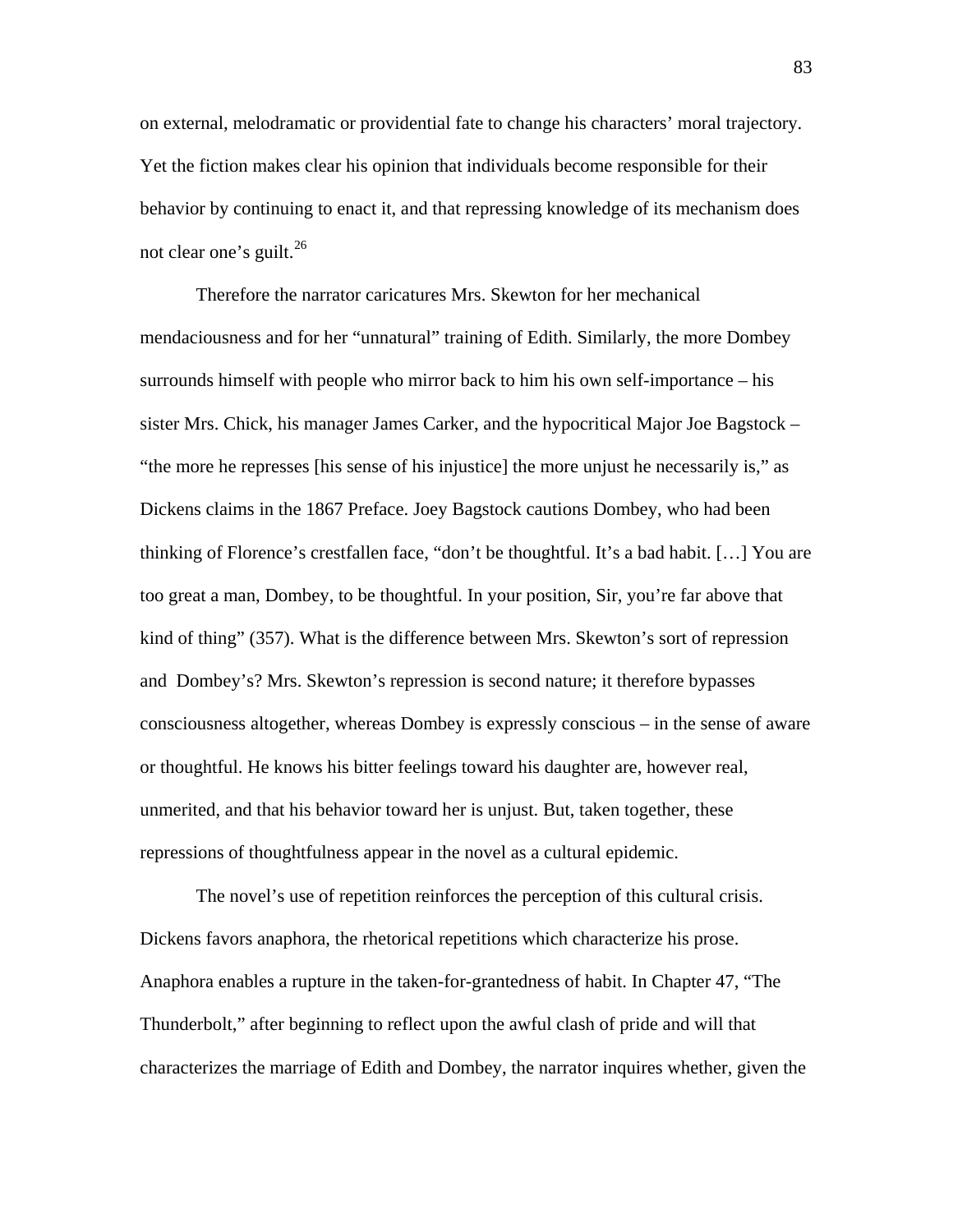on external, melodramatic or providential fate to change his characters' moral trajectory. Yet the fiction makes clear his opinion that individuals become responsible for their behavior by continuing to enact it, and that repressing knowledge of its mechanism does not clear one's guilt.<sup>[26](#page-111-0)</sup>

Therefore the narrator caricatures Mrs. Skewton for her mechanical mendaciousness and for her "unnatural" training of Edith. Similarly, the more Dombey surrounds himself with people who mirror back to him his own self-importance – his sister Mrs. Chick, his manager James Carker, and the hypocritical Major Joe Bagstock – "the more he represses [his sense of his injustice] the more unjust he necessarily is," as Dickens claims in the 1867 Preface. Joey Bagstock cautions Dombey, who had been thinking of Florence's crestfallen face, "don't be thoughtful. It's a bad habit. […] You are too great a man, Dombey, to be thoughtful. In your position, Sir, you're far above that kind of thing" (357). What is the difference between Mrs. Skewton's sort of repression and Dombey's? Mrs. Skewton's repression is second nature; it therefore bypasses consciousness altogether, whereas Dombey is expressly conscious – in the sense of aware or thoughtful. He knows his bitter feelings toward his daughter are, however real, unmerited, and that his behavior toward her is unjust. But, taken together, these repressions of thoughtfulness appear in the novel as a cultural epidemic.

The novel's use of repetition reinforces the perception of this cultural crisis. Dickens favors anaphora, the rhetorical repetitions which characterize his prose. Anaphora enables a rupture in the taken-for-grantedness of habit. In Chapter 47, "The Thunderbolt," after beginning to reflect upon the awful clash of pride and will that characterizes the marriage of Edith and Dombey, the narrator inquires whether, given the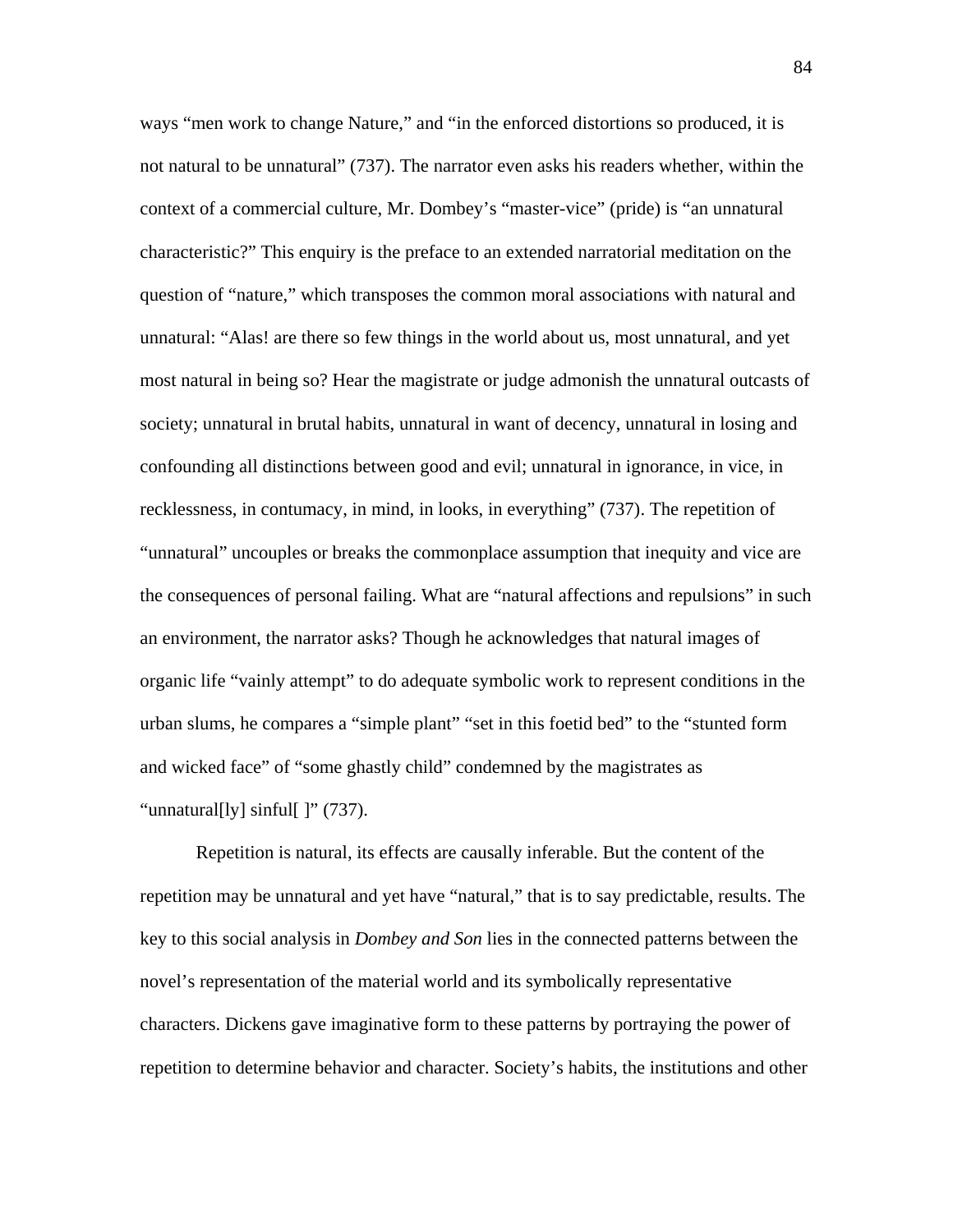ways "men work to change Nature," and "in the enforced distortions so produced, it is not natural to be unnatural" (737). The narrator even asks his readers whether, within the context of a commercial culture, Mr. Dombey's "master-vice" (pride) is "an unnatural characteristic?" This enquiry is the preface to an extended narratorial meditation on the question of "nature," which transposes the common moral associations with natural and unnatural: "Alas! are there so few things in the world about us, most unnatural, and yet most natural in being so? Hear the magistrate or judge admonish the unnatural outcasts of society; unnatural in brutal habits, unnatural in want of decency, unnatural in losing and confounding all distinctions between good and evil; unnatural in ignorance, in vice, in recklessness, in contumacy, in mind, in looks, in everything" (737). The repetition of "unnatural" uncouples or breaks the commonplace assumption that inequity and vice are the consequences of personal failing. What are "natural affections and repulsions" in such an environment, the narrator asks? Though he acknowledges that natural images of organic life "vainly attempt" to do adequate symbolic work to represent conditions in the urban slums, he compares a "simple plant" "set in this foetid bed" to the "stunted form and wicked face" of "some ghastly child" condemned by the magistrates as "unnatural[ly] sinful[ ]" (737).

Repetition is natural, its effects are causally inferable. But the content of the repetition may be unnatural and yet have "natural," that is to say predictable, results. The key to this social analysis in *Dombey and Son* lies in the connected patterns between the novel's representation of the material world and its symbolically representative characters. Dickens gave imaginative form to these patterns by portraying the power of repetition to determine behavior and character. Society's habits, the institutions and other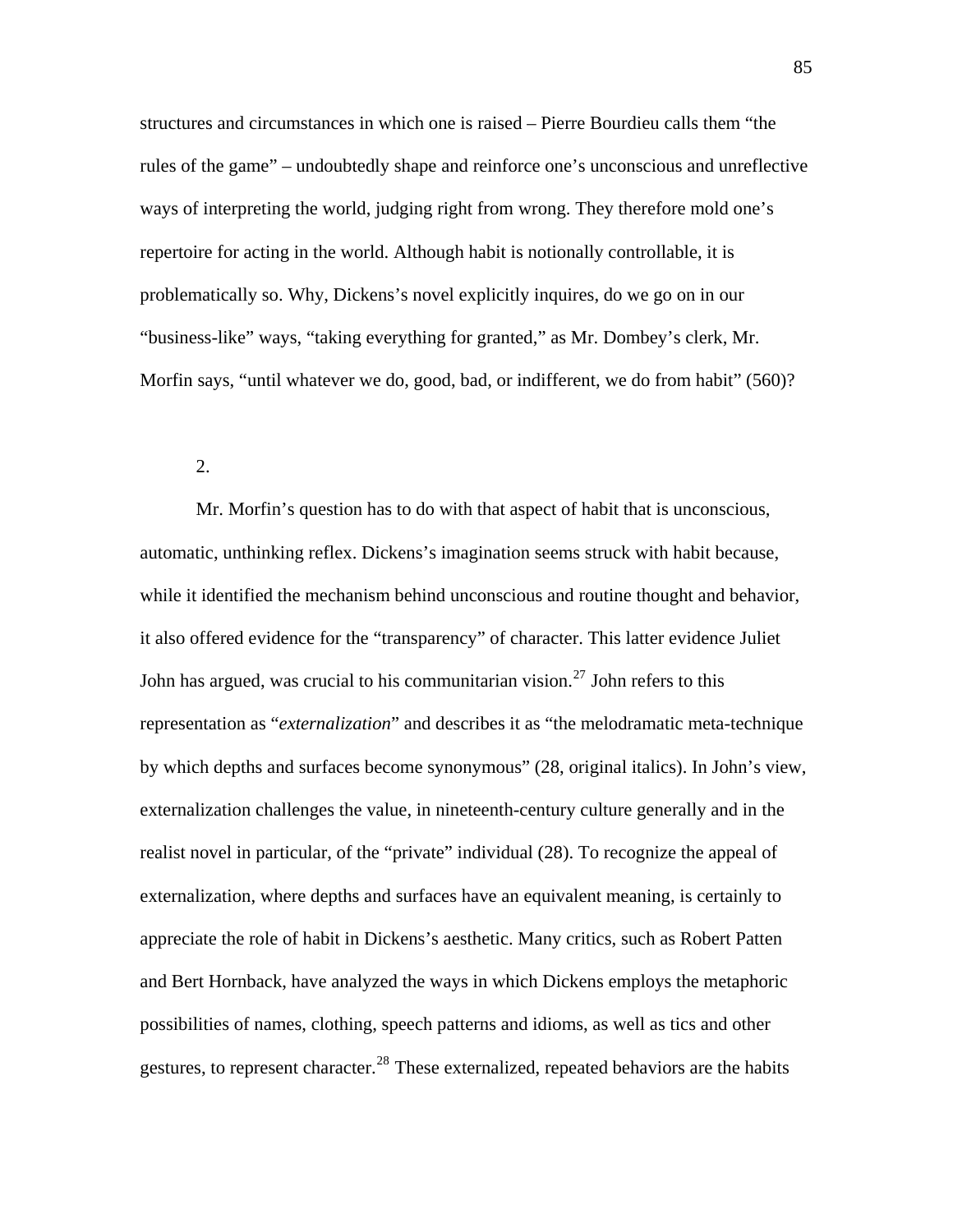structures and circumstances in which one is raised – Pierre Bourdieu calls them "the rules of the game" – undoubtedly shape and reinforce one's unconscious and unreflective ways of interpreting the world, judging right from wrong. They therefore mold one's repertoire for acting in the world. Although habit is notionally controllable, it is problematically so. Why, Dickens's novel explicitly inquires, do we go on in our "business-like" ways, "taking everything for granted," as Mr. Dombey's clerk, Mr. Morfin says, "until whatever we do, good, bad, or indifferent, we do from habit" (560)?

## 2.

Mr. Morfin's question has to do with that aspect of habit that is unconscious, automatic, unthinking reflex. Dickens's imagination seems struck with habit because, while it identified the mechanism behind unconscious and routine thought and behavior, it also offered evidence for the "transparency" of character. This latter evidence Juliet John has argued, was crucial to his communitarian vision.<sup>[27](#page-111-0)</sup> John refers to this representation as "*externalization*" and describes it as "the melodramatic meta-technique by which depths and surfaces become synonymous" (28, original italics). In John's view, externalization challenges the value, in nineteenth-century culture generally and in the realist novel in particular, of the "private" individual (28). To recognize the appeal of externalization, where depths and surfaces have an equivalent meaning, is certainly to appreciate the role of habit in Dickens's aesthetic. Many critics, such as Robert Patten and Bert Hornback, have analyzed the ways in which Dickens employs the metaphoric possibilities of names, clothing, speech patterns and idioms, as well as tics and other gestures, to represent character.<sup>[28](#page-111-0)</sup> These externalized, repeated behaviors are the habits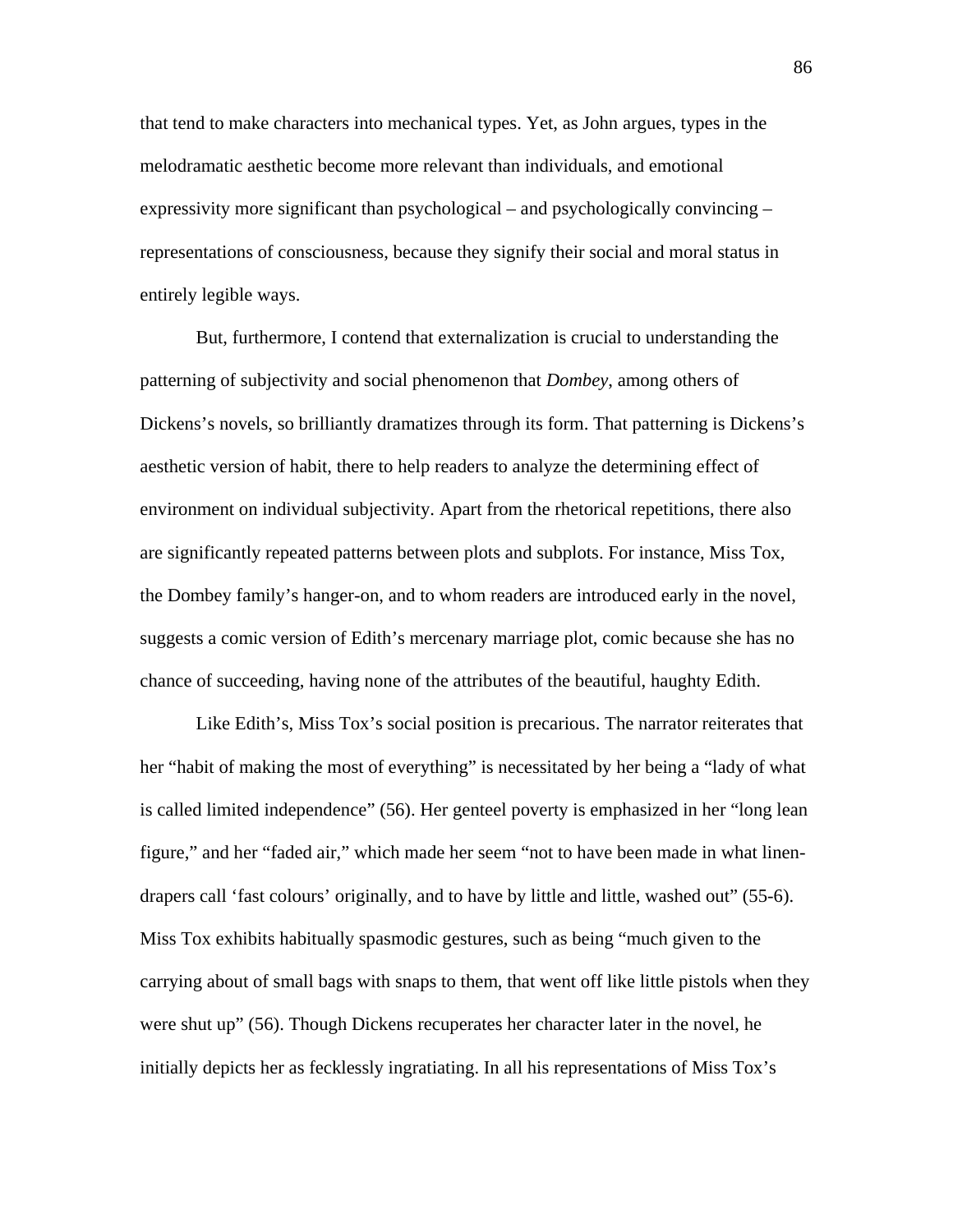that tend to make characters into mechanical types. Yet, as John argues, types in the melodramatic aesthetic become more relevant than individuals, and emotional expressivity more significant than psychological – and psychologically convincing – representations of consciousness, because they signify their social and moral status in entirely legible ways.

But, furthermore, I contend that externalization is crucial to understanding the patterning of subjectivity and social phenomenon that *Dombey*, among others of Dickens's novels, so brilliantly dramatizes through its form. That patterning is Dickens's aesthetic version of habit, there to help readers to analyze the determining effect of environment on individual subjectivity. Apart from the rhetorical repetitions, there also are significantly repeated patterns between plots and subplots. For instance, Miss Tox, the Dombey family's hanger-on, and to whom readers are introduced early in the novel, suggests a comic version of Edith's mercenary marriage plot, comic because she has no chance of succeeding, having none of the attributes of the beautiful, haughty Edith.

Like Edith's, Miss Tox's social position is precarious. The narrator reiterates that her "habit of making the most of everything" is necessitated by her being a "lady of what is called limited independence" (56). Her genteel poverty is emphasized in her "long lean figure," and her "faded air," which made her seem "not to have been made in what linendrapers call 'fast colours' originally, and to have by little and little, washed out" (55-6). Miss Tox exhibits habitually spasmodic gestures, such as being "much given to the carrying about of small bags with snaps to them, that went off like little pistols when they were shut up" (56). Though Dickens recuperates her character later in the novel, he initially depicts her as fecklessly ingratiating. In all his representations of Miss Tox's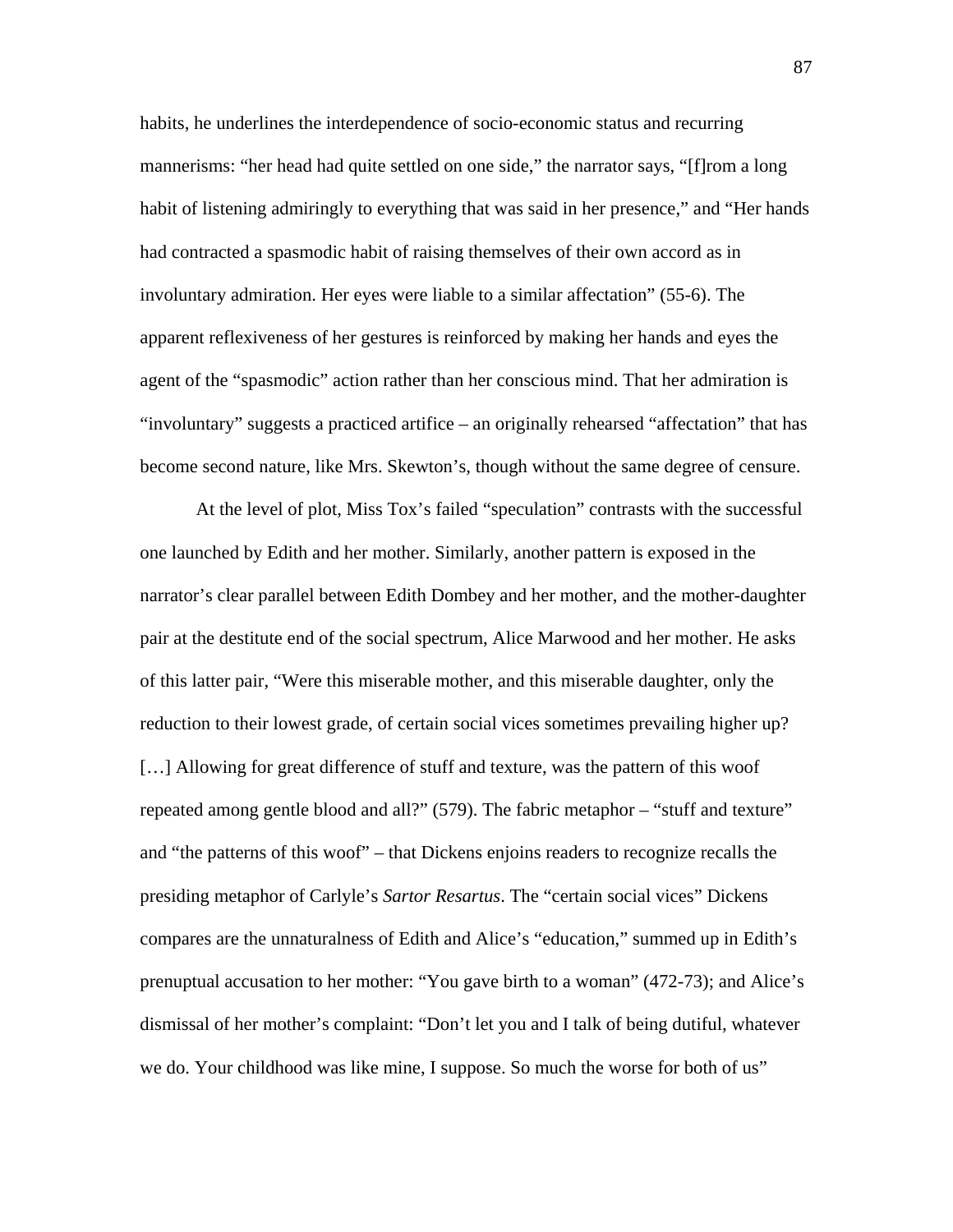habits, he underlines the interdependence of socio-economic status and recurring mannerisms: "her head had quite settled on one side," the narrator says, "[f]rom a long habit of listening admiringly to everything that was said in her presence," and "Her hands had contracted a spasmodic habit of raising themselves of their own accord as in involuntary admiration. Her eyes were liable to a similar affectation" (55-6). The apparent reflexiveness of her gestures is reinforced by making her hands and eyes the agent of the "spasmodic" action rather than her conscious mind. That her admiration is "involuntary" suggests a practiced artifice – an originally rehearsed "affectation" that has become second nature, like Mrs. Skewton's, though without the same degree of censure.

At the level of plot, Miss Tox's failed "speculation" contrasts with the successful one launched by Edith and her mother. Similarly, another pattern is exposed in the narrator's clear parallel between Edith Dombey and her mother, and the mother-daughter pair at the destitute end of the social spectrum, Alice Marwood and her mother. He asks of this latter pair, "Were this miserable mother, and this miserable daughter, only the reduction to their lowest grade, of certain social vices sometimes prevailing higher up? [...] Allowing for great difference of stuff and texture, was the pattern of this woof repeated among gentle blood and all?" (579). The fabric metaphor – "stuff and texture" and "the patterns of this woof" – that Dickens enjoins readers to recognize recalls the presiding metaphor of Carlyle's *Sartor Resartus*. The "certain social vices" Dickens compares are the unnaturalness of Edith and Alice's "education," summed up in Edith's prenuptual accusation to her mother: "You gave birth to a woman" (472-73); and Alice's dismissal of her mother's complaint: "Don't let you and I talk of being dutiful, whatever we do. Your childhood was like mine, I suppose. So much the worse for both of us"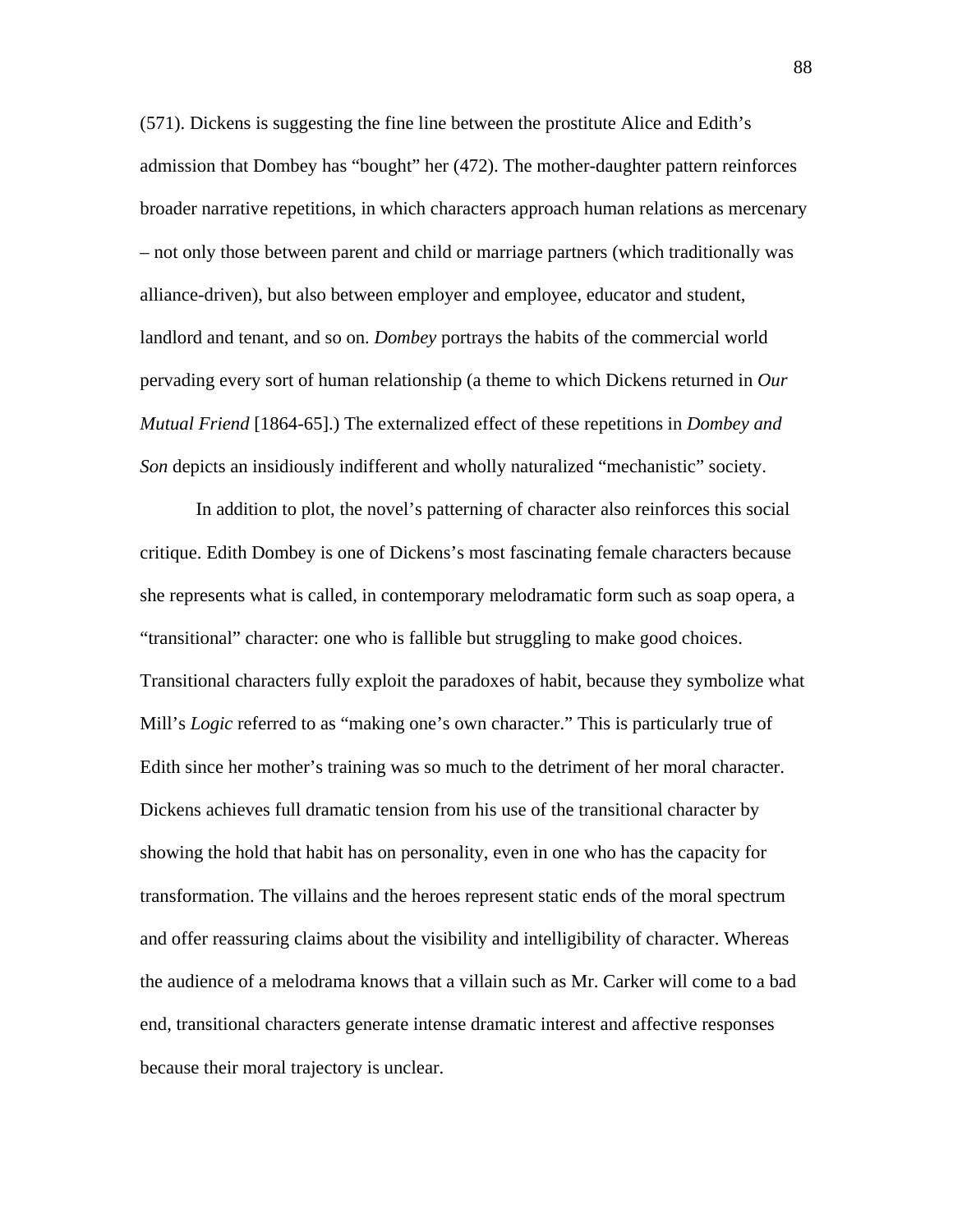(571). Dickens is suggesting the fine line between the prostitute Alice and Edith's admission that Dombey has "bought" her (472). The mother-daughter pattern reinforces broader narrative repetitions, in which characters approach human relations as mercenary – not only those between parent and child or marriage partners (which traditionally was alliance-driven), but also between employer and employee, educator and student, landlord and tenant, and so on. *Dombey* portrays the habits of the commercial world pervading every sort of human relationship (a theme to which Dickens returned in *Our Mutual Friend* [1864-65].) The externalized effect of these repetitions in *Dombey and Son* depicts an insidiously indifferent and wholly naturalized "mechanistic" society.

In addition to plot, the novel's patterning of character also reinforces this social critique. Edith Dombey is one of Dickens's most fascinating female characters because she represents what is called, in contemporary melodramatic form such as soap opera, a "transitional" character: one who is fallible but struggling to make good choices. Transitional characters fully exploit the paradoxes of habit, because they symbolize what Mill's *Logic* referred to as "making one's own character." This is particularly true of Edith since her mother's training was so much to the detriment of her moral character. Dickens achieves full dramatic tension from his use of the transitional character by showing the hold that habit has on personality, even in one who has the capacity for transformation. The villains and the heroes represent static ends of the moral spectrum and offer reassuring claims about the visibility and intelligibility of character. Whereas the audience of a melodrama knows that a villain such as Mr. Carker will come to a bad end, transitional characters generate intense dramatic interest and affective responses because their moral trajectory is unclear.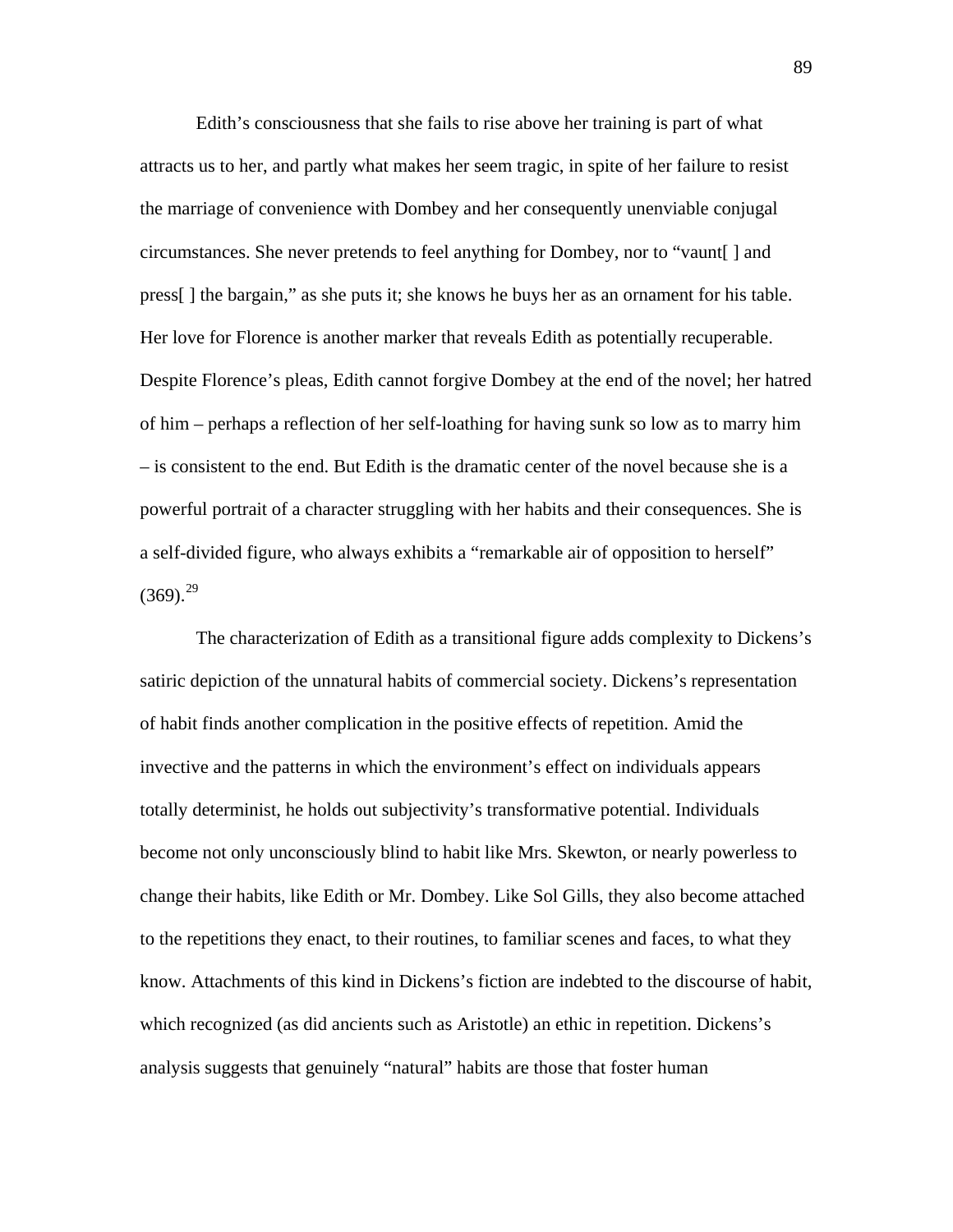Edith's consciousness that she fails to rise above her training is part of what attracts us to her, and partly what makes her seem tragic, in spite of her failure to resist the marriage of convenience with Dombey and her consequently unenviable conjugal circumstances. She never pretends to feel anything for Dombey, nor to "vaunt[ ] and press[ ] the bargain," as she puts it; she knows he buys her as an ornament for his table. Her love for Florence is another marker that reveals Edith as potentially recuperable. Despite Florence's pleas, Edith cannot forgive Dombey at the end of the novel; her hatred of him – perhaps a reflection of her self-loathing for having sunk so low as to marry him – is consistent to the end. But Edith is the dramatic center of the novel because she is a powerful portrait of a character struggling with her habits and their consequences. She is a self-divided figure, who always exhibits a "remarkable air of opposition to herself"  $(369).^{29}$  $(369).^{29}$  $(369).^{29}$ 

The characterization of Edith as a transitional figure adds complexity to Dickens's satiric depiction of the unnatural habits of commercial society. Dickens's representation of habit finds another complication in the positive effects of repetition. Amid the invective and the patterns in which the environment's effect on individuals appears totally determinist, he holds out subjectivity's transformative potential. Individuals become not only unconsciously blind to habit like Mrs. Skewton, or nearly powerless to change their habits, like Edith or Mr. Dombey. Like Sol Gills, they also become attached to the repetitions they enact, to their routines, to familiar scenes and faces, to what they know. Attachments of this kind in Dickens's fiction are indebted to the discourse of habit, which recognized (as did ancients such as Aristotle) an ethic in repetition. Dickens's analysis suggests that genuinely "natural" habits are those that foster human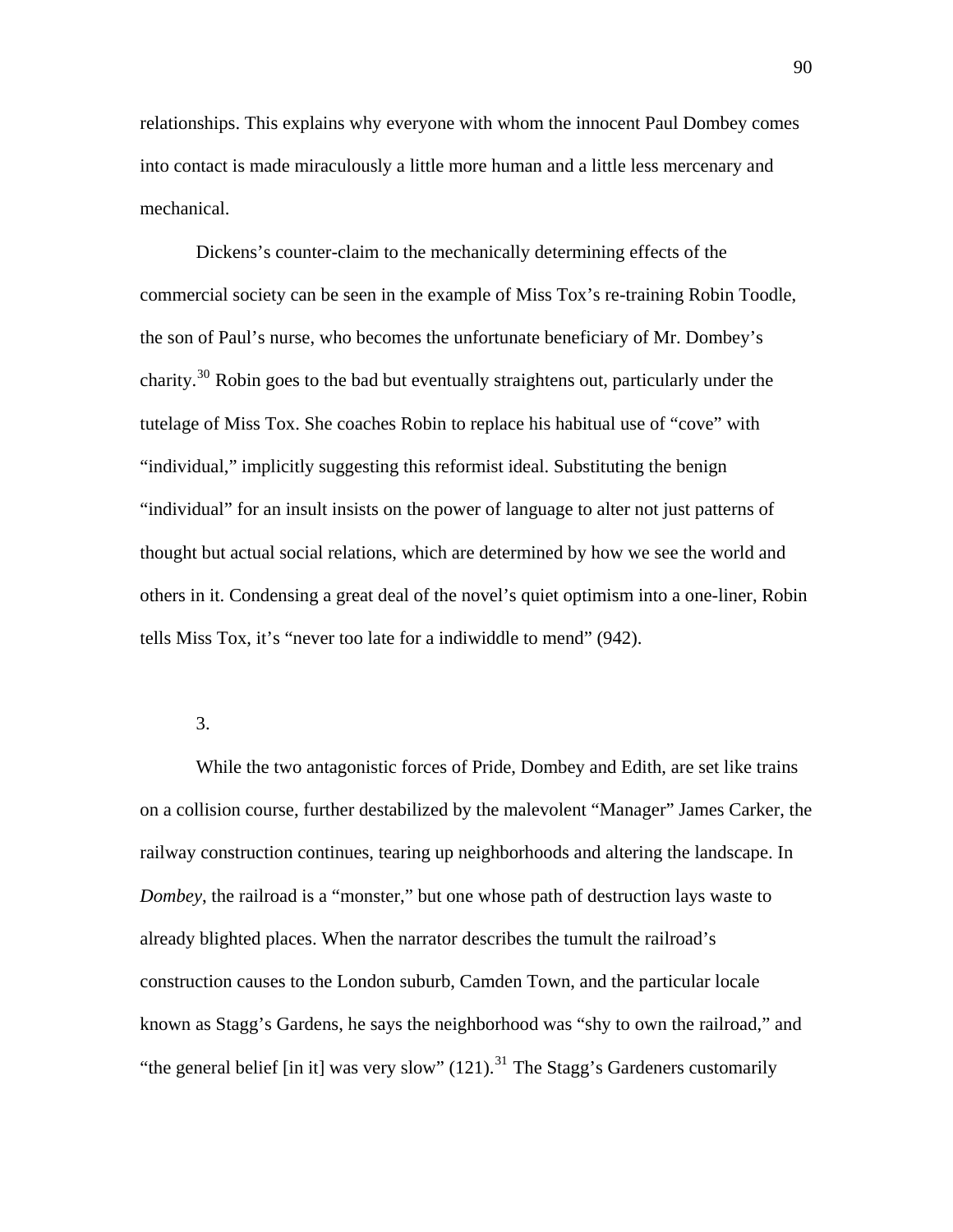relationships. This explains why everyone with whom the innocent Paul Dombey comes into contact is made miraculously a little more human and a little less mercenary and mechanical.

Dickens's counter-claim to the mechanically determining effects of the commercial society can be seen in the example of Miss Tox's re-training Robin Toodle, the son of Paul's nurse, who becomes the unfortunate beneficiary of Mr. Dombey's charity.[30](#page-111-0) Robin goes to the bad but eventually straightens out, particularly under the tutelage of Miss Tox. She coaches Robin to replace his habitual use of "cove" with "individual," implicitly suggesting this reformist ideal. Substituting the benign "individual" for an insult insists on the power of language to alter not just patterns of thought but actual social relations, which are determined by how we see the world and others in it. Condensing a great deal of the novel's quiet optimism into a one-liner, Robin tells Miss Tox, it's "never too late for a indiwiddle to mend" (942).

3.

While the two antagonistic forces of Pride, Dombey and Edith, are set like trains on a collision course, further destabilized by the malevolent "Manager" James Carker, the railway construction continues, tearing up neighborhoods and altering the landscape. In *Dombey*, the railroad is a "monster," but one whose path of destruction lays waste to already blighted places. When the narrator describes the tumult the railroad's construction causes to the London suburb, Camden Town, and the particular locale known as Stagg's Gardens, he says the neighborhood was "shy to own the railroad," and "the general belief [in it] was very slow"  $(121)$ .<sup>[31](#page-111-0)</sup> The Stagg's Gardeners customarily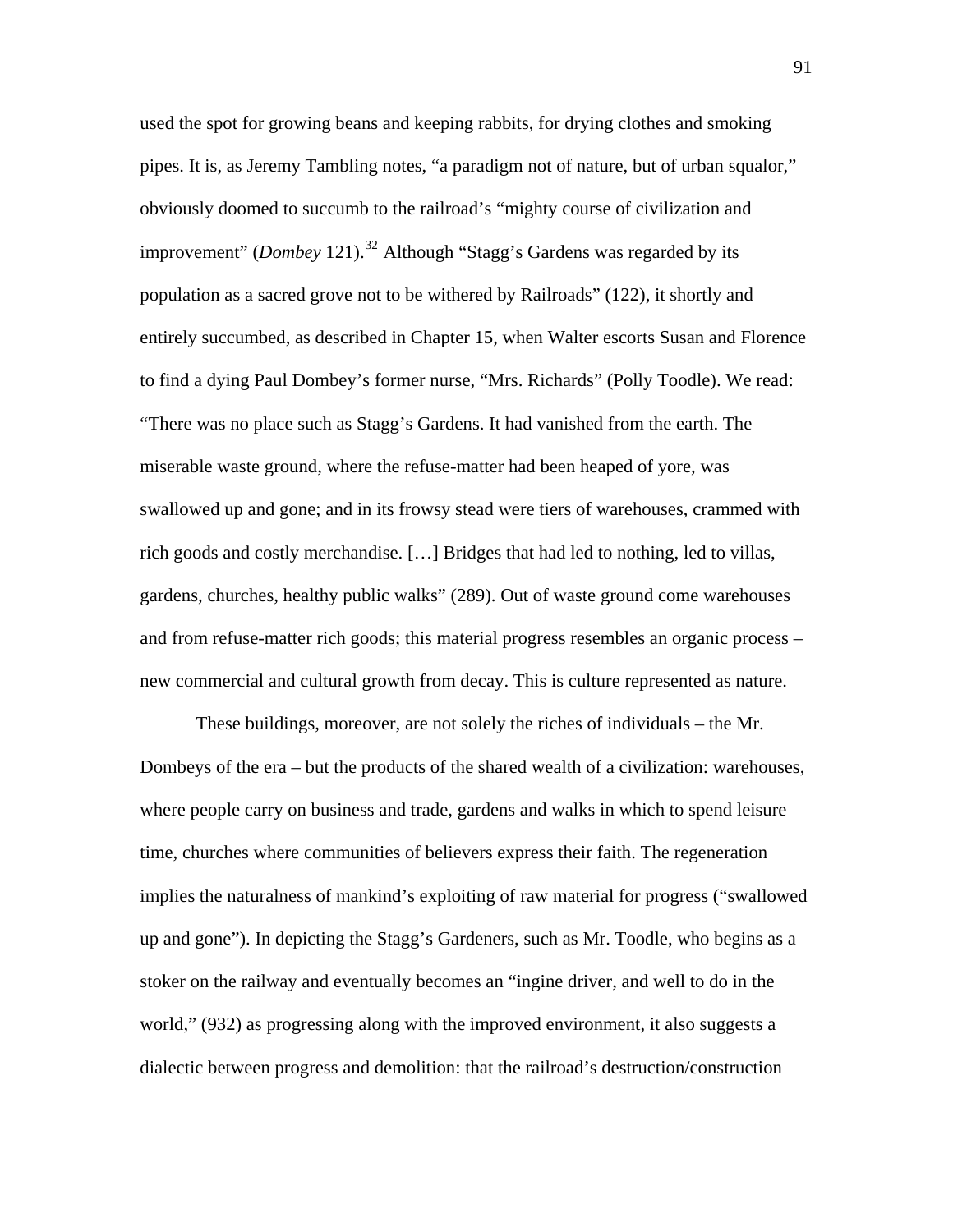used the spot for growing beans and keeping rabbits, for drying clothes and smoking pipes. It is, as Jeremy Tambling notes, "a paradigm not of nature, but of urban squalor," obviously doomed to succumb to the railroad's "mighty course of civilization and improvement" *(Dombey* 121).<sup>[32](#page-111-0)</sup> Although "Stagg's Gardens was regarded by its population as a sacred grove not to be withered by Railroads" (122), it shortly and entirely succumbed, as described in Chapter 15, when Walter escorts Susan and Florence to find a dying Paul Dombey's former nurse, "Mrs. Richards" (Polly Toodle). We read: "There was no place such as Stagg's Gardens. It had vanished from the earth. The miserable waste ground, where the refuse-matter had been heaped of yore, was swallowed up and gone; and in its frowsy stead were tiers of warehouses, crammed with rich goods and costly merchandise. […] Bridges that had led to nothing, led to villas, gardens, churches, healthy public walks" (289). Out of waste ground come warehouses and from refuse-matter rich goods; this material progress resembles an organic process – new commercial and cultural growth from decay. This is culture represented as nature.

These buildings, moreover, are not solely the riches of individuals – the Mr. Dombeys of the era – but the products of the shared wealth of a civilization: warehouses, where people carry on business and trade, gardens and walks in which to spend leisure time, churches where communities of believers express their faith. The regeneration implies the naturalness of mankind's exploiting of raw material for progress ("swallowed up and gone"). In depicting the Stagg's Gardeners, such as Mr. Toodle, who begins as a stoker on the railway and eventually becomes an "ingine driver, and well to do in the world," (932) as progressing along with the improved environment, it also suggests a dialectic between progress and demolition: that the railroad's destruction/construction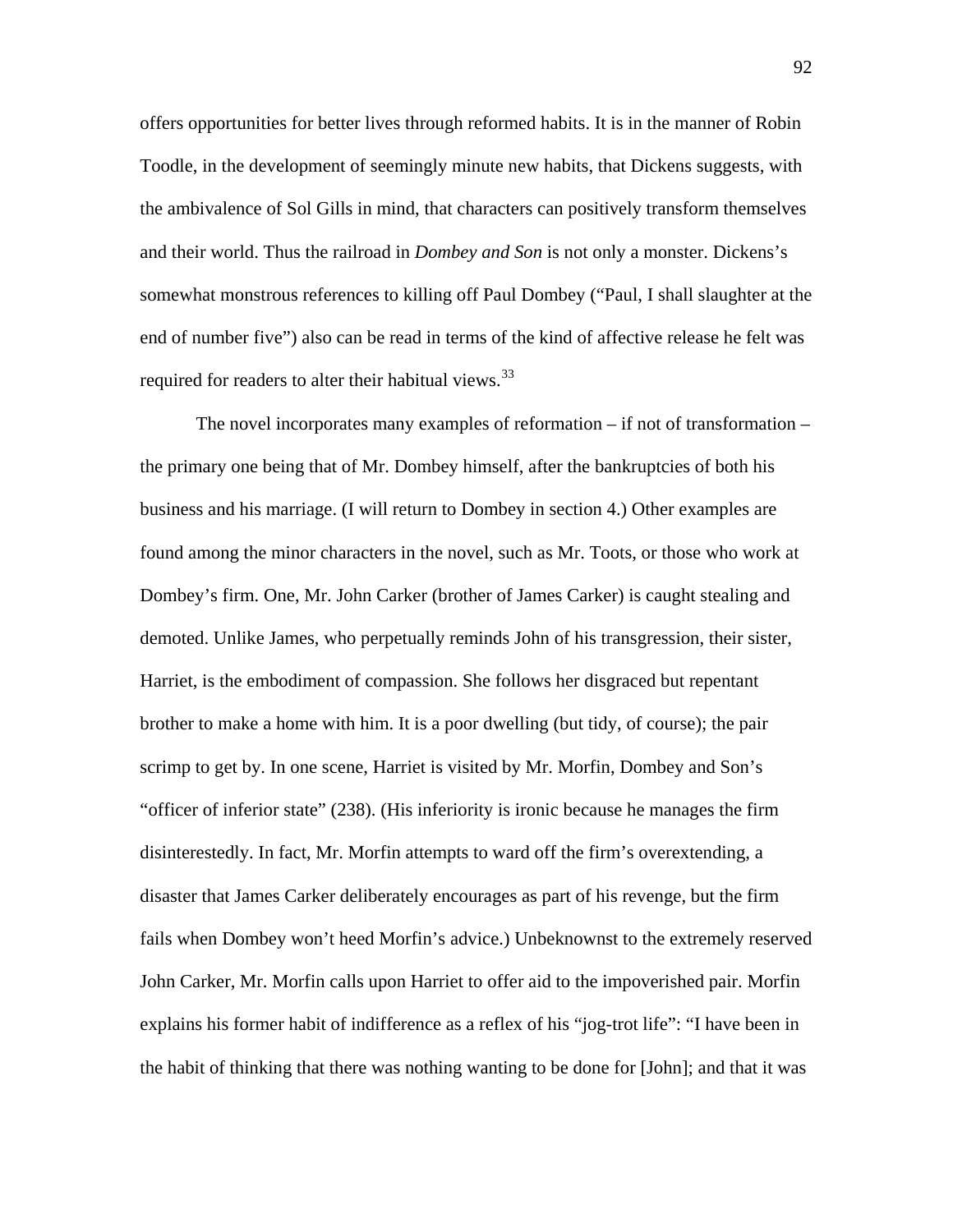offers opportunities for better lives through reformed habits. It is in the manner of Robin Toodle, in the development of seemingly minute new habits, that Dickens suggests, with the ambivalence of Sol Gills in mind, that characters can positively transform themselves and their world. Thus the railroad in *Dombey and Son* is not only a monster. Dickens's somewhat monstrous references to killing off Paul Dombey ("Paul, I shall slaughter at the end of number five") also can be read in terms of the kind of affective release he felt was required for readers to alter their habitual views.<sup>[33](#page-111-0)</sup>

The novel incorporates many examples of reformation – if not of transformation – the primary one being that of Mr. Dombey himself, after the bankruptcies of both his business and his marriage. (I will return to Dombey in section 4.) Other examples are found among the minor characters in the novel, such as Mr. Toots, or those who work at Dombey's firm. One, Mr. John Carker (brother of James Carker) is caught stealing and demoted. Unlike James, who perpetually reminds John of his transgression, their sister, Harriet, is the embodiment of compassion. She follows her disgraced but repentant brother to make a home with him. It is a poor dwelling (but tidy, of course); the pair scrimp to get by. In one scene, Harriet is visited by Mr. Morfin, Dombey and Son's "officer of inferior state" (238). (His inferiority is ironic because he manages the firm disinterestedly. In fact, Mr. Morfin attempts to ward off the firm's overextending, a disaster that James Carker deliberately encourages as part of his revenge, but the firm fails when Dombey won't heed Morfin's advice.) Unbeknownst to the extremely reserved John Carker, Mr. Morfin calls upon Harriet to offer aid to the impoverished pair. Morfin explains his former habit of indifference as a reflex of his "jog-trot life": "I have been in the habit of thinking that there was nothing wanting to be done for [John]; and that it was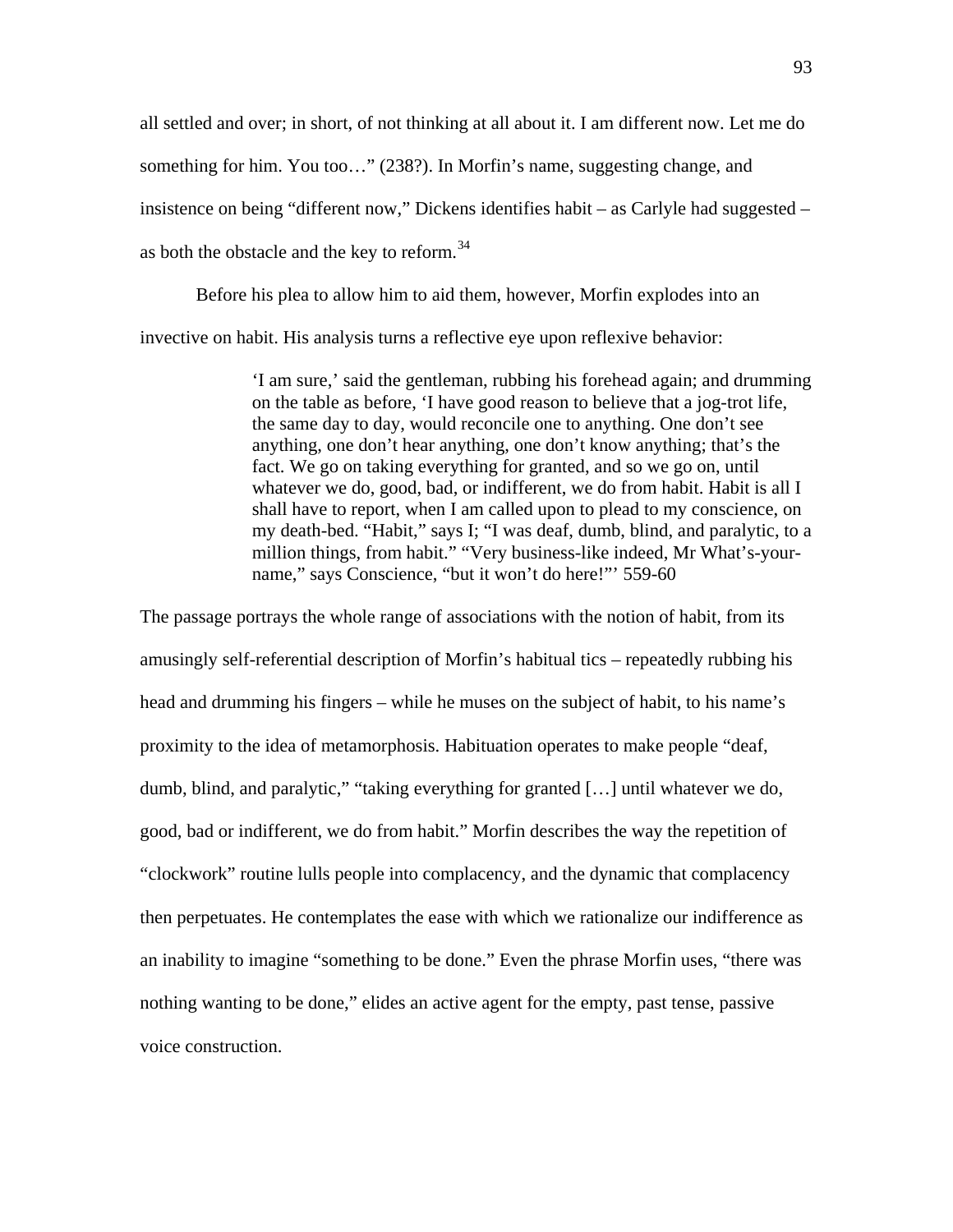all settled and over; in short, of not thinking at all about it. I am different now. Let me do something for him. You too…" (238?). In Morfin's name, suggesting change, and insistence on being "different now," Dickens identifies habit – as Carlyle had suggested – as both the obstacle and the key to reform.<sup>[34](#page-112-0)</sup>

Before his plea to allow him to aid them, however, Morfin explodes into an invective on habit. His analysis turns a reflective eye upon reflexive behavior:

> 'I am sure,' said the gentleman, rubbing his forehead again; and drumming on the table as before, 'I have good reason to believe that a jog-trot life, the same day to day, would reconcile one to anything. One don't see anything, one don't hear anything, one don't know anything; that's the fact. We go on taking everything for granted, and so we go on, until whatever we do, good, bad, or indifferent, we do from habit. Habit is all I shall have to report, when I am called upon to plead to my conscience, on my death-bed. "Habit," says I; "I was deaf, dumb, blind, and paralytic, to a million things, from habit." "Very business-like indeed, Mr What's-yourname," says Conscience, "but it won't do here!"' 559-60

The passage portrays the whole range of associations with the notion of habit, from its amusingly self-referential description of Morfin's habitual tics – repeatedly rubbing his head and drumming his fingers – while he muses on the subject of habit, to his name's proximity to the idea of metamorphosis. Habituation operates to make people "deaf, dumb, blind, and paralytic," "taking everything for granted […] until whatever we do, good, bad or indifferent, we do from habit." Morfin describes the way the repetition of "clockwork" routine lulls people into complacency, and the dynamic that complacency then perpetuates. He contemplates the ease with which we rationalize our indifference as an inability to imagine "something to be done." Even the phrase Morfin uses, "there was nothing wanting to be done," elides an active agent for the empty, past tense, passive voice construction.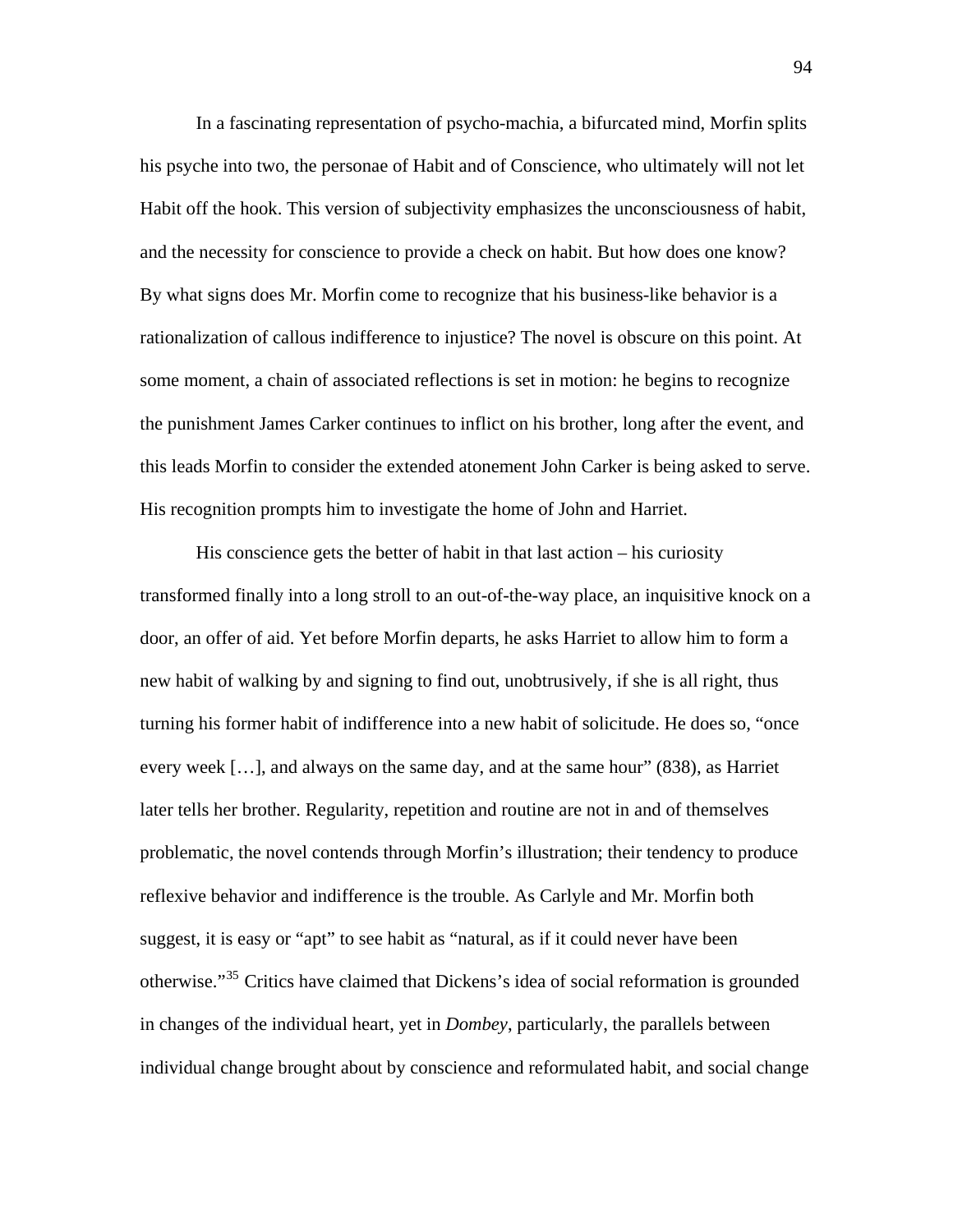In a fascinating representation of psycho-machia, a bifurcated mind, Morfin splits his psyche into two, the personae of Habit and of Conscience, who ultimately will not let Habit off the hook. This version of subjectivity emphasizes the unconsciousness of habit, and the necessity for conscience to provide a check on habit. But how does one know? By what signs does Mr. Morfin come to recognize that his business-like behavior is a rationalization of callous indifference to injustice? The novel is obscure on this point. At some moment, a chain of associated reflections is set in motion: he begins to recognize the punishment James Carker continues to inflict on his brother, long after the event, and this leads Morfin to consider the extended atonement John Carker is being asked to serve. His recognition prompts him to investigate the home of John and Harriet.

His conscience gets the better of habit in that last action – his curiosity transformed finally into a long stroll to an out-of-the-way place, an inquisitive knock on a door, an offer of aid. Yet before Morfin departs, he asks Harriet to allow him to form a new habit of walking by and signing to find out, unobtrusively, if she is all right, thus turning his former habit of indifference into a new habit of solicitude. He does so, "once every week […], and always on the same day, and at the same hour" (838), as Harriet later tells her brother. Regularity, repetition and routine are not in and of themselves problematic, the novel contends through Morfin's illustration; their tendency to produce reflexive behavior and indifference is the trouble. As Carlyle and Mr. Morfin both suggest, it is easy or "apt" to see habit as "natural, as if it could never have been otherwise."[35](#page-112-0) Critics have claimed that Dickens's idea of social reformation is grounded in changes of the individual heart, yet in *Dombey*, particularly, the parallels between individual change brought about by conscience and reformulated habit, and social change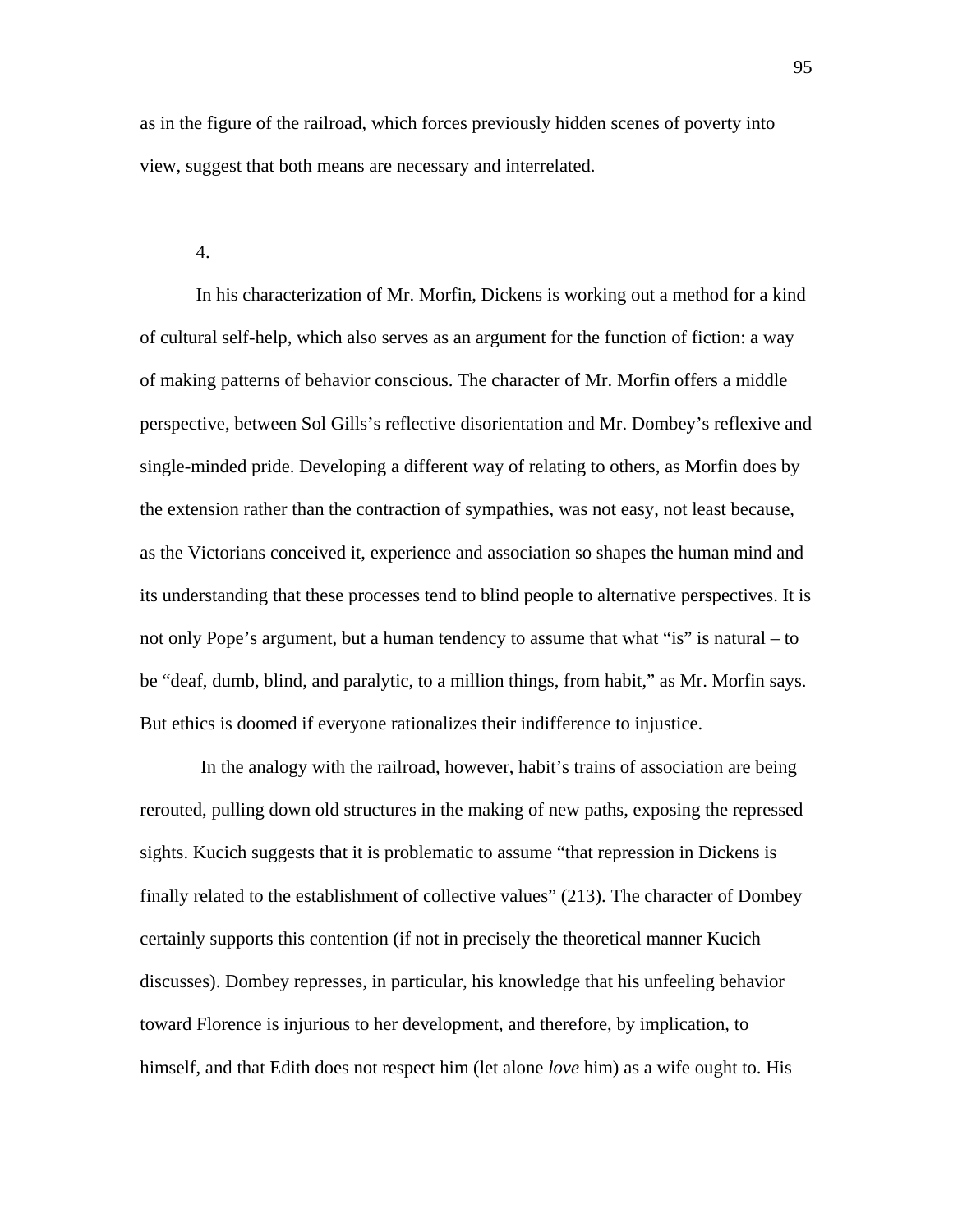as in the figure of the railroad, which forces previously hidden scenes of poverty into view, suggest that both means are necessary and interrelated.

4.

In his characterization of Mr. Morfin, Dickens is working out a method for a kind of cultural self-help, which also serves as an argument for the function of fiction: a way of making patterns of behavior conscious. The character of Mr. Morfin offers a middle perspective, between Sol Gills's reflective disorientation and Mr. Dombey's reflexive and single-minded pride. Developing a different way of relating to others, as Morfin does by the extension rather than the contraction of sympathies, was not easy, not least because, as the Victorians conceived it, experience and association so shapes the human mind and its understanding that these processes tend to blind people to alternative perspectives. It is not only Pope's argument, but a human tendency to assume that what "is" is natural – to be "deaf, dumb, blind, and paralytic, to a million things, from habit," as Mr. Morfin says. But ethics is doomed if everyone rationalizes their indifference to injustice.

 In the analogy with the railroad, however, habit's trains of association are being rerouted, pulling down old structures in the making of new paths, exposing the repressed sights. Kucich suggests that it is problematic to assume "that repression in Dickens is finally related to the establishment of collective values" (213). The character of Dombey certainly supports this contention (if not in precisely the theoretical manner Kucich discusses). Dombey represses, in particular, his knowledge that his unfeeling behavior toward Florence is injurious to her development, and therefore, by implication, to himself, and that Edith does not respect him (let alone *love* him) as a wife ought to. His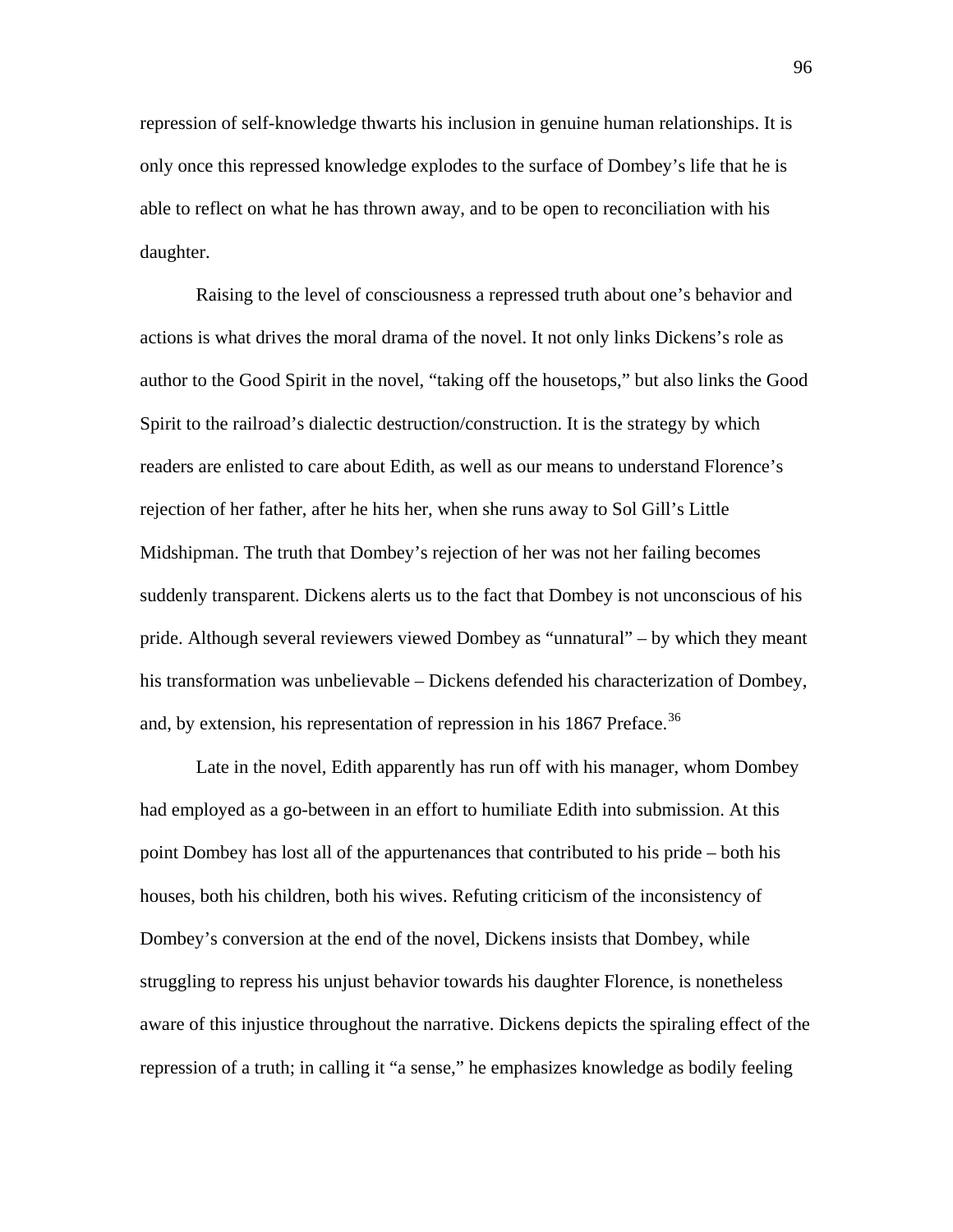repression of self-knowledge thwarts his inclusion in genuine human relationships. It is only once this repressed knowledge explodes to the surface of Dombey's life that he is able to reflect on what he has thrown away, and to be open to reconciliation with his daughter.

Raising to the level of consciousness a repressed truth about one's behavior and actions is what drives the moral drama of the novel. It not only links Dickens's role as author to the Good Spirit in the novel, "taking off the housetops," but also links the Good Spirit to the railroad's dialectic destruction/construction. It is the strategy by which readers are enlisted to care about Edith, as well as our means to understand Florence's rejection of her father, after he hits her, when she runs away to Sol Gill's Little Midshipman. The truth that Dombey's rejection of her was not her failing becomes suddenly transparent. Dickens alerts us to the fact that Dombey is not unconscious of his pride. Although several reviewers viewed Dombey as "unnatural" – by which they meant his transformation was unbelievable – Dickens defended his characterization of Dombey, and, by extension, his representation of repression in his 1867 Preface.<sup>[36](#page-112-0)</sup>

Late in the novel, Edith apparently has run off with his manager, whom Dombey had employed as a go-between in an effort to humiliate Edith into submission. At this point Dombey has lost all of the appurtenances that contributed to his pride – both his houses, both his children, both his wives. Refuting criticism of the inconsistency of Dombey's conversion at the end of the novel, Dickens insists that Dombey, while struggling to repress his unjust behavior towards his daughter Florence, is nonetheless aware of this injustice throughout the narrative. Dickens depicts the spiraling effect of the repression of a truth; in calling it "a sense," he emphasizes knowledge as bodily feeling

96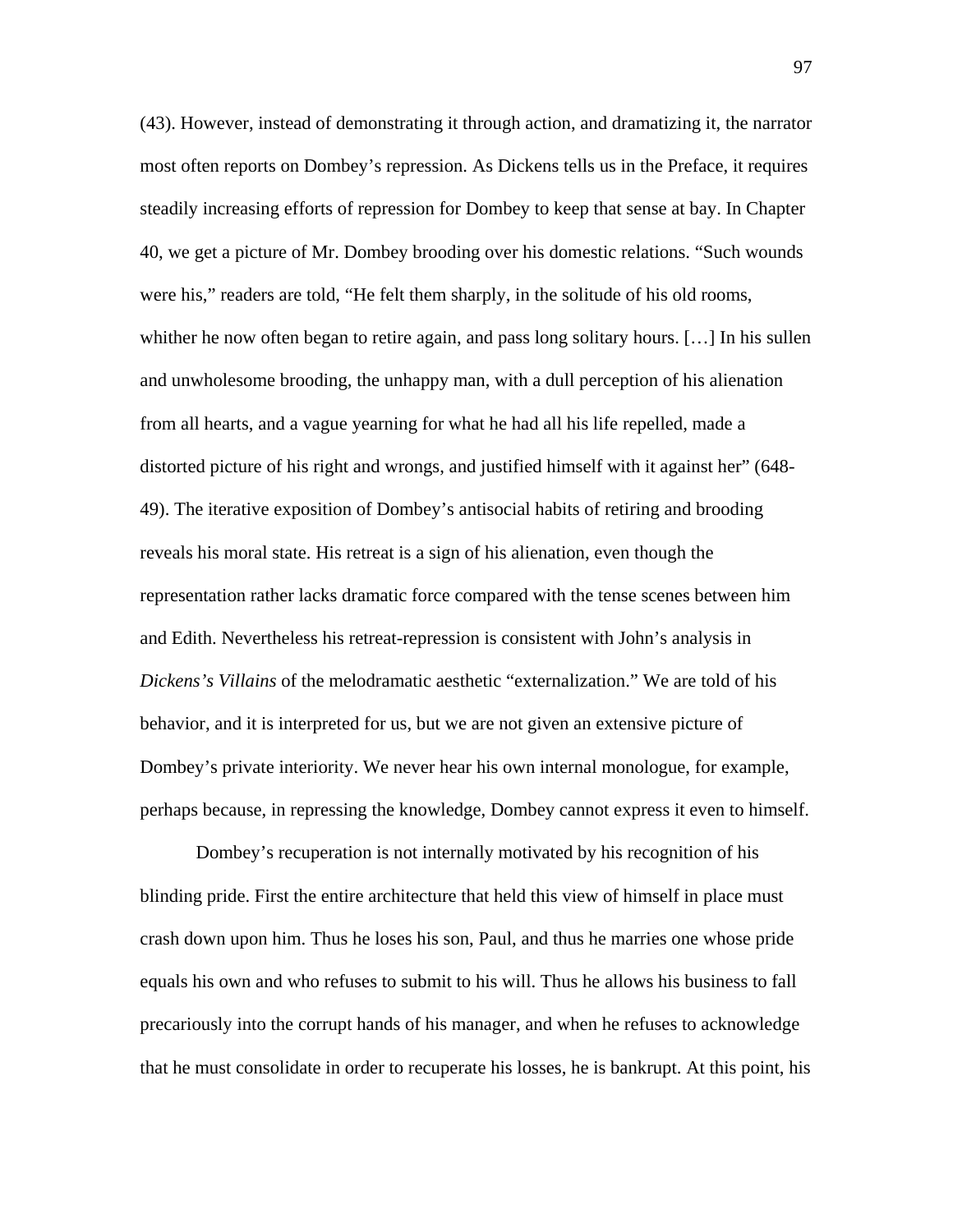(43). However, instead of demonstrating it through action, and dramatizing it, the narrator most often reports on Dombey's repression. As Dickens tells us in the Preface, it requires steadily increasing efforts of repression for Dombey to keep that sense at bay. In Chapter 40, we get a picture of Mr. Dombey brooding over his domestic relations. "Such wounds were his," readers are told, "He felt them sharply, in the solitude of his old rooms, whither he now often began to retire again, and pass long solitary hours. [...] In his sullen and unwholesome brooding, the unhappy man, with a dull perception of his alienation from all hearts, and a vague yearning for what he had all his life repelled, made a distorted picture of his right and wrongs, and justified himself with it against her" (648- 49). The iterative exposition of Dombey's antisocial habits of retiring and brooding reveals his moral state. His retreat is a sign of his alienation, even though the representation rather lacks dramatic force compared with the tense scenes between him and Edith. Nevertheless his retreat-repression is consistent with John's analysis in *Dickens's Villains* of the melodramatic aesthetic "externalization." We are told of his behavior, and it is interpreted for us, but we are not given an extensive picture of Dombey's private interiority. We never hear his own internal monologue, for example, perhaps because, in repressing the knowledge, Dombey cannot express it even to himself.

Dombey's recuperation is not internally motivated by his recognition of his blinding pride. First the entire architecture that held this view of himself in place must crash down upon him. Thus he loses his son, Paul, and thus he marries one whose pride equals his own and who refuses to submit to his will. Thus he allows his business to fall precariously into the corrupt hands of his manager, and when he refuses to acknowledge that he must consolidate in order to recuperate his losses, he is bankrupt. At this point, his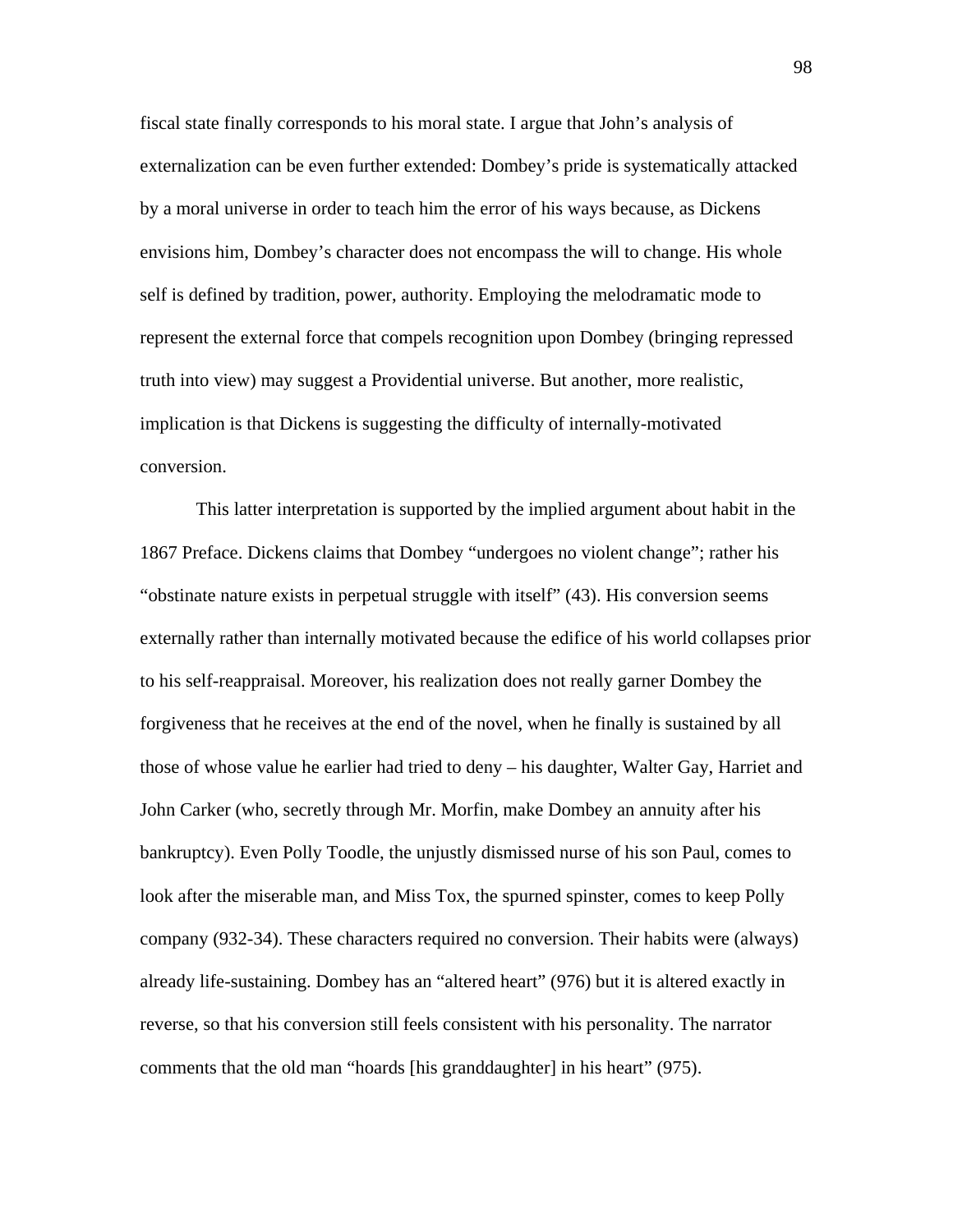fiscal state finally corresponds to his moral state. I argue that John's analysis of externalization can be even further extended: Dombey's pride is systematically attacked by a moral universe in order to teach him the error of his ways because, as Dickens envisions him, Dombey's character does not encompass the will to change. His whole self is defined by tradition, power, authority. Employing the melodramatic mode to represent the external force that compels recognition upon Dombey (bringing repressed truth into view) may suggest a Providential universe. But another, more realistic, implication is that Dickens is suggesting the difficulty of internally-motivated conversion.

 This latter interpretation is supported by the implied argument about habit in the 1867 Preface. Dickens claims that Dombey "undergoes no violent change"; rather his "obstinate nature exists in perpetual struggle with itself" (43). His conversion seems externally rather than internally motivated because the edifice of his world collapses prior to his self-reappraisal. Moreover, his realization does not really garner Dombey the forgiveness that he receives at the end of the novel, when he finally is sustained by all those of whose value he earlier had tried to deny – his daughter, Walter Gay, Harriet and John Carker (who, secretly through Mr. Morfin, make Dombey an annuity after his bankruptcy). Even Polly Toodle, the unjustly dismissed nurse of his son Paul, comes to look after the miserable man, and Miss Tox, the spurned spinster, comes to keep Polly company (932-34). These characters required no conversion. Their habits were (always) already life-sustaining. Dombey has an "altered heart" (976) but it is altered exactly in reverse, so that his conversion still feels consistent with his personality. The narrator comments that the old man "hoards [his granddaughter] in his heart" (975).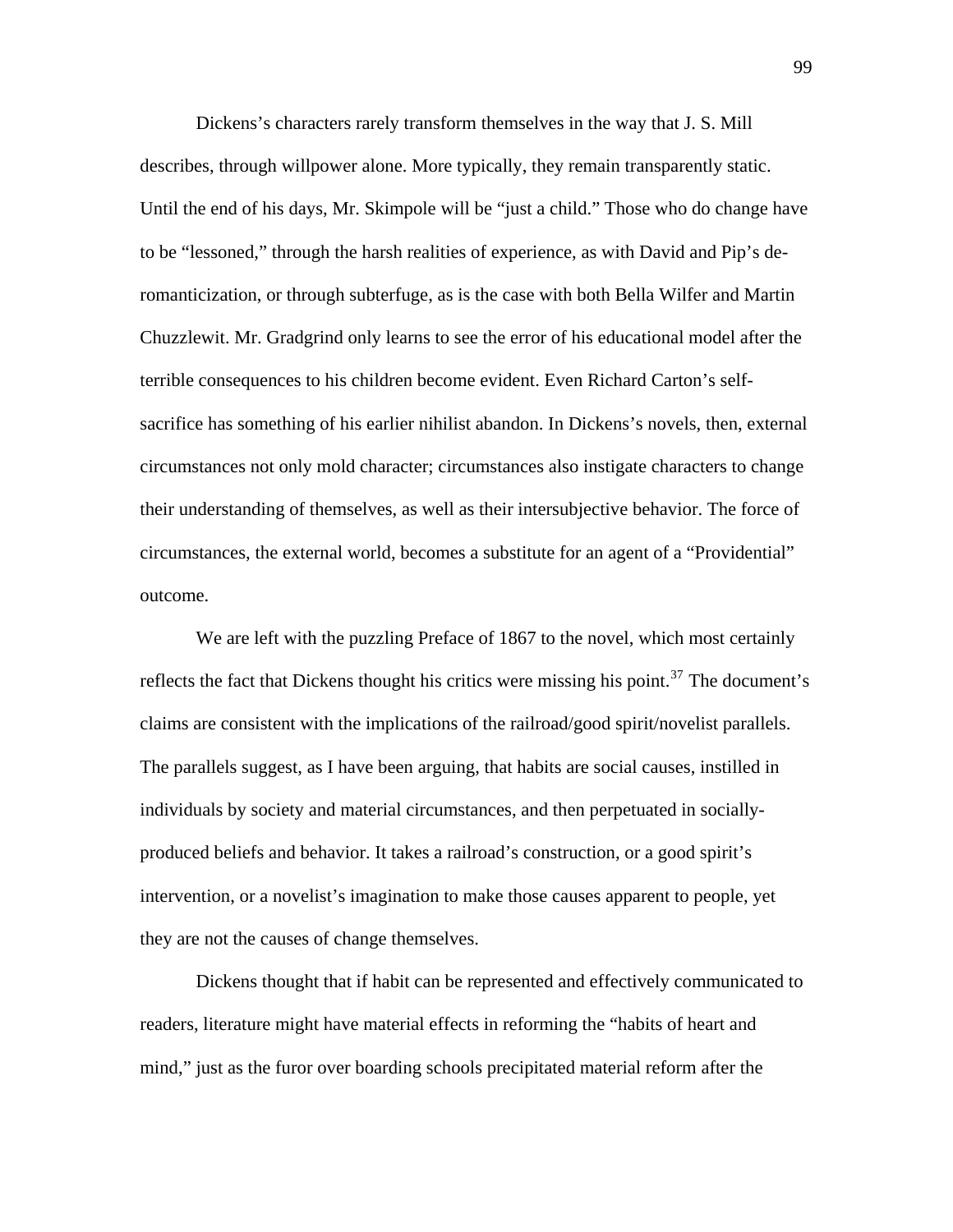Dickens's characters rarely transform themselves in the way that J. S. Mill describes, through willpower alone. More typically, they remain transparently static. Until the end of his days, Mr. Skimpole will be "just a child." Those who do change have to be "lessoned," through the harsh realities of experience, as with David and Pip's deromanticization, or through subterfuge, as is the case with both Bella Wilfer and Martin Chuzzlewit. Mr. Gradgrind only learns to see the error of his educational model after the terrible consequences to his children become evident. Even Richard Carton's selfsacrifice has something of his earlier nihilist abandon. In Dickens's novels, then, external circumstances not only mold character; circumstances also instigate characters to change their understanding of themselves, as well as their intersubjective behavior. The force of circumstances, the external world, becomes a substitute for an agent of a "Providential" outcome.

We are left with the puzzling Preface of 1867 to the novel, which most certainly reflects the fact that Dickens thought his critics were missing his point.<sup>[37](#page-112-0)</sup> The document's claims are consistent with the implications of the railroad/good spirit/novelist parallels. The parallels suggest, as I have been arguing, that habits are social causes, instilled in individuals by society and material circumstances, and then perpetuated in sociallyproduced beliefs and behavior. It takes a railroad's construction, or a good spirit's intervention, or a novelist's imagination to make those causes apparent to people, yet they are not the causes of change themselves.

Dickens thought that if habit can be represented and effectively communicated to readers, literature might have material effects in reforming the "habits of heart and mind," just as the furor over boarding schools precipitated material reform after the

99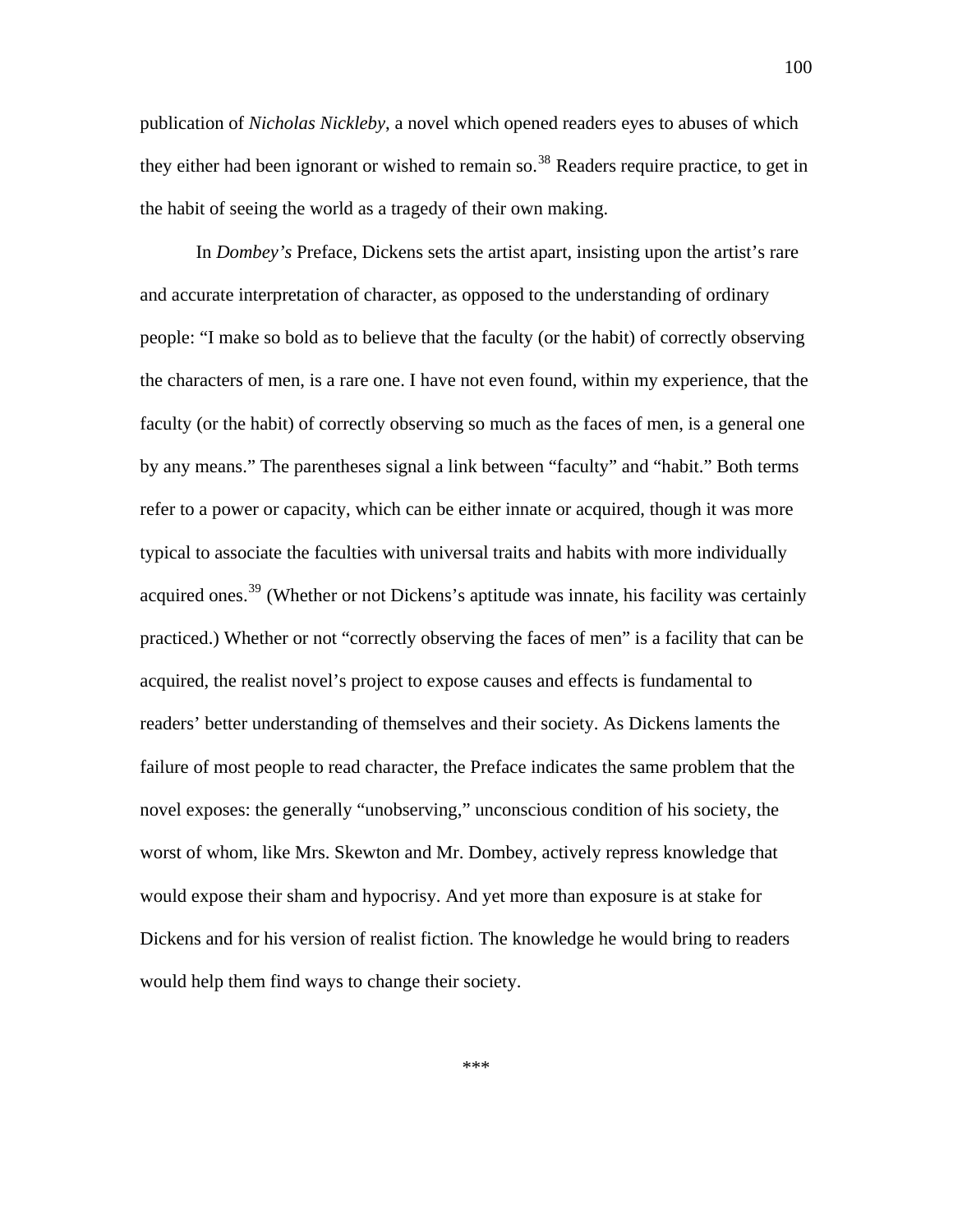publication of *Nicholas Nickleby*, a novel which opened readers eyes to abuses of which they either had been ignorant or wished to remain so.<sup>[38](#page-112-0)</sup> Readers require practice, to get in the habit of seeing the world as a tragedy of their own making.

100

In *Dombey's* Preface, Dickens sets the artist apart, insisting upon the artist's rare and accurate interpretation of character, as opposed to the understanding of ordinary people: "I make so bold as to believe that the faculty (or the habit) of correctly observing the characters of men, is a rare one. I have not even found, within my experience, that the faculty (or the habit) of correctly observing so much as the faces of men, is a general one by any means." The parentheses signal a link between "faculty" and "habit." Both terms refer to a power or capacity, which can be either innate or acquired, though it was more typical to associate the faculties with universal traits and habits with more individually acquired ones.<sup>[39](#page-112-0)</sup> (Whether or not Dickens's aptitude was innate, his facility was certainly practiced.) Whether or not "correctly observing the faces of men" is a facility that can be acquired, the realist novel's project to expose causes and effects is fundamental to readers' better understanding of themselves and their society. As Dickens laments the failure of most people to read character, the Preface indicates the same problem that the novel exposes: the generally "unobserving," unconscious condition of his society, the worst of whom, like Mrs. Skewton and Mr. Dombey, actively repress knowledge that would expose their sham and hypocrisy. And yet more than exposure is at stake for Dickens and for his version of realist fiction. The knowledge he would bring to readers would help them find ways to change their society.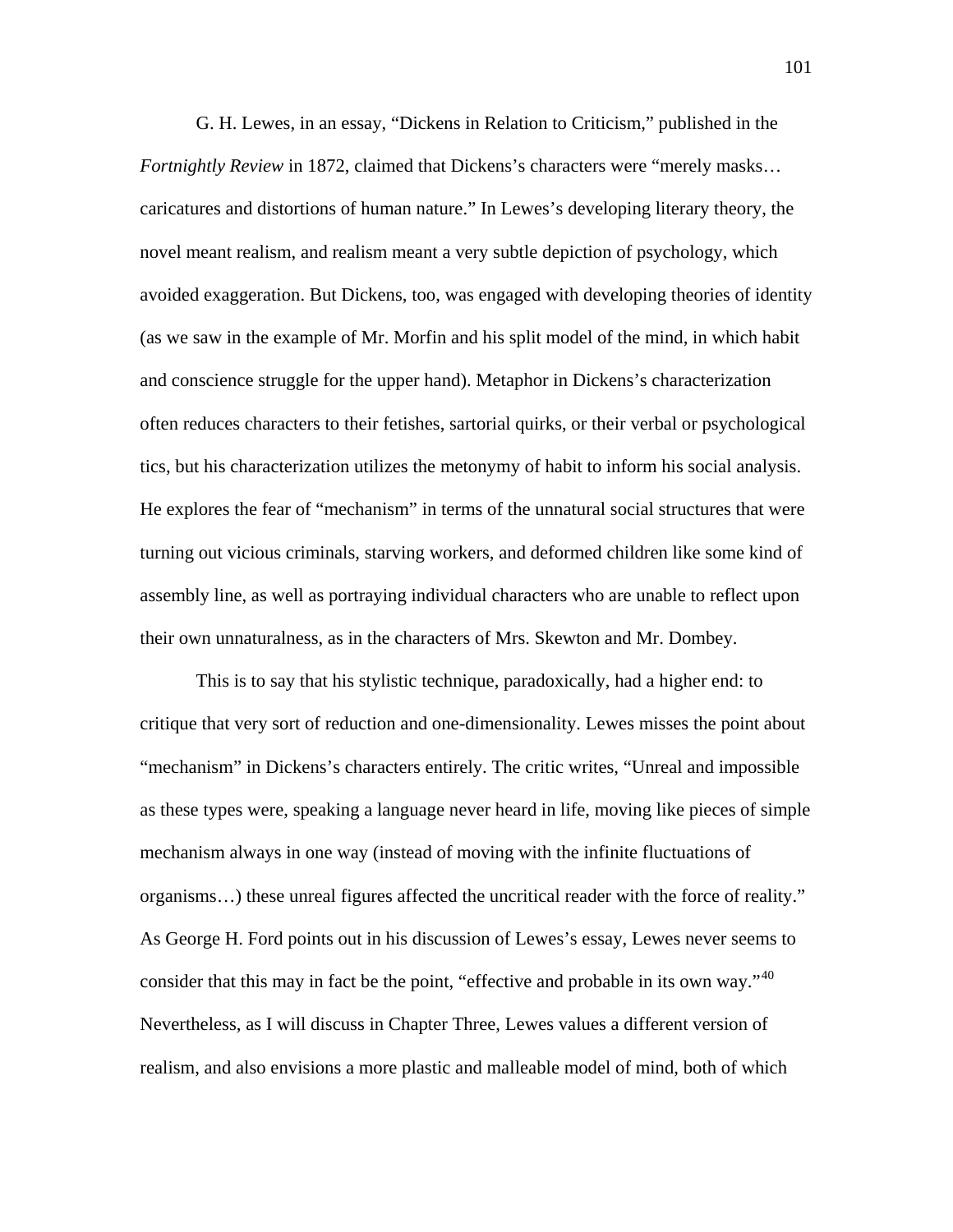G. H. Lewes, in an essay, "Dickens in Relation to Criticism," published in the *Fortnightly Review* in 1872, claimed that Dickens's characters were "merely masks… caricatures and distortions of human nature." In Lewes's developing literary theory, the novel meant realism, and realism meant a very subtle depiction of psychology, which avoided exaggeration. But Dickens, too, was engaged with developing theories of identity (as we saw in the example of Mr. Morfin and his split model of the mind, in which habit and conscience struggle for the upper hand). Metaphor in Dickens's characterization often reduces characters to their fetishes, sartorial quirks, or their verbal or psychological tics, but his characterization utilizes the metonymy of habit to inform his social analysis. He explores the fear of "mechanism" in terms of the unnatural social structures that were turning out vicious criminals, starving workers, and deformed children like some kind of assembly line, as well as portraying individual characters who are unable to reflect upon their own unnaturalness, as in the characters of Mrs. Skewton and Mr. Dombey.

This is to say that his stylistic technique, paradoxically, had a higher end: to critique that very sort of reduction and one-dimensionality. Lewes misses the point about "mechanism" in Dickens's characters entirely. The critic writes, "Unreal and impossible as these types were, speaking a language never heard in life, moving like pieces of simple mechanism always in one way (instead of moving with the infinite fluctuations of organisms…) these unreal figures affected the uncritical reader with the force of reality." As George H. Ford points out in his discussion of Lewes's essay, Lewes never seems to consider that this may in fact be the point, "effective and probable in its own way."<sup>[40](#page-112-0)</sup> Nevertheless, as I will discuss in Chapter Three, Lewes values a different version of realism, and also envisions a more plastic and malleable model of mind, both of which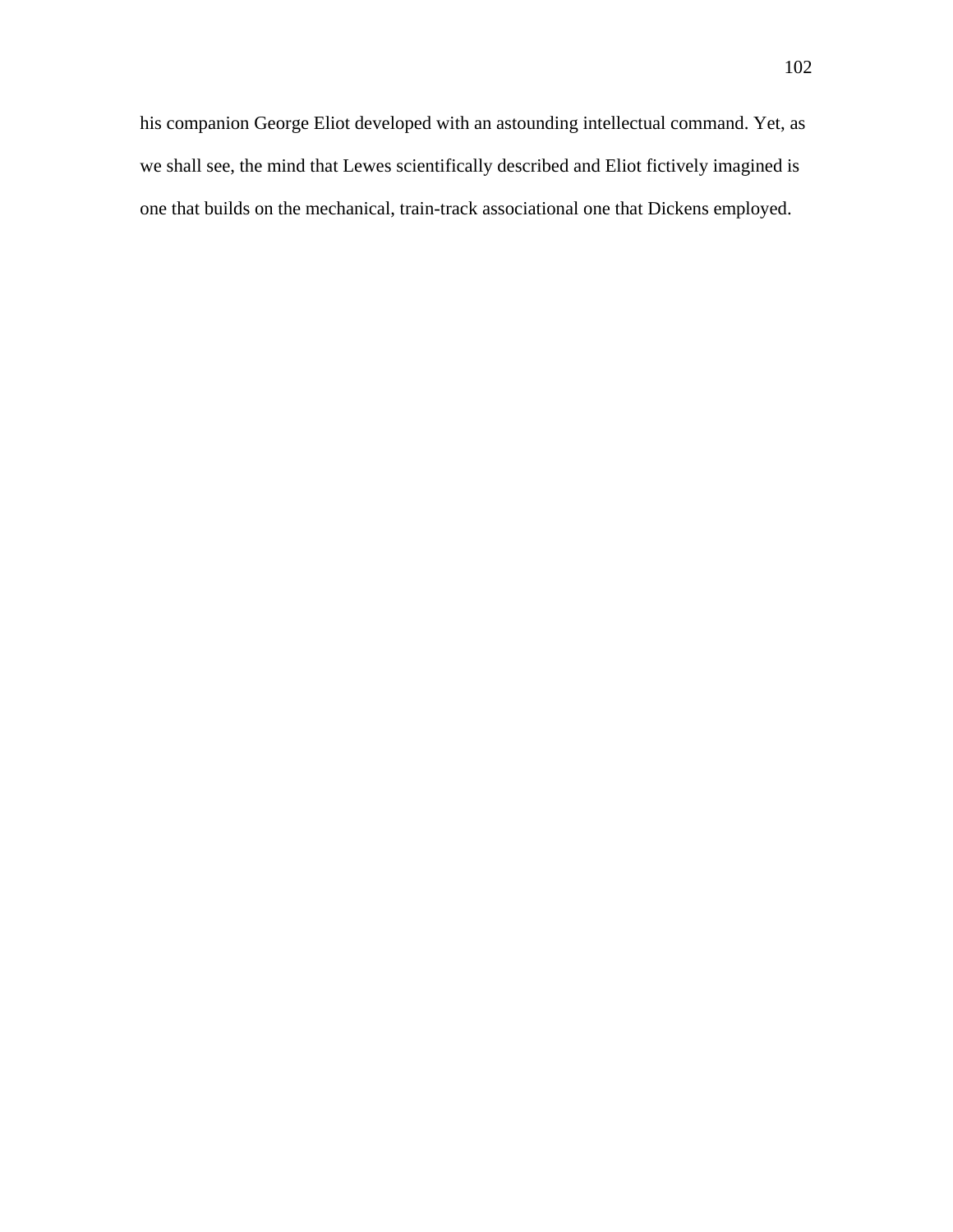his companion George Eliot developed with an astounding intellectual command. Yet, as we shall see, the mind that Lewes scientifically described and Eliot fictively imagined is one that builds on the mechanical, train-track associational one that Dickens employed.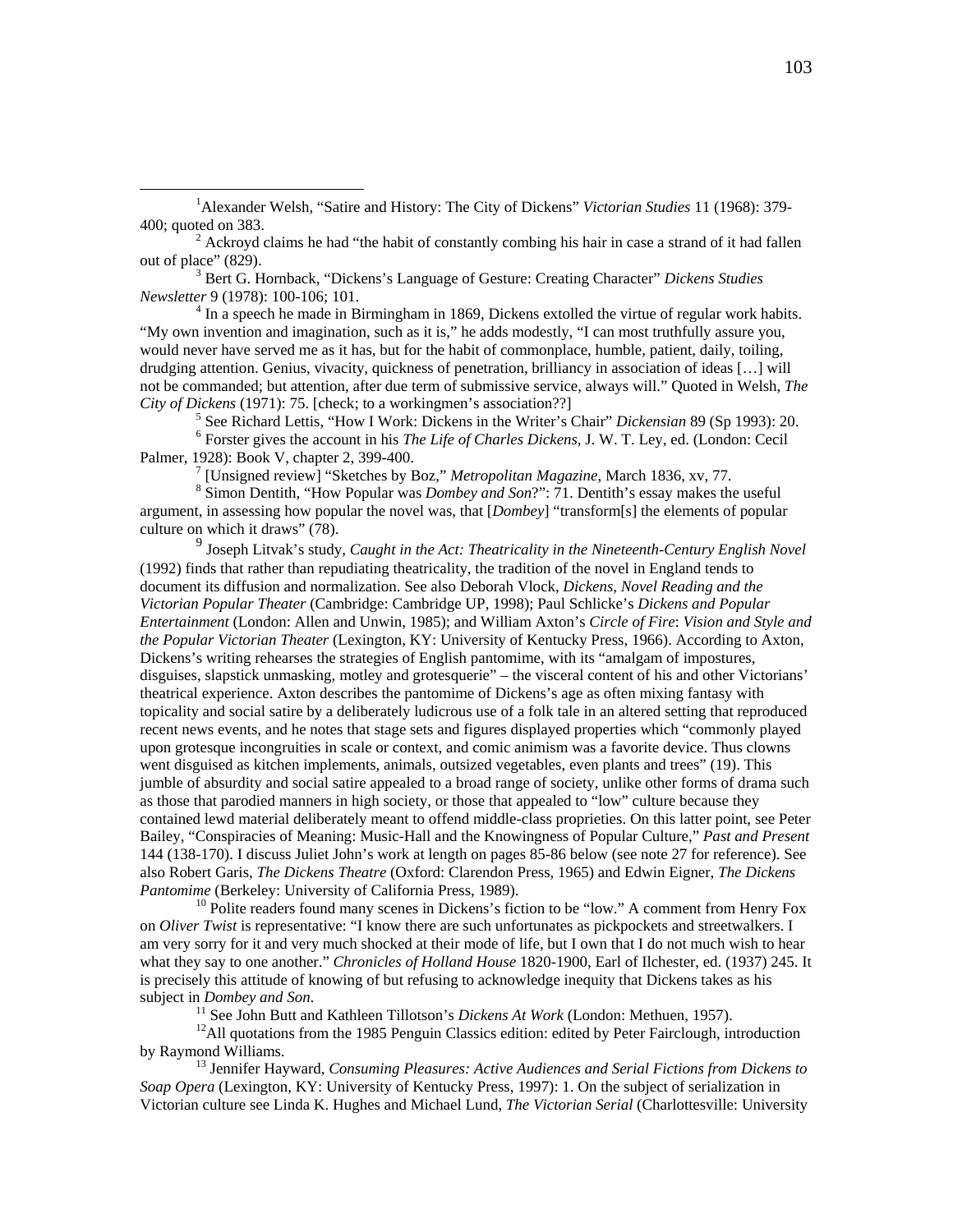$\frac{1}{1}$ <sup>1</sup>Alexander Welsh, "Satire and History: The City of Dickens" *Victorian Studies* 11 (1968): 379-400; quoted on 383. 2

<sup>2</sup> Ackroyd claims he had "the habit of constantly combing his hair in case a strand of it had fallen out of place" (829).

 Bert G. Hornback, "Dickens's Language of Gesture: Creating Character" *Dickens Studies Newsletter* 9 (1978): 100-106; 101.

 $4 \text{ In a speech he made in Birmingham in 1869, Dickens extolled the virtue of regular work habits.}$ "My own invention and imagination, such as it is," he adds modestly, "I can most truthfully assure you, would never have served me as it has, but for the habit of commonplace, humble, patient, daily, toiling, drudging attention. Genius, vivacity, quickness of penetration, brilliancy in association of ideas […] will not be commanded; but attention, after due term of submissive service, always will." Quoted in Welsh, *The City of Dickens* (1971): 75. [check; to a workingmen's association??]

<sup>5</sup> See Richard Lettis, "How I Work: Dickens in the Writer's Chair" *Dickensian* 89 (Sp 1993): 20. Forster gives the account in his *The Life of Charles Dickens*, J. W. T. Ley, ed. (London: Cecil

Palmer, 1928): Book V, chapter 2, 399-400.

[Unsigned review] "Sketches by Boz," *Metropolitan Magazine*, March 1836, xv, 77. 8

<sup>8</sup> Simon Dentith, "How Popular was *Dombey and Son?"*: 71. Dentith's essay makes the useful argument, in assessing how popular the novel was, that [*Dombey*] "transform[s] the elements of popular culture on which it draws" (78).

9 Joseph Litvak's study, *Caught in the Act: Theatricality in the Nineteenth-Century English Novel* (1992) finds that rather than repudiating theatricality, the tradition of the novel in England tends to document its diffusion and normalization. See also Deborah Vlock, *Dickens, Novel Reading and the Victorian Popular Theater* (Cambridge: Cambridge UP, 1998); Paul Schlicke's *Dickens and Popular Entertainment* (London: Allen and Unwin, 1985); and William Axton's *Circle of Fire*: *Vision and Style and the Popular Victorian Theater* (Lexington, KY: University of Kentucky Press, 1966). According to Axton, Dickens's writing rehearses the strategies of English pantomime, with its "amalgam of impostures, disguises, slapstick unmasking, motley and grotesquerie" – the visceral content of his and other Victorians' theatrical experience. Axton describes the pantomime of Dickens's age as often mixing fantasy with topicality and social satire by a deliberately ludicrous use of a folk tale in an altered setting that reproduced recent news events, and he notes that stage sets and figures displayed properties which "commonly played upon grotesque incongruities in scale or context, and comic animism was a favorite device. Thus clowns went disguised as kitchen implements, animals, outsized vegetables, even plants and trees" (19). This jumble of absurdity and social satire appealed to a broad range of society, unlike other forms of drama such as those that parodied manners in high society, or those that appealed to "low" culture because they contained lewd material deliberately meant to offend middle-class proprieties. On this latter point, see Peter Bailey, "Conspiracies of Meaning: Music-Hall and the Knowingness of Popular Culture," *Past and Present* 144 (138-170). I discuss Juliet John's work at length on pages 85-86 below (see note 27 for reference). See also Robert Garis, *The Dickens Theatre* (Oxford: Clarendon Press, 1965) and Edwin Eigner, *The Dickens Pantomime* (Berkeley: University of California Press, 1989).<br><sup>10</sup> Polite readers found many scenes in Dickens's fiction to be "low." A comment from Henry Fox

on *Oliver Twist* is representative: "I know there are such unfortunates as pickpockets and streetwalkers. I am very sorry for it and very much shocked at their mode of life, but I own that I do not much wish to hear what they say to one another." *Chronicles of Holland House* 1820-1900, Earl of Ilchester, ed. (1937) 245. It is precisely this attitude of knowing of but refusing to acknowledge inequity that Dickens takes as his

subject in *Dombey and Son*.<br><sup>11</sup> See John Butt and Kathleen Tillotson's *Dickens At Work* (London: Methuen, 1957).<br><sup>12</sup>All quotations from the 1985 Penguin Classics edition: edited by Peter Fairclough, introduction by Raymond Williams. 13 Jennifer Hayward, *Consuming Pleasures: Active Audiences and Serial Fictions from Dickens to* 

*Soap Opera* (Lexington, KY: University of Kentucky Press, 1997): 1. On the subject of serialization in Victorian culture see Linda K. Hughes and Michael Lund, *The Victorian Serial* (Charlottesville: University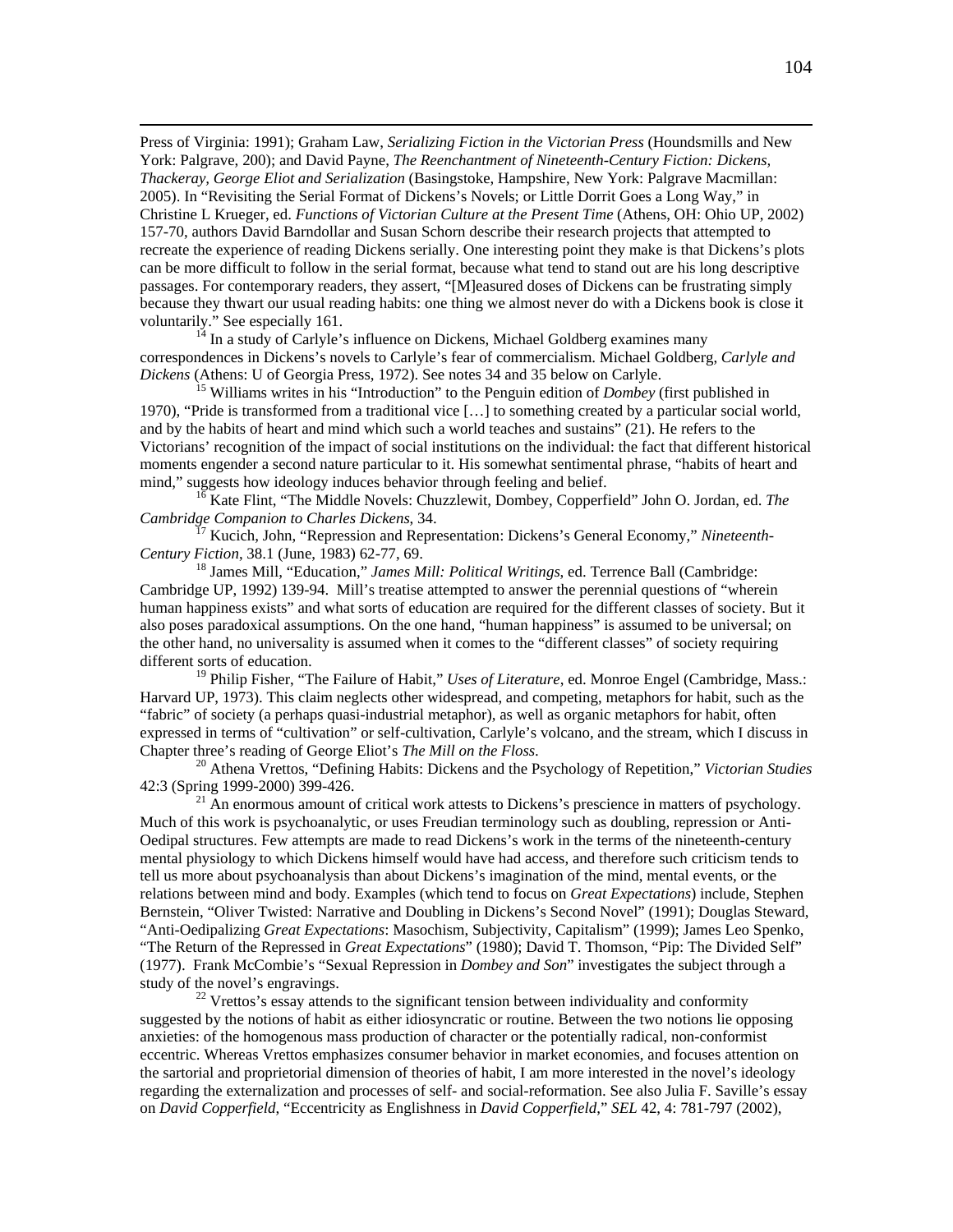Press of Virginia: 1991); Graham Law, *Serializing Fiction in the Victorian Press* (Houndsmills and New York: Palgrave, 200); and David Payne, *The Reenchantment of Nineteenth-Century Fiction: Dickens, Thackeray, George Eliot and Serialization* (Basingstoke, Hampshire, New York: Palgrave Macmillan: 2005). In "Revisiting the Serial Format of Dickens's Novels; or Little Dorrit Goes a Long Way," in Christine L Krueger, ed. *Functions of Victorian Culture at the Present Time* (Athens, OH: Ohio UP, 2002) 157-70, authors David Barndollar and Susan Schorn describe their research projects that attempted to recreate the experience of reading Dickens serially. One interesting point they make is that Dickens's plots can be more difficult to follow in the serial format, because what tend to stand out are his long descriptive passages. For contemporary readers, they assert, "[M]easured doses of Dickens can be frustrating simply because they thwart our usual reading habits: one thing we almost never do with a Dickens book is close it voluntarily." See especially 161.<br><sup>14</sup> In a study of Carlyle's influence on Dickens, Michael Goldberg examines many

correspondences in Dickens's novels to Carlyle's fear of commercialism. Michael Goldberg, *Carlyle and Dickens* (Athens: U of Georgia Press, 1972). See notes 34 and 35 below on Carlyle.

15 Williams writes in his "Introduction" to the Penguin edition of *Dombey* (first published in 1970), "Pride is transformed from a traditional vice […] to something created by a particular social world, and by the habits of heart and mind which such a world teaches and sustains" (21). He refers to the Victorians' recognition of the impact of social institutions on the individual: the fact that different historical moments engender a second nature particular to it. His somewhat sentimental phrase, "habits of heart and

mind," suggests how ideology induces behavior through feeling and belief.<br><sup>16</sup> Kate Flint, "The Middle Novels: Chuzzlewit, Dombey, Copperfield" John O. Jordan, ed. *The Cambridge Companion to Charles Dickens*, 34.

<sup>17</sup> Kucich, John, "Repression and Representation: Dickens's General Economy," *Nineteenth*-*Century Fiction*, 38.1 (June, 1983) 62-77, 69.<br><sup>18</sup> James Mill, "Education," *James Mill: Political Writings*, ed. Terrence Ball (Cambridge:

Cambridge UP, 1992) 139-94. Mill's treatise attempted to answer the perennial questions of "wherein human happiness exists" and what sorts of education are required for the different classes of society. But it also poses paradoxical assumptions. On the one hand, "human happiness" is assumed to be universal; on the other hand, no universality is assumed when it comes to the "different classes" of society requiring different sorts of education.

<sup>19</sup> Philip Fisher, "The Failure of Habit," *Uses of Literature*, ed. Monroe Engel (Cambridge, Mass.: Harvard UP, 1973). This claim neglects other widespread, and competing, metaphors for habit, such as the "fabric" of society (a perhaps quasi-industrial metaphor), as well as organic metaphors for habit, often expressed in terms of "cultivation" or self-cultivation, Carlyle's volcano, and the stream, which I discuss in

Chapter three's reading of George Eliot's *The Mill on the Floss*. 20 Athena Vrettos, "Defining Habits: Dickens and the Psychology of Repetition," *Victorian Studies*

 $^{21}$  An enormous amount of critical work attests to Dickens's prescience in matters of psychology. Much of this work is psychoanalytic, or uses Freudian terminology such as doubling, repression or Anti-Oedipal structures. Few attempts are made to read Dickens's work in the terms of the nineteenth-century mental physiology to which Dickens himself would have had access, and therefore such criticism tends to tell us more about psychoanalysis than about Dickens's imagination of the mind, mental events, or the relations between mind and body. Examples (which tend to focus on *Great Expectations*) include, Stephen Bernstein, "Oliver Twisted: Narrative and Doubling in Dickens's Second Novel" (1991); Douglas Steward, "Anti-Oedipalizing *Great Expectations*: Masochism, Subjectivity, Capitalism" (1999); James Leo Spenko, "The Return of the Repressed in *Great Expectations*" (1980); David T. Thomson, "Pip: The Divided Self" (1977). Frank McCombie's "Sexual Repression in *Dombey and Son*" investigates the subject through a study of the novel's engravings.<br><sup>22</sup> Vrettos's essay attends to the significant tension between individuality and conformity

suggested by the notions of habit as either idiosyncratic or routine. Between the two notions lie opposing anxieties: of the homogenous mass production of character or the potentially radical, non-conformist eccentric. Whereas Vrettos emphasizes consumer behavior in market economies, and focuses attention on the sartorial and proprietorial dimension of theories of habit, I am more interested in the novel's ideology regarding the externalization and processes of self- and social-reformation. See also Julia F. Saville's essay on *David Copperfield*, "Eccentricity as Englishness in *David Copperfield*," *SEL* 42, 4: 781-797 (2002),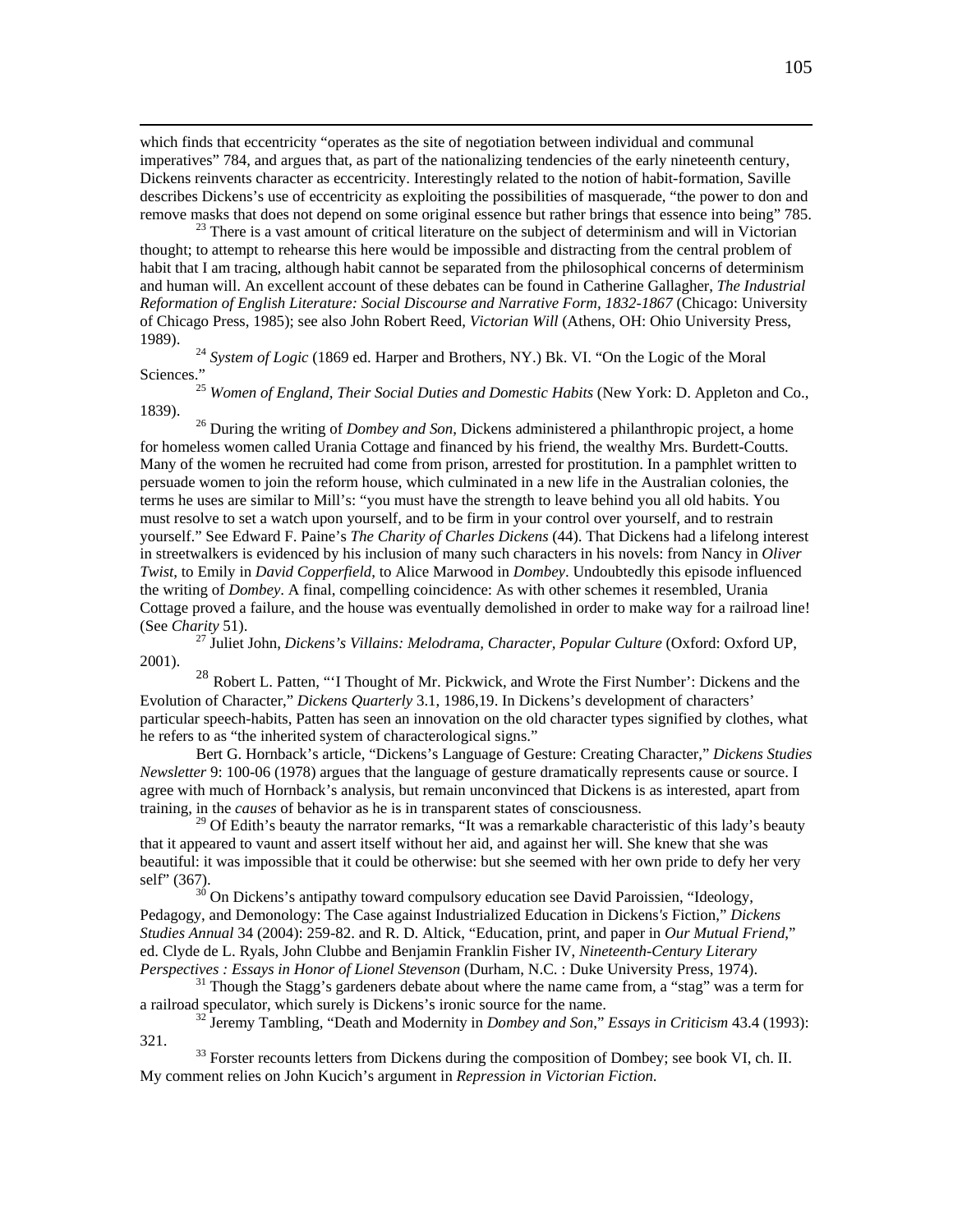which finds that eccentricity "operates as the site of negotiation between individual and communal imperatives" 784, and argues that, as part of the nationalizing tendencies of the early nineteenth century, Dickens reinvents character as eccentricity. Interestingly related to the notion of habit-formation, Saville describes Dickens's use of eccentricity as exploiting the possibilities of masquerade, "the power to don and remove masks that does not depend on some original essence but rather brings that essence into being" 785.<br><sup>23</sup> There is a vast amount of critical literature on the subject of determinism and will in Victorian

thought; to attempt to rehearse this here would be impossible and distracting from the central problem of habit that I am tracing, although habit cannot be separated from the philosophical concerns of determinism and human will. An excellent account of these debates can be found in Catherine Gallagher, *The Industrial Reformation of English Literature: Social Discourse and Narrative Form, 1832-1867* (Chicago: University of Chicago Press, 1985); see also John Robert Reed, *Victorian Will* (Athens, OH: Ohio University Press, 1989). 24 *System of Logic* (1869 ed. Harper and Brothers, NY.) Bk. VI. "On the Logic of the Moral

Sciences." <sup>25</sup> *Women of England, Their Social Duties and Domestic Habits* (New York: D. Appleton and Co., 1839). 26 During the writing of *Dombey and Son*, Dickens administered a philanthropic project, a home

for homeless women called Urania Cottage and financed by his friend, the wealthy Mrs. Burdett-Coutts. Many of the women he recruited had come from prison, arrested for prostitution. In a pamphlet written to persuade women to join the reform house, which culminated in a new life in the Australian colonies, the terms he uses are similar to Mill's: "you must have the strength to leave behind you all old habits. You must resolve to set a watch upon yourself, and to be firm in your control over yourself, and to restrain yourself." See Edward F. Paine's *The Charity of Charles Dickens* (44). That Dickens had a lifelong interest in streetwalkers is evidenced by his inclusion of many such characters in his novels: from Nancy in *Oliver Twist*, to Emily in *David Copperfield*, to Alice Marwood in *Dombey*. Undoubtedly this episode influenced the writing of *Dombey*. A final, compelling coincidence: As with other schemes it resembled, Urania Cottage proved a failure, and the house was eventually demolished in order to make way for a railroad line! (See *Charity* 51). 27 Juliet John, *Dickens's Villains: Melodrama, Character, Popular Culture* (Oxford: Oxford UP,

2001).

<sup>28</sup> Robert L. Patten, "'I Thought of Mr. Pickwick, and Wrote the First Number': Dickens and the Evolution of Character," *Dickens Quarterly* 3.1, 1986,19. In Dickens's development of characters' particular speech-habits, Patten has seen an innovation on the old character types signified by clothes, what he refers to as "the inherited system of characterological signs."

Bert G. Hornback's article, "Dickens's Language of Gesture: Creating Character," *Dickens Studies Newsletter* 9: 100-06 (1978) argues that the language of gesture dramatically represents cause or source. I agree with much of Hornback's analysis, but remain unconvinced that Dickens is as interested, apart from training, in the *causes* of behavior as he is in transparent states of consciousness.

<sup>29</sup> Of Edith's beauty the narrator remarks, "It was a remarkable characteristic of this lady's beauty that it appeared to vaunt and assert itself without her aid, and against her will. She knew that she was beautiful: it was impossible that it could be otherwise: but she seemed with her own pride to defy her very self" (367).<br> $3^{30}$  On Dickens's antipathy toward compulsory education see David Paroissien, "Ideology,

Pedagogy, and Demonology: The Case against Industrialized Education in Dickens*'s* Fiction," *Dickens Studies Annual* 34 (2004): 259-82. and R. D. Altick, "Education, print, and paper in *Our Mutual Friend*," ed. Clyde de L. Ryals, John Clubbe and Benjamin Franklin Fisher IV, *Nineteenth-Century Literary Perspectives : Essays in Honor of Lionel Stevenson* (Durham, N.C. : Duke University Press, 1974).<br><sup>31</sup> Though the Stagg's gardeners debate about where the name came from, a "stag" was a term for

a railroad speculator, which surely is Dickens's ironic source for the name. 32 Jeremy Tambling, "Death and Modernity in *Dombey and Son*," *Essays in Criticism* 43.4 (1993):

321.  $\frac{33}{3}$  Forster recounts letters from Dickens during the composition of Dombey; see book VI, ch. II.

My comment relies on John Kucich's argument in *Repression in Victorian Fiction*.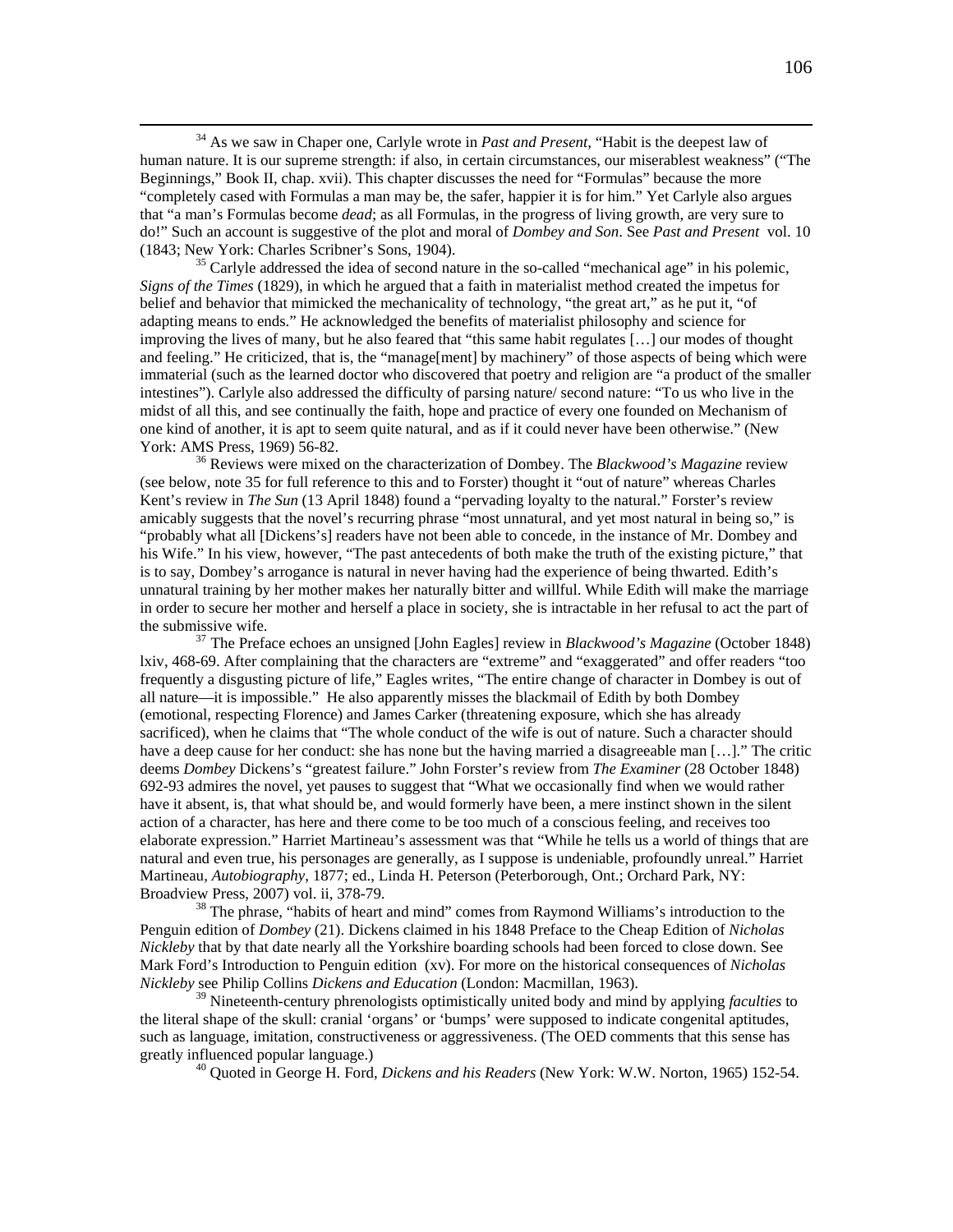34 As we saw in Chaper one, Carlyle wrote in *Past and Present*, "Habit is the deepest law of human nature. It is our supreme strength: if also, in certain circumstances, our miserablest weakness" ("The Beginnings," Book II, chap. xvii). This chapter discusses the need for "Formulas" because the more "completely cased with Formulas a man may be, the safer, happier it is for him." Yet Carlyle also argues that "a man's Formulas become *dead*; as all Formulas, in the progress of living growth, are very sure to do!" Such an account is suggestive of the plot and moral of *Dombey and Son*. See *Past and Present* vol. 10 (1843; New York: Charles Scribner's Sons, 1904).<br><sup>35</sup> Carlyle addressed the idea of second nature in the so-called "mechanical age" in his polemic,

*Signs of the Times* (1829), in which he argued that a faith in materialist method created the impetus for belief and behavior that mimicked the mechanicality of technology, "the great art," as he put it, "of adapting means to ends." He acknowledged the benefits of materialist philosophy and science for improving the lives of many, but he also feared that "this same habit regulates […] our modes of thought and feeling." He criticized, that is, the "manage[ment] by machinery" of those aspects of being which were immaterial (such as the learned doctor who discovered that poetry and religion are "a product of the smaller intestines"). Carlyle also addressed the difficulty of parsing nature/ second nature: "To us who live in the midst of all this, and see continually the faith, hope and practice of every one founded on Mechanism of one kind of another, it is apt to seem quite natural, and as if it could never have been otherwise." (New York: AMS Press, 1969) 56-82.<br><sup>36</sup> Reviews were mixed on the characterization of Dombey. The *Blackwood's Magazine* review

(see below, note 35 for full reference to this and to Forster) thought it "out of nature" whereas Charles Kent's review in *The Sun* (13 April 1848) found a "pervading loyalty to the natural." Forster's review amicably suggests that the novel's recurring phrase "most unnatural, and yet most natural in being so," is "probably what all [Dickens's] readers have not been able to concede, in the instance of Mr. Dombey and his Wife." In his view, however, "The past antecedents of both make the truth of the existing picture," that is to say, Dombey's arrogance is natural in never having had the experience of being thwarted. Edith's unnatural training by her mother makes her naturally bitter and willful. While Edith will make the marriage in order to secure her mother and herself a place in society, she is intractable in her refusal to act the part of the submissive wife. 37 The Preface echoes an unsigned [John Eagles] review in *Blackwood's Magazine* (October 1848)

lxiv, 468-69. After complaining that the characters are "extreme" and "exaggerated" and offer readers "too frequently a disgusting picture of life," Eagles writes, "The entire change of character in Dombey is out of all nature—it is impossible." He also apparently misses the blackmail of Edith by both Dombey (emotional, respecting Florence) and James Carker (threatening exposure, which she has already sacrificed), when he claims that "The whole conduct of the wife is out of nature. Such a character should have a deep cause for her conduct: she has none but the having married a disagreeable man [...]." The critic deems *Dombey* Dickens's "greatest failure." John Forster's review from *The Examiner* (28 October 1848) 692-93 admires the novel, yet pauses to suggest that "What we occasionally find when we would rather have it absent, is, that what should be, and would formerly have been, a mere instinct shown in the silent action of a character, has here and there come to be too much of a conscious feeling, and receives too elaborate expression." Harriet Martineau's assessment was that "While he tells us a world of things that are natural and even true, his personages are generally, as I suppose is undeniable, profoundly unreal." Harriet Martineau, *Autobiography*, 1877; ed., Linda H. Peterson (Peterborough, Ont.; Orchard Park, NY: Broadview Press, 2007) vol. ii, 378-79.<br><sup>38</sup> The phrase, "habits of heart and mind" comes from Raymond Williams's introduction to the

Penguin edition of *Dombey* (21). Dickens claimed in his 1848 Preface to the Cheap Edition of *Nicholas Nickleby* that by that date nearly all the Yorkshire boarding schools had been forced to close down. See Mark Ford's Introduction to Penguin edition (xv). For more on the historical consequences of *Nicholas Nickleby* see Philip Collins *Dickens and Education* (London: Macmillan, 1963).

39 Nineteenth-century phrenologists optimistically united body and mind by applying *faculties* to the literal shape of the skull: cranial 'organs' or 'bumps' were supposed to indicate congenital aptitudes, such as language, imitation, constructiveness or aggressiveness. (The OED comments that this sense has greatly influenced popular language.) 40 Quoted in George H. Ford, *Dickens and his Readers* (New York: W.W. Norton, 1965) 152-54.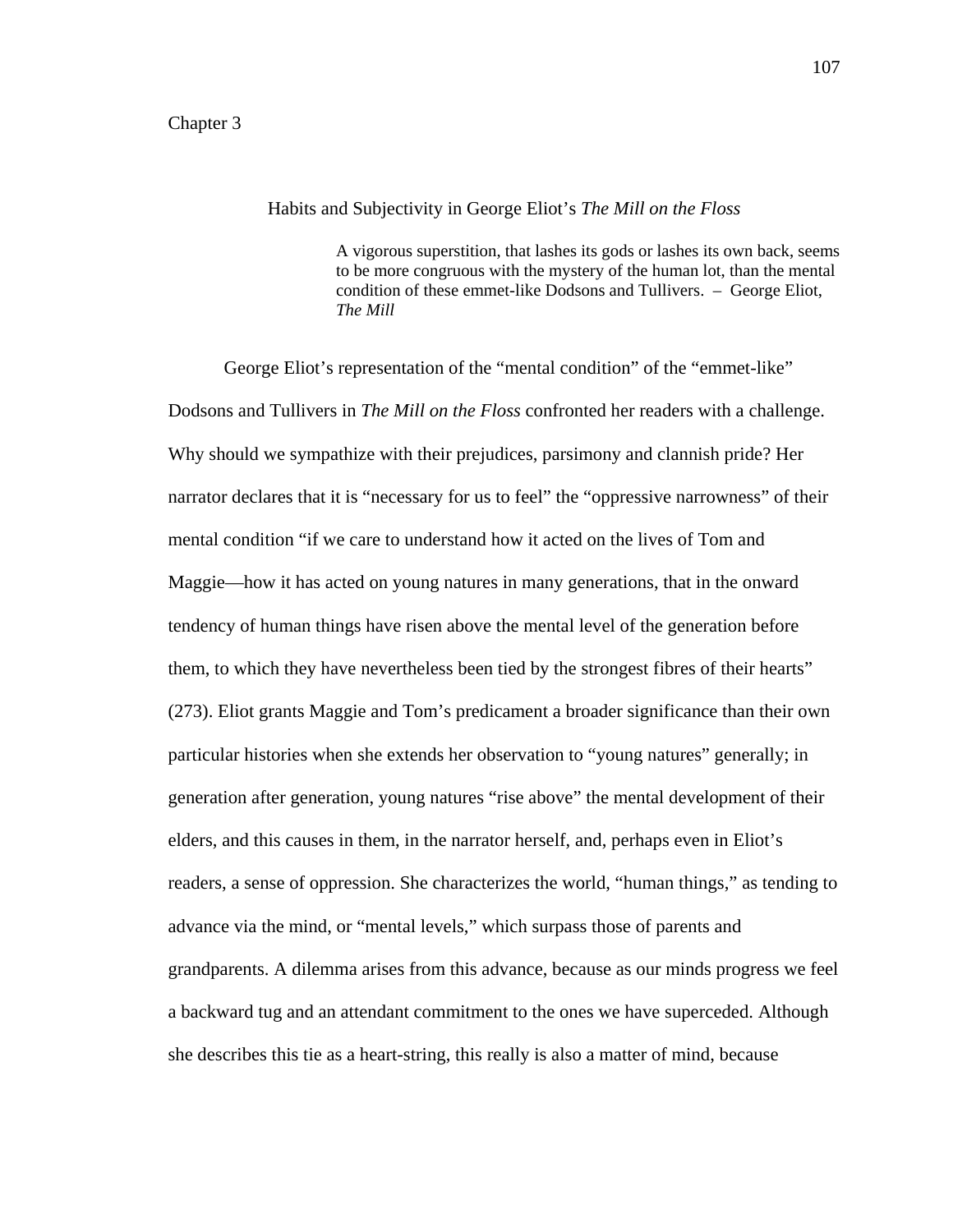## Habits and Subjectivity in George Eliot's *The Mill on the Floss*

A vigorous superstition, that lashes its gods or lashes its own back, seems to be more congruous with the mystery of the human lot, than the mental condition of these emmet-like Dodsons and Tullivers. – George Eliot, *The Mill*

George Eliot's representation of the "mental condition" of the "emmet-like" Dodsons and Tullivers in *The Mill on the Floss* confronted her readers with a challenge. Why should we sympathize with their prejudices, parsimony and clannish pride? Her narrator declares that it is "necessary for us to feel" the "oppressive narrowness" of their mental condition "if we care to understand how it acted on the lives of Tom and Maggie—how it has acted on young natures in many generations, that in the onward tendency of human things have risen above the mental level of the generation before them, to which they have nevertheless been tied by the strongest fibres of their hearts" (273). Eliot grants Maggie and Tom's predicament a broader significance than their own particular histories when she extends her observation to "young natures" generally; in generation after generation, young natures "rise above" the mental development of their elders, and this causes in them, in the narrator herself, and, perhaps even in Eliot's readers, a sense of oppression. She characterizes the world, "human things," as tending to advance via the mind, or "mental levels," which surpass those of parents and grandparents. A dilemma arises from this advance, because as our minds progress we feel a backward tug and an attendant commitment to the ones we have superceded. Although she describes this tie as a heart-string, this really is also a matter of mind, because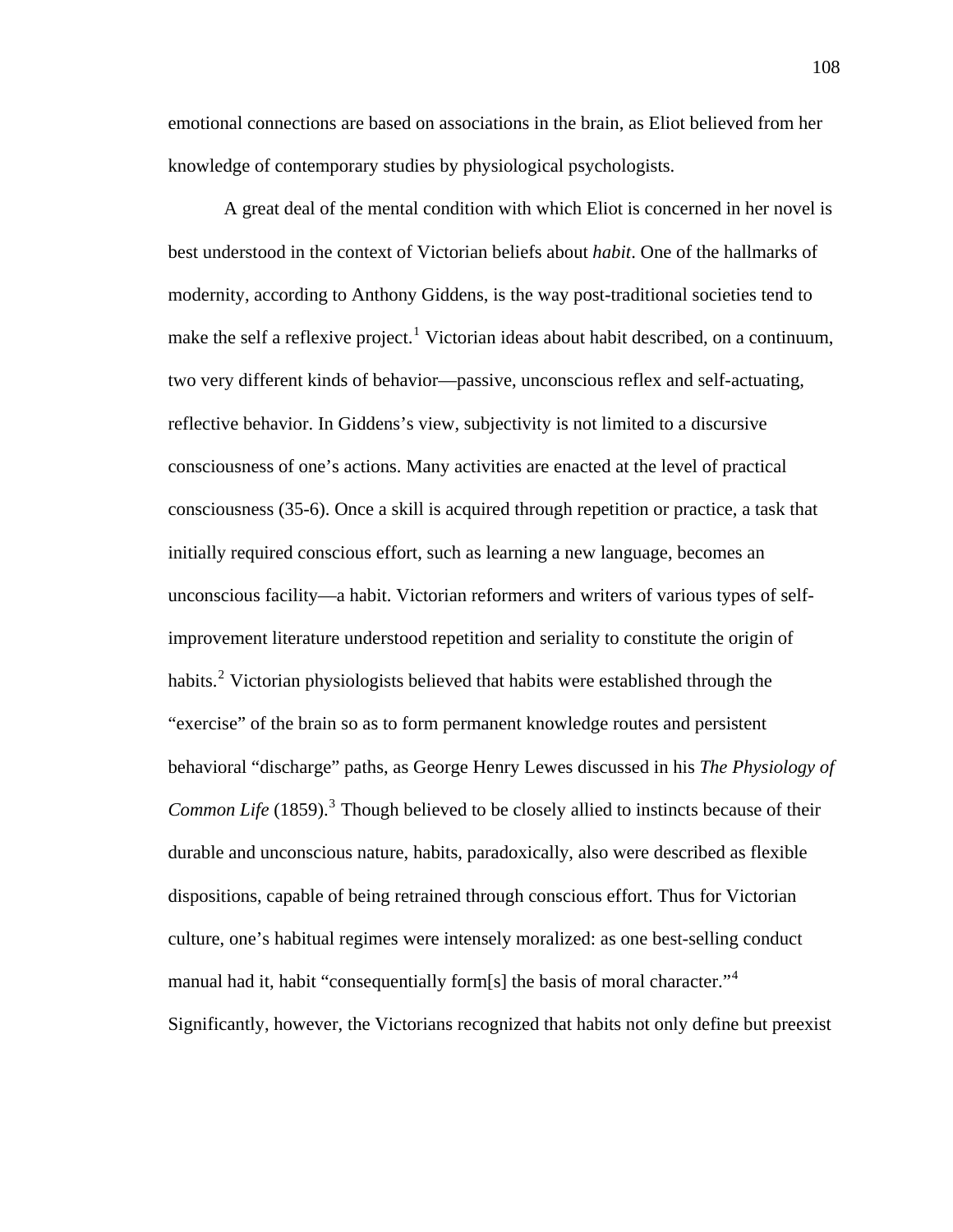emotional connections are based on associations in the brain, as Eliot believed from her knowledge of contemporary studies by physiological psychologists.

A great deal of the mental condition with which Eliot is concerned in her novel is best understood in the context of Victorian beliefs about *habit*. One of the hallmarks of modernity, according to Anthony Giddens, is the way post-traditional societies tend to make the self a reflexive project.<sup>[1](#page-137-0)</sup> Victorian ideas about habit described, on a continuum, two very different kinds of behavior—passive, unconscious reflex and self-actuating, reflective behavior. In Giddens's view, subjectivity is not limited to a discursive consciousness of one's actions. Many activities are enacted at the level of practical consciousness (35-6). Once a skill is acquired through repetition or practice, a task that initially required conscious effort, such as learning a new language, becomes an unconscious facility—a habit. Victorian reformers and writers of various types of selfimprovement literature understood repetition and seriality to constitute the origin of habits.<sup>[2](#page-137-1)</sup> Victorian physiologists believed that habits were established through the "exercise" of the brain so as to form permanent knowledge routes and persistent behavioral "discharge" paths, as George Henry Lewes discussed in his *The Physiology of*  Common Life (1859).<sup>[3](#page-137-1)</sup> Though believed to be closely allied to instincts because of their durable and unconscious nature, habits, paradoxically, also were described as flexible dispositions, capable of being retrained through conscious effort. Thus for Victorian culture, one's habitual regimes were intensely moralized: as one best-selling conduct manual had it, habit "consequentially form[s] the basis of moral character."<sup>[4](#page-137-1)</sup> Significantly, however, the Victorians recognized that habits not only define but preexist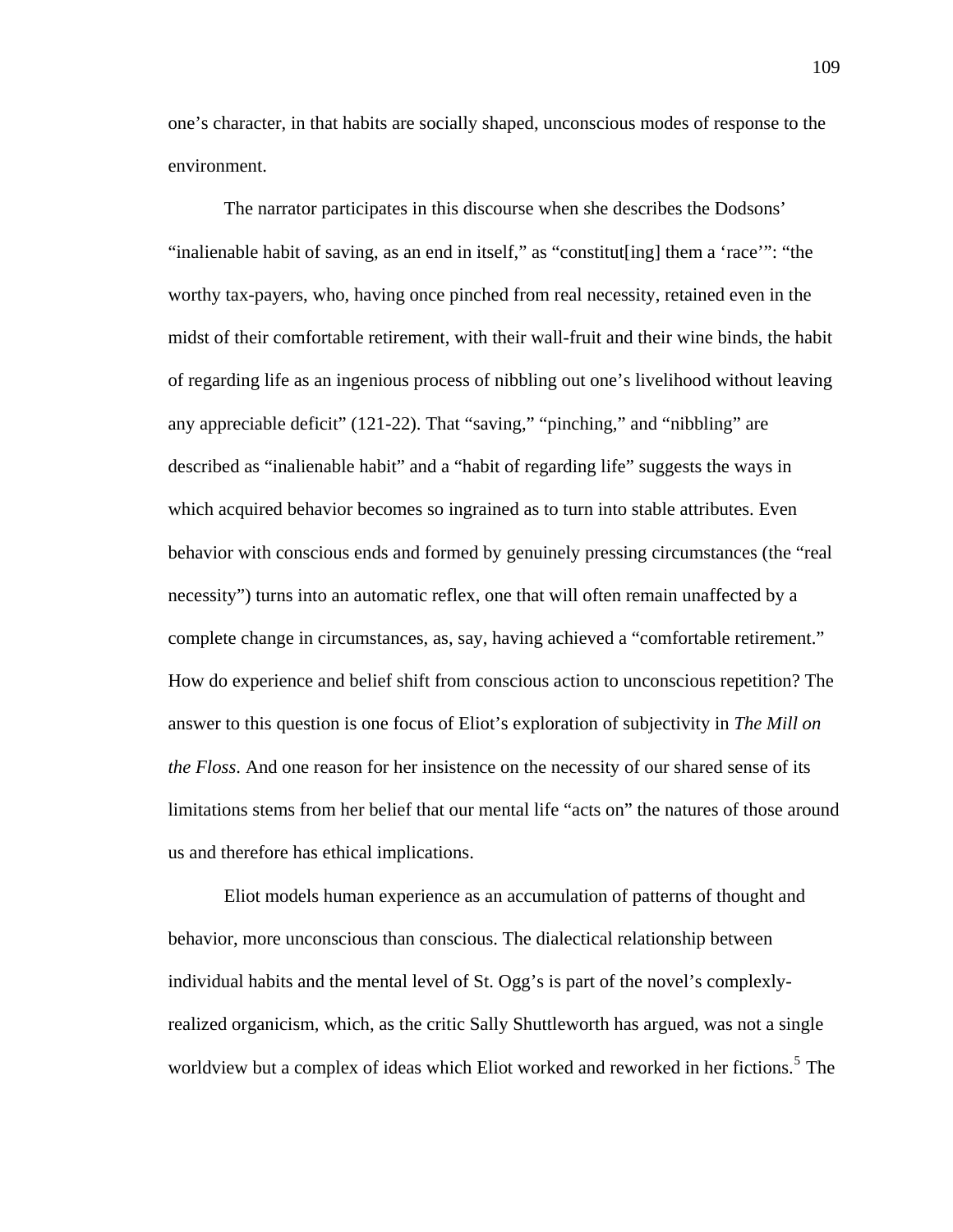one's character, in that habits are socially shaped, unconscious modes of response to the environment.

The narrator participates in this discourse when she describes the Dodsons' "inalienable habit of saving, as an end in itself," as "constitut[ing] them a 'race'": "the worthy tax-payers, who, having once pinched from real necessity, retained even in the midst of their comfortable retirement, with their wall-fruit and their wine binds, the habit of regarding life as an ingenious process of nibbling out one's livelihood without leaving any appreciable deficit" (121-22). That "saving," "pinching," and "nibbling" are described as "inalienable habit" and a "habit of regarding life" suggests the ways in which acquired behavior becomes so ingrained as to turn into stable attributes. Even behavior with conscious ends and formed by genuinely pressing circumstances (the "real necessity") turns into an automatic reflex, one that will often remain unaffected by a complete change in circumstances, as, say, having achieved a "comfortable retirement." How do experience and belief shift from conscious action to unconscious repetition? The answer to this question is one focus of Eliot's exploration of subjectivity in *The Mill on the Floss*. And one reason for her insistence on the necessity of our shared sense of its limitations stems from her belief that our mental life "acts on" the natures of those around us and therefore has ethical implications.

Eliot models human experience as an accumulation of patterns of thought and behavior, more unconscious than conscious. The dialectical relationship between individual habits and the mental level of St. Ogg's is part of the novel's complexlyrealized organicism, which, as the critic Sally Shuttleworth has argued, was not a single worldview but a complex of ideas which Eliot worked and reworked in her fictions.<sup>[5](#page-137-1)</sup> The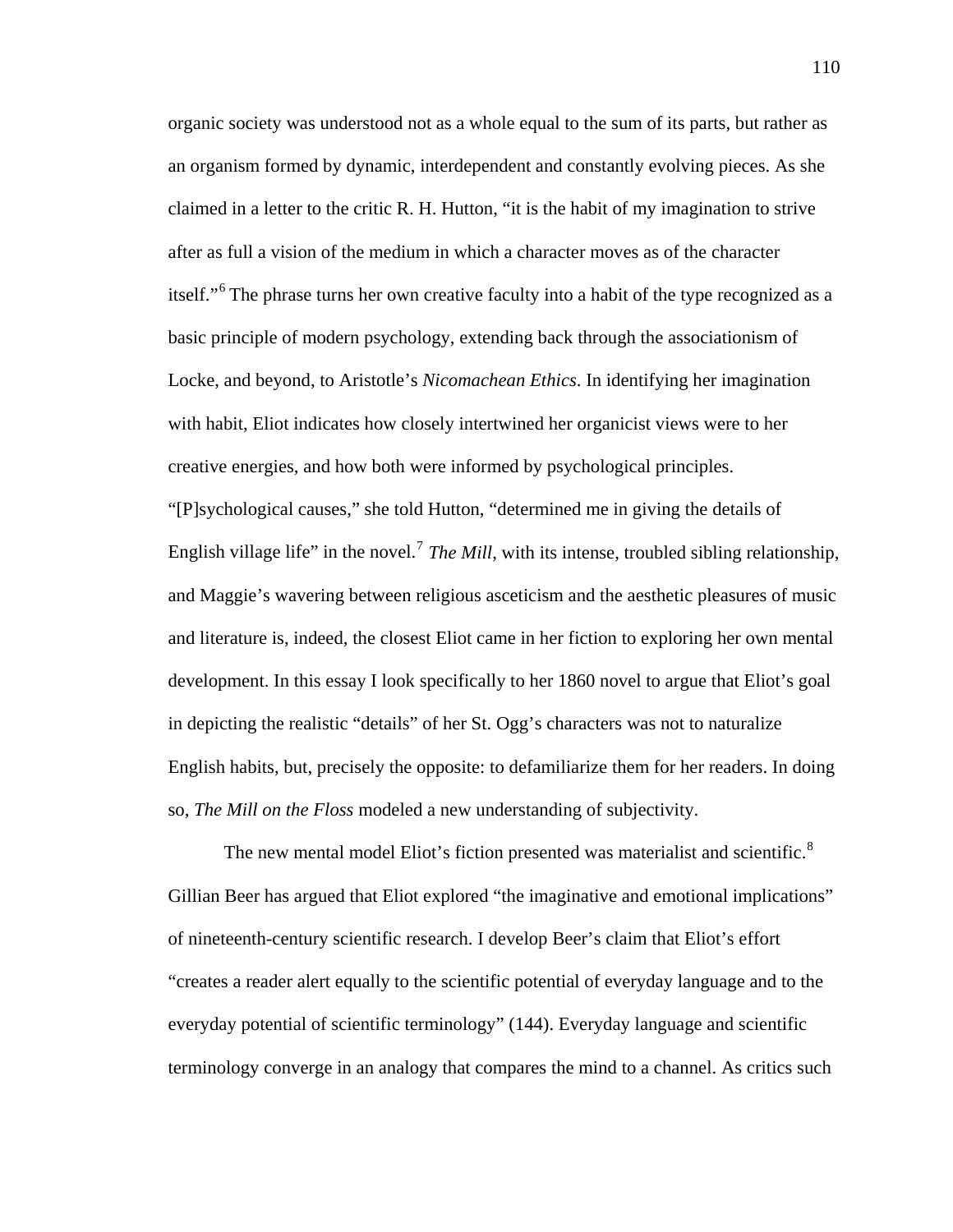organic society was understood not as a whole equal to the sum of its parts, but rather as an organism formed by dynamic, interdependent and constantly evolving pieces. As she claimed in a letter to the critic R. H. Hutton, "it is the habit of my imagination to strive after as full a vision of the medium in which a character moves as of the character itself."<sup>[6](#page-137-1)</sup> The phrase turns her own creative faculty into a habit of the type recognized as a basic principle of modern psychology, extending back through the associationism of Locke, and beyond, to Aristotle's *Nicomachean Ethics*. In identifying her imagination with habit, Eliot indicates how closely intertwined her organicist views were to her creative energies, and how both were informed by psychological principles. "[P]sychological causes," she told Hutton, "determined me in giving the details of English village life" in the novel.<sup>[7](#page-137-1)</sup> *The Mill*, with its intense, troubled sibling relationship, and Maggie's wavering between religious asceticism and the aesthetic pleasures of music and literature is, indeed, the closest Eliot came in her fiction to exploring her own mental development. In this essay I look specifically to her 1860 novel to argue that Eliot's goal in depicting the realistic "details" of her St. Ogg's characters was not to naturalize English habits, but, precisely the opposite: to defamiliarize them for her readers. In doing so, *The Mill on the Floss* modeled a new understanding of subjectivity.

The new mental model Eliot's fiction presented was materialist and scientific.<sup>[8](#page-137-1)</sup> Gillian Beer has argued that Eliot explored "the imaginative and emotional implications" of nineteenth-century scientific research. I develop Beer's claim that Eliot's effort "creates a reader alert equally to the scientific potential of everyday language and to the everyday potential of scientific terminology" (144). Everyday language and scientific terminology converge in an analogy that compares the mind to a channel. As critics such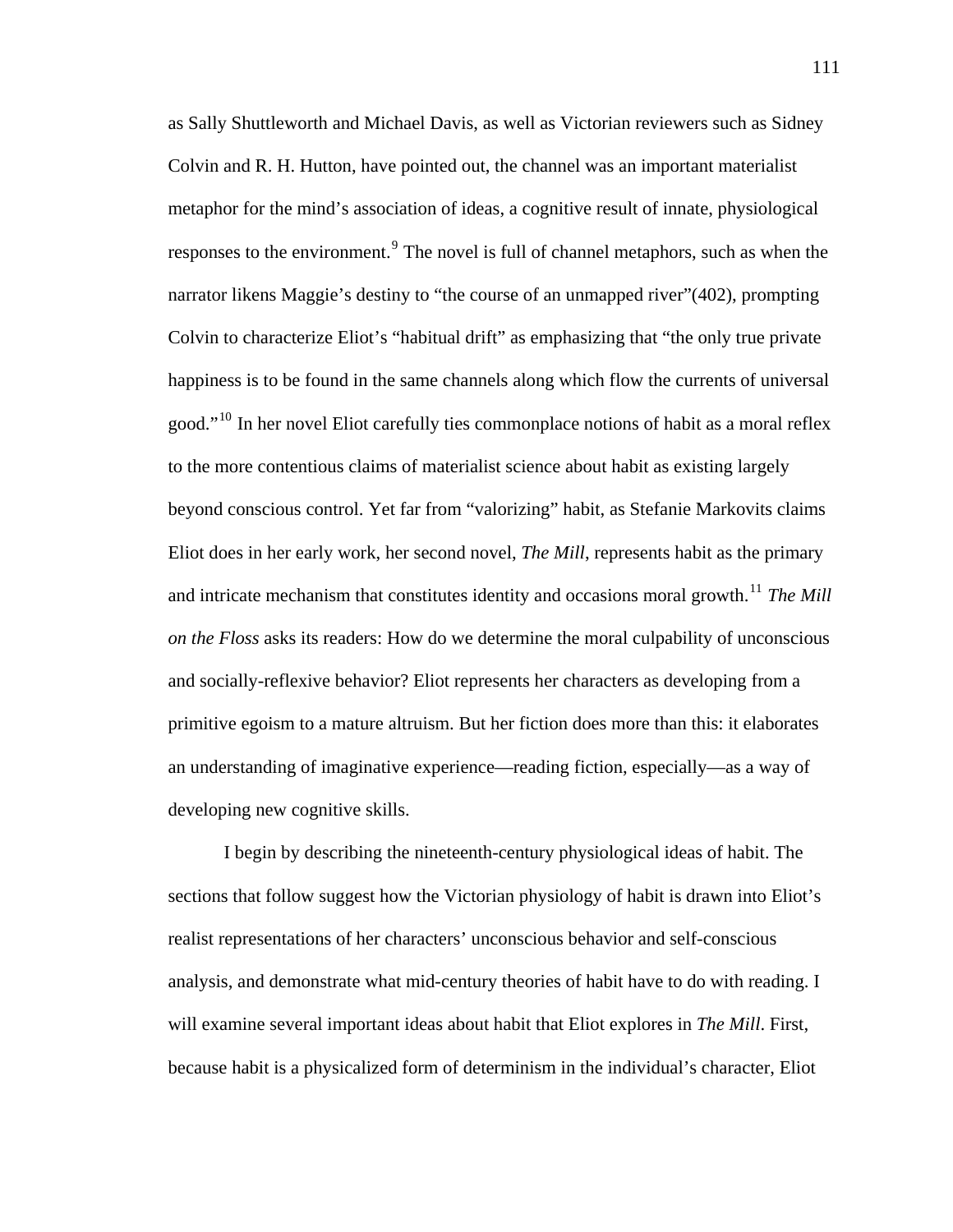as Sally Shuttleworth and Michael Davis, as well as Victorian reviewers such as Sidney Colvin and R. H. Hutton, have pointed out, the channel was an important materialist metaphor for the mind's association of ideas, a cognitive result of innate, physiological responses to the environment.<sup>[9](#page-137-1)</sup> The novel is full of channel metaphors, such as when the narrator likens Maggie's destiny to "the course of an unmapped river"(402), prompting Colvin to characterize Eliot's "habitual drift" as emphasizing that "the only true private happiness is to be found in the same channels along which flow the currents of universal good."<sup>[10](#page-137-1)</sup> In her novel Eliot carefully ties commonplace notions of habit as a moral reflex to the more contentious claims of materialist science about habit as existing largely beyond conscious control. Yet far from "valorizing" habit, as Stefanie Markovits claims Eliot does in her early work, her second novel, *The Mill*, represents habit as the primary and intricate mechanism that constitutes identity and occasions moral growth.<sup>[11](#page-137-1)</sup> *The Mill on the Floss* asks its readers: How do we determine the moral culpability of unconscious and socially-reflexive behavior? Eliot represents her characters as developing from a primitive egoism to a mature altruism. But her fiction does more than this: it elaborates an understanding of imaginative experience—reading fiction, especially—as a way of developing new cognitive skills.

I begin by describing the nineteenth-century physiological ideas of habit. The sections that follow suggest how the Victorian physiology of habit is drawn into Eliot's realist representations of her characters' unconscious behavior and self-conscious analysis, and demonstrate what mid-century theories of habit have to do with reading. I will examine several important ideas about habit that Eliot explores in *The Mill*. First, because habit is a physicalized form of determinism in the individual's character, Eliot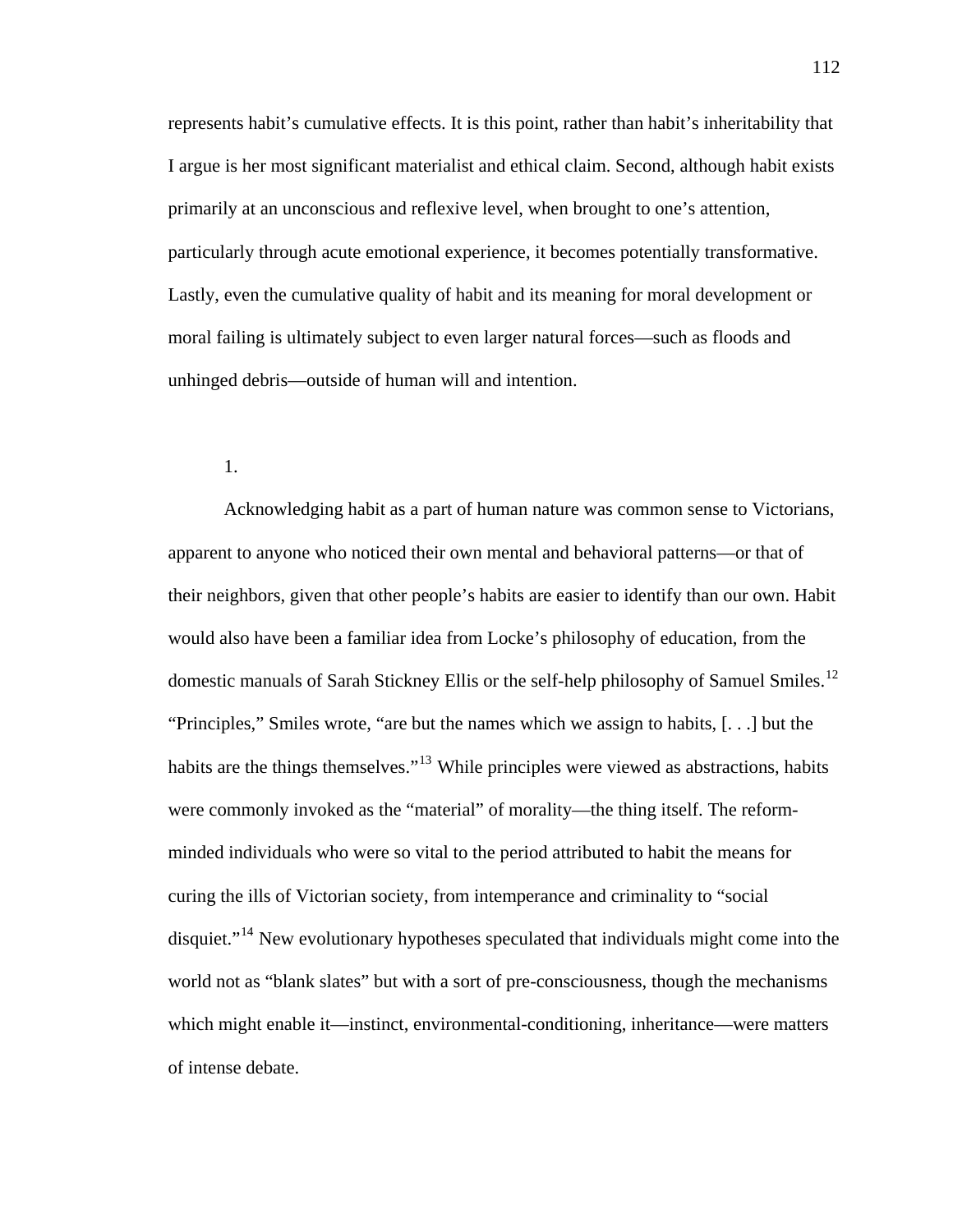represents habit's cumulative effects. It is this point, rather than habit's inheritability that I argue is her most significant materialist and ethical claim. Second, although habit exists primarily at an unconscious and reflexive level, when brought to one's attention, particularly through acute emotional experience, it becomes potentially transformative. Lastly, even the cumulative quality of habit and its meaning for moral development or moral failing is ultimately subject to even larger natural forces—such as floods and unhinged debris—outside of human will and intention.

1.

Acknowledging habit as a part of human nature was common sense to Victorians, apparent to anyone who noticed their own mental and behavioral patterns—or that of their neighbors, given that other people's habits are easier to identify than our own. Habit would also have been a familiar idea from Locke's philosophy of education, from the domestic manuals of Sarah Stickney Ellis or the self-help philosophy of Samuel Smiles.<sup>[12](#page-137-1)</sup> "Principles," Smiles wrote, "are but the names which we assign to habits, [. . .] but the habits are the things themselves."<sup>[13](#page-137-1)</sup> While principles were viewed as abstractions, habits were commonly invoked as the "material" of morality—the thing itself. The reformminded individuals who were so vital to the period attributed to habit the means for curing the ills of Victorian society, from intemperance and criminality to "social disquiet."<sup>[14](#page-137-1)</sup> New evolutionary hypotheses speculated that individuals might come into the world not as "blank slates" but with a sort of pre-consciousness, though the mechanisms which might enable it—instinct, environmental-conditioning, inheritance—were matters of intense debate.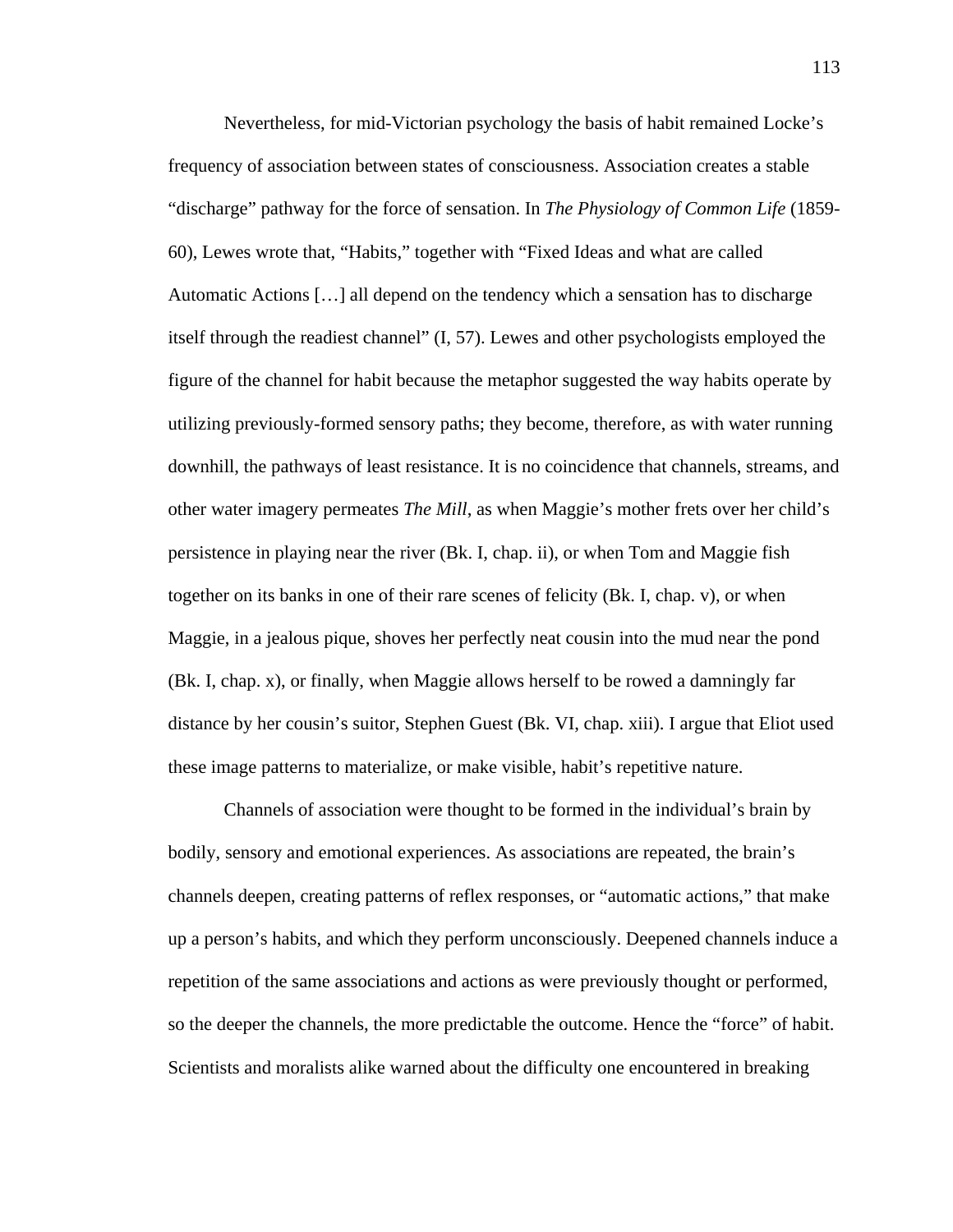Nevertheless, for mid-Victorian psychology the basis of habit remained Locke's frequency of association between states of consciousness. Association creates a stable "discharge" pathway for the force of sensation. In *The Physiology of Common Life* (1859- 60), Lewes wrote that, "Habits," together with "Fixed Ideas and what are called Automatic Actions […] all depend on the tendency which a sensation has to discharge itself through the readiest channel" (I, 57). Lewes and other psychologists employed the figure of the channel for habit because the metaphor suggested the way habits operate by utilizing previously-formed sensory paths; they become, therefore, as with water running downhill, the pathways of least resistance. It is no coincidence that channels, streams, and other water imagery permeates *The Mill*, as when Maggie's mother frets over her child's persistence in playing near the river (Bk. I, chap. ii), or when Tom and Maggie fish together on its banks in one of their rare scenes of felicity (Bk. I, chap. v), or when Maggie, in a jealous pique, shoves her perfectly neat cousin into the mud near the pond (Bk. I, chap. x), or finally, when Maggie allows herself to be rowed a damningly far distance by her cousin's suitor, Stephen Guest (Bk. VI, chap. xiii). I argue that Eliot used these image patterns to materialize, or make visible, habit's repetitive nature.

Channels of association were thought to be formed in the individual's brain by bodily, sensory and emotional experiences. As associations are repeated, the brain's channels deepen, creating patterns of reflex responses, or "automatic actions," that make up a person's habits, and which they perform unconsciously. Deepened channels induce a repetition of the same associations and actions as were previously thought or performed, so the deeper the channels, the more predictable the outcome. Hence the "force" of habit. Scientists and moralists alike warned about the difficulty one encountered in breaking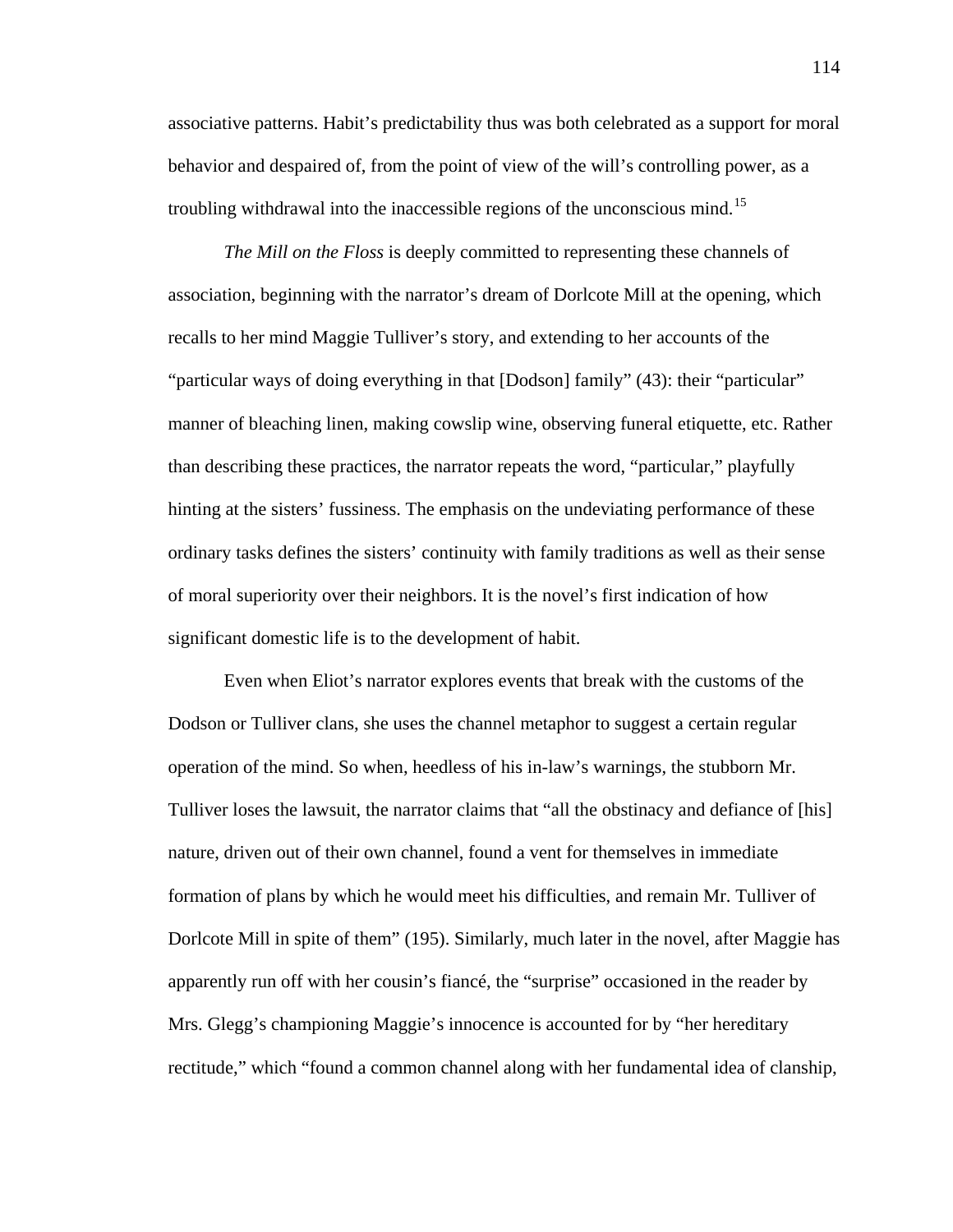associative patterns. Habit's predictability thus was both celebrated as a support for moral behavior and despaired of, from the point of view of the will's controlling power, as a troubling withdrawal into the inaccessible regions of the unconscious mind.<sup>[15](#page-138-0)</sup>

*The Mill on the Floss* is deeply committed to representing these channels of association, beginning with the narrator's dream of Dorlcote Mill at the opening, which recalls to her mind Maggie Tulliver's story, and extending to her accounts of the "particular ways of doing everything in that [Dodson] family" (43): their "particular" manner of bleaching linen, making cowslip wine, observing funeral etiquette, etc. Rather than describing these practices, the narrator repeats the word, "particular," playfully hinting at the sisters' fussiness. The emphasis on the undeviating performance of these ordinary tasks defines the sisters' continuity with family traditions as well as their sense of moral superiority over their neighbors. It is the novel's first indication of how significant domestic life is to the development of habit.

Even when Eliot's narrator explores events that break with the customs of the Dodson or Tulliver clans, she uses the channel metaphor to suggest a certain regular operation of the mind. So when, heedless of his in-law's warnings, the stubborn Mr. Tulliver loses the lawsuit, the narrator claims that "all the obstinacy and defiance of [his] nature, driven out of their own channel, found a vent for themselves in immediate formation of plans by which he would meet his difficulties, and remain Mr. Tulliver of Dorlcote Mill in spite of them" (195). Similarly, much later in the novel, after Maggie has apparently run off with her cousin's fiancé, the "surprise" occasioned in the reader by Mrs. Glegg's championing Maggie's innocence is accounted for by "her hereditary rectitude," which "found a common channel along with her fundamental idea of clanship,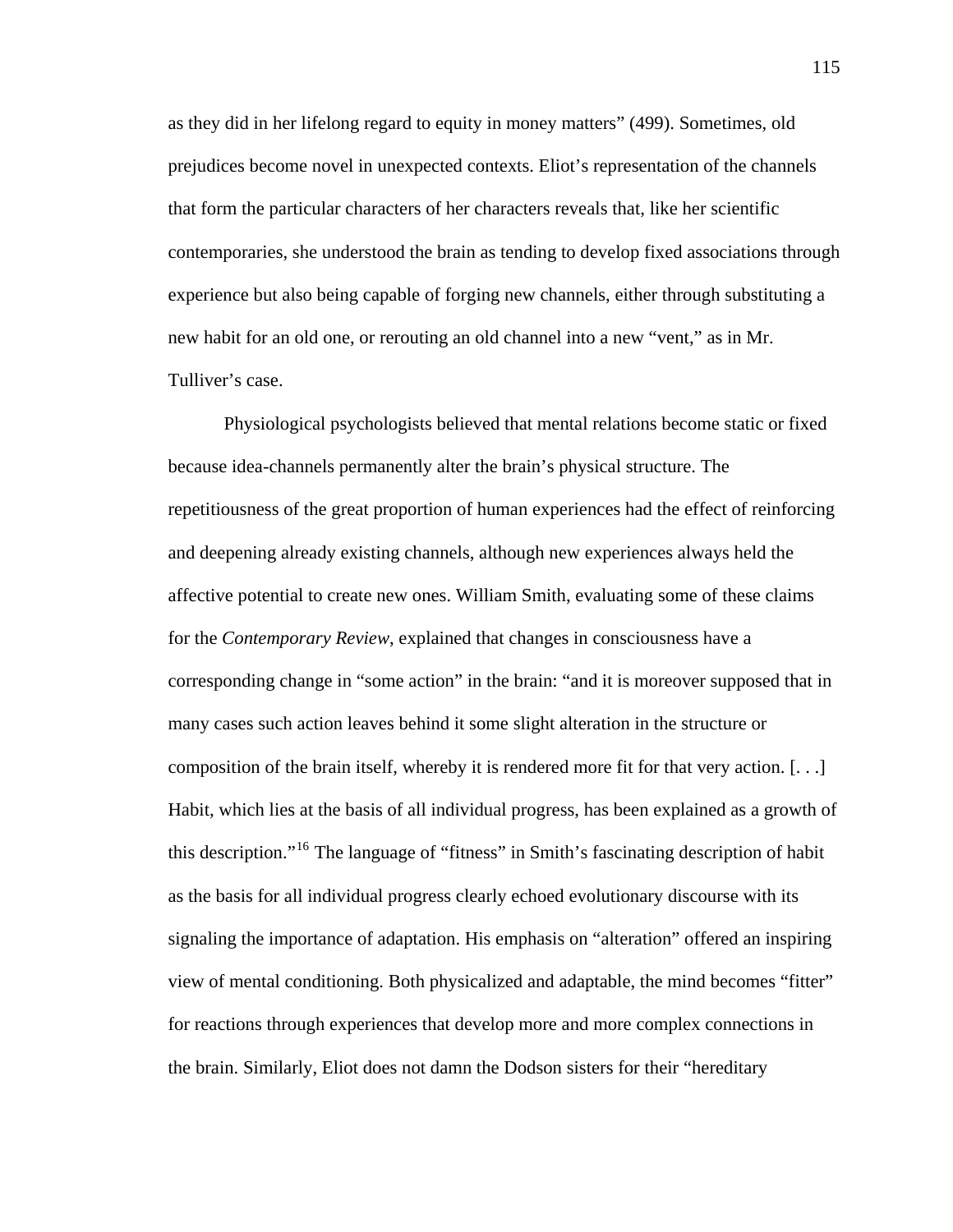as they did in her lifelong regard to equity in money matters" (499). Sometimes, old prejudices become novel in unexpected contexts. Eliot's representation of the channels that form the particular characters of her characters reveals that, like her scientific contemporaries, she understood the brain as tending to develop fixed associations through experience but also being capable of forging new channels, either through substituting a new habit for an old one, or rerouting an old channel into a new "vent," as in Mr. Tulliver's case.

Physiological psychologists believed that mental relations become static or fixed because idea-channels permanently alter the brain's physical structure. The repetitiousness of the great proportion of human experiences had the effect of reinforcing and deepening already existing channels, although new experiences always held the affective potential to create new ones. William Smith, evaluating some of these claims for the *Contemporary Review*, explained that changes in consciousness have a corresponding change in "some action" in the brain: "and it is moreover supposed that in many cases such action leaves behind it some slight alteration in the structure or composition of the brain itself, whereby it is rendered more fit for that very action. [. . .] Habit, which lies at the basis of all individual progress, has been explained as a growth of this description."<sup>[16](#page-138-0)</sup> The language of "fitness" in Smith's fascinating description of habit as the basis for all individual progress clearly echoed evolutionary discourse with its signaling the importance of adaptation. His emphasis on "alteration" offered an inspiring view of mental conditioning. Both physicalized and adaptable, the mind becomes "fitter" for reactions through experiences that develop more and more complex connections in the brain. Similarly, Eliot does not damn the Dodson sisters for their "hereditary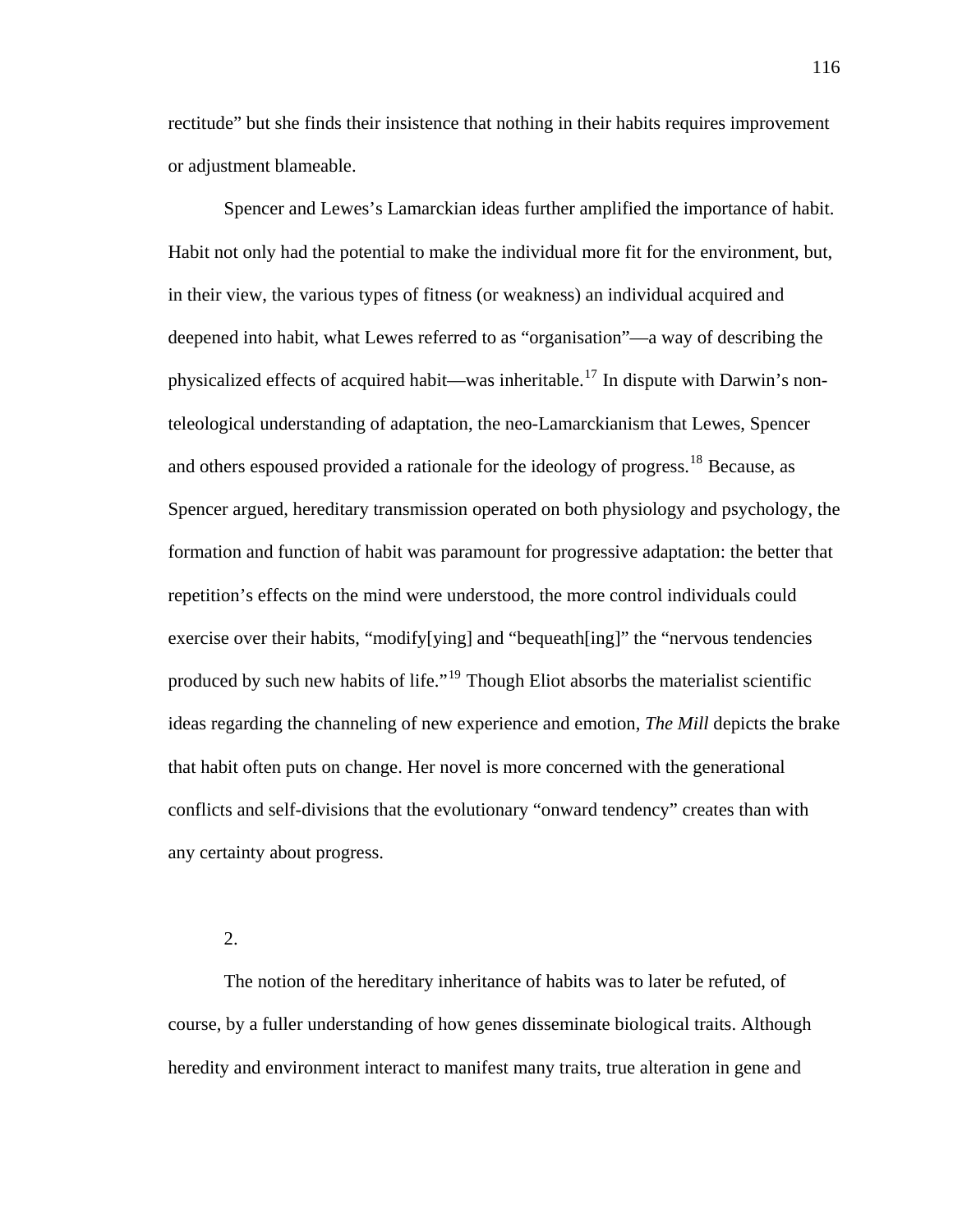rectitude" but she finds their insistence that nothing in their habits requires improvement or adjustment blameable.

Spencer and Lewes's Lamarckian ideas further amplified the importance of habit. Habit not only had the potential to make the individual more fit for the environment, but, in their view, the various types of fitness (or weakness) an individual acquired and deepened into habit, what Lewes referred to as "organisation"—a way of describing the physicalized effects of acquired habit—was inheritable.[17](#page-138-0) In dispute with Darwin's nonteleological understanding of adaptation, the neo-Lamarckianism that Lewes, Spencer and others espoused provided a rationale for the ideology of progress.<sup>[18](#page-138-0)</sup> Because, as Spencer argued, hereditary transmission operated on both physiology and psychology, the formation and function of habit was paramount for progressive adaptation: the better that repetition's effects on the mind were understood, the more control individuals could exercise over their habits, "modify[ying] and "bequeath[ing]" the "nervous tendencies produced by such new habits of life."<sup>[19](#page-138-0)</sup> Though Eliot absorbs the materialist scientific ideas regarding the channeling of new experience and emotion, *The Mill* depicts the brake that habit often puts on change. Her novel is more concerned with the generational conflicts and self-divisions that the evolutionary "onward tendency" creates than with any certainty about progress.

2.

The notion of the hereditary inheritance of habits was to later be refuted, of course, by a fuller understanding of how genes disseminate biological traits. Although heredity and environment interact to manifest many traits, true alteration in gene and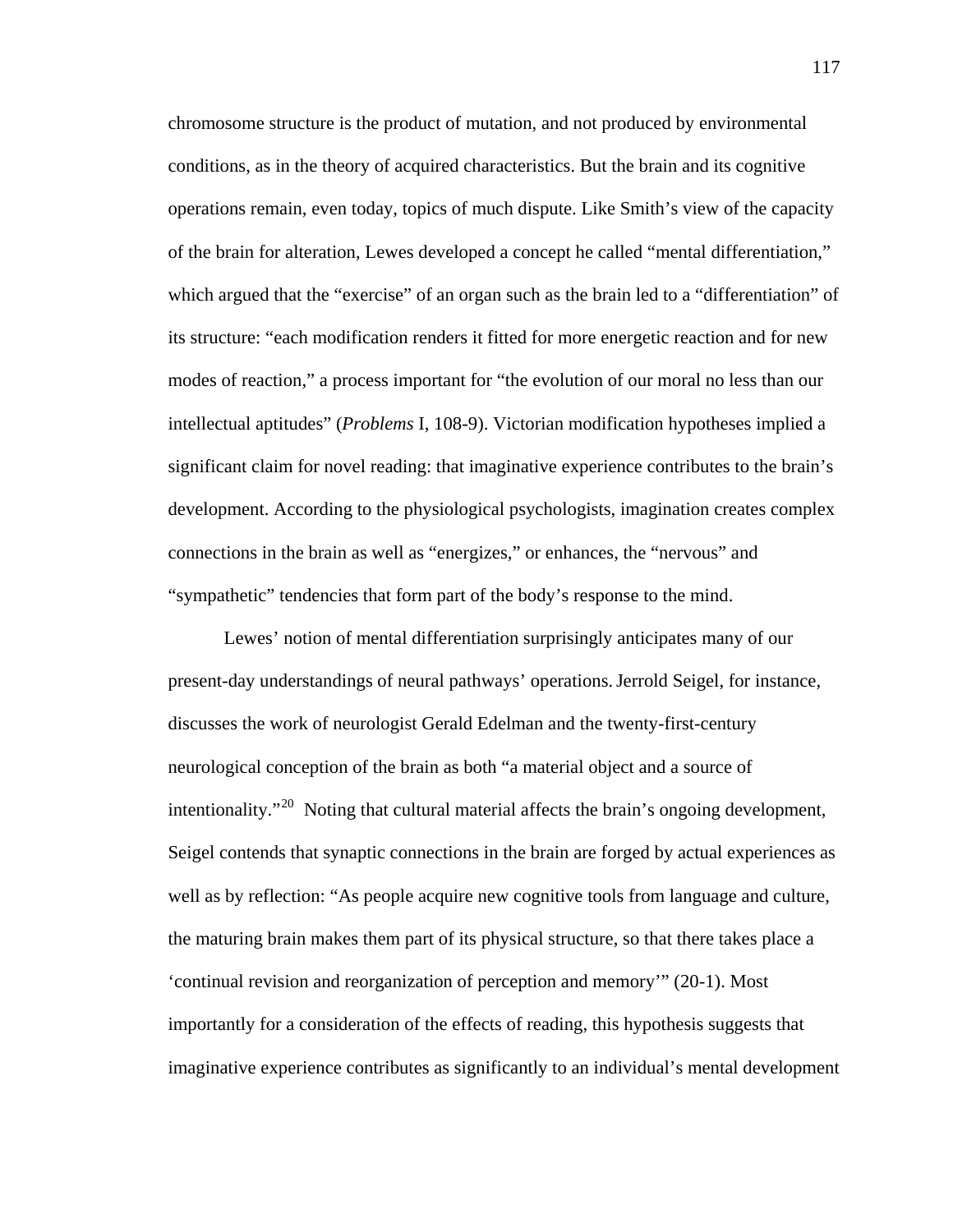chromosome structure is the product of mutation, and not produced by environmental conditions, as in the theory of acquired characteristics. But the brain and its cognitive operations remain, even today, topics of much dispute. Like Smith's view of the capacity of the brain for alteration, Lewes developed a concept he called "mental differentiation," which argued that the "exercise" of an organ such as the brain led to a "differentiation" of its structure: "each modification renders it fitted for more energetic reaction and for new modes of reaction," a process important for "the evolution of our moral no less than our intellectual aptitudes" (*Problems* I, 108-9). Victorian modification hypotheses implied a significant claim for novel reading: that imaginative experience contributes to the brain's development. According to the physiological psychologists, imagination creates complex connections in the brain as well as "energizes," or enhances, the "nervous" and "sympathetic" tendencies that form part of the body's response to the mind.

Lewes' notion of mental differentiation surprisingly anticipates many of our present-day understandings of neural pathways' operations.Jerrold Seigel, for instance, discusses the work of neurologist Gerald Edelman and the twenty-first-century neurological conception of the brain as both "a material object and a source of intentionality."<sup>[20](#page-138-0)</sup> Noting that cultural material affects the brain's ongoing development, Seigel contends that synaptic connections in the brain are forged by actual experiences as well as by reflection: "As people acquire new cognitive tools from language and culture, the maturing brain makes them part of its physical structure, so that there takes place a 'continual revision and reorganization of perception and memory'" (20-1). Most importantly for a consideration of the effects of reading, this hypothesis suggests that imaginative experience contributes as significantly to an individual's mental development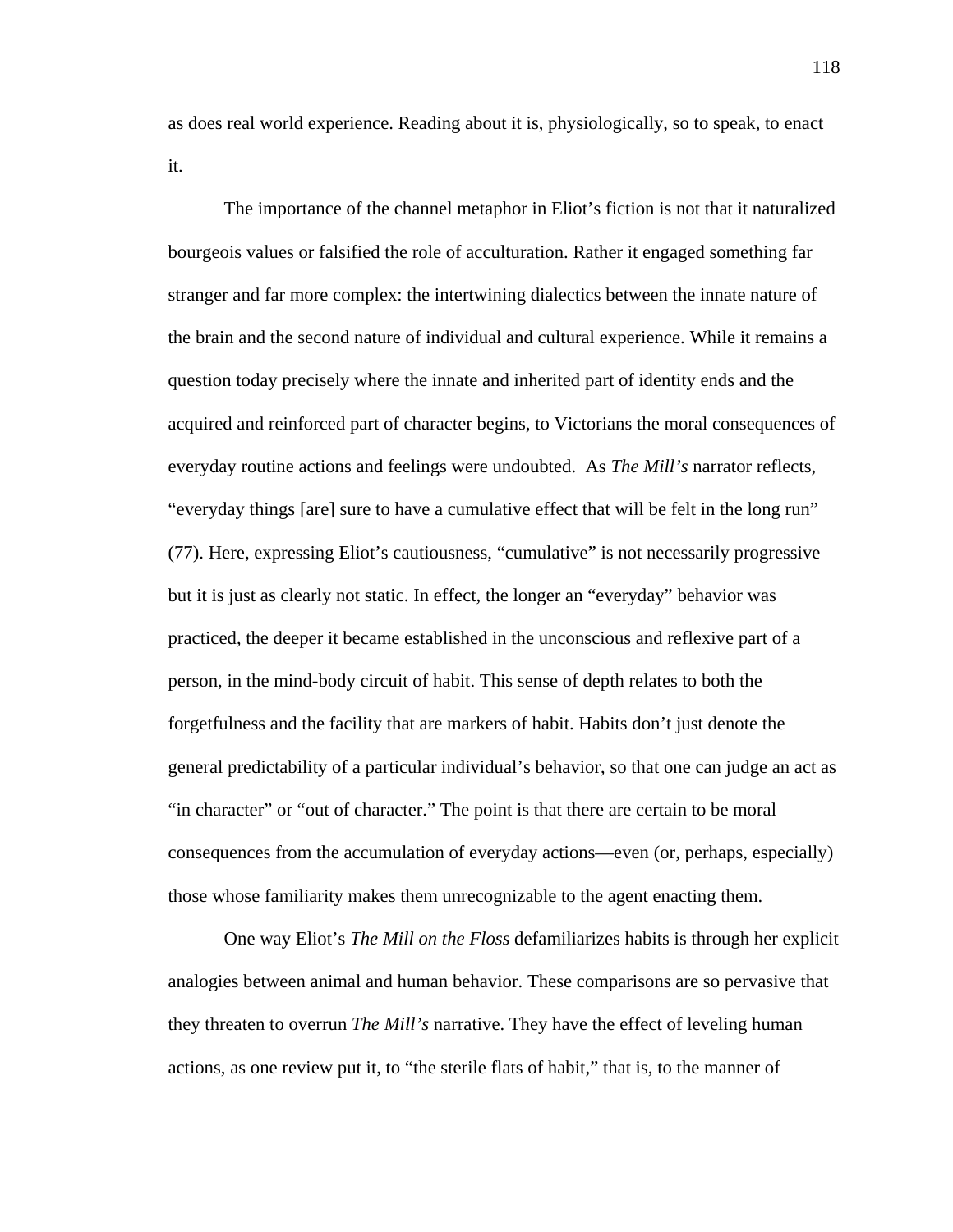as does real world experience. Reading about it is, physiologically, so to speak, to enact it.

The importance of the channel metaphor in Eliot's fiction is not that it naturalized bourgeois values or falsified the role of acculturation. Rather it engaged something far stranger and far more complex: the intertwining dialectics between the innate nature of the brain and the second nature of individual and cultural experience. While it remains a question today precisely where the innate and inherited part of identity ends and the acquired and reinforced part of character begins, to Victorians the moral consequences of everyday routine actions and feelings were undoubted. As *The Mill's* narrator reflects, "everyday things [are] sure to have a cumulative effect that will be felt in the long run" (77). Here, expressing Eliot's cautiousness, "cumulative" is not necessarily progressive but it is just as clearly not static. In effect, the longer an "everyday" behavior was practiced, the deeper it became established in the unconscious and reflexive part of a person, in the mind-body circuit of habit. This sense of depth relates to both the forgetfulness and the facility that are markers of habit. Habits don't just denote the general predictability of a particular individual's behavior, so that one can judge an act as "in character" or "out of character." The point is that there are certain to be moral consequences from the accumulation of everyday actions—even (or, perhaps, especially) those whose familiarity makes them unrecognizable to the agent enacting them.

One way Eliot's *The Mill on the Floss* defamiliarizes habits is through her explicit analogies between animal and human behavior. These comparisons are so pervasive that they threaten to overrun *The Mill's* narrative. They have the effect of leveling human actions, as one review put it, to "the sterile flats of habit," that is, to the manner of

118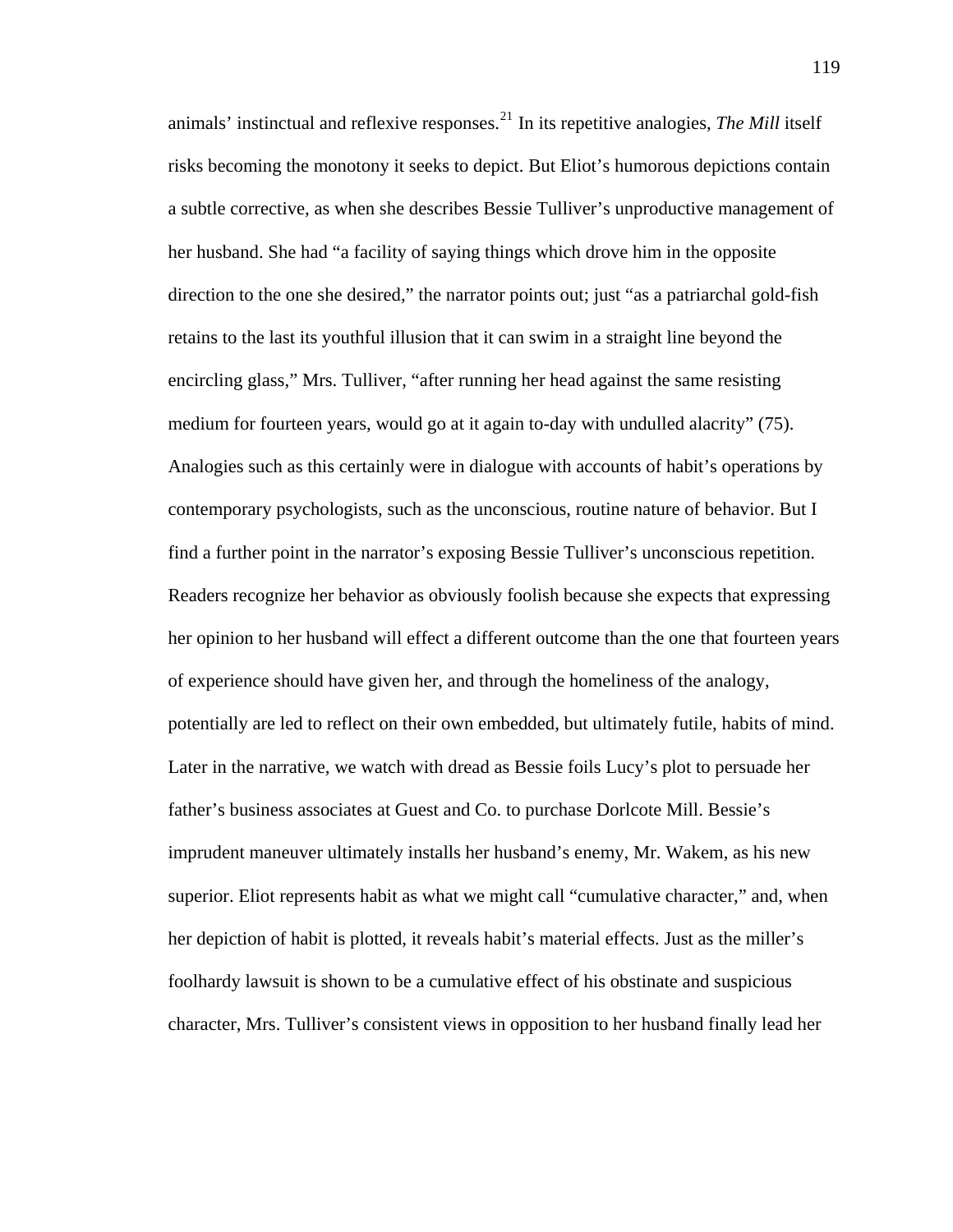animals' instinctual and reflexive responses.<sup>[21](#page-138-0)</sup> In its repetitive analogies, *The Mill* itself risks becoming the monotony it seeks to depict. But Eliot's humorous depictions contain a subtle corrective, as when she describes Bessie Tulliver's unproductive management of her husband. She had "a facility of saying things which drove him in the opposite direction to the one she desired," the narrator points out; just "as a patriarchal gold-fish retains to the last its youthful illusion that it can swim in a straight line beyond the encircling glass," Mrs. Tulliver, "after running her head against the same resisting medium for fourteen years, would go at it again to-day with undulled alacrity" (75). Analogies such as this certainly were in dialogue with accounts of habit's operations by contemporary psychologists, such as the unconscious, routine nature of behavior. But I find a further point in the narrator's exposing Bessie Tulliver's unconscious repetition. Readers recognize her behavior as obviously foolish because she expects that expressing her opinion to her husband will effect a different outcome than the one that fourteen years of experience should have given her, and through the homeliness of the analogy, potentially are led to reflect on their own embedded, but ultimately futile, habits of mind. Later in the narrative, we watch with dread as Bessie foils Lucy's plot to persuade her father's business associates at Guest and Co. to purchase Dorlcote Mill. Bessie's imprudent maneuver ultimately installs her husband's enemy, Mr. Wakem, as his new superior. Eliot represents habit as what we might call "cumulative character," and, when her depiction of habit is plotted, it reveals habit's material effects. Just as the miller's foolhardy lawsuit is shown to be a cumulative effect of his obstinate and suspicious character, Mrs. Tulliver's consistent views in opposition to her husband finally lead her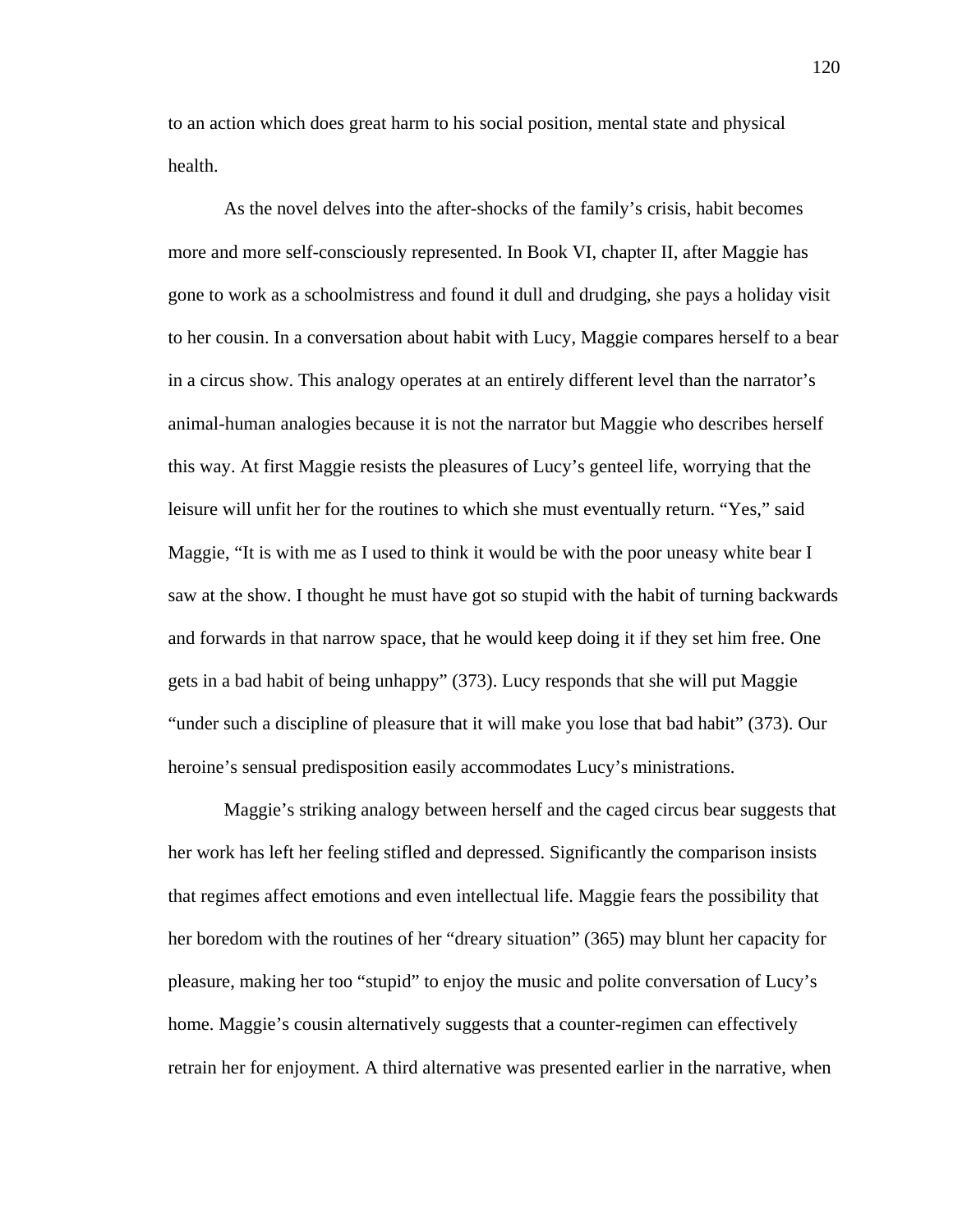to an action which does great harm to his social position, mental state and physical health.

As the novel delves into the after-shocks of the family's crisis, habit becomes more and more self-consciously represented. In Book VI, chapter II, after Maggie has gone to work as a schoolmistress and found it dull and drudging, she pays a holiday visit to her cousin. In a conversation about habit with Lucy, Maggie compares herself to a bear in a circus show. This analogy operates at an entirely different level than the narrator's animal-human analogies because it is not the narrator but Maggie who describes herself this way. At first Maggie resists the pleasures of Lucy's genteel life, worrying that the leisure will unfit her for the routines to which she must eventually return. "Yes," said Maggie, "It is with me as I used to think it would be with the poor uneasy white bear I saw at the show. I thought he must have got so stupid with the habit of turning backwards and forwards in that narrow space, that he would keep doing it if they set him free. One gets in a bad habit of being unhappy" (373). Lucy responds that she will put Maggie "under such a discipline of pleasure that it will make you lose that bad habit" (373). Our heroine's sensual predisposition easily accommodates Lucy's ministrations.

Maggie's striking analogy between herself and the caged circus bear suggests that her work has left her feeling stifled and depressed. Significantly the comparison insists that regimes affect emotions and even intellectual life. Maggie fears the possibility that her boredom with the routines of her "dreary situation" (365) may blunt her capacity for pleasure, making her too "stupid" to enjoy the music and polite conversation of Lucy's home. Maggie's cousin alternatively suggests that a counter-regimen can effectively retrain her for enjoyment. A third alternative was presented earlier in the narrative, when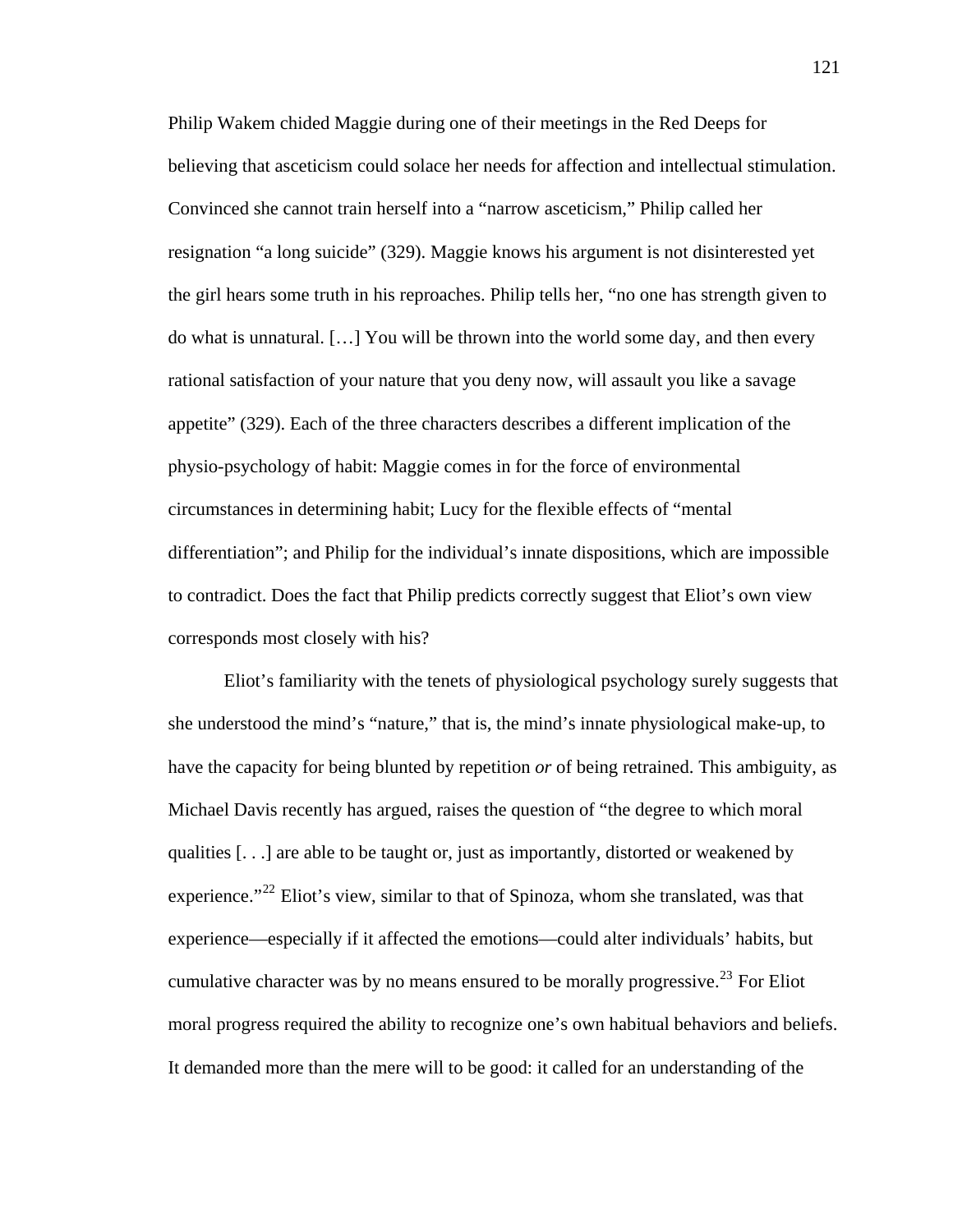Philip Wakem chided Maggie during one of their meetings in the Red Deeps for believing that asceticism could solace her needs for affection and intellectual stimulation. Convinced she cannot train herself into a "narrow asceticism," Philip called her resignation "a long suicide" (329). Maggie knows his argument is not disinterested yet the girl hears some truth in his reproaches. Philip tells her, "no one has strength given to do what is unnatural. […] You will be thrown into the world some day, and then every rational satisfaction of your nature that you deny now, will assault you like a savage appetite" (329). Each of the three characters describes a different implication of the physio-psychology of habit: Maggie comes in for the force of environmental circumstances in determining habit; Lucy for the flexible effects of "mental differentiation"; and Philip for the individual's innate dispositions, which are impossible to contradict. Does the fact that Philip predicts correctly suggest that Eliot's own view corresponds most closely with his?

Eliot's familiarity with the tenets of physiological psychology surely suggests that she understood the mind's "nature," that is, the mind's innate physiological make-up, to have the capacity for being blunted by repetition *or* of being retrained. This ambiguity, as Michael Davis recently has argued, raises the question of "the degree to which moral qualities [. . .] are able to be taught or, just as importantly, distorted or weakened by experience."<sup>[22](#page-138-0)</sup> Eliot's view, similar to that of Spinoza, whom she translated, was that experience—especially if it affected the emotions—could alter individuals' habits, but cumulative character was by no means ensured to be morally progressive.<sup>[23](#page-138-0)</sup> For Eliot moral progress required the ability to recognize one's own habitual behaviors and beliefs. It demanded more than the mere will to be good: it called for an understanding of the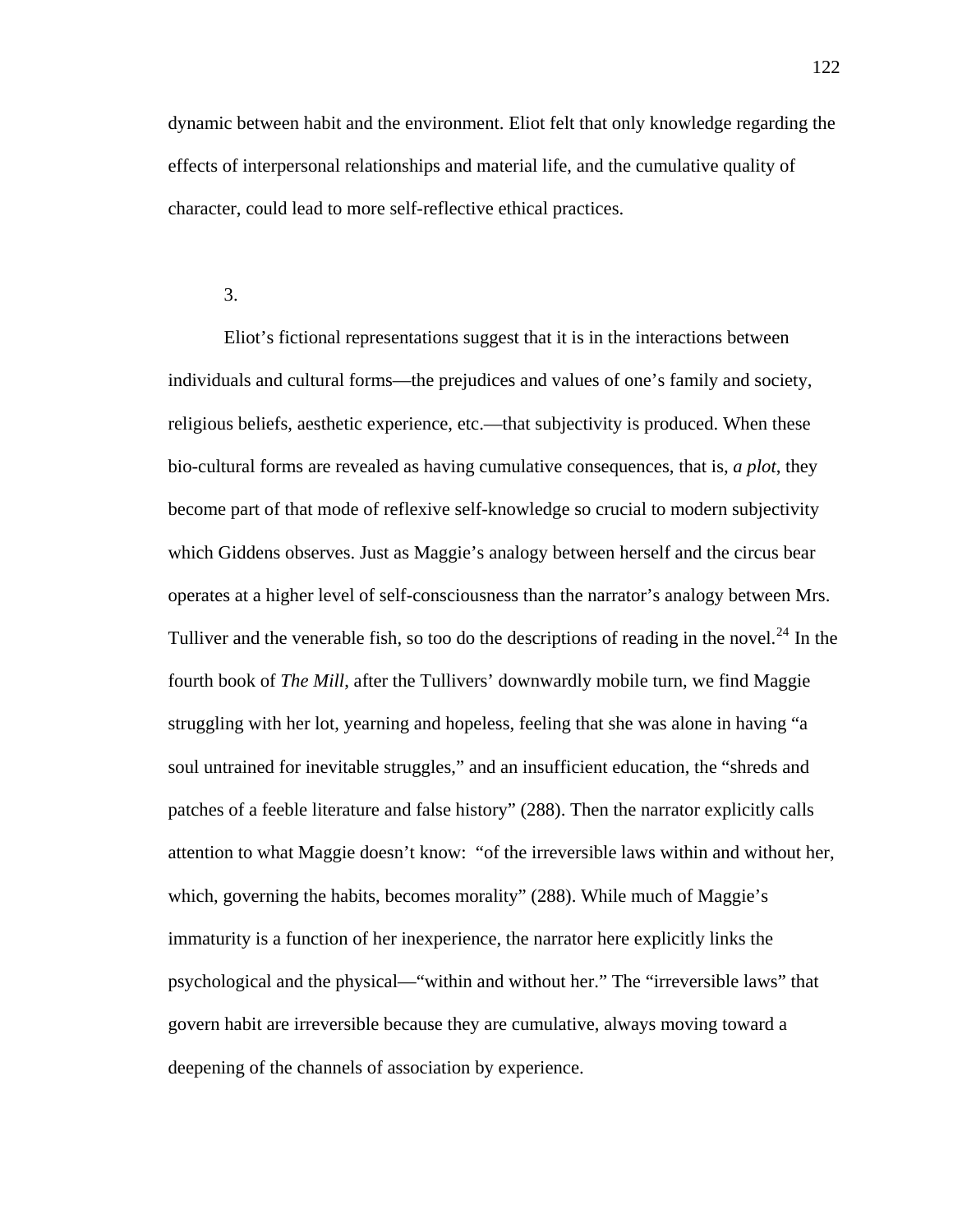dynamic between habit and the environment. Eliot felt that only knowledge regarding the effects of interpersonal relationships and material life, and the cumulative quality of character, could lead to more self-reflective ethical practices.

3.

Eliot's fictional representations suggest that it is in the interactions between individuals and cultural forms—the prejudices and values of one's family and society, religious beliefs, aesthetic experience, etc.—that subjectivity is produced. When these bio-cultural forms are revealed as having cumulative consequences, that is, *a plot*, they become part of that mode of reflexive self-knowledge so crucial to modern subjectivity which Giddens observes. Just as Maggie's analogy between herself and the circus bear operates at a higher level of self-consciousness than the narrator's analogy between Mrs. Tulliver and the venerable fish, so too do the descriptions of reading in the novel.<sup>[24](#page-139-0)</sup> In the fourth book of *The Mill*, after the Tullivers' downwardly mobile turn, we find Maggie struggling with her lot, yearning and hopeless, feeling that she was alone in having "a soul untrained for inevitable struggles," and an insufficient education, the "shreds and patches of a feeble literature and false history" (288). Then the narrator explicitly calls attention to what Maggie doesn't know: "of the irreversible laws within and without her, which, governing the habits, becomes morality" (288). While much of Maggie's immaturity is a function of her inexperience, the narrator here explicitly links the psychological and the physical—"within and without her." The "irreversible laws" that govern habit are irreversible because they are cumulative, always moving toward a deepening of the channels of association by experience.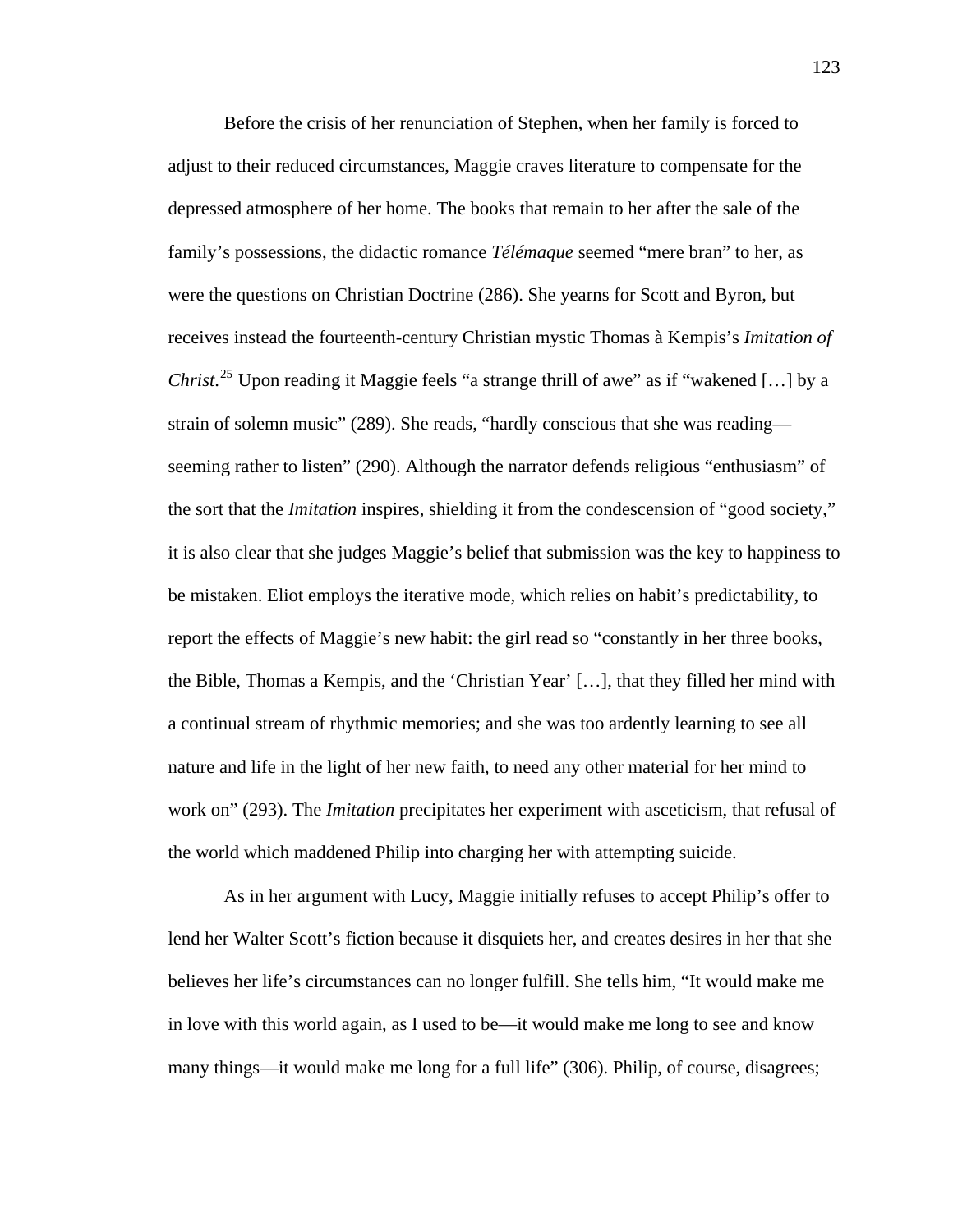Before the crisis of her renunciation of Stephen, when her family is forced to adjust to their reduced circumstances, Maggie craves literature to compensate for the depressed atmosphere of her home. The books that remain to her after the sale of the family's possessions, the didactic romance *Télémaque* seemed "mere bran" to her, as were the questions on Christian Doctrine (286). She yearns for Scott and Byron, but receives instead the fourteenth-century Christian mystic Thomas à Kempis's *Imitation of Christ*. [25](#page-139-0) Upon reading it Maggie feels "a strange thrill of awe" as if "wakened […] by a strain of solemn music" (289). She reads, "hardly conscious that she was reading seeming rather to listen" (290). Although the narrator defends religious "enthusiasm" of the sort that the *Imitation* inspires, shielding it from the condescension of "good society," it is also clear that she judges Maggie's belief that submission was the key to happiness to be mistaken. Eliot employs the iterative mode, which relies on habit's predictability, to report the effects of Maggie's new habit: the girl read so "constantly in her three books, the Bible, Thomas a Kempis, and the 'Christian Year' […], that they filled her mind with a continual stream of rhythmic memories; and she was too ardently learning to see all nature and life in the light of her new faith, to need any other material for her mind to work on" (293). The *Imitation* precipitates her experiment with asceticism, that refusal of the world which maddened Philip into charging her with attempting suicide.

As in her argument with Lucy, Maggie initially refuses to accept Philip's offer to lend her Walter Scott's fiction because it disquiets her, and creates desires in her that she believes her life's circumstances can no longer fulfill. She tells him, "It would make me in love with this world again, as I used to be—it would make me long to see and know many things—it would make me long for a full life" (306). Philip, of course, disagrees;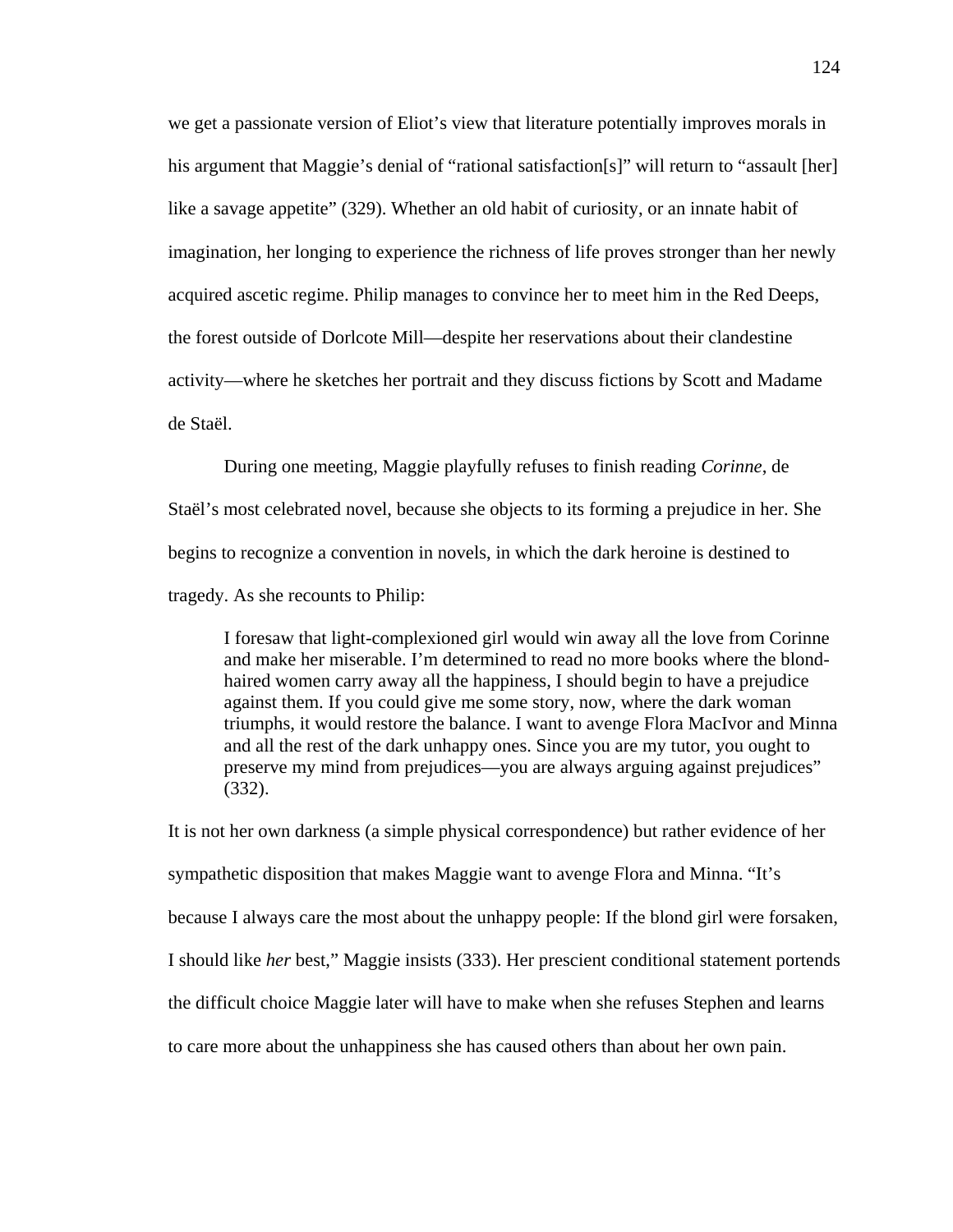we get a passionate version of Eliot's view that literature potentially improves morals in his argument that Maggie's denial of "rational satisfaction[s]" will return to "assault [her] like a savage appetite" (329). Whether an old habit of curiosity, or an innate habit of imagination, her longing to experience the richness of life proves stronger than her newly acquired ascetic regime. Philip manages to convince her to meet him in the Red Deeps, the forest outside of Dorlcote Mill—despite her reservations about their clandestine activity—where he sketches her portrait and they discuss fictions by Scott and Madame de Staël.

During one meeting, Maggie playfully refuses to finish reading *Corinne*, de Staël's most celebrated novel, because she objects to its forming a prejudice in her. She begins to recognize a convention in novels, in which the dark heroine is destined to tragedy. As she recounts to Philip:

I foresaw that light-complexioned girl would win away all the love from Corinne and make her miserable. I'm determined to read no more books where the blondhaired women carry away all the happiness, I should begin to have a prejudice against them. If you could give me some story, now, where the dark woman triumphs, it would restore the balance. I want to avenge Flora MacIvor and Minna and all the rest of the dark unhappy ones. Since you are my tutor, you ought to preserve my mind from prejudices—you are always arguing against prejudices" (332).

It is not her own darkness (a simple physical correspondence) but rather evidence of her sympathetic disposition that makes Maggie want to avenge Flora and Minna. "It's because I always care the most about the unhappy people: If the blond girl were forsaken, I should like *her* best," Maggie insists (333). Her prescient conditional statement portends the difficult choice Maggie later will have to make when she refuses Stephen and learns to care more about the unhappiness she has caused others than about her own pain.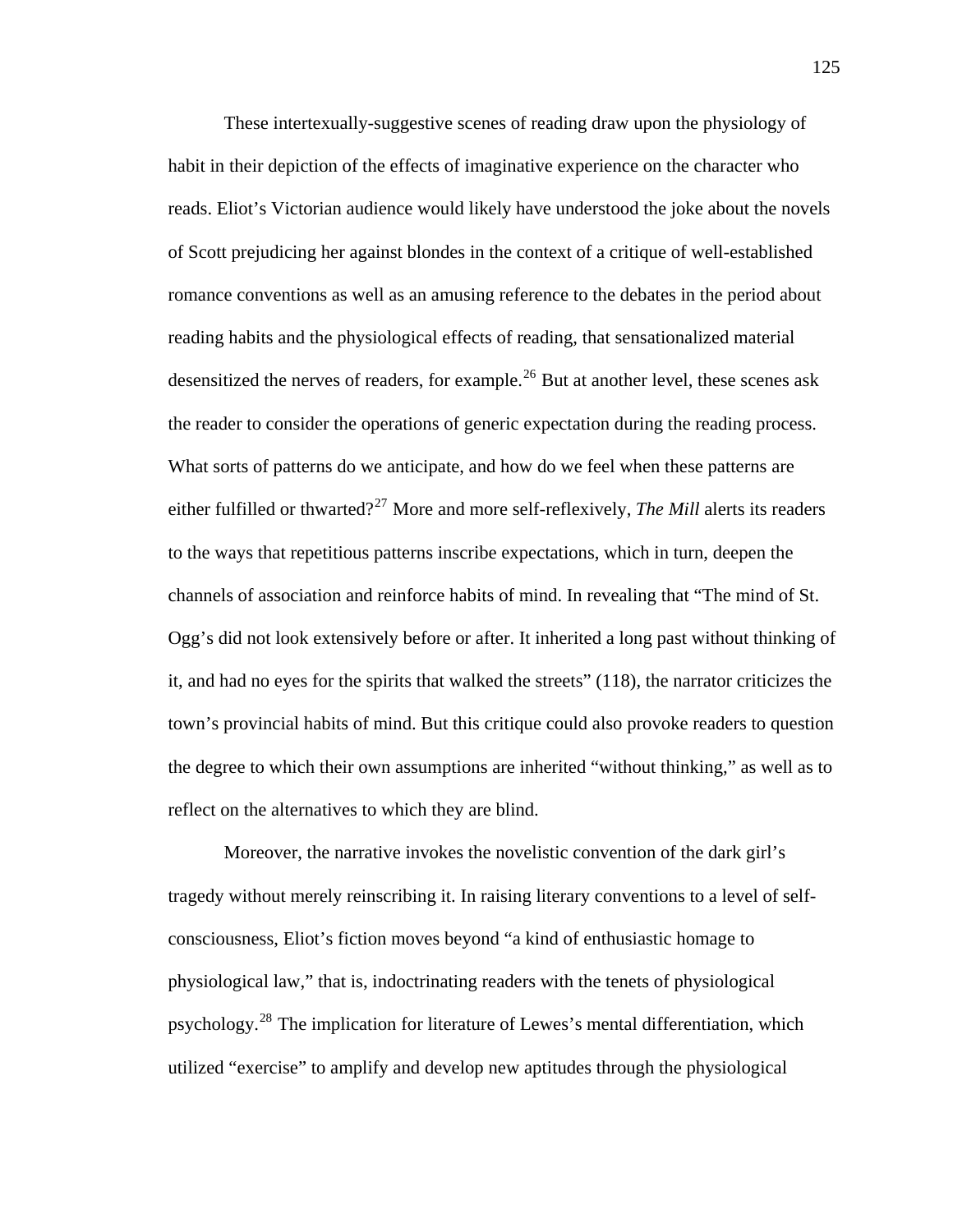These intertexually-suggestive scenes of reading draw upon the physiology of habit in their depiction of the effects of imaginative experience on the character who reads. Eliot's Victorian audience would likely have understood the joke about the novels of Scott prejudicing her against blondes in the context of a critique of well-established romance conventions as well as an amusing reference to the debates in the period about reading habits and the physiological effects of reading, that sensationalized material desensitized the nerves of readers, for example.<sup>[26](#page-139-0)</sup> But at another level, these scenes ask the reader to consider the operations of generic expectation during the reading process. What sorts of patterns do we anticipate, and how do we feel when these patterns are either fulfilled or thwarted?<sup>[27](#page-139-0)</sup> More and more self-reflexively, *The Mill* alerts its readers to the ways that repetitious patterns inscribe expectations, which in turn, deepen the channels of association and reinforce habits of mind. In revealing that "The mind of St. Ogg's did not look extensively before or after. It inherited a long past without thinking of it, and had no eyes for the spirits that walked the streets" (118), the narrator criticizes the town's provincial habits of mind. But this critique could also provoke readers to question the degree to which their own assumptions are inherited "without thinking," as well as to reflect on the alternatives to which they are blind.

Moreover, the narrative invokes the novelistic convention of the dark girl's tragedy without merely reinscribing it. In raising literary conventions to a level of selfconsciousness, Eliot's fiction moves beyond "a kind of enthusiastic homage to physiological law," that is, indoctrinating readers with the tenets of physiological psychology.[28](#page-139-0) The implication for literature of Lewes's mental differentiation, which utilized "exercise" to amplify and develop new aptitudes through the physiological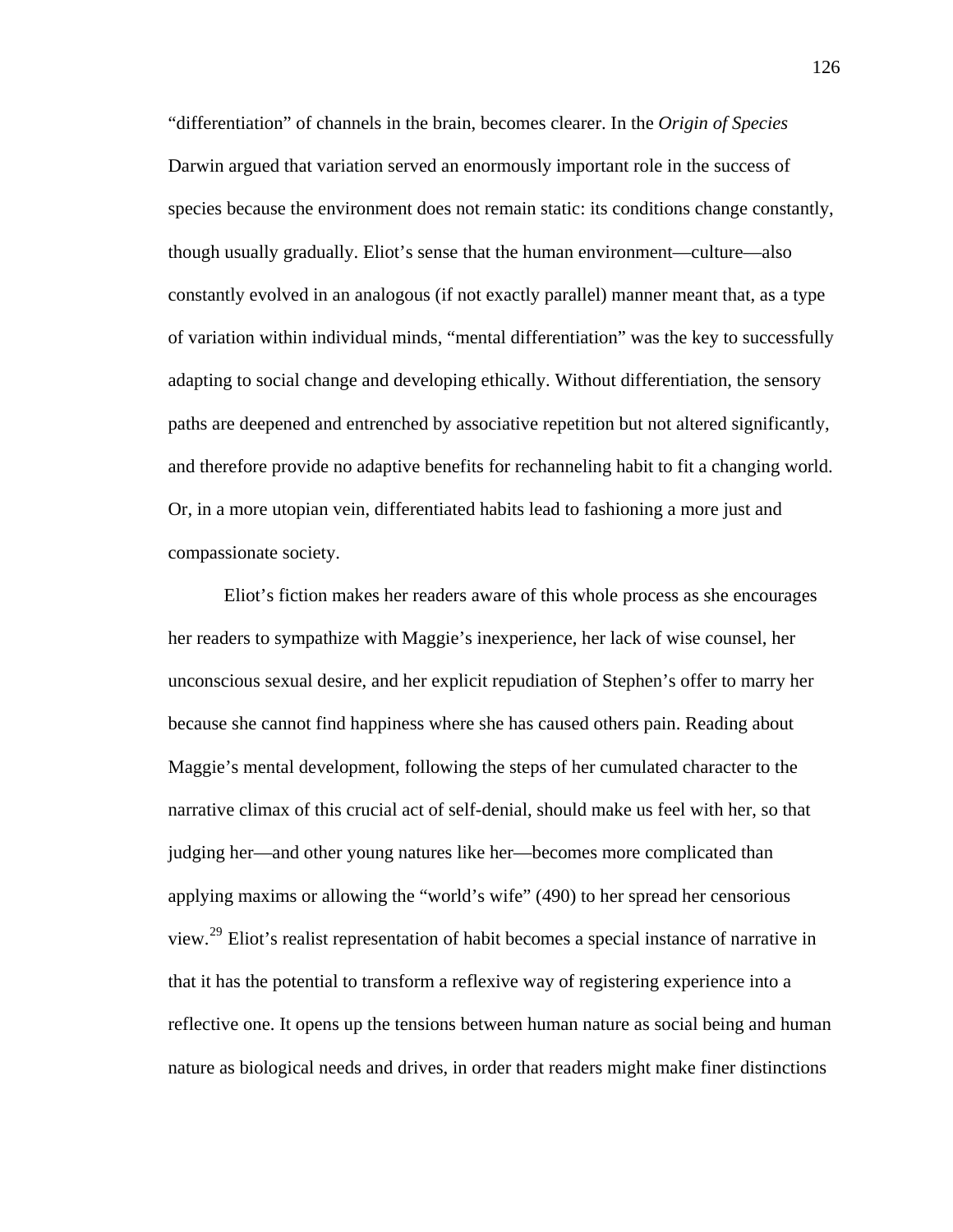"differentiation" of channels in the brain, becomes clearer. In the *Origin of Species* Darwin argued that variation served an enormously important role in the success of species because the environment does not remain static: its conditions change constantly, though usually gradually. Eliot's sense that the human environment—culture—also constantly evolved in an analogous (if not exactly parallel) manner meant that, as a type of variation within individual minds, "mental differentiation" was the key to successfully adapting to social change and developing ethically. Without differentiation, the sensory paths are deepened and entrenched by associative repetition but not altered significantly, and therefore provide no adaptive benefits for rechanneling habit to fit a changing world. Or, in a more utopian vein, differentiated habits lead to fashioning a more just and compassionate society.

Eliot's fiction makes her readers aware of this whole process as she encourages her readers to sympathize with Maggie's inexperience, her lack of wise counsel, her unconscious sexual desire, and her explicit repudiation of Stephen's offer to marry her because she cannot find happiness where she has caused others pain. Reading about Maggie's mental development, following the steps of her cumulated character to the narrative climax of this crucial act of self-denial, should make us feel with her, so that judging her—and other young natures like her—becomes more complicated than applying maxims or allowing the "world's wife" (490) to her spread her censorious view.[29](#page-139-0) Eliot's realist representation of habit becomes a special instance of narrative in that it has the potential to transform a reflexive way of registering experience into a reflective one. It opens up the tensions between human nature as social being and human nature as biological needs and drives, in order that readers might make finer distinctions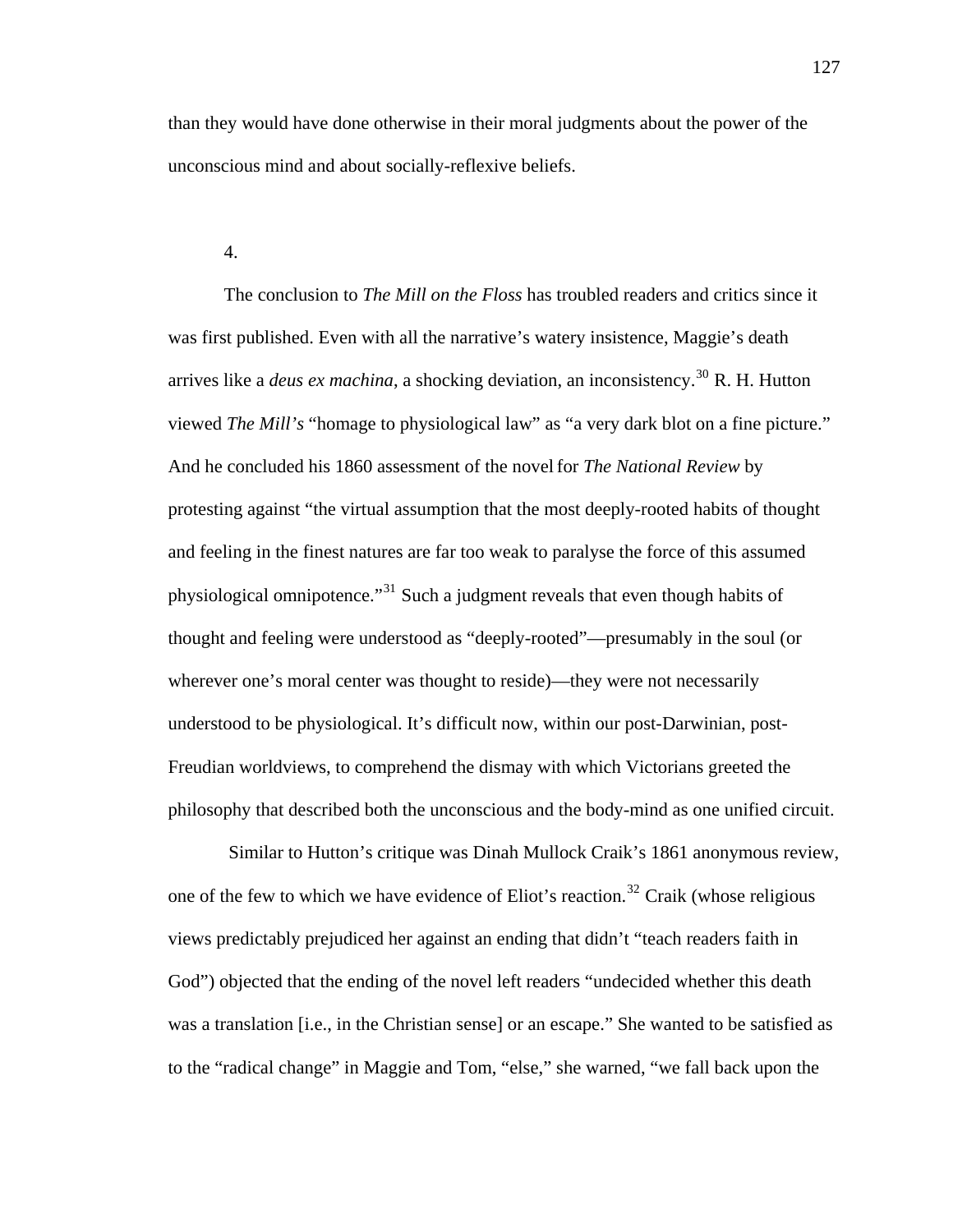than they would have done otherwise in their moral judgments about the power of the unconscious mind and about socially-reflexive beliefs.

## 4.

The conclusion to *The Mill on the Floss* has troubled readers and critics since it was first published. Even with all the narrative's watery insistence, Maggie's death arrives like a *deus ex machina*, a shocking deviation, an inconsistency.<sup>[30](#page-139-0)</sup> R. H. Hutton viewed *The Mill's* "homage to physiological law" as "a very dark blot on a fine picture." And he concluded his 1860 assessment of the novelfor *The National Review* by protesting against "the virtual assumption that the most deeply-rooted habits of thought and feeling in the finest natures are far too weak to paralyse the force of this assumed physiological omnipotence."[31](#page-139-0) Such a judgment reveals that even though habits of thought and feeling were understood as "deeply-rooted"—presumably in the soul (or wherever one's moral center was thought to reside)—they were not necessarily understood to be physiological. It's difficult now, within our post-Darwinian, post-Freudian worldviews, to comprehend the dismay with which Victorians greeted the philosophy that described both the unconscious and the body-mind as one unified circuit.

 Similar to Hutton's critique was Dinah Mullock Craik's 1861 anonymous review, one of the few to which we have evidence of Eliot's reaction.<sup>[32](#page-139-0)</sup> Craik (whose religious views predictably prejudiced her against an ending that didn't "teach readers faith in God") objected that the ending of the novel left readers "undecided whether this death was a translation [i.e., in the Christian sense] or an escape." She wanted to be satisfied as to the "radical change" in Maggie and Tom, "else," she warned, "we fall back upon the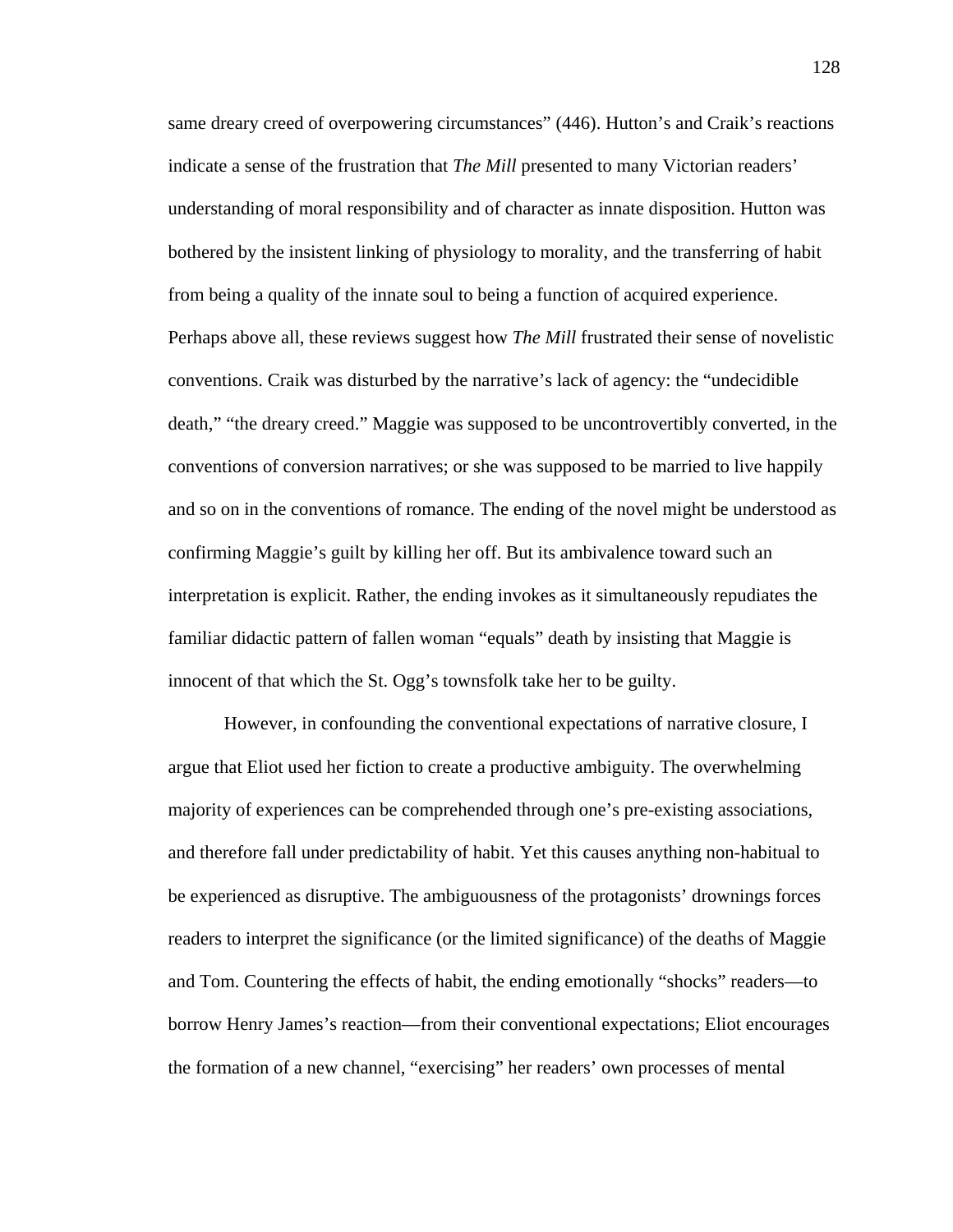same dreary creed of overpowering circumstances" (446). Hutton's and Craik's reactions indicate a sense of the frustration that *The Mill* presented to many Victorian readers' understanding of moral responsibility and of character as innate disposition. Hutton was bothered by the insistent linking of physiology to morality, and the transferring of habit from being a quality of the innate soul to being a function of acquired experience. Perhaps above all, these reviews suggest how *The Mill* frustrated their sense of novelistic conventions. Craik was disturbed by the narrative's lack of agency: the "undecidible death," "the dreary creed." Maggie was supposed to be uncontrovertibly converted, in the conventions of conversion narratives; or she was supposed to be married to live happily and so on in the conventions of romance. The ending of the novel might be understood as confirming Maggie's guilt by killing her off. But its ambivalence toward such an interpretation is explicit. Rather, the ending invokes as it simultaneously repudiates the familiar didactic pattern of fallen woman "equals" death by insisting that Maggie is innocent of that which the St. Ogg's townsfolk take her to be guilty.

However, in confounding the conventional expectations of narrative closure, I argue that Eliot used her fiction to create a productive ambiguity. The overwhelming majority of experiences can be comprehended through one's pre-existing associations, and therefore fall under predictability of habit. Yet this causes anything non-habitual to be experienced as disruptive. The ambiguousness of the protagonists' drownings forces readers to interpret the significance (or the limited significance) of the deaths of Maggie and Tom. Countering the effects of habit, the ending emotionally "shocks" readers—to borrow Henry James's reaction—from their conventional expectations; Eliot encourages the formation of a new channel, "exercising" her readers' own processes of mental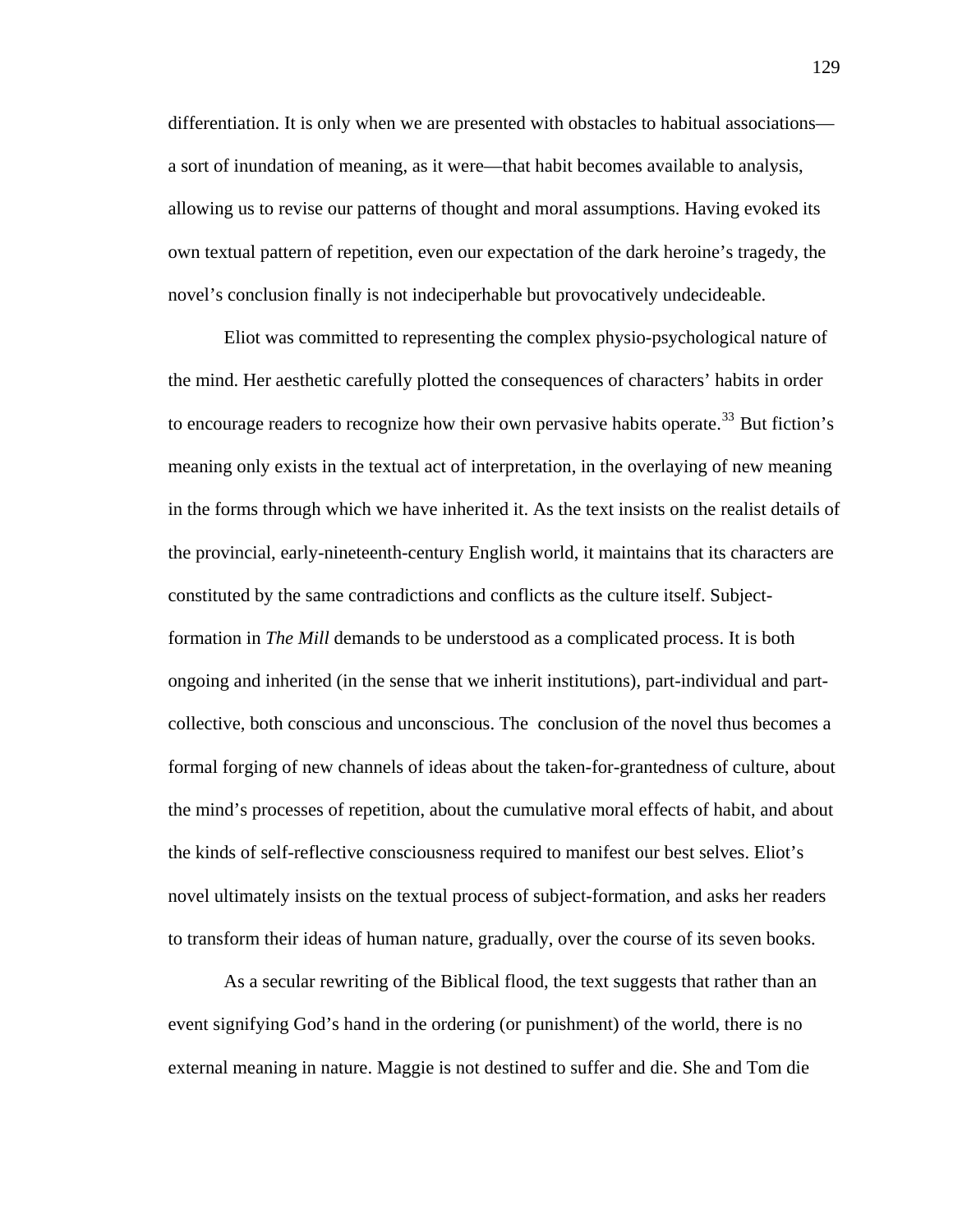differentiation. It is only when we are presented with obstacles to habitual associations a sort of inundation of meaning, as it were—that habit becomes available to analysis, allowing us to revise our patterns of thought and moral assumptions. Having evoked its own textual pattern of repetition, even our expectation of the dark heroine's tragedy, the novel's conclusion finally is not indeciperhable but provocatively undecideable.

Eliot was committed to representing the complex physio-psychological nature of the mind. Her aesthetic carefully plotted the consequences of characters' habits in order to encourage readers to recognize how their own pervasive habits operate.<sup>[33](#page-139-0)</sup> But fiction's meaning only exists in the textual act of interpretation, in the overlaying of new meaning in the forms through which we have inherited it. As the text insists on the realist details of the provincial, early-nineteenth-century English world, it maintains that its characters are constituted by the same contradictions and conflicts as the culture itself. Subjectformation in *The Mill* demands to be understood as a complicated process. It is both ongoing and inherited (in the sense that we inherit institutions), part-individual and partcollective, both conscious and unconscious. The conclusion of the novel thus becomes a formal forging of new channels of ideas about the taken-for-grantedness of culture, about the mind's processes of repetition, about the cumulative moral effects of habit, and about the kinds of self-reflective consciousness required to manifest our best selves. Eliot's novel ultimately insists on the textual process of subject-formation, and asks her readers to transform their ideas of human nature, gradually, over the course of its seven books.

As a secular rewriting of the Biblical flood, the text suggests that rather than an event signifying God's hand in the ordering (or punishment) of the world, there is no external meaning in nature. Maggie is not destined to suffer and die. She and Tom die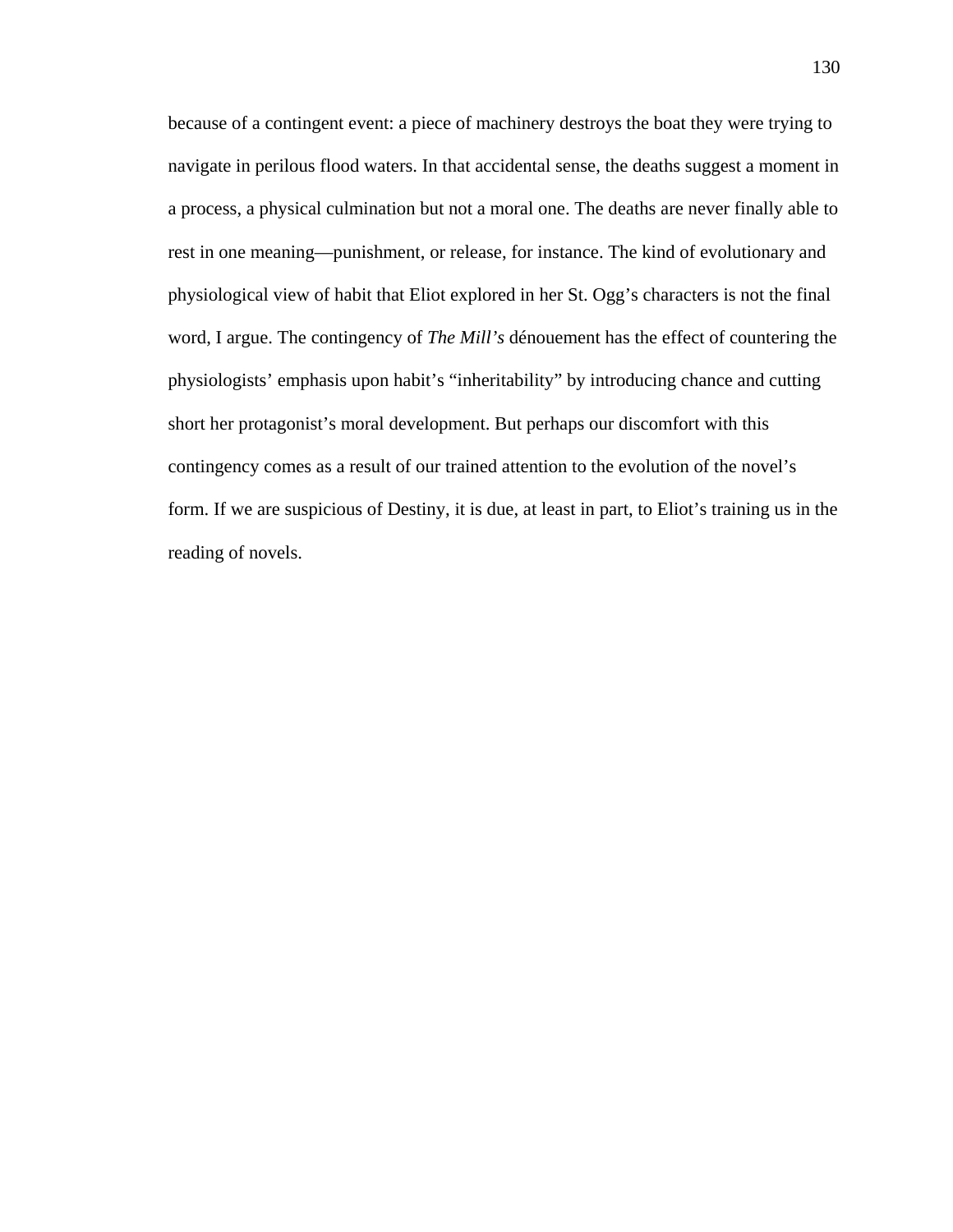because of a contingent event: a piece of machinery destroys the boat they were trying to navigate in perilous flood waters. In that accidental sense, the deaths suggest a moment in a process, a physical culmination but not a moral one. The deaths are never finally able to rest in one meaning—punishment, or release, for instance. The kind of evolutionary and physiological view of habit that Eliot explored in her St. Ogg's characters is not the final word, I argue. The contingency of *The Mill's* dénouement has the effect of countering the physiologists' emphasis upon habit's "inheritability" by introducing chance and cutting short her protagonist's moral development. But perhaps our discomfort with this contingency comes as a result of our trained attention to the evolution of the novel's form. If we are suspicious of Destiny, it is due, at least in part, to Eliot's training us in the reading of novels.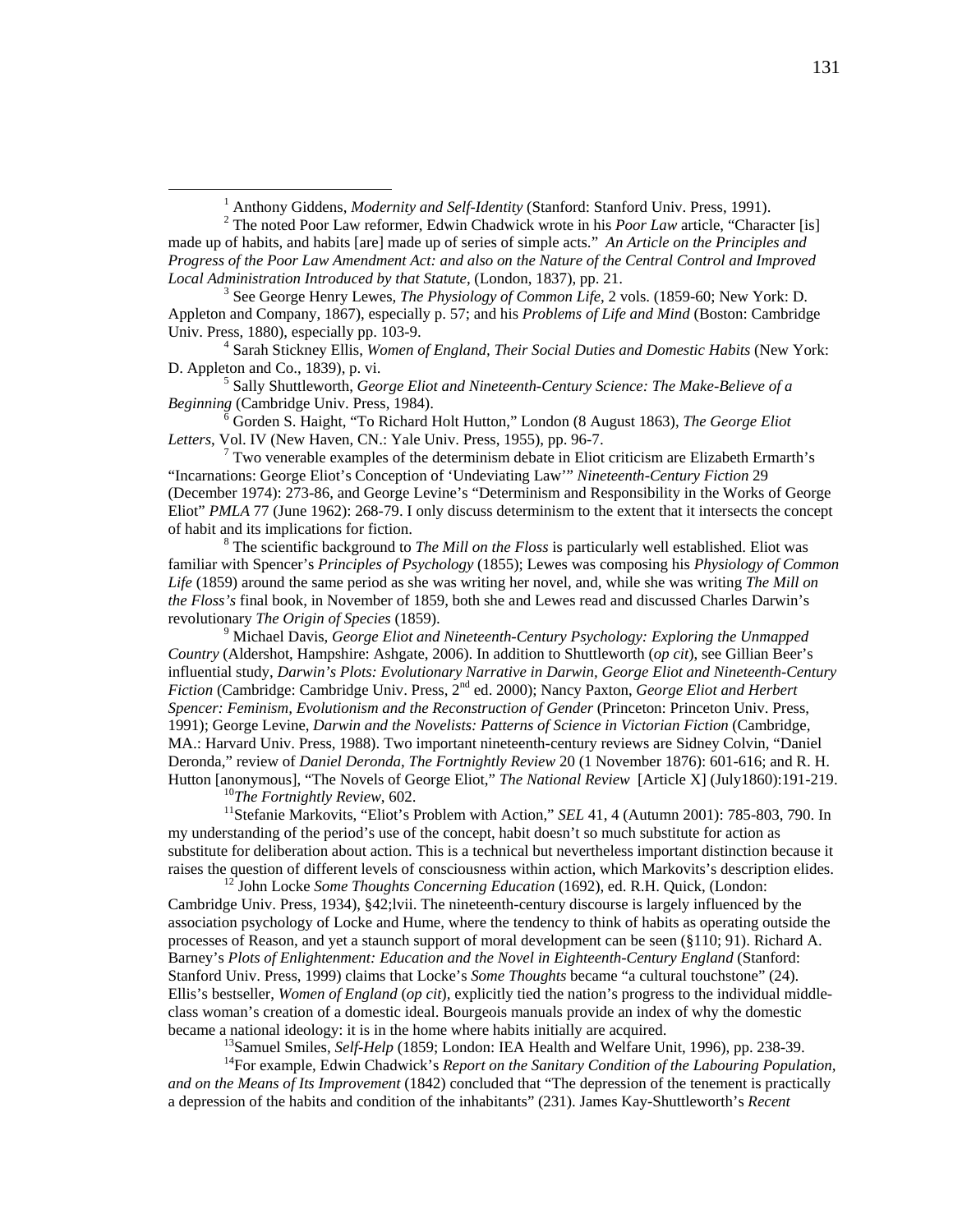<span id="page-137-0"></span><sup>2</sup> The noted Poor Law reformer, Edwin Chadwick wrote in his *Poor Law* article, "Character [is] made up of habits, and habits [are] made up of series of simple acts." *An Article on the Principles and Progress of the Poor Law Amendment Act: and also on the Nature of the Central Control and Improved*  Local Administration Introduced by that Statute, (London, 1837), pp. 21.

<sup>3</sup> See George Henry Lewes, *The Physiology of Common Life*, 2 vols. (1859-60; New York: D. Appleton and Company, 1867), especially p. 57; and his *Problems of Life and Mind* (Boston: Cambridge Univ. Press, 1880), especially pp. 103-9. 4

 Sarah Stickney Ellis, *Women of England, Their Social Duties and Domestic Habits* (New York: D. Appleton and Co., 1839), p. vi.

 Sally Shuttleworth, *George Eliot and Nineteenth-Century Science: The Make-Believe of a Beginning* (Cambridge Univ. Press, 1984).

6 Gorden S. Haight, "To Richard Holt Hutton," London (8 August 1863), *The George Eliot Letters*, Vol. IV (New Haven, CN.: Yale Univ. Press, 1955), pp. 96-7.

 Two venerable examples of the determinism debate in Eliot criticism are Elizabeth Ermarth's "Incarnations: George Eliot's Conception of 'Undeviating Law'" *Nineteenth-Century Fiction* 29 (December 1974): 273-86, and George Levine's "Determinism and Responsibility in the Works of George Eliot" *PMLA* 77 (June 1962): 268-79. I only discuss determinism to the extent that it intersects the concept of habit and its implications for fiction. 8

 The scientific background to *The Mill on the Floss* is particularly well established. Eliot was familiar with Spencer's *Principles of Psychology* (1855); Lewes was composing his *Physiology of Common Life* (1859) around the same period as she was writing her novel, and, while she was writing *The Mill on the Floss's* final book, in November of 1859, both she and Lewes read and discussed Charles Darwin's revolutionary *The Origin of Species* (1859).

 Michael Davis, *George Eliot and Nineteenth-Century Psychology: Exploring the Unmapped Country* (Aldershot, Hampshire: Ashgate, 2006). In addition to Shuttleworth (*op cit*), see Gillian Beer's influential study, *Darwin's Plots: Evolutionary Narrative in Darwin, George Eliot and Nineteenth-Century Fiction* (Cambridge: Cambridge Univ. Press, 2nd ed. 2000); Nancy Paxton, *George Eliot and Herbert Spencer: Feminism, Evolutionism and the Reconstruction of Gender* (Princeton: Princeton Univ. Press, 1991); George Levine, *Darwin and the Novelists: Patterns of Science in Victorian Fiction* (Cambridge, MA.: Harvard Univ. Press, 1988). Two important nineteenth-century reviews are Sidney Colvin, "Daniel Deronda," review of *Daniel Deronda*, *The Fortnightly Review* 20 (1 November 1876): 601-616; and R. H.

<sup>10</sup>The Fortnightly Review, 602.<br><sup>11</sup>Stefanie Markovits, "Eliot's Problem with Action," *SEL* 41, 4 (Autumn 2001): 785-803, 790. In my understanding of the period's use of the concept, habit doesn't so much substitute for action as substitute for deliberation about action. This is a technical but nevertheless important distinction because it raises the question of different levels of consciousness within action, which Markovits's description elides. 12 John Locke *Some Thoughts Concerning Education* (1692), ed. R.H. Quick, (London:

Cambridge Univ. Press, 1934), §42;lvii. The nineteenth-century discourse is largely influenced by the association psychology of Locke and Hume, where the tendency to think of habits as operating outside the processes of Reason, and yet a staunch support of moral development can be seen (§110; 91). Richard A. Barney's *Plots of Enlightenment: Education and the Novel in Eighteenth-Century England* (Stanford: Stanford Univ. Press, 1999) claims that Locke's *Some Thoughts* became "a cultural touchstone" (24). Ellis's bestseller, *Women of England* (*op cit*)*,* explicitly tied the nation's progress to the individual middleclass woman's creation of a domestic ideal. Bourgeois manuals provide an index of why the domestic became a national ideology: it is in the home where habits initially are acquired.<br><sup>13</sup>Samuel Smiles, *Self-Help* (1859; London: IEA Health and Welfare Unit, 1996), pp. 238-39.<br><sup>14</sup>For example, Edwin Chadwick's *Report on* 

*and on the Means of Its Improvement* (1842) concluded that "The depression of the tenement is practically a depression of the habits and condition of the inhabitants" (231). James Kay-Shuttleworth's *Recent* 

<span id="page-137-1"></span> $\frac{1}{1}$ <sup>1</sup> Anthony Giddens, *Modernity and Self-Identity* (Stanford: Stanford Univ. Press, 1991).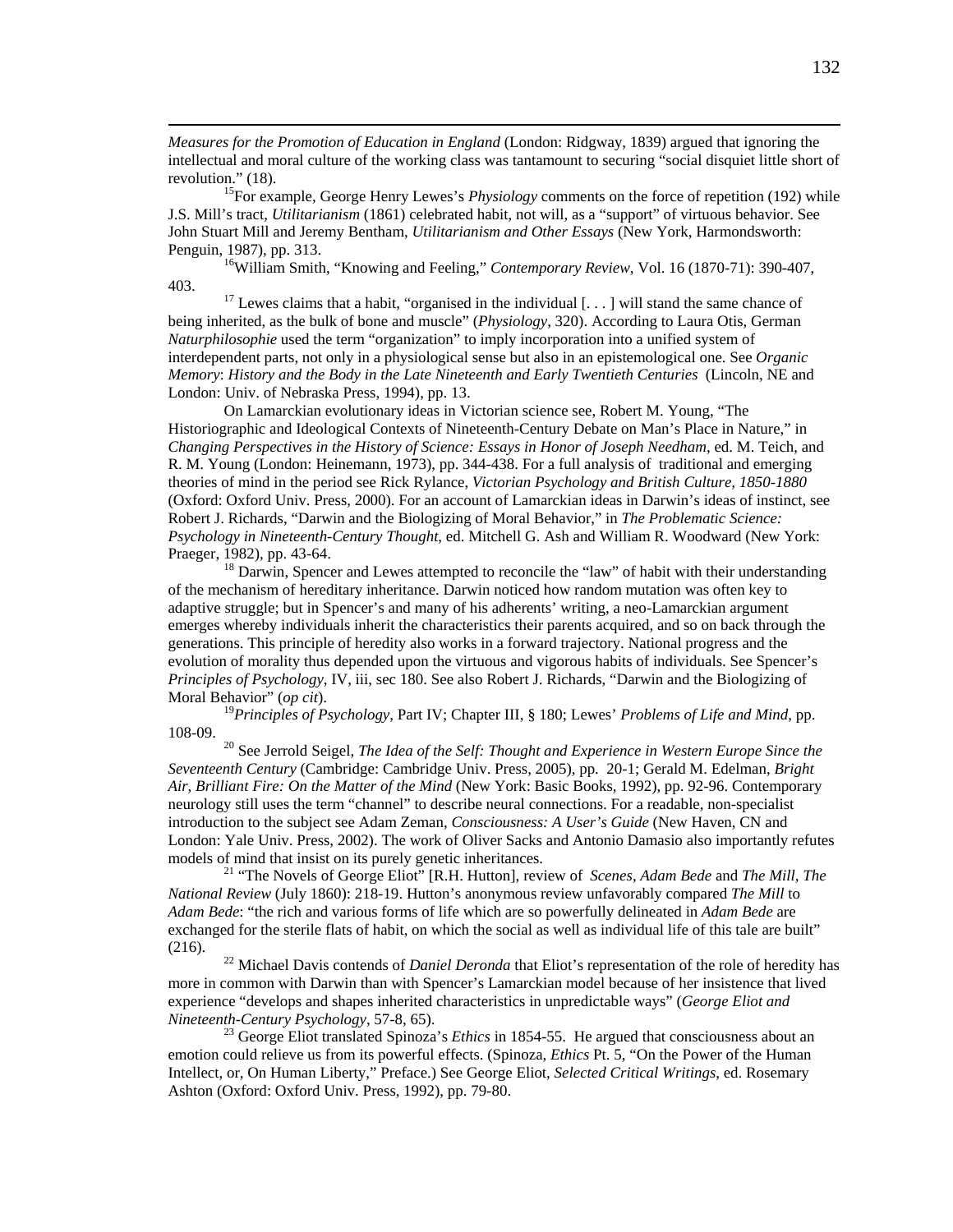*Measures for the Promotion of Education in England* (London: Ridgway, 1839) argued that ignoring the intellectual and moral culture of the working class was tantamount to securing "social disquiet little short of revolution." (18). 15For example, George Henry Lewes's *Physiology* comments on the force of repetition (192) while

<span id="page-138-0"></span> $\overline{a}$ 

J.S. Mill's tract, *Utilitarianism* (1861) celebrated habit, not will, as a "support" of virtuous behavior. See John Stuart Mill and Jeremy Bentham, *Utilitarianism and Other Essays* (New York, Harmondsworth: Penguin, 1987), pp. 313.<br><sup>16</sup>William Smith, "Knowing and Feeling," *Contemporary Review*, Vol. 16 (1870-71): 390-407,

403. <sup>17</sup> Lewes claims that a habit, "organised in the individual [...] will stand the same chance of

being inherited, as the bulk of bone and muscle" (*Physiology*, 320). According to Laura Otis, German *Naturphilosophie* used the term "organization" to imply incorporation into a unified system of interdependent parts, not only in a physiological sense but also in an epistemological one. See *Organic Memory*: *History and the Body in the Late Nineteenth and Early Twentieth Centuries* (Lincoln, NE and London: Univ. of Nebraska Press, 1994), pp. 13.

On Lamarckian evolutionary ideas in Victorian science see, Robert M. Young, "The Historiographic and Ideological Contexts of Nineteenth-Century Debate on Man's Place in Nature," in *Changing Perspectives in the History of Science: Essays in Honor of Joseph Needham*, ed. M. Teich, and R. M. Young (London: Heinemann, 1973), pp. 344-438. For a full analysis of traditional and emerging theories of mind in the period see Rick Rylance, *Victorian Psychology and British Culture, 1850-1880* (Oxford: Oxford Univ. Press, 2000). For an account of Lamarckian ideas in Darwin's ideas of instinct, see Robert J. Richards, "Darwin and the Biologizing of Moral Behavior," in *The Problematic Science: Psychology in Nineteenth-Century Thought*, ed. Mitchell G. Ash and William R. Woodward (New York: Praeger, 1982), pp. 43-64.<br><sup>18</sup> Darwin, Spencer and Lewes attempted to reconcile the "law" of habit with their understanding

of the mechanism of hereditary inheritance. Darwin noticed how random mutation was often key to adaptive struggle; but in Spencer's and many of his adherents' writing, a neo-Lamarckian argument emerges whereby individuals inherit the characteristics their parents acquired, and so on back through the generations. This principle of heredity also works in a forward trajectory. National progress and the evolution of morality thus depended upon the virtuous and vigorous habits of individuals. See Spencer's *Principles of Psychology*, IV, iii, sec 180. See also Robert J. Richards, "Darwin and the Biologizing of Moral Behavior" (*op cit*).

<sup>19</sup>*Principles of Psychology*, Part IV; Chapter III, § 180; Lewes' *Problems of Life and Mind*, pp.

108-09. 20 See Jerrold Seigel, *The Idea of the Self: Thought and Experience in Western Europe Since the Seventeenth Century* (Cambridge: Cambridge Univ. Press, 2005), pp. 20-1; Gerald M. Edelman, *Bright Air, Brilliant Fire: On the Matter of the Mind* (New York: Basic Books, 1992), pp. 92-96. Contemporary neurology still uses the term "channel" to describe neural connections. For a readable, non-specialist introduction to the subject see Adam Zeman, *Consciousness: A User's Guide* (New Haven, CN and London: Yale Univ. Press, 2002). The work of Oliver Sacks and Antonio Damasio also importantly refutes models of mind that insist on its purely genetic inheritances. 21 "The Novels of George Eliot" [R.H. Hutton], review of *Scenes*, *Adam Bede* and *The Mill, The* 

*National Review* (July 1860): 218-19. Hutton's anonymous review unfavorably compared *The Mill* to *Adam Bede*: "the rich and various forms of life which are so powerfully delineated in *Adam Bede* are exchanged for the sterile flats of habit, on which the social as well as individual life of this tale are built"

(216). 22 Michael Davis contends of *Daniel Deronda* that Eliot's representation of the role of heredity has more in common with Darwin than with Spencer's Lamarckian model because of her insistence that lived experience "develops and shapes inherited characteristics in unpredictable ways" (*George Eliot and Nineteenth-Century Psychology*, 57-8, 65).<br><sup>23</sup> George Eliot translated Spinoza's *Ethics* in 1854-55. He argued that consciousness about an

emotion could relieve us from its powerful effects. (Spinoza, *Ethics* Pt. 5, "On the Power of the Human Intellect, or, On Human Liberty," Preface.) See George Eliot, *Selected Critical Writings*, ed. Rosemary Ashton (Oxford: Oxford Univ. Press, 1992), pp. 79-80.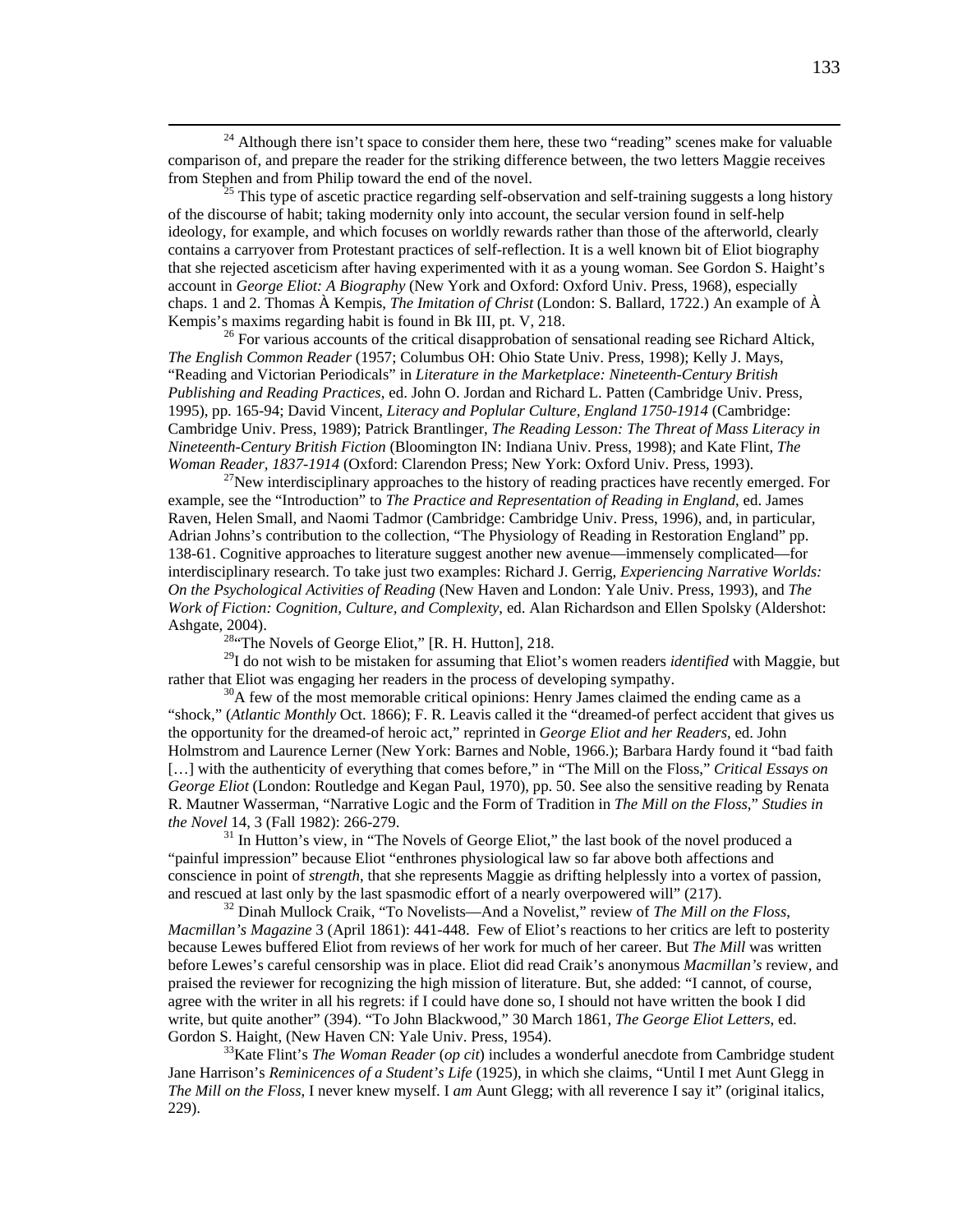<span id="page-139-0"></span> $24$  Although there isn't space to consider them here, these two "reading" scenes make for valuable comparison of, and prepare the reader for the striking difference between, the two letters Maggie receives from Stephen and from Philip toward the end of the novel.<br><sup>25</sup> This type of ascetic practice regarding self-observation and self-training suggests a long history

of the discourse of habit; taking modernity only into account, the secular version found in self-help ideology, for example, and which focuses on worldly rewards rather than those of the afterworld, clearly contains a carryover from Protestant practices of self-reflection. It is a well known bit of Eliot biography that she rejected asceticism after having experimented with it as a young woman. See Gordon S. Haight's account in *George Eliot: A Biography* (New York and Oxford: Oxford Univ. Press, 1968), especially chaps. 1 and 2. Thomas À Kempis, *The Imitation of Christ* (London: S. Ballard, 1722.) An example of À Kempis's maxims regarding habit is found in Bk III, pt. V, 218.<br><sup>26</sup> For various accounts of the critical disapprobation of sensational reading see Richard Altick,

*The English Common Reader* (1957; Columbus OH: Ohio State Univ. Press, 1998); Kelly J. Mays, "Reading and Victorian Periodicals" in *Literature in the Marketplace: Nineteenth-Century British Publishing and Reading Practices*, ed. John O. Jordan and Richard L. Patten (Cambridge Univ. Press, 1995), pp. 165-94; David Vincent, *Literacy and Poplular Culture, England 1750-1914* (Cambridge: Cambridge Univ. Press, 1989); Patrick Brantlinger, *The Reading Lesson: The Threat of Mass Literacy in Nineteenth-Century British Fiction* (Bloomington IN: Indiana Univ. Press, 1998); and Kate Flint, *The Woman Reader, 1837-1914* (Oxford: Clarendon Press; New York: Oxford Univ. Press, 1993).<br><sup>27</sup>New interdisciplinary approaches to the history of reading practices have recently emerged. For

example, see the "Introduction" to *The Practice and Representation of Reading in England*, ed. James Raven, Helen Small, and Naomi Tadmor (Cambridge: Cambridge Univ. Press, 1996), and, in particular, Adrian Johns's contribution to the collection, "The Physiology of Reading in Restoration England" pp. 138-61. Cognitive approaches to literature suggest another new avenue—immensely complicated—for interdisciplinary research. To take just two examples: Richard J. Gerrig, *Experiencing Narrative Worlds: On the Psychological Activities of Reading* (New Haven and London: Yale Univ. Press, 1993), and *The Work of Fiction: Cognition, Culture, and Complexity*, ed. Alan Richardson and Ellen Spolsky (Aldershot: Ashgate, 2004).<br><sup>28</sup> The Novels of George Eliot," [R. H. Hutton], 218.

29I do not wish to be mistaken for assuming that Eliot's women readers *identified* with Maggie, but rather that Eliot was engaging her readers in the process of developing sympathy.<br><sup>30</sup>A few of the most memorable critical opinions: Henry James claimed the ending came as a

"shock," (*Atlantic Monthly* Oct. 1866); F. R. Leavis called it the "dreamed-of perfect accident that gives us the opportunity for the dreamed-of heroic act," reprinted in *George Eliot and her Readers*, ed. John Holmstrom and Laurence Lerner (New York: Barnes and Noble, 1966.); Barbara Hardy found it "bad faith [...] with the authenticity of everything that comes before," in "The Mill on the Floss," *Critical Essays on George Eliot* (London: Routledge and Kegan Paul, 1970), pp. 50. See also the sensitive reading by Renata R. Mautner Wasserman, "Narrative Logic and the Form of Tradition in *The Mill on the Floss,*" *Studies in the Novel* 14, 3 (Fall 1982): 266-279.

 $31$  In Hutton's view, in "The Novels of George Eliot," the last book of the novel produced a "painful impression" because Eliot "enthrones physiological law so far above both affections and conscience in point of *strength*, that she represents Maggie as drifting helplessly into a vortex of passion, and rescued at last only by the last spasmodic effort of a nearly overpowered will" (217). 32 Dinah Mullock Craik, "To Novelists—And a Novelist," review of *The Mill on the Floss*,

*Macmillan's Magazine* 3 (April 1861): 441-448. Few of Eliot's reactions to her critics are left to posterity because Lewes buffered Eliot from reviews of her work for much of her career. But *The Mill* was written before Lewes's careful censorship was in place. Eliot did read Craik's anonymous *Macmillan's* review, and praised the reviewer for recognizing the high mission of literature. But, she added: "I cannot, of course, agree with the writer in all his regrets: if I could have done so, I should not have written the book I did write, but quite another" (394). "To John Blackwood," 30 March 1861, *The George Eliot Letters*, ed. Gordon S. Haight, (New Haven CN: Yale Univ. Press, 1954).<br><sup>33</sup>Kate Flint's *The Woman Reader (op cit)* includes a wonderful anecdote from Cambridge student

Jane Harrison's *Reminicences of a Student's Life* (1925), in which she claims, "Until I met Aunt Glegg in *The Mill on the Floss*, I never knew myself. I *am* Aunt Glegg; with all reverence I say it" (original italics, 229).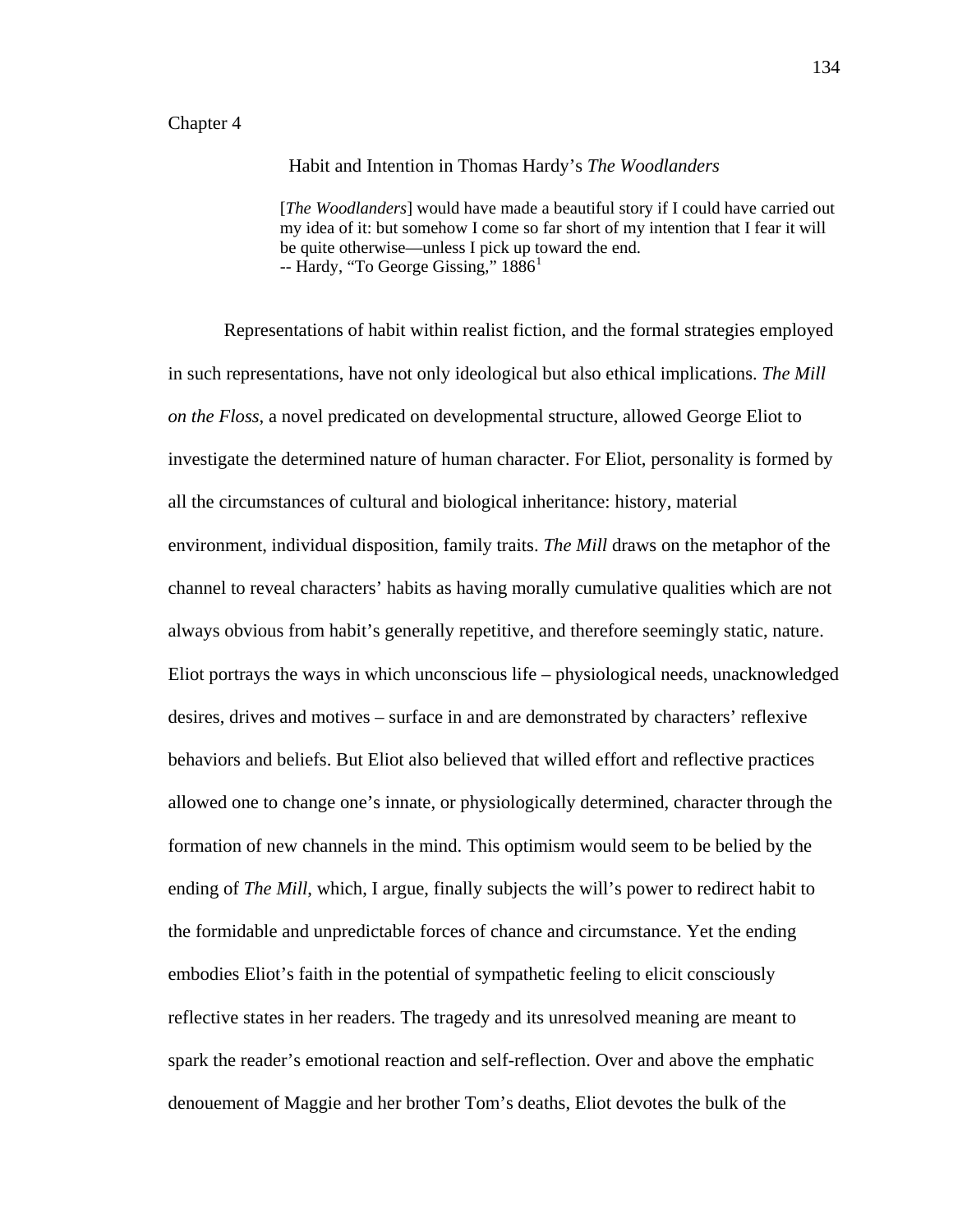## Chapter 4

## Habit and Intention in Thomas Hardy's *The Woodlanders*

[*The Woodlanders*] would have made a beautiful story if I could have carried out my idea of it: but somehow I come so far short of my intention that I fear it will be quite otherwise—unless I pick up toward the end.  $-$  Hardy, "To George Gissing," [1](#page-170-0)886<sup>1</sup>

Representations of habit within realist fiction, and the formal strategies employed in such representations, have not only ideological but also ethical implications. *The Mill on the Floss*, a novel predicated on developmental structure, allowed George Eliot to investigate the determined nature of human character. For Eliot, personality is formed by all the circumstances of cultural and biological inheritance: history, material environment, individual disposition, family traits. *The Mill* draws on the metaphor of the channel to reveal characters' habits as having morally cumulative qualities which are not always obvious from habit's generally repetitive, and therefore seemingly static, nature. Eliot portrays the ways in which unconscious life – physiological needs, unacknowledged desires, drives and motives – surface in and are demonstrated by characters' reflexive behaviors and beliefs. But Eliot also believed that willed effort and reflective practices allowed one to change one's innate, or physiologically determined, character through the formation of new channels in the mind. This optimism would seem to be belied by the ending of *The Mill*, which, I argue, finally subjects the will's power to redirect habit to the formidable and unpredictable forces of chance and circumstance. Yet the ending embodies Eliot's faith in the potential of sympathetic feeling to elicit consciously reflective states in her readers. The tragedy and its unresolved meaning are meant to spark the reader's emotional reaction and self-reflection. Over and above the emphatic denouement of Maggie and her brother Tom's deaths, Eliot devotes the bulk of the

134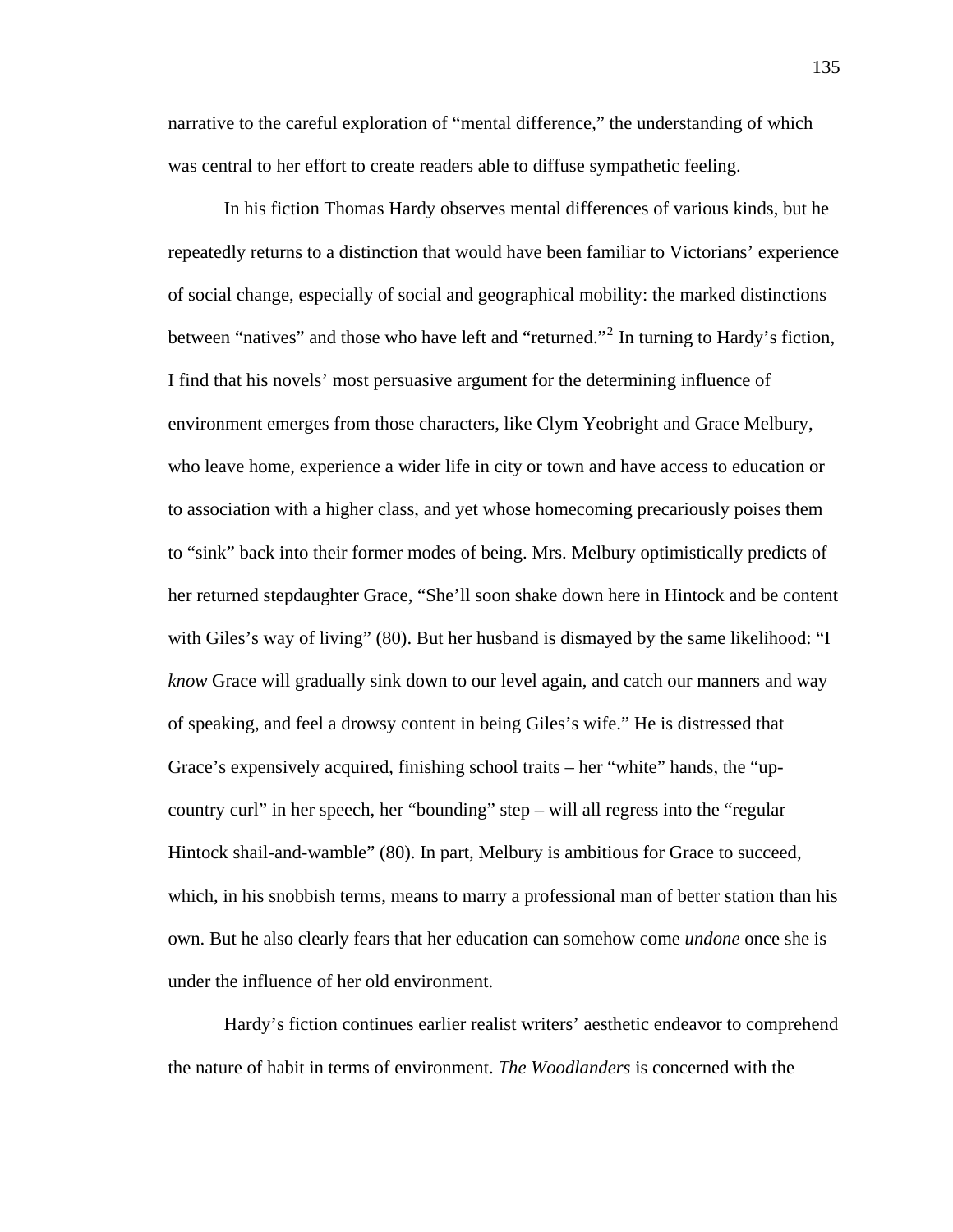narrative to the careful exploration of "mental difference," the understanding of which was central to her effort to create readers able to diffuse sympathetic feeling.

In his fiction Thomas Hardy observes mental differences of various kinds, but he repeatedly returns to a distinction that would have been familiar to Victorians' experience of social change, especially of social and geographical mobility: the marked distinctions between "natives" and those who have left and "returned."<sup>[2](#page-170-1)</sup> In turning to Hardy's fiction, I find that his novels' most persuasive argument for the determining influence of environment emerges from those characters, like Clym Yeobright and Grace Melbury, who leave home, experience a wider life in city or town and have access to education or to association with a higher class, and yet whose homecoming precariously poises them to "sink" back into their former modes of being. Mrs. Melbury optimistically predicts of her returned stepdaughter Grace, "She'll soon shake down here in Hintock and be content with Giles's way of living" (80). But her husband is dismayed by the same likelihood: "I *know* Grace will gradually sink down to our level again, and catch our manners and way of speaking, and feel a drowsy content in being Giles's wife." He is distressed that Grace's expensively acquired, finishing school traits – her "white" hands, the "upcountry curl" in her speech, her "bounding" step – will all regress into the "regular Hintock shail-and-wamble" (80). In part, Melbury is ambitious for Grace to succeed, which, in his snobbish terms, means to marry a professional man of better station than his own. But he also clearly fears that her education can somehow come *undone* once she is under the influence of her old environment.

Hardy's fiction continues earlier realist writers' aesthetic endeavor to comprehend the nature of habit in terms of environment. *The Woodlanders* is concerned with the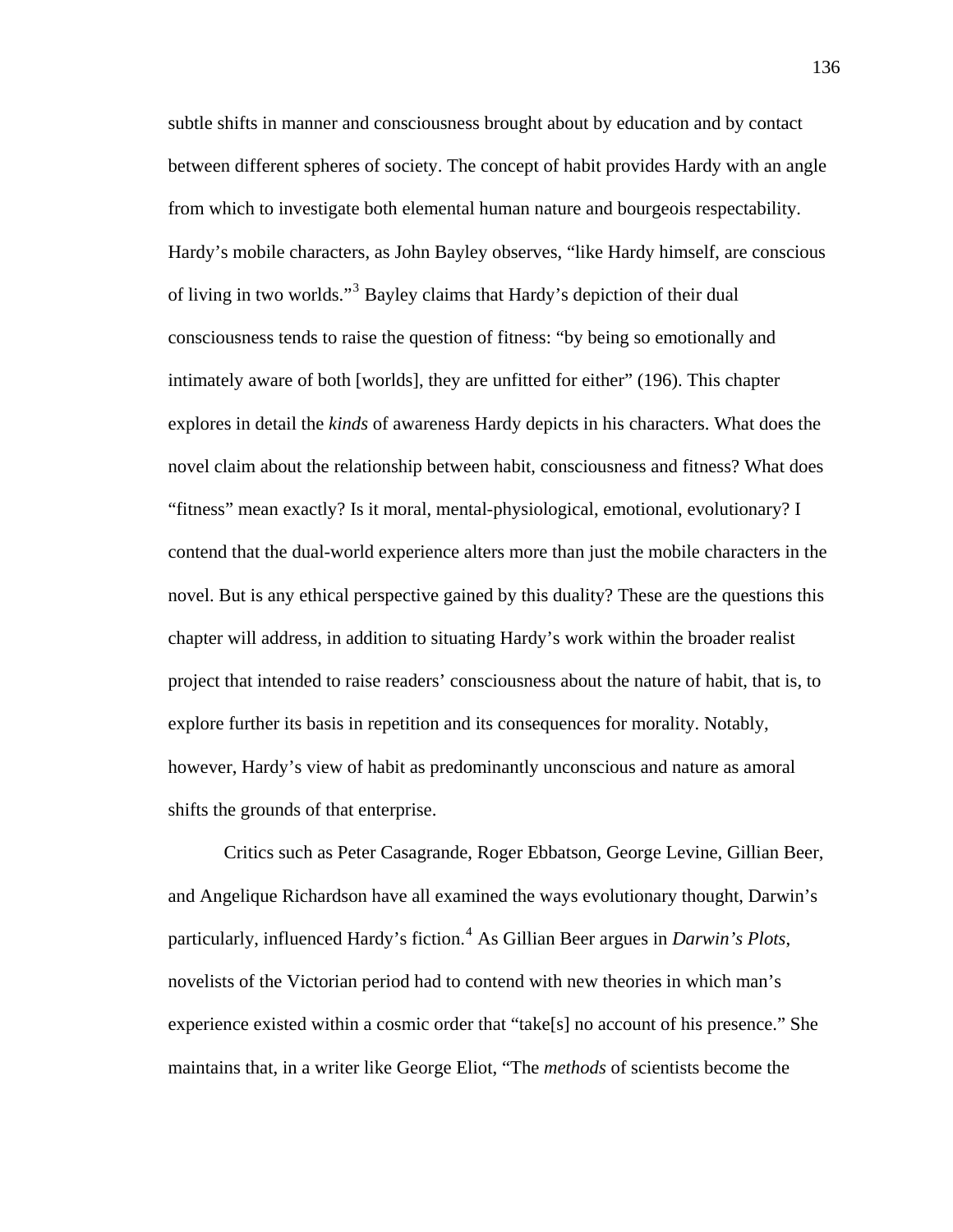subtle shifts in manner and consciousness brought about by education and by contact between different spheres of society. The concept of habit provides Hardy with an angle from which to investigate both elemental human nature and bourgeois respectability. Hardy's mobile characters, as John Bayley observes, "like Hardy himself, are conscious of living in two worlds."<sup>[3](#page-170-1)</sup> Bayley claims that Hardy's depiction of their dual consciousness tends to raise the question of fitness: "by being so emotionally and intimately aware of both [worlds], they are unfitted for either" (196). This chapter explores in detail the *kinds* of awareness Hardy depicts in his characters. What does the novel claim about the relationship between habit, consciousness and fitness? What does "fitness" mean exactly? Is it moral, mental-physiological, emotional, evolutionary? I contend that the dual-world experience alters more than just the mobile characters in the novel. But is any ethical perspective gained by this duality? These are the questions this chapter will address, in addition to situating Hardy's work within the broader realist project that intended to raise readers' consciousness about the nature of habit, that is, to explore further its basis in repetition and its consequences for morality. Notably, however, Hardy's view of habit as predominantly unconscious and nature as amoral shifts the grounds of that enterprise.

Critics such as Peter Casagrande, Roger Ebbatson, George Levine, Gillian Beer, and Angelique Richardson have all examined the ways evolutionary thought, Darwin's particularly, influenced Hardy's fiction.[4](#page-170-1) As Gillian Beer argues in *Darwin's Plots*, novelists of the Victorian period had to contend with new theories in which man's experience existed within a cosmic order that "take[s] no account of his presence." She maintains that, in a writer like George Eliot, "The *methods* of scientists become the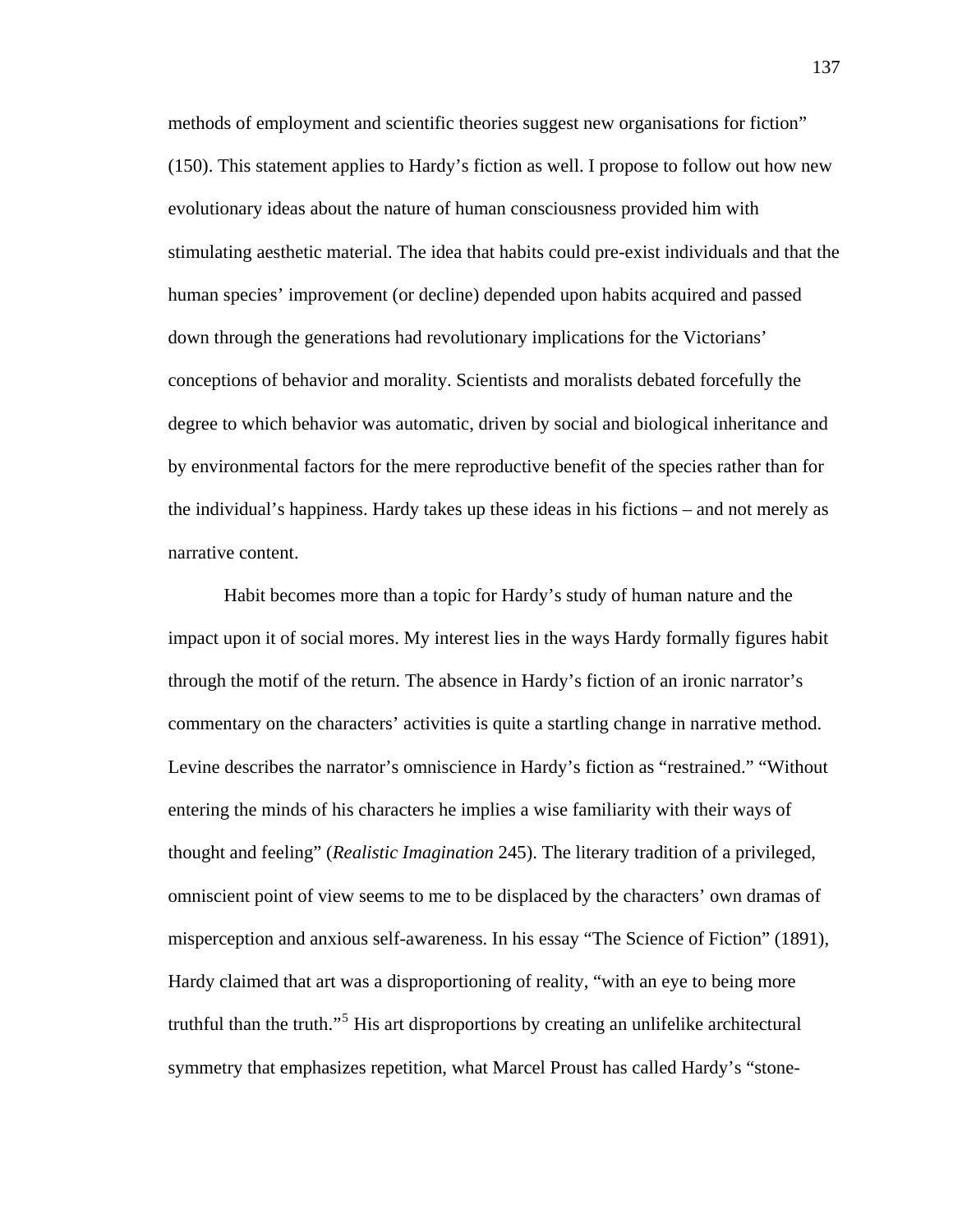methods of employment and scientific theories suggest new organisations for fiction" (150). This statement applies to Hardy's fiction as well. I propose to follow out how new evolutionary ideas about the nature of human consciousness provided him with stimulating aesthetic material. The idea that habits could pre-exist individuals and that the human species' improvement (or decline) depended upon habits acquired and passed down through the generations had revolutionary implications for the Victorians' conceptions of behavior and morality. Scientists and moralists debated forcefully the degree to which behavior was automatic, driven by social and biological inheritance and by environmental factors for the mere reproductive benefit of the species rather than for the individual's happiness. Hardy takes up these ideas in his fictions – and not merely as narrative content.

Habit becomes more than a topic for Hardy's study of human nature and the impact upon it of social mores. My interest lies in the ways Hardy formally figures habit through the motif of the return. The absence in Hardy's fiction of an ironic narrator's commentary on the characters' activities is quite a startling change in narrative method. Levine describes the narrator's omniscience in Hardy's fiction as "restrained." "Without entering the minds of his characters he implies a wise familiarity with their ways of thought and feeling" (*Realistic Imagination* 245). The literary tradition of a privileged, omniscient point of view seems to me to be displaced by the characters' own dramas of misperception and anxious self-awareness. In his essay "The Science of Fiction" (1891), Hardy claimed that art was a disproportioning of reality, "with an eye to being more truthful than the truth."<sup>[5](#page-170-1)</sup> His art disproportions by creating an unlifelike architectural symmetry that emphasizes repetition, what Marcel Proust has called Hardy's "stone-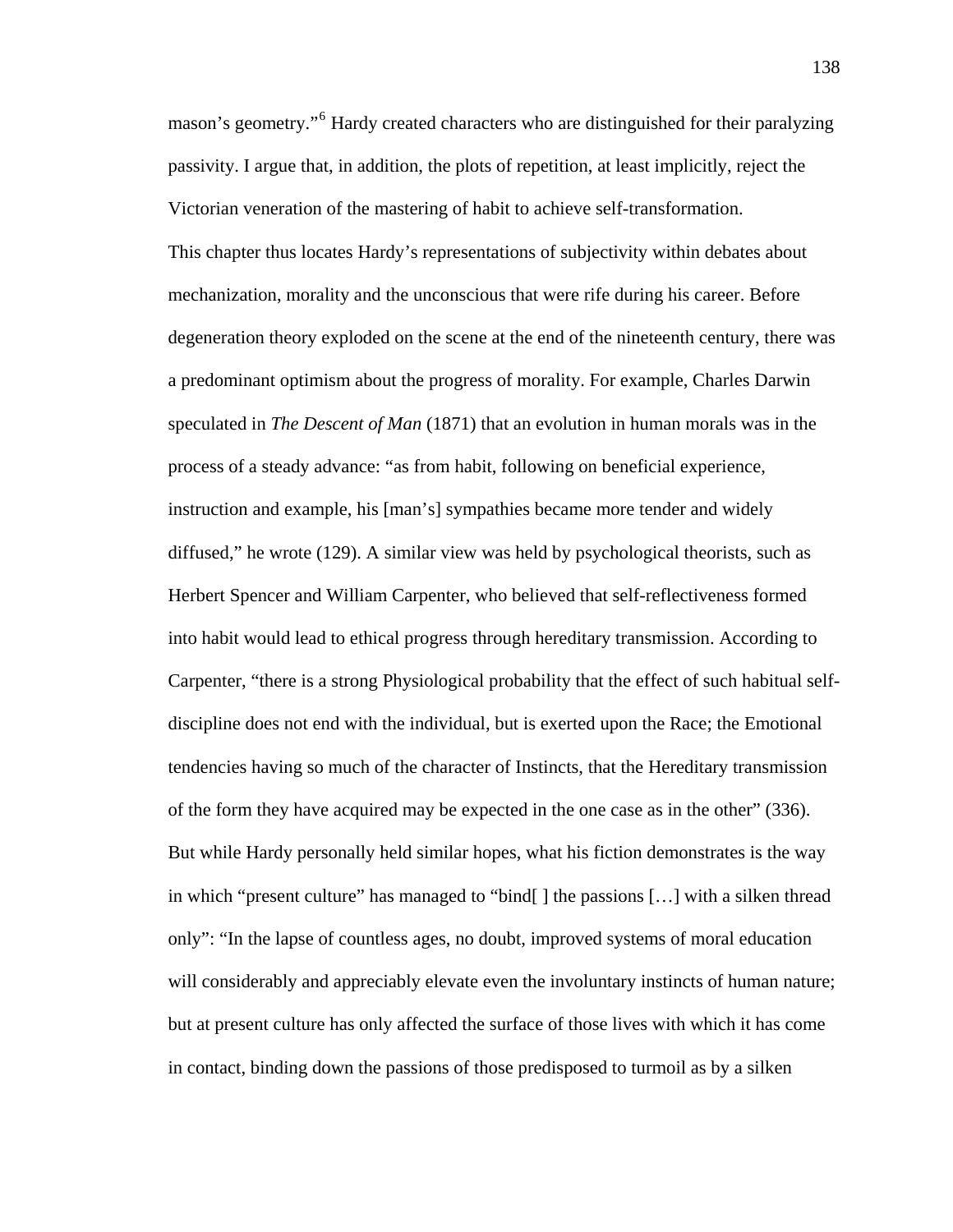mason's geometry."[6](#page-170-0) Hardy created characters who are distinguished for their paralyzing passivity. I argue that, in addition, the plots of repetition, at least implicitly, reject the Victorian veneration of the mastering of habit to achieve self-transformation. This chapter thus locates Hardy's representations of subjectivity within debates about mechanization, morality and the unconscious that were rife during his career. Before degeneration theory exploded on the scene at the end of the nineteenth century, there was a predominant optimism about the progress of morality. For example, Charles Darwin speculated in *The Descent of Man* (1871) that an evolution in human morals was in the process of a steady advance: "as from habit, following on beneficial experience, instruction and example, his [man's] sympathies became more tender and widely diffused," he wrote (129). A similar view was held by psychological theorists, such as Herbert Spencer and William Carpenter, who believed that self-reflectiveness formed into habit would lead to ethical progress through hereditary transmission. According to Carpenter, "there is a strong Physiological probability that the effect of such habitual selfdiscipline does not end with the individual, but is exerted upon the Race; the Emotional tendencies having so much of the character of Instincts, that the Hereditary transmission of the form they have acquired may be expected in the one case as in the other" (336). But while Hardy personally held similar hopes, what his fiction demonstrates is the way in which "present culture" has managed to "bind[ ] the passions […] with a silken thread only": "In the lapse of countless ages, no doubt, improved systems of moral education will considerably and appreciably elevate even the involuntary instincts of human nature; but at present culture has only affected the surface of those lives with which it has come in contact, binding down the passions of those predisposed to turmoil as by a silken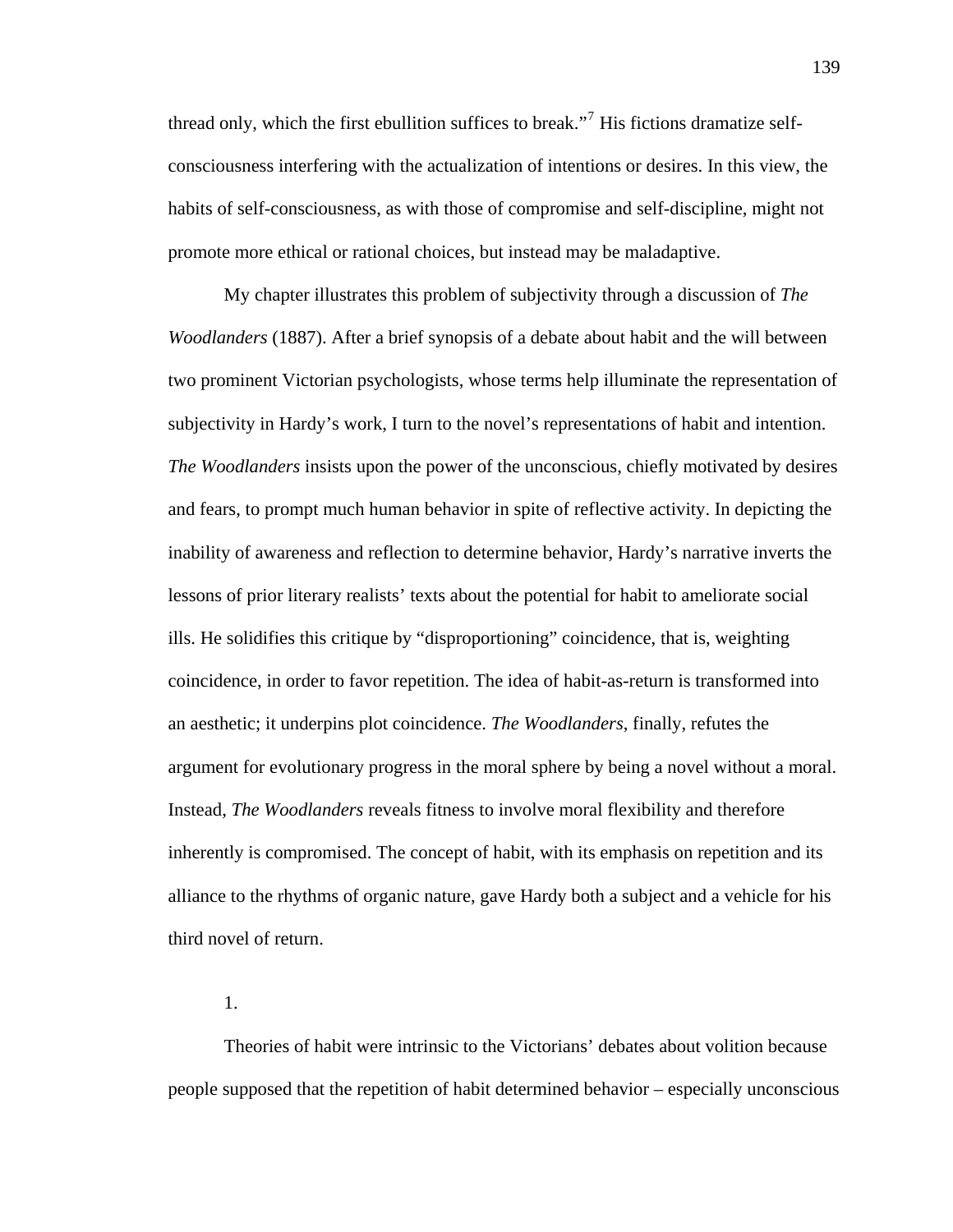thread only, which the first ebullition suffices to break."<sup>[7](#page-170-0)</sup> His fictions dramatize selfconsciousness interfering with the actualization of intentions or desires. In this view, the habits of self-consciousness, as with those of compromise and self-discipline, might not promote more ethical or rational choices, but instead may be maladaptive.

My chapter illustrates this problem of subjectivity through a discussion of *The Woodlanders* (1887). After a brief synopsis of a debate about habit and the will between two prominent Victorian psychologists, whose terms help illuminate the representation of subjectivity in Hardy's work, I turn to the novel's representations of habit and intention. *The Woodlanders* insists upon the power of the unconscious, chiefly motivated by desires and fears, to prompt much human behavior in spite of reflective activity. In depicting the inability of awareness and reflection to determine behavior, Hardy's narrative inverts the lessons of prior literary realists' texts about the potential for habit to ameliorate social ills. He solidifies this critique by "disproportioning" coincidence, that is, weighting coincidence, in order to favor repetition. The idea of habit-as-return is transformed into an aesthetic; it underpins plot coincidence. *The Woodlanders*, finally, refutes the argument for evolutionary progress in the moral sphere by being a novel without a moral. Instead, *The Woodlanders* reveals fitness to involve moral flexibility and therefore inherently is compromised. The concept of habit, with its emphasis on repetition and its alliance to the rhythms of organic nature, gave Hardy both a subject and a vehicle for his third novel of return.

1.

Theories of habit were intrinsic to the Victorians' debates about volition because people supposed that the repetition of habit determined behavior – especially unconscious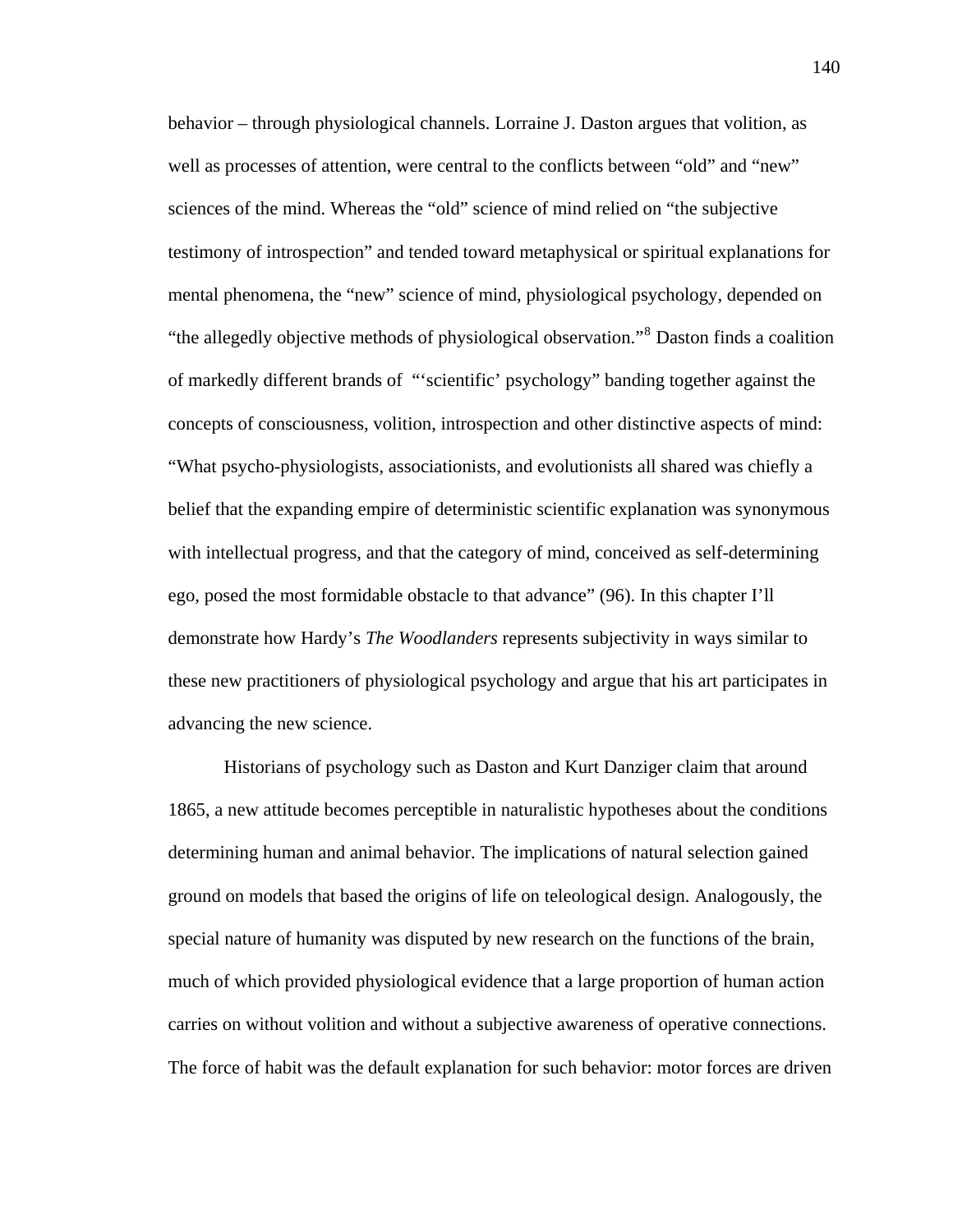behavior – through physiological channels. Lorraine J. Daston argues that volition, as well as processes of attention, were central to the conflicts between "old" and "new" sciences of the mind. Whereas the "old" science of mind relied on "the subjective testimony of introspection" and tended toward metaphysical or spiritual explanations for mental phenomena, the "new" science of mind, physiological psychology, depended on "the allegedly objective methods of physiological observation."[8](#page-170-0) Daston finds a coalition of markedly different brands of "'scientific' psychology" banding together against the concepts of consciousness, volition, introspection and other distinctive aspects of mind: "What psycho-physiologists, associationists, and evolutionists all shared was chiefly a belief that the expanding empire of deterministic scientific explanation was synonymous with intellectual progress, and that the category of mind, conceived as self-determining ego, posed the most formidable obstacle to that advance" (96). In this chapter I'll demonstrate how Hardy's *The Woodlanders* represents subjectivity in ways similar to these new practitioners of physiological psychology and argue that his art participates in advancing the new science.

Historians of psychology such as Daston and Kurt Danziger claim that around 1865, a new attitude becomes perceptible in naturalistic hypotheses about the conditions determining human and animal behavior. The implications of natural selection gained ground on models that based the origins of life on teleological design. Analogously, the special nature of humanity was disputed by new research on the functions of the brain, much of which provided physiological evidence that a large proportion of human action carries on without volition and without a subjective awareness of operative connections. The force of habit was the default explanation for such behavior: motor forces are driven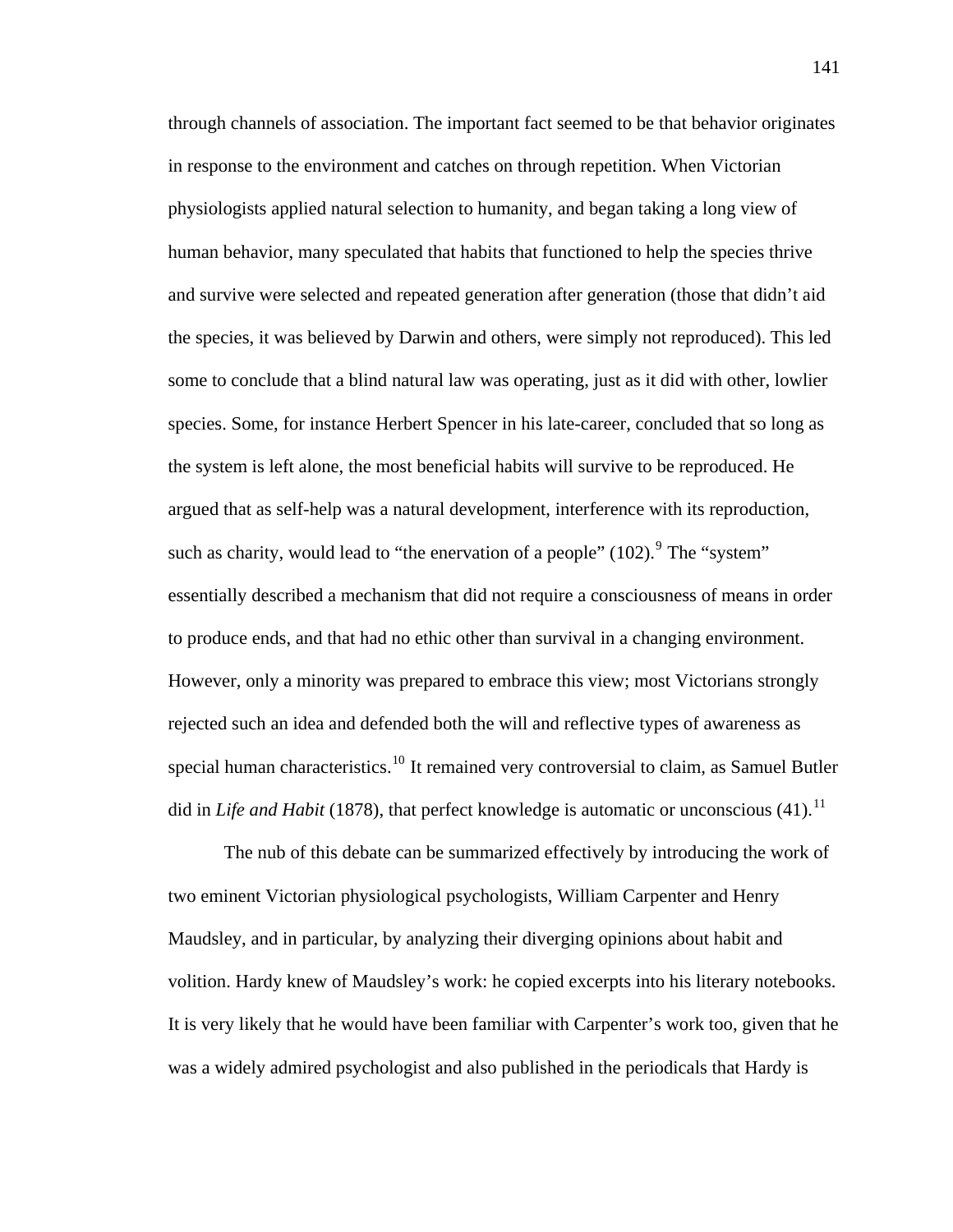through channels of association. The important fact seemed to be that behavior originates in response to the environment and catches on through repetition. When Victorian physiologists applied natural selection to humanity, and began taking a long view of human behavior, many speculated that habits that functioned to help the species thrive and survive were selected and repeated generation after generation (those that didn't aid the species, it was believed by Darwin and others, were simply not reproduced). This led some to conclude that a blind natural law was operating, just as it did with other, lowlier species. Some, for instance Herbert Spencer in his late-career, concluded that so long as the system is left alone, the most beneficial habits will survive to be reproduced. He argued that as self-help was a natural development, interference with its reproduction, such as charity, would lead to "the enervation of a people"  $(102)$ . The "system" essentially described a mechanism that did not require a consciousness of means in order to produce ends, and that had no ethic other than survival in a changing environment. However, only a minority was prepared to embrace this view; most Victorians strongly rejected such an idea and defended both the will and reflective types of awareness as special human characteristics.<sup>[10](#page-170-0)</sup> It remained very controversial to claim, as Samuel Butler did in *Life and Habit* (1878), that perfect knowledge is automatic or unconscious (41).<sup>[11](#page-170-0)</sup>

The nub of this debate can be summarized effectively by introducing the work of two eminent Victorian physiological psychologists, William Carpenter and Henry Maudsley, and in particular, by analyzing their diverging opinions about habit and volition. Hardy knew of Maudsley's work: he copied excerpts into his literary notebooks. It is very likely that he would have been familiar with Carpenter's work too, given that he was a widely admired psychologist and also published in the periodicals that Hardy is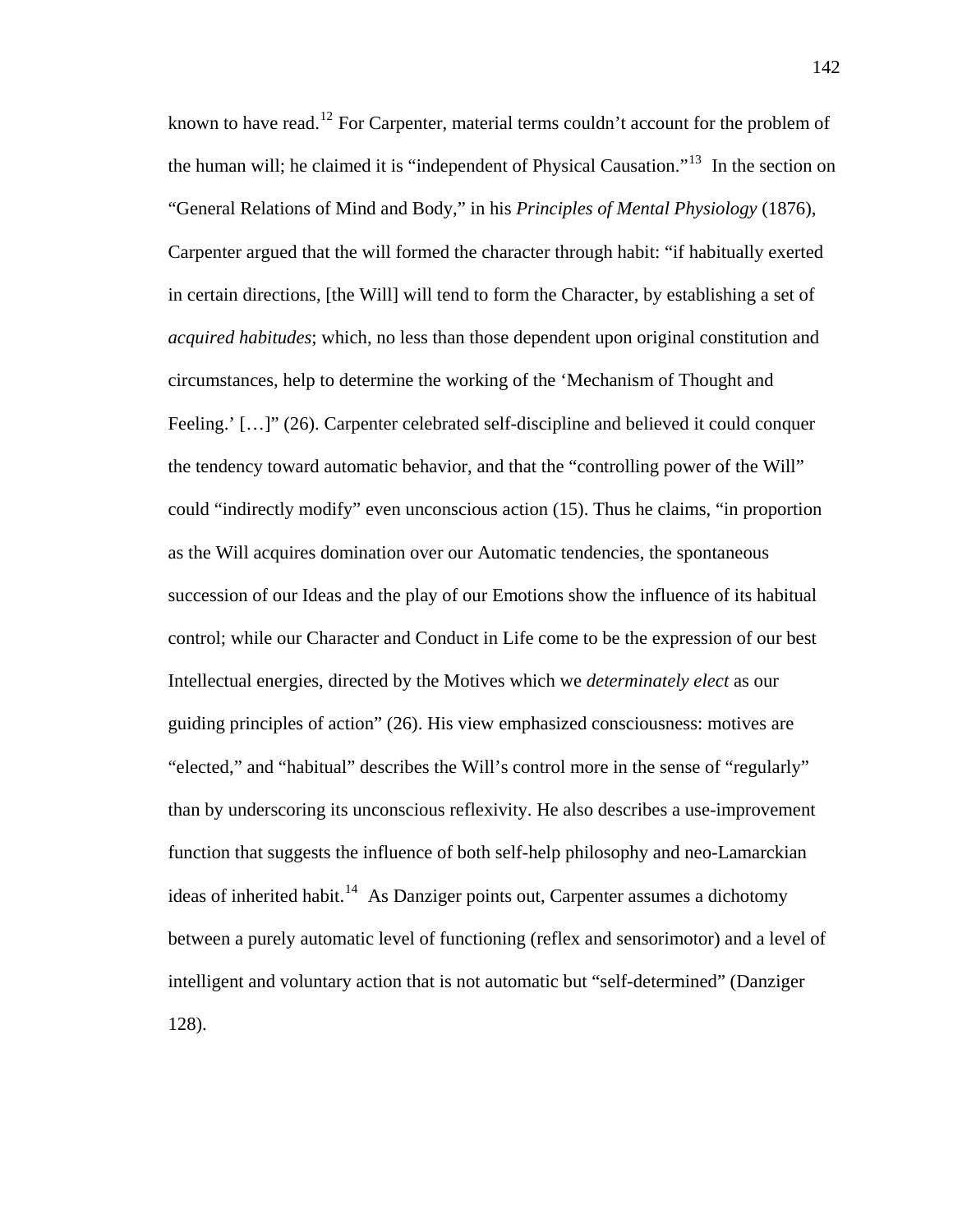known to have read.<sup>[12](#page-170-0)</sup> For Carpenter, material terms couldn't account for the problem of the human will; he claimed it is "independent of Physical Causation."<sup>[13](#page-170-0)</sup> In the section on "General Relations of Mind and Body," in his *Principles of Mental Physiology* (1876), Carpenter argued that the will formed the character through habit: "if habitually exerted in certain directions, [the Will] will tend to form the Character, by establishing a set of *acquired habitudes*; which, no less than those dependent upon original constitution and circumstances, help to determine the working of the 'Mechanism of Thought and Feeling.' [...]" (26). Carpenter celebrated self-discipline and believed it could conquer the tendency toward automatic behavior, and that the "controlling power of the Will" could "indirectly modify" even unconscious action (15). Thus he claims, "in proportion as the Will acquires domination over our Automatic tendencies, the spontaneous succession of our Ideas and the play of our Emotions show the influence of its habitual control; while our Character and Conduct in Life come to be the expression of our best Intellectual energies, directed by the Motives which we *determinately elect* as our guiding principles of action" (26). His view emphasized consciousness: motives are "elected," and "habitual" describes the Will's control more in the sense of "regularly" than by underscoring its unconscious reflexivity. He also describes a use-improvement function that suggests the influence of both self-help philosophy and neo-Lamarckian ideas of inherited habit.<sup>[14](#page-171-0)</sup> As Danziger points out, Carpenter assumes a dichotomy between a purely automatic level of functioning (reflex and sensorimotor) and a level of intelligent and voluntary action that is not automatic but "self-determined" (Danziger 128).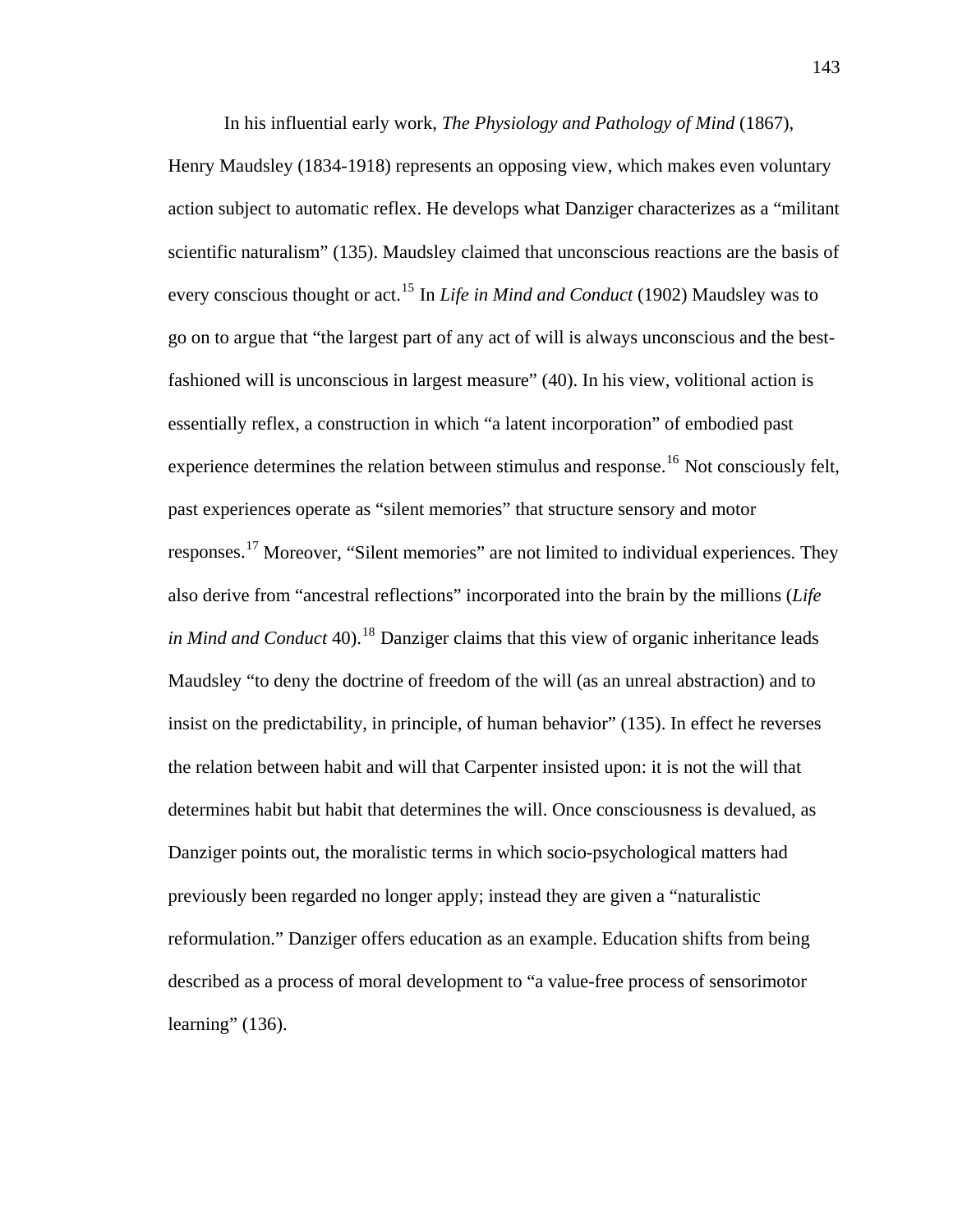In his influential early work, *The Physiology and Pathology of Mind* (1867),

Henry Maudsley (1834-1918) represents an opposing view, which makes even voluntary action subject to automatic reflex. He develops what Danziger characterizes as a "militant scientific naturalism" (135). Maudsley claimed that unconscious reactions are the basis of every conscious thought or act.<sup>[15](#page-171-0)</sup> In *Life in Mind and Conduct* (1902) Maudsley was to go on to argue that "the largest part of any act of will is always unconscious and the be stfashioned will is unconscious in largest measure" (40). In his view, volitional action is essentially reflex, a construction in which "a latent incorporation" of embodied past experience determines the relation between stimulus and response.<sup>[16](#page-171-0)</sup> Not consciously felt, past experiences operate as "silent memories" that structure sensory and motor responses.<sup>[17](#page-171-0)</sup> Moreover, "Silent memories" are not limited to individual experiences. They also derive from "ancestral reflections" incorporated into the brain by the millions (*Life in Mind and Conduct* 40).<sup>[18](#page-171-0)</sup> Danziger claims that this view of organic inheritance leads Maudsley "to deny the doctrine of freedom of the will (as an unreal abstraction) and to insist on the predictability, in principle, of human behavior" (135). In effect he reverses the relation between habit and will that Carpenter insisted upon: it is not the will that determines habit but habit that determines the will. Once consciousness is devalued, as Danziger points out, the moralistic terms in which socio-psychological matters had previously been regarded no longer apply; instead they are given a "naturalistic reformulation." Danziger offers education as an example. Education shifts from being described as a process of moral development to "a value-free process of sensorimotor learning"  $(136)$ .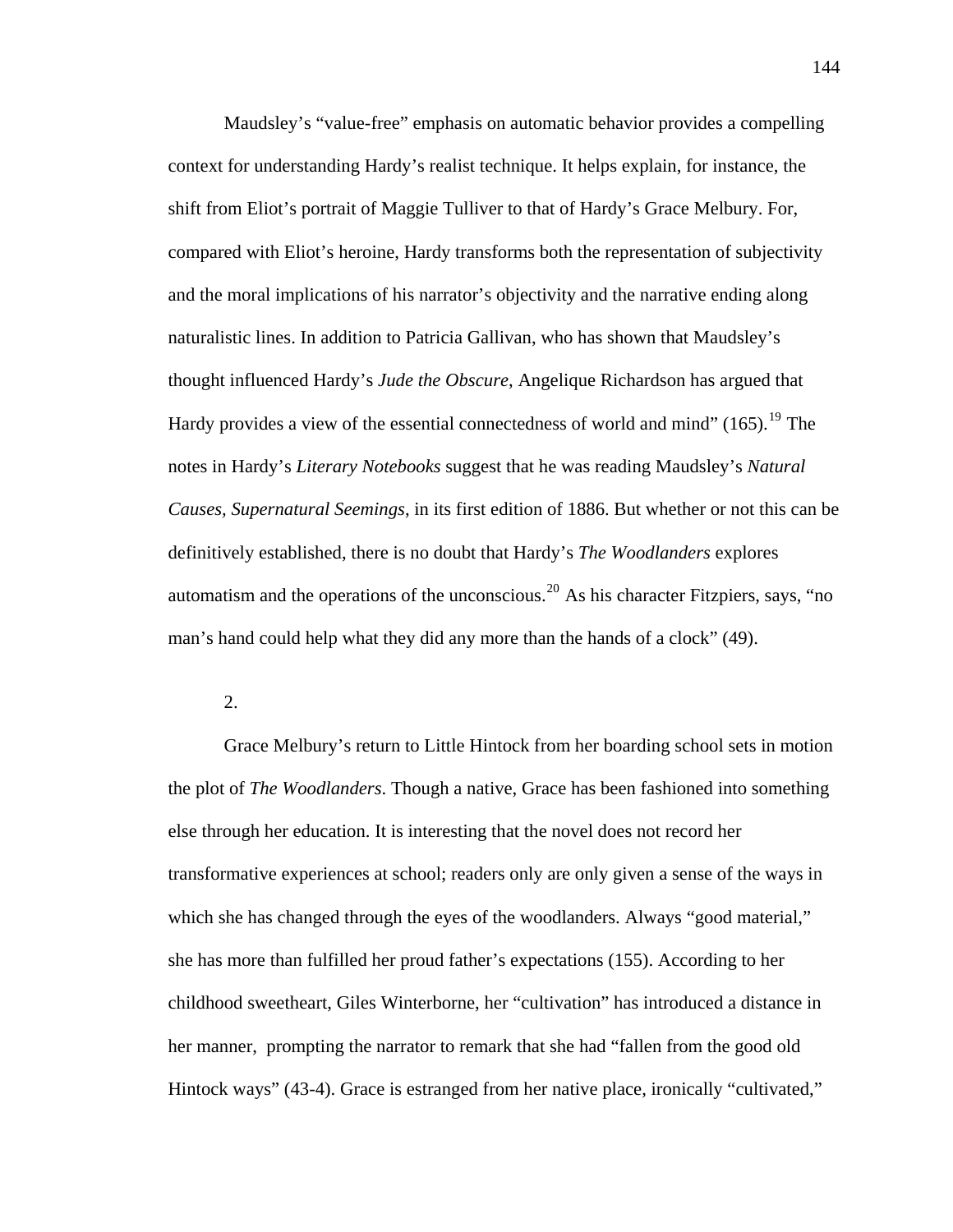Maudsley's "value-free" emphasis on automatic behavior provides a compelling context for understanding Hardy's realist technique. It helps explain, for instance, the shift from Eliot's portrait of Maggie Tulliver to that of Hardy's Grace Melbury. For, compared with Eliot's heroine, Hardy transforms both the representation of subjectivity and the moral implications of his narrator's objectivity and the narrative ending along naturalistic lines. In addition to Patricia Gallivan, who has shown that Maudsley's thought influenced Hardy's *Jude the Obscure*, Angelique Richardson has argued that Hardy provides a view of the essential connectedness of world and mind"  $(165)$ .<sup>[19](#page-171-0)</sup> The notes in Hardy's *Literary Notebooks* suggest that he was reading Maudsley's *Natural Causes, Supernatural Seemings*, in its first edition of 1886. But whether or not this can be definitively established, there is no doubt that Hardy's *The Woodlanders* explores automatism and the operations of the unconscious.<sup>[20](#page-171-0)</sup> As his character Fitzpiers, says, "no man's hand could help what they did any more than the hands of a clock" (49).

2.

Grace Melbury's return to Little Hintock from her boarding school sets in motion the plot of *The Woodlanders*. Though a native, Grace has been fashioned into something else through her education. It is interesting that the novel does not record her transformative experiences at school; readers only are only given a sense of the ways in which she has changed through the eyes of the woodlanders. Always "good material," she has more than fulfilled her proud father's expectations (155). According to her childhood sweetheart, Giles Winterborne, her "cultivation" has introduced a distance in her manner, prompting the narrator to remark that she had "fallen from the good old Hintock ways" (43-4). Grace is estranged from her native place, ironically "cultivated,"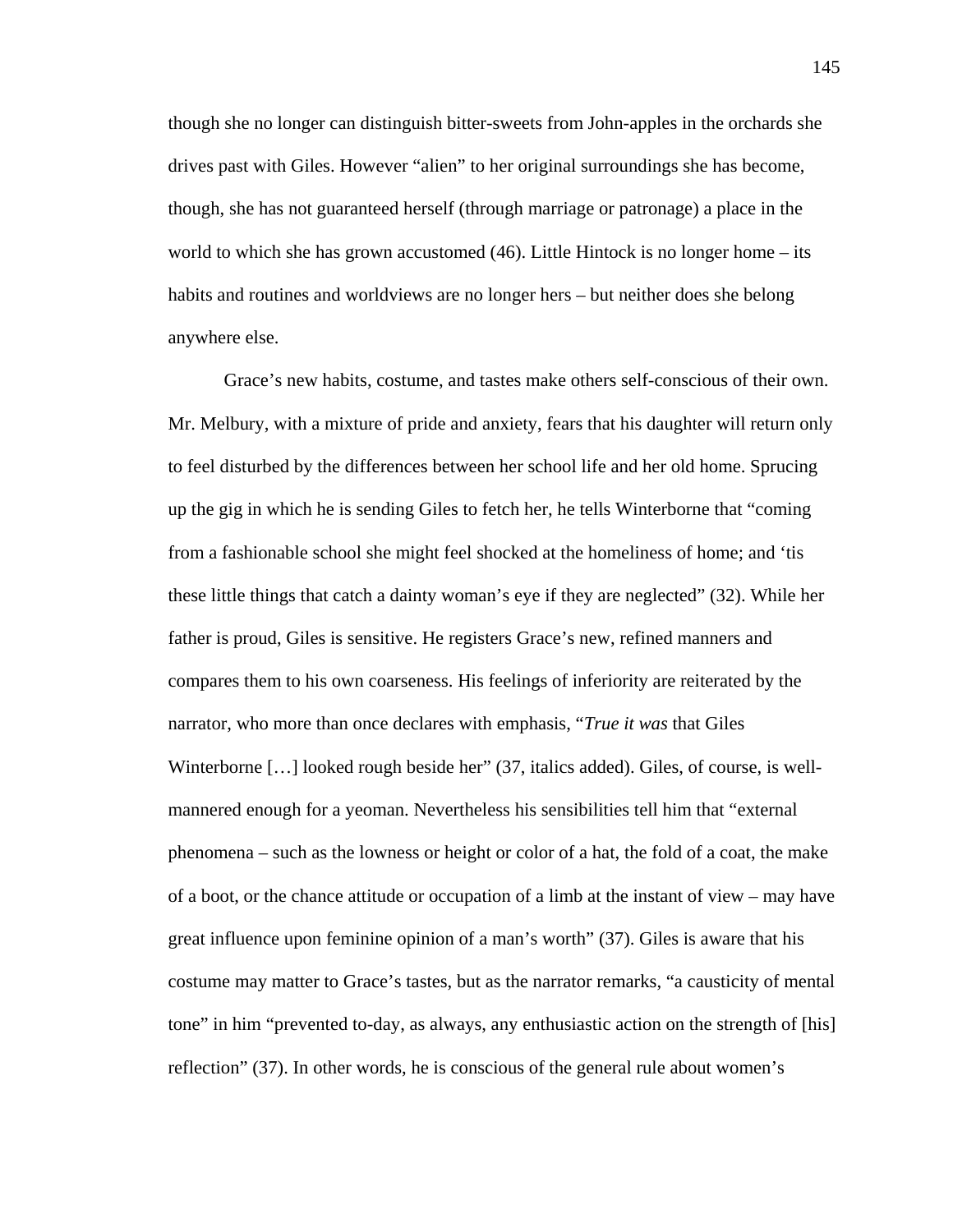though she no longer can distinguish bitter-sweets from John-apples in the orchards she drives past with Giles. However "alien" to her original surroundings she has become, though, she has not guaranteed herself (through marriage or patronage) a place in the world to which she has grown accustomed (46). Little Hintock is no longer home – its habits and routines and worldviews are no longer hers – but neither does she belong anywhere else.

Grace's new habits, costume, and tastes make others self-conscious of their own. Mr. Melbury, with a mixture of pride and anxiety, fears that his daughter will return only to feel disturbed by the differences between her school life and her old home. Sprucing up the gig in which he is sending Giles to fetch her, he tells Winterborne that "coming from a fashionable school she might feel shocked at the homeliness of home; and 'tis these little things that catch a dainty woman's eye if they are neglected" (32). While her father is proud, Giles is sensitive. He registers Grace's new, refined manners and compares them to his own coarseness. His feelings of inferiority are reiterated by the narrator, who more than once declares with emphasis, "*True it was* that Giles Winterborne […] looked rough beside her" (37, italics added). Giles, of course, is wellmannered enough for a yeoman. Nevertheless his sensibilities tell him that "external phenomena – such as the lowness or height or color of a hat, the fold of a coat, the make of a boot, or the chance attitude or occupation of a limb at the instant of view – may have great influence upon feminine opinion of a man's worth" (37). Giles is aware that his costume may matter to Grace's tastes, but as the narrator remarks, "a causticity of mental tone" in him "prevented to-day, as always, any enthusiastic action on the strength of [his] reflection" (37). In other words, he is conscious of the general rule about women's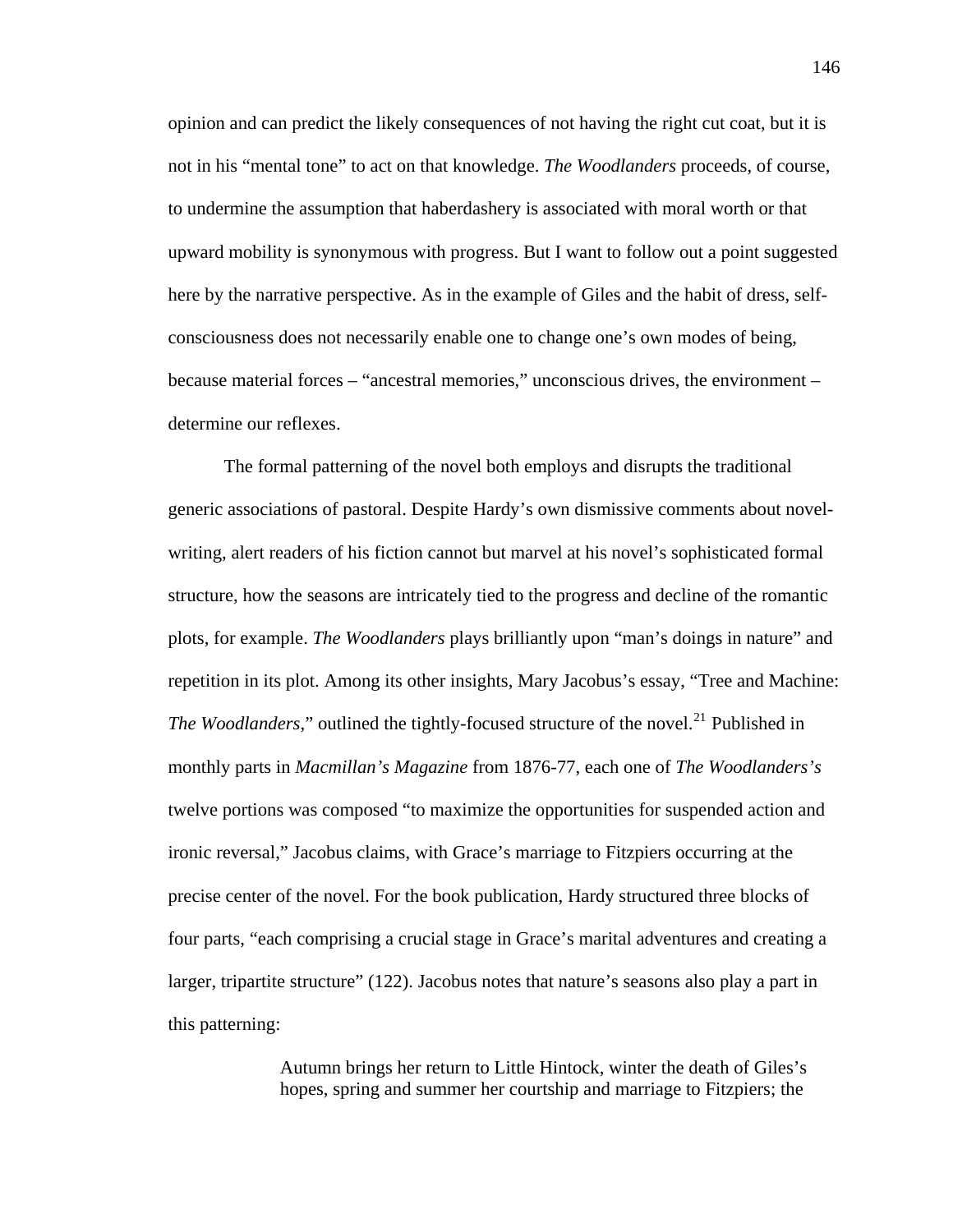opinion and can predict the likely consequences of not having the right cut coat, but it is not in his "mental tone" to act on that knowledge. *The Woodlanders* proceeds, of course, to undermine the assumption that haberdashery is associated with moral worth or that upward mobility is synonymous with progress. But I want to follow out a point suggested here by the narrative perspective. As in the example of Giles and the habit of dress, selfconsciousness does not necessarily enable one to change one's own modes of being, because material forces – "ancestral memories," unconscious drives, the environment – determine our reflexes.

The formal patterning of the novel both employs and disrupts the traditional generic associations of pastoral. Despite Hardy's own dismissive comments about novelwriting, alert readers of his fiction cannot but marvel at his novel's sophisticated formal structure, how the seasons are intricately tied to the progress and decline of the romantic plots, for example. *The Woodlanders* plays brilliantly upon "man's doings in nature" and repetition in its plot. Among its other insights, Mary Jacobus's essay, "Tree and Machine: *The Woodlanders*," outlined the tightly-focused structure of the novel.<sup>[21](#page-171-0)</sup> Published in monthly parts in *Macmillan's Magazine* from 1876-77, each one of *The Woodlanders's* twelve portions was composed "to maximize the opportunities for suspended action and ironic reversal," Jacobus claims, with Grace's marriage to Fitzpiers occurring at the precise center of the novel. For the book publication, Hardy structured three blocks of four parts, "each comprising a crucial stage in Grace's marital adventures and creating a larger, tripartite structure" (122). Jacobus notes that nature's seasons also play a part in this patterning:

> Autumn brings her return to Little Hintock, winter the death of Giles's hopes, spring and summer her courtship and marriage to Fitzpiers; the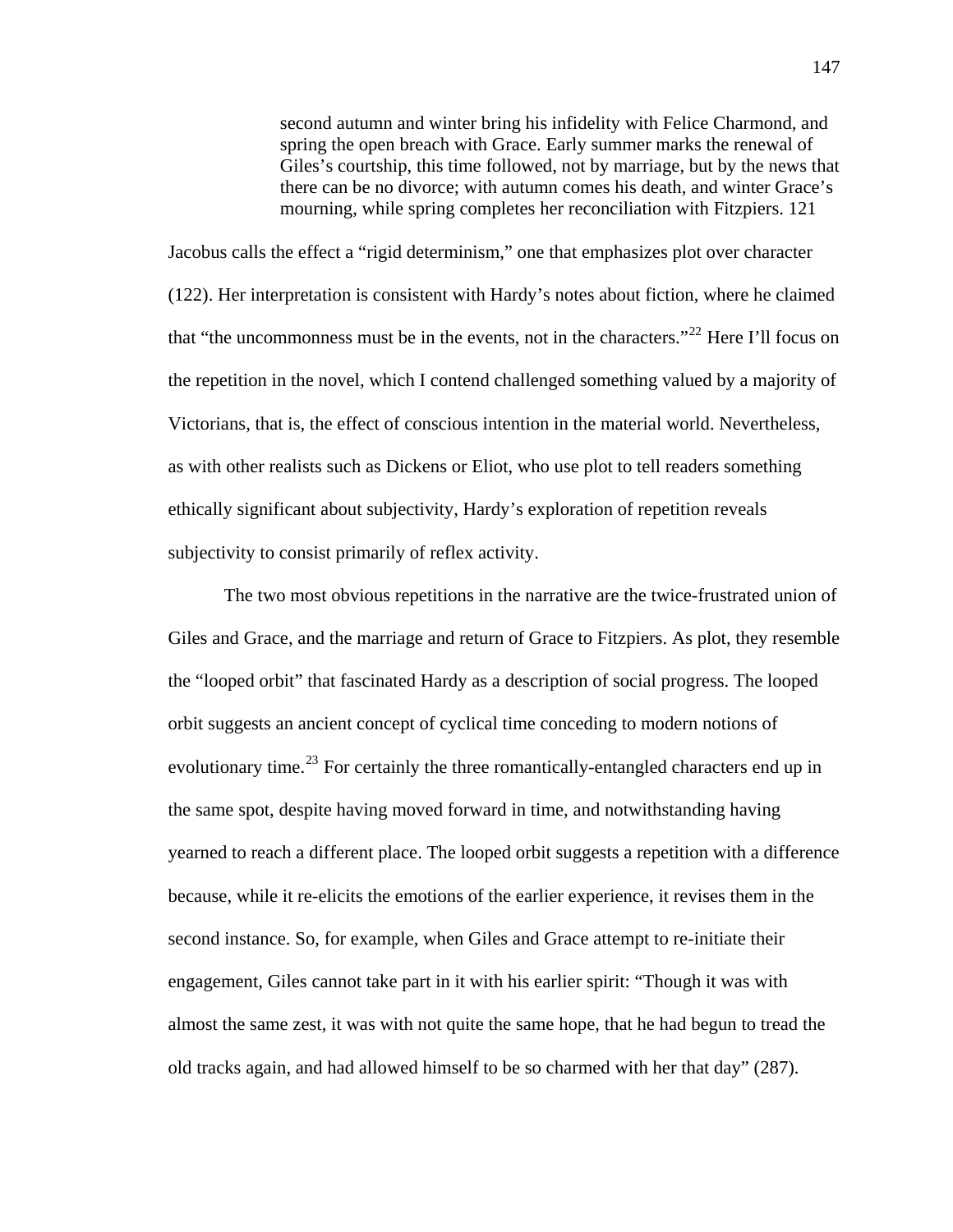second autumn and winter bring his infidelity with Felice Charmond, and spring the open breach with Grace. Early summer marks the renewal of Giles's courtship, this time followed, not by marriage, but by the news that there can be no divorce; with autumn comes his death, and winter Grace's mourning, while spring completes her reconciliation with Fitzpiers. 121

Jacobus calls the effect a "rigid determinism," one that emphasizes plot over character (122). Her interpretation is consistent with Hardy's notes about fiction, where he claimed that "the uncommonness must be in the events, not in the characters."<sup>[22](#page-171-0)</sup> Here I'll focus on the repetition in the novel, which I contend challenged something valued by a majority of Victorians, that is, the effect of conscious intention in the material world. Nevertheless, as with other realists such as Dickens or Eliot, who use plot to tell readers something ethically significant about subjectivity, Hardy's exploration of repetition reveals subjectivity to consist primarily of reflex activity.

The two most obvious repetitions in the narrative are the twice-frustrated union of Giles and Grace, and the marriage and return of Grace to Fitzpiers. As plot, they resemble the "looped orbit" that fascinated Hardy as a description of social progress. The looped orbit suggests an ancient concept of cyclical time conceding to modern notions of evolutionary time.<sup>[23](#page-171-0)</sup> For certainly the three romantically-entangled characters end up in the same spot, despite having moved forward in time, and notwithstanding having yearned to reach a different place. The looped orbit suggests a repetition with a difference because, while it re-elicits the emotions of the earlier experience, it revises them in the second instance. So, for example, when Giles and Grace attempt to re-initiate their engagement, Giles cannot take part in it with his earlier spirit: "Though it was with almost the same zest, it was with not quite the same hope, that he had begun to tread the old tracks again, and had allowed himself to be so charmed with her that day" (287).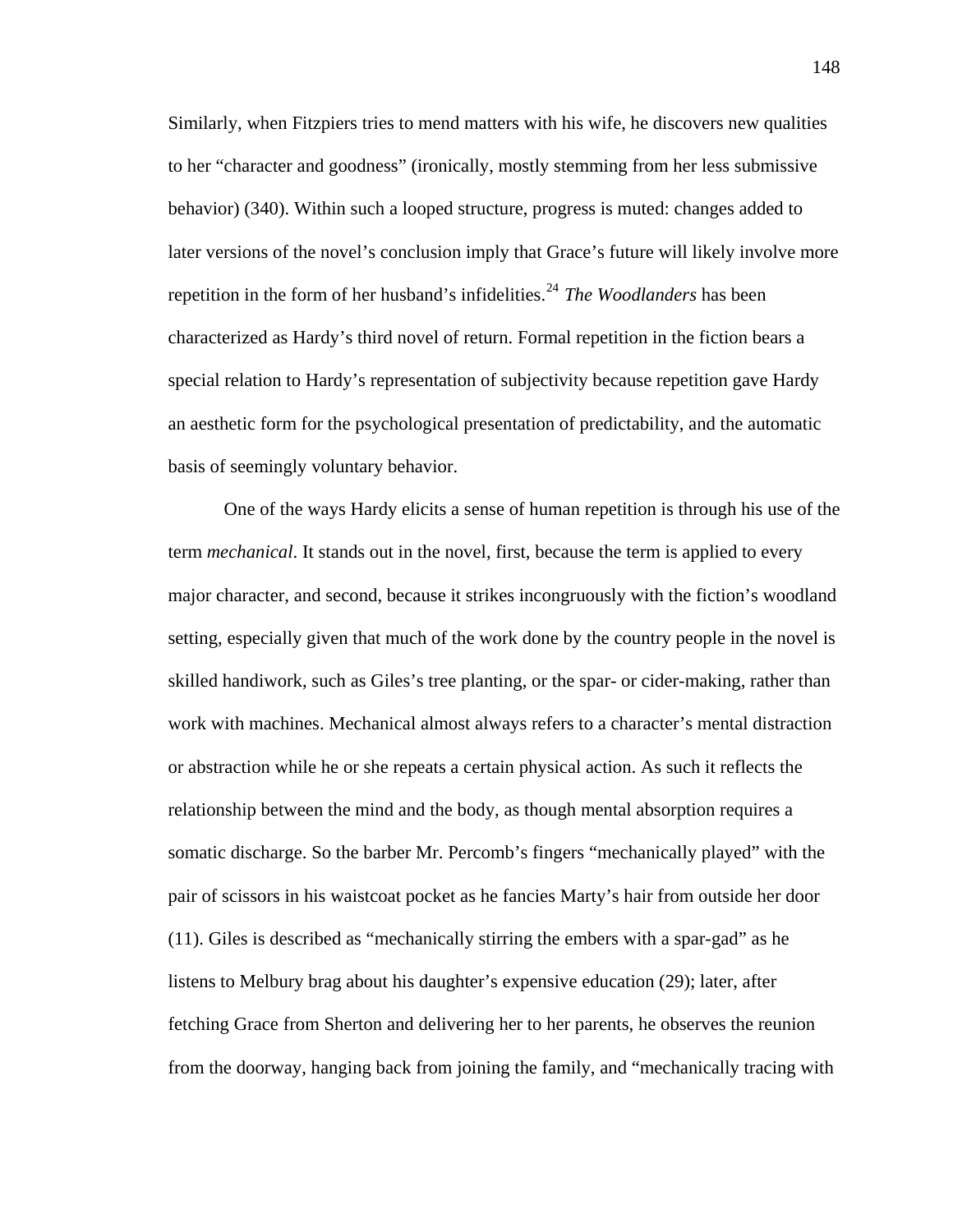Similarly, when Fitzpiers tries to mend matters with his wife, he discovers new qualities to her "character and goodness" (ironically, mostly stemming from her less submissive behavior) (340). Within such a looped structure, progress is muted: changes added to later versions of the novel's conclusion imply that Grace's future will likely involve more repetition in the form of her husband's infidelities.<sup>[24](#page-171-0)</sup> *The Woodlanders* has been characterized as Hardy's third novel of return. Formal repetition in the fiction bears a special relation to Hardy's representation of subjectivity because repetition gave Hardy an aesthetic form for the psychological presentation of predictability, and the automatic basis of seemingly voluntary behavior.

One of the ways Hardy elicits a sense of human repetition is through his use of the term *mechanical*. It stands out in the novel, first, because the term is applied to every major character, and second, because it strikes incongruously with the fiction's woodland setting, especially given that much of the work done by the country people in the novel is skilled handiwork, such as Giles's tree planting, or the spar- or cider-making, rather than work with machines. Mechanical almost always refers to a character's mental distraction or abstraction while he or she repeats a certain physical action. As such it reflects the relationship between the mind and the body, as though mental absorption requires a somatic discharge. So the barber Mr. Percomb's fingers "mechanically played" with the pair of scissors in his waistcoat pocket as he fancies Marty's hair from outside her door (11). Giles is described as "mechanically stirring the embers with a spar-gad" as he listens to Melbury brag about his daughter's expensive education (29); later, after fetching Grace from Sherton and delivering her to her parents, he observes the reunion from the doorway, hanging back from joining the family, and "mechanically tracing with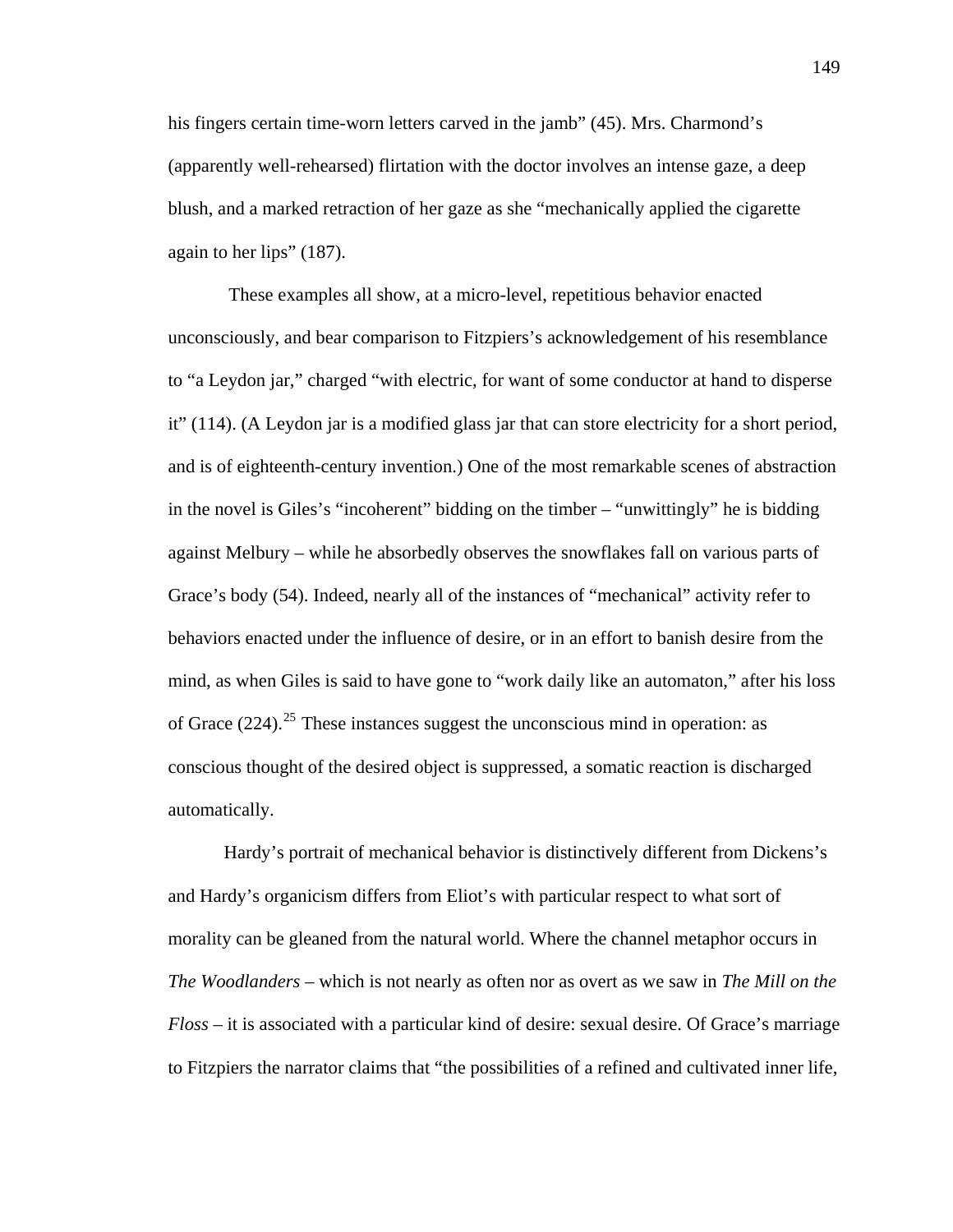his fingers certain time-worn letters carved in the jamb" (45). Mrs. Charmond's (apparently well-rehearsed) flirtation with the doctor involves an intense gaze, a deep blush, and a marked retraction of her gaze as she "mechanically applied the cigarette again to her lips" (187).

 These examples all show, at a micro-level, repetitious behavior enacted unconsciously, and bear comparison to Fitzpiers's acknowledgement of his resemblance to "a Leydon jar," charged "with electric, for want of some conductor at hand to disperse it" (114). (A Leydon jar is a modified glass jar that can store electricity for a short period, and is of eighteenth-century invention.) One of the most remarkable scenes of abstraction in the novel is Giles's "incoherent" bidding on the timber – "unwittingly" he is bidding against Melbury – while he absorbedly observes the snowflakes fall on various parts of Grace's body (54). Indeed, nearly all of the instances of "mechanical" activity refer to behaviors enacted under the influence of desire, or in an effort to banish desire from the mind, as when Giles is said to have gone to "work daily like an automaton," after his loss of Grace  $(224)$ <sup>[25](#page-171-0)</sup>. These instances suggest the unconscious mind in operation: as conscious thought of the desired object is suppressed, a somatic reaction is discharged automatically.

Hardy's portrait of mechanical behavior is distinctively different from Dickens's and Hardy's organicism differs from Eliot's with particular respect to what sort of morality can be gleaned from the natural world. Where the channel metaphor occurs in *The Woodlanders* – which is not nearly as often nor as overt as we saw in *The Mill on the Floss* – it is associated with a particular kind of desire: sexual desire. Of Grace's marriage to Fitzpiers the narrator claims that "the possibilities of a refined and cultivated inner life,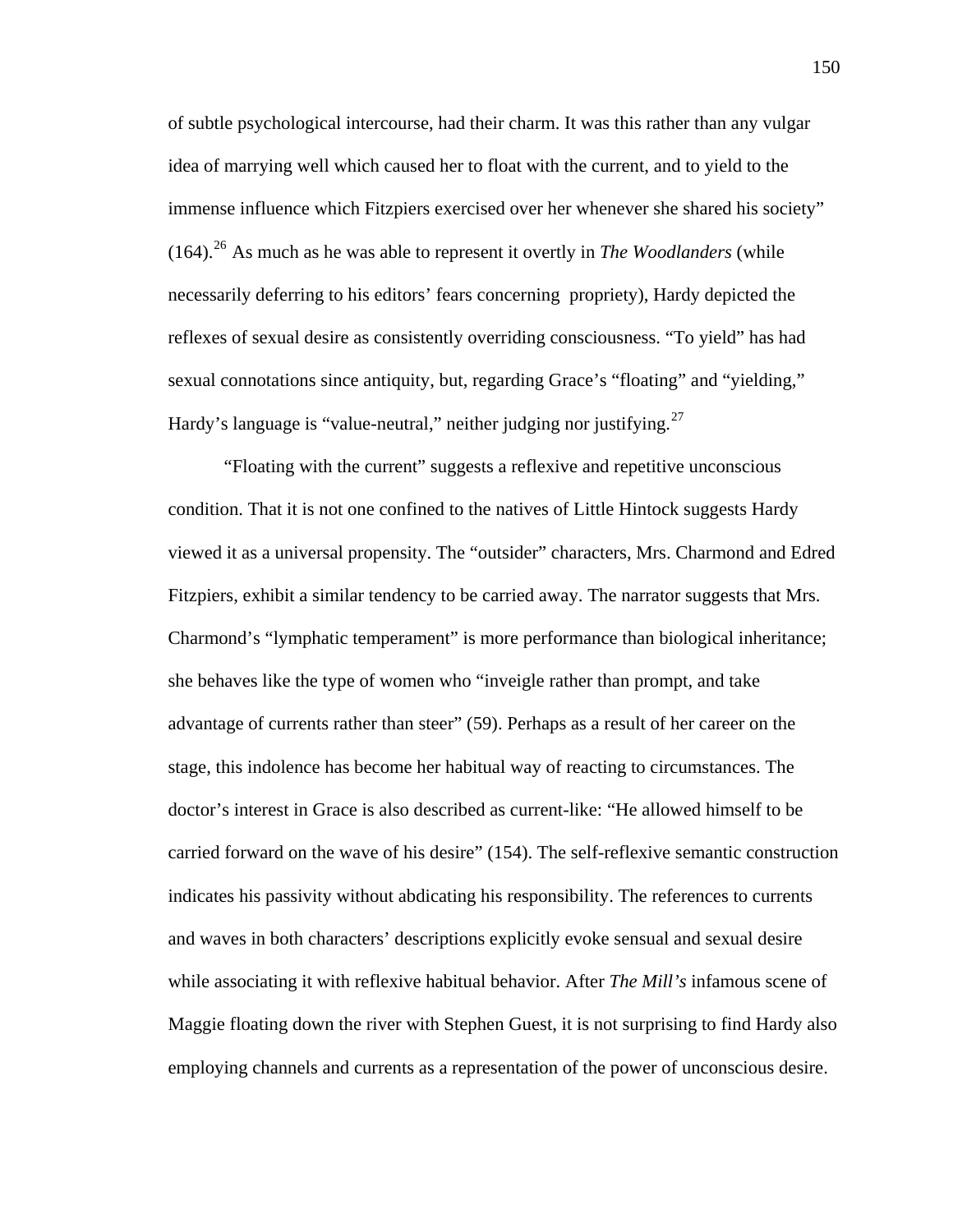of subtle psychological intercourse, had their charm. It was this rather than any vulgar idea of marrying well which caused her to float with the current, and to yield to the immense influence which Fitzpiers exercised over her whenever she shared his society"  $(164)$ <sup>[26](#page-171-0)</sup> As much as he was able to represent it overtly in *The Woodlanders* (while necessarily deferring to his editors' fears concerning propriety), Hardy depicted the reflexes of sexual desire as consistently overriding consciousness. "To yield" has had sexual connotations since antiquity, but, regarding Grace's "floating" and "yielding," Hardy's language is "value-neutral," neither judging nor justifying.<sup>[27](#page-171-0)</sup>

"Floating with the current" suggests a reflexive and repetitive unconscious condition. That it is not one confined to the natives of Little Hintock suggests Hardy viewed it as a universal propensity. The "outsider" characters, Mrs. Charmond and Edred Fitzpiers, exhibit a similar tendency to be carried away. The narrator suggests that Mrs. Charmond's "lymphatic temperament" is more performance than biological inheritance; she behaves like the type of women who "inveigle rather than prompt, and take advantage of currents rather than steer" (59). Perhaps as a result of her career on the stage, this indolence has become her habitual way of reacting to circumstances. The doctor's interest in Grace is also described as current-like: "He allowed himself to be carried forward on the wave of his desire" (154). The self-reflexive semantic construction indicates his passivity without abdicating his responsibility. The references to currents and waves in both characters' descriptions explicitly evoke sensual and sexual desire while associating it with reflexive habitual behavior. After *The Mill's* infamous scene of Maggie floating down the river with Stephen Guest, it is not surprising to find Hardy also employing channels and currents as a representation of the power of unconscious desire.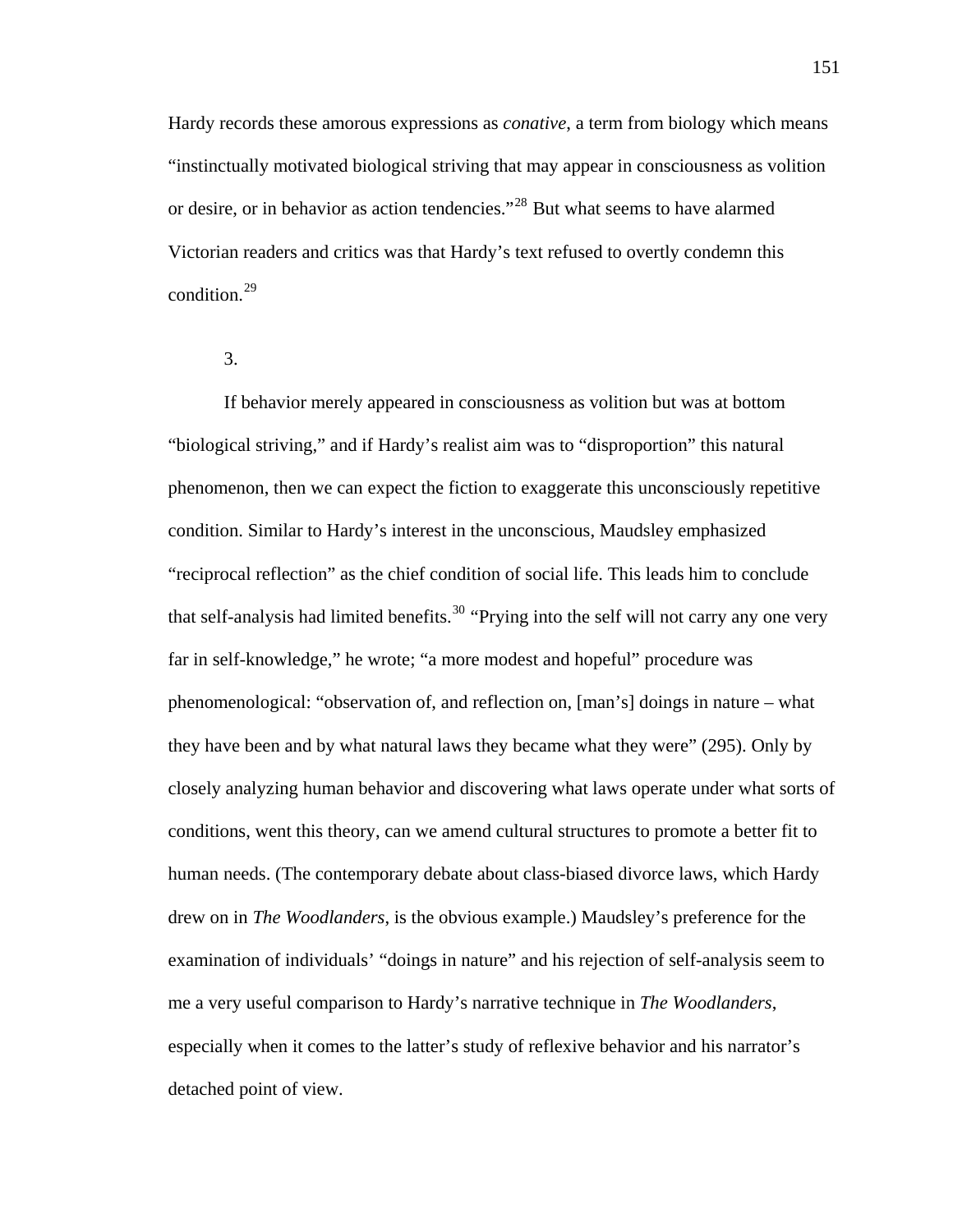Hardy records these amorous expressions as *conative*, a term from biology which means "instinctually motivated biological striving that may appear in consciousness as volition or desire, or in behavior as action tendencies."<sup>[28](#page-172-0)</sup> But what seems to have alarmed Victorian readers and critics was that Hardy's text refused to overtly condemn this condition.[29](#page-172-0)

3.

If behavior merely appeared in consciousness as volition but was at bottom "biological striving," and if Hardy's realist aim was to "disproportion" this natural phenomenon, then we can expect the fiction to exaggerate this unconsciously repetitive condition. Similar to Hardy's interest in the unconscious, Maudsley emphasized "reciprocal reflection" as the chief condition of social life. This leads him to conclude that self-analysis had limited benefits.<sup>[30](#page-172-0)</sup> "Prying into the self will not carry any one very far in self-knowledge," he wrote; "a more modest and hopeful" procedure was phenomenological: "observation of, and reflection on, [man's] doings in nature – what they have been and by what natural laws they became what they were" (295). Only by closely analyzing human behavior and discovering what laws operate under what sorts of conditions, went this theory, can we amend cultural structures to promote a better fit to human needs. (The contemporary debate about class-biased divorce laws, which Hardy drew on in *The Woodlanders*, is the obvious example.) Maudsley's preference for the examination of individuals' "doings in nature" and his rejection of self-analysis seem to me a very useful comparison to Hardy's narrative technique in *The Woodlanders*, especially when it comes to the latter's study of reflexive behavior and his narrator's detached point of view.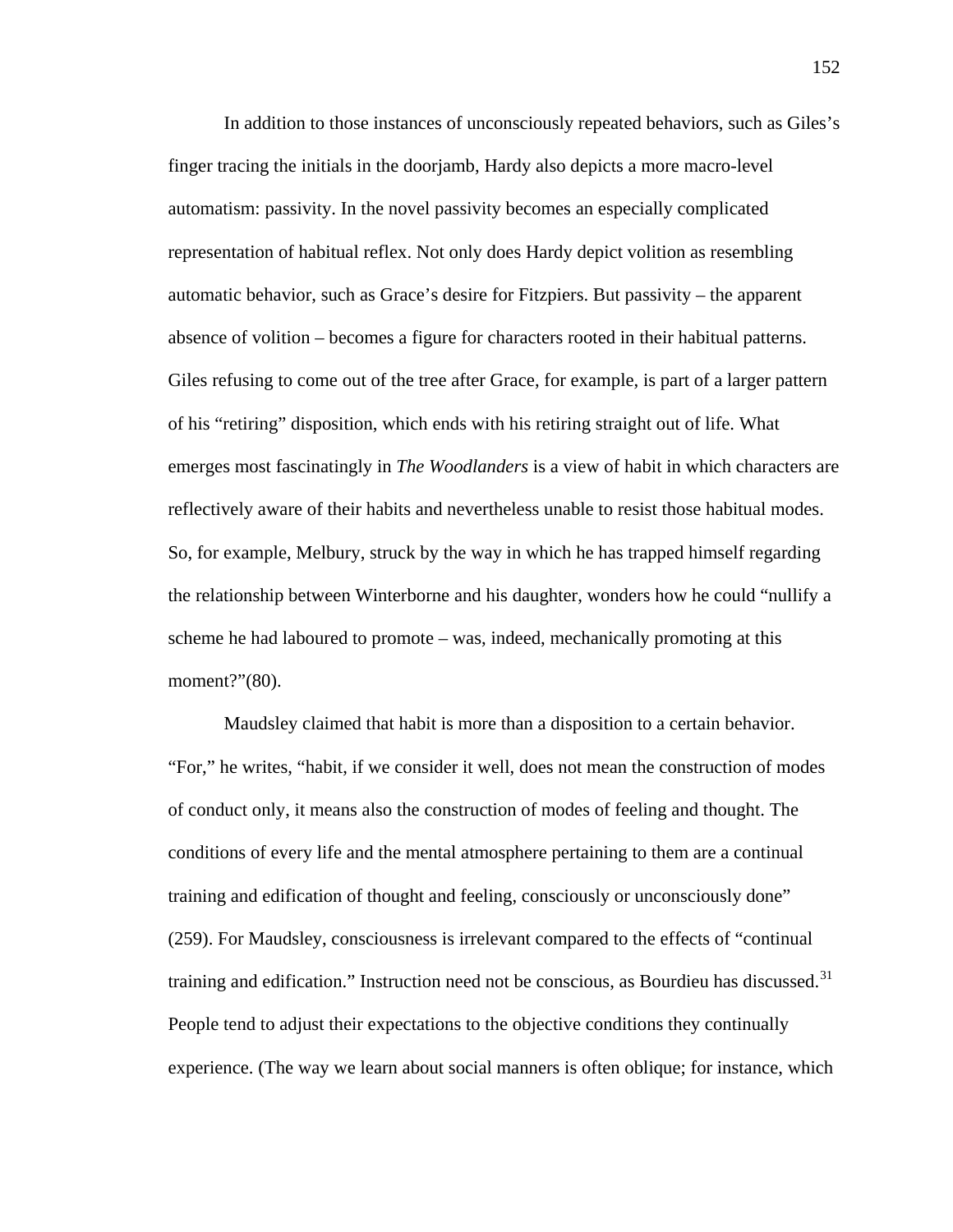In addition to those instances of unconsciously repeated behaviors, such as Giles's finger tracing the initials in the doorjamb, Hardy also depicts a more macro-level automatism: passivity. In the novel passivity becomes an especially complicated representation of habitual reflex. Not only does Hardy depict volition as resembling automatic behavior, such as Grace's desire for Fitzpiers. But passivity – the apparent absence of volition – becomes a figure for characters rooted in their habitual patterns. Giles refusing to come out of the tree after Grace, for example, is part of a larger pattern of his "retiring" disposition, which ends with his retiring straight out of life. What emerges most fascinatingly in *The Woodlanders* is a view of habit in which characters are reflectively aware of their habits and nevertheless unable to resist those habitual modes. So, for example, Melbury, struck by the way in which he has trapped himself regarding the relationship between Winterborne and his daughter, wonders how he could "nullify a scheme he had laboured to promote – was, indeed, mechanically promoting at this moment?"(80).

Maudsley claimed that habit is more than a disposition to a certain behavior. "For," he writes, "habit, if we consider it well, does not mean the construction of modes of conduct only, it means also the construction of modes of feeling and thought. The conditions of every life and the mental atmosphere pertaining to them are a continual training and edification of thought and feeling, consciously or unconsciously done" (259). For Maudsley, consciousness is irrelevant compared to the effects of "continual training and edification." Instruction need not be conscious, as Bourdieu has discussed.<sup>[31](#page-172-0)</sup> People tend to adjust their expectations to the objective conditions they continually experience. (The way we learn about social manners is often oblique; for instance, which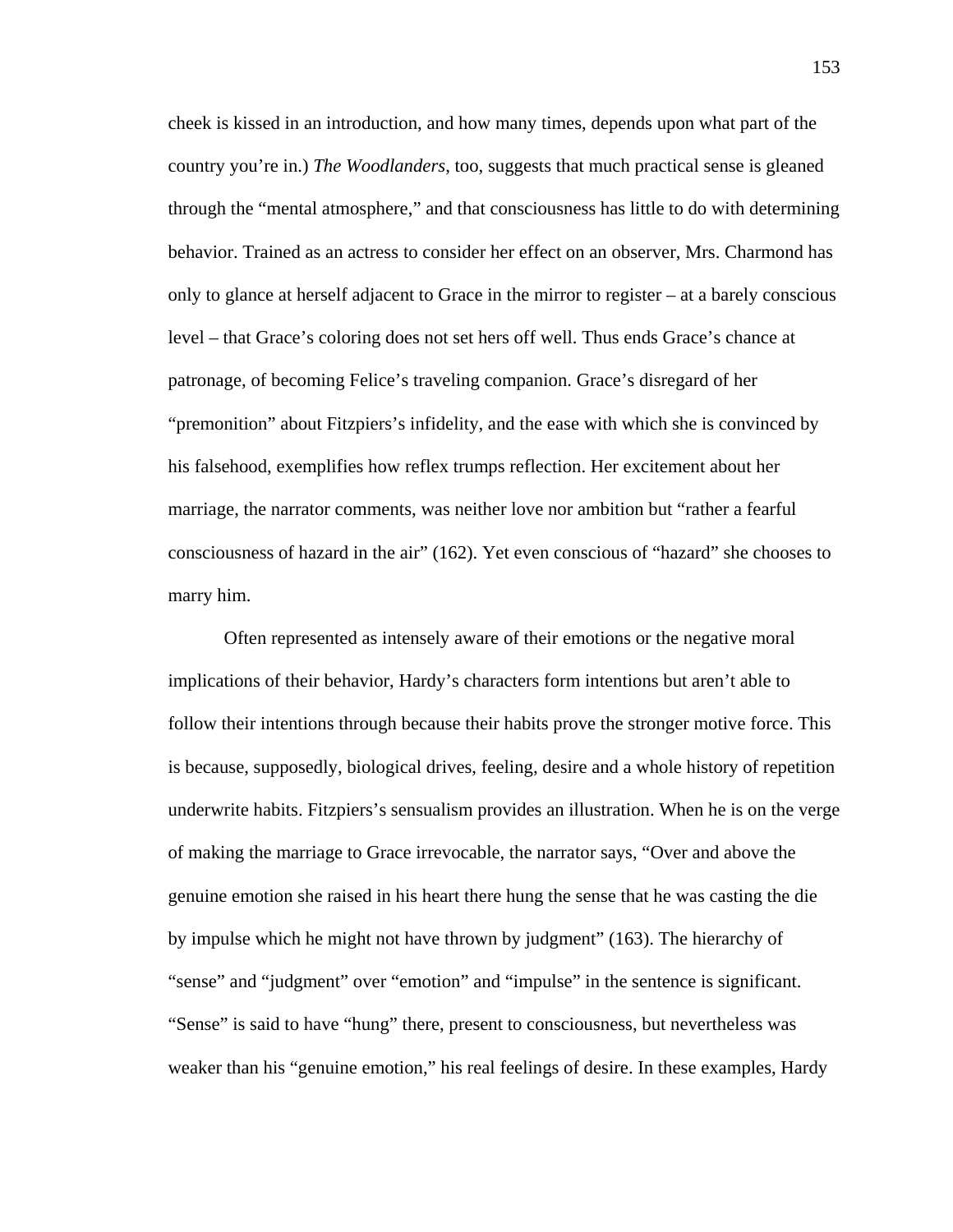cheek is kissed in an introduction, and how many times, depends upon what part of the country you're in.) *The Woodlanders*, too, suggests that much practical sense is gleaned through the "mental atmosphere," and that consciousness has little to do with determining behavior. Trained as an actress to consider her effect on an observer, Mrs. Charmond has only to glance at herself adjacent to Grace in the mirror to register – at a barely conscious level – that Grace's coloring does not set hers off well. Thus ends Grace's chance at patronage, of becoming Felice's traveling companion. Grace's disregard of her "premonition" about Fitzpiers's infidelity, and the ease with which she is convinced by his falsehood, exemplifies how reflex trumps reflection. Her excitement about her marriage, the narrator comments, was neither love nor ambition but "rather a fearful consciousness of hazard in the air" (162). Yet even conscious of "hazard" she chooses to marry him.

Often represented as intensely aware of their emotions or the negative moral implications of their behavior, Hardy's characters form intentions but aren't able to follow their intentions through because their habits prove the stronger motive force. This is because, supposedly, biological drives, feeling, desire and a whole history of repetition underwrite habits. Fitzpiers's sensualism provides an illustration. When he is on the verge of making the marriage to Grace irrevocable, the narrator says, "Over and above the genuine emotion she raised in his heart there hung the sense that he was casting the die by impulse which he might not have thrown by judgment" (163). The hierarchy of "sense" and "judgment" over "emotion" and "impulse" in the sentence is significant. "Sense" is said to have "hung" there, present to consciousness, but nevertheless was weaker than his "genuine emotion," his real feelings of desire. In these examples, Hardy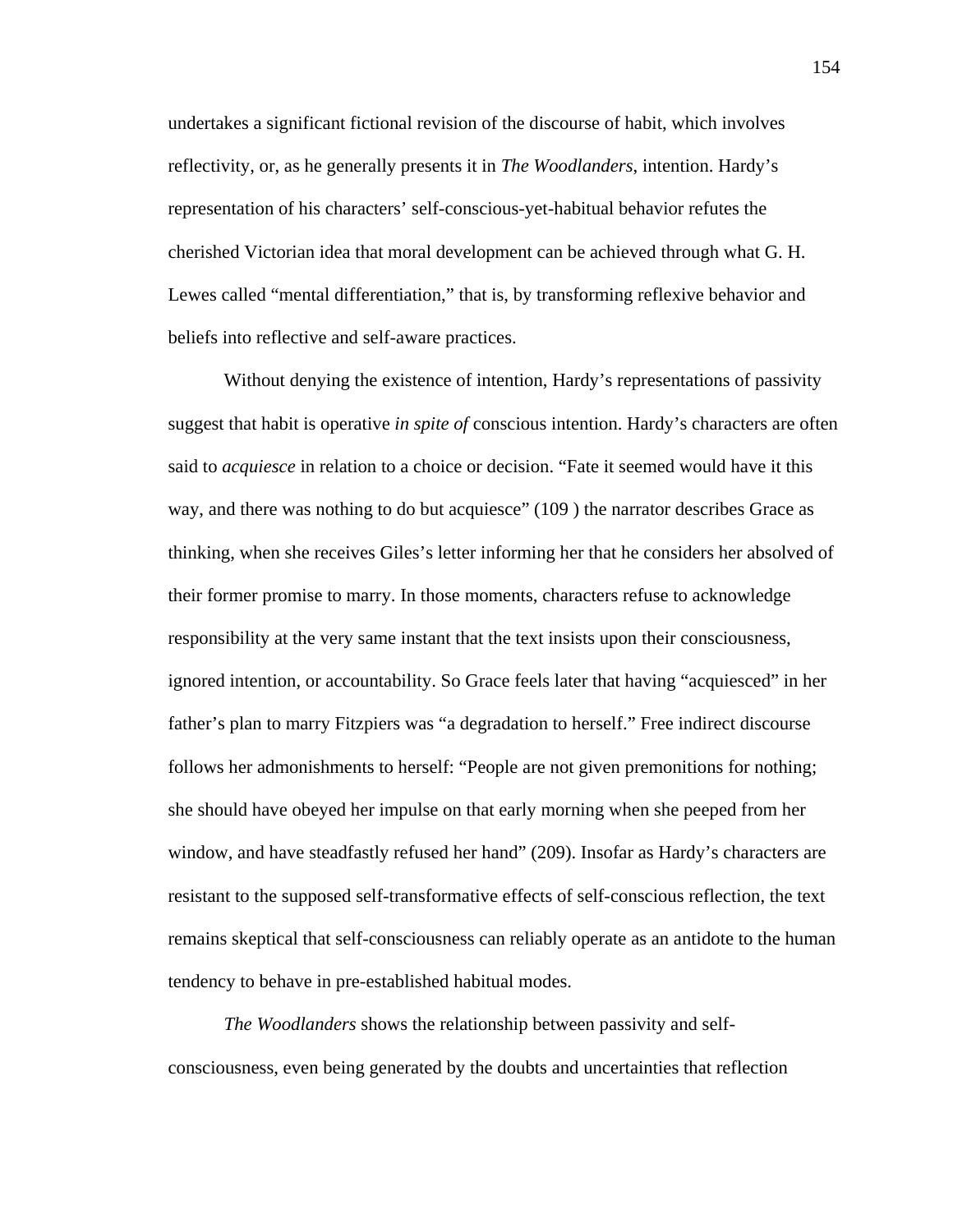undertakes a significant fictional revision of the discourse of habit, which involves reflectivity, or, as he generally presents it in *The Woodlanders*, intention. Hardy's representation of his characters' self-conscious-yet-habitual behavior refutes the cherished Victorian idea that moral development can be achieved through what G. H. Lewes called "mental differentiation," that is, by transforming reflexive behavior and beliefs into reflective and self-aware practices.

Without denying the existence of intention, Hardy's representations of passivity suggest that habit is operative *in spite of* conscious intention. Hardy's characters are often said to *acquiesce* in relation to a choice or decision. "Fate it seemed would have it this way, and there was nothing to do but acquiesce" (109 ) the narrator describes Grace as thinking, when she receives Giles's letter informing her that he considers her absolved of their former promise to marry. In those moments, characters refuse to acknowledge responsibility at the very same instant that the text insists upon their consciousness, ignored intention, or accountability. So Grace feels later that having "acquiesced" in her father's plan to marry Fitzpiers was "a degradation to herself." Free indirect discourse follows her admonishments to herself: "People are not given premonitions for nothing; she should have obeyed her impulse on that early morning when she peeped from her window, and have steadfastly refused her hand" (209). Insofar as Hardy's characters are resistant to the supposed self-transformative effects of self-conscious reflection, the text remains skeptical that self-consciousness can reliably operate as an antidote to the human tendency to behave in pre-established habitual modes.

*The Woodlanders* shows the relationship between passivity and selfconsciousness, even being generated by the doubts and uncertainties that reflection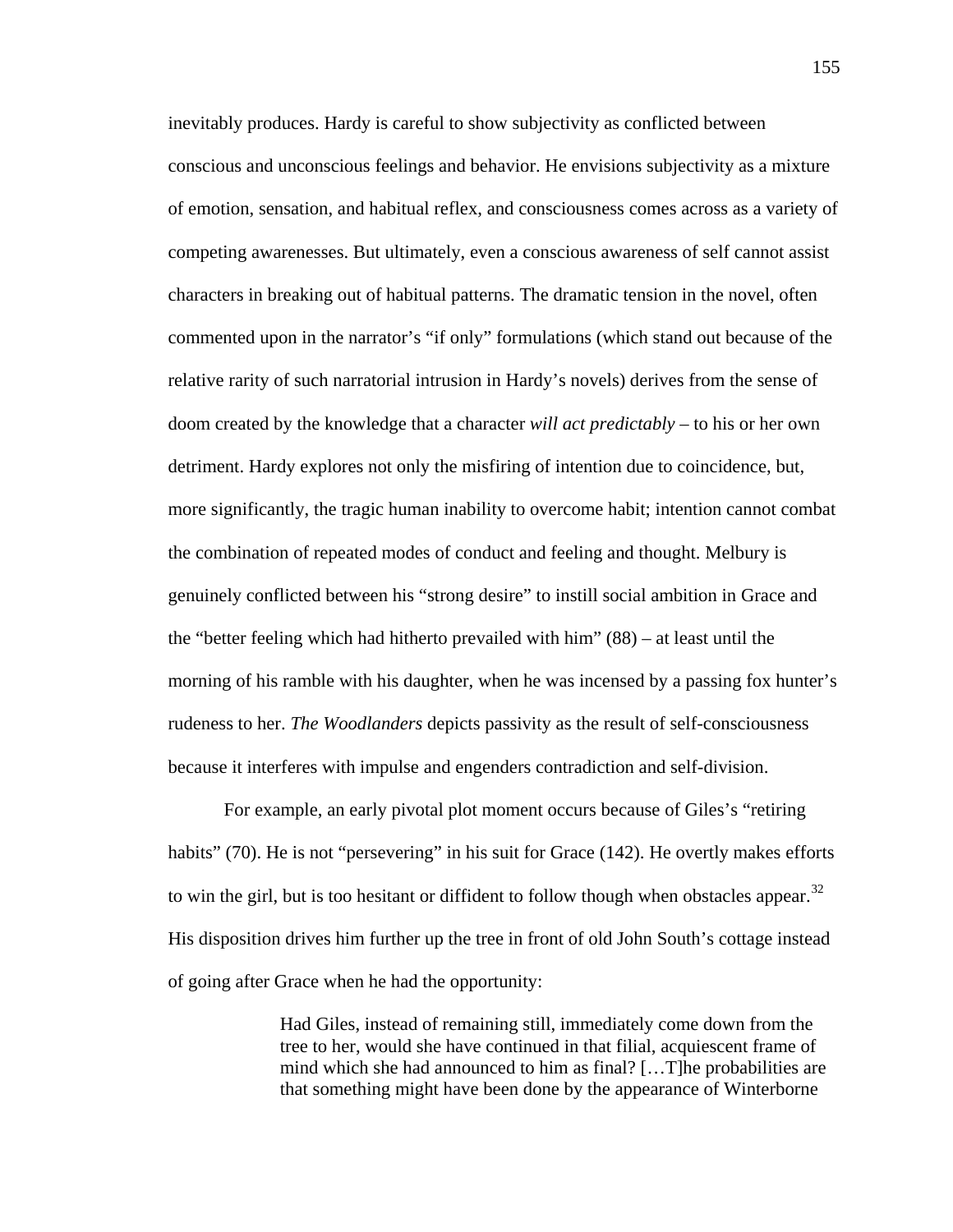inevitably produces. Hardy is careful to show subjectivity as conflicted between conscious and unconscious feelings and behavior. He envisions subjectivity as a mixture of emotion, sensation, and habitual reflex, and consciousness comes across as a variety of competing awarenesses. But ultimately, even a conscious awareness of self cannot assist characters in breaking out of habitual patterns. The dramatic tension in the novel, often commented upon in the narrator's "if only" formulations (which stand out because of the relative rarity of such narratorial intrusion in Hardy's novels) derives from the sense of doom created by the knowledge that a character *will act predictably* – to his or her own detriment. Hardy explores not only the misfiring of intention due to coincidence, but, more significantly, the tragic human inability to overcome habit; intention cannot combat the combination of repeated modes of conduct and feeling and thought. Melbury is genuinely conflicted between his "strong desire" to instill social ambition in Grace and the "better feeling which had hitherto prevailed with him" (88) – at least until the morning of his ramble with his daughter, when he was incensed by a passing fox hunter's rudeness to her. *The Woodlanders* depicts passivity as the result of self-consciousness because it interferes with impulse and engenders contradiction and self-division.

For example, an early pivotal plot moment occurs because of Giles's "retiring habits" (70). He is not "persevering" in his suit for Grace (142). He overtly makes efforts to win the girl, but is too hesitant or diffident to follow though when obstacles appear. $32$ His disposition drives him further up the tree in front of old John South's cottage instead of going after Grace when he had the opportunity:

> Had Giles, instead of remaining still, immediately come down from the tree to her, would she have continued in that filial, acquiescent frame of mind which she had announced to him as final? […T]he probabilities are that something might have been done by the appearance of Winterborne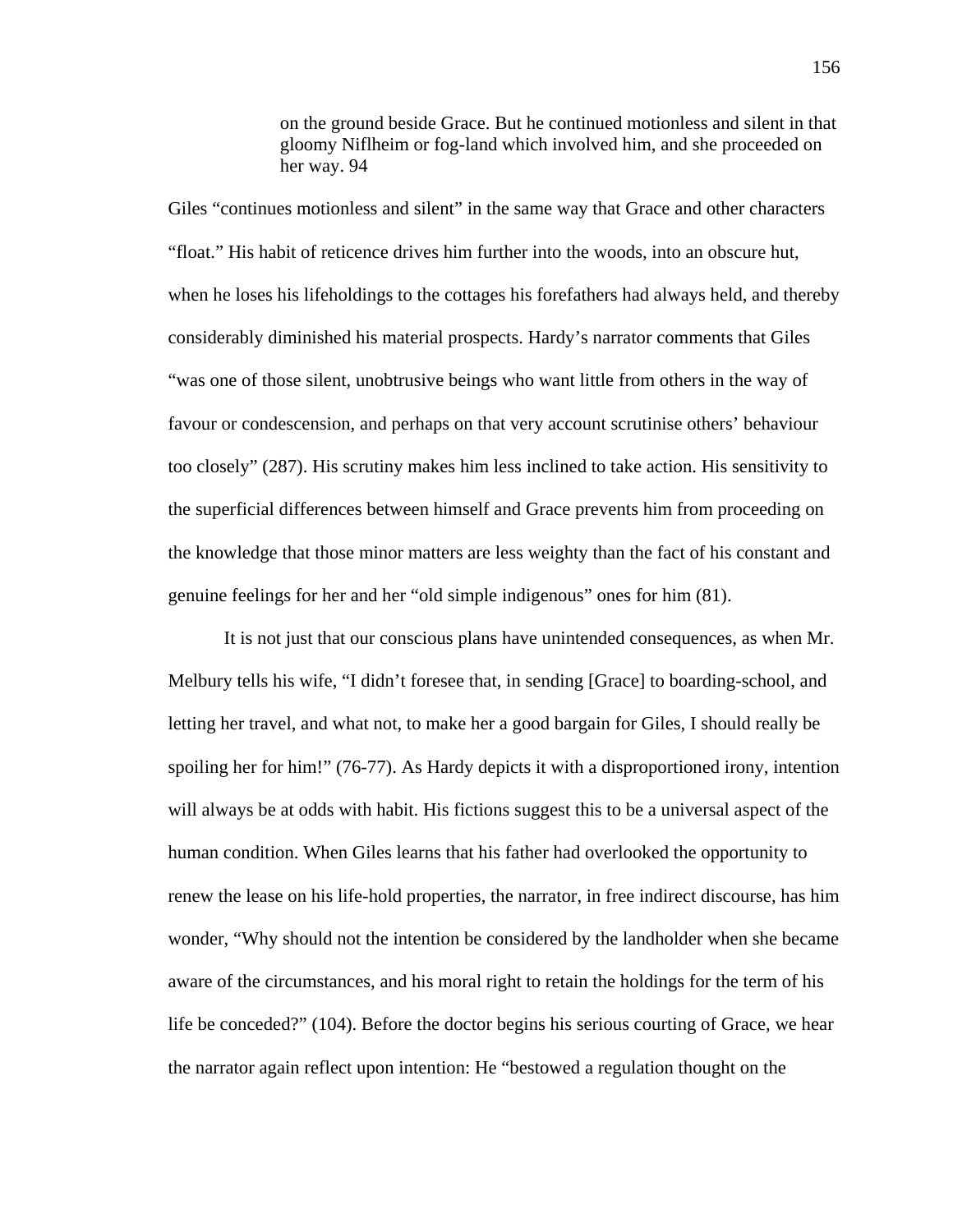on the ground beside Grace. But he continued motionless and silent in that gloomy Niflheim or fog-land which involved him, and she proceeded on her way. 94

Giles "continues motionless and silent" in the same way that Grace and other characters "float." His habit of reticence drives him further into the woods, into an obscure hut, when he loses his lifeholdings to the cottages his forefathers had always held, and thereby considerably diminished his material prospects. Hardy's narrator comments that Giles "was one of those silent, unobtrusive beings who want little from others in the way of favour or condescension, and perhaps on that very account scrutinise others' behaviour too closely" (287). His scrutiny makes him less inclined to take action. His sensitivity to the superficial differences between himself and Grace prevents him from proceeding on the knowledge that those minor matters are less weighty than the fact of his constant and genuine feelings for her and her "old simple indigenous" ones for him (81).

It is not just that our conscious plans have unintended consequences, as when Mr. Melbury tells his wife, "I didn't foresee that, in sending [Grace] to boarding-school, and letting her travel, and what not, to make her a good bargain for Giles, I should really be spoiling her for him!" (76-77). As Hardy depicts it with a disproportioned irony, intention will always be at odds with habit. His fictions suggest this to be a universal aspect of the human condition. When Giles learns that his father had overlooked the opportunity to renew the lease on his life-hold properties, the narrator, in free indirect discourse, has him wonder, "Why should not the intention be considered by the landholder when she became aware of the circumstances, and his moral right to retain the holdings for the term of his life be conceded?" (104). Before the doctor begins his serious courting of Grace, we hear the narrator again reflect upon intention: He "bestowed a regulation thought on the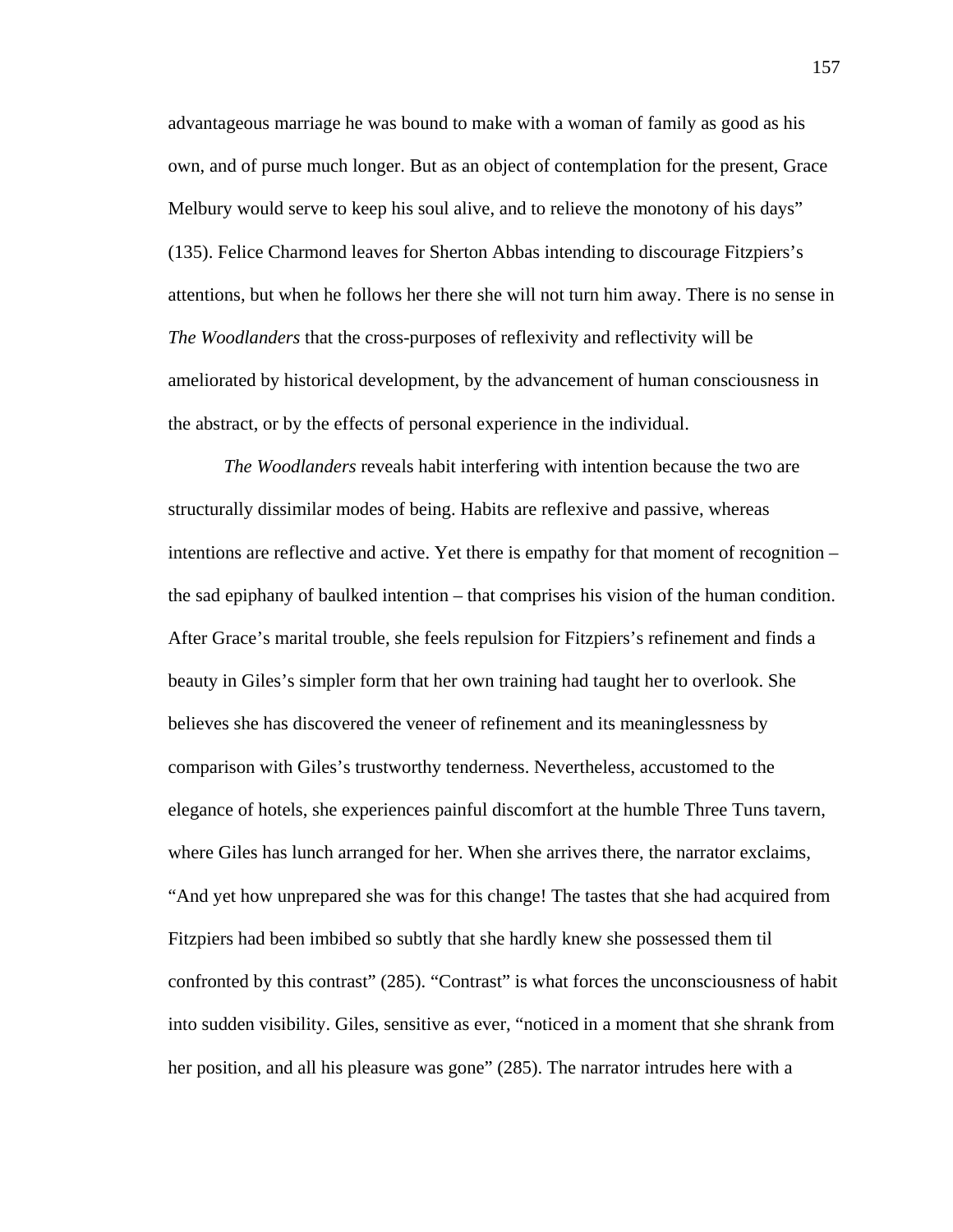advantageous marriage he was bound to make with a woman of family as good as his own, and of purse much longer. But as an object of contemplation for the present, Grace Melbury would serve to keep his soul alive, and to relieve the monotony of his days" (135). Felice Charmond leaves for Sherton Abbas intending to discourage Fitzpiers's attentions, but when he follows her there she will not turn him away. There is no sense in *The Woodlanders* that the cross-purposes of reflexivity and reflectivity will be ameliorated by historical development, by the advancement of human consciousness in the abstract, or by the effects of personal experience in the individual.

*The Woodlanders* reveals habit interfering with intention because the two are structurally dissimilar modes of being. Habits are reflexive and passive, whereas intentions are reflective and active. Yet there is empathy for that moment of recognition – the sad epiphany of baulked intention – that comprises his vision of the human condition. After Grace's marital trouble, she feels repulsion for Fitzpiers's refinement and finds a beauty in Giles's simpler form that her own training had taught her to overlook. She believes she has discovered the veneer of refinement and its meaninglessness by comparison with Giles's trustworthy tenderness. Nevertheless, accustomed to the elegance of hotels, she experiences painful discomfort at the humble Three Tuns tavern, where Giles has lunch arranged for her. When she arrives there, the narrator exclaims, "And yet how unprepared she was for this change! The tastes that she had acquired from Fitzpiers had been imbibed so subtly that she hardly knew she possessed them til confronted by this contrast" (285). "Contrast" is what forces the unconsciousness of habit into sudden visibility. Giles, sensitive as ever, "noticed in a moment that she shrank from her position, and all his pleasure was gone" (285). The narrator intrudes here with a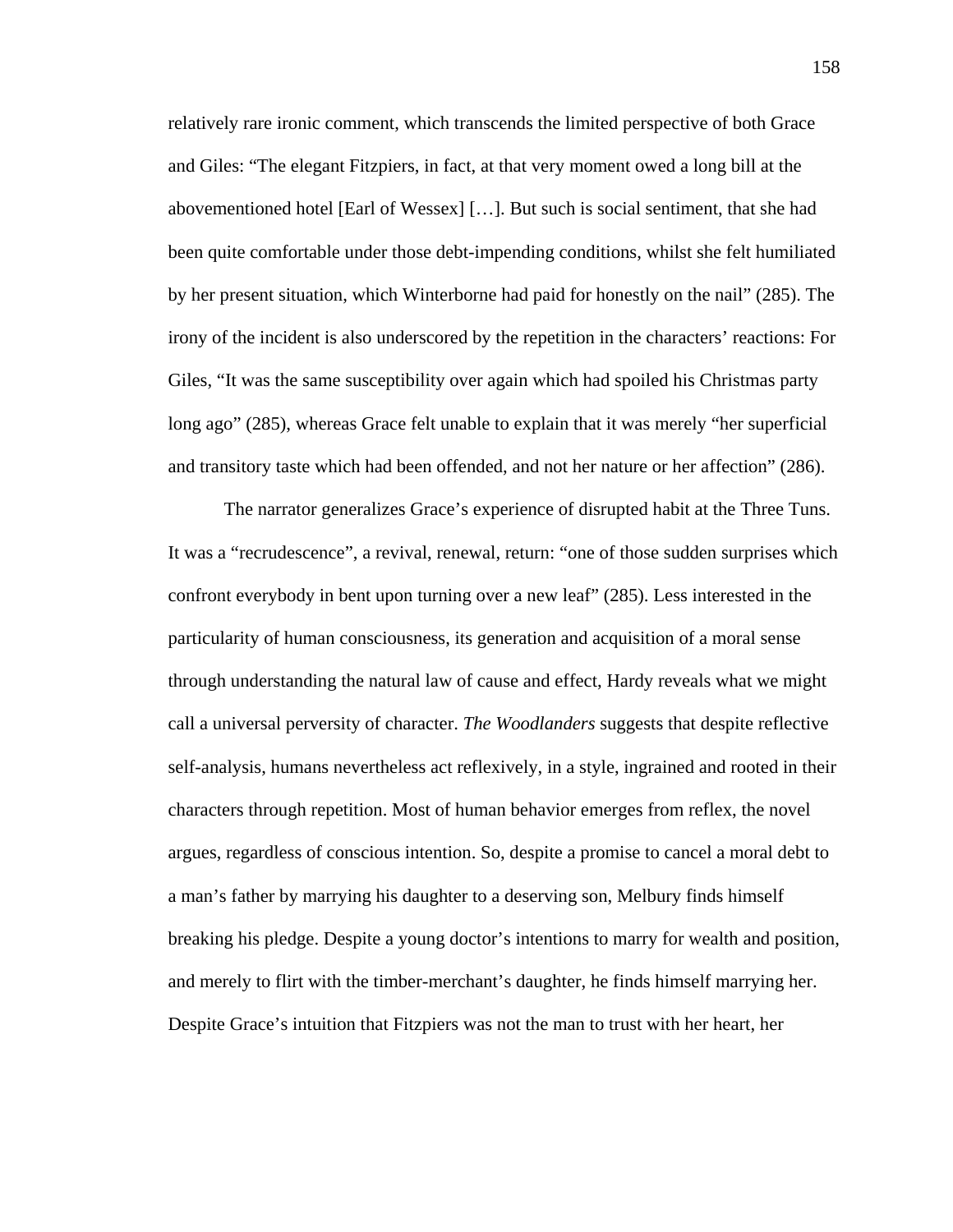relatively rare ironic comment, which transcends the limited perspective of both Grace and Giles: "The elegant Fitzpiers, in fact, at that very moment owed a long bill at the abovementioned hotel [Earl of Wessex] […]. But such is social sentiment, that she had been quite comfortable under those debt-impending conditions, whilst she felt humiliated by her present situation, which Winterborne had paid for honestly on the nail" (285). The irony of the incident is also underscored by the repetition in the characters' reactions: For Giles, "It was the same susceptibility over again which had spoiled his Christmas party long ago" (285), whereas Grace felt unable to explain that it was merely "her superficial and transitory taste which had been offended, and not her nature or her affection" (286).

The narrator generalizes Grace's experience of disrupted habit at the Three Tuns. It was a "recrudescence", a revival, renewal, return: "one of those sudden surprises which confront everybody in bent upon turning over a new leaf" (285). Less interested in the particularity of human consciousness, its generation and acquisition of a moral sense through understanding the natural law of cause and effect, Hardy reveals what we might call a universal perversity of character. *The Woodlanders* suggests that despite reflective self-analysis, humans nevertheless act reflexively, in a style, ingrained and rooted in their characters through repetition. Most of human behavior emerges from reflex, the novel argues, regardless of conscious intention. So, despite a promise to cancel a moral debt to a man's father by marrying his daughter to a deserving son, Melbury finds himself breaking his pledge. Despite a young doctor's intentions to marry for wealth and position, and merely to flirt with the timber-merchant's daughter, he finds himself marrying her. Despite Grace's intuition that Fitzpiers was not the man to trust with her heart, her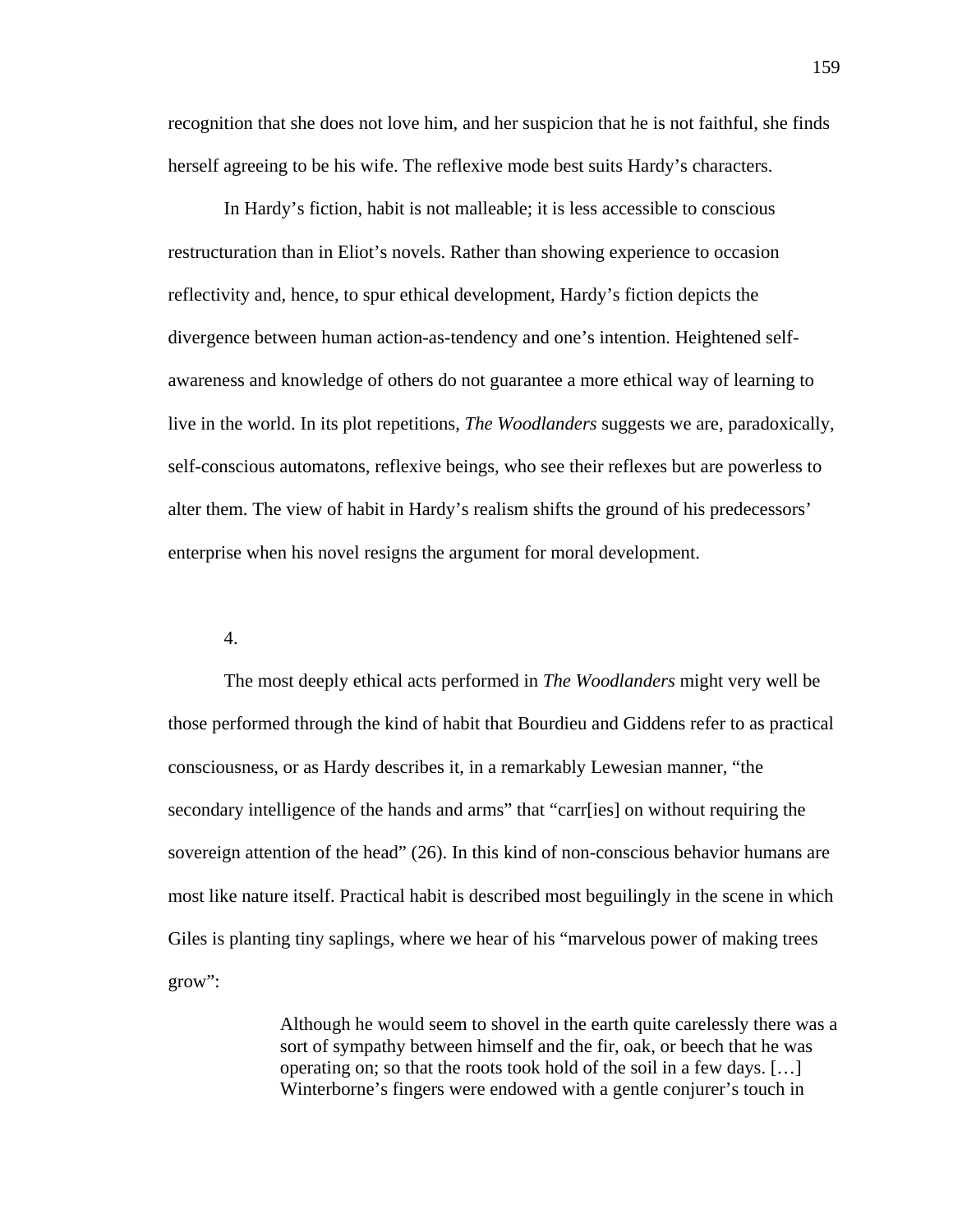recognition that she does not love him, and her suspicion that he is not faithful, she finds herself agreeing to be his wife. The reflexive mode best suits Hardy's characters.

 In Hardy's fiction, habit is not malleable; it is less accessible to conscious restructuration than in Eliot's novels. Rather than showing experience to occasion reflectivity and, hence, to spur ethical development, Hardy's fiction depicts the divergence between human action-as-tendency and one's intention. Heightened selfawareness and knowledge of others do not guarantee a more ethical way of learning to live in the world. In its plot repetitions, *The Woodlanders* suggests we are, paradoxically, self-conscious automatons, reflexive beings, who see their reflexes but are powerless to alter them. The view of habit in Hardy's realism shifts the ground of his predecessors' enterprise when his novel resigns the argument for moral development.

4.

The most deeply ethical acts performed in *The Woodlanders* might very well be those performed through the kind of habit that Bourdieu and Giddens refer to as practical consciousness, or as Hardy describes it, in a remarkably Lewesian manner, "the secondary intelligence of the hands and arms" that "carr[ies] on without requiring the sovereign attention of the head" (26). In this kind of non-conscious behavior humans are most like nature itself. Practical habit is described most beguilingly in the scene in which Giles is planting tiny saplings, where we hear of his "marvelous power of making trees grow":

> Although he would seem to shovel in the earth quite carelessly there was a sort of sympathy between himself and the fir, oak, or beech that he was operating on; so that the roots took hold of the soil in a few days. […] Winterborne's fingers were endowed with a gentle conjurer's touch in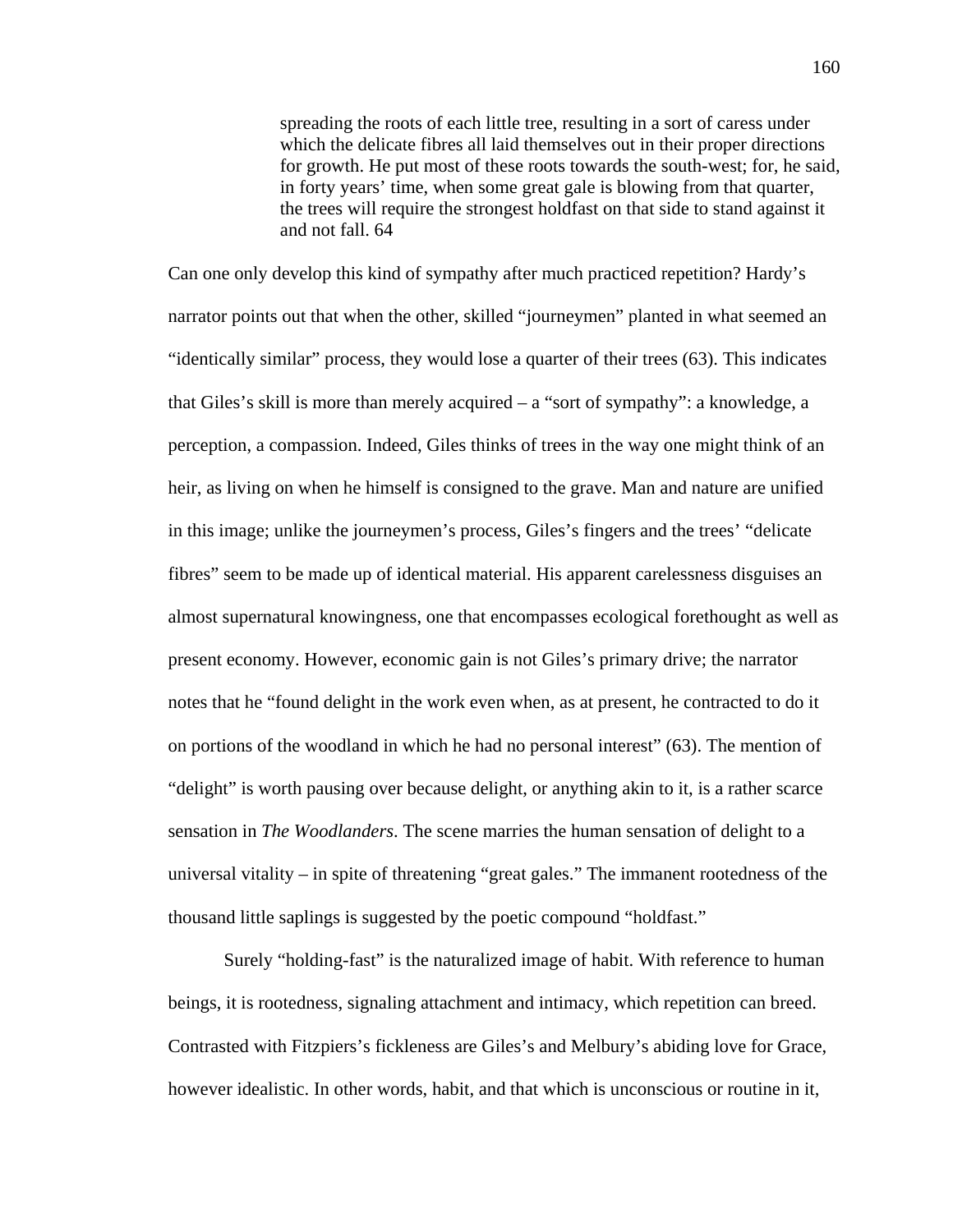spreading the roots of each little tree, resulting in a sort of caress under which the delicate fibres all laid themselves out in their proper directions for growth. He put most of these roots towards the south-west; for, he said, in forty years' time, when some great gale is blowing from that quarter, the trees will require the strongest holdfast on that side to stand against it and not fall. 64

Can one only develop this kind of sympathy after much practiced repetition? Hardy's narrator points out that when the other, skilled "journeymen" planted in what seemed an "identically similar" process, they would lose a quarter of their trees (63). This indicates that Giles's skill is more than merely acquired – a "sort of sympathy": a knowledge, a perception, a compassion. Indeed, Giles thinks of trees in the way one might think of an heir, as living on when he himself is consigned to the grave. Man and nature are unified in this image; unlike the journeymen's process, Giles's fingers and the trees' "delicate fibres" seem to be made up of identical material. His apparent carelessness disguises an almost supernatural knowingness, one that encompasses ecological forethought as well as present economy. However, economic gain is not Giles's primary drive; the narrator notes that he "found delight in the work even when, as at present, he contracted to do it on portions of the woodland in which he had no personal interest" (63). The mention of "delight" is worth pausing over because delight, or anything akin to it, is a rather scarce sensation in *The Woodlanders*. The scene marries the human sensation of delight to a universal vitality – in spite of threatening "great gales." The immanent rootedness of the thousand little saplings is suggested by the poetic compound "holdfast."

Surely "holding-fast" is the naturalized image of habit. With reference to human beings, it is rootedness, signaling attachment and intimacy, which repetition can breed. Contrasted with Fitzpiers's fickleness are Giles's and Melbury's abiding love for Grace, however idealistic. In other words, habit, and that which is unconscious or routine in it,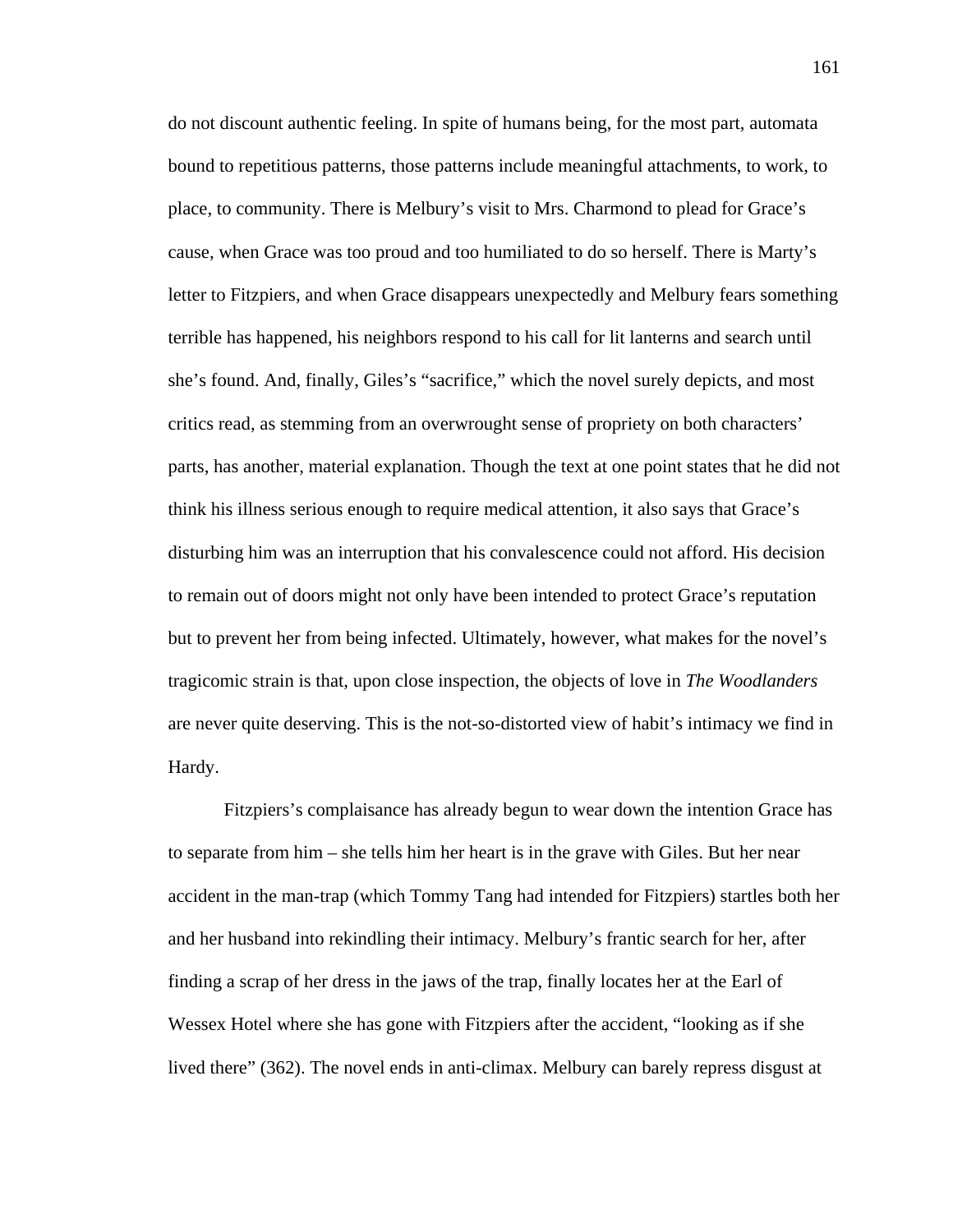do not discount authentic feeling. In spite of humans being, for the most part, automata bound to repetitious patterns, those patterns include meaningful attachments, to work, to place, to community. There is Melbury's visit to Mrs. Charmond to plead for Grace's cause, when Grace was too proud and too humiliated to do so herself. There is Marty's letter to Fitzpiers, and when Grace disappears unexpectedly and Melbury fears something terrible has happened, his neighbors respond to his call for lit lanterns and search until she's found. And, finally, Giles's "sacrifice," which the novel surely depicts, and most critics read, as stemming from an overwrought sense of propriety on both characters' parts, has another, material explanation. Though the text at one point states that he did not think his illness serious enough to require medical attention, it also says that Grace's disturbing him was an interruption that his convalescence could not afford. His decision to remain out of doors might not only have been intended to protect Grace's reputation but to prevent her from being infected. Ultimately, however, what makes for the novel's tragicomic strain is that, upon close inspection, the objects of love in *The Woodlanders* are never quite deserving. This is the not-so-distorted view of habit's intimacy we find in Hardy.

 Fitzpiers's complaisance has already begun to wear down the intention Grace has to separate from him – she tells him her heart is in the grave with Giles. But her near accident in the man-trap (which Tommy Tang had intended for Fitzpiers) startles both her and her husband into rekindling their intimacy. Melbury's frantic search for her, after finding a scrap of her dress in the jaws of the trap, finally locates her at the Earl of Wessex Hotel where she has gone with Fitzpiers after the accident, "looking as if she lived there" (362). The novel ends in anti-climax. Melbury can barely repress disgust at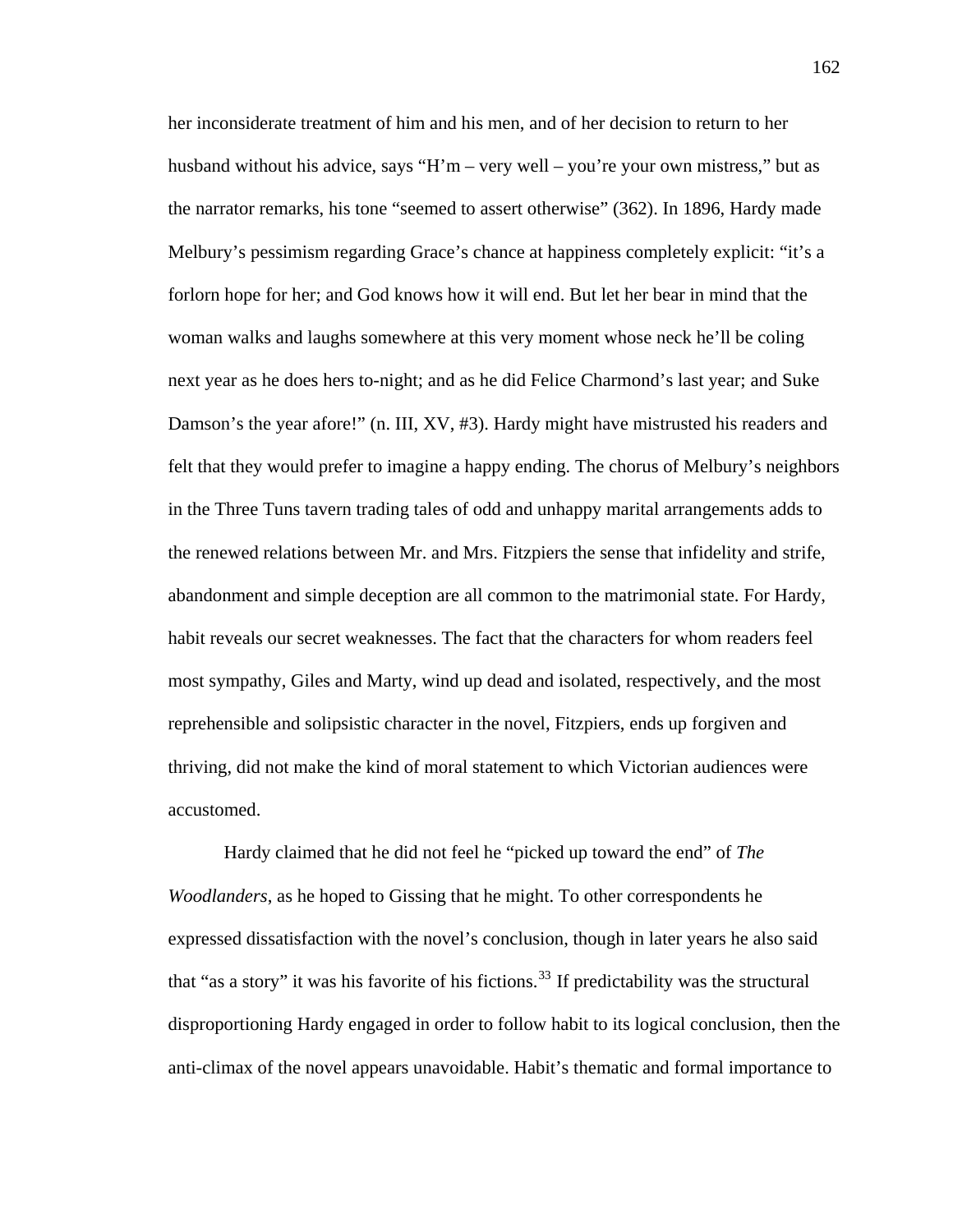her inconsiderate treatment of him and his men, and of her decision to return to her husband without his advice, says "H'm – very well – you're your own mistress," but as the narrator remarks, his tone "seemed to assert otherwise" (362). In 1896, Hardy made Melbury's pessimism regarding Grace's chance at happiness completely explicit: "it's a forlorn hope for her; and God knows how it will end. But let her bear in mind that the woman walks and laughs somewhere at this very moment whose neck he'll be coling next year as he does hers to-night; and as he did Felice Charmond's last year; and Suke Damson's the year afore!" (n. III, XV, #3). Hardy might have mistrusted his readers and felt that they would prefer to imagine a happy ending. The chorus of Melbury's neighbors in the Three Tuns tavern trading tales of odd and unhappy marital arrangements adds to the renewed relations between Mr. and Mrs. Fitzpiers the sense that infidelity and strife, abandonment and simple deception are all common to the matrimonial state. For Hardy, habit reveals our secret weaknesses. The fact that the characters for whom readers feel most sympathy, Giles and Marty, wind up dead and isolated, respectively, and the most reprehensible and solipsistic character in the novel, Fitzpiers, ends up forgiven and thriving, did not make the kind of moral statement to which Victorian audiences were accustomed.

 Hardy claimed that he did not feel he "picked up toward the end" of *The Woodlanders*, as he hoped to Gissing that he might. To other correspondents he expressed dissatisfaction with the novel's conclusion, though in later years he also said that "as a story" it was his favorite of his fictions.<sup>[33](#page-172-0)</sup> If predictability was the structural disproportioning Hardy engaged in order to follow habit to its logical conclusion, then the anti-climax of the novel appears unavoidable. Habit's thematic and formal importance to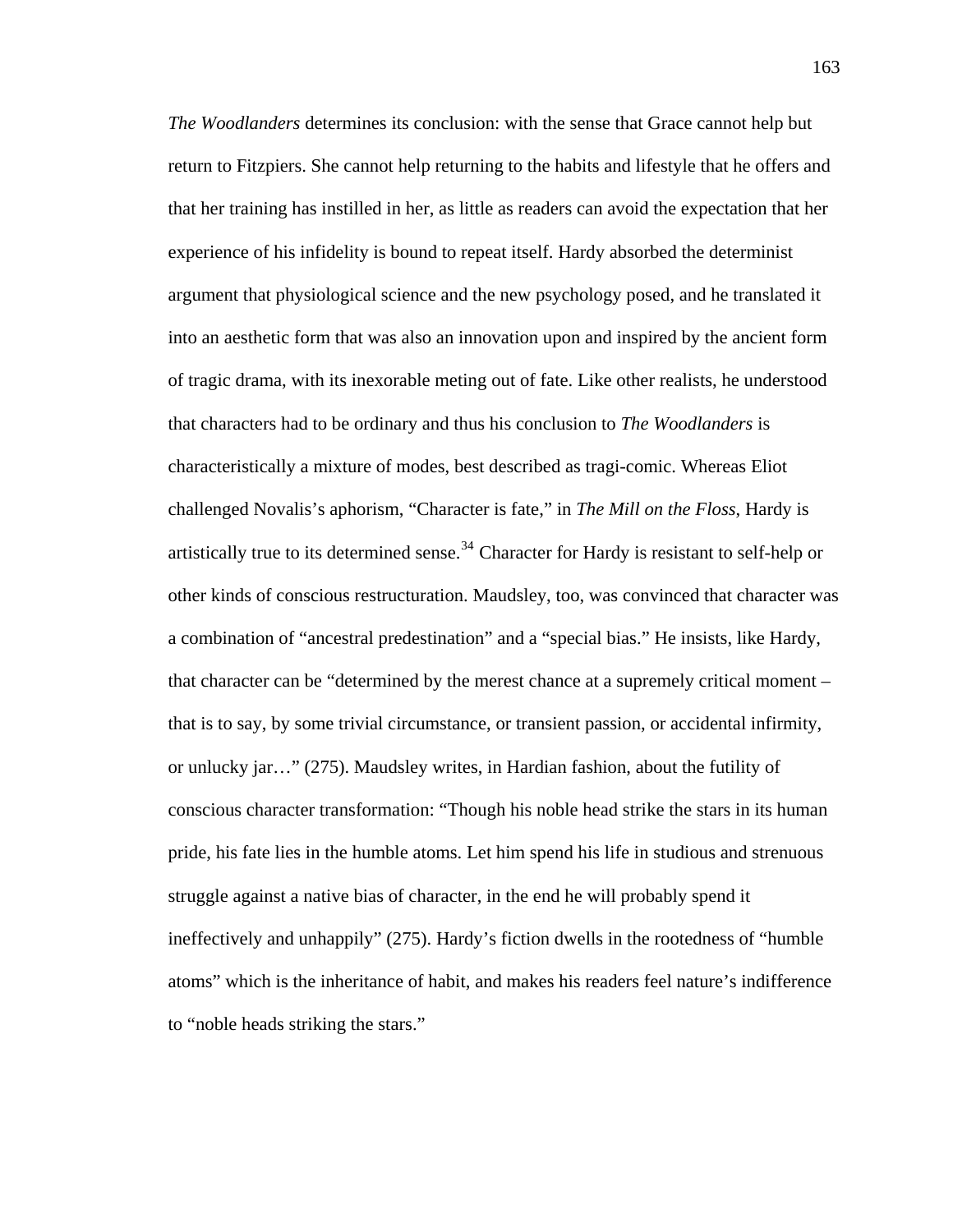*The Woodlanders* determines its conclusion: with the sense that Grace cannot help but return to Fitzpiers. She cannot help returning to the habits and lifestyle that he offers and that her training has instilled in her, as little as readers can avoid the expectation that her experience of his infidelity is bound to repeat itself. Hardy absorbed the determinist argument that physiological science and the new psychology posed, and he translated it into an aesthetic form that was also an innovation upon and inspired by the ancient form of tragic drama, with its inexorable meting out of fate. Like other realists, he understood that characters had to be ordinary and thus his conclusion to *The Woodlanders* is characteristically a mixture of modes, best described as tragi-comic. Whereas Eliot challenged Novalis's aphorism, "Character is fate," in *The Mill on the Floss*, Hardy is artistically true to its determined sense.<sup>[34](#page-172-0)</sup> Character for Hardy is resistant to self-help or other kinds of conscious restructuration. Maudsley, too, was convinced that character was a combination of "ancestral predestination" and a "special bias." He insists, like Hardy, that character can be "determined by the merest chance at a supremely critical moment – that is to say, by some trivial circumstance, or transient passion, or accidental infirmity, or unlucky jar…" (275). Maudsley writes, in Hardian fashion, about the futility of conscious character transformation: "Though his noble head strike the stars in its human pride, his fate lies in the humble atoms. Let him spend his life in studious and strenuous struggle against a native bias of character, in the end he will probably spend it ineffectively and unhappily" (275). Hardy's fiction dwells in the rootedness of "humble atoms" which is the inheritance of habit, and makes his readers feel nature's indifference to "noble heads striking the stars."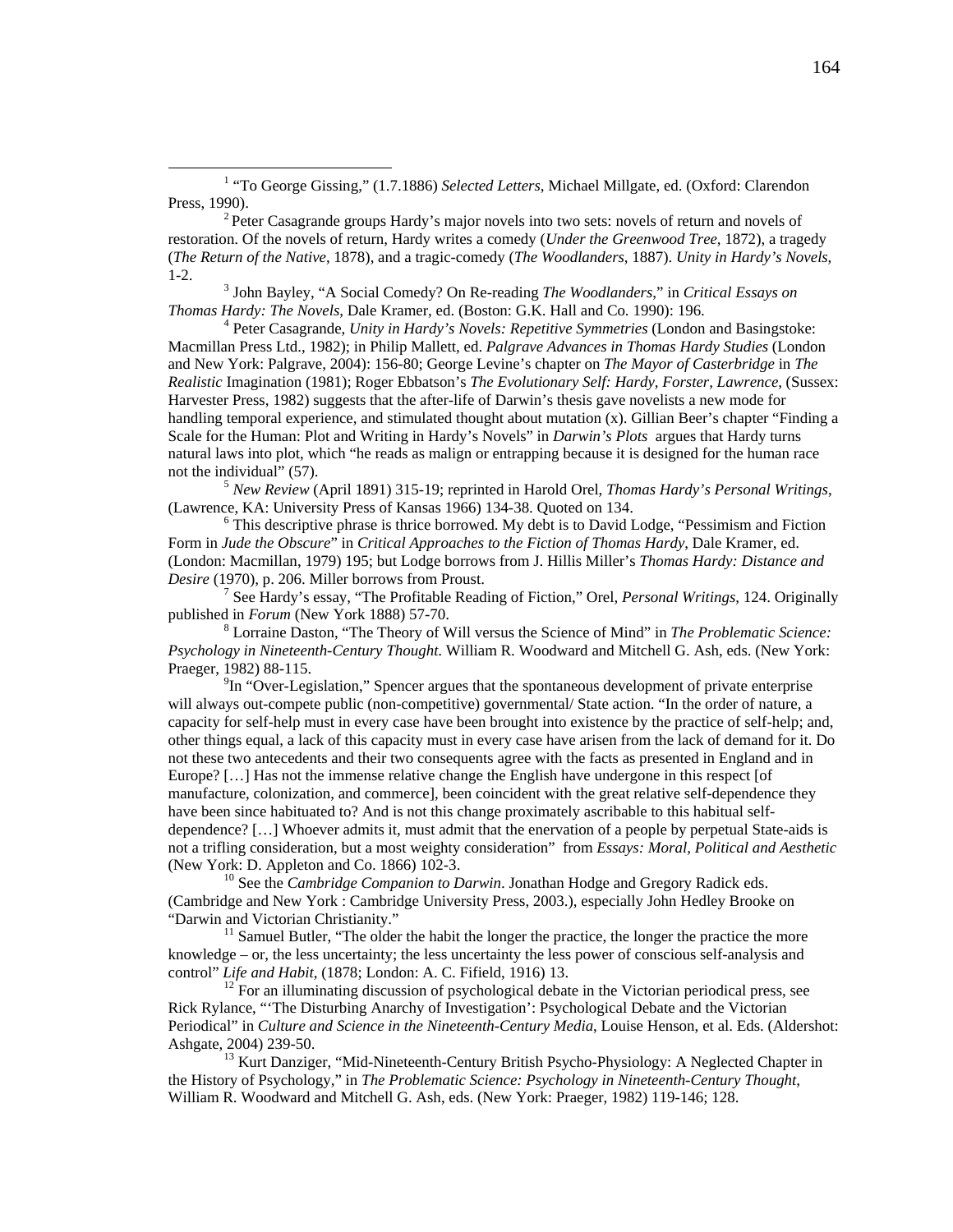<span id="page-170-0"></span> $\frac{1}{1}$ <sup>1</sup> "To George Gissing," (1.7.1886) *Selected Letters*, Michael Millgate, ed. (Oxford: Clarendon Press, 1990).<br><sup>2</sup> Peter Casagrande groups Hardy's major novels into two sets: novels of return and novels of

restoration. Of the novels of return, Hardy writes a comedy (*Under the Greenwood Tree*, 1872), a tragedy (*The Return of the Native*, 1878), and a tragic-comedy (*The Woodlanders*, 1887). *Unity in Hardy's Novels*,  $1-2.$ 

 John Bayley, "A Social Comedy? On Re-reading *The Woodlanders*," in *Critical Essays on Thomas Hardy: The Novels*, Dale Kramer, ed. (Boston: G.K. Hall and Co. 1990): 196. 4

 Peter Casagrande, *Unity in Hardy's Novels: Repetitive Symmetries* (London and Basingstoke: Macmillan Press Ltd., 1982); in Philip Mallett, ed. *Palgrave Advances in Thomas Hardy Studies* (London and New York: Palgrave, 2004): 156-80; George Levine's chapter on *The Mayor of Casterbridge* in *The Realistic* Imagination (1981); Roger Ebbatson's *The Evolutionary Self: Hardy, Forster, Lawrence*, (Sussex: Harvester Press, 1982) suggests that the after-life of Darwin's thesis gave novelists a new mode for handling temporal experience, and stimulated thought about mutation (x). Gillian Beer's chapter "Finding a Scale for the Human: Plot and Writing in Hardy's Novels" in *Darwin's Plots* argues that Hardy turns natural laws into plot, which "he reads as malign or entrapping because it is designed for the human race not the individual" (57). 5 *New Review* (April 1891) 315-19; reprinted in Harold Orel, *Thomas Hardy's Personal Writings*,

(Lawrence, KA: University Press of Kansas 1966) 134-38. Quoted on 134. 6

 $6$  This descriptive phrase is thrice borrowed. My debt is to David Lodge, "Pessimism and Fiction" Form in *Jude the Obscure*" in *Critical Approaches to the Fiction of Thomas Hardy*, Dale Kramer, ed. (London: Macmillan, 1979) 195; but Lodge borrows from J. Hillis Miller's *Thomas Hardy: Distance and Desire* (1970), p. 206. Miller borrows from Proust.

7 See Hardy's essay, "The Profitable Reading of Fiction," Orel, *Personal Writings*, 124. Originally published in *Forum* (New York 1888) 57-70.

 Lorraine Daston, "The Theory of Will versus the Science of Mind" in *The Problematic Science: Psychology in Nineteenth-Century Thought*. William R. Woodward and Mitchell G. Ash, eds. (New York: Praeger, 1982) 88-115.

<sup>9</sup>In "Over-Legislation," Spencer argues that the spontaneous development of private enterprise will always out-compete public (non-competitive) governmental/ State action. "In the order of nature, a capacity for self-help must in every case have been brought into existence by the practice of self-help; and, other things equal, a lack of this capacity must in every case have arisen from the lack of demand for it. Do not these two antecedents and their two consequents agree with the facts as presented in England and in Europe? […] Has not the immense relative change the English have undergone in this respect [of manufacture, colonization, and commerce], been coincident with the great relative self-dependence they have been since habituated to? And is not this change proximately ascribable to this habitual selfdependence? […] Whoever admits it, must admit that the enervation of a people by perpetual State-aids is not a trifling consideration, but a most weighty consideration" from *Essays: Moral, Political and Aesthetic* (New York: D. Appleton and Co. 1866) 102-3.<br><sup>10</sup> See the *Cambridge Companion to Darwin*. Jonathan Hodge and Gregory Radick eds.

(Cambridge and New York : Cambridge University Press, 2003.), especially John Hedley Brooke on "Darwin and Victorian Christianity." 11 Samuel Butler, "The older the habit the longer the practice, the longer the practice the more

knowledge – or, the less uncertainty; the less uncertainty the less power of conscious self-analysis and control" *Life and Habit*, (1878; London: A. C. Fifield, 1916) 13.<br><sup>12</sup> For an illuminating discussion of psychological debate in the Victorian periodical press, see

Rick Rylance, "'The Disturbing Anarchy of Investigation': Psychological Debate and the Victorian Periodical" in *Culture and Science in the Nineteenth-Century Media*, Louise Henson, et al. Eds. (Aldershot: Ashgate, 2004) 239-50.<br><sup>13</sup> Kurt Danziger, "Mid-Nineteenth-Century British Psycho-Physiology: A Neglected Chapter in

the History of Psychology," in *The Problematic Science: Psychology in Nineteenth-Century Thought*, William R. Woodward and Mitchell G. Ash, eds. (New York: Praeger, 1982) 119-146; 128.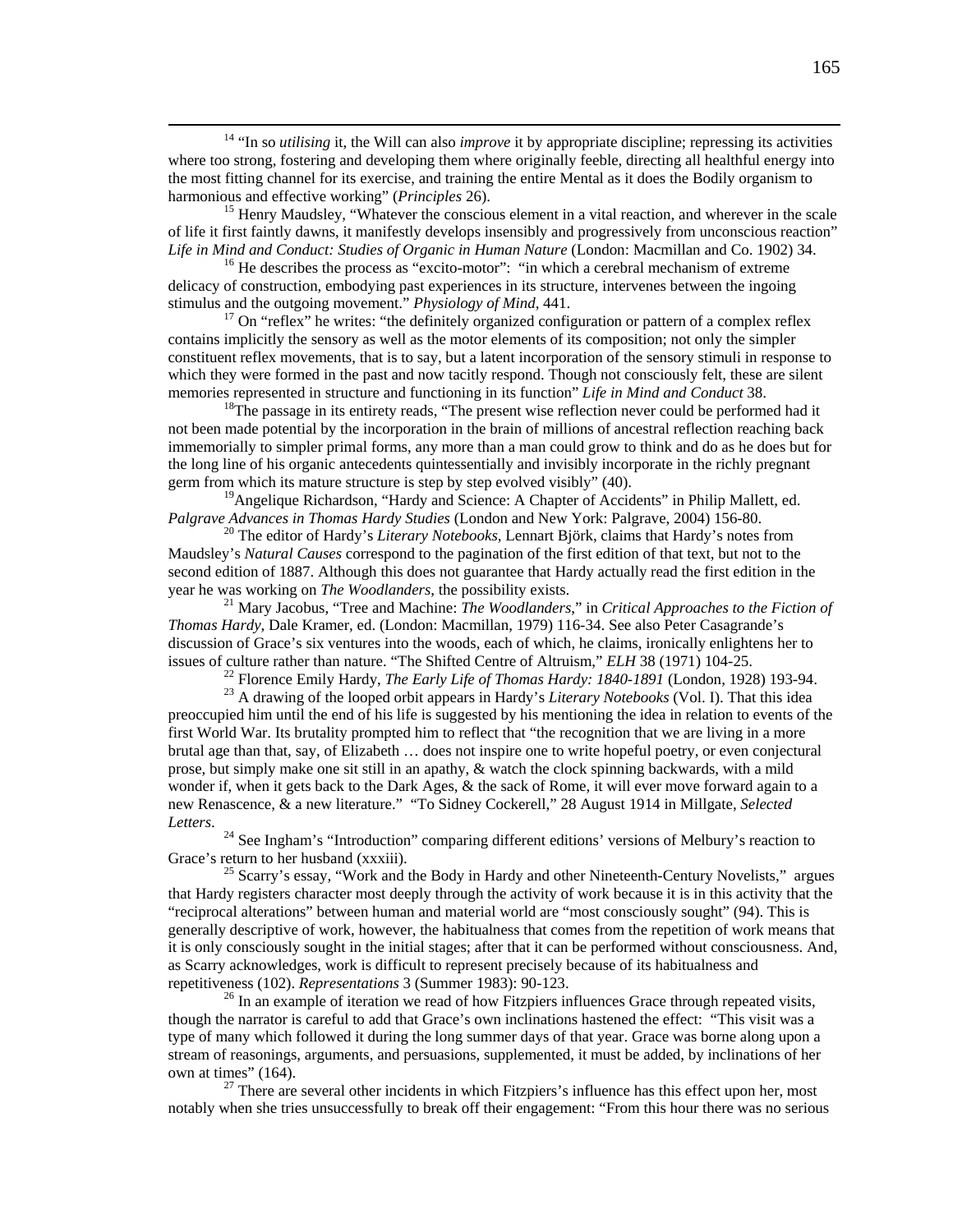<span id="page-171-0"></span><sup>14</sup> "In so *utilising* it, the Will can also *improve* it by appropriate discipline; repressing its activities where too strong, fostering and developing them where originally feeble, directing all healthful energy into the most fitting channel for its exercise, and training the entire Mental as it does the Bodily organism to harmonious and effective working" (*Principles* 26).<br><sup>15</sup> Henry Maudsley, "Whatever the conscious element in a vital reaction, and wherever in the scale

of life it first faintly dawns, it manifestly develops insensibly and progressively from unconscious reaction" *Life in Mind and Conduct: Studies of Organic in Human Nature* (London: Macmillan and Co. 1902) 34.<br><sup>16</sup> He describes the process as "excito-motor": "in which a cerebral mechanism of extreme

delicacy of construction, embodying past experiences in its structure, intervenes between the ingoing stimulus and the outgoing movement." Physiology of Mind, 441.

<sup>17</sup> On "reflex" he writes: "the definitely organized configuration or pattern of a complex reflex contains implicitly the sensory as well as the motor elements of its composition; not only the simpler constituent reflex movements, that is to say, but a latent incorporation of the sensory stimuli in response to which they were formed in the past and now tacitly respond. Though not consciously felt, these are silent memories represented in structure and functioning in its function" *Life in Mind and Conduct* 38.<br><sup>18</sup>The passage in its entirety reads, "The present wise reflection never could be performed had it

not been made potential by the incorporation in the brain of millions of ancestral reflection reaching back immemorially to simpler primal forms, any more than a man could grow to think and do as he does but for the long line of his organic antecedents quintessentially and invisibly incorporate in the richly pregnant germ from which its mature structure is step by step evolved visibly" (40).

<sup>19</sup>Angelique Richardson, "Hardy and Science: A Chapter of Accidents" in Philip Mallett, ed.<br>Palgrave Advances in Thomas Hardy Studies (London and New York: Palgrave, 2004) 156-80.

<sup>20</sup> The editor of Hardy's *Literary Notebooks*, Lennart Björk, claims that Hardy's notes from Maudsley's *Natural Causes* correspond to the pagination of the first edition of that text, but not to the second edition of 1887. Although this does not guarantee that Hardy actually read the first edition in the year he was working on *The Woodlanders*, the possibility exists.

<sup>21</sup> Mary Jacobus, "Tree and Machine: *The Woodlanders*," in *Critical Approaches to the Fiction of Thomas Hardy*, Dale Kramer, ed. (London: Macmillan, 1979) 116-34. See also Peter Casagrande's discussion of Grace's six ventures into the woods, each of which, he claims, ironically enlightens her to issues of culture rather than nature. "The Shifted Centre of Altruism," *ELH* 38 (1971) 104-25.<br><sup>22</sup> Florence Emily Hardy, *The Early Life of Thomas Hardy: 1840-1891* (London, 1928) 193-94.<br><sup>23</sup> A drawing of the looped orb

preoccupied him until the end of his life is suggested by his mentioning the idea in relation to events of the first World War. Its brutality prompted him to reflect that "the recognition that we are living in a more brutal age than that, say, of Elizabeth … does not inspire one to write hopeful poetry, or even conjectural prose, but simply make one sit still in an apathy, & watch the clock spinning backwards, with a mild wonder if, when it gets back to the Dark Ages, & the sack of Rome, it will ever move forward again to a new Renascence, & a new literature." "To Sidney Cockerell," 28 August 1914 in Millgate, *Selected*  Letters.<br><sup>24</sup> See Ingham's "Introduction" comparing different editions' versions of Melbury's reaction to

Grace's return to her husband (xxxiii).<br><sup>25</sup> Scarry's essay, "Work and the Body in Hardy and other Nineteenth-Century Novelists," argues

that Hardy registers character most deeply through the activity of work because it is in this activity that the "reciprocal alterations" between human and material world are "most consciously sought" (94). This is generally descriptive of work, however, the habitualness that comes from the repetition of work means that it is only consciously sought in the initial stages; after that it can be performed without consciousness. And, as Scarry acknowledges, work is difficult to represent precisely because of its habitualness and repetitiveness (102). *Representations* 3 (Summer 1983): 90-123. 26 In an example of iteration we read of how Fitzpiers influences Grace through repeated visits,

though the narrator is careful to add that Grace's own inclinations hastened the effect: "This visit was a type of many which followed it during the long summer days of that year. Grace was borne along upon a stream of reasonings, arguments, and persuasions, supplemented, it must be added, by inclinations of her own at times" (164).<br><sup>27</sup> There are several other incidents in which Fitzpiers's influence has this effect upon her, most

notably when she tries unsuccessfully to break off their engagement: "From this hour there was no serious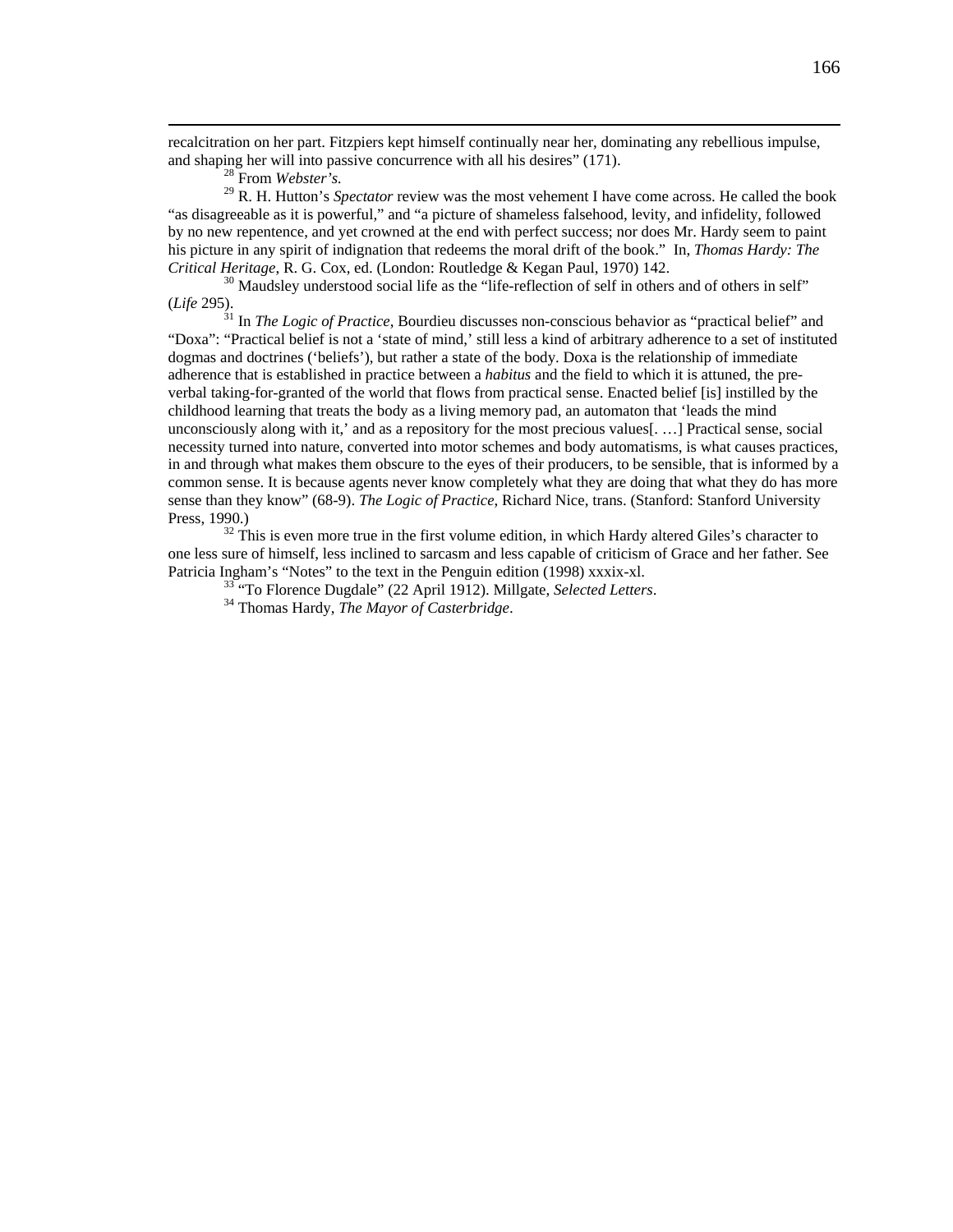<span id="page-172-0"></span> recalcitration on her part. Fitzpiers kept himself continually near her, dominating any rebellious impulse, and shaping her will into passive concurrence with all his desires" (171). 28 From *Webster's.*

<sup>29</sup> R. H. Hutton's *Spectator* review was the most vehement I have come across. He called the book "as disagreeable as it is powerful," and "a picture of shameless falsehood, levity, and infidelity, followed by no new repentence, and yet crowned at the end with perfect success; nor does Mr. Hardy seem to paint his picture in any spirit of indignation that redeems the moral drift of the book." In, *Thomas Hardy: The Critical Heritage*, R. G. Cox, ed. (London: Routledge & Kegan Paul, 1970) 142.<br><sup>30</sup> Maudsley understood social life as the "life-reflection of self in others and of others in self"

(*Life* 295). 31 In *The Logic of Practice*, Bourdieu discusses non-conscious behavior as "practical belief" and

"Doxa": "Practical belief is not a 'state of mind,' still less a kind of arbitrary adherence to a set of instituted dogmas and doctrines ('beliefs'), but rather a state of the body. Doxa is the relationship of immediate adherence that is established in practice between a *habitus* and the field to which it is attuned, the preverbal taking-for-granted of the world that flows from practical sense. Enacted belief [is] instilled by the childhood learning that treats the body as a living memory pad, an automaton that 'leads the mind unconsciously along with it,' and as a repository for the most precious values[. …] Practical sense, social necessity turned into nature, converted into motor schemes and body automatisms, is what causes practices, in and through what makes them obscure to the eyes of their producers, to be sensible, that is informed by a common sense. It is because agents never know completely what they are doing that what they do has more sense than they know" (68-9). *The Logic of Practice*, Richard Nice, trans. (Stanford: Stanford University Press, 1990.)<br><sup>32</sup> This is even more true in the first volume edition, in which Hardy altered Giles's character to

one less sure of himself, less inclined to sarcasm and less capable of criticism of Grace and her father. See Patricia Ingham's "Notes" to the text in the Penguin edition (1998) xxxix-xl. 33 "To Florence Dugdale" (22 April 1912). Millgate, *Selected Letters*. 34 Thomas Hardy, *The Mayor of Casterbridge*.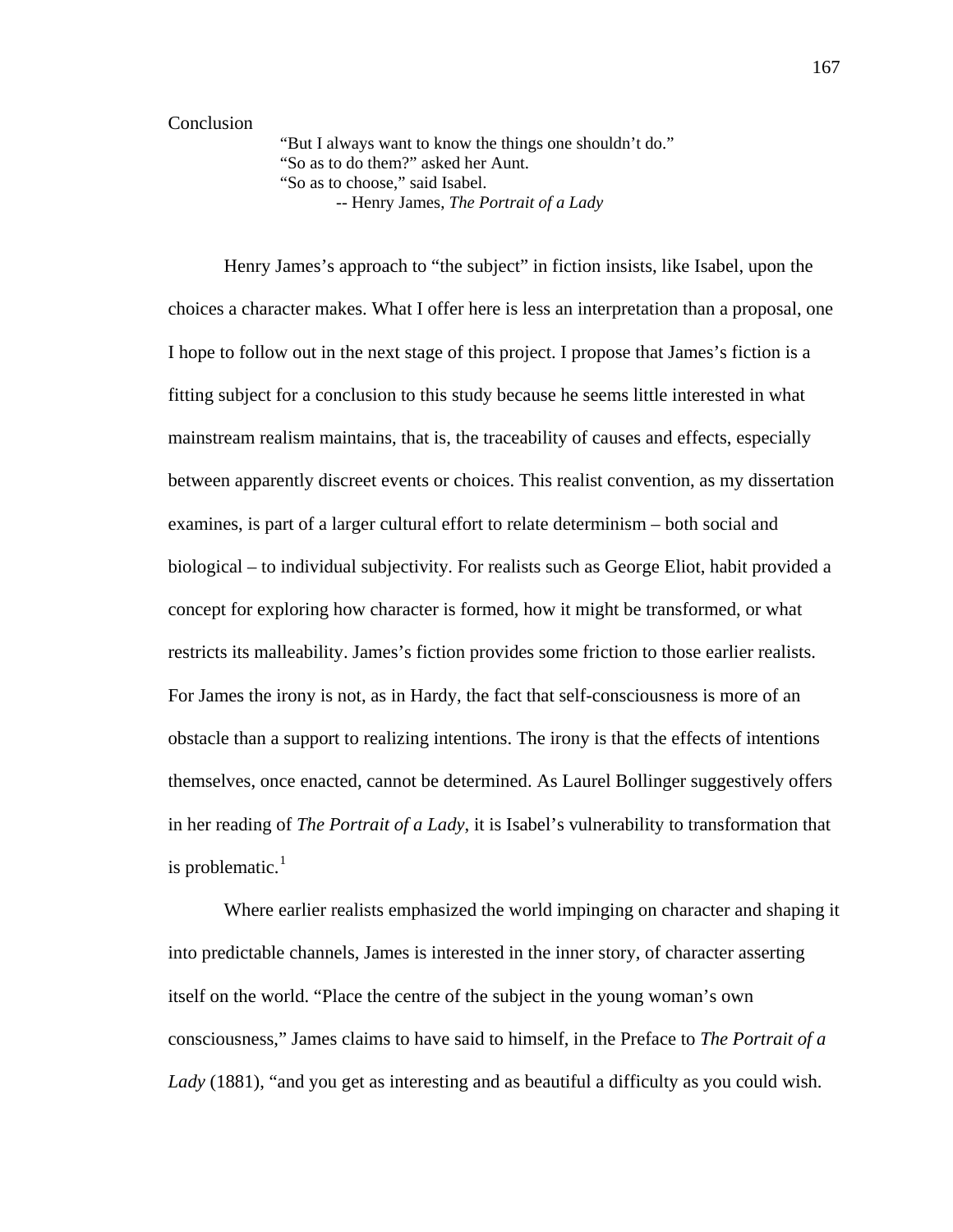## **Conclusion**

"But I always want to know the things one shouldn't do." "So as to do them?" asked her Aunt. "So as to choose," said Isabel. -- Henry James, *The Portrait of a Lady*

 Henry James's approach to "the subject" in fiction insists, like Isabel, upon the choices a character makes. What I offer here is less an interpretation than a proposal, one I hope to follow out in the next stage of this project. I propose that James's fiction is a fitting subject for a conclusion to this study because he seems little interested in what mainstream realism maintains, that is, the traceability of causes and effects, especially between apparently discreet events or choices. This realist convention, as my dissertation examines, is part of a larger cultural effort to relate determinism – both social and biological – to individual subjectivity. For realists such as George Eliot, habit provided a concept for exploring how character is formed, how it might be transformed, or what restricts its malleability. James's fiction provides some friction to those earlier realists. For James the irony is not, as in Hardy, the fact that self-consciousness is more of an obstacle than a support to realizing intentions. The irony is that the effects of intentions themselves, once enacted, cannot be determined. As Laurel Bollinger suggestively offers in her reading of *The Portrait of a Lady*, it is Isabel's vulnerability to transformation that is problematic. $<sup>1</sup>$  $<sup>1</sup>$  $<sup>1</sup>$ </sup>

Where earlier realists emphasized the world impinging on character and shaping it into predictable channels, James is interested in the inner story, of character asserting itself on the world. "Place the centre of the subject in the young woman's own consciousness," James claims to have said to himself, in the Preface to *The Portrait of a Lady* (1881), "and you get as interesting and as beautiful a difficulty as you could wish.

167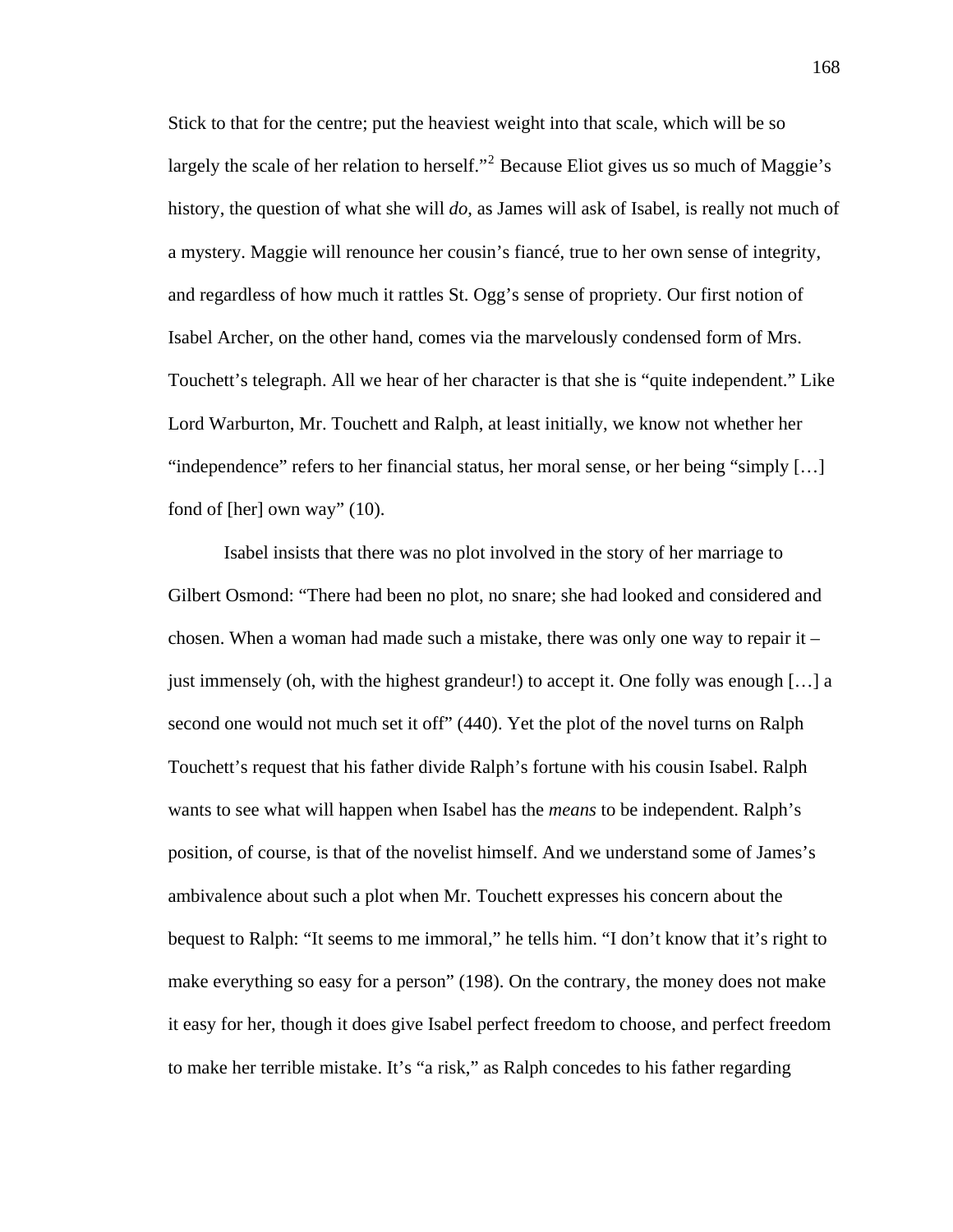Stick to that for the centre; put the heaviest weight into that scale, which will be so largely the scale of her relation to herself."<sup>[2](#page-179-1)</sup> Because Eliot gives us so much of Maggie's history, the question of what she will *do*, as James will ask of Isabel, is really not much of a mystery. Maggie will renounce her cousin's fiancé, true to her own sense of integrity, and regardless of how much it rattles St. Ogg's sense of propriety. Our first notion of Isabel Archer, on the other hand, comes via the marvelously condensed form of Mrs. Touchett's telegraph. All we hear of her character is that she is "quite independent." Like Lord Warburton, Mr. Touchett and Ralph, at least initially, we know not whether her "independence" refers to her financial status, her moral sense, or her being "simply […] fond of [her] own way" (10).

 Isabel insists that there was no plot involved in the story of her marriage to Gilbert Osmond: "There had been no plot, no snare; she had looked and considered and chosen. When a woman had made such a mistake, there was only one way to repair it  $$ just immensely (oh, with the highest grandeur!) to accept it. One folly was enough  $[\ldots]$  a second one would not much set it off" (440). Yet the plot of the novel turns on Ralph Touchett's request that his father divide Ralph's fortune with his cousin Isabel. Ralph wants to see what will happen when Isabel has the *means* to be independent. Ralph's position, of course, is that of the novelist himself. And we understand some of James's ambivalence about such a plot when Mr. Touchett expresses his concern about the bequest to Ralph: "It seems to me immoral," he tells him. "I don't know that it's right to make everything so easy for a person" (198). On the contrary, the money does not make it easy for her, though it does give Isabel perfect freedom to choose, and perfect freedom to make her terrible mistake. It's "a risk," as Ralph concedes to his father regarding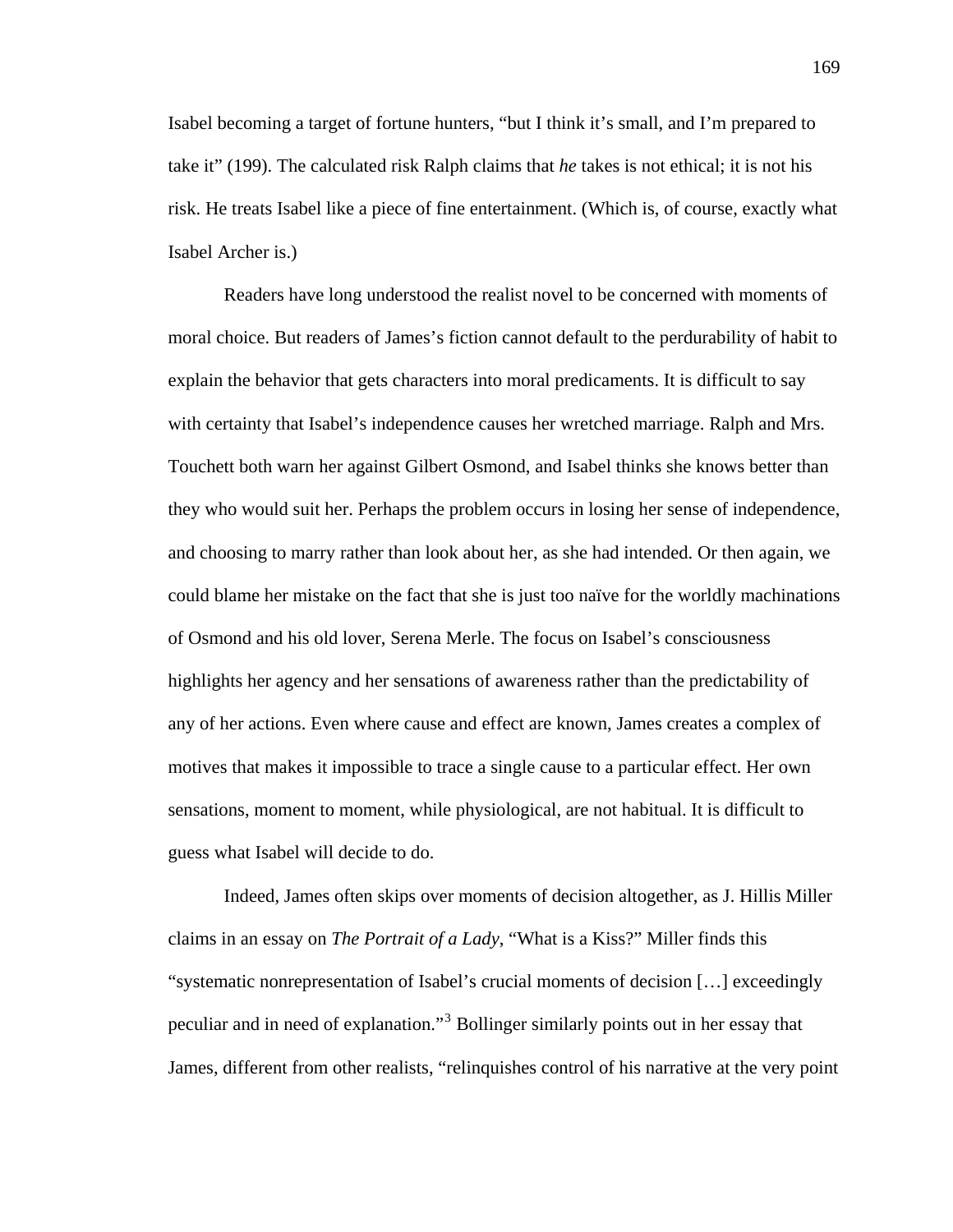Isabel becoming a target of fortune hunters, "but I think it's small, and I'm prepared to take it" (199). The calculated risk Ralph claims that *he* takes is not ethical; it is not his risk. He treats Isabel like a piece of fine entertainment. (Which is, of course, exactly what Isabel Archer is.)

Readers have long understood the realist novel to be concerned with moments of moral choice. But readers of James's fiction cannot default to the perdurability of habit to explain the behavior that gets characters into moral predicaments. It is difficult to say with certainty that Isabel's independence causes her wretched marriage. Ralph and Mrs. Touchett both warn her against Gilbert Osmond, and Isabel thinks she knows better than they who would suit her. Perhaps the problem occurs in losing her sense of independence, and choosing to marry rather than look about her, as she had intended. Or then again, we could blame her mistake on the fact that she is just too naïve for the worldly machinations of Osmond and his old lover, Serena Merle. The focus on Isabel's consciousness highlights her agency and her sensations of awareness rather than the predictability of any of her actions. Even where cause and effect are known, James creates a complex of motives that makes it impossible to trace a single cause to a particular effect. Her own sensations, moment to moment, while physiological, are not habitual. It is difficult to guess what Isabel will decide to do.

Indeed, James often skips over moments of decision altogether, as J. Hillis Miller claims in an essay on *The Portrait of a Lady*, "What is a Kiss?" Miller finds this "systematic nonrepresentation of Isabel's crucial moments of decision […] exceedingly peculiar and in need of explanation."<sup>[3](#page-179-1)</sup> Bollinger similarly points out in her essay that James, different from other realists, "relinquishes control of his narrative at the very point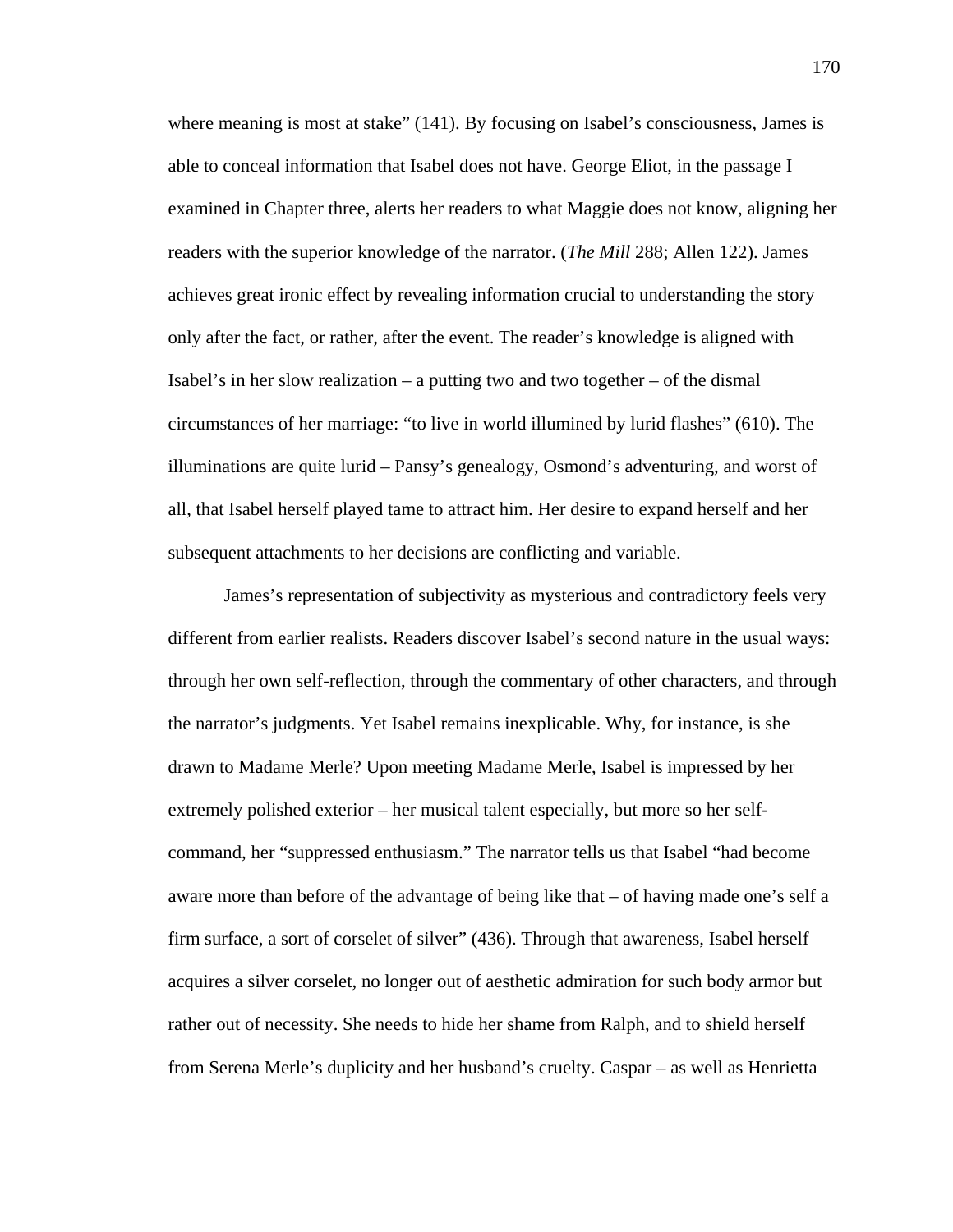where meaning is most at stake" (141). By focusing on Isabel's consciousness, James is able to conceal information that Isabel does not have. George Eliot, in the passage I examined in Chapter three, alerts her readers to what Maggie does not know, aligning her readers with the superior knowledge of the narrator. (*The Mill* 288; Allen 122). James achieves great ironic effect by revealing information crucial to understanding the story only after the fact, or rather, after the event. The reader's knowledge is aligned with Isabel's in her slow realization – a putting two and two together – of the dismal circumstances of her marriage: "to live in world illumined by lurid flashes" (610). The illuminations are quite lurid – Pansy's genealogy, Osmond's adventuring, and worst of all, that Isabel herself played tame to attract him. Her desire to expand herself and her subsequent attachments to her decisions are conflicting and variable.

James's representation of subjectivity as mysterious and contradictory feels very different from earlier realists. Readers discover Isabel's second nature in the usual ways: through her own self-reflection, through the commentary of other characters, and through the narrator's judgments. Yet Isabel remains inexplicable. Why, for instance, is she drawn to Madame Merle? Upon meeting Madame Merle, Isabel is impressed by her extremely polished exterior – her musical talent especially, but more so her selfcommand, her "suppressed enthusiasm." The narrator tells us that Isabel "had become aware more than before of the advantage of being like that – of having made one's self a firm surface, a sort of corselet of silver" (436). Through that awareness, Isabel herself acquires a silver corselet, no longer out of aesthetic admiration for such body armor but rather out of necessity. She needs to hide her shame from Ralph, and to shield herself from Serena Merle's duplicity and her husband's cruelty. Caspar – as well as Henrietta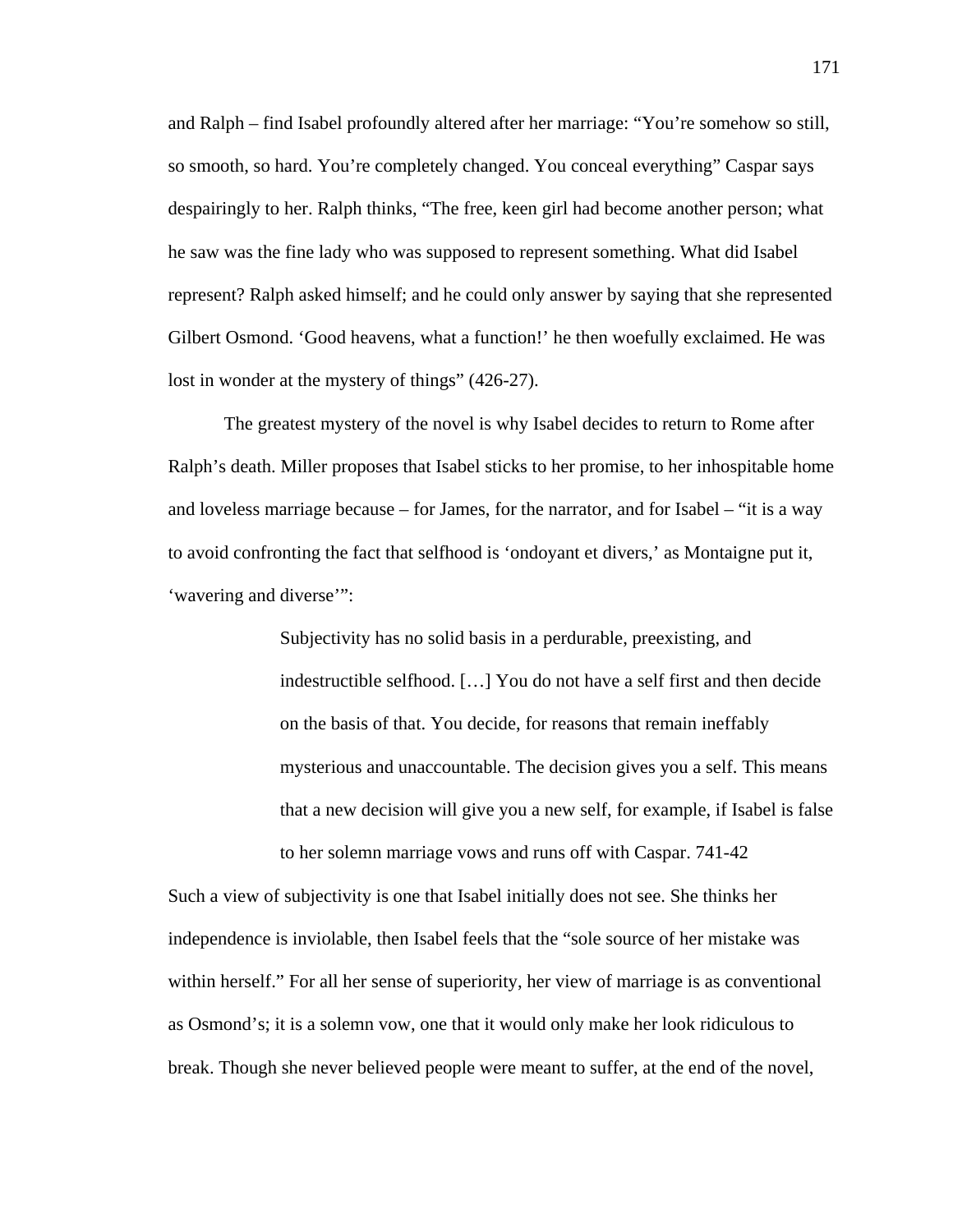and Ralph – find Isabel profoundly altered after her marriage: "You're somehow so still, so smooth, so hard. You're completely changed. You conceal everything" Caspar says despairingly to her. Ralph thinks, "The free, keen girl had become another person; what he saw was the fine lady who was supposed to represent something. What did Isabel represent? Ralph asked himself; and he could only answer by saying that she represented Gilbert Osmond. 'Good heavens, what a function!' he then woefully exclaimed. He was lost in wonder at the mystery of things" (426-27).

The greatest mystery of the novel is why Isabel decides to return to Rome after Ralph's death. Miller proposes that Isabel sticks to her promise, to her inhospitable home and loveless marriage because – for James, for the narrator, and for Isabel – "it is a way to avoid confronting the fact that selfhood is 'ondoyant et divers,' as Montaigne put it, 'wavering and diverse'":

> Subjectivity has no solid basis in a perdurable, preexisting, and indestructible selfhood. […] You do not have a self first and then decide on the basis of that. You decide, for reasons that remain ineffably mysterious and unaccountable. The decision gives you a self. This means that a new decision will give you a new self, for example, if Isabel is false to her solemn marriage vows and runs off with Caspar. 741-42

Such a view of subjectivity is one that Isabel initially does not see. She thinks her independence is inviolable, then Isabel feels that the "sole source of her mistake was within herself." For all her sense of superiority, her view of marriage is as conventional as Osmond's; it is a solemn vow, one that it would only make her look ridiculous to break. Though she never believed people were meant to suffer, at the end of the novel,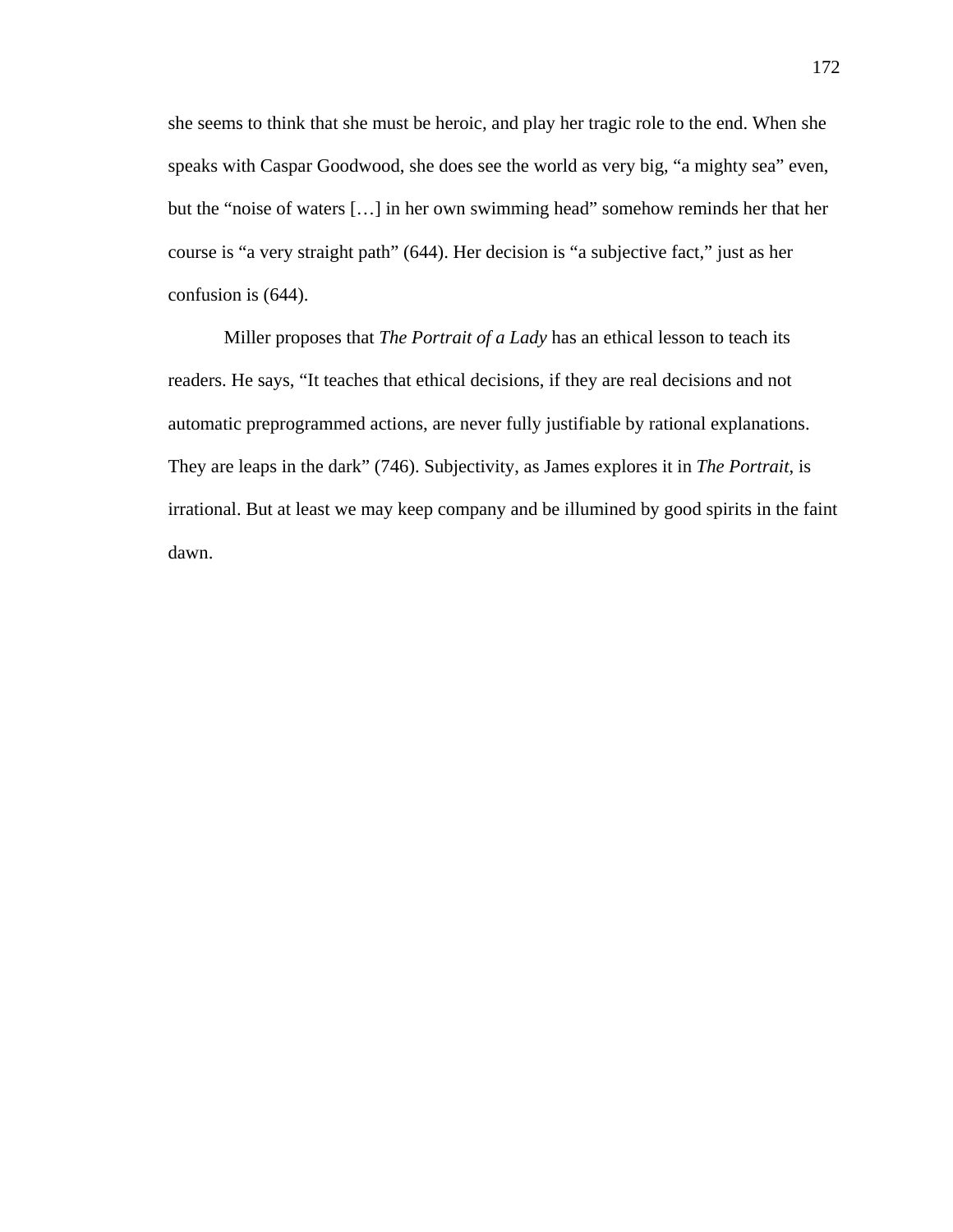she seems to think that she must be heroic, and play her tragic role to the end. When she speaks with Caspar Goodwood, she does see the world as very big, "a mighty sea" even, but the "noise of waters […] in her own swimming head" somehow reminds her that her course is "a very straight path" (644). Her decision is "a subjective fact," just as her confusion is (644).

 Miller proposes that *The Portrait of a Lady* has an ethical lesson to teach its readers. He says, "It teaches that ethical decisions, if they are real decisions and not automatic preprogrammed actions, are never fully justifiable by rational explanations. They are leaps in the dark" (746). Subjectivity, as James explores it in *The Portrait*, is irrational. But at least we may keep company and be illumined by good spirits in the faint dawn.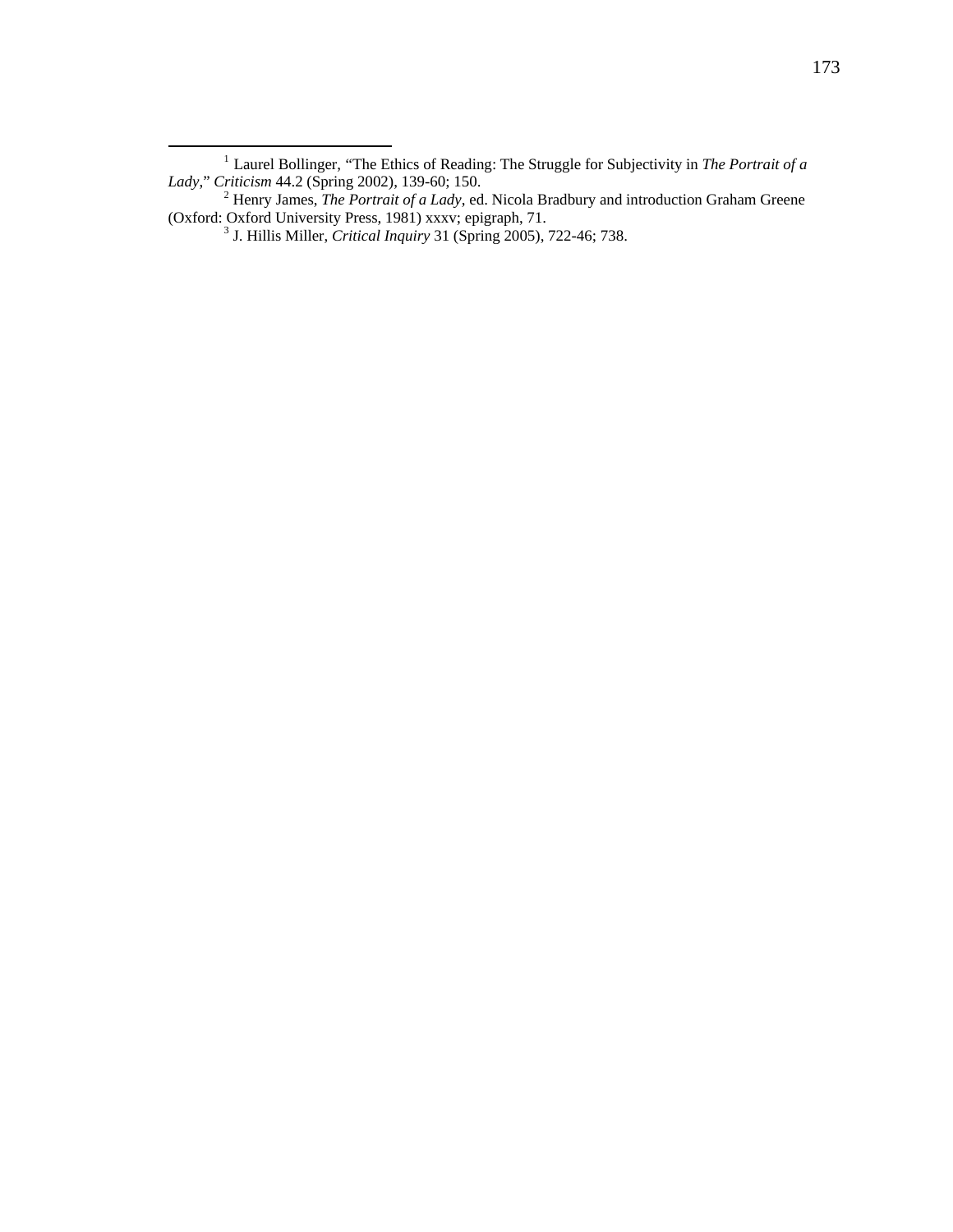<span id="page-179-1"></span><span id="page-179-0"></span> <sup>1</sup> Laurel Bollinger, "The Ethics of Reading: The Struggle for Subjectivity in *The Portrait of a*  Lady," Criticism 44.2 (Spring 2002), 139-60; 150.<br><sup>2</sup> Henry James, *The Portrait of a Lady*, ed. Nicola Bradbury and introduction Graham Greene

<sup>(</sup>Oxford: Oxford University Press, 1981) xxxv; epigraph, 71.<br><sup>3</sup> J. Hillis Miller, *Critical Inquiry* 31 (Spring 2005), 722-46; 738.